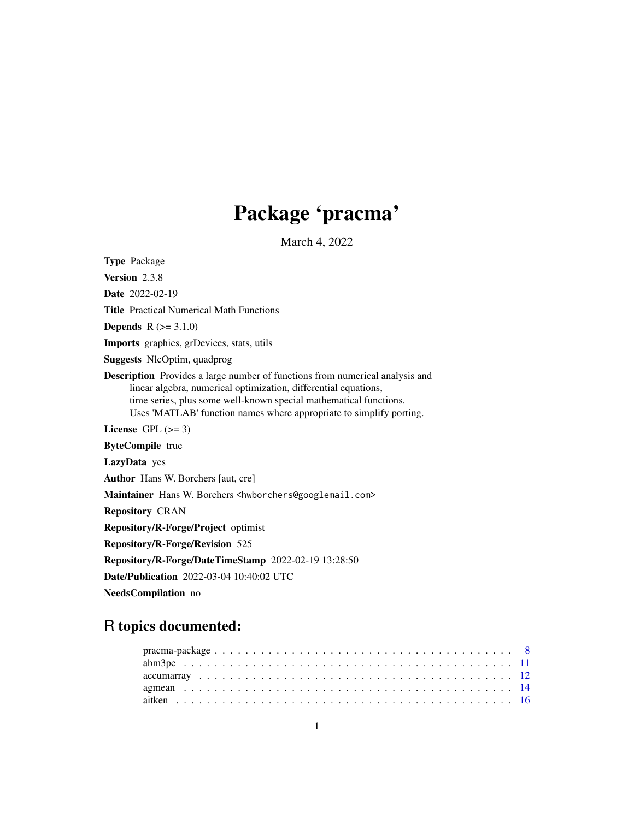## Package 'pracma'

March 4, 2022

<span id="page-0-0"></span>Type Package Version 2.3.8 Date 2022-02-19 Title Practical Numerical Math Functions **Depends**  $R (=3.1.0)$ Imports graphics, grDevices, stats, utils Suggests NlcOptim, quadprog Description Provides a large number of functions from numerical analysis and linear algebra, numerical optimization, differential equations, time series, plus some well-known special mathematical functions. Uses 'MATLAB' function names where appropriate to simplify porting. License GPL  $(>= 3)$ ByteCompile true LazyData yes Author Hans W. Borchers [aut, cre] Maintainer Hans W. Borchers <hwborchers@googlemail.com> Repository CRAN Repository/R-Forge/Project optimist Repository/R-Forge/Revision 525 Repository/R-Forge/DateTimeStamp 2022-02-19 13:28:50 Date/Publication 2022-03-04 10:40:02 UTC NeedsCompilation no

# R topics documented: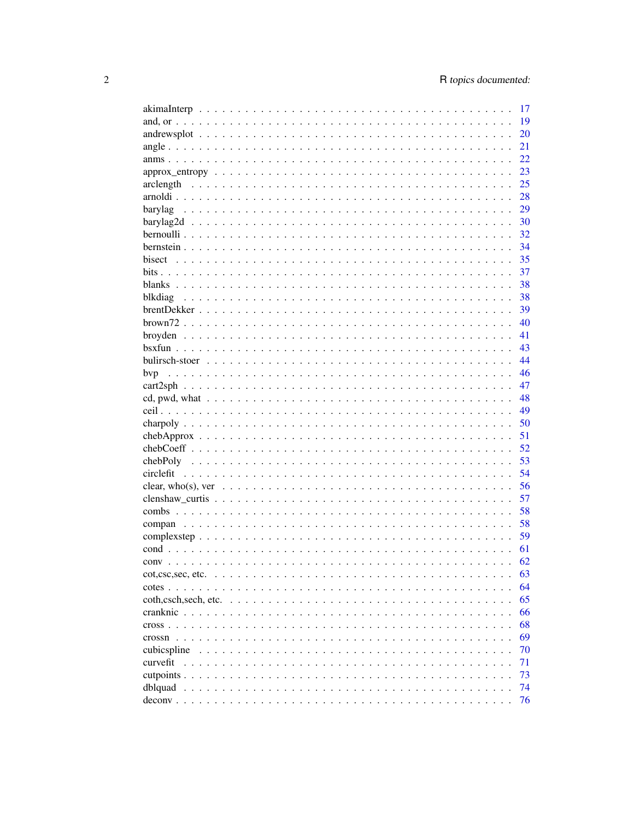|                                                                                                                                                                                            | 17 |
|--------------------------------------------------------------------------------------------------------------------------------------------------------------------------------------------|----|
|                                                                                                                                                                                            | 19 |
|                                                                                                                                                                                            | 20 |
|                                                                                                                                                                                            | 21 |
|                                                                                                                                                                                            | 22 |
|                                                                                                                                                                                            | 23 |
|                                                                                                                                                                                            | 25 |
|                                                                                                                                                                                            | 28 |
| barylag                                                                                                                                                                                    | 29 |
|                                                                                                                                                                                            | 30 |
|                                                                                                                                                                                            | 32 |
|                                                                                                                                                                                            | 34 |
|                                                                                                                                                                                            | 35 |
|                                                                                                                                                                                            | 37 |
|                                                                                                                                                                                            | 38 |
|                                                                                                                                                                                            | 38 |
|                                                                                                                                                                                            | 39 |
|                                                                                                                                                                                            | 40 |
|                                                                                                                                                                                            | 41 |
|                                                                                                                                                                                            | 43 |
|                                                                                                                                                                                            | 44 |
|                                                                                                                                                                                            | 46 |
|                                                                                                                                                                                            | 47 |
|                                                                                                                                                                                            | 48 |
|                                                                                                                                                                                            | 49 |
|                                                                                                                                                                                            | 50 |
|                                                                                                                                                                                            | 51 |
|                                                                                                                                                                                            | 52 |
|                                                                                                                                                                                            | 53 |
|                                                                                                                                                                                            | 54 |
|                                                                                                                                                                                            | 56 |
|                                                                                                                                                                                            | 57 |
|                                                                                                                                                                                            | 58 |
|                                                                                                                                                                                            | 58 |
|                                                                                                                                                                                            | 59 |
|                                                                                                                                                                                            | 61 |
|                                                                                                                                                                                            | 62 |
| $\cot$ , $\csc$ , $\sec$ , $\cot$ , $\cot$ , $\cot$ , $\cot$ , $\cot$ , $\cot$ , $\cot$ , $\cot$ , $\cot$ , $\cot$ , $\cot$ , $\cot$ , $\cot$ , $\cot$ , $\cot$ , $\cot$ , $\cot$ , $\cot$ | 63 |
| $\text{cotes}$<br>.<br>$\mathbf{r}$                                                                                                                                                        | 64 |
| coth.csch.sech. etc.<br>$\ddot{\phantom{0}}$<br>$\ddot{\phantom{0}}$                                                                                                                       | 65 |
| cranknic                                                                                                                                                                                   | 66 |
| $\text{cross}$                                                                                                                                                                             | 68 |
| crossn                                                                                                                                                                                     | 69 |
| $\sim$<br>cubicspline                                                                                                                                                                      | 70 |
| $\ddot{\phantom{0}}$<br>$\ddot{\phantom{a}}$<br>curvefit                                                                                                                                   | 71 |
| $\ddot{\phantom{0}}$<br>cutpoints                                                                                                                                                          | 73 |
|                                                                                                                                                                                            | 74 |
| dblquad<br>$\mathbf{1}$ $\mathbf{1}$ $\mathbf{1}$ $\mathbf{1}$                                                                                                                             | 76 |
|                                                                                                                                                                                            |    |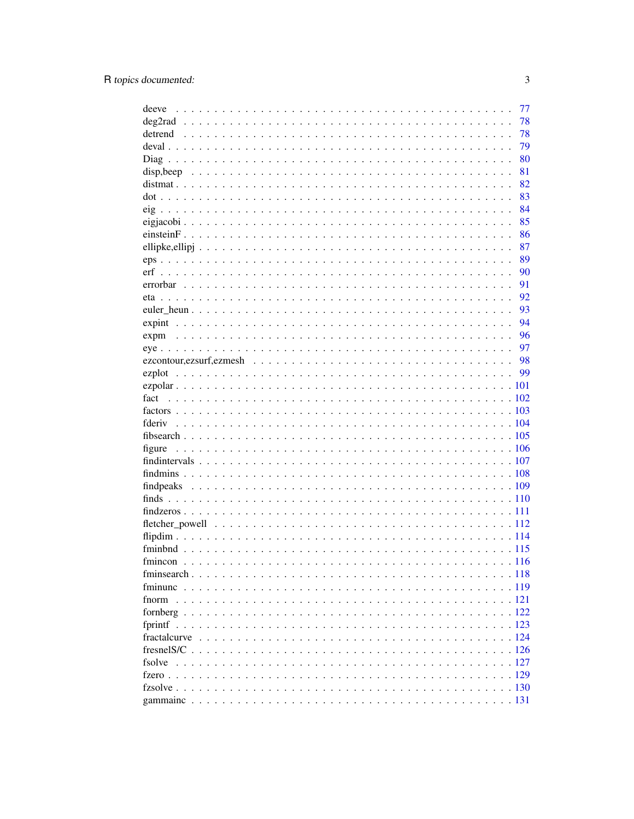|              | 77    |
|--------------|-------|
|              | 78    |
|              | 78    |
|              | 79    |
|              | 80    |
|              | 81    |
|              | 82    |
|              | 83    |
|              | 84    |
|              | 85    |
|              | 86    |
|              | 87    |
|              | 89    |
|              | 90    |
|              | 91    |
|              | 92    |
|              | 93    |
|              | 94    |
|              | 96    |
|              | 97    |
|              | 98    |
|              |       |
|              |       |
|              |       |
|              |       |
|              |       |
|              |       |
|              |       |
|              |       |
|              |       |
|              |       |
|              |       |
|              |       |
|              |       |
|              |       |
|              |       |
|              |       |
|              | . 116 |
|              |       |
|              |       |
|              |       |
|              |       |
|              |       |
| fractalcurve |       |
|              |       |
| fsolve       |       |
|              |       |
|              |       |
|              |       |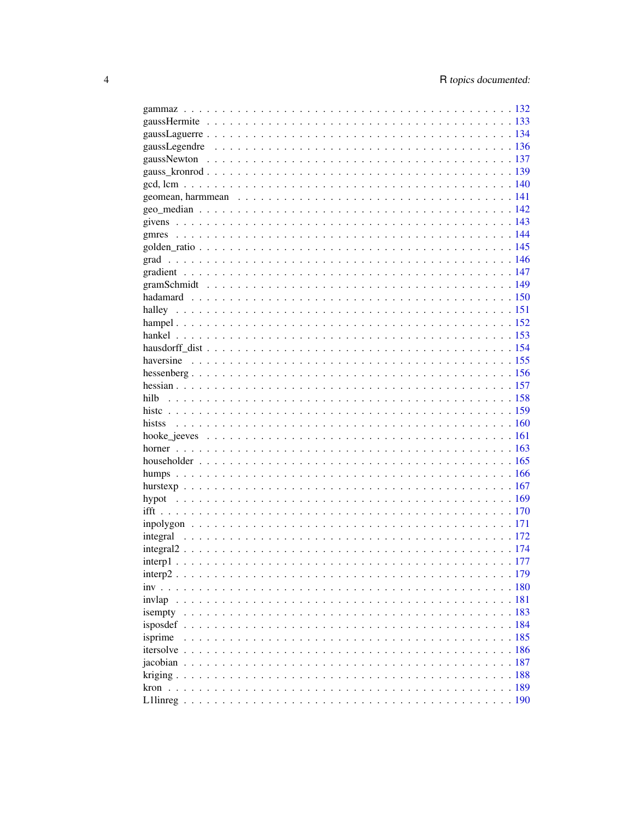| isempty |  |
|---------|--|
|         |  |
| isprime |  |
|         |  |
|         |  |
|         |  |
|         |  |
|         |  |
|         |  |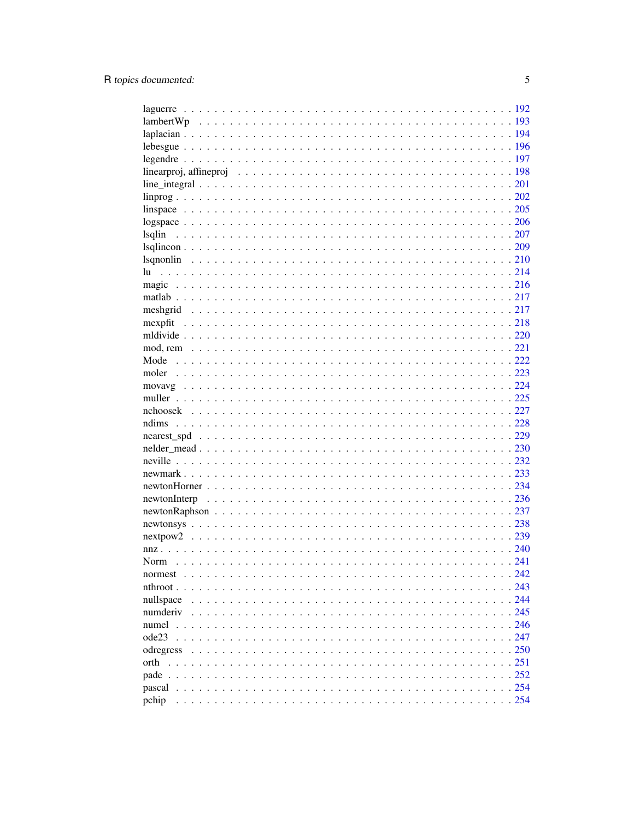| lsqlin    |  |
|-----------|--|
|           |  |
|           |  |
|           |  |
|           |  |
|           |  |
|           |  |
|           |  |
|           |  |
|           |  |
|           |  |
|           |  |
|           |  |
|           |  |
|           |  |
|           |  |
|           |  |
|           |  |
|           |  |
|           |  |
|           |  |
|           |  |
|           |  |
|           |  |
|           |  |
|           |  |
| Norm      |  |
| normest   |  |
|           |  |
| nullspace |  |
| numderiv  |  |
| numel     |  |
| ode23     |  |
| odregress |  |
|           |  |
| orth      |  |
|           |  |
|           |  |
| pchip     |  |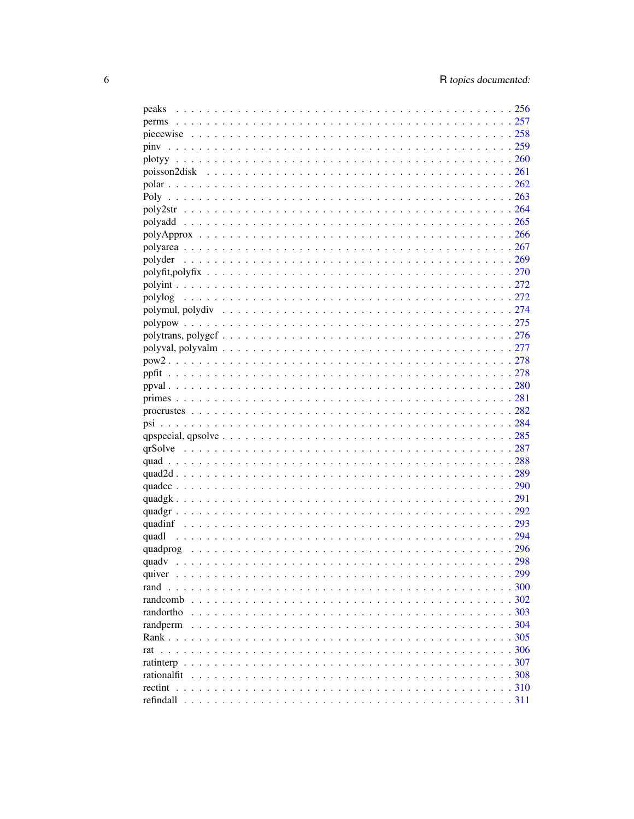| peaks |  |
|-------|--|
|       |  |
|       |  |
| piny  |  |
|       |  |
|       |  |
|       |  |
|       |  |
|       |  |
|       |  |
|       |  |
|       |  |
|       |  |
|       |  |
|       |  |
|       |  |
|       |  |
|       |  |
|       |  |
|       |  |
|       |  |
|       |  |
|       |  |
|       |  |
|       |  |
|       |  |
|       |  |
|       |  |
|       |  |
|       |  |
|       |  |
|       |  |
|       |  |
|       |  |
|       |  |
|       |  |
|       |  |
|       |  |
|       |  |
|       |  |
|       |  |
|       |  |
|       |  |
|       |  |
|       |  |
|       |  |
|       |  |
|       |  |
|       |  |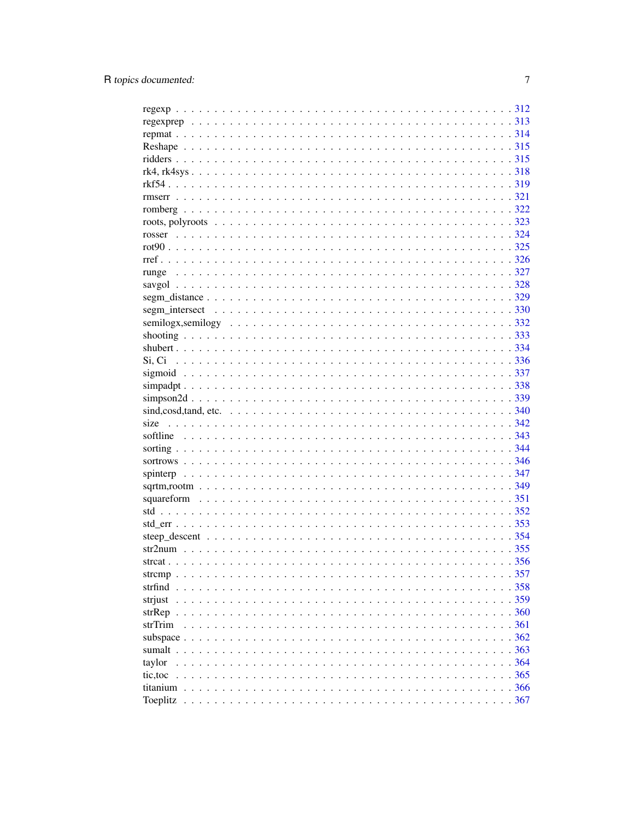| strjust  |  |
|----------|--|
|          |  |
| strTrim  |  |
|          |  |
|          |  |
| taylor   |  |
| tic, toc |  |
|          |  |
| Toeplitz |  |
|          |  |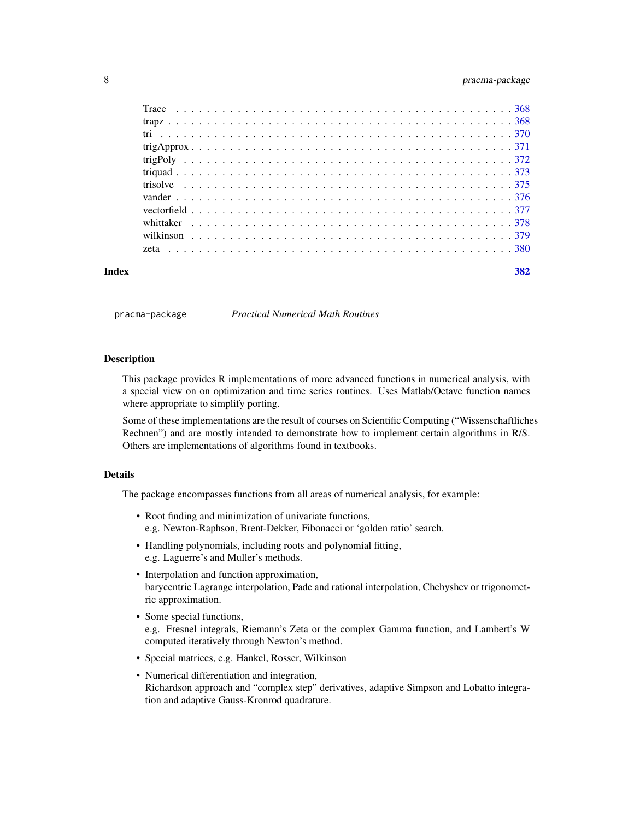#### pracma-package

<span id="page-7-0"></span>

| 382 |
|-----|
|     |

## **Index**

pracma-package

**Practical Numerical Math Routines** 

## **Description**

This package provides R implementations of more advanced functions in numerical analysis, with a special view on on optimization and time series routines. Uses Matlab/Octave function names where appropriate to simplify porting.

Some of these implementations are the result of courses on Scientific Computing ("Wissenschaftliches Rechnen") and are mostly intended to demonstrate how to implement certain algorithms in R/S. Others are implementations of algorithms found in textbooks.

## **Details**

The package encompasses functions from all areas of numerical analysis, for example:

- Root finding and minimization of univariate functions, e.g. Newton-Raphson, Brent-Dekker, Fibonacci or 'golden ratio' search.
- Handling polynomials, including roots and polynomial fitting, e.g. Laguerre's and Muller's methods.
- Interpolation and function approximation, barycentric Lagrange interpolation, Pade and rational interpolation, Chebyshev or trigonometric approximation.
- Some special functions, e.g. Fresnel integrals, Riemann's Zeta or the complex Gamma function, and Lambert's W computed iteratively through Newton's method.
- · Special matrices, e.g. Hankel, Rosser, Wilkinson
- Numerical differentiation and integration, Richardson approach and "complex step" derivatives, adaptive Simpson and Lobatto integration and adaptive Gauss-Kronrod quadrature.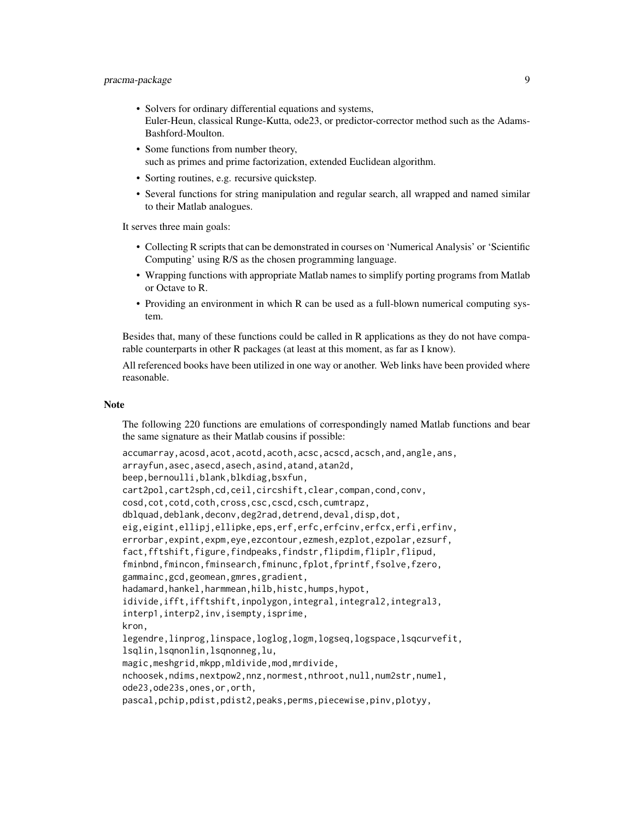## pracma-package 9

- Solvers for ordinary differential equations and systems, Euler-Heun, classical Runge-Kutta, ode23, or predictor-corrector method such as the Adams-Bashford-Moulton.
- Some functions from number theory, such as primes and prime factorization, extended Euclidean algorithm.
- Sorting routines, e.g. recursive quickstep.
- Several functions for string manipulation and regular search, all wrapped and named similar to their Matlab analogues.

It serves three main goals:

- Collecting R scripts that can be demonstrated in courses on 'Numerical Analysis' or 'Scientific Computing' using R/S as the chosen programming language.
- Wrapping functions with appropriate Matlab names to simplify porting programs from Matlab or Octave to R.
- Providing an environment in which R can be used as a full-blown numerical computing system.

Besides that, many of these functions could be called in R applications as they do not have comparable counterparts in other R packages (at least at this moment, as far as I know).

All referenced books have been utilized in one way or another. Web links have been provided where reasonable.

#### **Note**

The following 220 functions are emulations of correspondingly named Matlab functions and bear the same signature as their Matlab cousins if possible:

```
accumarray,acosd,acot,acotd,acoth,acsc,acscd,acsch,and,angle,ans,
arrayfun,asec,asecd,asech,asind,atand,atan2d,
beep,bernoulli,blank,blkdiag,bsxfun,
cart2pol,cart2sph,cd,ceil,circshift,clear,compan,cond,conv,
cosd,cot,cotd,coth,cross,csc,cscd,csch,cumtrapz,
dblquad,deblank,deconv,deg2rad,detrend,deval,disp,dot,
eig,eigint,ellipj,ellipke,eps,erf,erfc,erfcinv,erfcx,erfi,erfinv,
errorbar,expint,expm,eye,ezcontour,ezmesh,ezplot,ezpolar,ezsurf,
fact,fftshift,figure,findpeaks,findstr,flipdim,fliplr,flipud,
fminbnd,fmincon,fminsearch,fminunc,fplot,fprintf,fsolve,fzero,
gammainc,gcd,geomean,gmres,gradient,
hadamard,hankel,harmmean,hilb,histc,humps,hypot,
idivide,ifft,ifftshift,inpolygon,integral,integral2,integral3,
interp1,interp2,inv,isempty,isprime,
kron,
legendre,linprog,linspace,loglog,logm,logseq,logspace,lsqcurvefit,
lsqlin,lsqnonlin,lsqnonneg,lu,
magic,meshgrid,mkpp,mldivide,mod,mrdivide,
nchoosek,ndims,nextpow2,nnz,normest,nthroot,null,num2str,numel,
ode23,ode23s,ones,or,orth,
pascal,pchip,pdist,pdist2,peaks,perms,piecewise,pinv,plotyy,
```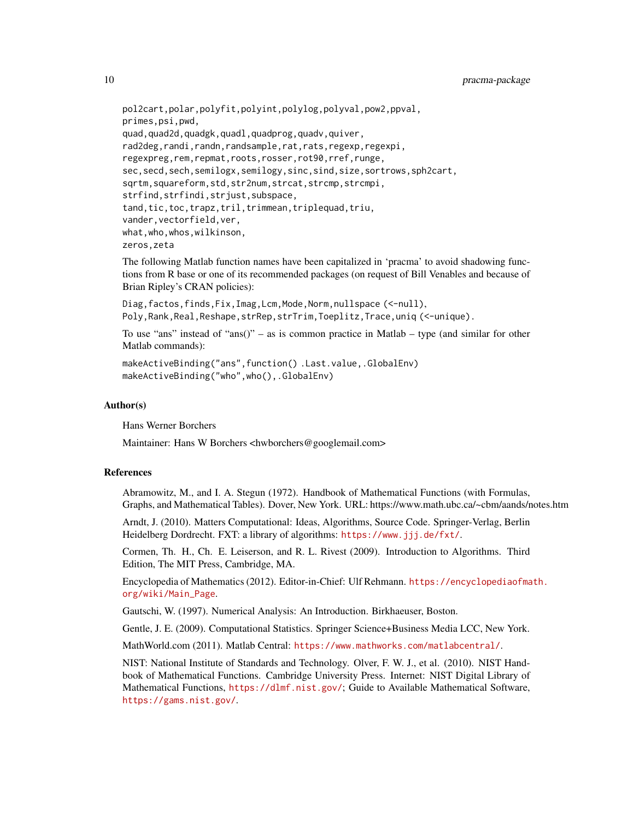```
pol2cart,polar,polyfit,polyint,polylog,polyval,pow2,ppval,
primes,psi,pwd,
quad,quad2d,quadgk,quadl,quadprog,quadv,quiver,
rad2deg,randi,randn,randsample,rat,rats,regexp,regexpi,
regexpreg,rem,repmat,roots,rosser,rot90,rref,runge,
sec, secd, sech, semilogx, semilogy, sinc, sind, size, sortrows, sph2cart,
sqrtm,squareform,std,str2num,strcat,strcmp,strcmpi,
strfind,strfindi,strjust,subspace,
tand,tic,toc,trapz,tril,trimmean,triplequad,triu,
vander,vectorfield,ver,
what,who,whos,wilkinson,
zeros,zeta
```
The following Matlab function names have been capitalized in 'pracma' to avoid shadowing functions from R base or one of its recommended packages (on request of Bill Venables and because of Brian Ripley's CRAN policies):

```
Diag,factos,finds,Fix,Imag,Lcm,Mode,Norm,nullspace (<-null),
Poly,Rank,Real,Reshape,strRep,strTrim,Toeplitz,Trace,uniq (<-unique).
```
To use "ans" instead of "ans()" – as is common practice in Matlab – type (and similar for other Matlab commands):

```
makeActiveBinding("ans",function() .Last.value,.GlobalEnv)
makeActiveBinding("who",who(),.GlobalEnv)
```
#### Author(s)

Hans Werner Borchers

Maintainer: Hans W Borchers <hwborchers@googlemail.com>

#### References

Abramowitz, M., and I. A. Stegun (1972). Handbook of Mathematical Functions (with Formulas, Graphs, and Mathematical Tables). Dover, New York. URL: https://www.math.ubc.ca/~cbm/aands/notes.htm

Arndt, J. (2010). Matters Computational: Ideas, Algorithms, Source Code. Springer-Verlag, Berlin Heidelberg Dordrecht. FXT: a library of algorithms: <https://www.jjj.de/fxt/>.

Cormen, Th. H., Ch. E. Leiserson, and R. L. Rivest (2009). Introduction to Algorithms. Third Edition, The MIT Press, Cambridge, MA.

Encyclopedia of Mathematics (2012). Editor-in-Chief: Ulf Rehmann. [https://encyclopediaofma](https://encyclopediaofmath.org/wiki/Main_Page)th. [org/wiki/Main\\_Page](https://encyclopediaofmath.org/wiki/Main_Page).

Gautschi, W. (1997). Numerical Analysis: An Introduction. Birkhaeuser, Boston.

Gentle, J. E. (2009). Computational Statistics. Springer Science+Business Media LCC, New York.

MathWorld.com (2011). Matlab Central: <https://www.mathworks.com/matlabcentral/>.

NIST: National Institute of Standards and Technology. Olver, F. W. J., et al. (2010). NIST Handbook of Mathematical Functions. Cambridge University Press. Internet: NIST Digital Library of Mathematical Functions, <https://dlmf.nist.gov/>; Guide to Available Mathematical Software, <https://gams.nist.gov/>.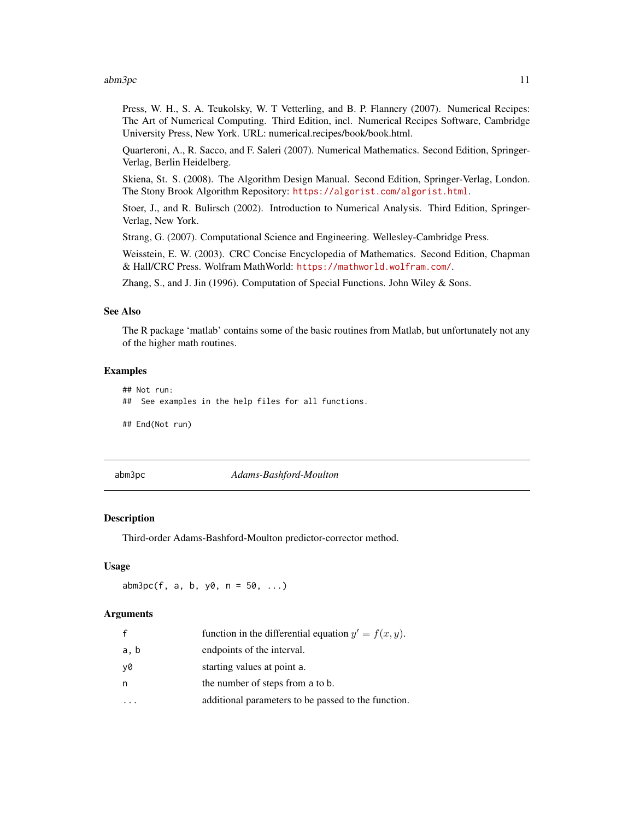#### <span id="page-10-0"></span>abm3pc 11

Press, W. H., S. A. Teukolsky, W. T Vetterling, and B. P. Flannery (2007). Numerical Recipes: The Art of Numerical Computing. Third Edition, incl. Numerical Recipes Software, Cambridge University Press, New York. URL: numerical.recipes/book/book.html.

Quarteroni, A., R. Sacco, and F. Saleri (2007). Numerical Mathematics. Second Edition, Springer-Verlag, Berlin Heidelberg.

Skiena, St. S. (2008). The Algorithm Design Manual. Second Edition, Springer-Verlag, London. The Stony Brook Algorithm Repository: <https://algorist.com/algorist.html>.

Stoer, J., and R. Bulirsch (2002). Introduction to Numerical Analysis. Third Edition, Springer-Verlag, New York.

Strang, G. (2007). Computational Science and Engineering. Wellesley-Cambridge Press.

Weisstein, E. W. (2003). CRC Concise Encyclopedia of Mathematics. Second Edition, Chapman & Hall/CRC Press. Wolfram MathWorld: <https://mathworld.wolfram.com/>.

Zhang, S., and J. Jin (1996). Computation of Special Functions. John Wiley & Sons.

#### See Also

The R package 'matlab' contains some of the basic routines from Matlab, but unfortunately not any of the higher math routines.

#### Examples

```
## Not run:
## See examples in the help files for all functions.
## End(Not run)
```
abm3pc *Adams-Bashford-Moulton*

#### **Description**

Third-order Adams-Bashford-Moulton predictor-corrector method.

#### Usage

 $abm3pc(f, a, b, y0, n = 50, ...)$ 

#### Arguments

|      | function in the differential equation $y' = f(x, y)$ . |
|------|--------------------------------------------------------|
| a, b | endpoints of the interval.                             |
| v0   | starting values at point a.                            |
| n    | the number of steps from a to b.                       |
|      | additional parameters to be passed to the function.    |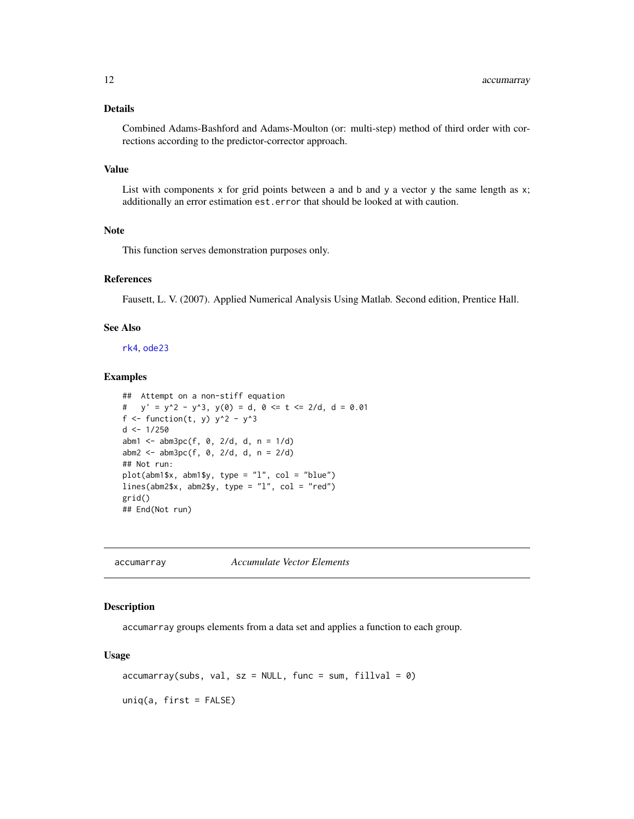## <span id="page-11-0"></span>Details

Combined Adams-Bashford and Adams-Moulton (or: multi-step) method of third order with corrections according to the predictor-corrector approach.

## Value

List with components  $x$  for grid points between a and b and  $y$  a vector  $y$  the same length as  $x$ ; additionally an error estimation est.error that should be looked at with caution.

#### Note

This function serves demonstration purposes only.

## References

Fausett, L. V. (2007). Applied Numerical Analysis Using Matlab. Second edition, Prentice Hall.

#### See Also

[rk4](#page-317-1), [ode23](#page-246-1)

#### Examples

```
## Attempt on a non-stiff equation
# y' = y^2 - y^3, y(\emptyset) = d, \emptyset \leq t \leq 2/d, d = \emptyset. \emptyset1
f <- function(t, y) y^2 - y^3d < -1/250abm1 <- abm3pc(f, 0, 2/d, d, n = 1/d)
abm2 <- abm3pc(f, 0, 2/d, d, n = 2/d)## Not run:
plot(abm1$x, abm1$y, type = "l", col = "blue")
lines(abm2$x, abm2$y, type = "l", col = "red")grid()
## End(Not run)
```
accumarray *Accumulate Vector Elements*

#### Description

accumarray groups elements from a data set and applies a function to each group.

#### Usage

```
accuracy(subs, val, sz = NULL, func = sum, fillval = 0)uniq(a, first = FALSE)
```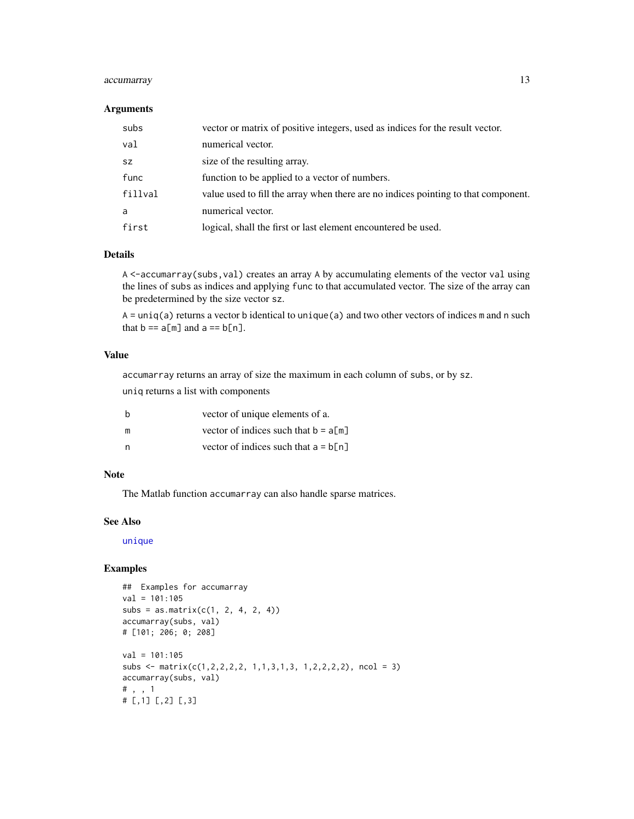## accumarray 13

#### Arguments

| subs    | vector or matrix of positive integers, used as indices for the result vector.      |
|---------|------------------------------------------------------------------------------------|
| val     | numerical vector.                                                                  |
| SZ.     | size of the resulting array.                                                       |
| func    | function to be applied to a vector of numbers.                                     |
| fillval | value used to fill the array when there are no indices pointing to that component. |
| a       | numerical vector.                                                                  |
| first   | logical, shall the first or last element encountered be used.                      |

## Details

A <-accumarray(subs,val) creates an array A by accumulating elements of the vector val using the lines of subs as indices and applying func to that accumulated vector. The size of the array can be predetermined by the size vector sz.

 $A = \text{uniq}(a)$  returns a vector b identical to unique(a) and two other vectors of indices m and n such that  $b == a[m]$  and  $a == b[n]$ .

#### Value

accumarray returns an array of size the maximum in each column of subs, or by sz.

uniq returns a list with components

| b | vector of unique elements of a.        |
|---|----------------------------------------|
| m | vector of indices such that $b = a[m]$ |
| n | vector of indices such that $a = b[n]$ |

#### Note

The Matlab function accumarray can also handle sparse matrices.

#### See Also

[unique](#page-0-0)

```
## Examples for accumarray
val = 101:105
subs = as_matrix(c(1, 2, 4, 2, 4))accumarray(subs, val)
# [101; 206; 0; 208]
val = 101:105
subs \leq matrix(c(1,2,2,2,2, 1,1,3,1,3, 1,2,2,2,2), ncol = 3)
accumarray(subs, val)
# , , 1
# [,1] [,2] [,3]
```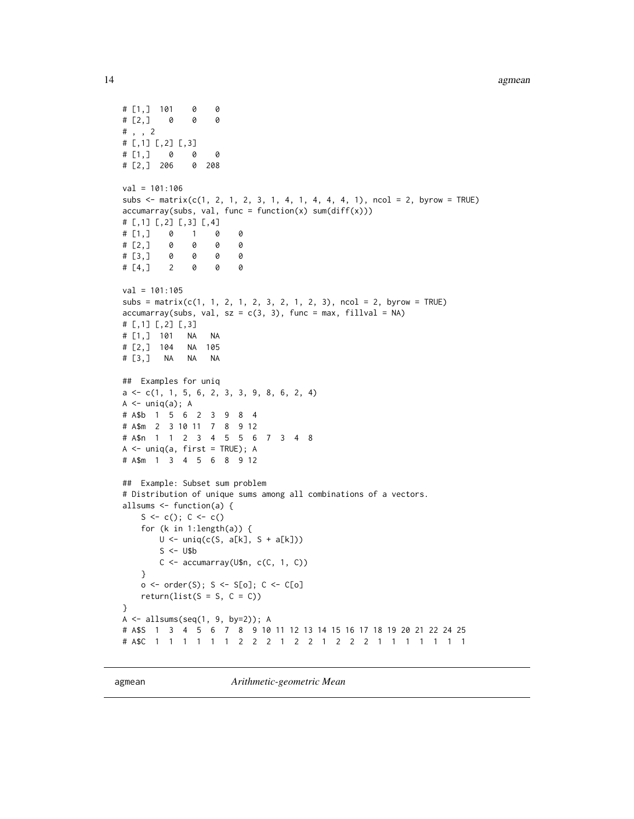```
# [1,] 101 0 0
# [2,] 0 0 0
# , , 2
# [,1] [,2] [,3]
# [1,] 0 0 0
# [2,] 206 0 208
val = 101:106subs \le matrix(c(1, 2, 1, 2, 3, 1, 4, 1, 4, 4, 4, 1), ncol = 2, byrow = TRUE)
accuracy(subs, val, func = function(x) sum(diff(x)))# [,1] [,2] [,3] [,4]
# [1,] 0 1 0 0
# [2,] 0 0 0 0
# [3,] 0 0 0 0
# [4,] 2 0 0 0
val = 101:105subs = matrix(c(1, 1, 2, 1, 2, 3, 2, 1, 2, 3), ncol = 2, byrow = TRUE)accuracy(subs, val, sz = c(3, 3), func = max, fillval = NA)# [,1] [,2] [,3]
# [1,] 101 NA NA
# [2,] 104 NA 105
# [3,] NA NA NA
## Examples for uniq
a <- c(1, 1, 5, 6, 2, 3, 3, 9, 8, 6, 2, 4)
A \leftarrow \text{uniq}(a); A# A$b 1 5 6 2 3 9 8 4
# A$m 2 3 10 11 7 8 9 12
# A$n 1 1 2 3 4 5 5 6 7 3 4 8
A <- uniq(a, first = TRUE); A
# A$m 1 3 4 5 6 8 9 12
## Example: Subset sum problem
# Distribution of unique sums among all combinations of a vectors.
allsums <- function(a) {
   S \leftarrow c(); C \leftarrow c()for (k in 1:length(a)) {
       U \leftarrow \text{uniq}(c(S, a[k], S + a[k]))S \le - U$b
       C \leftarrow \text{accuracy}(U\n, c(C, 1, C))}
   o <- order(S); S <- S[o]; C <- C[o]
   return(list(S = S, C = C))}
A \leftarrow allsum(seq(1, 9, by=2)); A# A$S 1 3 4 5 6 7 8 9 10 11 12 13 14 15 16 17 18 19 20 21 22 24 25
# A$C 1 1 1 1 1 1 2 2 2 1 2 2 1 2 2 2 1 1 1 1 1 1 1
```
agmean *Arithmetic-geometric Mean*

<span id="page-13-0"></span>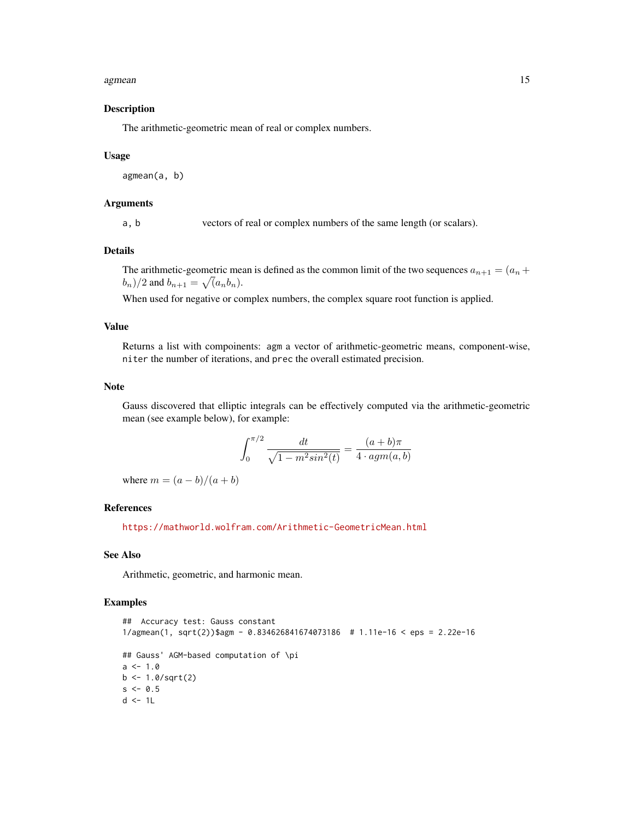#### agmean and the contract of the contract of the contract of the contract of the contract of the contract of the contract of the contract of the contract of the contract of the contract of the contract of the contract of the

## Description

The arithmetic-geometric mean of real or complex numbers.

#### Usage

agmean(a, b)

## Arguments

a, b vectors of real or complex numbers of the same length (or scalars).

## Details

The arithmetic-geometric mean is defined as the common limit of the two sequences  $a_{n+1} = (a_n + a_n)$  $(b_n)/2$  and  $b_{n+1} = \sqrt{a_n b_n}$ .

When used for negative or complex numbers, the complex square root function is applied.

#### Value

Returns a list with compoinents: agm a vector of arithmetic-geometric means, component-wise, niter the number of iterations, and prec the overall estimated precision.

#### Note

Gauss discovered that elliptic integrals can be effectively computed via the arithmetic-geometric mean (see example below), for example:

$$
\int_0^{\pi/2} \frac{dt}{\sqrt{1 - m^2 \sin^2(t)}} = \frac{(a+b)\pi}{4 \cdot agm(a,b)}
$$

where  $m = (a - b)/(a + b)$ 

#### References

<https://mathworld.wolfram.com/Arithmetic-GeometricMean.html>

## See Also

Arithmetic, geometric, and harmonic mean.

```
## Accuracy test: Gauss constant
1/agmean(1, sqrt(2))$agm - 0.834626841674073186 # 1.11e-16 < eps = 2.22e-16
## Gauss' AGM-based computation of \pi
a \le -1.0b \leq 1.0/sqrt(2)s < -0.5d <- 1L
```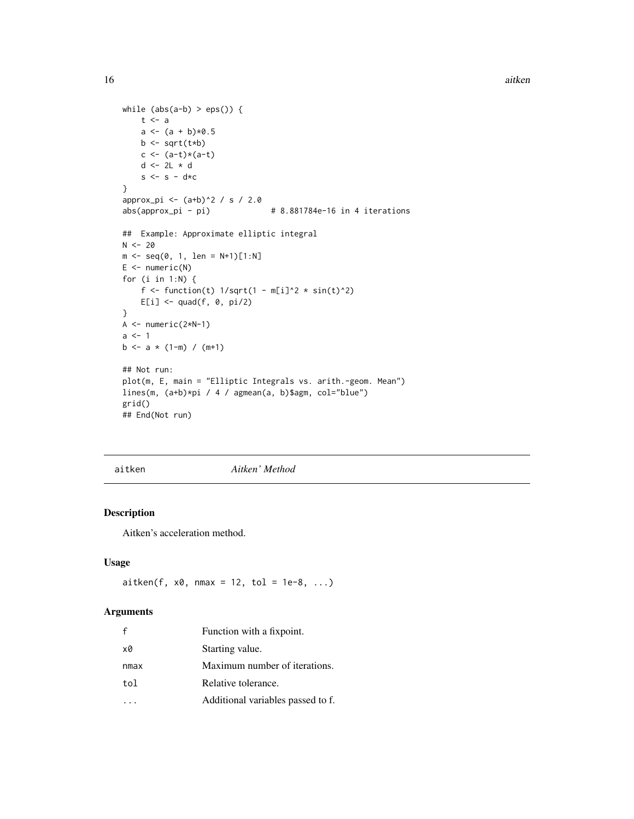```
16 aitken and the state of the state of the state and the state of the state of the state and the state of the state of the state of the state of the state of the state of the state of the state of the state of the state o
```

```
while (abs(a-b) > eps()) {
    t <- a
    a \leftarrow (a + b) * 0.5b \leftarrow sqrt(t * b)c <- (a-t)*(a-t)
    d <- 2L * d
    s \leq s - s - d \star c}
approx\_pi \leftarrow (a+b)^2 / s / s / 2.0abs(approx_p i - pi) # 8.881784e-16 in 4 iterations
## Example: Approximate elliptic integral
N < -20m \leq - \text{seq}(0, 1, \text{ len} = N+1)[1:N]E \leftarrow numeric(N)
for (i in 1:N) {
    f <- function(t) 1/\sqrt{(1 - m[i]^2 + \sin(t)^2)}E[i] <- quad(f, 0, pi/2)
}
A \leftarrow numeric(2*N-1)
a \leq 1b \le -a \times (1-m) / (m+1)## Not run:
plot(m, E, main = "Elliptic Integrals vs. arith.-geom. Mean")
lines(m, (a+b)*pi / 4 / agmean(a, b)$agm, col="blue")
grid()
## End(Not run)
```
aitken *Aitken' Method*

## Description

Aitken's acceleration method.

## Usage

 $a$ itken(f, x0, nmax = 12, tol = 1e-8, ...)

#### Arguments

| £    | Function with a fixpoint.         |
|------|-----------------------------------|
| x0   | Starting value.                   |
| nmax | Maximum number of iterations.     |
| tol  | Relative tolerance.               |
|      | Additional variables passed to f. |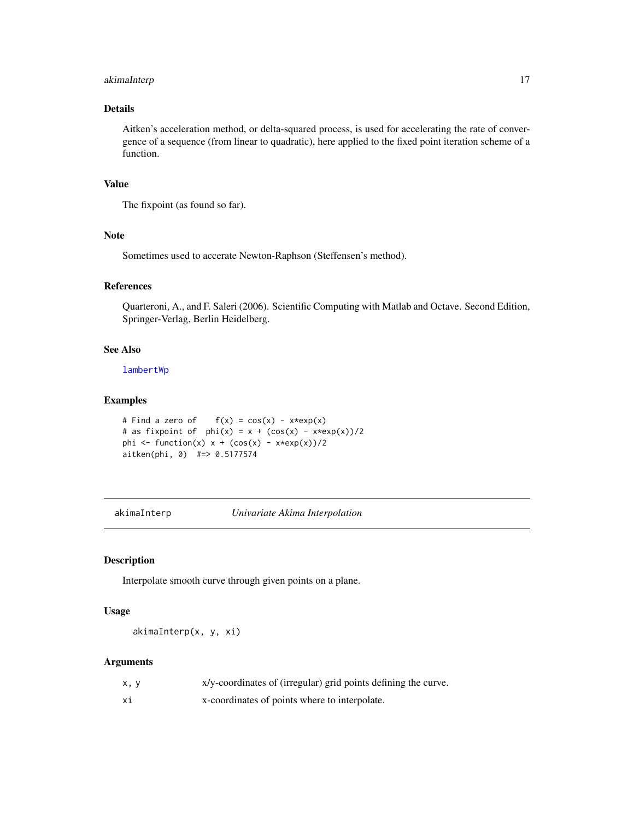## <span id="page-16-0"></span>akimaInterp 17

## Details

Aitken's acceleration method, or delta-squared process, is used for accelerating the rate of convergence of a sequence (from linear to quadratic), here applied to the fixed point iteration scheme of a function.

## Value

The fixpoint (as found so far).

## Note

Sometimes used to accerate Newton-Raphson (Steffensen's method).

#### References

Quarteroni, A., and F. Saleri (2006). Scientific Computing with Matlab and Octave. Second Edition, Springer-Verlag, Berlin Heidelberg.

#### See Also

[lambertWp](#page-192-1)

#### Examples

```
# Find a zero of f(x) = cos(x) - x*exp(x)# as fixpoint of phi(x) = x + (cos(x) - x*exp(x))/2phi <- function(x) x + (\cos(x) - x \cdot \cos(x))/2aitken(phi, 0) #=> 0.5177574
```
akimaInterp *Univariate Akima Interpolation*

#### Description

Interpolate smooth curve through given points on a plane.

#### Usage

akimaInterp(x, y, xi)

#### Arguments

| x, y | x/y-coordinates of (irregular) grid points defining the curve. |
|------|----------------------------------------------------------------|
| Хĺ   | x-coordinates of points where to interpolate.                  |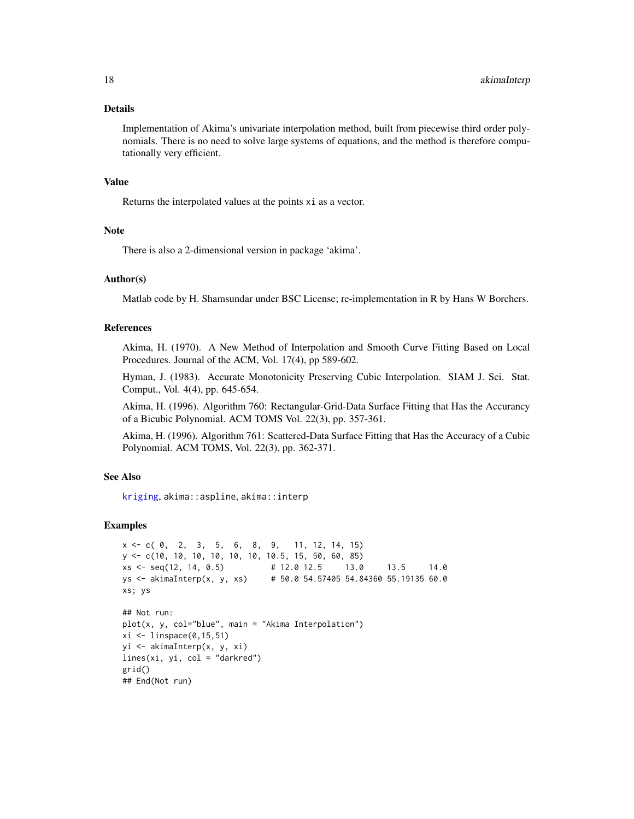#### Details

Implementation of Akima's univariate interpolation method, built from piecewise third order polynomials. There is no need to solve large systems of equations, and the method is therefore computationally very efficient.

## Value

Returns the interpolated values at the points xi as a vector.

#### Note

There is also a 2-dimensional version in package 'akima'.

## Author(s)

Matlab code by H. Shamsundar under BSC License; re-implementation in R by Hans W Borchers.

#### References

Akima, H. (1970). A New Method of Interpolation and Smooth Curve Fitting Based on Local Procedures. Journal of the ACM, Vol. 17(4), pp 589-602.

Hyman, J. (1983). Accurate Monotonicity Preserving Cubic Interpolation. SIAM J. Sci. Stat. Comput., Vol. 4(4), pp. 645-654.

Akima, H. (1996). Algorithm 760: Rectangular-Grid-Data Surface Fitting that Has the Accurancy of a Bicubic Polynomial. ACM TOMS Vol. 22(3), pp. 357-361.

Akima, H. (1996). Algorithm 761: Scattered-Data Surface Fitting that Has the Accuracy of a Cubic Polynomial. ACM TOMS, Vol. 22(3), pp. 362-371.

## See Also

[kriging](#page-187-1), akima::aspline, akima::interp

```
x \leq -c(0, 2, 3, 5, 6, 8, 9, 11, 12, 14, 15)y <- c(10, 10, 10, 10, 10, 10, 10.5, 15, 50, 60, 85)
xs \leq -seq(12, 14, 0.5) # 12.0 12.5 13.0 13.5 14.0
ys <- akimaInterp(x, y, xs) # 50.0 54.57405 54.84360 55.19135 60.0
xs; ys
## Not run:
plot(x, y, col="blue", main = "Akima Interpolation")xi \leftarrow linspace(0, 15, 51)yi <- akimaInterp(x, y, xi)
lines(xi, yi, col = "darkred")grid()
## End(Not run)
```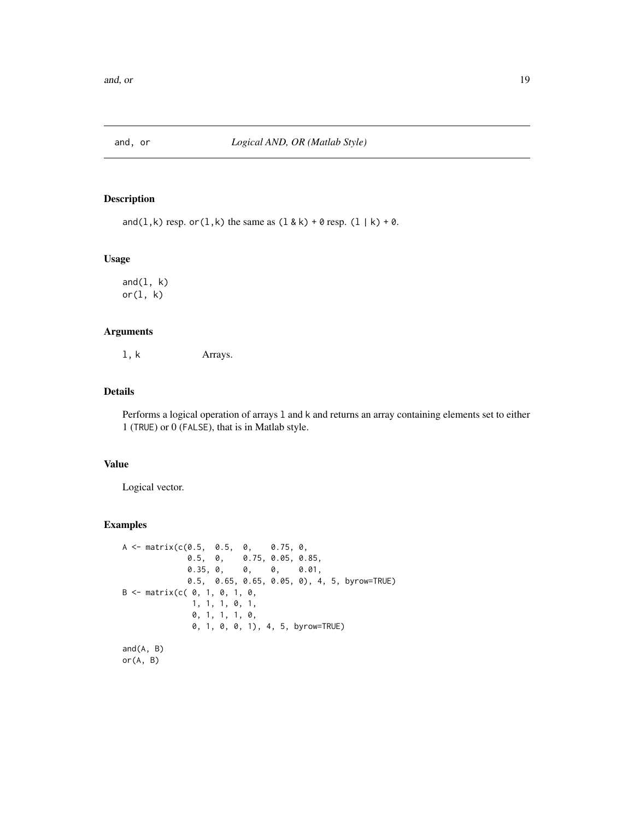<span id="page-18-0"></span>

## Description

and(l,k) resp. or(l,k) the same as  $(1 \& k) + 0$  resp.  $(1 | k) + 0$ .

#### Usage

and $(1, k)$ or(l, k)

## Arguments

l, k Arrays.

## Details

Performs a logical operation of arrays l and k and returns an array containing elements set to either 1 (TRUE) or 0 (FALSE), that is in Matlab style.

## Value

Logical vector.

```
A <- matrix(c(0.5, 0.5, 0, 0.75, 0,
              0.5, 0, 0.75, 0.05, 0.85,
                       0, 0, 0.01,0.5, 0.65, 0.65, 0.05, 0), 4, 5, byrow=TRUE)
B \le - matrix(c( \theta, 1, \theta, 1, \theta,
               1, 1, 1, 0, 1,
               0, 1, 1, 1, 0,
               0, 1, 0, 0, 1), 4, 5, byrow=TRUE)
and(A, B)
or(A, B)
```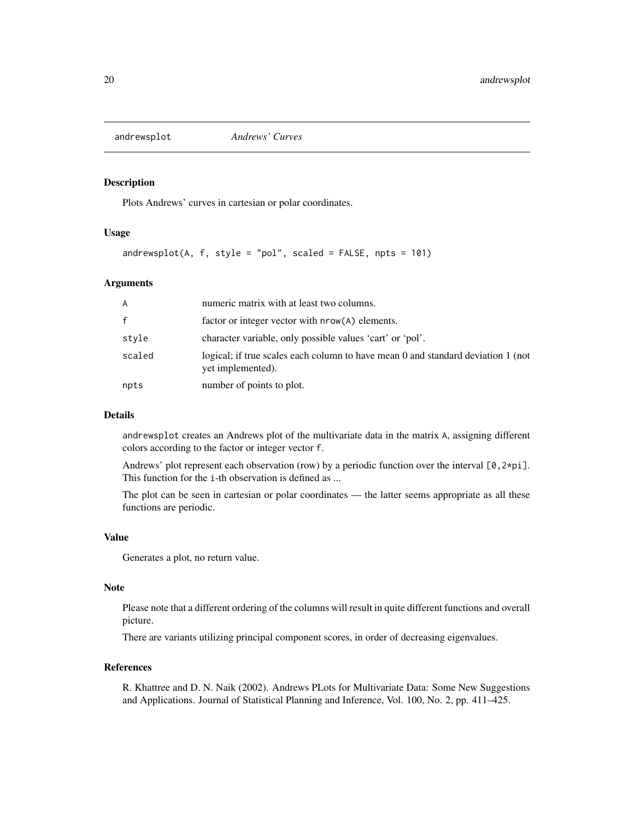<span id="page-19-0"></span>

#### Description

Plots Andrews' curves in cartesian or polar coordinates.

## Usage

andrewsplot(A,  $f$ , style = "pol", scaled =  $FALSE$ , npts = 101)

#### Arguments

| A            | numeric matrix with at least two columns.                                                             |
|--------------|-------------------------------------------------------------------------------------------------------|
| $\mathbf{f}$ | factor or integer vector with $nrow(A)$ elements.                                                     |
| style        | character variable, only possible values 'cart' or 'pol'.                                             |
| scaled       | logical; if true scales each column to have mean 0 and standard deviation 1 (not<br>yet implemented). |
| npts         | number of points to plot.                                                                             |

## Details

andrewsplot creates an Andrews plot of the multivariate data in the matrix A, assigning different colors according to the factor or integer vector f.

Andrews' plot represent each observation (row) by a periodic function over the interval  $[\varnothing, 2 \star \text{pi}]$ . This function for the i-th observation is defined as ...

The plot can be seen in cartesian or polar coordinates — the latter seems appropriate as all these functions are periodic.

#### Value

Generates a plot, no return value.

## Note

Please note that a different ordering of the columns will result in quite different functions and overall picture.

There are variants utilizing principal component scores, in order of decreasing eigenvalues.

## References

R. Khattree and D. N. Naik (2002). Andrews PLots for Multivariate Data: Some New Suggestions and Applications. Journal of Statistical Planning and Inference, Vol. 100, No. 2, pp. 411–425.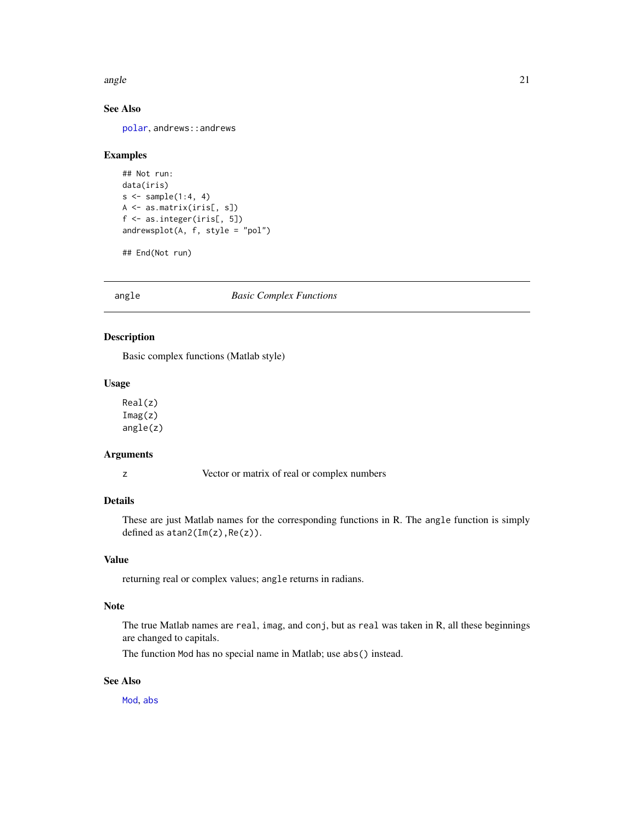<span id="page-20-0"></span>angle 21 and 22 and 22 and 22 and 22 and 22 and 22 and 22 and 22 and 22 and 22 and 22 and 22 and 22 and 22 and 22 and 22 and 22 and 22 and 22 and 22 and 22 and 22 and 22 and 22 and 22 and 22 and 22 and 22 and 22 and 22 and

## See Also

[polar](#page-261-1), andrews::andrews

#### Examples

```
## Not run:
data(iris)
s \leftarrow sample(1:4, 4)A <- as.matrix(iris[, s])
f <- as.integer(iris[, 5])
andrewsplot(A, f, style = "pol")
```
## End(Not run)

angle *Basic Complex Functions*

## Description

Basic complex functions (Matlab style)

#### Usage

Real(z) Imag(z) angle(z)

## Arguments

z Vector or matrix of real or complex numbers

## Details

These are just Matlab names for the corresponding functions in R. The angle function is simply defined as atan2(Im(z),Re(z)).

#### Value

returning real or complex values; angle returns in radians.

#### Note

The true Matlab names are real, imag, and conj, but as real was taken in R, all these beginnings are changed to capitals.

The function Mod has no special name in Matlab; use abs() instead.

## See Also

[Mod](#page-0-0), [abs](#page-0-0)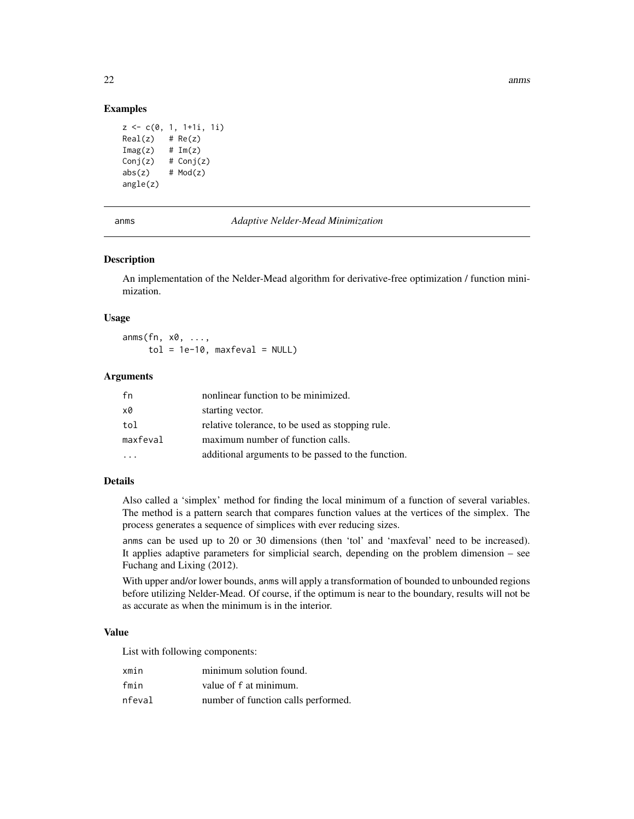#### Examples

```
z \leq c(0, 1, 1+1i, 1i)Real(z) # Re(z)Image(z) # Im(z)Conj(z) # Conj(z)
abs(z) # Mod(z)
angle(z)
```
anms *Adaptive Nelder-Mead Minimization*

#### Description

An implementation of the Nelder-Mead algorithm for derivative-free optimization / function minimization.

#### Usage

anms(fn, x0, ...,  $tol = 1e-10$ , maxfeval = NULL)

## Arguments

| fn       | nonlinear function to be minimized.                |
|----------|----------------------------------------------------|
| x0       | starting vector.                                   |
| tol      | relative tolerance, to be used as stopping rule.   |
| maxfeval | maximum number of function calls.                  |
|          | additional arguments to be passed to the function. |

#### Details

Also called a 'simplex' method for finding the local minimum of a function of several variables. The method is a pattern search that compares function values at the vertices of the simplex. The process generates a sequence of simplices with ever reducing sizes.

anms can be used up to 20 or 30 dimensions (then 'tol' and 'maxfeval' need to be increased). It applies adaptive parameters for simplicial search, depending on the problem dimension – see Fuchang and Lixing (2012).

With upper and/or lower bounds, anms will apply a transformation of bounded to unbounded regions before utilizing Nelder-Mead. Of course, if the optimum is near to the boundary, results will not be as accurate as when the minimum is in the interior.

#### Value

List with following components:

| xmin   | minimum solution found.             |
|--------|-------------------------------------|
| fmin   | value of f at minimum.              |
| nfeval | number of function calls performed. |

<span id="page-21-0"></span>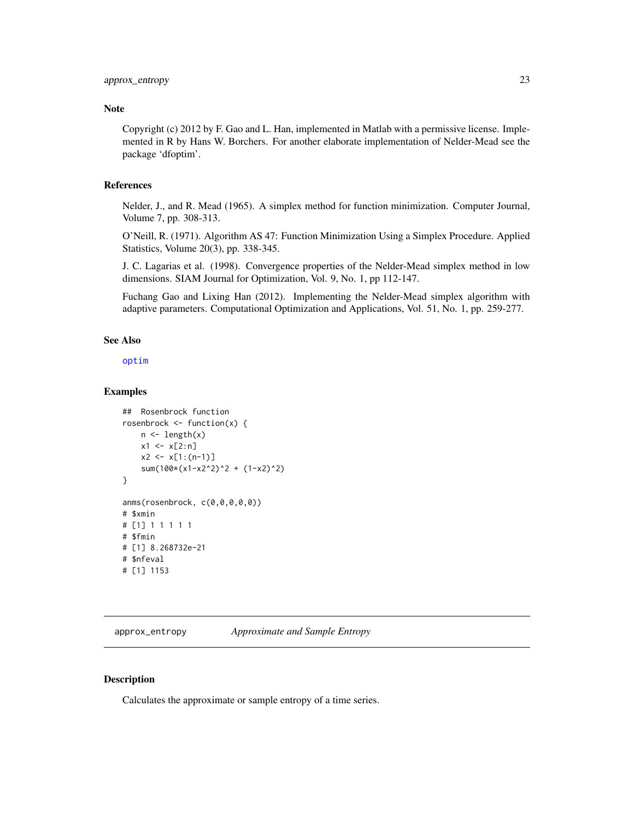## <span id="page-22-0"></span>Note

Copyright (c) 2012 by F. Gao and L. Han, implemented in Matlab with a permissive license. Implemented in R by Hans W. Borchers. For another elaborate implementation of Nelder-Mead see the package 'dfoptim'.

#### References

Nelder, J., and R. Mead (1965). A simplex method for function minimization. Computer Journal, Volume 7, pp. 308-313.

O'Neill, R. (1971). Algorithm AS 47: Function Minimization Using a Simplex Procedure. Applied Statistics, Volume 20(3), pp. 338-345.

J. C. Lagarias et al. (1998). Convergence properties of the Nelder-Mead simplex method in low dimensions. SIAM Journal for Optimization, Vol. 9, No. 1, pp 112-147.

Fuchang Gao and Lixing Han (2012). Implementing the Nelder-Mead simplex algorithm with adaptive parameters. Computational Optimization and Applications, Vol. 51, No. 1, pp. 259-277.

#### See Also

[optim](#page-0-0)

#### Examples

```
## Rosenbrock function
rosenbrock \leq function(x) {
    n \leftarrow length(x)x1 \leftarrow x[2:n]x2 \le x[1:(n-1)]sum(100*(x1-x2^2)^2 + (1-x2)^2)
}
anms(rosenbrock, c(0,0,0,0,0))
# $xmin
# [1] 1 1 1 1 1
# $fmin
# [1] 8.268732e-21
# $nfeval
# [1] 1153
```
approx\_entropy *Approximate and Sample Entropy*

#### Description

Calculates the approximate or sample entropy of a time series.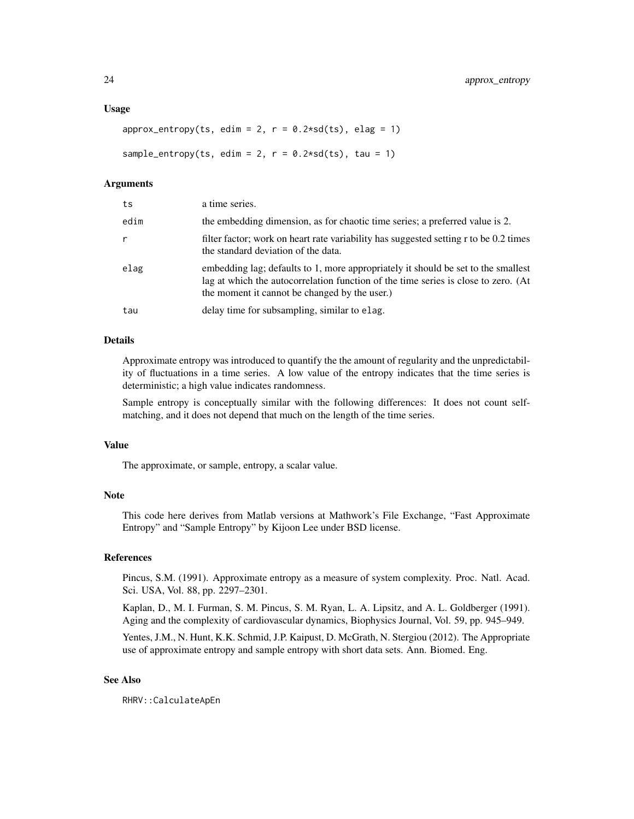#### Usage

```
approx\_entropy(ts, edim = 2, r = 0.2*sd(ts), elag = 1)sample_entropy(ts, edim = 2, r = 0.2 * sd(ts), tau = 1)
```
#### Arguments

| ts   | a time series.                                                                                                                                                                                                           |
|------|--------------------------------------------------------------------------------------------------------------------------------------------------------------------------------------------------------------------------|
| edim | the embedding dimension, as for chaotic time series; a preferred value is 2.                                                                                                                                             |
| r    | filter factor; work on heart rate variability has suggested setting r to be 0.2 times<br>the standard deviation of the data.                                                                                             |
| elag | embedding lag; defaults to 1, more appropriately it should be set to the smallest<br>lag at which the autocorrelation function of the time series is close to zero. (At<br>the moment it cannot be changed by the user.) |
| tau  | delay time for subsampling, similar to elag.                                                                                                                                                                             |

## Details

Approximate entropy was introduced to quantify the the amount of regularity and the unpredictability of fluctuations in a time series. A low value of the entropy indicates that the time series is deterministic; a high value indicates randomness.

Sample entropy is conceptually similar with the following differences: It does not count selfmatching, and it does not depend that much on the length of the time series.

#### Value

The approximate, or sample, entropy, a scalar value.

## Note

This code here derives from Matlab versions at Mathwork's File Exchange, "Fast Approximate Entropy" and "Sample Entropy" by Kijoon Lee under BSD license.

## References

Pincus, S.M. (1991). Approximate entropy as a measure of system complexity. Proc. Natl. Acad. Sci. USA, Vol. 88, pp. 2297–2301.

Kaplan, D., M. I. Furman, S. M. Pincus, S. M. Ryan, L. A. Lipsitz, and A. L. Goldberger (1991). Aging and the complexity of cardiovascular dynamics, Biophysics Journal, Vol. 59, pp. 945–949.

Yentes, J.M., N. Hunt, K.K. Schmid, J.P. Kaipust, D. McGrath, N. Stergiou (2012). The Appropriate use of approximate entropy and sample entropy with short data sets. Ann. Biomed. Eng.

## See Also

RHRV::CalculateApEn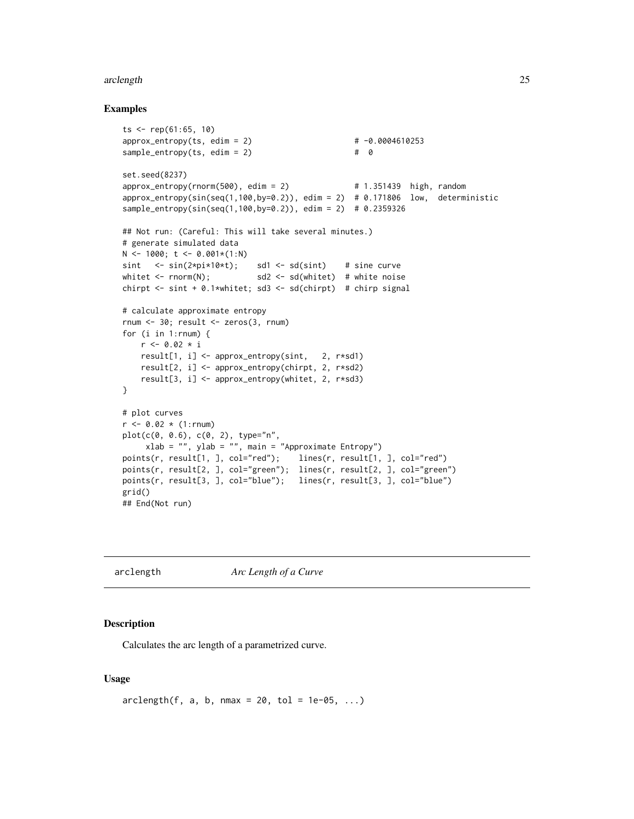#### <span id="page-24-0"></span>arclength 25

#### Examples

```
ts <- rep(61:65, 10)
approx\_entropy(ts, edim = 2) # -0.0004610253sample\_entropy(ts, edim = 2) # 0
set.seed(8237)
approx\_entropy(rnorm(500), edim = 2) # 1.351439 high, random
approx_entropy(sin(seq(1,100,by=0.2)), edim = 2) # 0.171806 low, deterministic
sample_entropy(sin(seq(1,100,by=0.2)), edim = 2) # 0.2359326
## Not run: (Careful: This will take several minutes.)
# generate simulated data
N < -1000; t < -0.001*(1:N)sint \leftarrow \sin(2*pi*10*t); \quad sd1 \leftarrow sd(sint) \quad # \text{ sine curve}whitet \le rnorm(N); sd2 \le sd(whitet) # white noise
chirpt <- sint + 0.1*whitet; sd3 <- sd(chirpt) # chirp signal
# calculate approximate entropy
rnum <- 30; result <- zeros(3, rnum)
for (i in 1:rnum) {
   r < -0.02 * iresult[1, i] <- approx_entropy(sint, 2, r*sd1)
   result[2, i] <- approx_entropy(chirpt, 2, r*sd2)
   result[3, i] <- approx_entropy(whitet, 2, r*sd3)
}
# plot curves
r <- 0.02 * (1:rnum)
plot(c(0, 0.6), c(0, 2), type="n",
     xlab = "", ylab = "", main = "Approximate Entropy")
points(r, result[1, ], col="red"); lines(r, result[1, ], col="red")
points(r, result[2, ], col="green"); lines(r, result[2, ], col="green")
points(r, result[3, ], col="blue"); lines(r, result[3, ], col="blue")
grid()
## End(Not run)
```
arclength *Arc Length of a Curve*

#### Description

Calculates the arc length of a parametrized curve.

#### Usage

```
arclength(f, a, b, nmax = 20, tol = 1e-05, ...)
```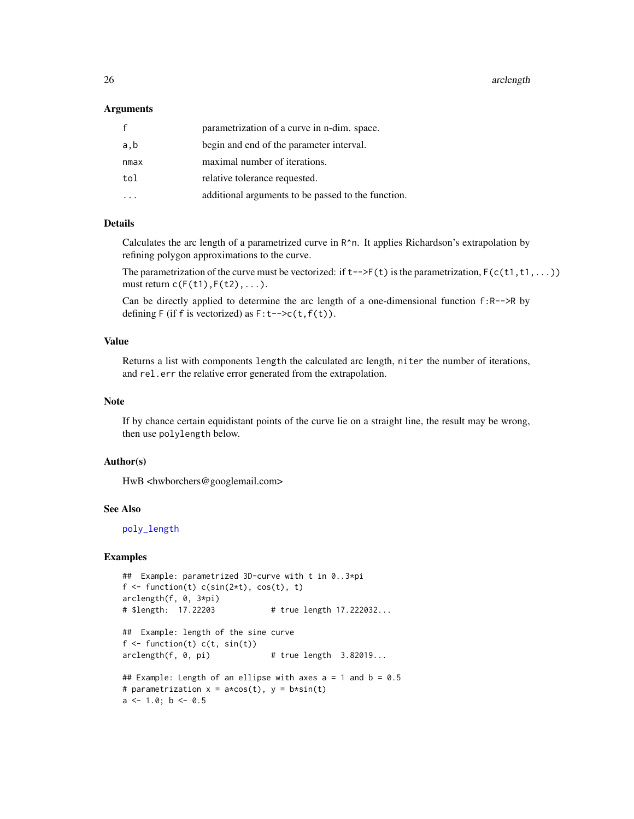#### 26 arclength and the contract of the contract of the contract of the contract of the contract of the contract of the contract of the contract of the contract of the contract of the contract of the contract of the contract

#### Arguments

| f    | parametrization of a curve in n-dim. space.        |
|------|----------------------------------------------------|
| a,b  | begin and end of the parameter interval.           |
| nmax | maximal number of iterations.                      |
| tol  | relative tolerance requested.                      |
|      | additional arguments to be passed to the function. |

#### Details

Calculates the arc length of a parametrized curve in R^n. It applies Richardson's extrapolation by refining polygon approximations to the curve.

The parametrization of the curve must be vectorized: if  $t$ ->F( $t$ ) is the parametrization, F( $c(t1, t1, ...)$ ) must return  $c(F(t1),F(t2),...).$ 

Can be directly applied to determine the arc length of a one-dimensional function f:R-->R by defining  $F$  (if f is vectorized) as  $F: t--\geq c(t, f(t))$ .

## Value

Returns a list with components length the calculated arc length, niter the number of iterations, and rel.err the relative error generated from the extrapolation.

#### Note

If by chance certain equidistant points of the curve lie on a straight line, the result may be wrong, then use polylength below.

#### Author(s)

HwB <hwborchers@googlemail.com>

## See Also

[poly\\_length](#page-266-1)

```
## Example: parametrized 3D-curve with t in 0..3*pi
f \leftarrow function(t) c(sin(2*t), cos(t), t)arclength(f, 0, 3*pi)
# $length: 17.22203 # true length 17.222032...
## Example: length of the sine curve
f \leftarrow function(t) c(t, sin(t))arclength(f, 0, pi) # true length 3.82019...## Example: Length of an ellipse with axes a = 1 and b = 0.5
# parametrization x = a \star cos(t), y = b \star sin(t)a \le -1.0; b \le -0.5
```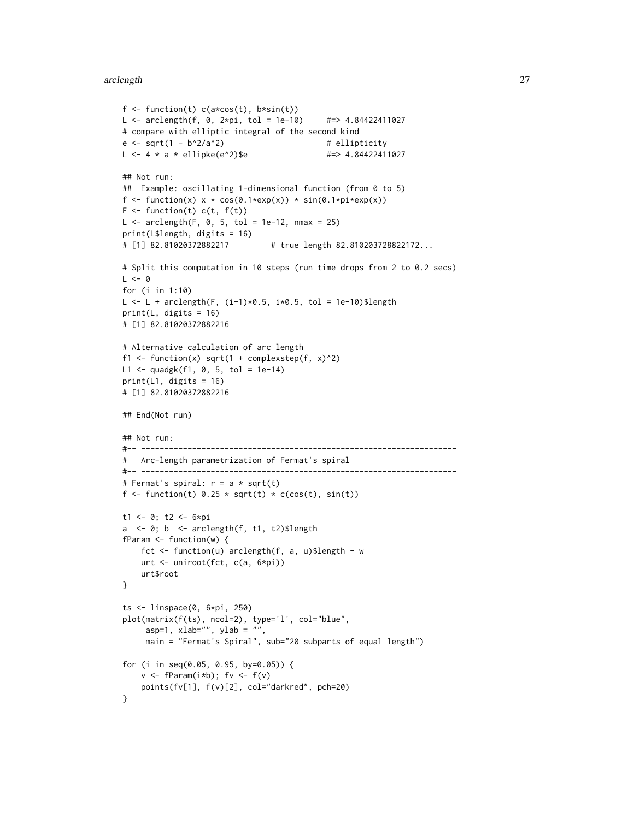#### arclength 27

```
f \leftarrow function(t) c(a \star cos(t), b \star sin(t))L <- arclength(f, 0, 2*pi, tol = 1e-10) #=> 4.84422411027
# compare with elliptic integral of the second kind
e \leftarrow sqrt(1 - b^2/a^2) # ellipticity
L \le -4 \times a \times ellipke(e^2)$e #=> 4.84422411027
## Not run:
## Example: oscillating 1-dimensional function (from 0 to 5)
f \le function(x) x \star cos(0.1\starexp(x)) \star sin(0.1\starpi\starexp(x))
F \leftarrow function(t) c(t, f(t))L \le - arclength(F, 0, 5, tol = 1e-12, nmax = 25)
print(L$length, digits = 16)
# [1] 82.81020372882217 # true length 82.810203728822172...
# Split this computation in 10 steps (run time drops from 2 to 0.2 secs)
L < - \thetafor (i in 1:10)
L <- L + arclength(F, (i-1)*0.5, i*0.5, tol = 1e-10)$length
print(L, digits = 16)
# [1] 82.81020372882216
# Alternative calculation of arc length
f1 <- function(x) sqrt(1 + complexstep(f, x)^2)
L1 <- quadgk(f1, 0, 5, tol = 1e-14)
print(L1, digits = 16)
# [1] 82.81020372882216
## End(Not run)
## Not run:
#-- --------------------------------------------------------------------
# Arc-length parametrization of Fermat's spiral
#-- --------------------------------------------------------------------
# Fermat's spiral: r = a * sqrt(t)f <- function(t) 0.25 * sqrt(t) * c(cos(t), sin(t))t1 <- 0; t2 <- 6*pi
a \leq \theta; b \leq arclength(f, t1, t2)$length
fParam <- function(w) {
    fct <- function(u) arclength(f, a, u)$length - w
    urt <- uniroot(fct, c(a, 6*pi))
    urt$root
}
ts \leftarrow linspace(0, 6*pi, 250)
plot(matrix(f(ts), ncol=2), type='l', col="blue",
     asp=1, xlab="", ylab = "",
     main = "Fermat's Spiral", sub="20 subparts of equal length")
for (i in seq(0.05, 0.95, by=0.05)) {
    v \leq fParam(i * b); fv \leq f(v)points(fv[1], f(v)[2], col="darkred", pch=20)
}
```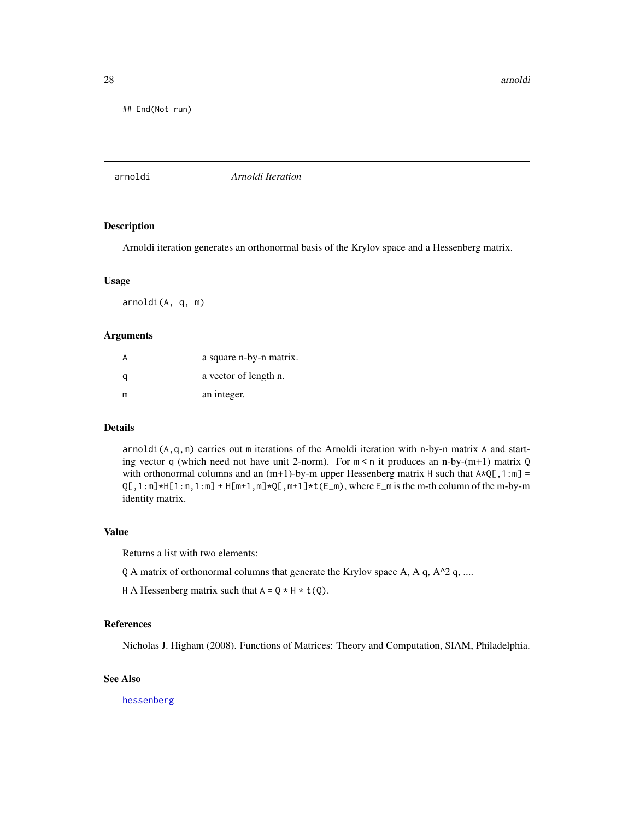<span id="page-27-0"></span>28 arnoldi

## End(Not run)

arnoldi *Arnoldi Iteration*

## Description

Arnoldi iteration generates an orthonormal basis of the Krylov space and a Hessenberg matrix.

#### Usage

arnoldi(A, q, m)

## Arguments

| A | a square n-by-n matrix. |
|---|-------------------------|
| a | a vector of length n.   |
| m | an integer.             |

#### Details

arnoldi(A,q,m) carries out m iterations of the Arnoldi iteration with n-by-n matrix A and starting vector q (which need not have unit 2-norm). For  $m < n$  it produces an n-by-(m+1) matrix Q with orthonormal columns and an  $(m+1)$ -by-m upper Hessenberg matrix H such that  $A \star Q[$ , 1:m] =  $Q[$ , 1:m] \*H[1:m, 1:m] + H[m+1,m] \* $Q[$ , m+1]\*t( $E[m]$ , where  $E[m]$  is the m-th column of the m-by-m identity matrix.

## Value

Returns a list with two elements:

- $Q$  A matrix of orthonormal columns that generate the Krylov space A, A q, A^2 q, ....
- H A Hessenberg matrix such that  $A = Q * H * t(Q)$ .

#### References

Nicholas J. Higham (2008). Functions of Matrices: Theory and Computation, SIAM, Philadelphia.

## See Also

[hessenberg](#page-155-1)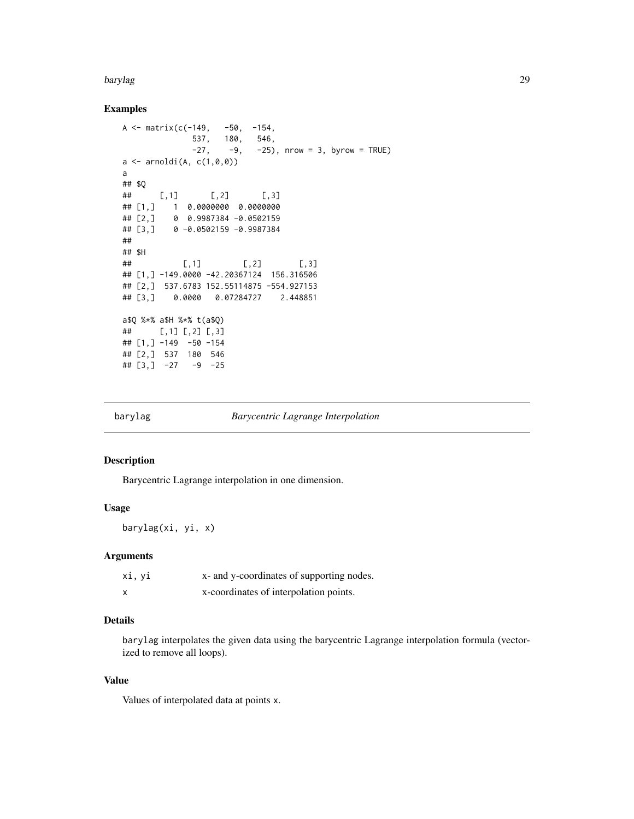#### <span id="page-28-0"></span>barylag 29

#### Examples

```
A \le matrix(c(-149, -50, -154,
             537, 180, 546,
             -27, -9, -25), nrow = 3, byrow = TRUE)
a \leftarrow \text{arnoldi}(A, c(1, 0, 0))a
## $Q
## [,1] [,2] [,3]
## [1,] 1 0.0000000 0.0000000
## [2,] 0 0.9987384 -0.0502159
## [3,] 0 -0.0502159 -0.9987384
##
## $H
## [,1] [,2] [,3]
## [1,] -149.0000 -42.20367124 156.316506
## [2,] 537.6783 152.55114875 -554.927153
## [3,] 0.0000 0.07284727 2.448851
a$Q %*% a$H %*% t(a$Q)
## [,1] [,2] [,3]
## [1,] -149 -50 -154
## [2,] 537 180 546
\## [3,] -27 -9 -25
```
<span id="page-28-1"></span>

barylag *Barycentric Lagrange Interpolation*

## Description

Barycentric Lagrange interpolation in one dimension.

#### Usage

barylag(xi, yi, x)

#### Arguments

| xi, yi | x- and y-coordinates of supporting nodes. |
|--------|-------------------------------------------|
|        | x-coordinates of interpolation points.    |

## Details

barylag interpolates the given data using the barycentric Lagrange interpolation formula (vectorized to remove all loops).

## Value

Values of interpolated data at points x.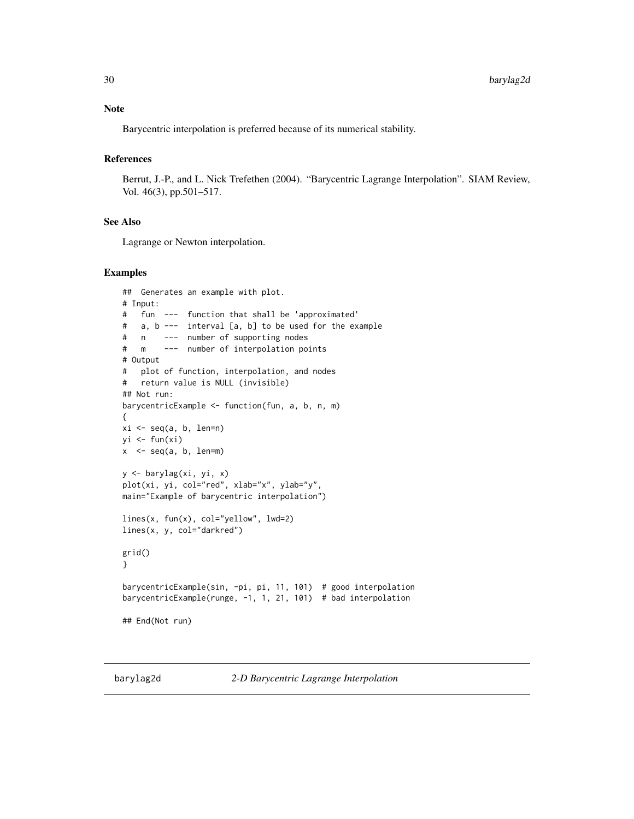<span id="page-29-0"></span>Barycentric interpolation is preferred because of its numerical stability.

## References

Berrut, J.-P., and L. Nick Trefethen (2004). "Barycentric Lagrange Interpolation". SIAM Review, Vol. 46(3), pp.501–517.

## See Also

Lagrange or Newton interpolation.

```
## Generates an example with plot.
# Input:
# fun --- function that shall be 'approximated'
# a, b --- interval [a, b] to be used for the example
# n --- number of supporting nodes
# m --- number of interpolation points
# Output
# plot of function, interpolation, and nodes
# return value is NULL (invisible)
## Not run:
barycentricExample <- function(fun, a, b, n, m)
{
xi \leftarrow seq(a, b, len=n)yi \leftarrow fun(xi)x \leq -\text{seq}(a, b, len=m)y <- barylag(xi, yi, x)
plot(xi, yi, col="red", xlab="x", ylab="y",
main="Example of barycentric interpolation")
lines(x, fun(x), col="yellow", lwd=2)
lines(x, y, col="darkred")
grid()
}
barycentricExample(sin, -pi, pi, 11, 101) # good interpolation
barycentricExample(runge, -1, 1, 21, 101) # bad interpolation
## End(Not run)
```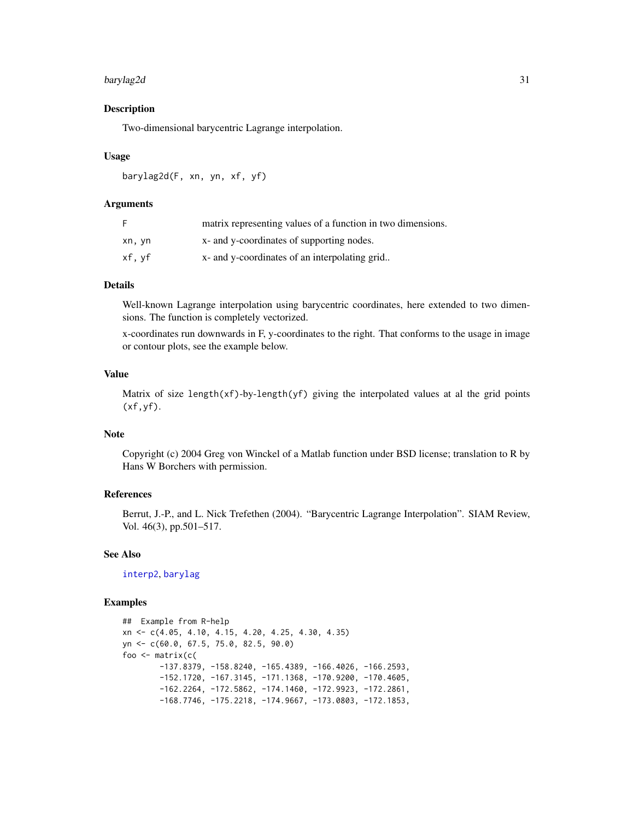#### barylag2d 31

#### Description

Two-dimensional barycentric Lagrange interpolation.

#### Usage

barylag2d(F, xn, yn, xf, yf)

## Arguments

| F      | matrix representing values of a function in two dimensions. |
|--------|-------------------------------------------------------------|
| xn, yn | x- and y-coordinates of supporting nodes.                   |
| xf.vf  | x- and y-coordinates of an interpolating grid               |

## Details

Well-known Lagrange interpolation using barycentric coordinates, here extended to two dimensions. The function is completely vectorized.

x-coordinates run downwards in F, y-coordinates to the right. That conforms to the usage in image or contour plots, see the example below.

## Value

Matrix of size length $(xf)$ -by-length $(yf)$  giving the interpolated values at al the grid points  $(xf,yf)$ .

## **Note**

Copyright (c) 2004 Greg von Winckel of a Matlab function under BSD license; translation to R by Hans W Borchers with permission.

## References

Berrut, J.-P., and L. Nick Trefethen (2004). "Barycentric Lagrange Interpolation". SIAM Review, Vol. 46(3), pp.501–517.

#### See Also

[interp2](#page-178-1), [barylag](#page-28-1)

```
## Example from R-help
xn <- c(4.05, 4.10, 4.15, 4.20, 4.25, 4.30, 4.35)
yn <- c(60.0, 67.5, 75.0, 82.5, 90.0)
foo <- matrix(c(
        -137.8379, -158.8240, -165.4389, -166.4026, -166.2593,-152.1720, -167.3145, -171.1368, -170.9200, -170.4605,
        -162.2264, -172.5862, -174.1460, -172.9923, -172.2861,
        -168.7746, -175.2218, -174.9667, -173.0803, -172.1853,
```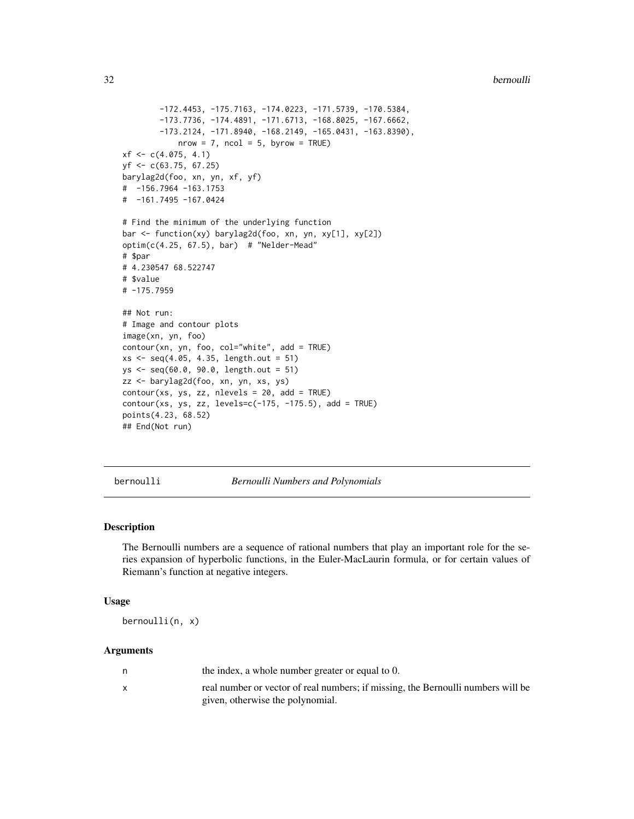```
-172.4453, -175.7163, -174.0223, -171.5739, -170.5384,
        -173.7736, -174.4891, -171.6713, -168.8025, -167.6662,
        -173.2124, -171.8940, -168.2149, -165.0431, -163.8390),
            nrow = 7, ncol = 5, byrow = TRUE)
xf \leftarrow c(4.075, 4.1)yf <- c(63.75, 67.25)
barylag2d(foo, xn, yn, xf, yf)
# -156.7964 -163.1753
# -161.7495 -167.0424
# Find the minimum of the underlying function
bar <- function(xy) barylag2d(foo, xn, yn, xy[1], xy[2])
option(c(4.25, 67.5), bar) # "Nelder-Mead"
# $par
# 4.230547 68.522747
# $value
# -175.7959
## Not run:
# Image and contour plots
image(xn, yn, foo)
contour(xn, yn, foo, col="white", add = TRUE)
xs <- seq(4.05, 4.35, length.out = 51)
ys <- seq(60.0, 90.0, length.out = 51)
zz <- barylag2d(foo, xn, yn, xs, ys)
contour(xs, ys, zz, nlevels = 20, add = TRUE)
contour(xs, ys, zz, levels=c(-175, -175.5), add = TRUE)points(4.23, 68.52)
## End(Not run)
```
bernoulli *Bernoulli Numbers and Polynomials*

## Description

The Bernoulli numbers are a sequence of rational numbers that play an important role for the series expansion of hyperbolic functions, in the Euler-MacLaurin formula, or for certain values of Riemann's function at negative integers.

#### Usage

```
bernoulli(n, x)
```
#### Arguments

| the index, a whole number greater or equal to 0.                                 |
|----------------------------------------------------------------------------------|
| real number or vector of real numbers; if missing, the Bernoulli numbers will be |
| given, otherwise the polynomial.                                                 |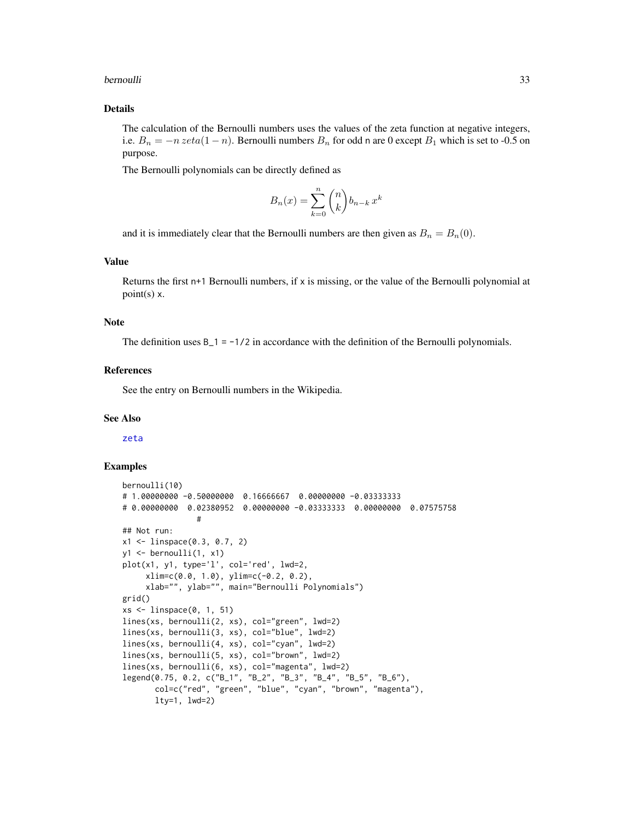#### bernoulli 33

#### Details

The calculation of the Bernoulli numbers uses the values of the zeta function at negative integers, i.e.  $B_n = -n \, zeta(1 - n)$ . Bernoulli numbers  $B_n$  for odd n are 0 except  $B_1$  which is set to -0.5 on purpose.

The Bernoulli polynomials can be directly defined as

$$
B_n(x) = \sum_{k=0}^n \binom{n}{k} b_{n-k} x^k
$$

and it is immediately clear that the Bernoulli numbers are then given as  $B_n = B_n(0)$ .

## Value

Returns the first n+1 Bernoulli numbers, if  $x$  is missing, or the value of the Bernoulli polynomial at point(s) x.

#### Note

The definition uses  $B_1 = -1/2$  in accordance with the definition of the Bernoulli polynomials.

#### References

See the entry on Bernoulli numbers in the Wikipedia.

#### See Also

[zeta](#page-379-1)

```
bernoulli(10)
# 1.00000000 -0.50000000 0.16666667 0.00000000 -0.03333333
# 0.00000000 0.02380952 0.00000000 -0.03333333 0.00000000 0.07575758
                #
## Not run:
x1 \leftarrow linspace(0.3, 0.7, 2)
y1 \leftarrow \text{bernoulli}(1, x1)plot(x1, y1, type='l', col='red', lwd=2,xlim=c(0.0, 1.0), ylim=c(-0.2, 0.2),
     xlab="", ylab="", main="Bernoulli Polynomials")
grid()
xs <- linspace(0, 1, 51)
lines(xs, bernoulli(2, xs), col="green", lwd=2)
lines(xs, bernoulli(3, xs), col="blue", lwd=2)
lines(xs, bernoulli(4, xs), col="cyan", lwd=2)
lines(xs, bernoulli(5, xs), col="brown", lwd=2)
lines(xs, bernoulli(6, xs), col="magenta", lwd=2)
legend(0.75, 0.2, c("B_1", "B_2", "B_3", "B_4", "B_5", "B_6"),
       col=c("red", "green", "blue", "cyan", "brown", "magenta"),
       lty=1, lwd=2)
```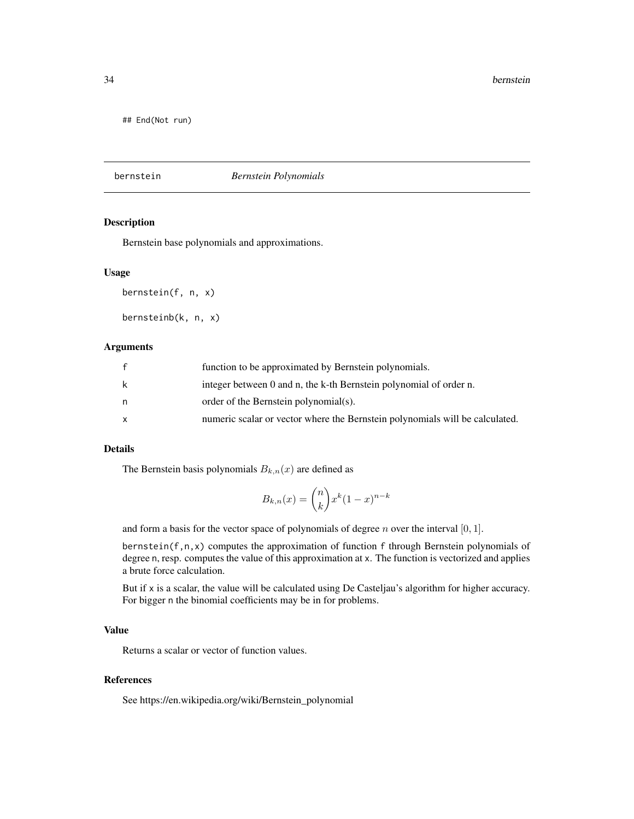<span id="page-33-0"></span>## End(Not run)

bernstein *Bernstein Polynomials*

## Description

Bernstein base polynomials and approximations.

### Usage

bernstein(f, n, x)

bernsteinb(k, n, x)

## Arguments

|   | function to be approximated by Bernstein polynomials.                        |
|---|------------------------------------------------------------------------------|
| k | integer between 0 and n, the k-th Bernstein polynomial of order n.           |
| n | order of the Bernstein polynomial(s).                                        |
| X | numeric scalar or vector where the Bernstein polynomials will be calculated. |

## Details

The Bernstein basis polynomials  $B_{k,n}(x)$  are defined as

$$
B_{k,n}(x) = \binom{n}{k} x^k (1-x)^{n-k}
$$

and form a basis for the vector space of polynomials of degree  $n$  over the interval  $[0, 1]$ .

bernstein(f,n,x) computes the approximation of function f through Bernstein polynomials of degree n, resp. computes the value of this approximation at x. The function is vectorized and applies a brute force calculation.

But if x is a scalar, the value will be calculated using De Casteljau's algorithm for higher accuracy. For bigger n the binomial coefficients may be in for problems.

## Value

Returns a scalar or vector of function values.

## References

See https://en.wikipedia.org/wiki/Bernstein\_polynomial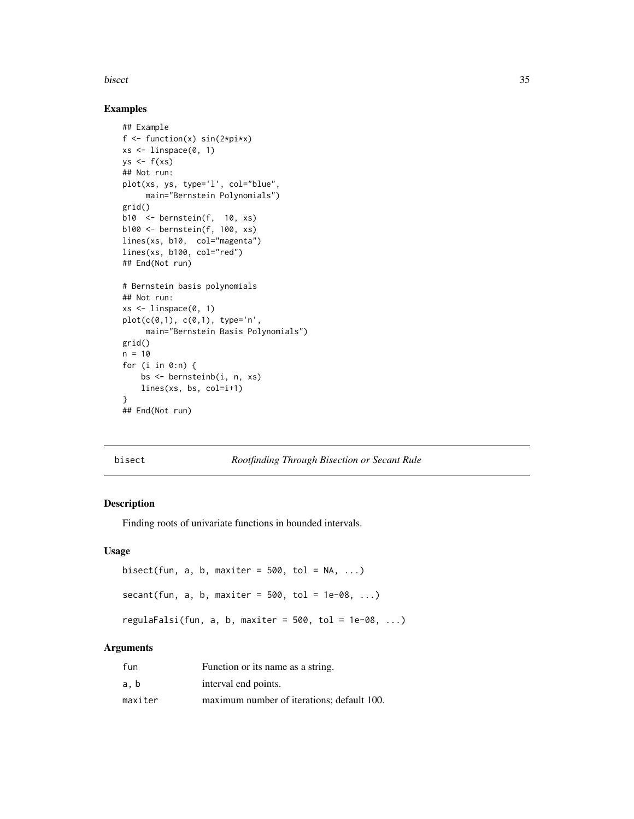<span id="page-34-0"></span>bisect 35

#### Examples

```
## Example
f \le function(x) sin(2*pi*x)
xs \leftarrow linspace(0, 1)ys <- f(xs)## Not run:
plot(xs, ys, type='l', col="blue",
     main="Bernstein Polynomials")
grid()
b10 <- bernstein(f, 10, xs)
b100 <- bernstein(f, 100, xs)
lines(xs, b10, col="magenta")
lines(xs, b100, col="red")
## End(Not run)
# Bernstein basis polynomials
## Not run:
xs <- linspace(0, 1)
plot(c(0,1), c(0,1), type='n',
     main="Bernstein Basis Polynomials")
grid()
n = 10for (i in 0:n) {
    bs <- bernsteinb(i, n, xs)
   lines(xs, bs, col=i+1)
}
## End(Not run)
```
bisect *Rootfinding Through Bisection or Secant Rule*

#### Description

Finding roots of univariate functions in bounded intervals.

## Usage

```
bisect(fun, a, b, maxiter = 500, tol = NA, ...)
secant(fun, a, b, maxiter = 500, tol = 1e-08, ...)regulaFalsi(fun, a, b, maxiter = 500, tol = 1e-08, ...)
```
#### Arguments

| fun     | Function or its name as a string.          |
|---------|--------------------------------------------|
| a, b    | interval end points.                       |
| maxiter | maximum number of iterations; default 100. |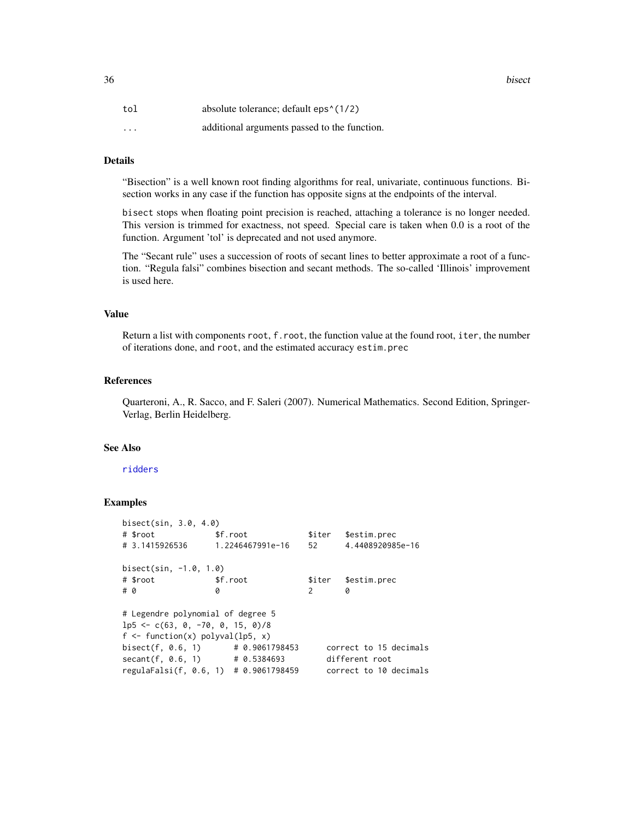| tol      | absolute tolerance; default eps <sup>{</sup> (1/2)} |
|----------|-----------------------------------------------------|
| $\cdots$ | additional arguments passed to the function.        |

## Details

"Bisection" is a well known root finding algorithms for real, univariate, continuous functions. Bisection works in any case if the function has opposite signs at the endpoints of the interval.

bisect stops when floating point precision is reached, attaching a tolerance is no longer needed. This version is trimmed for exactness, not speed. Special care is taken when 0.0 is a root of the function. Argument 'tol' is deprecated and not used anymore.

The "Secant rule" uses a succession of roots of secant lines to better approximate a root of a function. "Regula falsi" combines bisection and secant methods. The so-called 'Illinois' improvement is used here.

## Value

Return a list with components root, f.root, the function value at the found root, iter, the number of iterations done, and root, and the estimated accuracy estim.prec

## References

Quarteroni, A., R. Sacco, and F. Saleri (2007). Numerical Mathematics. Second Edition, Springer-Verlag, Berlin Heidelberg.

#### See Also

## [ridders](#page-314-1)

| bisect(sin, 3.0, 4.0)                      |                |                        |
|--------------------------------------------|----------------|------------------------|
| \$f.root                                   |                | \$iter \$estim.prec    |
|                                            |                | 4.4408920985e-16       |
| bisect(sin, -1.0, 1.0)                     |                |                        |
| \$f.root                                   |                | \$iter \$estim.prec    |
| ø                                          | 2              | ø                      |
| # Legendre polynomial of degree 5          |                |                        |
| $1p5 \leq -c(63, 0, -70, 0, 15, 0)/8$      |                |                        |
| $f \leftarrow function(x)$ polyval(lp5, x) |                |                        |
| bisect(f, 0.6, 1) $\#$ 0.9061798453        |                | correct to 15 decimals |
| $secant(f, 0.6, 1)$ # 0.5384693            | different root |                        |
| regulaFalsi(f, 0.6, 1) # 0.9061798459      |                | correct to 10 decimals |
|                                            |                |                        |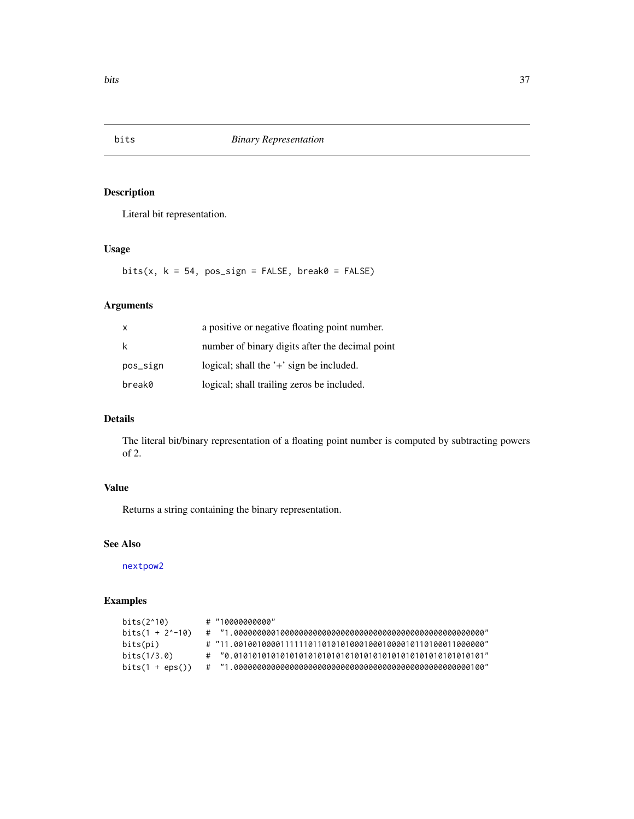Literal bit representation.

# Usage

 $bits(x, k = 54, pos\_sign = FALSE, break0 = FALSE)$ 

# Arguments

| $\mathsf{x}$ | a positive or negative floating point number.   |
|--------------|-------------------------------------------------|
| k            | number of binary digits after the decimal point |
| pos_sign     | logical; shall the $'$ + $'$ sign be included.  |
| break0       | logical; shall trailing zeros be included.      |

# Details

The literal bit/binary representation of a floating point number is computed by subtracting powers of 2.

# Value

Returns a string containing the binary representation.

## See Also

[nextpow2](#page-238-0)

# Examples

| bits(2^10)       | $\#$ "10000000000" |
|------------------|--------------------|
| bits(1 + 2^-10)  |                    |
| bits(pi)         |                    |
| bits(1/3.0)      |                    |
| $bits(1 +eps())$ |                    |

# bits *Binary Representation*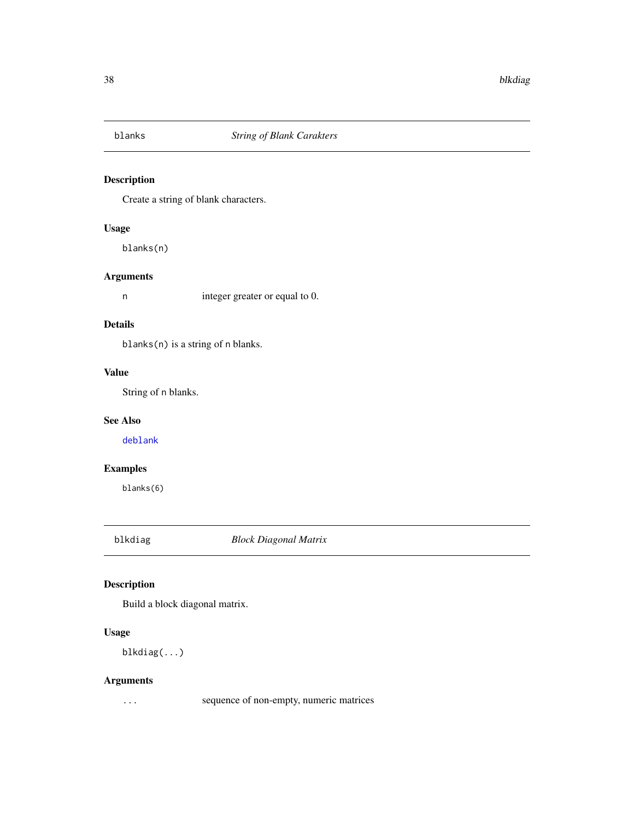Create a string of blank characters.

# Usage

blanks(n)

# Arguments

n integer greater or equal to 0.

# Details

blanks(n) is a string of n blanks.

# Value

String of n blanks.

# See Also

[deblank](#page-360-0)

# Examples

blanks(6)

blkdiag *Block Diagonal Matrix*

# Description

Build a block diagonal matrix.

# Usage

blkdiag(...)

# Arguments

... sequence of non-empty, numeric matrices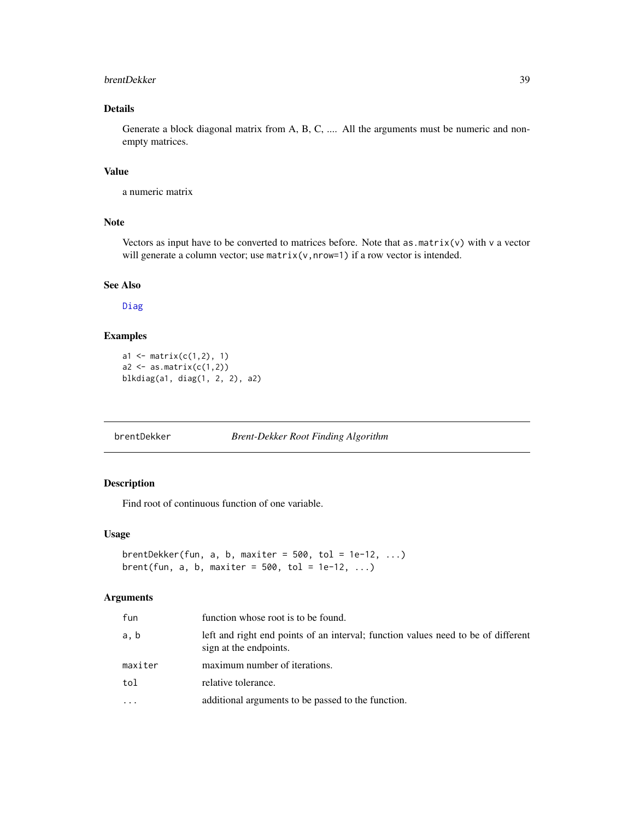#### brentDekker 39

# Details

Generate a block diagonal matrix from A, B, C, .... All the arguments must be numeric and nonempty matrices.

#### Value

a numeric matrix

# Note

Vectors as input have to be converted to matrices before. Note that as  $\text{matrix}(v)$  with v a vector will generate a column vector; use matrix(v,nrow=1) if a row vector is intended.

## See Also

[Diag](#page-79-0)

# Examples

```
a1 <- matrix(c(1,2), 1)a2 \leftarrow as.matrix(c(1,2))blkdiag(a1, diag(1, 2, 2), a2)
```
brentDekker *Brent-Dekker Root Finding Algorithm*

# Description

Find root of continuous function of one variable.

# Usage

```
brentDekker(fun, a, b, maxiter = 500, tol = 1e-12, ...)
brent(fun, a, b, maxiter = 500, tol = 1e-12, ...)
```
# Arguments

| fun     | function whose root is to be found.                                                                         |
|---------|-------------------------------------------------------------------------------------------------------------|
| a, b    | left and right end points of an interval; function values need to be of different<br>sign at the endpoints. |
| maxiter | maximum number of iterations.                                                                               |
| tol     | relative tolerance.                                                                                         |
| .       | additional arguments to be passed to the function.                                                          |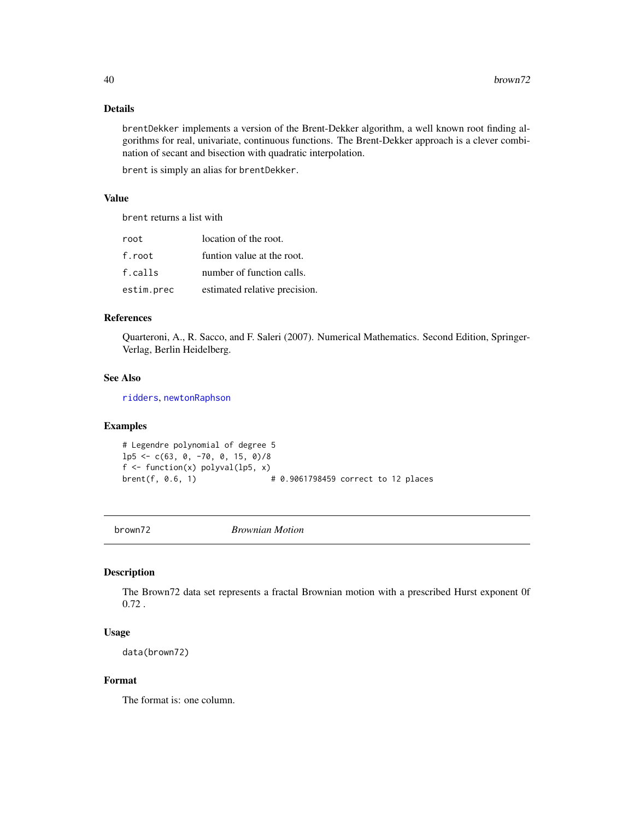## Details

brentDekker implements a version of the Brent-Dekker algorithm, a well known root finding algorithms for real, univariate, continuous functions. The Brent-Dekker approach is a clever combination of secant and bisection with quadratic interpolation.

brent is simply an alias for brentDekker.

# Value

brent returns a list with

| root       | location of the root.         |
|------------|-------------------------------|
| f.root     | funtion value at the root.    |
| f.calls    | number of function calls.     |
| estim.prec | estimated relative precision. |

# References

Quarteroni, A., R. Sacco, and F. Saleri (2007). Numerical Mathematics. Second Edition, Springer-Verlag, Berlin Heidelberg.

## See Also

[ridders](#page-314-0), [newtonRaphson](#page-236-0)

# Examples

```
# Legendre polynomial of degree 5
1p5 \leftarrow c(63, 0, -70, 0, 15, 0)/8f \leftarrow function(x) polyval(lp5, x)
brent(f, 0.6, 1) \# 0.9061798459 correct to 12 places
```
brown72 *Brownian Motion*

#### Description

The Brown72 data set represents a fractal Brownian motion with a prescribed Hurst exponent 0f 0.72 .

#### Usage

data(brown72)

## Format

The format is: one column.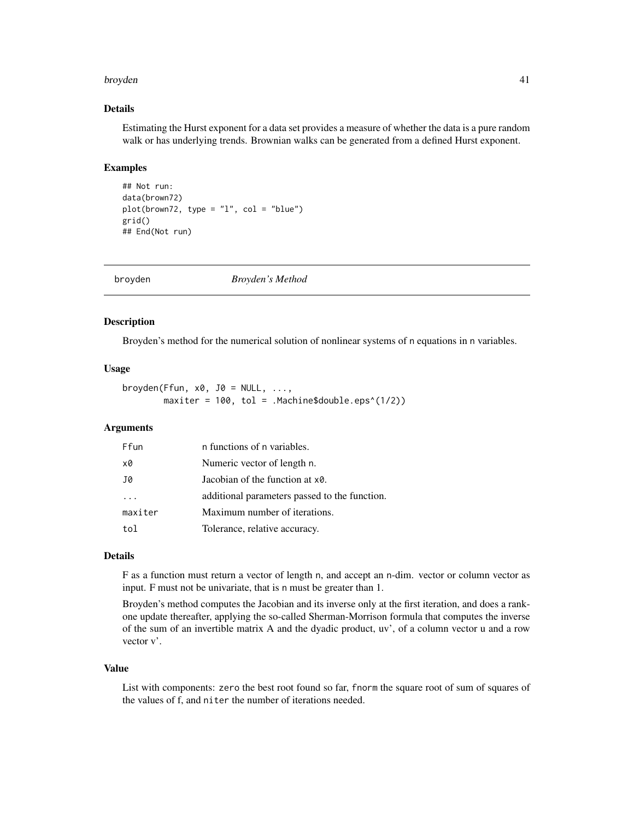#### broyden 41

## Details

Estimating the Hurst exponent for a data set provides a measure of whether the data is a pure random walk or has underlying trends. Brownian walks can be generated from a defined Hurst exponent.

## Examples

```
## Not run:
data(brown72)
plot(brown72, type = "l", col = "blue")grid()
## End(Not run)
```

| broyden | Broyden's Method |  |
|---------|------------------|--|
|---------|------------------|--|

#### Description

Broyden's method for the numerical solution of nonlinear systems of n equations in n variables.

#### Usage

```
broyden(Ffun, x0, J0 = NULL, ...,
       maxiter = 100, tol = .Machine$double.eps^(1/2))
```
## Arguments

| Ffun                    | n functions of n variables.                   |
|-------------------------|-----------------------------------------------|
| x0                      | Numeric vector of length n.                   |
| J0                      | Jacobian of the function at x0.               |
| $\cdot$ $\cdot$ $\cdot$ | additional parameters passed to the function. |
| maxiter                 | Maximum number of iterations.                 |
| tol                     | Tolerance, relative accuracy.                 |

## Details

F as a function must return a vector of length n, and accept an n-dim. vector or column vector as input. F must not be univariate, that is n must be greater than 1.

Broyden's method computes the Jacobian and its inverse only at the first iteration, and does a rankone update thereafter, applying the so-called Sherman-Morrison formula that computes the inverse of the sum of an invertible matrix A and the dyadic product, uv', of a column vector u and a row vector v'.

#### Value

List with components: zero the best root found so far, fnorm the square root of sum of squares of the values of f, and niter the number of iterations needed.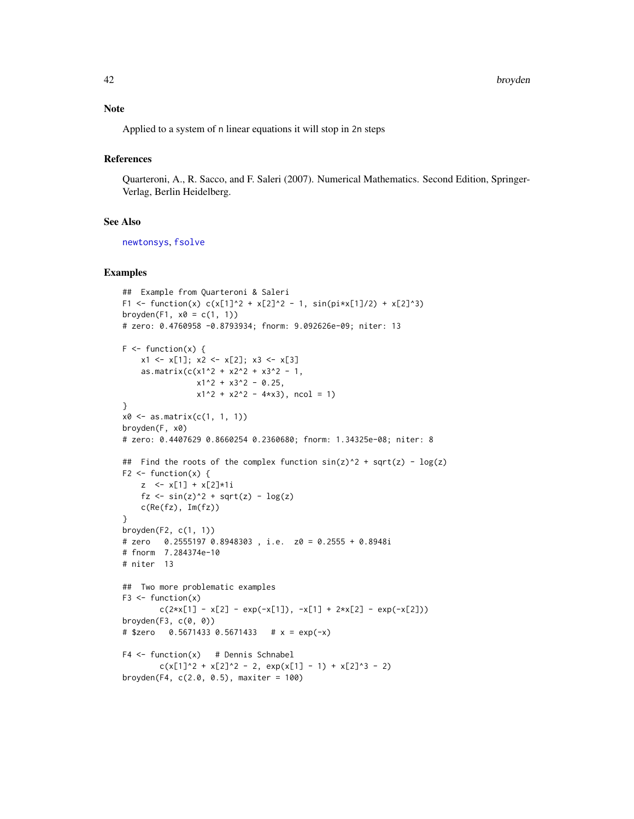Applied to a system of n linear equations it will stop in 2n steps

# References

Quarteroni, A., R. Sacco, and F. Saleri (2007). Numerical Mathematics. Second Edition, Springer-Verlag, Berlin Heidelberg.

## See Also

[newtonsys](#page-237-0), [fsolve](#page-126-0)

#### Examples

```
## Example from Quarteroni & Saleri
F1 <- function(x) c(x[1]^2 + x[2]^2 - 1, sin(pi*x[1]/2) + x[2]^3)
broyden(F1, x0 = c(1, 1))
# zero: 0.4760958 -0.8793934; fnorm: 9.092626e-09; niter: 13
F \leftarrow function(x) {
    x1 \leftarrow x[1]; x2 \leftarrow x[2]; x3 \leftarrow x[3]as.matrix(c(x1^2 + x2^2 + x3^2 - 1,
                x1^2 + x3^2 - 0.25,
                x1^2 + x2^2 - 4*x3, ncol = 1)
}
x0 \leq -a s.matrix(c(1, 1, 1))broyden(F, x0)
# zero: 0.4407629 0.8660254 0.2360680; fnorm: 1.34325e-08; niter: 8
## Find the roots of the complex function sin(z)^2 + sqrt(z) - log(z)F2 \leftarrow function(x) {
    z <- x[1] + x[2]*1i
    fz \langle -\sin(z)^2 + \sqrt{z} - \log(z) \ranglec(Re(fz), Im(fz))}
broyden(F2, c(1, 1))
# zero 0.2555197 0.8948303 , i.e. z0 = 0.2555 + 0.8948i
# fnorm 7.284374e-10
# niter 13
## Two more problematic examples
F3 \leq function(x)
        c(2*x[1] - x[2] - exp(-x[1]), -x[1] + 2*x[2] - exp(-x[2]))broyden(F3, c(0, 0))
# $zero 0.5671433 0.5671433 # x = exp(-x)F4 \leq function(x) # Dennis Schnabel
        c(x[1]^2 + x[2]^2 - 2, exp(x[1] - 1) + x[2]^3 - 2)broyden(F4, c(2.0, 0.5), maxiter = 100)
```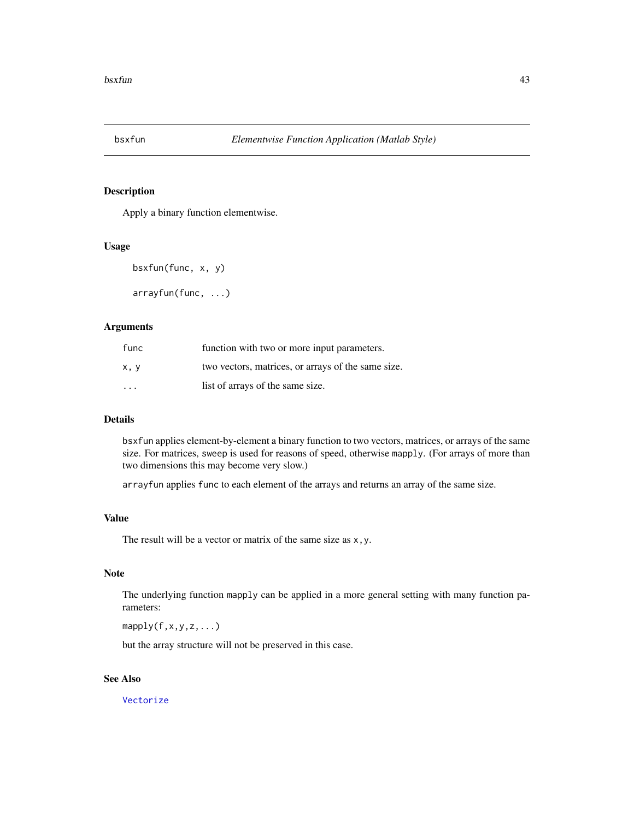Apply a binary function elementwise.

## Usage

```
bsxfun(func, x, y)
```
arrayfun(func, ...)

# Arguments

| func                    | function with two or more input parameters.        |
|-------------------------|----------------------------------------------------|
| x, y                    | two vectors, matrices, or arrays of the same size. |
| $\cdot$ $\cdot$ $\cdot$ | list of arrays of the same size.                   |

# Details

bsxfun applies element-by-element a binary function to two vectors, matrices, or arrays of the same size. For matrices, sweep is used for reasons of speed, otherwise mapply. (For arrays of more than two dimensions this may become very slow.)

arrayfun applies func to each element of the arrays and returns an array of the same size.

# Value

The result will be a vector or matrix of the same size as x,y.

# Note

The underlying function mapply can be applied in a more general setting with many function parameters:

 $mapply(f,x,y,z,...)$ 

but the array structure will not be preserved in this case.

# See Also

[Vectorize](#page-0-0)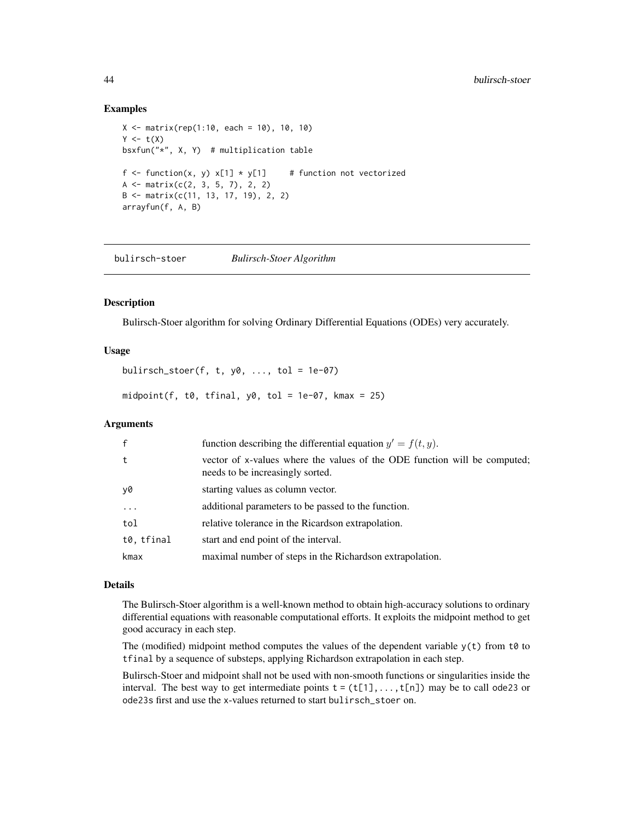## Examples

```
X \le - matrix(rep(1:10, each = 10), 10, 10)
Y \leftarrow t(X)bsxfun("*", X, Y) # multiplication table
f <- function(x, y) x[1] * y[1] # function not vectorized
A \leftarrow \text{matrix}(c(2, 3, 5, 7), 2, 2)B <- matrix(c(11, 13, 17, 19), 2, 2)
arrayfun(f, A, B)
```
bulirsch-stoer *Bulirsch-Stoer Algorithm*

#### Description

Bulirsch-Stoer algorithm for solving Ordinary Differential Equations (ODEs) very accurately.

#### Usage

bulirsch\_stoer(f, t,  $y0$ , ..., tol = 1e-07)

midpoint(f,  $t0$ , tfinal,  $y0$ ,  $tol = 1e-07$ , kmax = 25)

## Arguments

| $\mathsf{f}$ | function describing the differential equation $y' = f(t, y)$ .                                                |
|--------------|---------------------------------------------------------------------------------------------------------------|
| t            | vector of x-values where the values of the ODE function will be computed;<br>needs to be increasingly sorted. |
| y0           | starting values as column vector.                                                                             |
| $\ddotsc$    | additional parameters to be passed to the function.                                                           |
| tol          | relative tolerance in the Ricardson extrapolation.                                                            |
| t0, tfinal   | start and end point of the interval.                                                                          |
| kmax         | maximal number of steps in the Richardson extrapolation.                                                      |

## Details

The Bulirsch-Stoer algorithm is a well-known method to obtain high-accuracy solutions to ordinary differential equations with reasonable computational efforts. It exploits the midpoint method to get good accuracy in each step.

The (modified) midpoint method computes the values of the dependent variable  $y(t)$  from t0 to tfinal by a sequence of substeps, applying Richardson extrapolation in each step.

Bulirsch-Stoer and midpoint shall not be used with non-smooth functions or singularities inside the interval. The best way to get intermediate points  $t = (t[1], \ldots, t[n])$  may be to call ode23 or ode23s first and use the x-values returned to start bulirsch\_stoer on.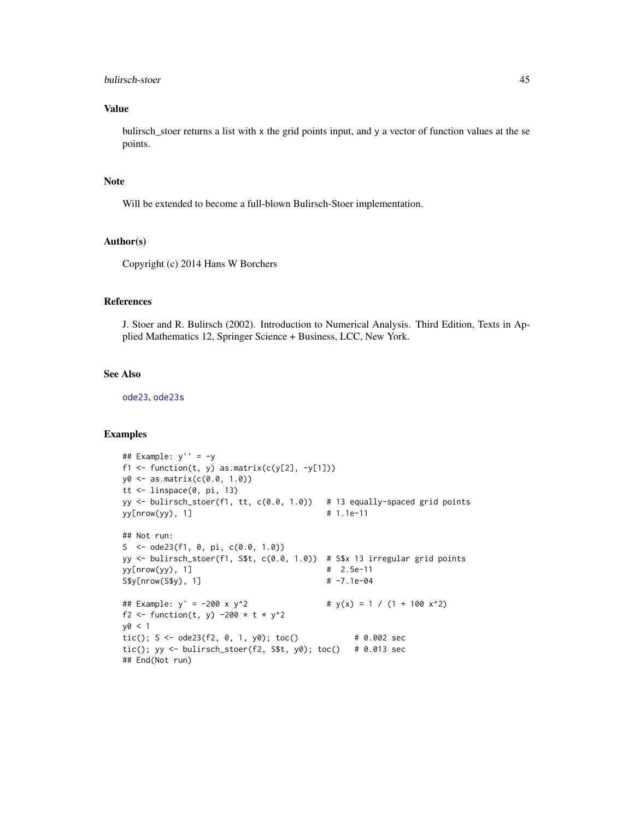## bulirsch-stoer 45

## Value

bulirsch\_stoer returns a list with x the grid points input, and y a vector of function values at the se points.

## Note

Will be extended to become a full-blown Bulirsch-Stoer implementation.

#### Author(s)

Copyright (c) 2014 Hans W Borchers

# References

J. Stoer and R. Bulirsch (2002). Introduction to Numerical Analysis. Third Edition, Texts in Applied Mathematics 12, Springer Science + Business, LCC, New York.

## See Also

[ode23](#page-246-0), [ode23s](#page-246-1)

#### Examples

```
## Example: y' = -y
f1 <- function(t, y) as.matrix(c(y[2], -y[1]))
y0 <- as.matrix(c(0.0, 1.0))
tt <- linspace(0, pi, 13)
yy <- bulirsch_stoer(f1, tt, c(0.0, 1.0)) # 13 equally-spaced grid points
yy[nnow(yy), 1] # 1.1e-11
## Not run:
S <- ode23(f1, 0, pi, c(0.0, 1.0))
yy <- bulirsch_stoer(f1, S$t, c(0.0, 1.0)) # S$x 13 irregular grid points
yy[nnow(yy), 1] # 2.5e-11
S$y[nrow(S$y), 1] # -7.1e-04
## Example: y' = -200 \times y^2 # y(x) = 1 / (1 + 100 x^2)f2 <- function(t, y) -200 * t * y^2
y0 < 1tic(); S \leq - ode23(f2, 0, 1, y0); toc() # 0.002 sec
tic(); yy <- bulirsch_stoer(f2, St, y0); toc() # 0.013 sec
## End(Not run)
```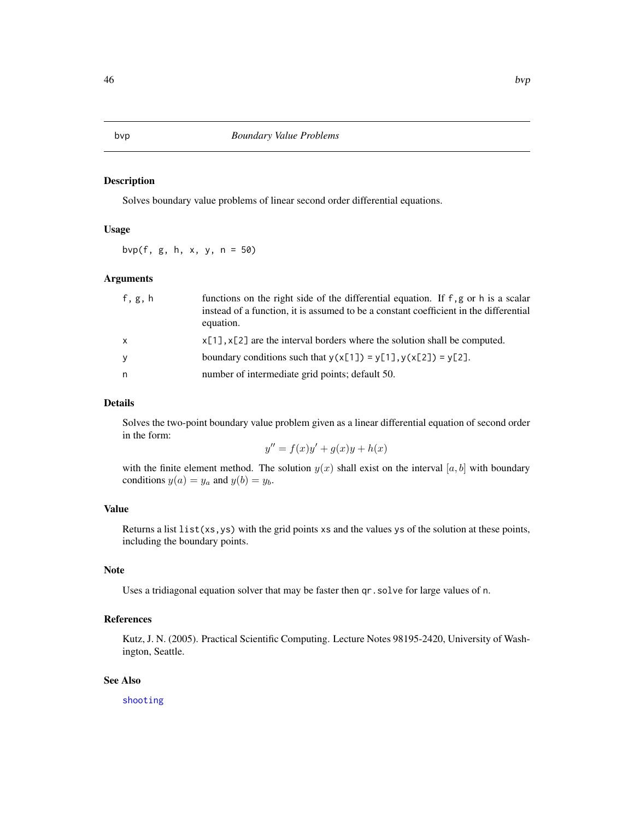Solves boundary value problems of linear second order differential equations.

# Usage

bvp(f, g, h, x, y, n = 50)

# Arguments

| f, g, h      | functions on the right side of the differential equation. If f, g or h is a scalar<br>instead of a function, it is assumed to be a constant coefficient in the differential<br>equation. |
|--------------|------------------------------------------------------------------------------------------------------------------------------------------------------------------------------------------|
| $\mathsf{x}$ | $x[1], x[2]$ are the interval borders where the solution shall be computed.                                                                                                              |
| У            | boundary conditions such that $y(x[1]) = y[1], y(x[2]) = y[2].$                                                                                                                          |
| n            | number of intermediate grid points; default 50.                                                                                                                                          |

#### Details

Solves the two-point boundary value problem given as a linear differential equation of second order in the form:

$$
y'' = f(x)y' + g(x)y + h(x)
$$

with the finite element method. The solution  $y(x)$  shall exist on the interval [a, b] with boundary conditions  $y(a) = y_a$  and  $y(b) = y_b$ .

## Value

Returns a list  $list(xs,ys)$  with the grid points xs and the values ys of the solution at these points, including the boundary points.

#### Note

Uses a tridiagonal equation solver that may be faster then qr.solve for large values of n.

## References

Kutz, J. N. (2005). Practical Scientific Computing. Lecture Notes 98195-2420, University of Washington, Seattle.

# See Also

[shooting](#page-332-0)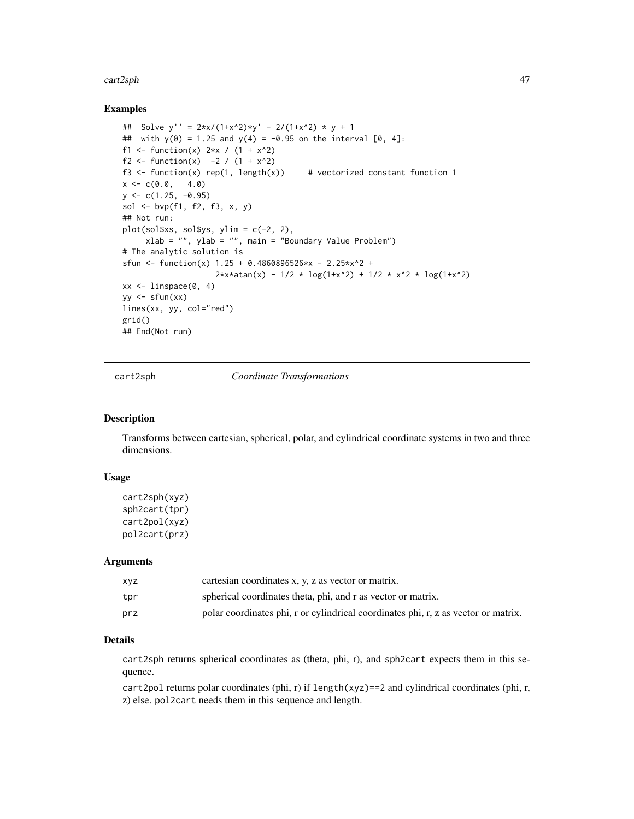#### cart2sph 47

## Examples

```
## Solve y'' = 2*x/(1+x^2)*y' - 2/(1+x^2)*y + 1## with y(0) = 1.25 and y(4) = -0.95 on the interval [0, 4]:
f1 <- function(x) 2*x / (1 + x^2)f2 <- function(x) -2 / (1 + x^2)f3 \le function(x) rep(1, length(x)) # vectorized constant function 1
x \leq -c(0.0, 4.0)y \leftarrow c(1.25, -0.95)sol \leq bvp(f1, f2, f3, x, y)
## Not run:
plot(sol$xs, sol$ys, ylim = c(-2, 2),
     xlab = "", ylab = "", main = "Boundary Value Problem")
# The analytic solution is
sfun <- function(x) 1.25 + 0.4860896526*x - 2.25*x^2 +2*xx\tan(x) - 1/2 * log(1+x^2) + 1/2 * x^2 * log(1+x^2)xx \le linspace(0, 4)
yy \leq -sfun(xx)lines(xx, yy, col="red")
grid()
## End(Not run)
```
cart2sph *Coordinate Transformations*

## Description

Transforms between cartesian, spherical, polar, and cylindrical coordinate systems in two and three dimensions.

## Usage

```
cart2sph(xyz)
sph2cart(tpr)
cart2pol(xyz)
pol2cart(prz)
```
#### Arguments

| xvz | cartesian coordinates x, y, z as vector or matrix.                                 |
|-----|------------------------------------------------------------------------------------|
| tpr | spherical coordinates theta, phi, and r as vector or matrix.                       |
| prz | polar coordinates phi, r or cylindrical coordinates phi, r, z as vector or matrix. |

# Details

cart2sph returns spherical coordinates as (theta, phi, r), and sph2cart expects them in this sequence.

cart2pol returns polar coordinates (phi, r) if length(xyz)==2 and cylindrical coordinates (phi, r, z) else. pol2cart needs them in this sequence and length.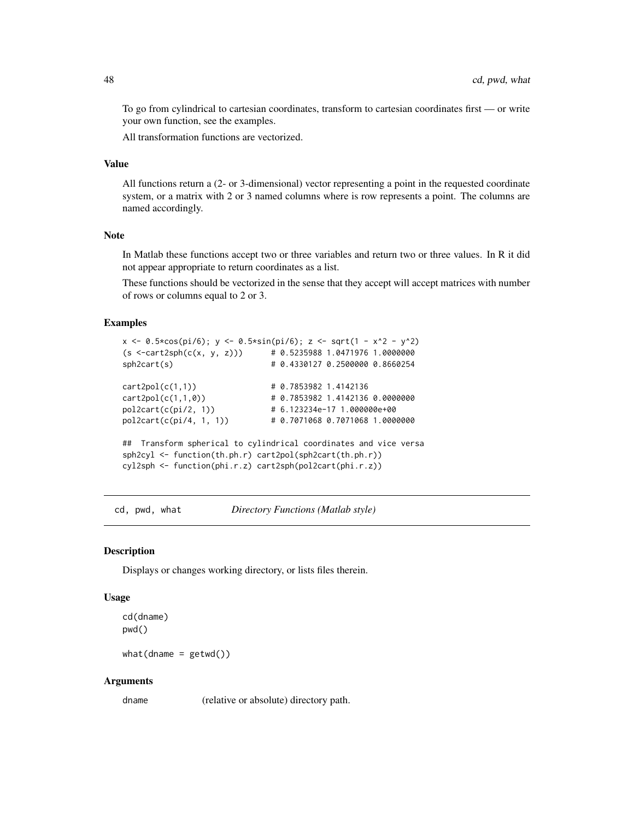To go from cylindrical to cartesian coordinates, transform to cartesian coordinates first — or write your own function, see the examples.

All transformation functions are vectorized.

# Value

All functions return a (2- or 3-dimensional) vector representing a point in the requested coordinate system, or a matrix with 2 or 3 named columns where is row represents a point. The columns are named accordingly.

## Note

In Matlab these functions accept two or three variables and return two or three values. In R it did not appear appropriate to return coordinates as a list.

These functions should be vectorized in the sense that they accept will accept matrices with number of rows or columns equal to 2 or 3.

#### Examples

```
x \le -0.5 \times \cos(\pi/6); y \le -0.5 \times \sin(\pi/6); z \le -\sqrt{1 - x^2 - y^2}(s < -cart2sph(c(x, y, z))) # 0.5235988 1.0471976 1.0000000
sph2cart(s) # 0.4330127 0.2500000 0.8660254
cart2pol(c(1,1)) # 0.7853982 1.4142136
cart2pol(c(1,1,0)) # 0.7853982 1.4142136 0.0000000
pol2cart(c(pi/2, 1)) # 6.123234e-17 1.000000e+00
pol2cart(c(pi/4, 1, 1)) # 0.7071068 0.7071068 1.0000000
## Transform spherical to cylindrical coordinates and vice versa
sph2cyl <- function(th.ph.r) cart2pol(sph2cart(th.ph.r))
cyl2sph <- function(phi.r.z) cart2sph(pol2cart(phi.r.z))
```
cd, pwd, what *Directory Functions (Matlab style)*

#### Description

Displays or changes working directory, or lists files therein.

#### Usage

cd(dname) pwd()

 $what(dname = getwd())$ 

#### Arguments

dname (relative or absolute) directory path.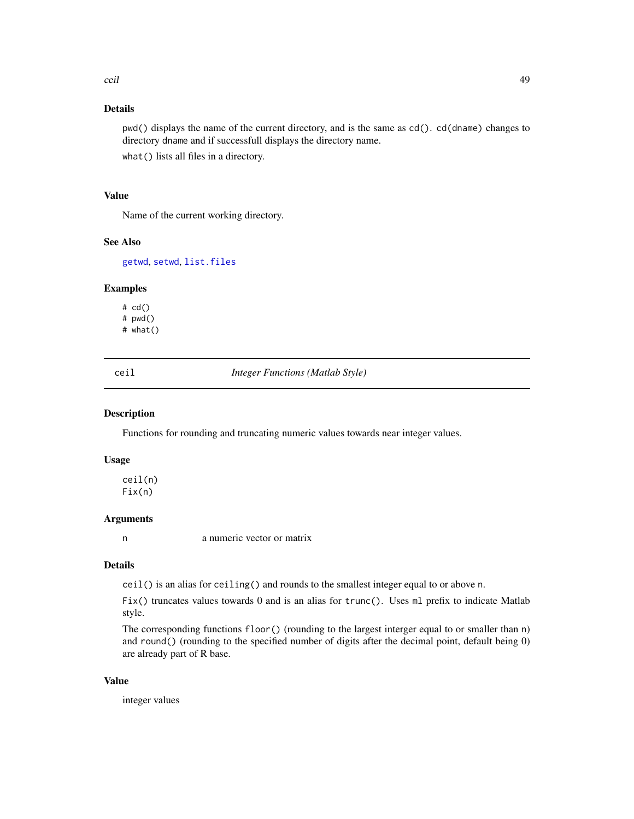# Details

pwd() displays the name of the current directory, and is the same as cd(). cd(dname) changes to directory dname and if successfull displays the directory name.

what() lists all files in a directory.

#### Value

Name of the current working directory.

#### See Also

[getwd](#page-0-0), [setwd](#page-0-0), [list.files](#page-0-0)

## Examples

# cd() # pwd() # what()

ceil *Integer Functions (Matlab Style)*

#### Description

Functions for rounding and truncating numeric values towards near integer values.

#### Usage

ceil(n) Fix(n)

#### Arguments

n a numeric vector or matrix

#### Details

ceil() is an alias for ceiling() and rounds to the smallest integer equal to or above n.

 $Fix()$  truncates values towards 0 and is an alias for trunc(). Uses ml prefix to indicate Matlab style.

The corresponding functions floor() (rounding to the largest interger equal to or smaller than n) and round() (rounding to the specified number of digits after the decimal point, default being 0) are already part of R base.

# Value

integer values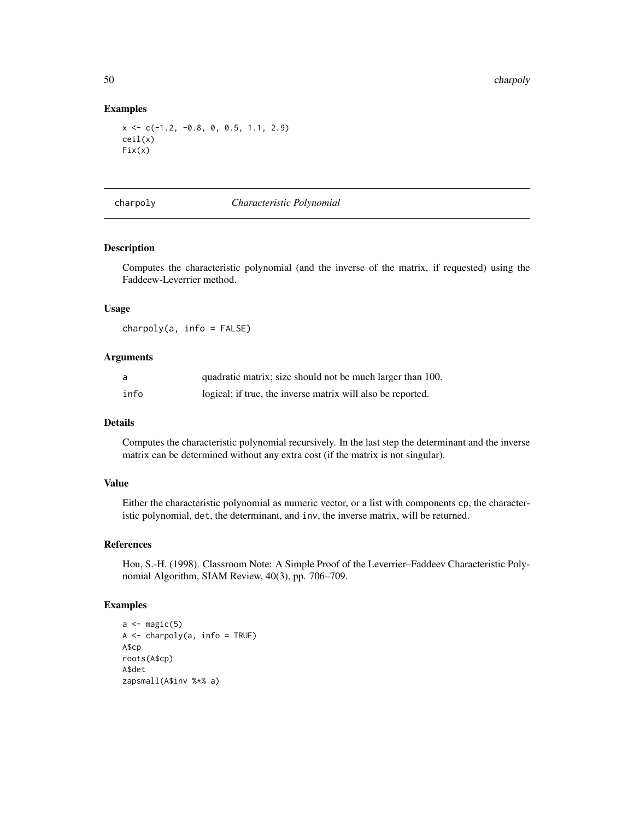#### Examples

```
x \leq -c(-1.2, -0.8, 0, 0.5, 1.1, 2.9)ceil(x)
Fix(x)
```
#### charpoly *Characteristic Polynomial*

## Description

Computes the characteristic polynomial (and the inverse of the matrix, if requested) using the Faddeew-Leverrier method.

#### Usage

 $charpoly(a, info = FALSE)$ 

# Arguments

| a    | quadratic matrix; size should not be much larger than 100.  |
|------|-------------------------------------------------------------|
| info | logical; if true, the inverse matrix will also be reported. |

# Details

Computes the characteristic polynomial recursively. In the last step the determinant and the inverse matrix can be determined without any extra cost (if the matrix is not singular).

# Value

Either the characteristic polynomial as numeric vector, or a list with components cp, the characteristic polynomial, det, the determinant, and inv, the inverse matrix, will be returned.

#### References

Hou, S.-H. (1998). Classroom Note: A Simple Proof of the Leverrier–Faddeev Characteristic Polynomial Algorithm, SIAM Review, 40(3), pp. 706–709.

#### Examples

```
a \leftarrow \text{magic}(5)A \leftarrow \text{charpoly}(a, \text{ info} = \text{TRUE})A$cp
roots(A$cp)
A$det
zapsmall(A$inv %*% a)
```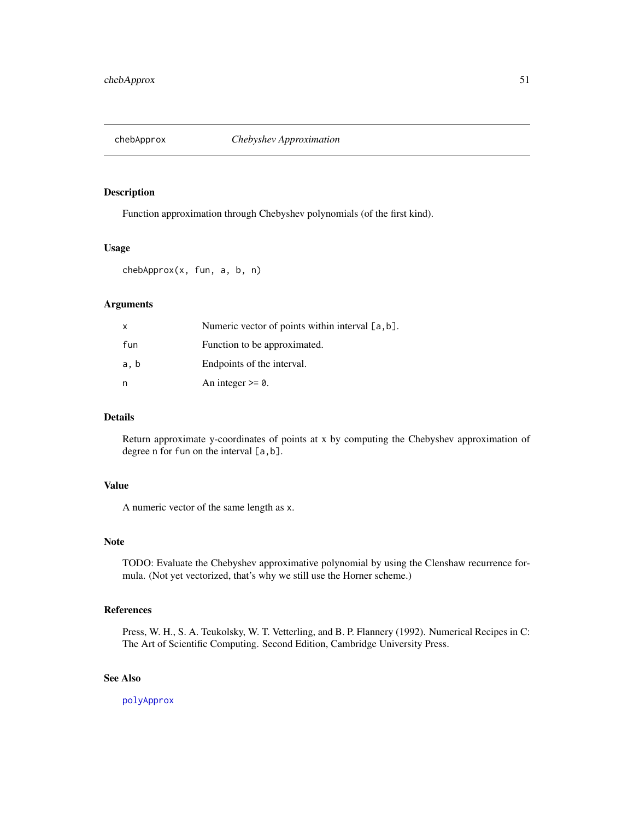<span id="page-50-0"></span>

Function approximation through Chebyshev polynomials (of the first kind).

#### Usage

chebApprox(x, fun, a, b, n)

## Arguments

| X    | Numeric vector of points within interval $[a, b]$ . |
|------|-----------------------------------------------------|
| fun  | Function to be approximated.                        |
| a, b | Endpoints of the interval.                          |
| n    | An integer $\geq 0$ .                               |

# Details

Return approximate y-coordinates of points at x by computing the Chebyshev approximation of degree n for fun on the interval [a,b].

# Value

A numeric vector of the same length as x.

## Note

TODO: Evaluate the Chebyshev approximative polynomial by using the Clenshaw recurrence formula. (Not yet vectorized, that's why we still use the Horner scheme.)

# References

Press, W. H., S. A. Teukolsky, W. T. Vetterling, and B. P. Flannery (1992). Numerical Recipes in C: The Art of Scientific Computing. Second Edition, Cambridge University Press.

# See Also

[polyApprox](#page-265-0)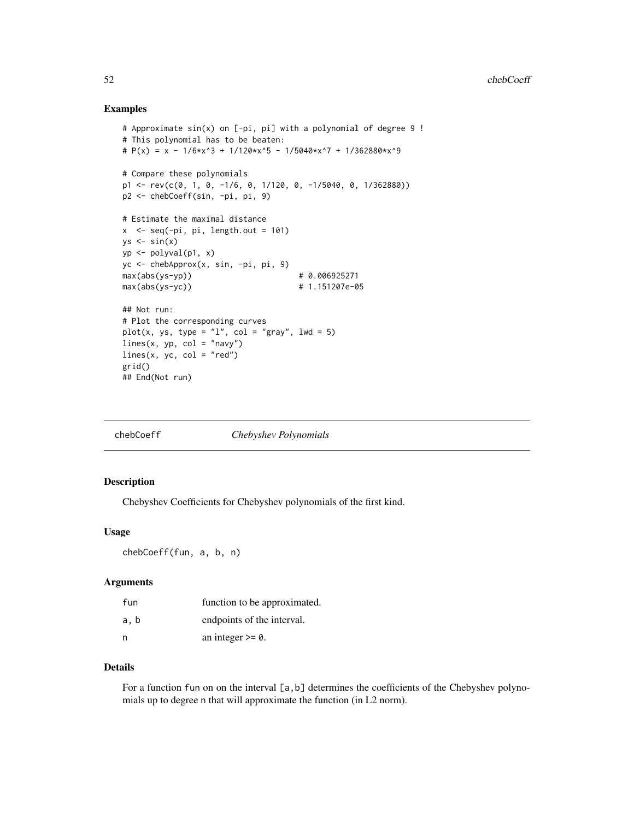## Examples

```
# Approximate sin(x) on [-pi, pi] with a polynomial of degree 9 !
# This polynomial has to be beaten:
# P(x) = x - 1/6*x^3 + 1/120*x^5 - 1/5040*x^7 + 1/362880*x^9# Compare these polynomials
p1 \leq -rev(c(\theta, 1, \theta, -1/6, \theta, 1/12\theta, \theta, -1/5\theta4\theta, \theta, 1/36288\theta))p2 <- chebCoeff(sin, -pi, pi, 9)
# Estimate the maximal distance
x \leq -\text{seq}(-\text{pi}, \text{pi}, \text{length.out} = 101)ys \leftarrow sin(x)yp <- polyval(p1, x)
yc <- chebApprox(x, sin, -pi, pi, 9)
max(abs(ys-yp)) # 0.006925271
max(abs(ys-yc)) # 1.151207e-05
## Not run:
# Plot the corresponding curves
plot(x, ys, type = "l", col = "gray", lwd = 5)
lines(x, yp, col = "navy")lines(x, yc, col = "red")grid()
## End(Not run)
```
<span id="page-51-0"></span>

| chebCoeff | Chebyshev Polynomials |
|-----------|-----------------------|
|-----------|-----------------------|

#### Description

Chebyshev Coefficients for Chebyshev polynomials of the first kind.

#### Usage

chebCoeff(fun, a, b, n)

#### Arguments

| fun  | function to be approximated. |
|------|------------------------------|
| a, b | endpoints of the interval.   |
| n    | an integer $\geq 0$ .        |

# Details

For a function fun on on the interval [a, b] determines the coefficients of the Chebyshev polynomials up to degree n that will approximate the function (in L2 norm).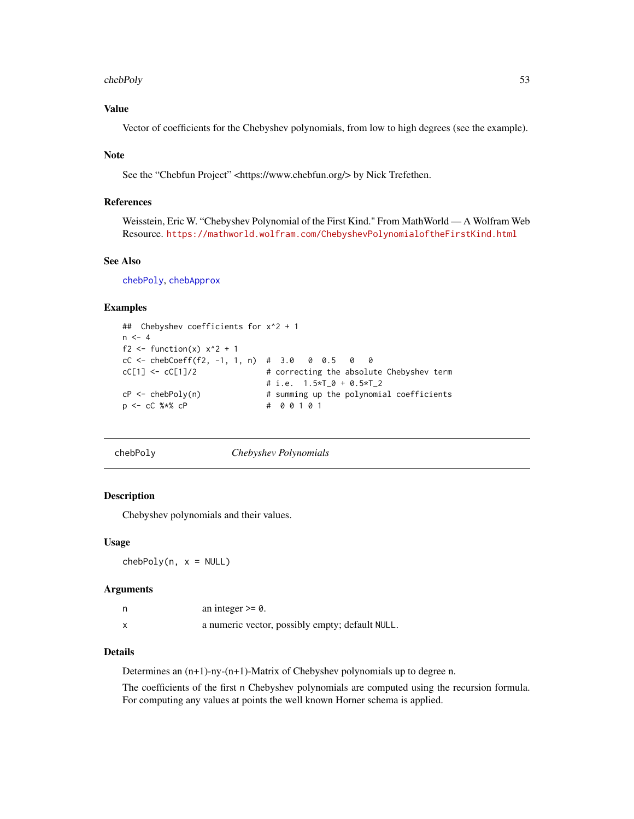#### chebPoly 53

# Value

Vector of coefficients for the Chebyshev polynomials, from low to high degrees (see the example).

#### Note

See the "Chebfun Project" <https://www.chebfun.org/> by Nick Trefethen.

## References

Weisstein, Eric W. "Chebyshev Polynomial of the First Kind." From MathWorld — A Wolfram Web Resource. <https://mathworld.wolfram.com/ChebyshevPolynomialoftheFirstKind.html>

## See Also

[chebPoly](#page-52-0), [chebApprox](#page-50-0)

## Examples

```
## Chebyshev coefficients for x^2 + 1
n < -4f2 <- function(x) x^2 + 1cC <- chebCoeff(f2, -1, 1, n) # 3.0 0 0.5 0 0<br>cC[1] <- cC[1]/2 # correcting the absolu
                               # correcting the absolute Chebyshev term
                               # i.e. 1.5*T_0 + 0.5*T_2
cP \leq -chebPoly(n) # summing up the polynomial coefficients
p <- cC %*% cP # 0 0 1 0 1
```
<span id="page-52-0"></span>chebPoly *Chebyshev Polynomials*

## Description

Chebyshev polynomials and their values.

#### Usage

 $chebPoly(n, x = NULL)$ 

#### Arguments

| an integer $\geq 0$ .                           |
|-------------------------------------------------|
| a numeric vector, possibly empty; default NULL. |

## Details

Determines an (n+1)-ny-(n+1)-Matrix of Chebyshev polynomials up to degree n.

The coefficients of the first n Chebyshev polynomials are computed using the recursion formula. For computing any values at points the well known Horner schema is applied.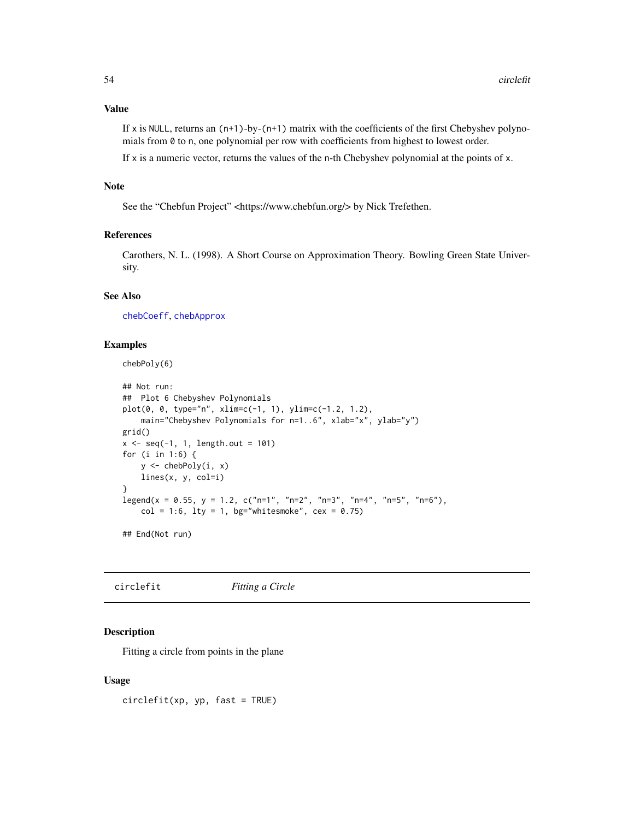# Value

If x is NULL, returns an  $(n+1)$ -by- $(n+1)$  matrix with the coefficients of the first Chebyshev polynomials from 0 to n, one polynomial per row with coefficients from highest to lowest order.

If  $x$  is a numeric vector, returns the values of the n-th Chebyshev polynomial at the points of  $x$ .

# Note

See the "Chebfun Project" <https://www.chebfun.org/> by Nick Trefethen.

# References

Carothers, N. L. (1998). A Short Course on Approximation Theory. Bowling Green State University.

# See Also

[chebCoeff](#page-51-0), [chebApprox](#page-50-0)

## Examples

chebPoly(6)

```
## Not run:
## Plot 6 Chebyshev Polynomials
plot(0, 0, type="n", xlim=c(-1, 1), ylim=c(-1.2, 1.2),
    main="Chebyshev Polynomials for n=1..6", xlab="x", ylab="y")
grid()
x \leq -\text{seq}(-1, 1, \text{length.out} = 101)for (i in 1:6) {
    y <- chebPoly(i, x)
    lines(x, y, col=i)
}
legend(x = 0.55, y = 1.2, c("n=1", "n=2", "n=3", "n=4", "n=5", "n=6"),col = 1:6, lty = 1, bg="whitesmoke", cex = 0.75)
```
## End(Not run)

<span id="page-53-0"></span>circlefit *Fitting a Circle*

# Description

Fitting a circle from points in the plane

## Usage

circlefit(xp, yp, fast = TRUE)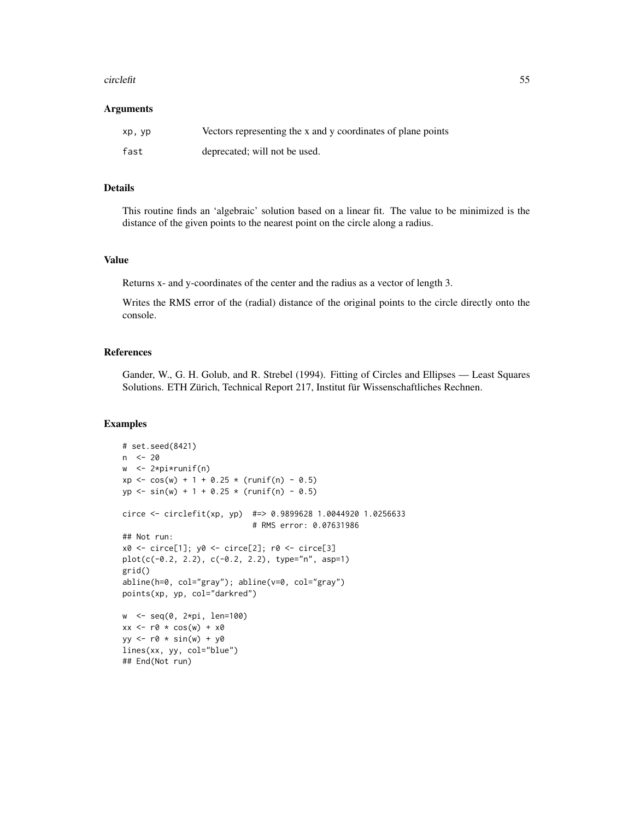#### circlefit 55

#### **Arguments**

| xp, yp | Vectors representing the x and y coordinates of plane points |
|--------|--------------------------------------------------------------|
| fast   | deprecated; will not be used.                                |

#### Details

This routine finds an 'algebraic' solution based on a linear fit. The value to be minimized is the distance of the given points to the nearest point on the circle along a radius.

## Value

Returns x- and y-coordinates of the center and the radius as a vector of length 3.

Writes the RMS error of the (radial) distance of the original points to the circle directly onto the console.

#### References

Gander, W., G. H. Golub, and R. Strebel (1994). Fitting of Circles and Ellipses — Least Squares Solutions. ETH Zürich, Technical Report 217, Institut für Wissenschaftliches Rechnen.

#### Examples

```
# set.seed(8421)
n <- 20
w <- 2*pi*runif(n)
xp \leq \cos(w) + 1 + 0.25 \times (runif(n) - 0.5)yp \le -\sin(w) + 1 + 0.25 \times (runif(n) - 0.5)circe <- circlefit(xp, yp) #=> 0.9899628 1.0044920 1.0256633
                             # RMS error: 0.07631986
## Not run:
x0 <- circe[1]; y0 <- circe[2]; r0 <- circe[3]
plot(c(-0.2, 2.2), c(-0.2, 2.2), type="n", asp=1)
grid()
abline(h=0, col="gray"); abline(v=0, col="gray")
points(xp, yp, col="darkred")
w <- seq(0, 2*pi, len=100)
xx \le -r0 \times cos(w) + x0yy \leq -r\theta * sin(w) + y\thetalines(xx, yy, col="blue")
## End(Not run)
```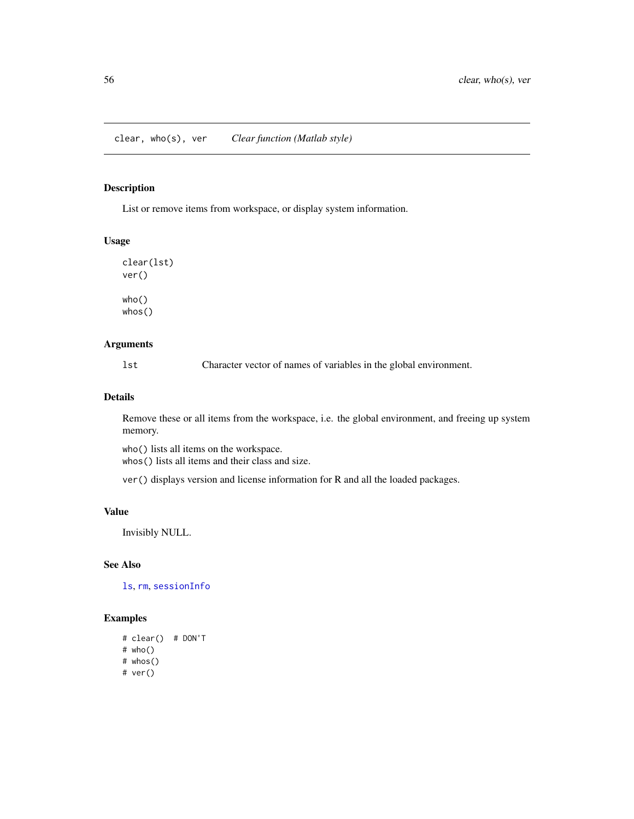List or remove items from workspace, or display system information.

## Usage

clear(lst) ver() who() whos()

## Arguments

lst Character vector of names of variables in the global environment.

# Details

Remove these or all items from the workspace, i.e. the global environment, and freeing up system memory.

who() lists all items on the workspace. whos() lists all items and their class and size.

ver() displays version and license information for R and all the loaded packages.

# Value

Invisibly NULL.

## See Also

[ls](#page-0-0), [rm](#page-0-0), [sessionInfo](#page-0-0)

# Examples

# clear() # DON'T # who() # whos() # ver()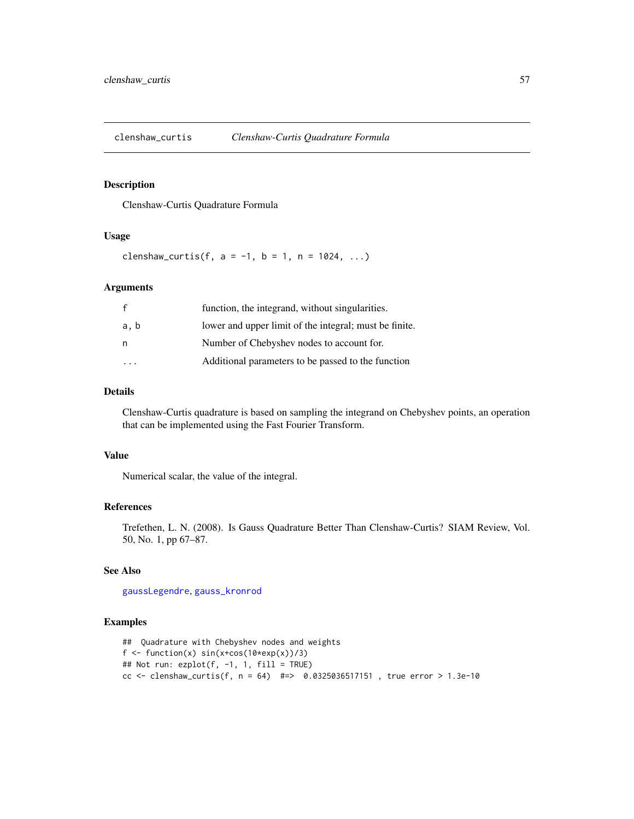clenshaw\_curtis *Clenshaw-Curtis Quadrature Formula*

## Description

Clenshaw-Curtis Quadrature Formula

#### Usage

clenshaw\_curtis(f,  $a = -1$ ,  $b = 1$ ,  $n = 1024$ , ...)

#### Arguments

| $\mathbf{f}$ | function, the integrand, without singularities.        |
|--------------|--------------------------------------------------------|
| a, b         | lower and upper limit of the integral; must be finite. |
| n            | Number of Chebyshev nodes to account for.              |
|              | Additional parameters to be passed to the function     |

## Details

Clenshaw-Curtis quadrature is based on sampling the integrand on Chebyshev points, an operation that can be implemented using the Fast Fourier Transform.

# Value

Numerical scalar, the value of the integral.

## References

Trefethen, L. N. (2008). Is Gauss Quadrature Better Than Clenshaw-Curtis? SIAM Review, Vol. 50, No. 1, pp 67–87.

## See Also

[gaussLegendre](#page-135-0), [gauss\\_kronrod](#page-138-0)

#### Examples

```
## Quadrature with Chebyshev nodes and weights
f \le function(x) sin(x+cos(10*exp(x))/3)## Not run: ezplot(f, -1, 1, fill = TRUE)
cc <- clenshaw_curtis(f, n = 64) #=> 0.0325036517151, true error > 1.3e-10
```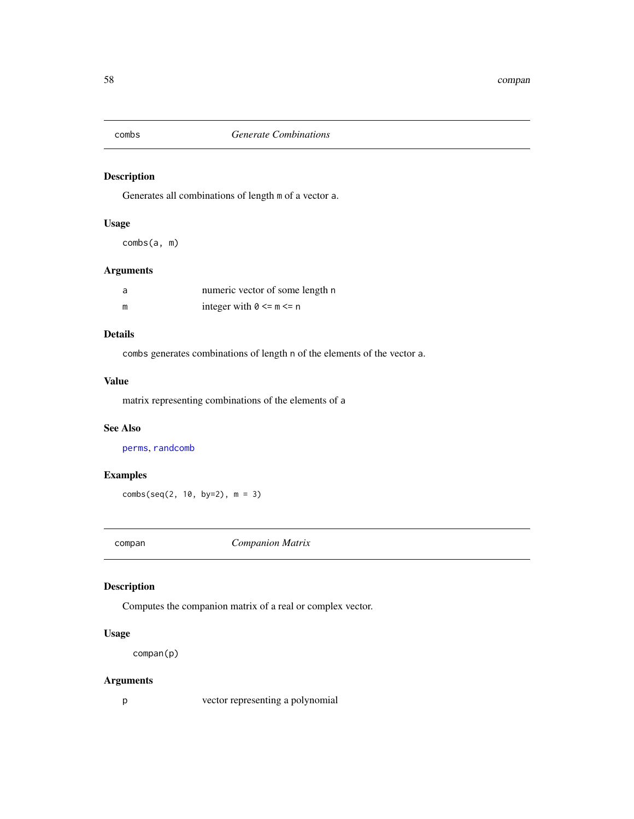Generates all combinations of length m of a vector a.

# Usage

combs(a, m)

# Arguments

| a | numeric vector of some length n |
|---|---------------------------------|
| m | integer with $0 \le m \le n$    |

# Details

combs generates combinations of length n of the elements of the vector a.

# Value

matrix representing combinations of the elements of a

#### See Also

[perms](#page-256-0), [randcomb](#page-301-0)

# Examples

combs(seq(2, 10, by=2), m = 3)

compan *Companion Matrix*

# Description

Computes the companion matrix of a real or complex vector.

# Usage

compan(p)

# Arguments

p vector representing a polynomial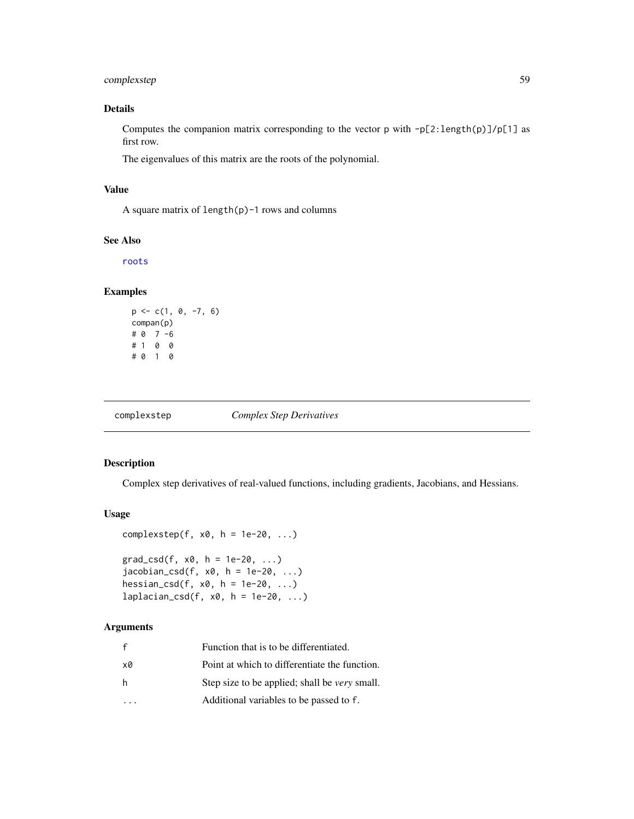# complexstep 59

## Details

Computes the companion matrix corresponding to the vector p with -p[2:length(p)]/p[1] as first row.

The eigenvalues of this matrix are the roots of the polynomial.

## Value

A square matrix of length(p)-1 rows and columns

#### See Also

[roots](#page-322-0)

## Examples

```
p \leftarrow c(1, 0, -7, 6)compan(p)
# 0 7 -6
# 1 0 0
# 0 1 0
```
complexstep *Complex Step Derivatives*

## Description

Complex step derivatives of real-valued functions, including gradients, Jacobians, and Hessians.

# Usage

```
complexstep(f, x0, h = 1e-20, ...)
```

```
grad_c s d(f, x0, h = 1e-20, ...)jacobian_csd(f, x0, h = 1e-20, ...)hessian_csd(f, x0, h = 1e-20, ...)
laplacian_csd(f, x0, h = 1e-20, ...)
```
#### Arguments

| f  | Function that is to be differentiated.               |
|----|------------------------------------------------------|
| x0 | Point at which to differentiate the function.        |
| h  | Step size to be applied; shall be <i>very</i> small. |
|    | Additional variables to be passed to f.              |
|    |                                                      |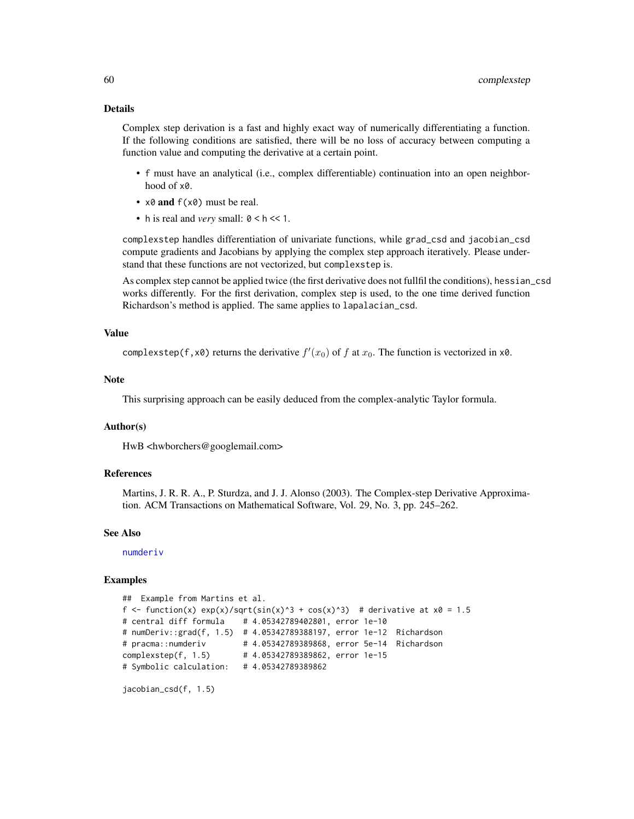#### Details

Complex step derivation is a fast and highly exact way of numerically differentiating a function. If the following conditions are satisfied, there will be no loss of accuracy between computing a function value and computing the derivative at a certain point.

- f must have an analytical (i.e., complex differentiable) continuation into an open neighborhood of x0.
- $x0$  and  $f(x0)$  must be real.
- h is real and *very* small:  $0 < h < 1$ .

complexstep handles differentiation of univariate functions, while grad\_csd and jacobian\_csd compute gradients and Jacobians by applying the complex step approach iteratively. Please understand that these functions are not vectorized, but complexstep is.

As complex step cannot be applied twice (the first derivative does not fullfil the conditions), hessian\_csd works differently. For the first derivation, complex step is used, to the one time derived function Richardson's method is applied. The same applies to lapalacian\_csd.

#### Value

```
complexstep(f, x0) returns the derivative f'(x_0) of f at x_0. The function is vectorized in x0.
```
#### Note

This surprising approach can be easily deduced from the complex-analytic Taylor formula.

#### Author(s)

HwB <hwborchers@googlemail.com>

#### References

Martins, J. R. R. A., P. Sturdza, and J. J. Alonso (2003). The Complex-step Derivative Approximation. ACM Transactions on Mathematical Software, Vol. 29, No. 3, pp. 245–262.

#### See Also

[numderiv](#page-244-0)

#### Examples

```
## Example from Martins et al.
f \le function(x) exp(x)/sqrt(sin(x)^3 + cos(x)^3) # derivative at x0 = 1.5
# central diff formula # 4.05342789402801, error 1e-10
# numDeriv::grad(f, 1.5) # 4.05342789388197, error 1e-12 Richardson
# pracma::numderiv # 4.05342789389868, error 5e-14 Richardson
complexstep(f, 1.5) # 4.05342789389862, error 1e-15
# Symbolic calculation: # 4.05342789389862
```
jacobian\_csd(f, 1.5)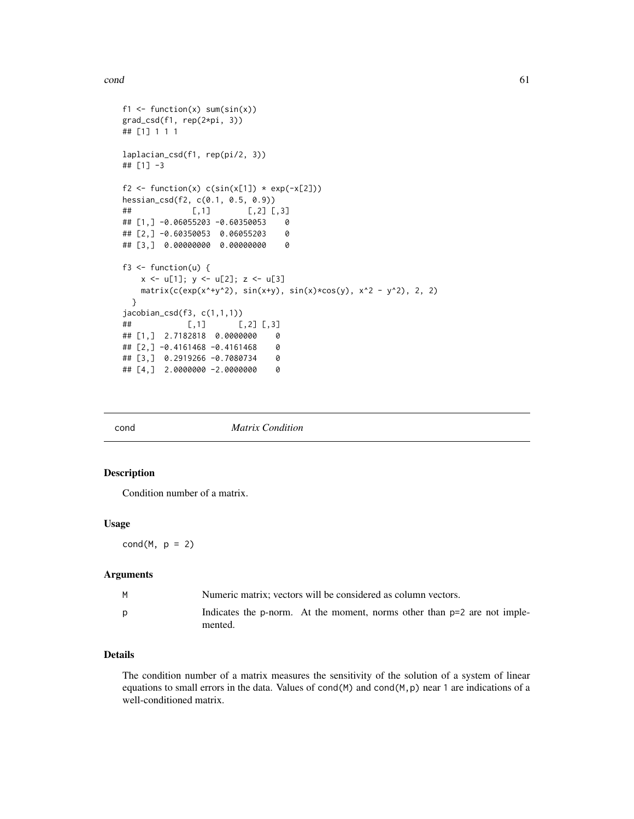#### $\epsilon$  cond 61

```
f1 \le function(x) sum(sin(x))
grad_csd(f1, rep(2*pi, 3))
## [1] 1 1 1
laplacian_csd(f1, rep(pi/2, 3))
## [1] -3
f2 <- function(x) c(sin(x[1]) * exp(-x[2]))hessian_csd(f2, c(0.1, 0.5, 0.9))
\sharp\sharp [,1] [,2] [,3]
## [1,] -0.06055203 -0.60350053 0
## [2,] -0.60350053 0.06055203 0
## [3,] 0.00000000 0.00000000 0
f3 \leftarrow function(u) {
   x \leq -u[1]; y \leq -u[2]; z \leq -u[3]matrix(c(exp(x^4+y^2), sin(x+y), sin(x)*cos(y), x^2 - y^2), 2, 2)}
jacobian_csd(f3, c(1,1,1))
## [,1] [,2] [,3]
## [1,] 2.7182818 0.0000000 0
## [2,] -0.4161468 -0.4161468 0
## [3,] 0.2919266 -0.7080734 0
## [4,] 2.0000000 -2.0000000 0
```

| cond |  |
|------|--|

cond *Matrix Condition*

## Description

Condition number of a matrix.

#### Usage

 $cond(M, p = 2)$ 

# Arguments

| Numeric matrix: vectors will be considered as column vectors.                       |
|-------------------------------------------------------------------------------------|
| Indicates the p-norm. At the moment, norms other than p=2 are not imple-<br>mented. |

# Details

The condition number of a matrix measures the sensitivity of the solution of a system of linear equations to small errors in the data. Values of cond(M) and cond(M, p) near 1 are indications of a well-conditioned matrix.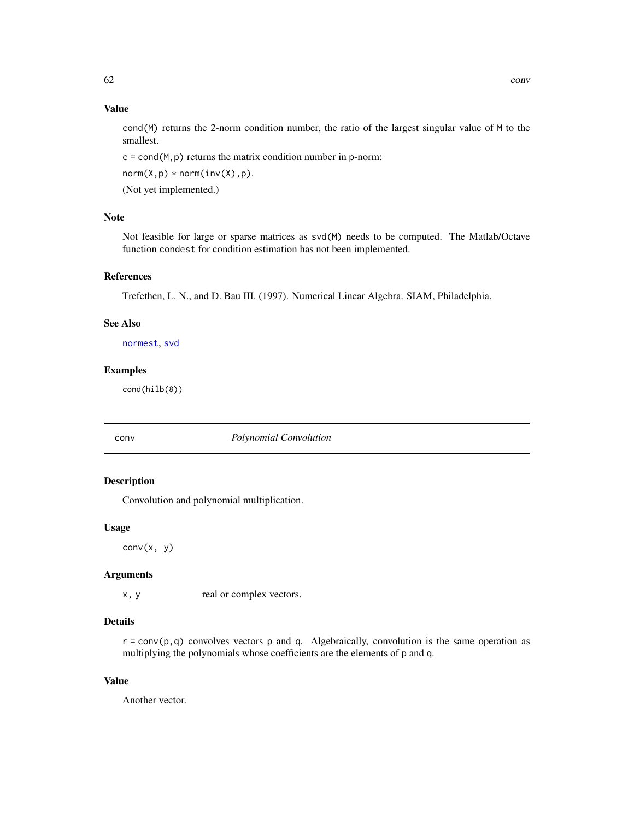## Value

cond( $M$ ) returns the 2-norm condition number, the ratio of the largest singular value of  $M$  to the smallest.

 $c = cond(M, p)$  returns the matrix condition number in p-norm:

 $norm(X,p) * norm(inv(X),p).$ 

(Not yet implemented.)

## Note

Not feasible for large or sparse matrices as svd(M) needs to be computed. The Matlab/Octave function condest for condition estimation has not been implemented.

#### References

Trefethen, L. N., and D. Bau III. (1997). Numerical Linear Algebra. SIAM, Philadelphia.

# See Also

[normest](#page-241-0), [svd](#page-0-0)

#### Examples

cond(hilb(8))

# conv *Polynomial Convolution*

## Description

Convolution and polynomial multiplication.

## Usage

 $conv(x, y)$ 

# Arguments

x, y real or complex vectors.

## Details

 $r = \text{conv}(p, q)$  convolves vectors p and q. Algebraically, convolution is the same operation as multiplying the polynomials whose coefficients are the elements of p and q.

# Value

Another vector.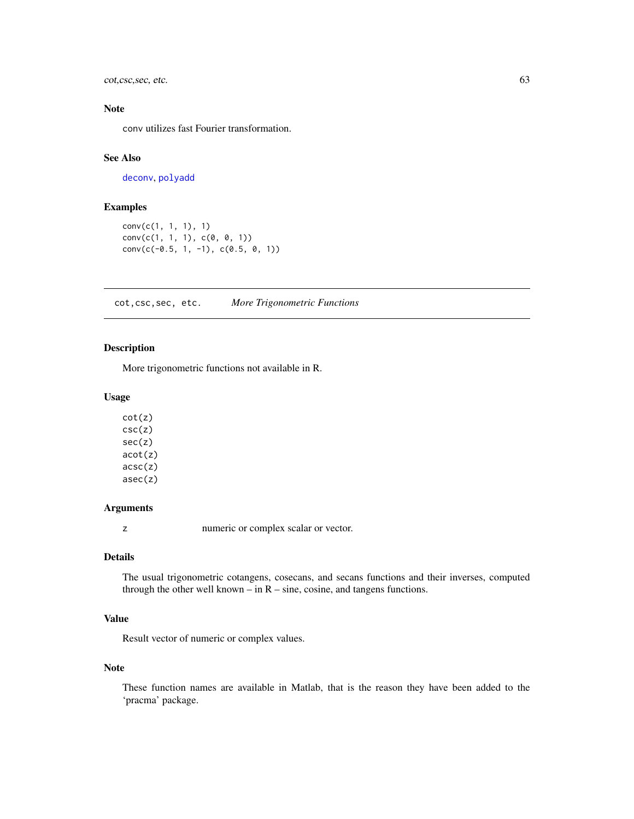cot,csc,sec, etc. 63

# Note

conv utilizes fast Fourier transformation.

#### See Also

[deconv](#page-75-0), [polyadd](#page-264-0)

# Examples

```
conv(c(1, 1, 1), 1)
conv(c(1, 1, 1), c(0, 0, 1))conv(c(-0.5, 1, -1), c(0.5, 0, 1))
```
cot,csc,sec, etc. *More Trigonometric Functions*

## Description

More trigonometric functions not available in R.

## Usage

cot(z) csc(z) sec(z) acot(z) acsc(z) asec(z)

# Arguments

z numeric or complex scalar or vector.

## Details

The usual trigonometric cotangens, cosecans, and secans functions and their inverses, computed through the other well known – in  $R$  – sine, cosine, and tangens functions.

# Value

Result vector of numeric or complex values.

# Note

These function names are available in Matlab, that is the reason they have been added to the 'pracma' package.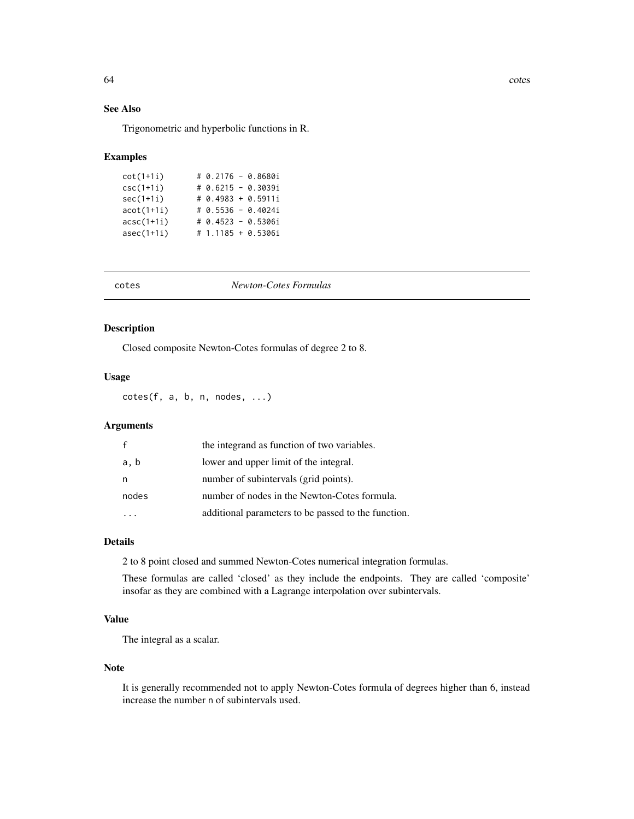64 cotes control of the control of the control of the control of the control of the control of the control of the control of the control of the control of the control of the control of the control of the control of the con

# See Also

Trigonometric and hyperbolic functions in R.

#### Examples

| $cot(1+1i)$         |  | # 0.2176 - 0.8680i |
|---------------------|--|--------------------|
| $csc(1+1i)$         |  | # 0.6215 - 0.3039i |
| $sec(1+1i)$         |  | # 0.4983 + 0.5911i |
| $act(1+1i)$         |  | # 0.5536 - 0.4024i |
| $accc(1+1i)$        |  | # 0.4523 - 0.5306i |
| $\text{asec}(1+1i)$ |  | # 1.1185 + 0.5306i |

| г<br>c<br>ı |  |
|-------------|--|

# cotes *Newton-Cotes Formulas*

# Description

Closed composite Newton-Cotes formulas of degree 2 to 8.

## Usage

cotes(f, a, b, n, nodes, ...)

# Arguments

| $\mathbf{f}$ | the integrand as function of two variables.         |
|--------------|-----------------------------------------------------|
| a, b         | lower and upper limit of the integral.              |
| n            | number of subintervals (grid points).               |
| nodes        | number of nodes in the Newton-Cotes formula.        |
|              | additional parameters to be passed to the function. |

# Details

2 to 8 point closed and summed Newton-Cotes numerical integration formulas.

These formulas are called 'closed' as they include the endpoints. They are called 'composite' insofar as they are combined with a Lagrange interpolation over subintervals.

## Value

The integral as a scalar.

#### Note

It is generally recommended not to apply Newton-Cotes formula of degrees higher than 6, instead increase the number n of subintervals used.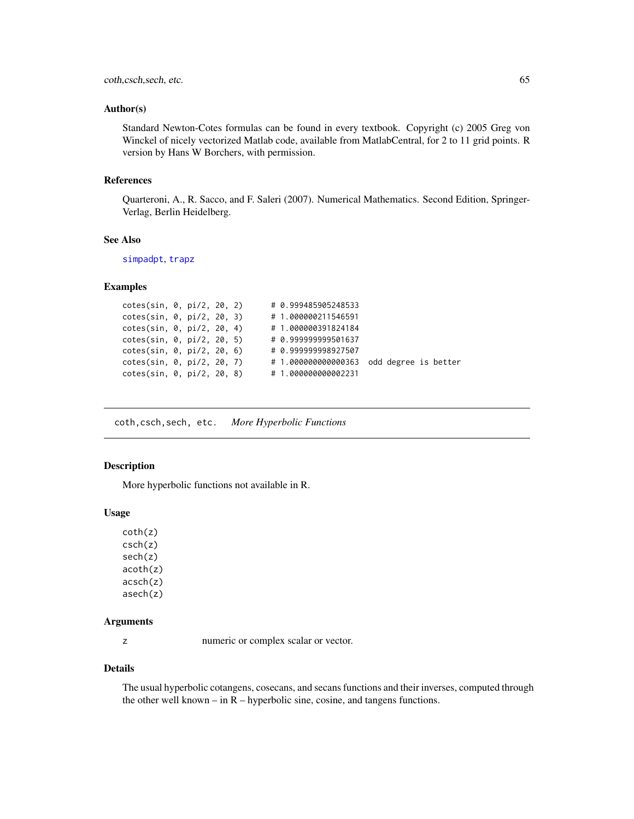#### coth, csch, sech, etc. 65

#### Author(s)

Standard Newton-Cotes formulas can be found in every textbook. Copyright (c) 2005 Greg von Winckel of nicely vectorized Matlab code, available from MatlabCentral, for 2 to 11 grid points. R version by Hans W Borchers, with permission.

#### References

Quarteroni, A., R. Sacco, and F. Saleri (2007). Numerical Mathematics. Second Edition, Springer-Verlag, Berlin Heidelberg.

#### See Also

[simpadpt](#page-337-0), [trapz](#page-367-0)

## Examples

```
cotes(sin, 0, pi/2, 20, 2) # 0.999485905248533
cotes(sin, 0, pi/2, 20, 3) # 1.000000211546591<br>cotes(sin, 0, pi/2, 20, 4) # 1.000000391824184
cotes(sin, 0, pi/2, 20, 4)cotes(sin, 0, pi/2, 20, 5) # 0.999999999501637
cotes(sin, 0, pi/2, 20, 6) # 0.999999998927507
cotes(sin, 0, pi/2, 20, 7) # 1.000000000000363 odd degree is better
cotes(sin, 0, pi/2, 20, 8) # 1.000000000002231
```
coth,csch,sech, etc. *More Hyperbolic Functions*

# Description

More hyperbolic functions not available in R.

#### Usage

coth(z) csch(z) sech(z) acoth(z) acsch(z) asech(z)

#### Arguments

z numeric or complex scalar or vector.

#### Details

The usual hyperbolic cotangens, cosecans, and secans functions and their inverses, computed through the other well known – in  $R$  – hyperbolic sine, cosine, and tangens functions.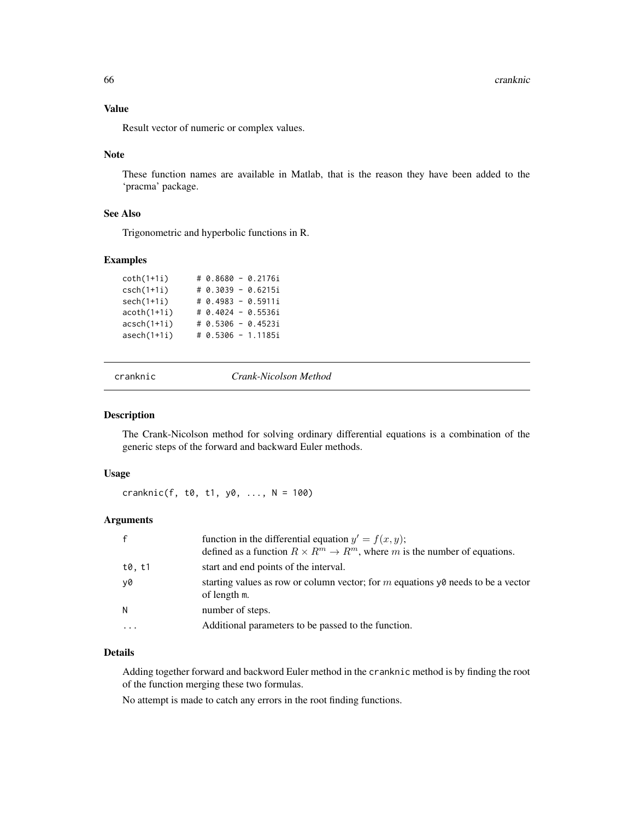66 cranknic

## Value

Result vector of numeric or complex values.

#### Note

These function names are available in Matlab, that is the reason they have been added to the 'pracma' package.

# See Also

Trigonometric and hyperbolic functions in R.

## Examples

| $coth(1+1i)$  |  | # 0.8680 - 0.2176i   |
|---------------|--|----------------------|
| $csch(1+1i)$  |  | # 0.3039 - 0.6215i   |
| $sech(1+1i)$  |  | $# 0.4983 - 0.5911i$ |
| $acoth(1+1i)$ |  | # 0.4024 - 0.5536i   |
| $acsch(1+1i)$ |  | # 0.5306 - 0.4523i   |
| $asech(1+1i)$ |  | # 0.5306 - 1.1185i   |

cranknic *Crank-Nicolson Method*

# Description

The Crank-Nicolson method for solving ordinary differential equations is a combination of the generic steps of the forward and backward Euler methods.

# Usage

cranknic(f,  $t0$ ,  $t1$ ,  $y0$ , ...,  $N = 100$ )

# Arguments

|          | function in the differential equation $y' = f(x, y)$ ;<br>defined as a function $R \times R^m \to R^m$ , where m is the number of equations. |
|----------|----------------------------------------------------------------------------------------------------------------------------------------------|
| t0, t1   | start and end points of the interval.                                                                                                        |
| v0       | starting values as row or column vector; for m equations $y\theta$ needs to be a vector<br>of length m.                                      |
| N        | number of steps.                                                                                                                             |
| $\cdots$ | Additional parameters to be passed to the function.                                                                                          |

## Details

Adding together forward and backword Euler method in the cranknic method is by finding the root of the function merging these two formulas.

No attempt is made to catch any errors in the root finding functions.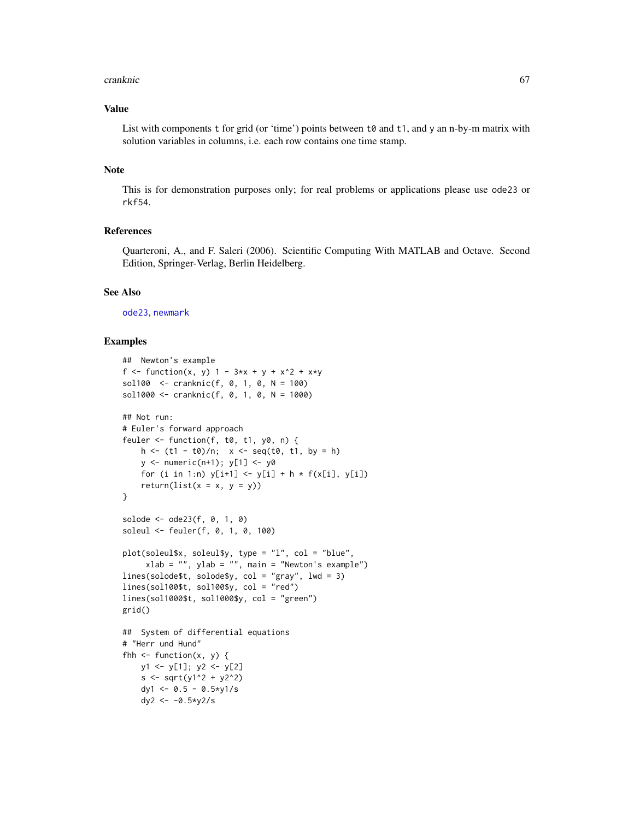#### cranknic 67

## Value

List with components  $t$  for grid (or 'time') points between  $t\vartheta$  and  $t\vartheta$ , and y an n-by-m matrix with solution variables in columns, i.e. each row contains one time stamp.

# Note

This is for demonstration purposes only; for real problems or applications please use ode23 or rkf54.

# References

Quarteroni, A., and F. Saleri (2006). Scientific Computing With MATLAB and Octave. Second Edition, Springer-Verlag, Berlin Heidelberg.

#### See Also

[ode23](#page-246-0), [newmark](#page-232-0)

#### Examples

```
## Newton's example
f <- function(x, y) 1 - 3*x + y + x^2 + x*ysol100 <- cranknic(f, 0, 1, 0, N = 100)
sol1000 <- cranknic(f, 0, 1, 0, N = 1000)
## Not run:
# Euler's forward approach
feuler \leq function(f, t0, t1, y0, n) {
    h \le -(t1 - t0)/n; x \le -\text{seq}(t0, t1, by = h)y \leftarrow numeric(n+1); y[1] \leftarrow y\emptysetfor (i in 1:n) y[i+1] <- y[i] + h * f(x[i], y[i])return(list(x = x, y = y))
}
solode <- ode23(f, 0, 1, 0)
soleul <- feuler(f, 0, 1, 0, 100)
plot(soleul$x, soleul$y, type = "l", col = "blue",
     xlab = "", ylab = "", main = "Newton's example")lines(solode$t, solode$y, col = "gray", lwd = 3)
lines(sol100$t, sol100$y, col = "red")
lines(sol1000$t, sol1000$y, col = "green")
grid()
## System of differential equations
# "Herr und Hund"
fhh \leq function(x, y) {
    y1 <- y[1]; y2 <- y[2]
    s < -sqrt( y1^2 + y2^2)dy1 <- 0.5 - 0.5 *y1/s
    dy2 <- -0.5*y2/s
```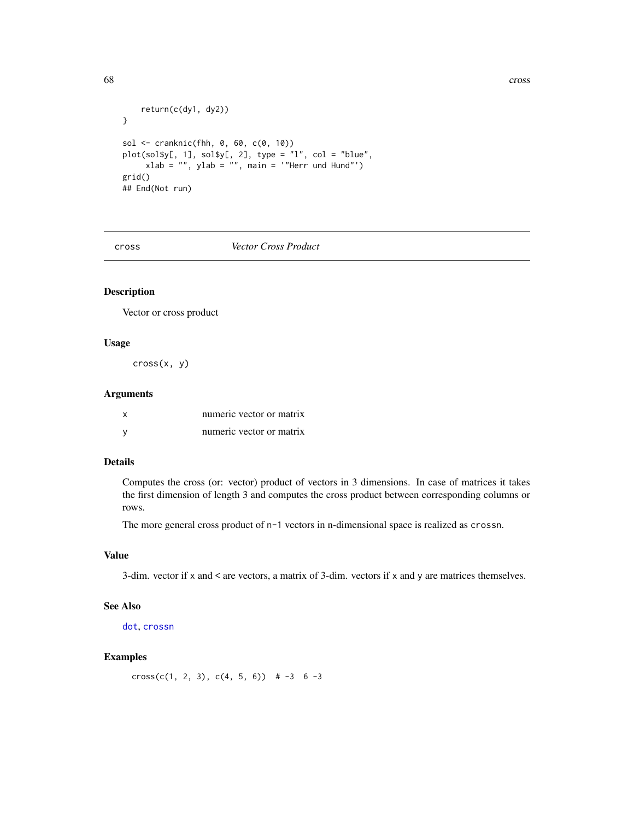```
return(c(dy1, dy2))
}
sol <- cranknic(fhh, 0, 60, c(0, 10))
plot(soly[, 1], sol$y[, 2], type = "l", col = "blue",xlab = "", ylab = "", main = '"Herr und Hund"')
grid()
## End(Not run)
```
<span id="page-67-0"></span>cross *Vector Cross Product*

# Description

Vector or cross product

# Usage

cross(x, y)

## Arguments

| numeric vector or matrix |  |  |
|--------------------------|--|--|
| numeric vector or matrix |  |  |

# Details

Computes the cross (or: vector) product of vectors in 3 dimensions. In case of matrices it takes the first dimension of length 3 and computes the cross product between corresponding columns or rows.

The more general cross product of n-1 vectors in n-dimensional space is realized as crossn.

## Value

3-dim. vector if x and < are vectors, a matrix of 3-dim. vectors if x and y are matrices themselves.

#### See Also

[dot](#page-82-0), [crossn](#page-68-0)

#### Examples

cross(c(1, 2, 3), c(4, 5, 6))  $\# -3 \ 6 -3$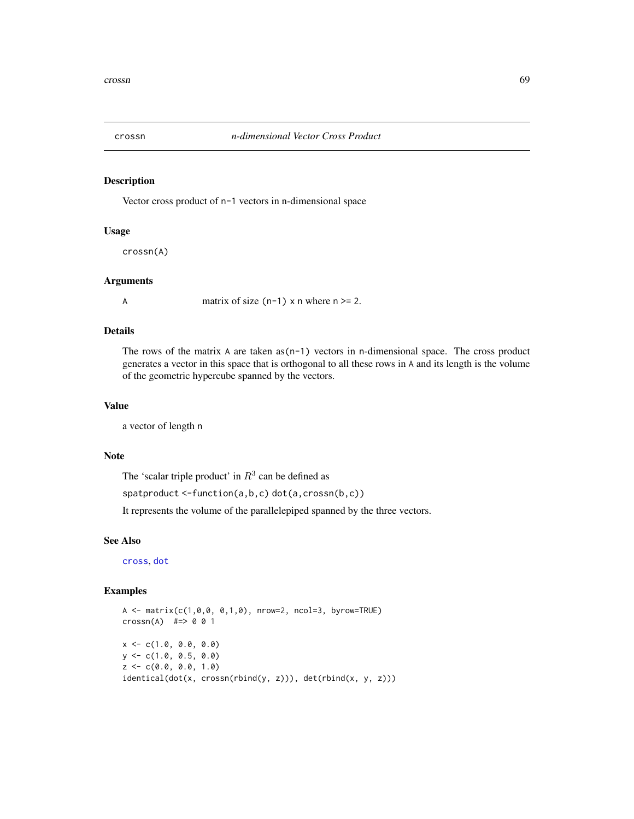<span id="page-68-0"></span>

Vector cross product of n-1 vectors in n-dimensional space

#### Usage

crossn(A)

#### Arguments

A matrix of size  $(n-1)$  x n where  $n \ge 2$ .

# Details

The rows of the matrix A are taken as  $(n-1)$  vectors in n-dimensional space. The cross product generates a vector in this space that is orthogonal to all these rows in A and its length is the volume of the geometric hypercube spanned by the vectors.

#### Value

a vector of length n

## Note

The 'scalar triple product' in  $R<sup>3</sup>$  can be defined as

spatproduct <-function(a,b,c) dot(a,crossn(b,c))

It represents the volume of the parallelepiped spanned by the three vectors.

#### See Also

[cross](#page-67-0), [dot](#page-82-0)

# Examples

 $A \leq -\text{matrix}(c(1, 0, 0, 0, 1, 0), \text{nrow=2}, \text{ncol=3}, \text{byrow=TRUE})$  $crossn(A)$  #=> 0 0 1  $x \leq -c(1.0, 0.0, 0.0)$  $y \leq -c(1.0, 0.5, 0.0)$  $z \leq c(0.0, 0.0, 1.0)$ identical(dot(x, crossn(rbind(y, z))), det(rbind(x, y, z)))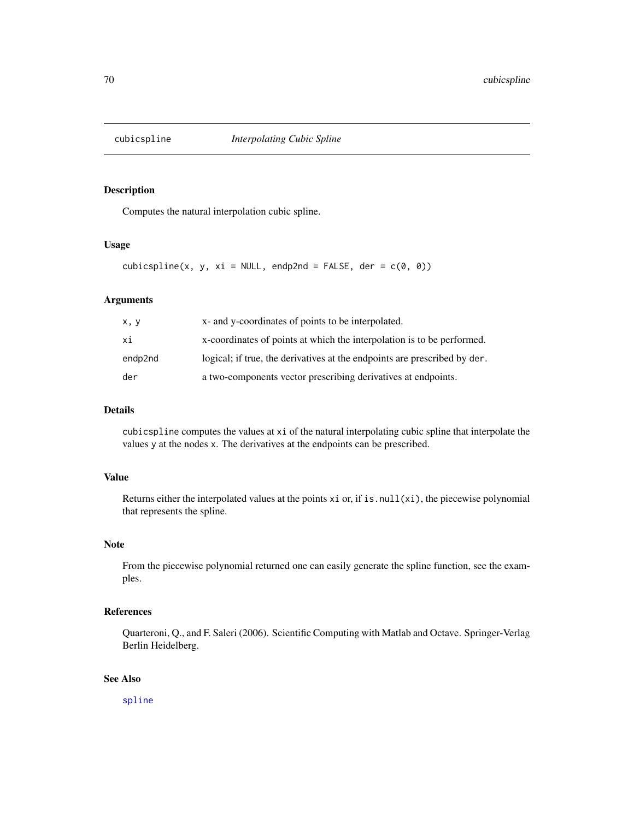Computes the natural interpolation cubic spline.

## Usage

 $cubic spline(x, y, xi = NULL, endp2nd = FALSE, der =  $c(0, 0)$ )$ 

#### Arguments

| x, y    | x- and y-coordinates of points to be interpolated.                        |
|---------|---------------------------------------------------------------------------|
| хi      | x-coordinates of points at which the interpolation is to be performed.    |
| endp2nd | logical; if true, the derivatives at the endpoints are prescribed by der. |
| der     | a two-components vector prescribing derivatives at endpoints.             |

## Details

cubicspline computes the values at xi of the natural interpolating cubic spline that interpolate the values y at the nodes x. The derivatives at the endpoints can be prescribed.

## Value

Returns either the interpolated values at the points  $x$  i or, if is.null( $x$ i), the piecewise polynomial that represents the spline.

# Note

From the piecewise polynomial returned one can easily generate the spline function, see the examples.

## References

Quarteroni, Q., and F. Saleri (2006). Scientific Computing with Matlab and Octave. Springer-Verlag Berlin Heidelberg.

# See Also

[spline](#page-0-0)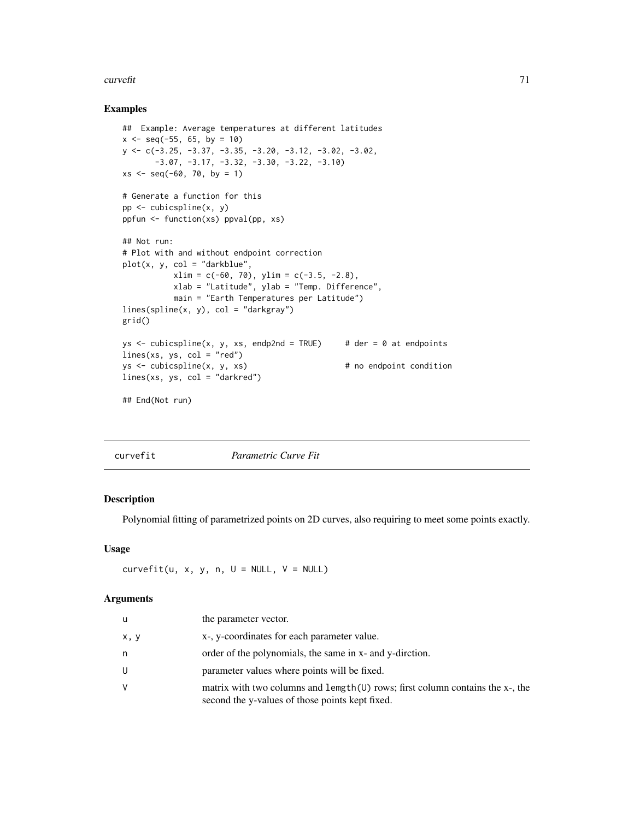#### $curvefit$  71

#### Examples

```
## Example: Average temperatures at different latitudes
x \le - seq(-55, 65, by = 10)
y <- c(-3.25, -3.37, -3.35, -3.20, -3.12, -3.02, -3.02,
      -3.07, -3.17, -3.32, -3.30, -3.22, -3.10)
xs \leq -seq(-60, 70, by = 1)# Generate a function for this
pp <- cubicspline(x, y)
ppfun <- function(xs) ppval(pp, xs)
## Not run:
# Plot with and without endpoint correction
plot(x, y, col = "darkblue",xlim = c(-60, 70), ylim = c(-3.5, -2.8),xlab = "Latitude", ylab = "Temp. Difference",
          main = "Earth Temperatures per Latitude")
lines(spline(x, y), col = "darkgray")grid()
ys \le cubicspline(x, y, xs, endp2nd = TRUE) # der = 0 at endpoints
lines(xs, ys, col = "red")ys \leftarrow cubic spline(x, y, xs) # no endpoint condition
lines(xs, ys, col = "darkred")## End(Not run)
```

| curvefit | Parametric Curve Fit |  |
|----------|----------------------|--|

#### Description

Polynomial fitting of parametrized points on 2D curves, also requiring to meet some points exactly.

#### Usage

 $curvefit(u, x, y, n, U = NULL, V = NULL)$ 

# Arguments

| u    | the parameter vector.                                                                                                               |
|------|-------------------------------------------------------------------------------------------------------------------------------------|
| x, y | x-, y-coordinates for each parameter value.                                                                                         |
| n    | order of the polynomials, the same in x- and y-dirction.                                                                            |
| U    | parameter values where points will be fixed.                                                                                        |
| v    | matrix with two columns and length $(U)$ rows; first column contains the x-, the<br>second the y-values of those points kept fixed. |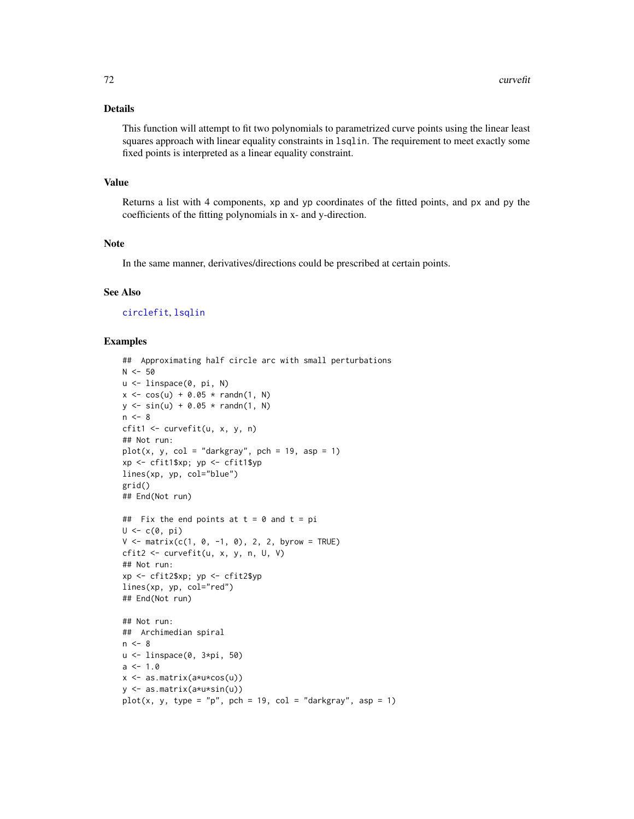# Details

This function will attempt to fit two polynomials to parametrized curve points using the linear least squares approach with linear equality constraints in 1sq1in. The requirement to meet exactly some fixed points is interpreted as a linear equality constraint.

# Value

Returns a list with 4 components, xp and yp coordinates of the fitted points, and px and py the coefficients of the fitting polynomials in x- and y-direction.

#### Note

In the same manner, derivatives/directions could be prescribed at certain points.

#### See Also

[circlefit](#page-53-0), [lsqlin](#page-206-0)

#### Examples

```
## Approximating half circle arc with small perturbations
N < -50u <- linspace(0, pi, N)
x \le -\cos(u) + 0.05 * \text{randn}(1, N)y \le - \sin(u) + 0.05 * \text{randn}(1, N)n < - 8cfit1 <- curvefit(u, x, y, n)
## Not run:
plot(x, y, col = "darkgray", pch = 19, asp = 1)xp <- cfit1$xp; yp <- cfit1$yp
lines(xp, yp, col="blue")
grid()
## End(Not run)
## Fix the end points at t = 0 and t = piU \leftarrow c(\emptyset, pi)V \le - matrix(c(1, 0, -1, 0), 2, 2, byrow = TRUE)
cfit2 <- curvefit(u, x, y, n, U, V)
## Not run:
xp <- cfit2$xp; yp <- cfit2$yp
lines(xp, yp, col="red")
## End(Not run)
## Not run:
## Archimedian spiral
n < - 8u <- linspace(0, 3*pi, 50)
a \le -1.0x <- as.matrix(a*u*cos(u))
y <- as.matrix(a*u*sin(u))
plot(x, y, type = "p", pch = 19, col = "darkgray", asp = 1)
```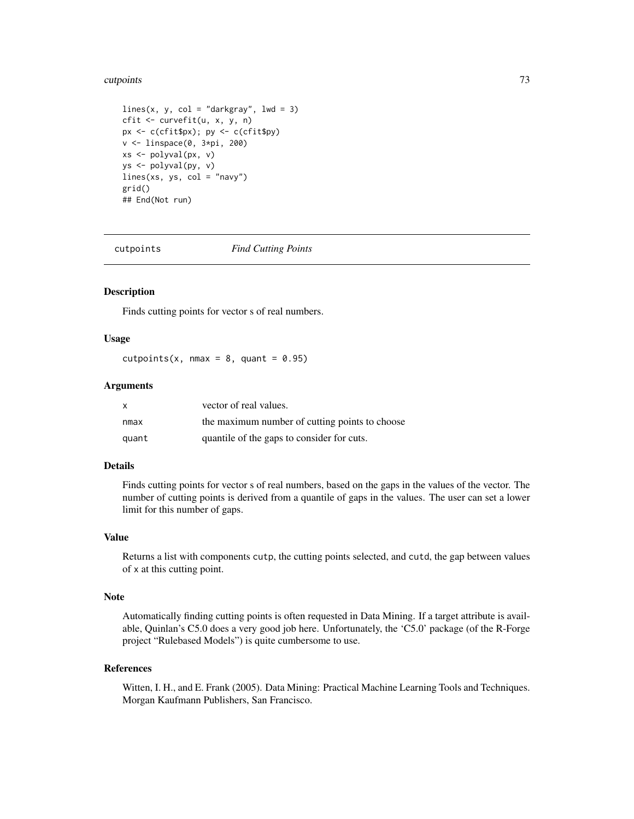#### cutpoints 73

```
lines(x, y, col = "darkgray", lwd = 3)cfit <- curvefit(u, x, y, n)
px <- c(cfit$px); py <- c(cfit$py)
v <- linspace(0, 3*pi, 200)
xs <- polyval(px, v)
ys <- polyval(py, v)
lines(xs, ys, col = "navy")grid()
## End(Not run)
```
cutpoints *Find Cutting Points*

### Description

Finds cutting points for vector s of real numbers.

## Usage

cutpoints(x, nmax = 8, quant =  $0.95$ )

# Arguments

| $\mathsf{x}$ | vector of real values.                         |
|--------------|------------------------------------------------|
| nmax         | the maximum number of cutting points to choose |
| quant        | quantile of the gaps to consider for cuts.     |

## Details

Finds cutting points for vector s of real numbers, based on the gaps in the values of the vector. The number of cutting points is derived from a quantile of gaps in the values. The user can set a lower limit for this number of gaps.

#### Value

Returns a list with components cutp, the cutting points selected, and cutd, the gap between values of x at this cutting point.

# Note

Automatically finding cutting points is often requested in Data Mining. If a target attribute is available, Quinlan's C5.0 does a very good job here. Unfortunately, the 'C5.0' package (of the R-Forge project "Rulebased Models") is quite cumbersome to use.

#### References

Witten, I. H., and E. Frank (2005). Data Mining: Practical Machine Learning Tools and Techniques. Morgan Kaufmann Publishers, San Francisco.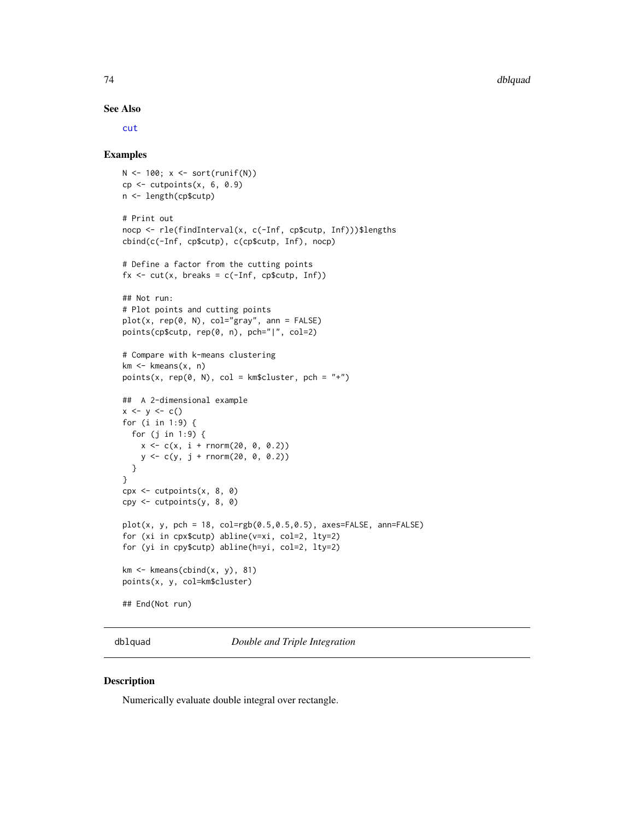#### See Also

[cut](#page-0-0)

## Examples

```
N \leftarrow 100; x \leftarrow sort(runif(N))cp \leq -\text{cutpoints}(x, 6, 0.9)n <- length(cp$cutp)
# Print out
nocp <- rle(findInterval(x, c(-Inf, cp$cutp, Inf)))$lengths
cbind(c(-Inf, cp$cutp), c(cp$cutp, Inf), nocp)
# Define a factor from the cutting points
fx \leq cut(x, \text{ breaks} = c(-Inf, \text{cp}\## Not run:
# Plot points and cutting points
plot(x, rep(0, N), col="gray", ann = FALSE)points(cp$cutp, rep(0, n), pch="|", col=2)
# Compare with k-means clustering
km < - kmeans(x, n)points(x, rep(0, N), col = km$cluster, pch = "+")## A 2-dimensional example
x \le -y \le -c()for (i in 1:9) {
 for (j in 1:9) {
    x < -c(x, i + \text{norm}(20, 0, 0.2))y \leq c(y, j + \text{norm}(20, 0, 0.2))}
}
cpx <- cutpoints(x, 8, 0)
cpy <- cutpoints(y, 8, 0)
plot(x, y, pch = 18, col=rgb(0.5, 0.5, 0.5), axes=FALSE, ann=FALSE)for (xi in cpx$cutp) abline(v=xi, col=2, lty=2)
for (yi in cpy$cutp) abline(h=yi, col=2, lty=2)
km \leq - kmeans(cbind(x, y), 81)
points(x, y, col=km$cluster)
## End(Not run)
```
dblquad *Double and Triple Integration*

## Description

Numerically evaluate double integral over rectangle.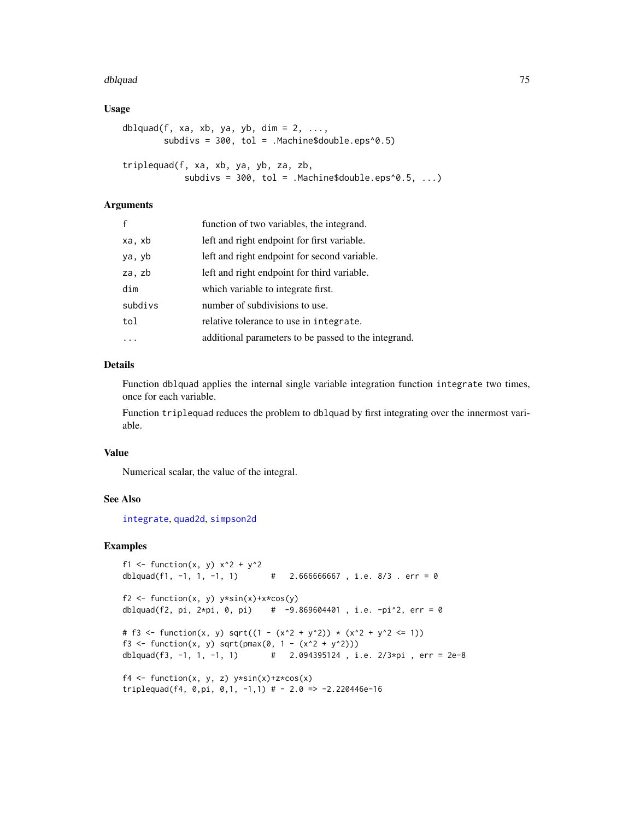#### dblquad 75

## Usage

```
dblquad(f, xa, xb, ya, yb, dim = 2, \ldots,
        subdivs = 300, tol = .Machine$double.eps^0.5)
triplequad(f, xa, xb, ya, yb, za, zb,
            subdivs = 300, tol = .Machine$double.eps^0.5, ...)
```
## Arguments

| $\mathbf{f}$ | function of two variables, the integrand.            |
|--------------|------------------------------------------------------|
| xa, xb       | left and right endpoint for first variable.          |
| ya, yb       | left and right endpoint for second variable.         |
| za, zb       | left and right endpoint for third variable.          |
| dim          | which variable to integrate first.                   |
| subdivs      | number of subdivisions to use.                       |
| tol          | relative tolerance to use in integrate.              |
|              | additional parameters to be passed to the integrand. |

# Details

Function dblquad applies the internal single variable integration function integrate two times, once for each variable.

Function triplequad reduces the problem to dblquad by first integrating over the innermost variable.

#### Value

Numerical scalar, the value of the integral.

## See Also

[integrate](#page-0-0), [quad2d](#page-288-0), [simpson2d](#page-338-0)

```
f1 <- function(x, y) x^2 + y^2dblquad(f1, -1, 1, -1, 1) \# 2.666666667, i.e. 8/3. err = 0
f2 <- function(x, y) y*sin(x)+x*cos(y)dblquad(f2, pi, 2*pi, 0, pi) # -9.869604401, i.e. -pi^2, err = 0
# f3 <- function(x, y) sqrt((1 - (x^2 + y^2)) * (x^2 + y^2 - 1))
f3 <- function(x, y) sqrt(pmax(0, 1 - (x^2 + y^2)))
dblquad(f3, -1, 1, -1, 1) # 2.094395124 , i.e. 2/3*pi , err = 2e-8
f4 \leftarrow function(x, y, z) y * sin(x) + z * cos(x)triplequad(f4, 0,pi, 0,1, -1,1) # - 2.0 => -2.220446e-16
```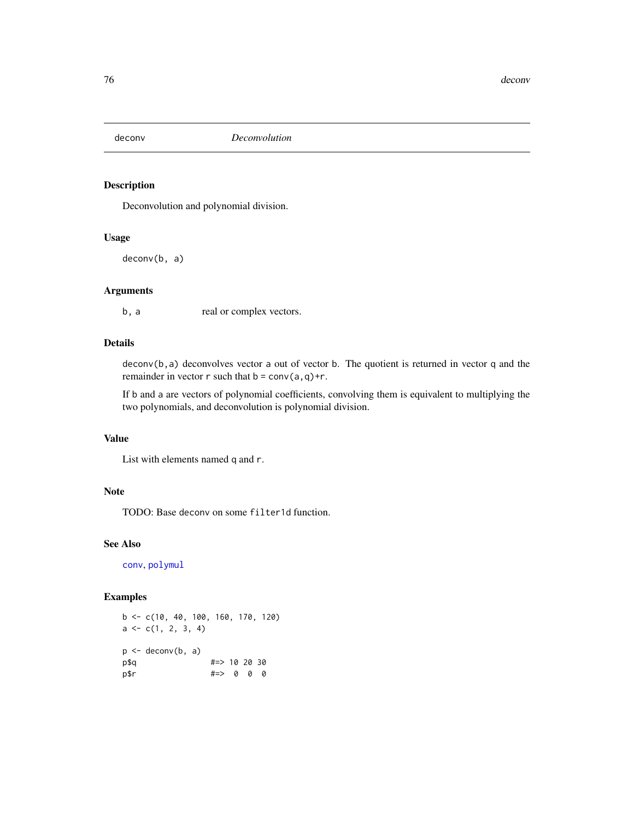Deconvolution and polynomial division.

# Usage

deconv(b, a)

# Arguments

b, a real or complex vectors.

# Details

 $deconv(b, a)$  deconvolves vector a out of vector b. The quotient is returned in vector q and the remainder in vector  $r$  such that  $b = \text{conv}(a,q) + r$ .

If b and a are vectors of polynomial coefficients, convolving them is equivalent to multiplying the two polynomials, and deconvolution is polynomial division.

# Value

List with elements named q and r.

#### Note

TODO: Base deconv on some filter1d function.

# See Also

[conv](#page-61-0), [polymul](#page-273-0)

```
b \leq -c(10, 40, 100, 160, 170, 120)a \leftarrow c(1, 2, 3, 4)p \leftarrow deconv(b, a)
p$q #=> 10 20 30
p$r    #=> 0 0 0
```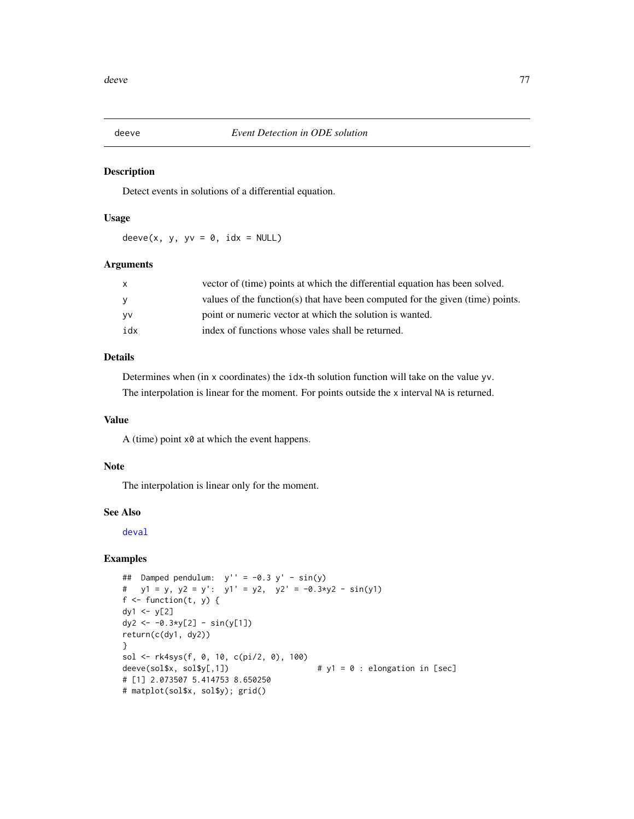<span id="page-76-0"></span>

Detect events in solutions of a differential equation.

## Usage

 $deeve(x, y, yv = 0, idx = NULL)$ 

## Arguments

| X         | vector of (time) points at which the differential equation has been solved.    |
|-----------|--------------------------------------------------------------------------------|
| <b>V</b>  | values of the function(s) that have been computed for the given (time) points. |
| <b>VV</b> | point or numeric vector at which the solution is wanted.                       |
| idx       | index of functions whose vales shall be returned.                              |

# Details

Determines when (in x coordinates) the idx-th solution function will take on the value yv. The interpolation is linear for the moment. For points outside the x interval NA is returned.

# Value

A (time) point x0 at which the event happens.

## Note

The interpolation is linear only for the moment.

## See Also

[deval](#page-78-0)

```
## Damped pendulum: y' = -0.3 y' - sin(y)# y1 = y, y2 = y': y1' = y2, y2' = -0.3*y2 - sin(y1)f \leftarrow function(t, y) {
dy1 < -y[2]dy2 <- -0.3*y[2] - sin(y[1])
return(c(dy1, dy2))
}
sol <- rk4sys(f, 0, 10, c(pi/2, 0), 100)
deeve(sol$x, sol$y[,1]) \qquad \qquad # y1 = 0 : elongation in [sec]# [1] 2.073507 5.414753 8.650250
# matplot(sol$x, sol$y); grid()
```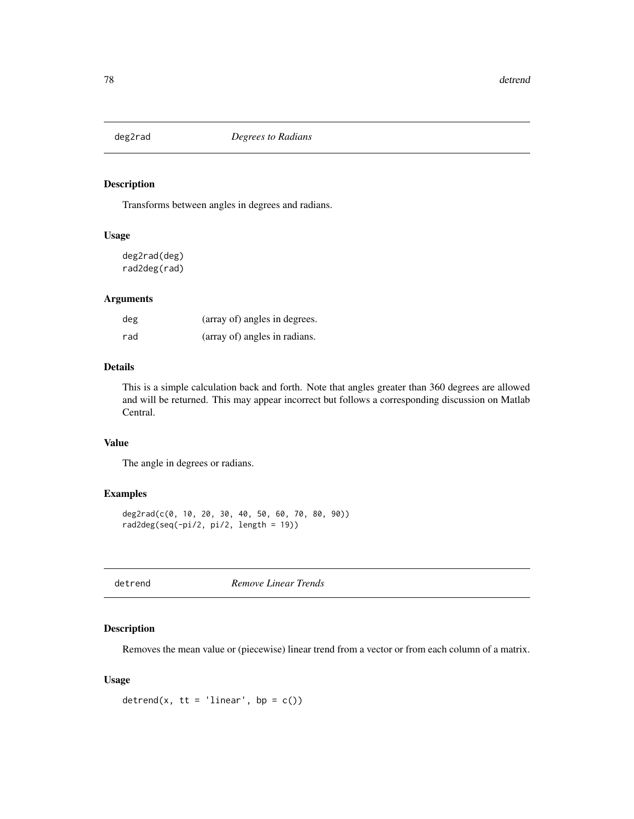Transforms between angles in degrees and radians.

## Usage

deg2rad(deg) rad2deg(rad)

# Arguments

| deg | (array of) angles in degrees. |
|-----|-------------------------------|
| rad | (array of) angles in radians. |

# Details

This is a simple calculation back and forth. Note that angles greater than 360 degrees are allowed and will be returned. This may appear incorrect but follows a corresponding discussion on Matlab Central.

# Value

The angle in degrees or radians.

# Examples

```
deg2rad(c(0, 10, 20, 30, 40, 50, 60, 70, 80, 90))
rad2deg(seq(-pi/2, pi/2, length = 19))
```
detrend *Remove Linear Trends*

# Description

Removes the mean value or (piecewise) linear trend from a vector or from each column of a matrix.

## Usage

```
detrend(x, tt = 'linear', bp = c())
```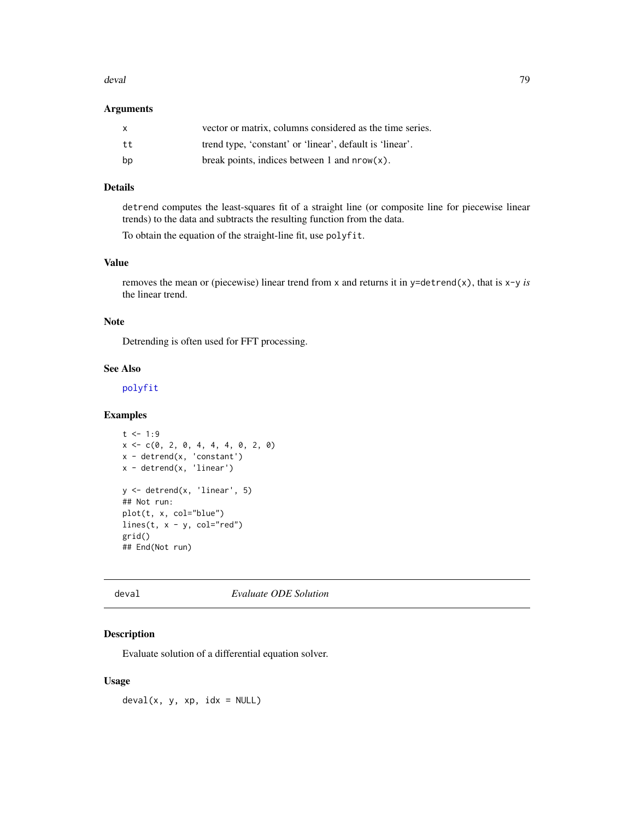#### deval and the contract of the contract of the contract of the contract of the contract of the contract of the contract of the contract of the contract of the contract of the contract of the contract of the contract of the

#### Arguments

| $\mathsf{x}$ | vector or matrix, columns considered as the time series. |
|--------------|----------------------------------------------------------|
| tt           | trend type, 'constant' or 'linear', default is 'linear'. |
| bp           | break points, indices between 1 and $nrow(x)$ .          |

# Details

detrend computes the least-squares fit of a straight line (or composite line for piecewise linear trends) to the data and subtracts the resulting function from the data.

To obtain the equation of the straight-line fit, use polyfit.

# Value

removes the mean or (piecewise) linear trend from x and returns it in y=detrend(x), that is x-y *is* the linear trend.

#### Note

Detrending is often used for FFT processing.

# See Also

[polyfit](#page-269-0)

# Examples

```
t < -1:9x \leq -c(0, 2, 0, 4, 4, 4, 0, 2, 0)x - detrend(x, 'constant')
x - detrend(x, 'linear')
y \leftarrow detrend(x, 'linear', 5)## Not run:
plot(t, x, col="blue")
lines(t, x - y, col="red")grid()
## End(Not run)
```
<span id="page-78-0"></span>deval *Evaluate ODE Solution*

# Description

Evaluate solution of a differential equation solver.

## Usage

 $deval(x, y, xp, idx = NULL)$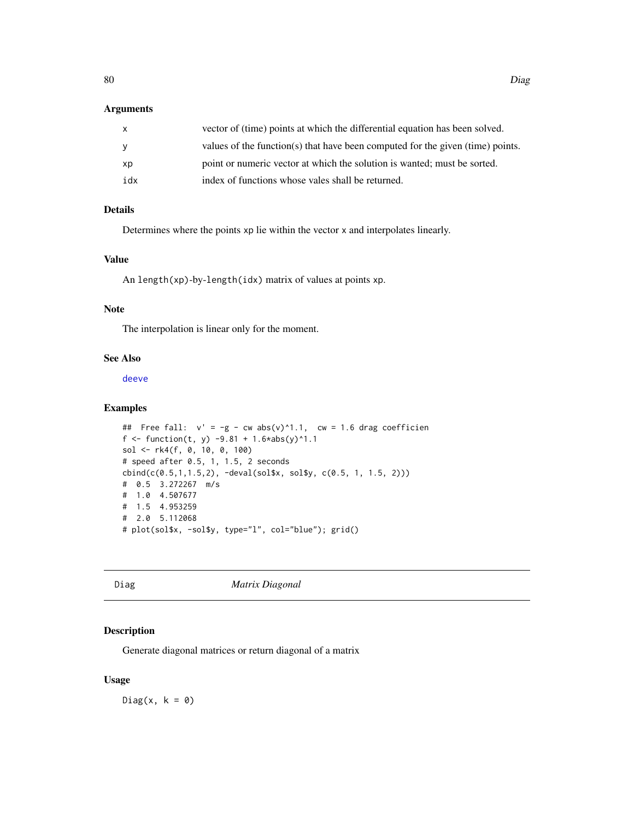#### Arguments

| x   | vector of (time) points at which the differential equation has been solved.    |
|-----|--------------------------------------------------------------------------------|
| V   | values of the function(s) that have been computed for the given (time) points. |
| хp  | point or numeric vector at which the solution is wanted; must be sorted.       |
| idx | index of functions whose vales shall be returned.                              |

# Details

Determines where the points xp lie within the vector x and interpolates linearly.

### Value

An length(xp)-by-length(idx) matrix of values at points xp.

## Note

The interpolation is linear only for the moment.

# See Also

[deeve](#page-76-0)

# Examples

```
## Free fall: v' = -g - cw \, abs(v)^{1.1}, cw = 1.6 drag coefficien
f <- function(t, y) -9.81 + 1.6*abs(y)^1.1sol <- rk4(f, 0, 10, 0, 100)
# speed after 0.5, 1, 1.5, 2 seconds
cbind(c(0.5,1,1.5,2), -deval(sol$x, sol$y, c(0.5, 1, 1.5, 2)))
# 0.5 3.272267 m/s
# 1.0 4.507677
# 1.5 4.953259
# 2.0 5.112068
# plot(sol$x, -sol$y, type="l", col="blue"); grid()
```
<span id="page-79-0"></span>Diag *Matrix Diagonal*

# Description

Generate diagonal matrices or return diagonal of a matrix

## Usage

Diag(x,  $k = 0$ )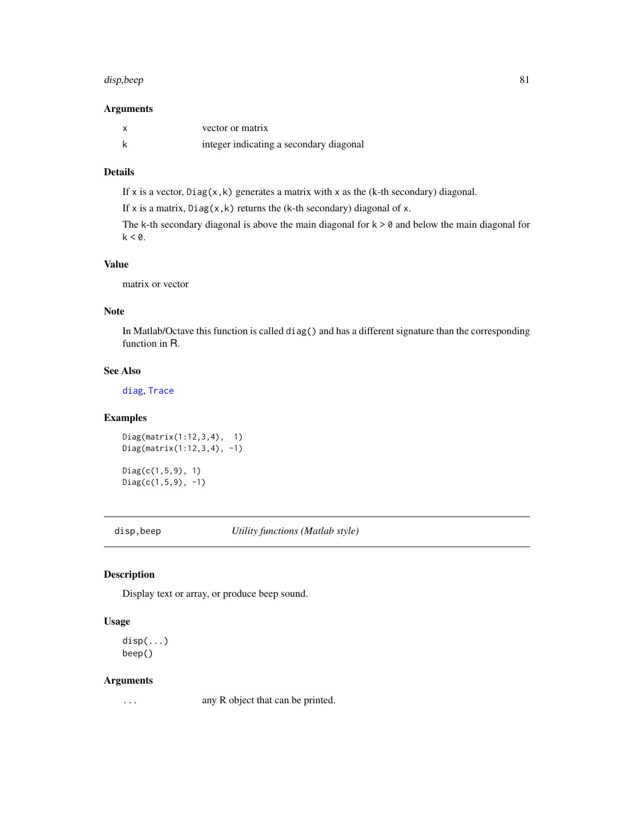#### disp,beep 81

## Arguments

| vector or matrix                        |
|-----------------------------------------|
| integer indicating a secondary diagonal |

# Details

If x is a vector,  $Diag(x, k)$  generates a matrix with x as the (k-th secondary) diagonal.

If x is a matrix,  $Diag(x, k)$  returns the (k-th secondary) diagonal of x.

The k-th secondary diagonal is above the main diagonal for  $k > 0$  and below the main diagonal for  $k < 0$ .

## Value

matrix or vector

## Note

In Matlab/Octave this function is called diag() and has a different signature than the corresponding function in R.

# See Also

[diag](#page-0-0), [Trace](#page-367-0)

# Examples

Diag(matrix(1:12,3,4), 1) Diag(matrix(1:12,3,4), -1)

Diag(c(1,5,9), 1)  $Diag(c(1,5,9), -1)$ 

disp,beep *Utility functions (Matlab style)*

# Description

Display text or array, or produce beep sound.

# Usage

disp(...) beep()

#### Arguments

... any R object that can be printed.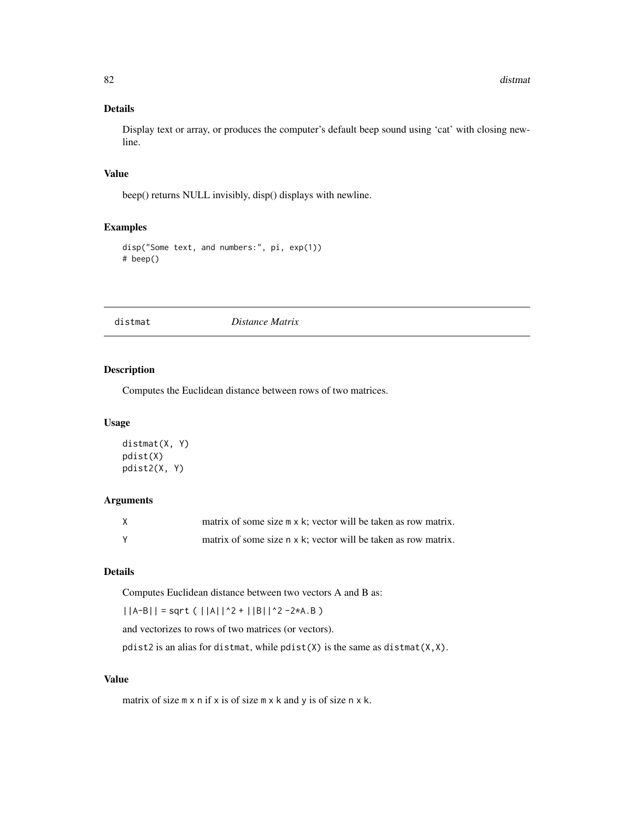## Details

Display text or array, or produces the computer's default beep sound using 'cat' with closing newline.

#### Value

beep() returns NULL invisibly, disp() displays with newline.

# Examples

```
disp("Some text, and numbers:", pi, exp(1))
# beep()
```
distmat *Distance Matrix*

# Description

Computes the Euclidean distance between rows of two matrices.

## Usage

```
distmat(X, Y)
pdist(X)
pdist2(X, Y)
```
# Arguments

| matrix of some size m x k; vector will be taken as row matrix. |
|----------------------------------------------------------------|
| matrix of some size n x k; vector will be taken as row matrix. |

# Details

Computes Euclidean distance between two vectors A and B as:

 $||A-B|| =$  sqrt (  $||A||^2 + ||B||^2 - 2*A.B$  )

and vectorizes to rows of two matrices (or vectors).

pdist2 is an alias for distmat, while pdist(X) is the same as distmat(X,X).

## Value

matrix of size m x n if x is of size m x k and y is of size n x k.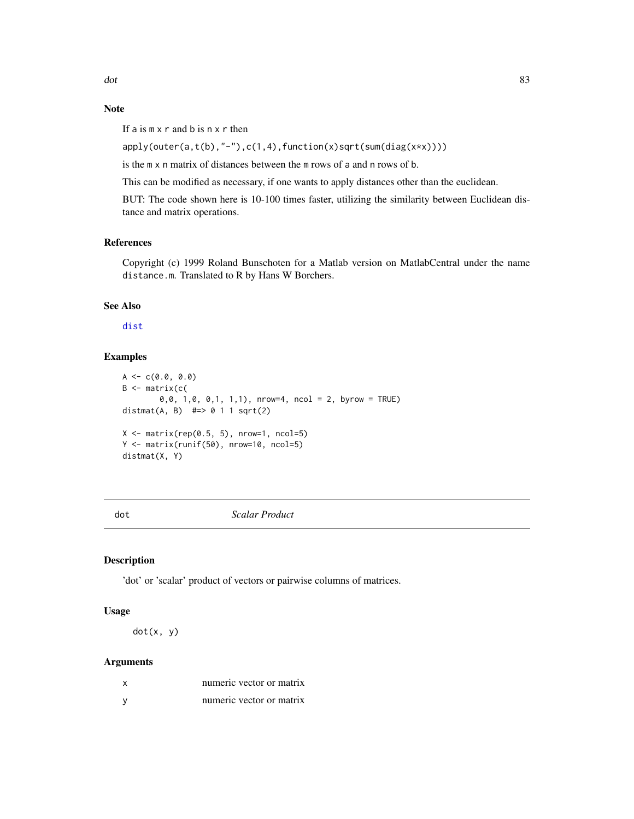# Note

If a is  $m \times r$  and b is  $n \times r$  then

```
apply(outer(a,t(b), "-"),c(1,4),function(x)sqrt(surt(sum(diag(x*x))))
```
is the m x n matrix of distances between the m rows of a and n rows of b.

This can be modified as necessary, if one wants to apply distances other than the euclidean.

BUT: The code shown here is 10-100 times faster, utilizing the similarity between Euclidean distance and matrix operations.

## References

Copyright (c) 1999 Roland Bunschoten for a Matlab version on MatlabCentral under the name distance.m. Translated to R by Hans W Borchers.

# See Also

[dist](#page-0-0)

# Examples

```
A \leftarrow c(0.0, 0.0)B \leq - matrix(c(
         0,0, 1,0, 0,1, 1,1), nrow=4, ncol = 2, byrow = TRUE)
distmat(A, B) \# \Rightarrow 0 \quad 1 \quad 1 \text{ sqrt}(2)X \leq matrix(rep(0.5, 5), nrow=1, ncol=5)
Y <- matrix(runif(50), nrow=10, ncol=5)
distmat(X, Y)
```
dot *Scalar Product*

### Description

'dot' or 'scalar' product of vectors or pairwise columns of matrices.

#### Usage

dot(x, y)

#### Arguments

| numeric vector or matrix |
|--------------------------|
| numeric vector or matrix |

dot and the state of the state of the state of the state of the state of the state of the state of the state of the state of the state of the state of the state of the state of the state of the state of the state of the st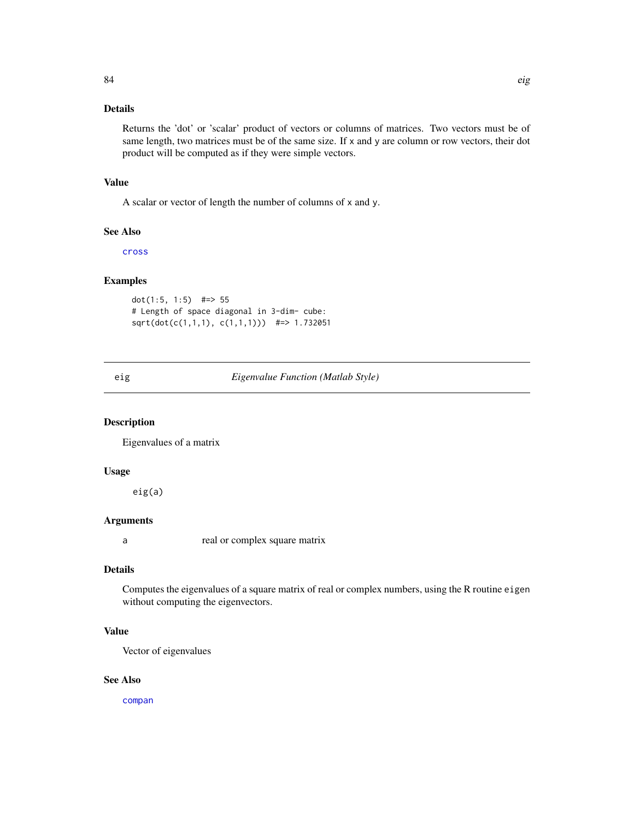# Details

Returns the 'dot' or 'scalar' product of vectors or columns of matrices. Two vectors must be of same length, two matrices must be of the same size. If x and y are column or row vectors, their dot product will be computed as if they were simple vectors.

# Value

A scalar or vector of length the number of columns of x and y.

#### See Also

[cross](#page-67-0)

# Examples

dot(1:5, 1:5) #=> 55 # Length of space diagonal in 3-dim- cube: sqrt(dot(c(1,1,1), c(1,1,1))) #=> 1.732051

<span id="page-83-0"></span>eig *Eigenvalue Function (Matlab Style)*

# Description

Eigenvalues of a matrix

## Usage

eig(a)

# Arguments

a real or complex square matrix

# Details

Computes the eigenvalues of a square matrix of real or complex numbers, using the R routine eigen without computing the eigenvectors.

# Value

Vector of eigenvalues

## See Also

[compan](#page-57-0)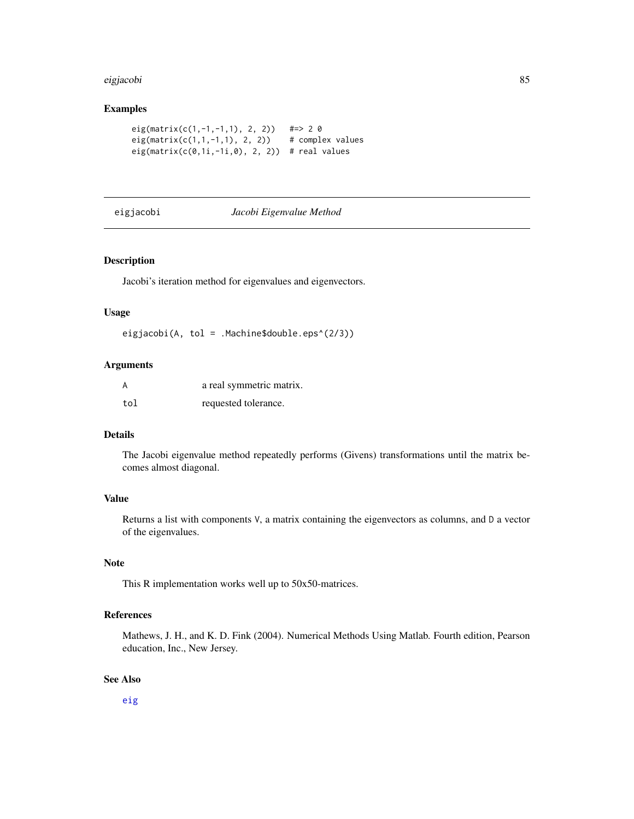#### eigjacobi 85

# Examples

```
eig(matrix(c(1,-1,-1,1), 2, 2)) #=> 2 0
eig(matrix(c(1,1,-1,1), 2, 2)) # complex values
eig(matrix(c(0,1i,-1i,0), 2, 2)) # real values
```
#### eigjacobi *Jacobi Eigenvalue Method*

## Description

Jacobi's iteration method for eigenvalues and eigenvectors.

# Usage

eigjacobi(A, tol = .Machine\$double.eps^(2/3))

#### Arguments

|     | a real symmetric matrix. |
|-----|--------------------------|
| tol | requested tolerance.     |

# Details

The Jacobi eigenvalue method repeatedly performs (Givens) transformations until the matrix becomes almost diagonal.

## Value

Returns a list with components V, a matrix containing the eigenvectors as columns, and D a vector of the eigenvalues.

# Note

This R implementation works well up to 50x50-matrices.

## References

Mathews, J. H., and K. D. Fink (2004). Numerical Methods Using Matlab. Fourth edition, Pearson education, Inc., New Jersey.

## See Also

[eig](#page-83-0)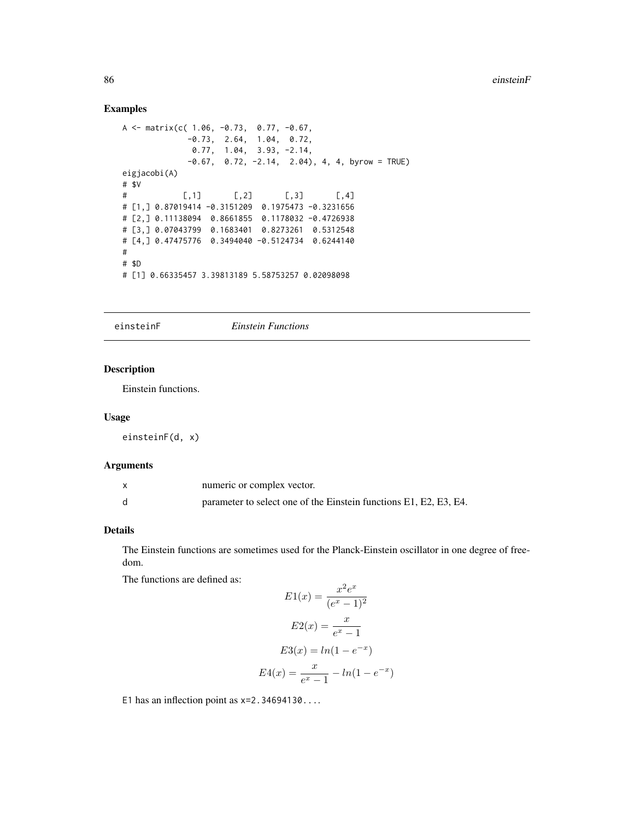## Examples

```
A \le matrix(c( 1.06, -0.73, 0.77, -0.67,
            -0.73, 2.64, 1.04, 0.72,
             0.77, 1.04, 3.93, -2.14,
            -0.67, 0.72, -2.14, 2.04), 4, 4, byrow = TRUE)
eigjacobi(A)
# $V
# [,1] [,2] [,3] [,4]
# [1,] 0.87019414 -0.3151209 0.1975473 -0.3231656
# [2,] 0.11138094 0.8661855 0.1178032 -0.4726938
# [3,] 0.07043799 0.1683401 0.8273261 0.5312548
# [4,] 0.47475776 0.3494040 -0.5124734 0.6244140
#
# $D
# [1] 0.66335457 3.39813189 5.58753257 0.02098098
```
einsteinF *Einstein Functions*

# Description

Einstein functions.

#### Usage

einsteinF(d, x)

## Arguments

| numeric or complex vector.                                        |
|-------------------------------------------------------------------|
| parameter to select one of the Einstein functions E1, E2, E3, E4. |

## Details

The Einstein functions are sometimes used for the Planck-Einstein oscillator in one degree of freedom.

The functions are defined as:

$$
E1(x) = \frac{x^2 e^x}{(e^x - 1)^2}
$$

$$
E2(x) = \frac{x}{e^x - 1}
$$

$$
E3(x) = \ln(1 - e^{-x})
$$

$$
E4(x) = \frac{x}{e^x - 1} - \ln(1 - e^{-x})
$$

E1 has an inflection point as  $x=2.34694130...$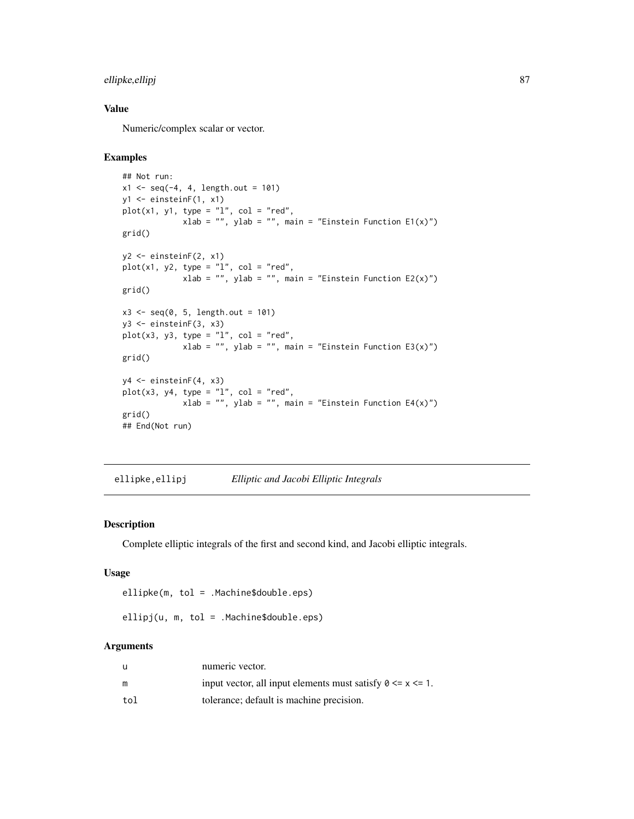# ellipke,ellipj 87

# Value

Numeric/complex scalar or vector.

## Examples

```
## Not run:
x1 \leq -\text{seq}(-4, 4, \text{length.out} = 101)y1 <- einsteinF(1, x1)
plot(x1, y1, type = "l", col = "red",xlab = "", ylab = "", main = "Einstein Function E1(x)")
grid()
y2 <- einsteinF(2, x1)
plot(x1, y2, type = "1", col = "red",xlab = "", ylab = "", main = "Einstein Function E2(x)")
grid()
x3 \leq -\text{seq}(0, 5, \text{length.out} = 101)y3 <- einsteinF(3, x3)
plot(x3, y3, type = "1", col = "red",
              xlab = ", ylab = ", main = "Einstein Function E3(x)")
grid()
y4 <- einsteinF(4, x3)
plot(x3, y4, type = "1", col = "red",
             xlab = "", ylab = "", main = "Einstein Function E4(x)")
grid()
## End(Not run)
```
ellipke,ellipj *Elliptic and Jacobi Elliptic Integrals*

# Description

Complete elliptic integrals of the first and second kind, and Jacobi elliptic integrals.

## Usage

ellipke(m, tol = .Machine\$double.eps)

ellipj(u, m, tol = .Machine\$double.eps)

#### Arguments

| u   | numeric vector.                                                 |
|-----|-----------------------------------------------------------------|
| m   | input vector, all input elements must satisfy $0 \le x \le 1$ . |
| tol | tolerance; default is machine precision.                        |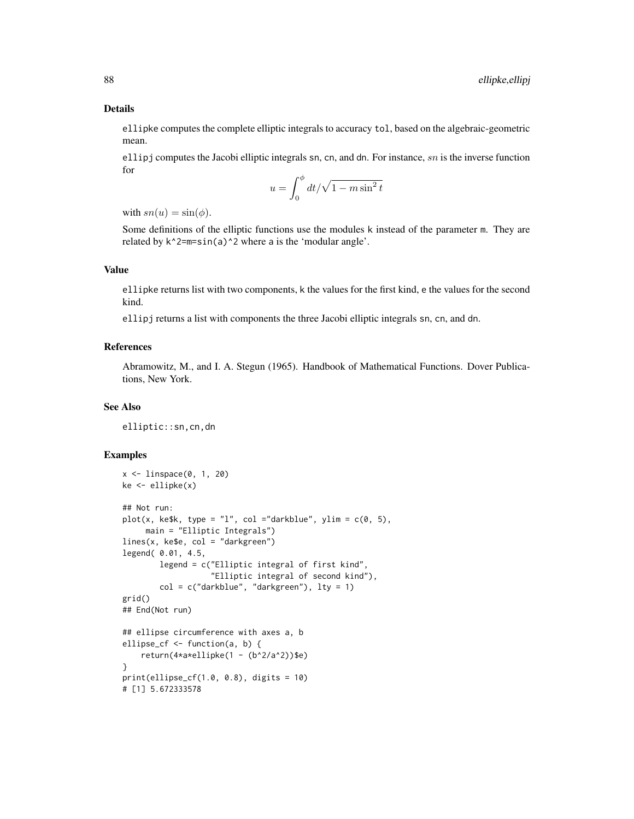#### Details

ellipke computes the complete elliptic integrals to accuracy tol, based on the algebraic-geometric mean.

ellipj computes the Jacobi elliptic integrals sn, cn, and dn. For instance,  $sn$  is the inverse function for

$$
u = \int_0^{\phi} dt / \sqrt{1 - m \sin^2 t}
$$

with  $sn(u) = \sin(\phi)$ .

Some definitions of the elliptic functions use the modules k instead of the parameter m. They are related by  $k^2=m=sin(a)^2$  where a is the 'modular angle'.

## Value

ellipke returns list with two components, k the values for the first kind, e the values for the second kind.

ellipj returns a list with components the three Jacobi elliptic integrals sn, cn, and dn.

# References

Abramowitz, M., and I. A. Stegun (1965). Handbook of Mathematical Functions. Dover Publications, New York.

## See Also

elliptic::sn,cn,dn

```
x <- linspace(0, 1, 20)
ke < - ellipke(x)## Not run:
plot(x, kefk, type = "l", col = "darkblue", ylim = c(0, 5),main = "Elliptic Integrals")
lines(x, ke$e, col = "darkgreen")
legend( 0.01, 4.5,
        legend = c("Elliptic integral of first kind",
                   "Elliptic integral of second kind"),
        col = c("darkblue", "darkgreen"), lty = 1)grid()
## End(Not run)
## ellipse circumference with axes a, b
ellipse_cf <- function(a, b) {
    return(4*a*ellipke(1 - (b^2/a^2))$e)
}
print(ellipse_c f(1.0, 0.8), digits = 10)# [1] 5.672333578
```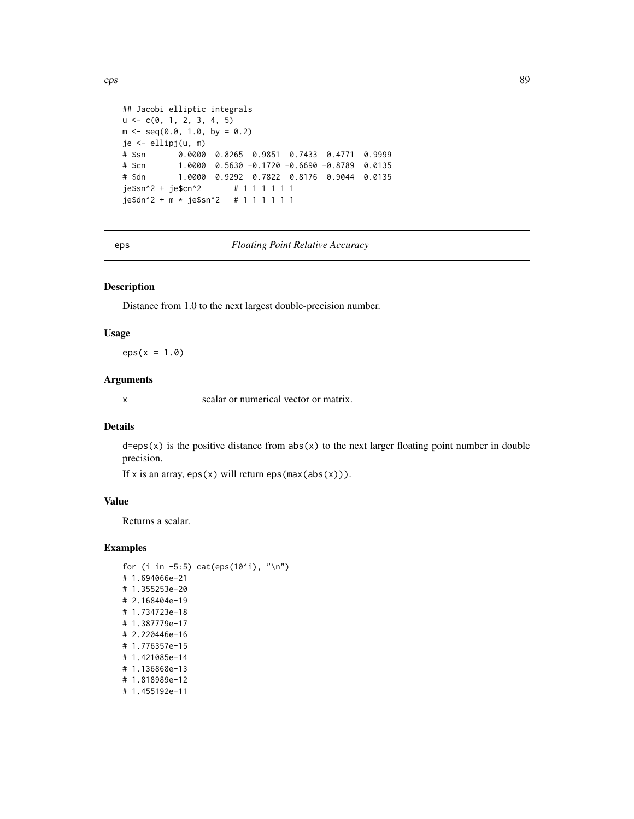```
## Jacobi elliptic integrals
u \leftarrow c(0, 1, 2, 3, 4, 5)m \leq - \text{seq}(0.0, 1.0, \text{ by } = 0.2)je <- ellipj(u, m)
# $sn 0.0000 0.8265 0.9851 0.7433 0.4771 0.9999
# $cn 1.0000 0.5630 -0.1720 -0.6690 -0.8789 0.0135
# $dn 1.0000 0.9292 0.7822 0.8176 0.9044 0.0135
je$sn^2 + je$cn^2 # 1 1 1 1 1 1
je$dn^2 + m * je$sn^2 # 1 1 1 1 1 1
```
eps *Floating Point Relative Accuracy*

## Description

Distance from 1.0 to the next largest double-precision number.

#### Usage

 $eps(x = 1.0)$ 

#### Arguments

x scalar or numerical vector or matrix.

## Details

 $d=eps(x)$  is the positive distance from  $abs(x)$  to the next larger floating point number in double precision.

If x is an array,  $eps(x)$  will return  $eps(max(abs(x)))$ .

## Value

Returns a scalar.

```
for (i in -5:5) cat(eps(10^i), "\n")
# 1.694066e-21
# 1.355253e-20
# 2.168404e-19
# 1.734723e-18
# 1.387779e-17
# 2.220446e-16
# 1.776357e-15
# 1.421085e-14
# 1.136868e-13
# 1.818989e-12
# 1.455192e-11
```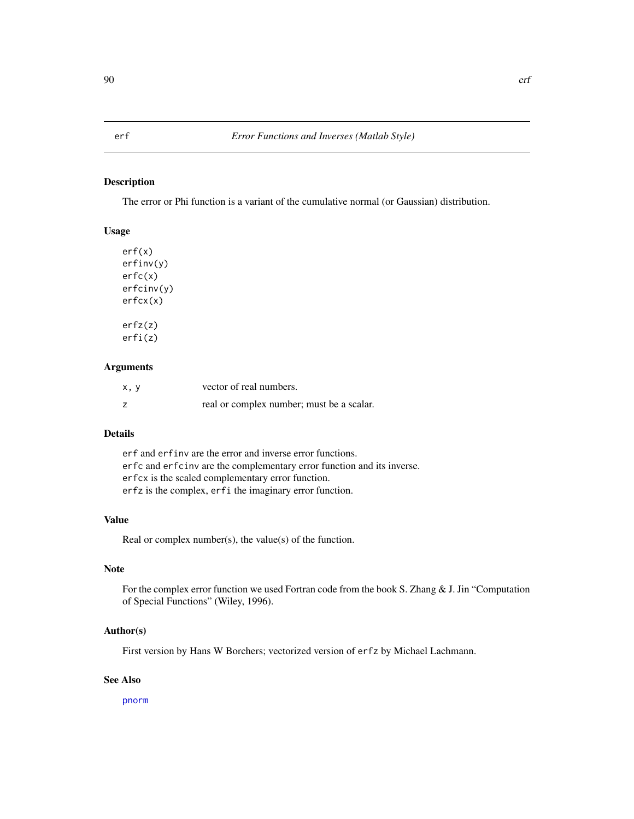The error or Phi function is a variant of the cumulative normal (or Gaussian) distribution.

#### Usage

```
erf(x)
erfinv(y)
erfc(x)
erfcinv(y)
erfcx(x)
erfz(z)
erfi(z)
```
## Arguments

| x, y | vector of real numbers.                   |
|------|-------------------------------------------|
|      | real or complex number; must be a scalar. |

# Details

erf and erfinv are the error and inverse error functions. erfc and erfcinv are the complementary error function and its inverse. erfcx is the scaled complementary error function. erfz is the complex, erfi the imaginary error function.

# Value

Real or complex number(s), the value(s) of the function.

# Note

For the complex error function we used Fortran code from the book S. Zhang & J. Jin "Computation" of Special Functions" (Wiley, 1996).

# Author(s)

First version by Hans W Borchers; vectorized version of erfz by Michael Lachmann.

# See Also

[pnorm](#page-0-0)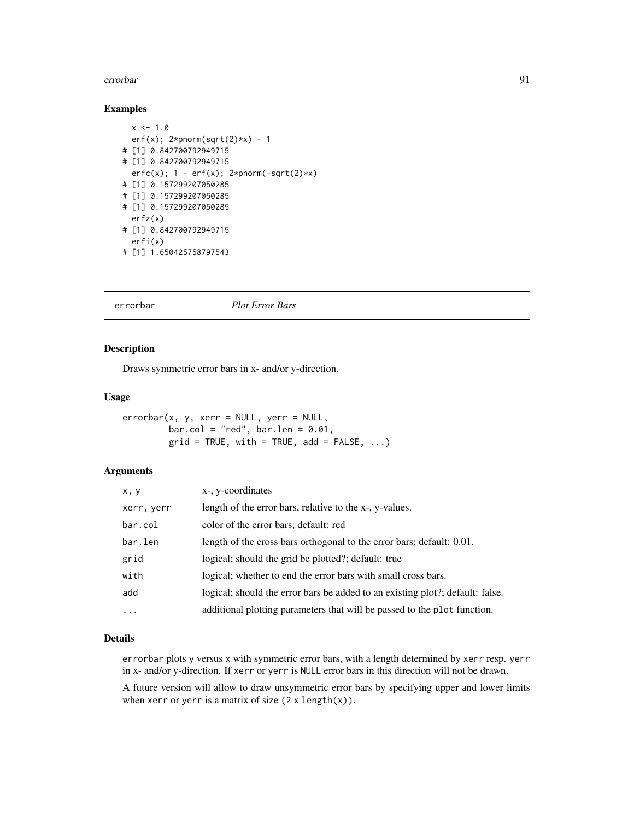#### errorbar 91

# Examples

```
x \le -1.0erf(x); 2*pnorm(sqrt(2)*x) - 1
# [1] 0.842700792949715
# [1] 0.842700792949715
  erfc(x); 1 - erf(x); 2*pnorm(-sqrt(2)*x)# [1] 0.157299207050285
# [1] 0.157299207050285
# [1] 0.157299207050285
  erfz(x)
# [1] 0.842700792949715
  erfi(x)
# [1] 1.650425758797543
```
#### errorbar *Plot Error Bars*

#### Description

Draws symmetric error bars in x- and/or y-direction.

# Usage

```
errorbar(x, y, xerr = NULL, yerr = NULL,bar.col = "red", bar.len = 0.01,
        grid = TRUE, with = TRUE, add = FALSE, ...)
```
### Arguments

| x, y       | x-, y-coordinates                                                             |
|------------|-------------------------------------------------------------------------------|
| xerr, yerr | length of the error bars, relative to the x-, y-values.                       |
| bar.col    | color of the error bars; default: red                                         |
| bar.len    | length of the cross bars orthogonal to the error bars; default: 0.01.         |
| grid       | logical; should the grid be plotted?; default: true                           |
| with       | logical; whether to end the error bars with small cross bars.                 |
| add        | logical; should the error bars be added to an existing plot?; default: false. |
| $\cdots$   | additional plotting parameters that will be passed to the plot function.      |

### Details

errorbar plots y versus x with symmetric error bars, with a length determined by xerr resp. yerr in x- and/or y-direction. If xerr or yerr is NULL error bars in this direction will not be drawn.

A future version will allow to draw unsymmetric error bars by specifying upper and lower limits when xerr or yerr is a matrix of size  $(2 \times length(x))$ .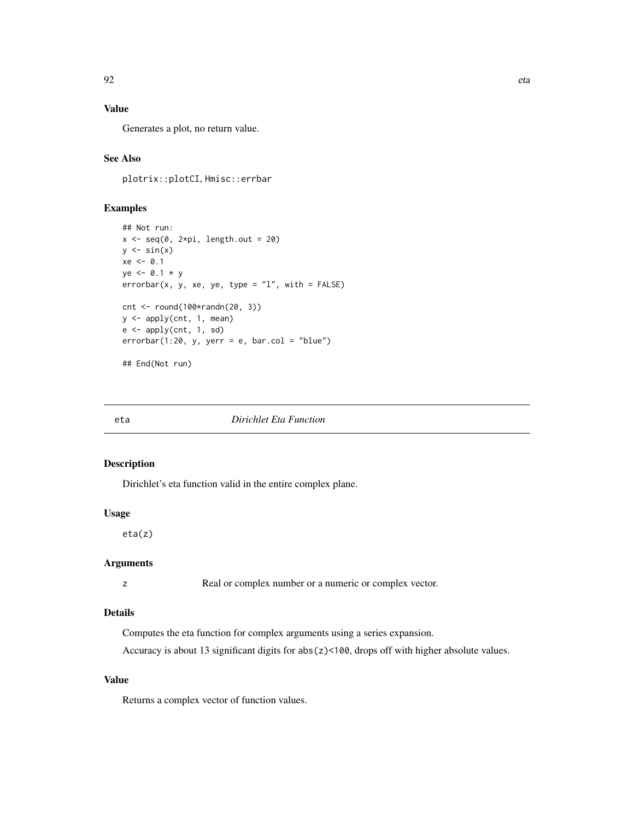# Value

Generates a plot, no return value.

# See Also

plotrix::plotCI, Hmisc::errbar

# Examples

```
## Not run:
x \leq -\text{seq}(0, 2*pi, length.out = 20)y \leftarrow \sin(x)xe < -0.1ye <- 0.1 * y
errorbar(x, y, xe, ye, type = "l", with = FALSE)cnt <- round(100*randn(20, 3))
y <- apply(cnt, 1, mean)
e \leftarrow apply(cnt, 1, sd)errorbar(1:20, y, yerr = e, bar,col = "blue")## End(Not run)
```

| I | ٠ |
|---|---|
|   |   |

#### **Dirichlet Eta Function**

# Description

Dirichlet's eta function valid in the entire complex plane.

#### Usage

eta(z)

# Arguments

z Real or complex number or a numeric or complex vector.

## Details

Computes the eta function for complex arguments using a series expansion.

Accuracy is about 13 significant digits for abs(z)<100, drops off with higher absolute values.

#### Value

Returns a complex vector of function values.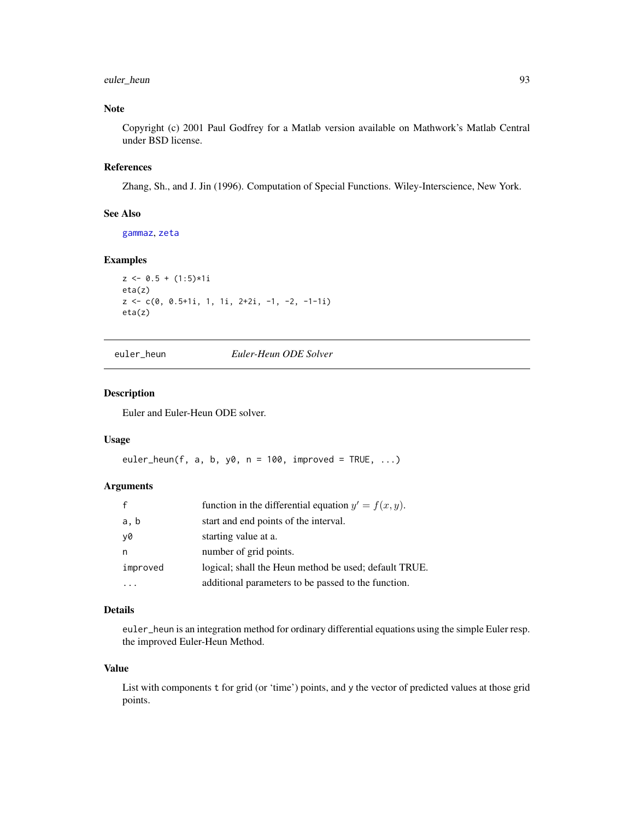# euler\_heun 93

# Note

Copyright (c) 2001 Paul Godfrey for a Matlab version available on Mathwork's Matlab Central under BSD license.

# References

Zhang, Sh., and J. Jin (1996). Computation of Special Functions. Wiley-Interscience, New York.

## See Also

[gammaz](#page-131-0), [zeta](#page-379-0)

## Examples

```
z \le 0.5 + (1:5)*1ieta(z)
z <- c(0, 0.5+1i, 1, 1i, 2+2i, -1, -2, -1-1i)
eta(z)
```
euler\_heun *Euler-Heun ODE Solver*

## Description

Euler and Euler-Heun ODE solver.

## Usage

euler\_heun(f, a, b, y0,  $n = 100$ , improved = TRUE, ...)

## Arguments

|          | function in the differential equation $y' = f(x, y)$ . |
|----------|--------------------------------------------------------|
| a, b     | start and end points of the interval.                  |
| v0       | starting value at a.                                   |
| n        | number of grid points.                                 |
| improved | logical; shall the Heun method be used; default TRUE.  |
|          | additional parameters to be passed to the function.    |

## Details

euler\_heun is an integration method for ordinary differential equations using the simple Euler resp. the improved Euler-Heun Method.

#### Value

List with components t for grid (or 'time') points, and y the vector of predicted values at those grid points.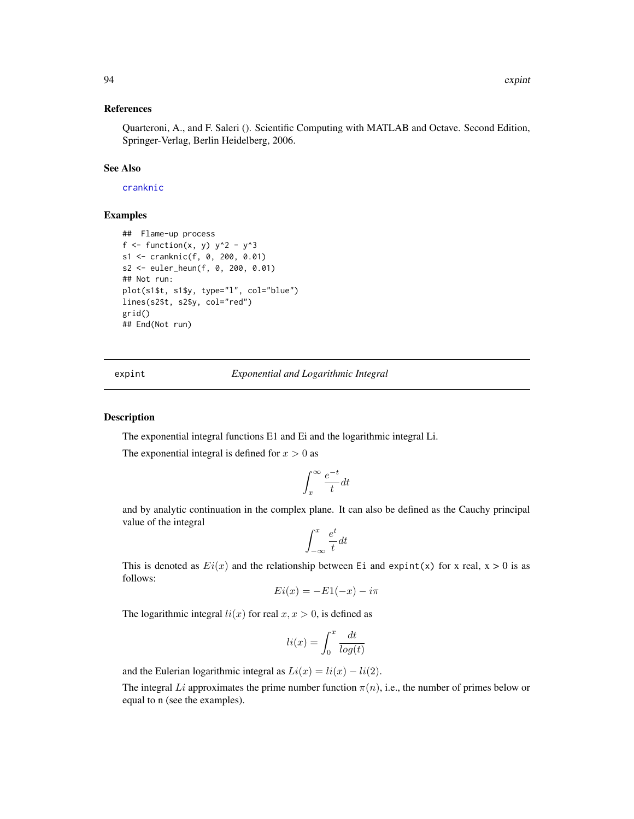## References

Quarteroni, A., and F. Saleri (). Scientific Computing with MATLAB and Octave. Second Edition, Springer-Verlag, Berlin Heidelberg, 2006.

## See Also

## [cranknic](#page-65-0)

## Examples

```
## Flame-up process
f <- function(x, y) y^2 - y^3s1 <- cranknic(f, 0, 200, 0.01)
s2 <- euler_heun(f, 0, 200, 0.01)
## Not run:
plot(s1$t, s1$y, type="l", col="blue")
lines(s2$t, s2$y, col="red")
grid()
## End(Not run)
```
expint *Exponential and Logarithmic Integral*

#### Description

The exponential integral functions E1 and Ei and the logarithmic integral Li.

The exponential integral is defined for  $x > 0$  as

$$
\int_x^\infty \frac{e^{-t}}{t}dt
$$

and by analytic continuation in the complex plane. It can also be defined as the Cauchy principal value of the integral

$$
\int_{-\infty}^x \frac{e^t}{t} dt
$$

This is denoted as  $Ei(x)$  and the relationship between Ei and expint(x) for x real, x > 0 is as follows:

$$
Ei(x) = -E1(-x) - i\pi
$$

The logarithmic integral  $li(x)$  for real  $x, x > 0$ , is defined as

$$
li(x) = \int_0^x \frac{dt}{\log(t)}
$$

and the Eulerian logarithmic integral as  $Li(x) = li(x) - li(2)$ .

The integral Li approximates the prime number function  $\pi(n)$ , i.e., the number of primes below or equal to n (see the examples).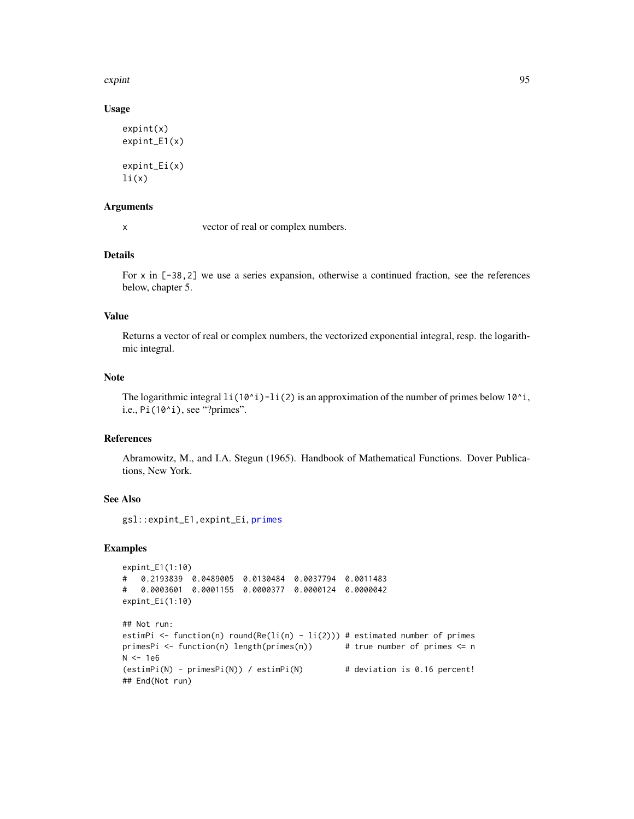expint 95

# Usage

```
expint(x)
expint_E1(x)
expint_Ei(x)
li(x)
```
#### Arguments

x vector of real or complex numbers.

# Details

For x in [-38,2] we use a series expansion, otherwise a continued fraction, see the references below, chapter 5.

#### Value

Returns a vector of real or complex numbers, the vectorized exponential integral, resp. the logarithmic integral.

# Note

The logarithmic integral  $li(10^i)$ -li(2) is an approximation of the number of primes below 10<sup> $i$ </sup>, i.e., Pi(10^i), see "?primes".

# References

Abramowitz, M., and I.A. Stegun (1965). Handbook of Mathematical Functions. Dover Publications, New York.

## See Also

gsl::expint\_E1,expint\_Ei, [primes](#page-280-0)

```
expint_E1(1:10)
# 0.2193839 0.0489005 0.0130484 0.0037794 0.0011483
# 0.0003601 0.0001155 0.0000377 0.0000124 0.0000042
expint_Ei(1:10)
## Not run:
estimPi <- function(n) round(Re(li(n) - li(2))) # estimated number of primes
primesPi <- function(n) length(primes(n)) # true number of primes <= n
N < -1e6(estimPi(N) - primesPi(N)) / estimPi(N) # deviation is 0.16 percent!
## End(Not run)
```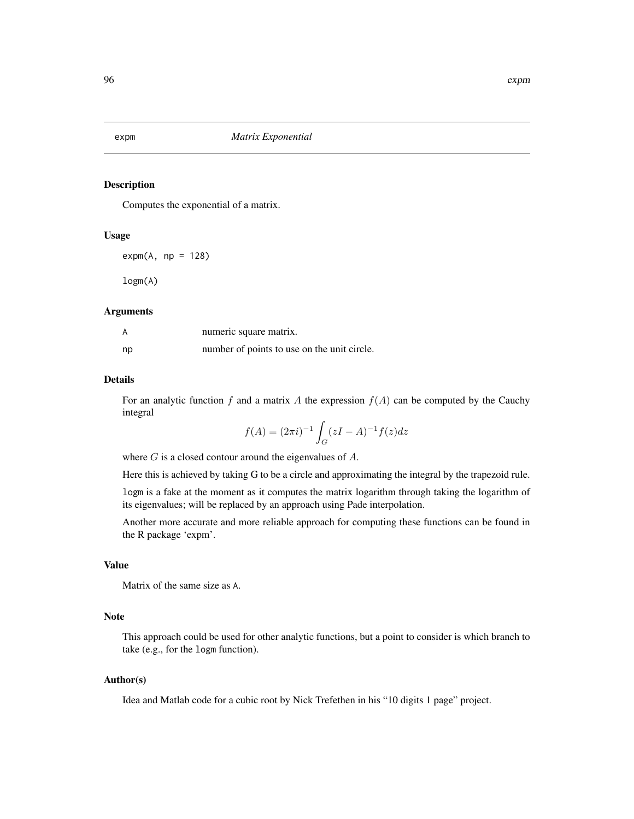Computes the exponential of a matrix.

## Usage

 $expm(A, np = 128)$ 

logm(A)

#### Arguments

| А  | numeric square matrix.                      |
|----|---------------------------------------------|
| np | number of points to use on the unit circle. |

#### Details

For an analytic function f and a matrix A the expression  $f(A)$  can be computed by the Cauchy integral

$$
f(A) = (2\pi i)^{-1} \int_G (zI - A)^{-1} f(z) dz
$$

where  $G$  is a closed contour around the eigenvalues of  $A$ .

Here this is achieved by taking G to be a circle and approximating the integral by the trapezoid rule.

logm is a fake at the moment as it computes the matrix logarithm through taking the logarithm of its eigenvalues; will be replaced by an approach using Pade interpolation.

Another more accurate and more reliable approach for computing these functions can be found in the R package 'expm'.

#### Value

Matrix of the same size as A.

# Note

This approach could be used for other analytic functions, but a point to consider is which branch to take (e.g., for the logm function).

## Author(s)

Idea and Matlab code for a cubic root by Nick Trefethen in his "10 digits 1 page" project.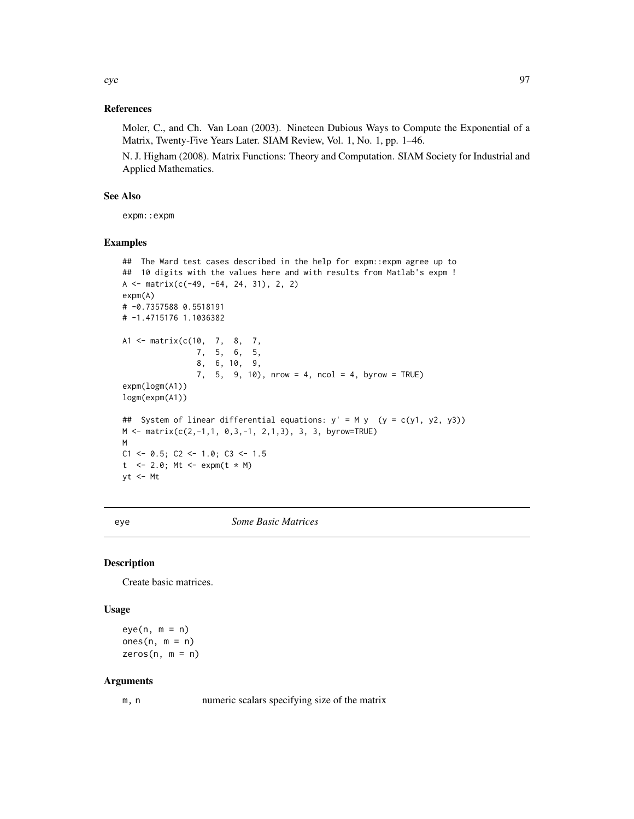# References

Moler, C., and Ch. Van Loan (2003). Nineteen Dubious Ways to Compute the Exponential of a Matrix, Twenty-Five Years Later. SIAM Review, Vol. 1, No. 1, pp. 1–46.

N. J. Higham (2008). Matrix Functions: Theory and Computation. SIAM Society for Industrial and Applied Mathematics.

## See Also

expm::expm

## Examples

```
## The Ward test cases described in the help for expm::expm agree up to
## 10 digits with the values here and with results from Matlab's expm !
A <- matrix(c(-49, -64, 24, 31), 2, 2)
expm(A)
# -0.7357588 0.5518191
# -1.4715176 1.1036382
A1 <- matrix(c(10, 7, 8, 7,
               7, 5, 6, 5,
                8, 6, 10, 9,
                7, 5, 9, 10), nrow = 4, ncol = 4, byrow = TRUE)
expm(logm(A1))
logm(expm(A1))
## System of linear differential equations: y' = M y (y = c(y1, y2, y3))
M <- matrix(c(2,-1,1, 0,3,-1, 2,1,3), 3, 3, byrow=TRUE)
M
C1 \le -0.5; C2 \le -1.0; C3 \le -1.5t <- 2.0; Mt <- expm(t * M)
yt <- Mt
```
eye *Some Basic Matrices*

# Description

Create basic matrices.

# Usage

 $eye(n, m = n)$ ones $(n, m = n)$  $zeros(n, m = n)$ 

#### Arguments

m, n numeric scalars specifying size of the matrix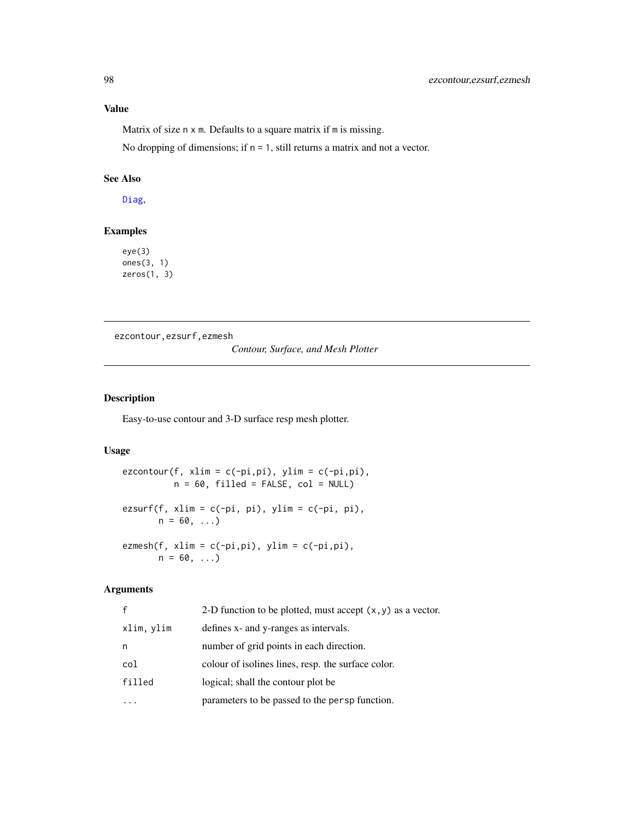# Value

Matrix of size n x m. Defaults to a square matrix if m is missing.

No dropping of dimensions; if n = 1, still returns a matrix and not a vector.

# See Also

[Diag](#page-79-0),

## Examples

eye(3) ones(3, 1) zeros(1, 3)

ezcontour,ezsurf,ezmesh

*Contour, Surface, and Mesh Plotter*

# Description

Easy-to-use contour and 3-D surface resp mesh plotter.

## Usage

```
ezcontour(f, xlim = c(-pi,pi), ylim = c(-pi,pi),
           n = 60, filled = FALSE, col = NULL)
\text{exsurf}(f, \text{ xlim} = c(-pi, \text{ pi}), \text{ ylim} = c(-pi, \text{ pi}),n = 60, ...ezmesh(f, xlim = c(-pi,pi), ylim = c(-pi,pi),
       n = 60, ...
```
#### Arguments

| $\mathsf{f}$ | 2-D function to be plotted, must accept $(x, y)$ as a vector. |
|--------------|---------------------------------------------------------------|
| xlim, ylim   | defines x- and y-ranges as intervals.                         |
| n            | number of grid points in each direction.                      |
| col          | colour of isolines lines, resp. the surface color.            |
| filled       | logical; shall the contour plot be                            |
|              | parameters to be passed to the persp function.                |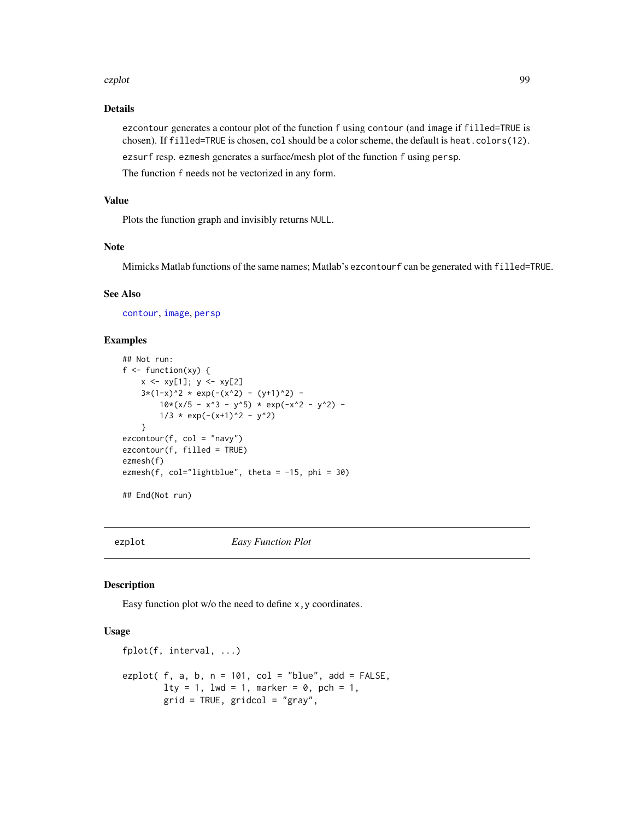#### ezplot the explorer of the explorer of the explorer of the explorer of the explorer of the explorer of the explorer of the explorer of the explorer of the explorer of the explorer of the explorer of the explorer of the exp

# Details

ezcontour generates a contour plot of the function f using contour (and image if filled=TRUE is chosen). If filled=TRUE is chosen, col should be a color scheme, the default is heat.colors(12). ezsurf resp. ezmesh generates a surface/mesh plot of the function f using persp.

The function f needs not be vectorized in any form.

# Value

Plots the function graph and invisibly returns NULL.

## Note

Mimicks Matlab functions of the same names; Matlab's ezcontourf can be generated with filled=TRUE.

# See Also

[contour](#page-0-0), [image](#page-0-0), [persp](#page-0-0)

# Examples

```
## Not run:
f \leftarrow function(xy) {
    x \le -xy[1]; y \le -xy[2]3*(1-x)^2 \times \exp(-(x^2) - (y+1)^2) -
        10*(x/5 - x^3 - y^5) * exp(-x^2 - y^2) -
        1/3 \times \exp(-(x+1)^2 - y^2)}
ezcontour(f, col = "navy")
ezcontour(f, filled = TRUE)
ezmesh(f)
ezmesh(f, col="lightblue", theta = -15, phi = 30)
## End(Not run)
```
<span id="page-98-0"></span>

ezplot *Easy Function Plot*

#### Description

Easy function plot w/o the need to define x, y coordinates.

## Usage

```
fplot(f, interval, ...)
ezplot( f, a, b, n = 101, col = "blue", add = FALSE,lty = 1, lwd = 1, marker = 0, pch = 1,
        grid = TRUE, gridcol = "gray",
```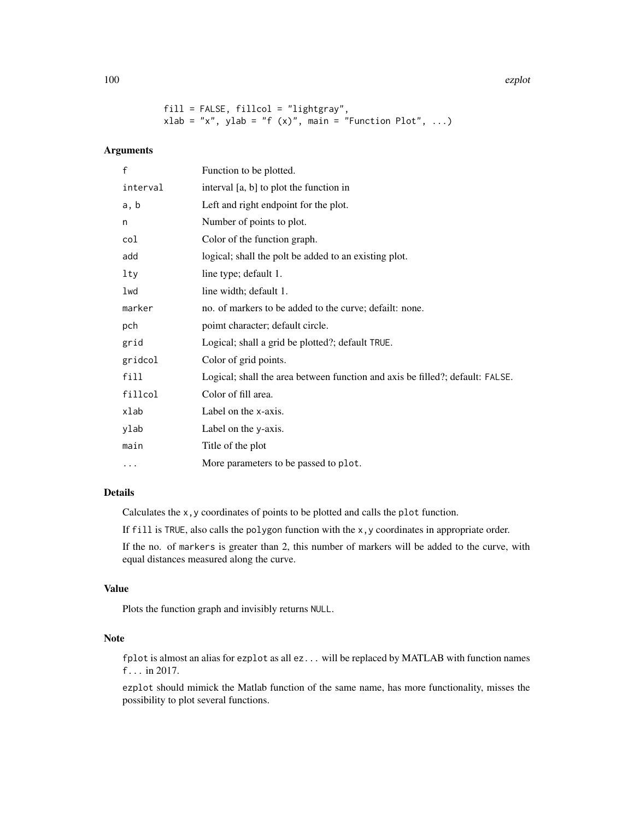100 ezplot

```
fill = FALSE, fillcol = "lightgray",
xlab = "x", ylab = "f (x)", main = "Function Plot", ...)
```
# Arguments

| $\mathsf{f}$ | Function to be plotted.                                                       |
|--------------|-------------------------------------------------------------------------------|
| interval     | interval [a, b] to plot the function in                                       |
| a, b         | Left and right endpoint for the plot.                                         |
| n            | Number of points to plot.                                                     |
| col          | Color of the function graph.                                                  |
| add          | logical; shall the polt be added to an existing plot.                         |
| lty          | line type; default 1.                                                         |
| lwd          | line width; default 1.                                                        |
| marker       | no. of markers to be added to the curve; defailt: none.                       |
| pch          | poimt character; default circle.                                              |
| grid         | Logical; shall a grid be plotted?; default TRUE.                              |
| gridcol      | Color of grid points.                                                         |
| fill         | Logical; shall the area between function and axis be filled?; default: FALSE. |
| fillcol      | Color of fill area.                                                           |
| xlab         | Label on the x-axis.                                                          |
| ylab         | Label on the y-axis.                                                          |
| main         | Title of the plot                                                             |
| .            | More parameters to be passed to plot.                                         |

# Details

Calculates the x,y coordinates of points to be plotted and calls the plot function.

If  $fill$  is TRUE, also calls the polygon function with the x, y coordinates in appropriate order.

If the no. of markers is greater than 2, this number of markers will be added to the curve, with equal distances measured along the curve.

# Value

Plots the function graph and invisibly returns NULL.

# Note

fplot is almost an alias for ezplot as all ez... will be replaced by MATLAB with function names f... in 2017.

ezplot should mimick the Matlab function of the same name, has more functionality, misses the possibility to plot several functions.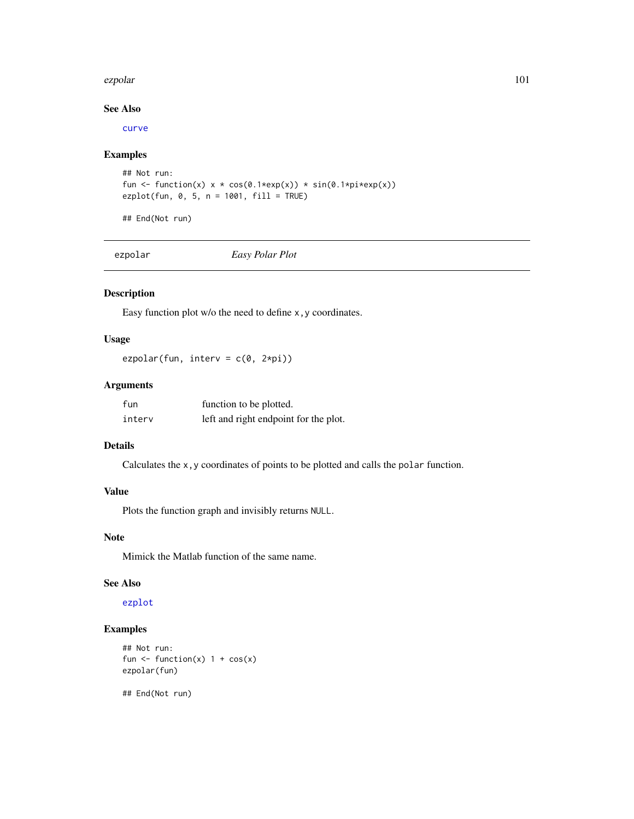#### ezpolar 101

# See Also

[curve](#page-0-0)

# Examples

```
## Not run:
fun <- function(x) x * cos(\theta.1*exp(x)) * sin(\theta.1*pi*exp(x))ezplot(fun, 0, 5, n = 1001, fill = TRUE)
```
## End(Not run)

ezpolar *Easy Polar Plot*

# Description

Easy function plot w/o the need to define x, y coordinates.

## Usage

ezpolar(fun, interv =  $c(\theta, 2*pi)$ )

# Arguments

| fun    | function to be plotted.               |
|--------|---------------------------------------|
| interv | left and right endpoint for the plot. |

# Details

Calculates the x,y coordinates of points to be plotted and calls the polar function.

# Value

Plots the function graph and invisibly returns NULL.

#### Note

Mimick the Matlab function of the same name.

#### See Also

[ezplot](#page-98-0)

# Examples

```
## Not run:
fun \le function(x) 1 + cos(x)
ezpolar(fun)
```
## End(Not run)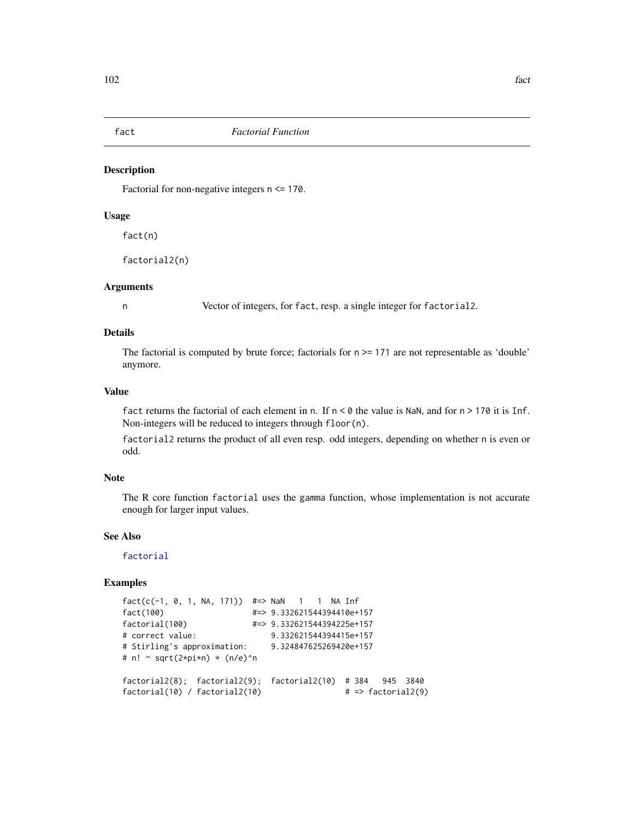Factorial for non-negative integers n <= 170.

# Usage

fact(n)

factorial2(n)

## Arguments

n Vector of integers, for fact, resp. a single integer for factorial2.

## Details

The factorial is computed by brute force; factorials for  $n \ge 171$  are not representable as 'double' anymore.

# Value

fact returns the factorial of each element in n. If  $n < 0$  the value is NaN, and for  $n > 170$  it is Inf. Non-integers will be reduced to integers through floor(n).

factorial2 returns the product of all even resp. odd integers, depending on whether n is even or odd.

# Note

The R core function factorial uses the gamma function, whose implementation is not accurate enough for larger input values.

# See Also

[factorial](#page-0-0)

```
fact(c(-1, 0, 1, NA, 171)) #=> NaN 1 1 NA Inf
fact(100) #=> 9.332621544394410e+157
factorial(100) #=> 9.332621544394225e+157
# correct value: 9.332621544394415e+157
# Stirling's approximation: 9.324847625269420e+157
# n! \sim sqrt(2*pi*n) * (n/e)^n
factorial2(8); factorial2(9); factorial2(10) # 384 945 3840
factorial(10) / factorial2(10) \qquad \qquad \qquad # \Rightarrow factorial2(9)
```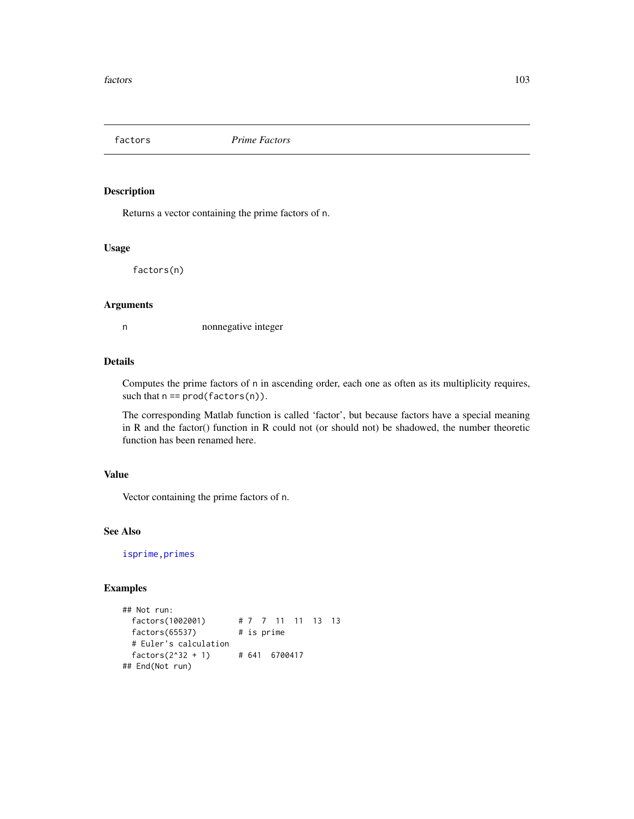Returns a vector containing the prime factors of n.

#### Usage

factors(n)

### Arguments

n nonnegative integer

## Details

Computes the prime factors of n in ascending order, each one as often as its multiplicity requires, such that  $n == prod(factors(n))$ .

The corresponding Matlab function is called 'factor', but because factors have a special meaning in R and the factor() function in R could not (or should not) be shadowed, the number theoretic function has been renamed here.

# Value

Vector containing the prime factors of n.

# See Also

[isprime](#page-184-0)[,primes](#page-280-0)

```
## Not run:
 factors(1002001) # 7 7 11 11 13 13
 factors(65537) # is prime
 # Euler's calculation
 factors(2^32 + 1) # 641 6700417
## End(Not run)
```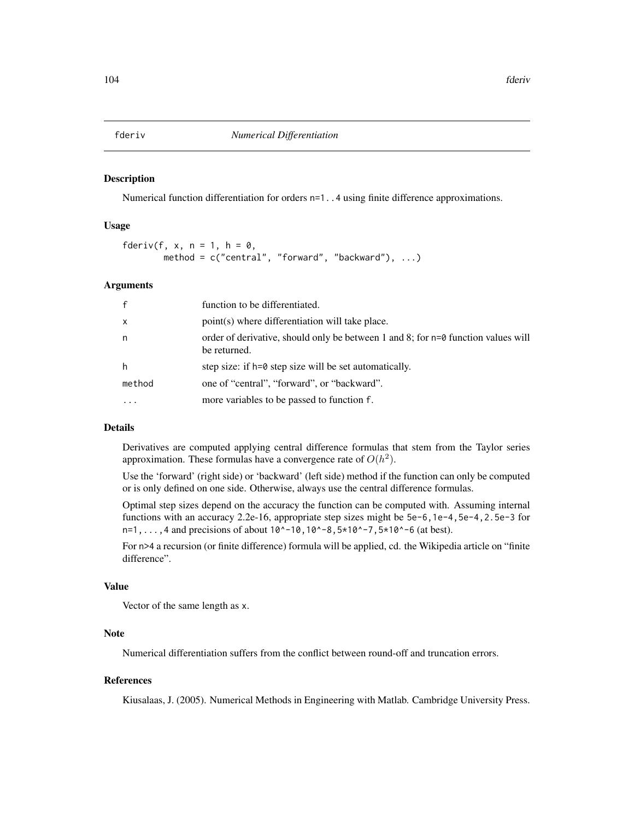Numerical function differentiation for orders  $n=1$ ...4 using finite difference approximations.

## Usage

fderiv(f, x,  $n = 1$ ,  $h = 0$ , method =  $c("central", "forward", "background"), ...$ 

#### Arguments

| $\mathsf{f}$ | function to be differentiated.                                                                      |
|--------------|-----------------------------------------------------------------------------------------------------|
| $\mathsf{x}$ | point(s) where differentiation will take place.                                                     |
| n            | order of derivative, should only be between 1 and 8; for $n=0$ function values will<br>be returned. |
| h            | step size: if h=0 step size will be set automatically.                                              |
| method       | one of "central", "forward", or "backward".                                                         |
| $\cdot$      | more variables to be passed to function f.                                                          |

#### Details

Derivatives are computed applying central difference formulas that stem from the Taylor series approximation. These formulas have a convergence rate of  $O(h^2)$ .

Use the 'forward' (right side) or 'backward' (left side) method if the function can only be computed or is only defined on one side. Otherwise, always use the central difference formulas.

Optimal step sizes depend on the accuracy the function can be computed with. Assuming internal functions with an accuracy 2.2e-16, appropriate step sizes might be 5e-6,1e-4,5e-4,2.5e-3 for  $n=1, \ldots, 4$  and precisions of about  $10^{\circ}$ -10,10^-8,5\*10^-7,5\*10^-6 (at best).

For n>4 a recursion (or finite difference) formula will be applied, cd. the Wikipedia article on "finite difference".

# Value

Vector of the same length as x.

## **Note**

Numerical differentiation suffers from the conflict between round-off and truncation errors.

## References

Kiusalaas, J. (2005). Numerical Methods in Engineering with Matlab. Cambridge University Press.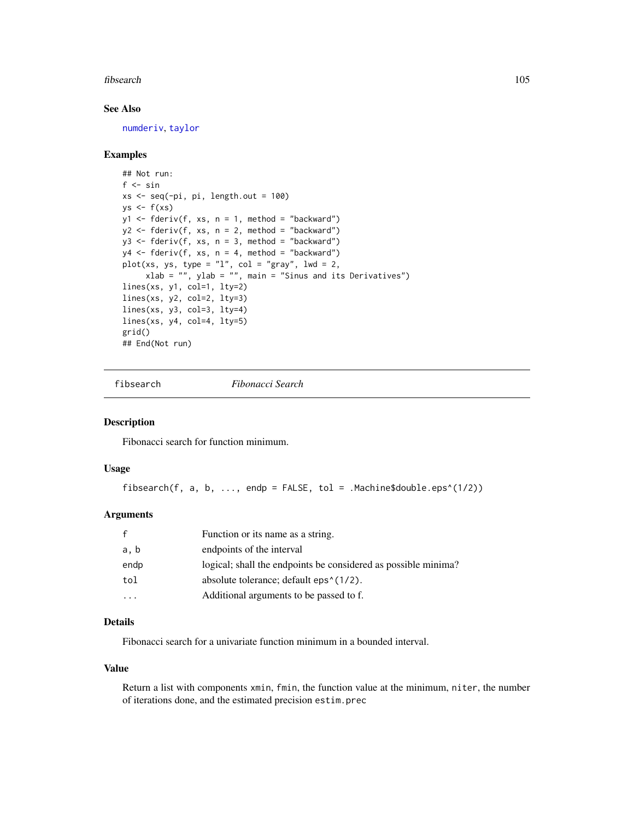#### fibsearch 105

# See Also

[numderiv](#page-244-0), [taylor](#page-363-0)

## Examples

```
## Not run:
f \leftarrow \sinxs < -seq(-pi, pi, length.out = 100)ys \leftarrow f(xs)y1 \leftarrow fderiv(f, xs, n = 1, method = "backward")
y2 <- fderiv(f, xs, n = 2, method = "backward")
y3 \leq-fderiv(f, xs, n = 3, method = "backward")y4 \leq fderiv(f, xs, n = 4, method = "backward")
plot(xs, ys, type = "l", col = "gray", lud = 2,xlab = "", ylab = "", main = "Sinus and its Derivatives")
lines(xs, y1, col=1, lty=2)
lines(xs, y2, col=2, lty=3)lines(xs, y3, col=3, lty=4)
lines(xs, y4, col=4, lty=5)
grid()
## End(Not run)
```
fibsearch *Fibonacci Search*

## Description

Fibonacci search for function minimum.

# Usage

fibsearch(f, a, b, ..., endp = FALSE, tol = .Machine\$double.eps^(1/2))

## Arguments

|      | Function or its name as a string.                                    |
|------|----------------------------------------------------------------------|
| a, b | endpoints of the interval                                            |
| endp | logical; shall the endpoints be considered as possible minima?       |
| tol  | absolute tolerance; default eps <sup><math>\land</math></sup> (1/2). |
|      | Additional arguments to be passed to f.                              |

#### Details

Fibonacci search for a univariate function minimum in a bounded interval.

#### Value

Return a list with components xmin, fmin, the function value at the minimum, niter, the number of iterations done, and the estimated precision estim.prec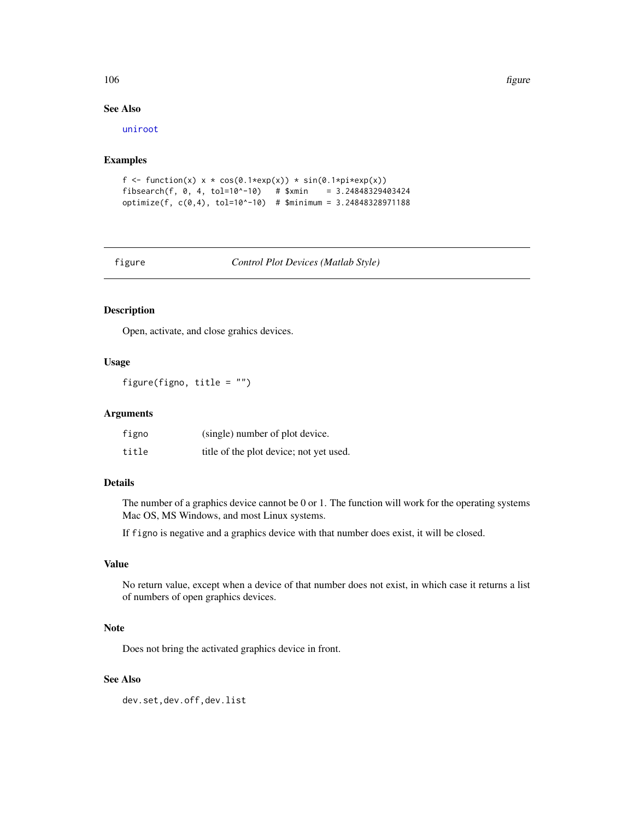#### 106 figure

## See Also

[uniroot](#page-0-0)

# Examples

```
f <- function(x) x * cos(\theta.1 * exp(x)) * sin(\theta.1 * pi * exp(x))fibsearch(f, 0, 4, tol=10^{\wedge}-10) # $xmin = 3.24848329403424
optimize(f, c(0,4), tol=10^-10) # $minimum = 3.24848328971188
```
figure *Control Plot Devices (Matlab Style)*

## Description

Open, activate, and close grahics devices.

# Usage

figure(figno, title = "")

## Arguments

| figno | (single) number of plot device.         |
|-------|-----------------------------------------|
| title | title of the plot device; not yet used. |

# Details

The number of a graphics device cannot be 0 or 1. The function will work for the operating systems Mac OS, MS Windows, and most Linux systems.

If figno is negative and a graphics device with that number does exist, it will be closed.

# Value

No return value, except when a device of that number does not exist, in which case it returns a list of numbers of open graphics devices.

## Note

Does not bring the activated graphics device in front.

## See Also

dev.set,dev.off,dev.list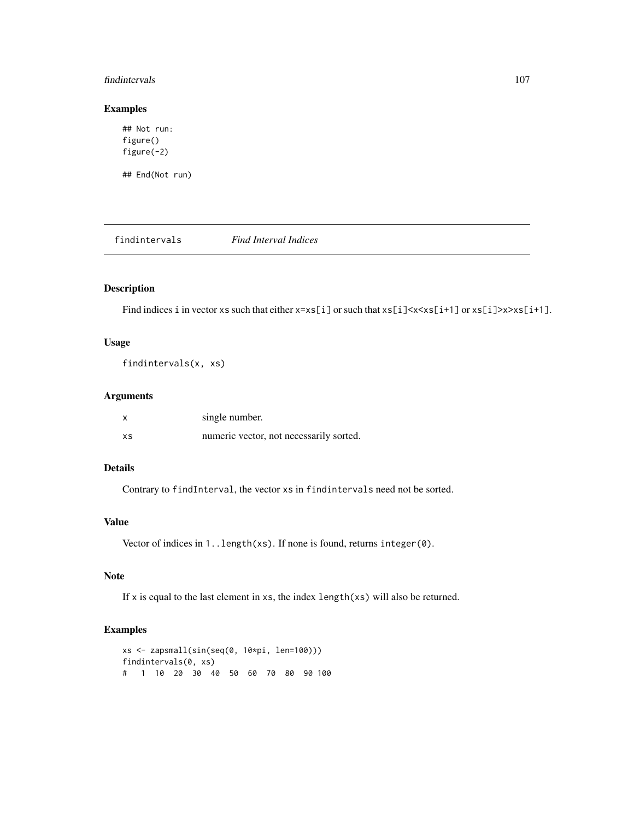#### findintervals 107

## Examples

```
## Not run:
figure()
figure(-2)
## End(Not run)
```
findintervals *Find Interval Indices*

# Description

Find indices i in vector xs such that either  $x=xs[i]$  or such that  $xs[i]\times x\times xs[i+1]$  or  $xs[i]\times x\times s[i+1]$ .

# Usage

findintervals(x, xs)

# Arguments

| X  | single number.                          |
|----|-----------------------------------------|
| XS | numeric vector, not necessarily sorted. |

# Details

Contrary to findInterval, the vector xs in findintervals need not be sorted.

# Value

Vector of indices in 1..length(xs). If none is found, returns integer(0).

# Note

If x is equal to the last element in xs, the index  $length(xs)$  will also be returned.

```
xs <- zapsmall(sin(seq(0, 10*pi, len=100)))
findintervals(0, xs)
# 1 10 20 30 40 50 60 70 80 90 100
```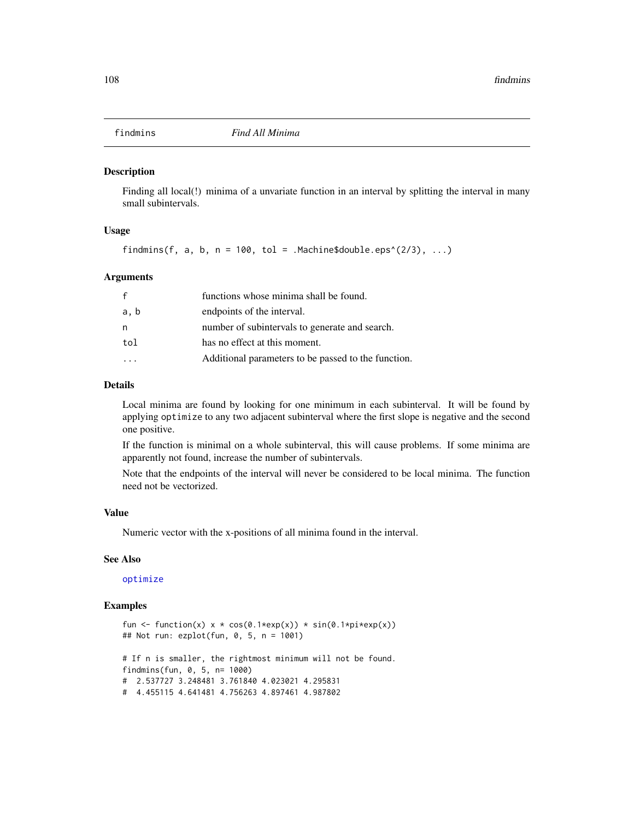Finding all local(!) minima of a unvariate function in an interval by splitting the interval in many small subintervals.

## Usage

findmins(f, a, b,  $n = 100$ , tol = .Machine\$double.eps^(2/3), ...)

#### Arguments

| f    | functions whose minima shall be found.              |
|------|-----------------------------------------------------|
| a, b | endpoints of the interval.                          |
| n    | number of subintervals to generate and search.      |
| tol  | has no effect at this moment.                       |
|      | Additional parameters to be passed to the function. |

#### Details

Local minima are found by looking for one minimum in each subinterval. It will be found by applying optimize to any two adjacent subinterval where the first slope is negative and the second one positive.

If the function is minimal on a whole subinterval, this will cause problems. If some minima are apparently not found, increase the number of subintervals.

Note that the endpoints of the interval will never be considered to be local minima. The function need not be vectorized.

#### Value

Numeric vector with the x-positions of all minima found in the interval.

#### See Also

## [optimize](#page-0-0)

```
fun <- function(x) x * cos(\theta.1*exp(x)) * sin(\theta.1*pi*exp(x))## Not run: ezplot(fun, 0, 5, n = 1001)
# If n is smaller, the rightmost minimum will not be found.
findmins(fun, 0, 5, n= 1000)
# 2.537727 3.248481 3.761840 4.023021 4.295831
# 4.455115 4.641481 4.756263 4.897461 4.987802
```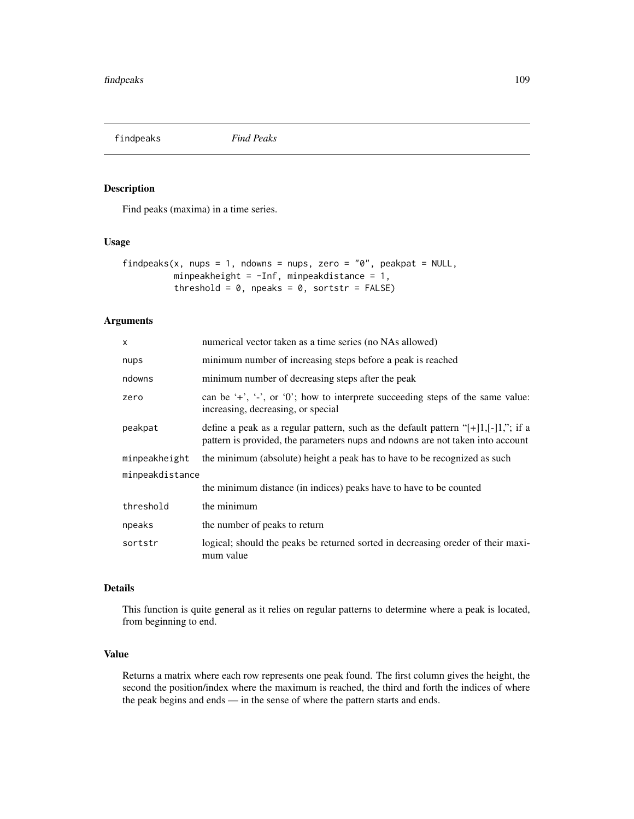findpeaks *Find Peaks*

# Description

Find peaks (maxima) in a time series.

## Usage

```
findpeaks(x, nups = 1, ndowns = nups, zero = "0", peakpat = NULL,
         minpeakheight = -Inf, minpeakdistance = 1,
          threshold = 0, npeaks = 0, sortstr = FALSE)
```
# Arguments

| $\times$        | numerical vector taken as a time series (no NAs allowed)                                                                                                                  |  |
|-----------------|---------------------------------------------------------------------------------------------------------------------------------------------------------------------------|--|
| nups            | minimum number of increasing steps before a peak is reached                                                                                                               |  |
| ndowns          | minimum number of decreasing steps after the peak                                                                                                                         |  |
| zero            | can be $\div$ , $\div$ , or $\div$ or $\div$ , how to interprete succeeding steps of the same value:<br>increasing, decreasing, or special                                |  |
| peakpat         | define a peak as a regular pattern, such as the default pattern " $[+]1, [-]1,$ "; if a<br>pattern is provided, the parameters nups and ndowns are not taken into account |  |
| minpeakheight   | the minimum (absolute) height a peak has to have to be recognized as such                                                                                                 |  |
| minpeakdistance |                                                                                                                                                                           |  |
|                 | the minimum distance (in indices) peaks have to have to be counted                                                                                                        |  |
| threshold       | the minimum                                                                                                                                                               |  |
| npeaks          | the number of peaks to return                                                                                                                                             |  |
| sortstr         | logical; should the peaks be returned sorted in decreasing oreder of their maxi-<br>mum value                                                                             |  |

# Details

This function is quite general as it relies on regular patterns to determine where a peak is located, from beginning to end.

# Value

Returns a matrix where each row represents one peak found. The first column gives the height, the second the position/index where the maximum is reached, the third and forth the indices of where the peak begins and ends — in the sense of where the pattern starts and ends.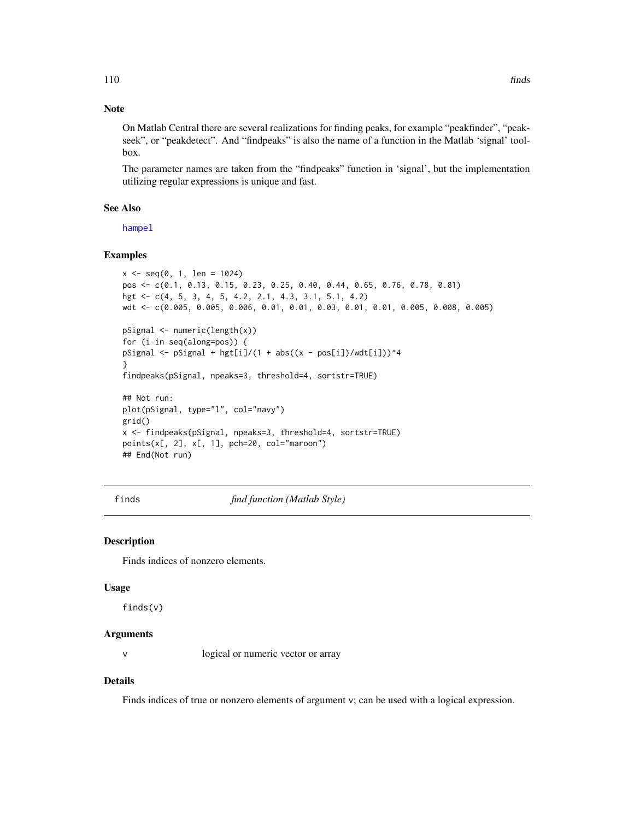## Note

On Matlab Central there are several realizations for finding peaks, for example "peakfinder", "peakseek", or "peakdetect". And "findpeaks" is also the name of a function in the Matlab 'signal' toolbox.

The parameter names are taken from the "findpeaks" function in 'signal', but the implementation utilizing regular expressions is unique and fast.

## See Also

[hampel](#page-151-0)

# Examples

```
x \leq -\text{seq}(0, 1, \text{ len} = 1024)pos <- c(0.1, 0.13, 0.15, 0.23, 0.25, 0.40, 0.44, 0.65, 0.76, 0.78, 0.81)
hgt <- c(4, 5, 3, 4, 5, 4.2, 2.1, 4.3, 3.1, 5.1, 4.2)
wdt <- c(0.005, 0.005, 0.006, 0.01, 0.01, 0.03, 0.01, 0.01, 0.005, 0.008, 0.005)
pSignal <- numeric(length(x))
for (i in seq(along=pos)) {
pSignal <- pSignal + hgt[i]/(1 + abs((x - pos[i])/wdt[i]))^4
}
findpeaks(pSignal, npeaks=3, threshold=4, sortstr=TRUE)
## Not run:
plot(pSignal, type="l", col="navy")
grid()
x <- findpeaks(pSignal, npeaks=3, threshold=4, sortstr=TRUE)
points(x[, 2], x[, 1], pch=20, col="maroon")
## End(Not run)
```
finds *find function (Matlab Style)*

## **Description**

Finds indices of nonzero elements.

#### Usage

finds(v)

## Arguments

v logical or numeric vector or array

#### Details

Finds indices of true or nonzero elements of argument v; can be used with a logical expression.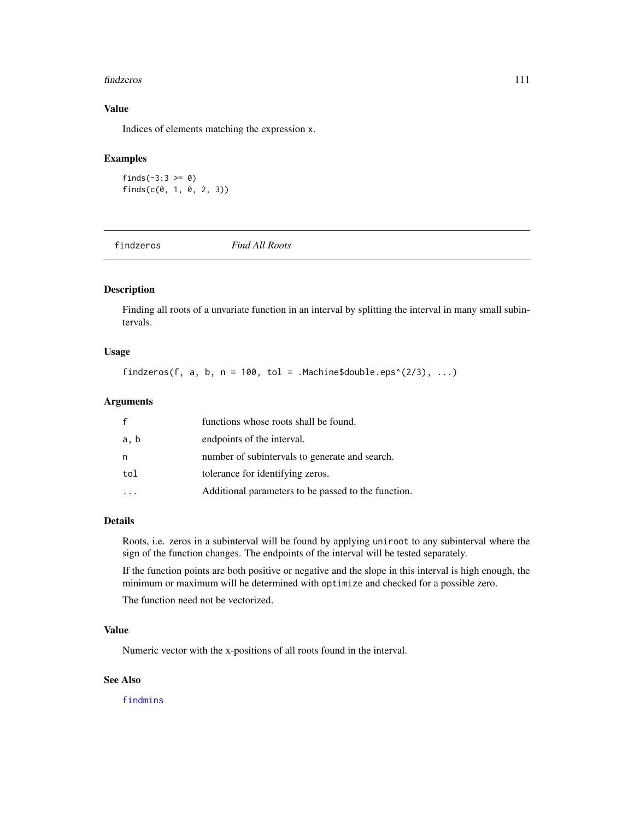#### findzeros 111

# Value

Indices of elements matching the expression x.

# Examples

```
finds(-3:3 > = 0)
finds(c(0, 1, 0, 2, 3))
```
findzeros *Find All Roots*

# Description

Finding all roots of a unvariate function in an interval by splitting the interval in many small subintervals.

# Usage

findzeros(f, a, b,  $n = 100$ , tol = .Machine\$double.eps^(2/3), ...)

## Arguments

| f    | functions whose roots shall be found.               |
|------|-----------------------------------------------------|
| a, b | endpoints of the interval.                          |
| n    | number of subintervals to generate and search.      |
| tol  | tolerance for identifying zeros.                    |
|      | Additional parameters to be passed to the function. |

#### Details

Roots, i.e. zeros in a subinterval will be found by applying uniroot to any subinterval where the sign of the function changes. The endpoints of the interval will be tested separately.

If the function points are both positive or negative and the slope in this interval is high enough, the minimum or maximum will be determined with optimize and checked for a possible zero.

The function need not be vectorized.

# Value

Numeric vector with the x-positions of all roots found in the interval.

#### See Also

[findmins](#page-107-0)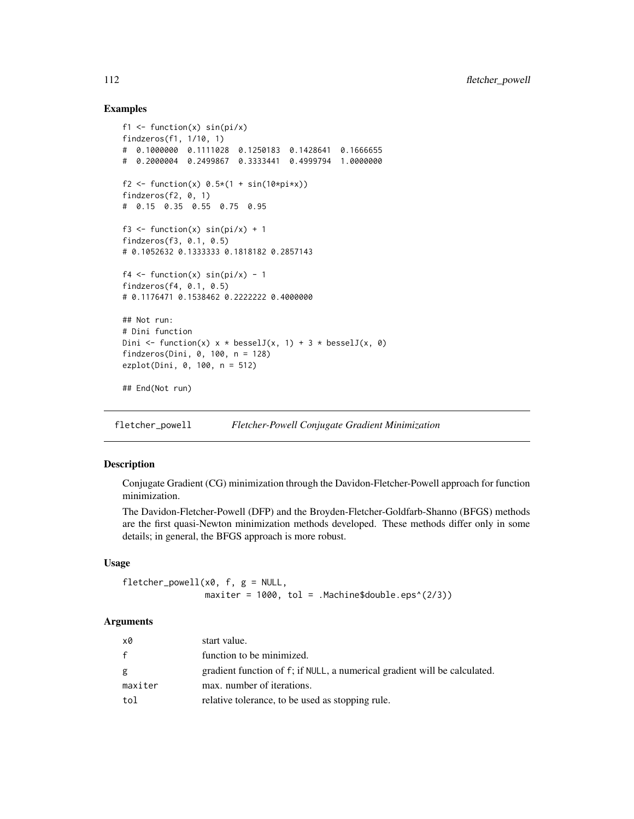# Examples

```
f1 \le function(x) sin(pi/x)
findzeros(f1, 1/10, 1)
# 0.1000000 0.1111028 0.1250183 0.1428641 0.1666655
# 0.2000004 0.2499867 0.3333441 0.4999794 1.0000000
f2 <- function(x) 0.5*(1 + sin(10*pi*x))findzeros(f2, 0, 1)
# 0.15 0.35 0.55 0.75 0.95
f3 <- function(x) sin(pi/x) + 1findzeros(f3, 0.1, 0.5)
# 0.1052632 0.1333333 0.1818182 0.2857143
f4 \leftarrow function(x) sin(pi/x) - 1
findzeros(f4, 0.1, 0.5)
# 0.1176471 0.1538462 0.2222222 0.4000000
## Not run:
# Dini function
Dini <- function(x) x * besselJ(x, 1) + 3 * besselJ(x, 0)
findzeros(Dini, 0, 100, n = 128)
ezplot(Dini, 0, 100, n = 512)
## End(Not run)
```
fletcher\_powell *Fletcher-Powell Conjugate Gradient Minimization*

## Description

Conjugate Gradient (CG) minimization through the Davidon-Fletcher-Powell approach for function minimization.

The Davidon-Fletcher-Powell (DFP) and the Broyden-Fletcher-Goldfarb-Shanno (BFGS) methods are the first quasi-Newton minimization methods developed. These methods differ only in some details; in general, the BFGS approach is more robust.

## Usage

```
fletcher_powell(x0, f, g = NULL,
                maxiter = 1000, tol = .Machine$double.eps^(2/3))
```
#### Arguments

| x0           | start value.                                                              |
|--------------|---------------------------------------------------------------------------|
| $\mathbf{f}$ | function to be minimized.                                                 |
| g            | gradient function of f; if NULL, a numerical gradient will be calculated. |
| maxiter      | max. number of iterations.                                                |
| tol          | relative tolerance, to be used as stopping rule.                          |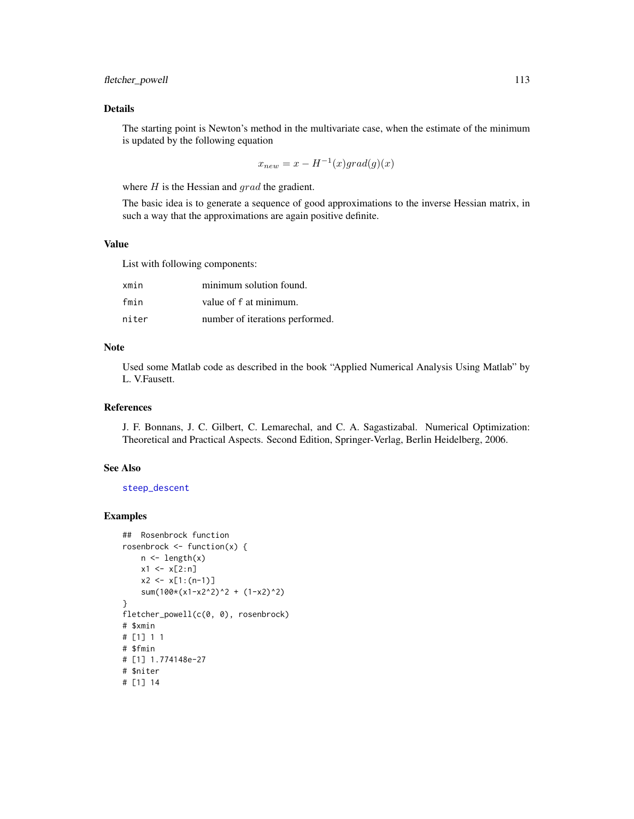# Details

The starting point is Newton's method in the multivariate case, when the estimate of the minimum is updated by the following equation

$$
x_{new} = x - H^{-1}(x) grad(g)(x)
$$

where  $H$  is the Hessian and  $grad$  the gradient.

The basic idea is to generate a sequence of good approximations to the inverse Hessian matrix, in such a way that the approximations are again positive definite.

# Value

List with following components:

| xmin  | minimum solution found.         |
|-------|---------------------------------|
| fmin  | value of f at minimum.          |
| niter | number of iterations performed. |

# Note

Used some Matlab code as described in the book "Applied Numerical Analysis Using Matlab" by L. V.Fausett.

## References

J. F. Bonnans, J. C. Gilbert, C. Lemarechal, and C. A. Sagastizabal. Numerical Optimization: Theoretical and Practical Aspects. Second Edition, Springer-Verlag, Berlin Heidelberg, 2006.

# See Also

[steep\\_descent](#page-353-0)

```
## Rosenbrock function
rosenbrock <- function(x) {
    n <- length(x)
    x1 \leftarrow x[2:n]x2 \le x[1:(n-1)]sum(100*(x1-x2^2)^2 + (1-x2)^2)
}
fletcher_powell(c(0, 0), rosenbrock)
# $xmin
# [1] 1 1
# $fmin
# [1] 1.774148e-27
# $niter
# [1] 14
```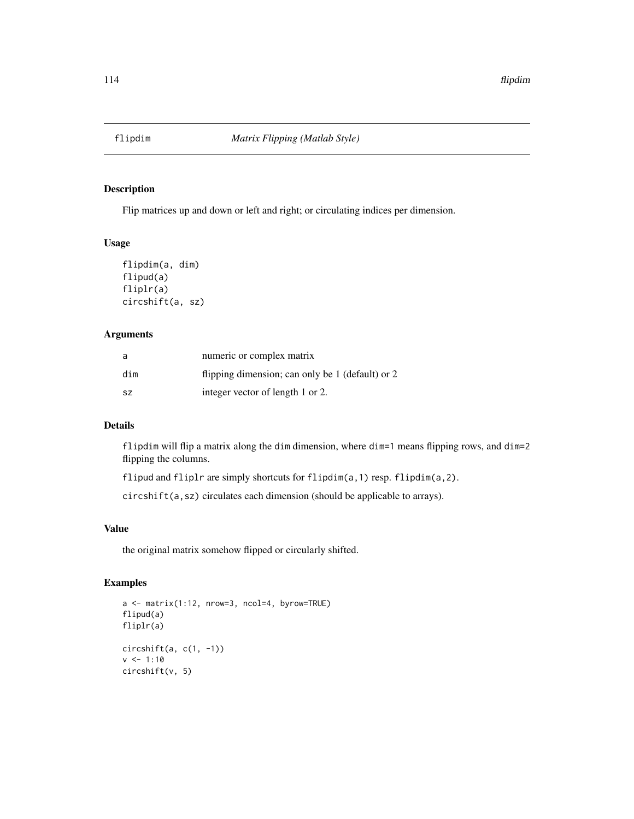# Description

Flip matrices up and down or left and right; or circulating indices per dimension.

## Usage

```
flipdim(a, dim)
flipud(a)
fliplr(a)
circshift(a, sz)
```
## Arguments

| a         | numeric or complex matrix                        |
|-----------|--------------------------------------------------|
| dim       | flipping dimension; can only be 1 (default) or 2 |
| <b>SZ</b> | integer vector of length 1 or 2.                 |

## Details

flipdim will flip a matrix along the dim dimension, where dim=1 means flipping rows, and dim=2 flipping the columns.

flipud and fliplr are simply shortcuts for flipdim(a,1) resp. flipdim(a,2).

circshift(a,sz) circulates each dimension (should be applicable to arrays).

# Value

the original matrix somehow flipped or circularly shifted.

```
a <- matrix(1:12, nrow=3, ncol=4, byrow=TRUE)
flipud(a)
fliplr(a)
circshift(a, c(1, -1))
v <- 1:10
circshift(v, 5)
```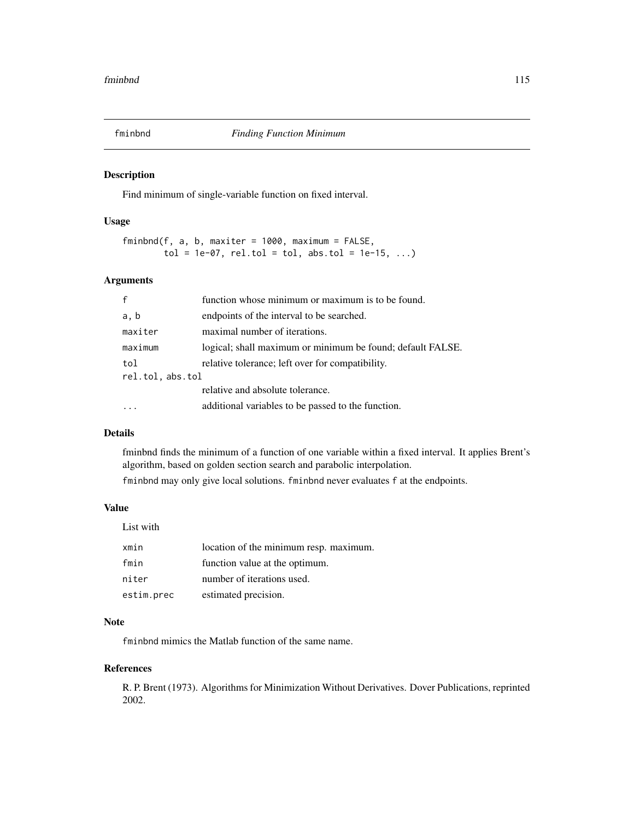## Description

Find minimum of single-variable function on fixed interval.

# Usage

 $fminbnd(f, a, b, maxiter = 1000, maximum = FALSE,$  $tol = 1e-07$ ,  $rel.tol = tol$ ,  $abs.tol = 1e-15$ , ...)

#### Arguments

| $\mathbf{f}$     | function whose minimum or maximum is to be found.          |
|------------------|------------------------------------------------------------|
| a, b             | endpoints of the interval to be searched.                  |
| maxiter          | maximal number of iterations.                              |
| maximum          | logical; shall maximum or minimum be found; default FALSE. |
| tol              | relative tolerance; left over for compatibility.           |
| rel.tol, abs.tol |                                                            |
|                  | relative and absolute tolerance.                           |
|                  | additional variables to be passed to the function.         |

# Details

fminbnd finds the minimum of a function of one variable within a fixed interval. It applies Brent's algorithm, based on golden section search and parabolic interpolation.

fminbnd may only give local solutions. fminbnd never evaluates f at the endpoints.

# Value

List with

| xmin       | location of the minimum resp. maximum. |
|------------|----------------------------------------|
| fmin       | function value at the optimum.         |
| niter      | number of iterations used.             |
| estim.prec | estimated precision.                   |

## Note

fminbnd mimics the Matlab function of the same name.

#### References

R. P. Brent (1973). Algorithms for Minimization Without Derivatives. Dover Publications, reprinted 2002.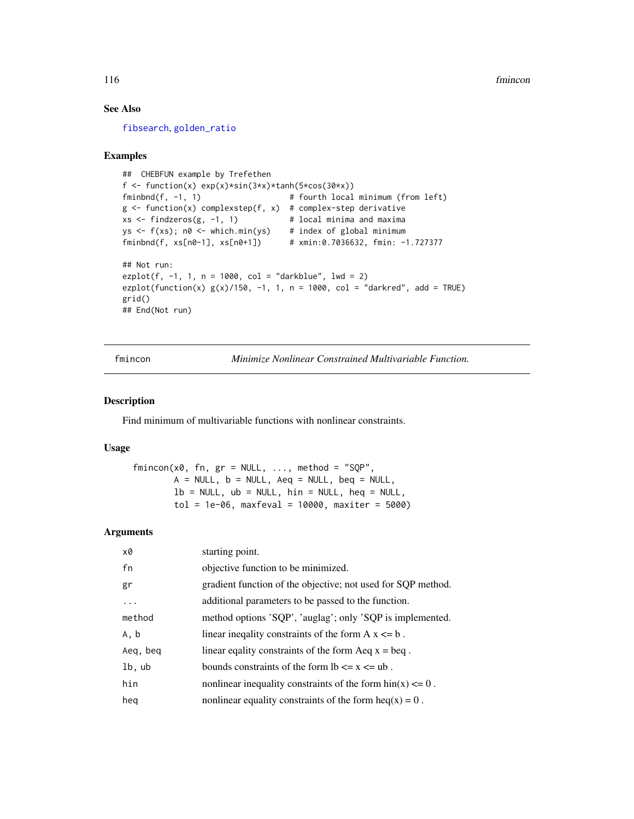# See Also

[fibsearch](#page-104-0), [golden\\_ratio](#page-144-0)

#### Examples

```
## CHEBFUN example by Trefethen
f \le function(x) exp(x)*sin(3*x)*tanh(5*cos(30*x))fminbnd(f, -1, 1) # fourth local minimum (from left)
g \leftarrow function(x) complexstep(f, x) # complex-step derivative
xs < - findzeros(g, -1, 1) # local minima and maxima
ys \leq f(xs); n0 \leq which.min(ys) # index of global minimum
fminbnd(f, xs[n0-1], xs[n0+1]) # xmin:0.7036632, fmin: -1.727377
## Not run:
explo(f, -1, 1, n = 1000, col = "darkblue", lwd = 2)ezplot(function(x) g(x)/150, -1, 1, n = 1000, col = "darkred", add = TRUE)
grid()
## End(Not run)
```
fmincon *Minimize Nonlinear Constrained Multivariable Function.*

#### Description

Find minimum of multivariable functions with nonlinear constraints.

#### Usage

 $fmincon(x0, fn, gr = NULL, ..., method = "SQP",$  $A = NULL$ ,  $b = NULL$ ,  $Aeg = NULL$ ,  $beq = NULL$ ,  $lb = NULL$ ,  $ub = NULL$ ,  $hin = NULL$ ,  $heq = NULL$ ,  $tol = 1e-06$ , maxfeval = 10000, maxiter = 5000)

## Arguments

| x0       | starting point.                                                       |
|----------|-----------------------------------------------------------------------|
| fn       | objective function to be minimized.                                   |
| gr       | gradient function of the objective; not used for SQP method.          |
| .        | additional parameters to be passed to the function.                   |
| method   | method options 'SQP', 'auglag'; only 'SQP is implemented.             |
| A, b     | linear inequality constraints of the form $A x \le b$ .               |
| Aeq, beq | linear equality constraints of the form $A$ eq $x =$ beq.             |
| lb, ub   | bounds constraints of the form $lb \le x \le ub$ .                    |
| hin      | nonlinear inequality constraints of the form $\text{bin}(x) \leq 0$ . |
| heg      | nonlinear equality constraints of the form $heq(x) = 0$ .             |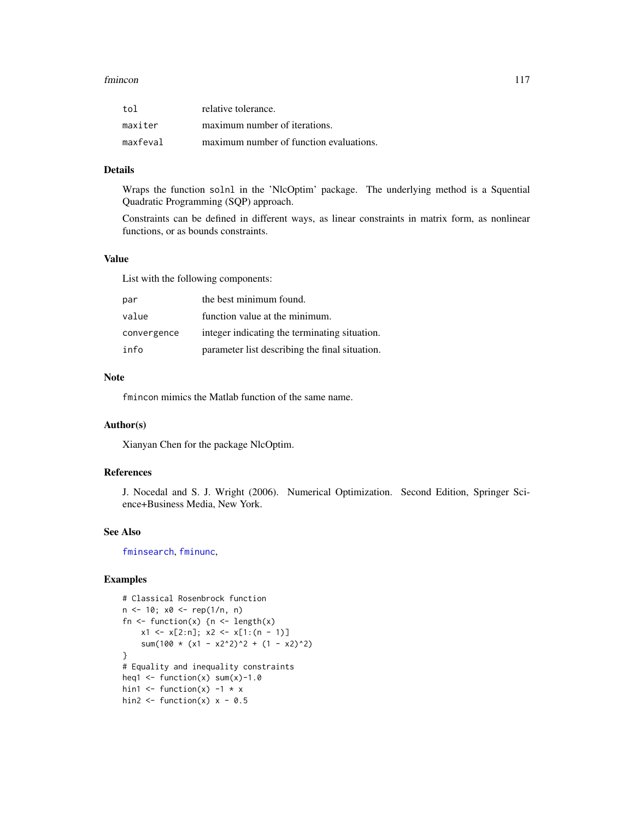#### fmincon 117

| tol      | relative tolerance.                     |
|----------|-----------------------------------------|
| maxiter  | maximum number of iterations.           |
| maxfeval | maximum number of function evaluations. |

# Details

Wraps the function solnl in the 'NlcOptim' package. The underlying method is a Squential Quadratic Programming (SQP) approach.

Constraints can be defined in different ways, as linear constraints in matrix form, as nonlinear functions, or as bounds constraints.

#### Value

List with the following components:

| par         | the best minimum found.                        |
|-------------|------------------------------------------------|
| value       | function value at the minimum.                 |
| convergence | integer indicating the terminating situation.  |
| info        | parameter list describing the final situation. |

# Note

fmincon mimics the Matlab function of the same name.

#### Author(s)

Xianyan Chen for the package NlcOptim.

## References

J. Nocedal and S. J. Wright (2006). Numerical Optimization. Second Edition, Springer Science+Business Media, New York.

#### See Also

[fminsearch](#page-117-0), [fminunc](#page-118-0),

```
# Classical Rosenbrock function
n <- 10; x0 <- rep(1/n, n)
fn \leq function(x) {n \leq length(x)
    x1 \leq x[2:n]; x2 \leq x[1:(n-1)]sum(100 \star (x1 - x2^2)^2 + (1 - x2)^2)
}
# Equality and inequality constraints
heq1 \leftarrow function(x) sum(x)-1.0
hin1 \le function(x) -1 \times xhin2 \leftarrow function(x) x - 0.5
```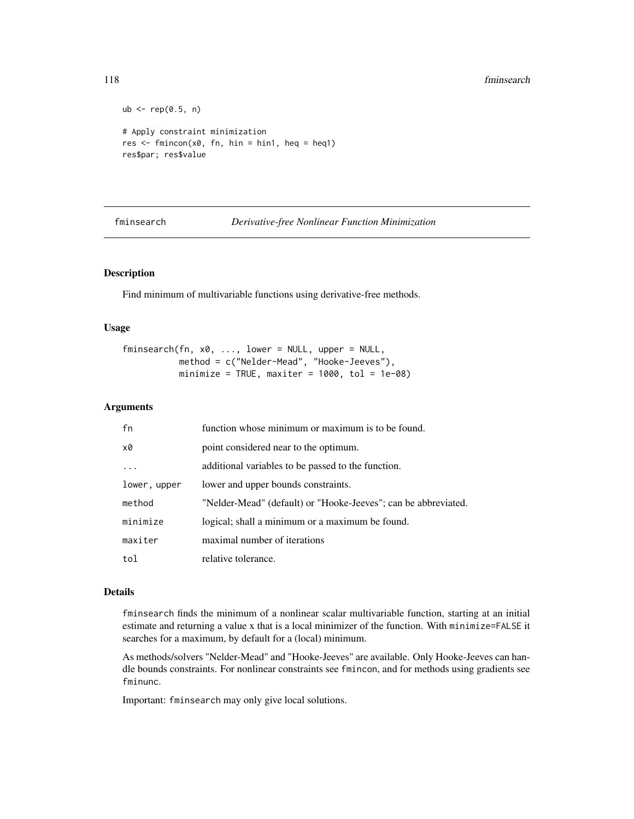#### 118 fminsearch

```
ub \leq rep(0.5, n)
# Apply constraint minimization
res \leq fmincon(x0, fn, hin = hin1, heq = heq1)
res$par; res$value
```
<span id="page-117-0"></span>fminsearch *Derivative-free Nonlinear Function Minimization*

# Description

Find minimum of multivariable functions using derivative-free methods.

#### Usage

```
fminsearch(fn, x0, ..., lower = NULL, upper = NULL,method = c("Nelder-Mead", "Hooke-Jeeves"),
          minimize = TRUE, maxiter = 1000, tol = 1e-08)
```
#### Arguments

| fn           | function whose minimum or maximum is to be found.              |
|--------------|----------------------------------------------------------------|
| x0           | point considered near to the optimum.                          |
|              | additional variables to be passed to the function.             |
| lower, upper | lower and upper bounds constraints.                            |
| method       | "Nelder-Mead" (default) or "Hooke-Jeeves"; can be abbreviated. |
| minimize     | logical; shall a minimum or a maximum be found.                |
| maxiter      | maximal number of iterations                                   |
| tol          | relative tolerance.                                            |

## Details

fminsearch finds the minimum of a nonlinear scalar multivariable function, starting at an initial estimate and returning a value x that is a local minimizer of the function. With minimize=FALSE it searches for a maximum, by default for a (local) minimum.

As methods/solvers "Nelder-Mead" and "Hooke-Jeeves" are available. Only Hooke-Jeeves can handle bounds constraints. For nonlinear constraints see fmincon, and for methods using gradients see fminunc.

Important: fminsearch may only give local solutions.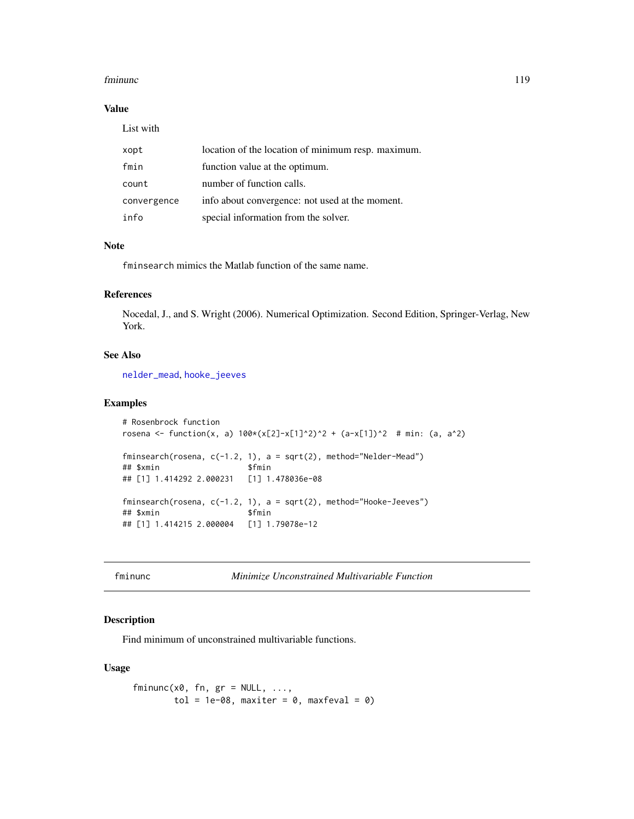#### fminunc 119

# Value

List with

| xopt        | location of the location of minimum resp. maximum. |
|-------------|----------------------------------------------------|
| fmin        | function value at the optimum.                     |
| count       | number of function calls.                          |
| convergence | info about convergence: not used at the moment.    |
| info        | special information from the solver.               |

# Note

fminsearch mimics the Matlab function of the same name.

#### References

Nocedal, J., and S. Wright (2006). Numerical Optimization. Second Edition, Springer-Verlag, New York.

## See Also

[nelder\\_mead](#page-229-0), [hooke\\_jeeves](#page-160-0)

## Examples

```
# Rosenbrock function
rosena <- function(x, a) 100*(x[2]-x[1]^2)^2 + (a-x[1])<sup>2</sup> # min: (a, a<sup>2</sup>)
fminsearch(rosena, c(-1.2, 1), a = sqrt(2), method="Nelder-Mead")
## $xmin $fmin
## [1] 1.414292 2.000231 [1] 1.478036e-08
fminsearch(rosena, c(-1.2, 1), a = sqrt(2), method="Hooke-Jeeves")
## $xmin $fmin
## [1] 1.414215 2.000004 [1] 1.79078e-12
```
<span id="page-118-0"></span>fminunc *Minimize Unconstrained Multivariable Function*

## Description

Find minimum of unconstrained multivariable functions.

#### Usage

```
fminunc(x0, fn, gr = NULL, ...,tol = 1e-08, maxiter = 0, maxfeval = 0)
```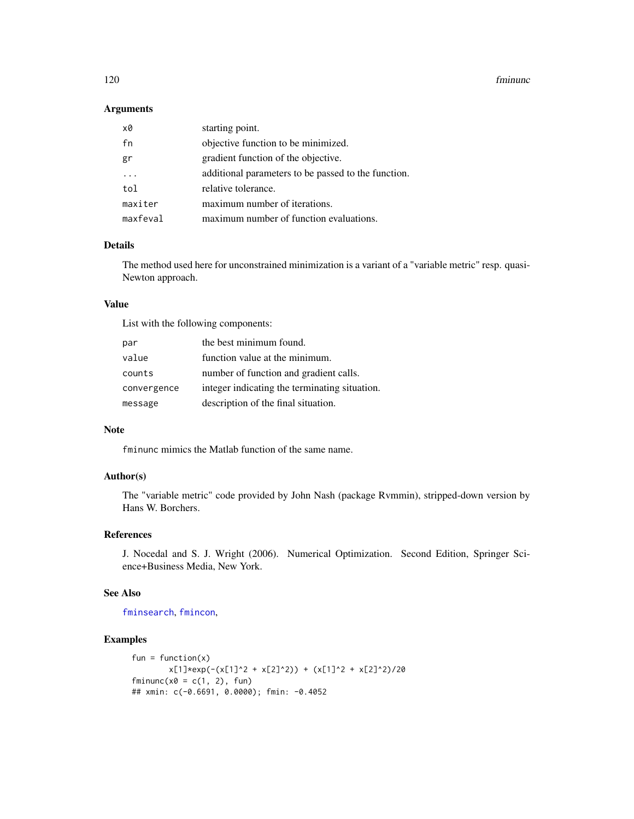#### 120 fminunc

## Arguments

| x0       | starting point.                                     |
|----------|-----------------------------------------------------|
| fn       | objective function to be minimized.                 |
| gr       | gradient function of the objective.                 |
|          | additional parameters to be passed to the function. |
| tol      | relative tolerance.                                 |
| maxiter  | maximum number of iterations.                       |
| maxfeval | maximum number of function evaluations.             |

# Details

The method used here for unconstrained minimization is a variant of a "variable metric" resp. quasi-Newton approach.

# Value

List with the following components:

| par         | the best minimum found.                       |
|-------------|-----------------------------------------------|
| value       | function value at the minimum.                |
| counts      | number of function and gradient calls.        |
| convergence | integer indicating the terminating situation. |
| message     | description of the final situation.           |

# Note

fminunc mimics the Matlab function of the same name.

# Author(s)

The "variable metric" code provided by John Nash (package Rvmmin), stripped-down version by Hans W. Borchers.

# References

J. Nocedal and S. J. Wright (2006). Numerical Optimization. Second Edition, Springer Science+Business Media, New York.

# See Also

[fminsearch](#page-117-0), [fmincon](#page-115-0),

```
fun = function(x)x[1]*exp(-(x[1]'2 + x[2]'2)) + (x[1]'2 + x[2]'2)/20fminunc(x0 = c(1, 2), fun)## xmin: c(-0.6691, 0.0000); fmin: -0.4052
```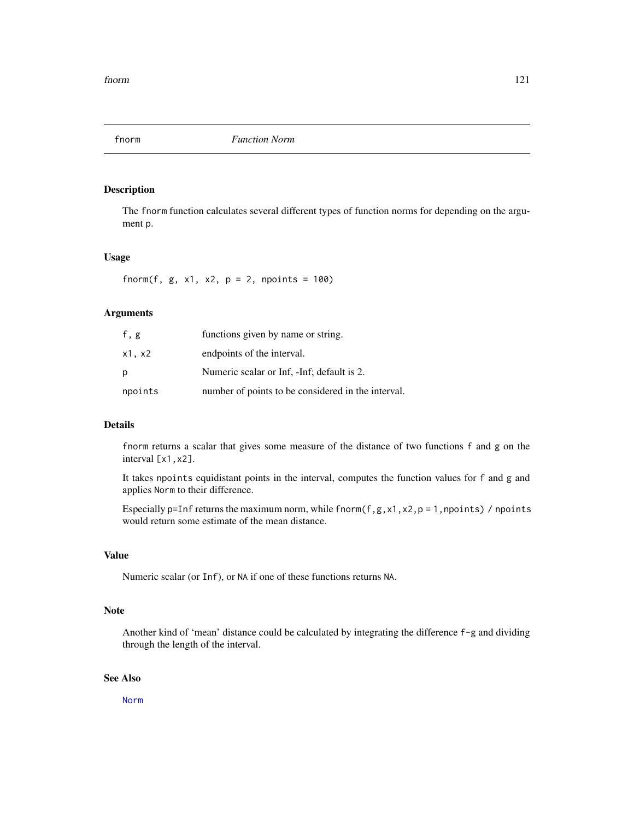# Description

The fnorm function calculates several different types of function norms for depending on the argument p.

## Usage

fnorm(f,  $g$ ,  $x1$ ,  $x2$ ,  $p = 2$ , npoints = 100)

# Arguments

| f, g    | functions given by name or string.                 |
|---------|----------------------------------------------------|
| x1. x2  | endpoints of the interval.                         |
| р       | Numeric scalar or Inf, -Inf; default is 2.         |
| npoints | number of points to be considered in the interval. |

## Details

fnorm returns a scalar that gives some measure of the distance of two functions f and g on the interval [x1,x2].

It takes npoints equidistant points in the interval, computes the function values for f and g and applies Norm to their difference.

Especially p=Inf returns the maximum norm, while fnorm(f,g,x1,x2,p = 1,npoints) / npoints would return some estimate of the mean distance.

## Value

Numeric scalar (or Inf), or NA if one of these functions returns NA.

#### Note

Another kind of 'mean' distance could be calculated by integrating the difference f-g and dividing through the length of the interval.

## See Also

[Norm](#page-240-0)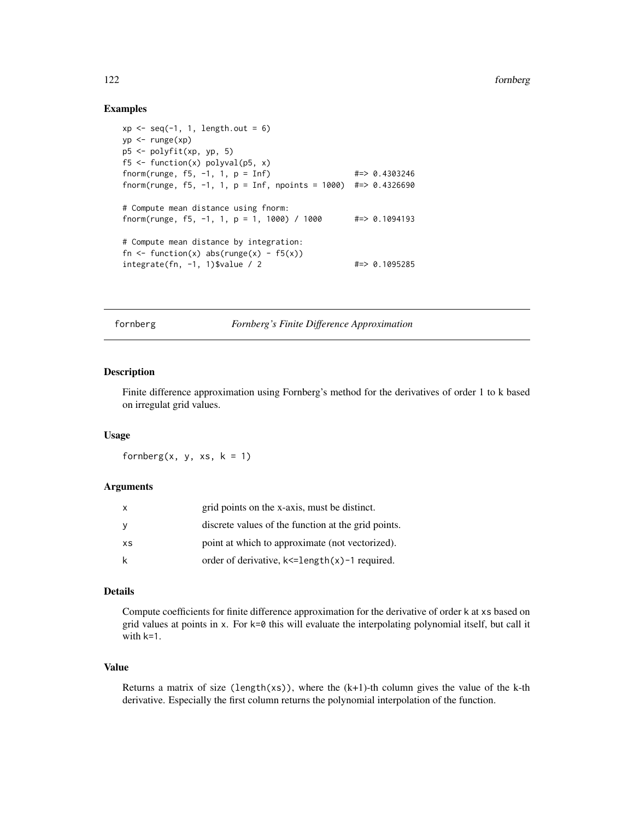## Examples

```
xp \leftarrow seq(-1, 1, length.out = 6)yp <- runge(xp)
p5 <- polyfit(xp, yp, 5)
f5 <- function(x) polyval(p5, x)
fnorm(runge, f5, -1, 1, p = Inf) \#2 > 0.4303246fnorm(runge, f5, -1, 1, p = Inf, npoints = 1000) #=> 0.4326690
# Compute mean distance using fnorm:
fnorm(runge, f5, -1, 1, p = 1, 1000) / 1000    #=> 0.1094193
# Compute mean distance by integration:
fn \le function(x) abs(runge(x) - f5(x))
integrate(fn, -1, 1)$value / 2 #=> 0.1095285
```
fornberg *Fornberg's Finite Difference Approximation*

## Description

Finite difference approximation using Fornberg's method for the derivatives of order 1 to k based on irregulat grid values.

#### Usage

fornberg $(x, y, xs, k = 1)$ 

#### Arguments

| X   | grid points on the x-axis, must be distinct.             |
|-----|----------------------------------------------------------|
| - V | discrete values of the function at the grid points.      |
| XS  | point at which to approximate (not vectorized).          |
|     | order of derivative, $k \leq$ =length $(x)$ -1 required. |

#### Details

Compute coefficients for finite difference approximation for the derivative of order k at xs based on grid values at points in  $x$ . For  $k=0$  this will evaluate the interpolating polynomial itself, but call it with k=1.

## Value

Returns a matrix of size (length(xs)), where the  $(k+1)$ -th column gives the value of the k-th derivative. Especially the first column returns the polynomial interpolation of the function.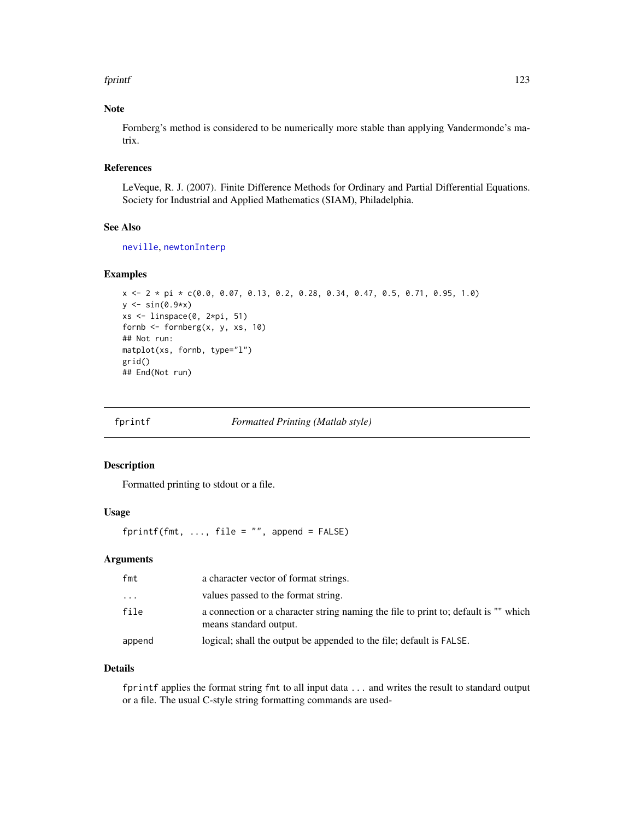#### fprintf 123

# Note

Fornberg's method is considered to be numerically more stable than applying Vandermonde's matrix.

## References

LeVeque, R. J. (2007). Finite Difference Methods for Ordinary and Partial Differential Equations. Society for Industrial and Applied Mathematics (SIAM), Philadelphia.

# See Also

[neville](#page-231-0), [newtonInterp](#page-235-0)

## Examples

```
x \le -2 \times pi \times c(0.0, 0.07, 0.13, 0.2, 0.28, 0.34, 0.47, 0.5, 0.71, 0.95, 1.0)y \leftarrow \sin(\theta.9*x)xs \leftarrow linspace(0, 2*pi, 51)fornb \leq fornberg(x, y, xs, 10)
## Not run:
matplot(xs, fornb, type="l")
grid()
## End(Not run)
```
fprintf *Formatted Printing (Matlab style)*

#### Description

Formatted printing to stdout or a file.

# Usage

fprintf(fmt,  $\ldots$ , file = "", append = FALSE)

## Arguments

| fmt      | a character vector of format strings.                                                                         |
|----------|---------------------------------------------------------------------------------------------------------------|
| $\cdots$ | values passed to the format string.                                                                           |
| file     | a connection or a character string naming the file to print to; default is "" which<br>means standard output. |
| append   | logical; shall the output be appended to the file; default is FALSE.                                          |

#### Details

fprintf applies the format string fmt to all input data ... and writes the result to standard output or a file. The usual C-style string formatting commands are used-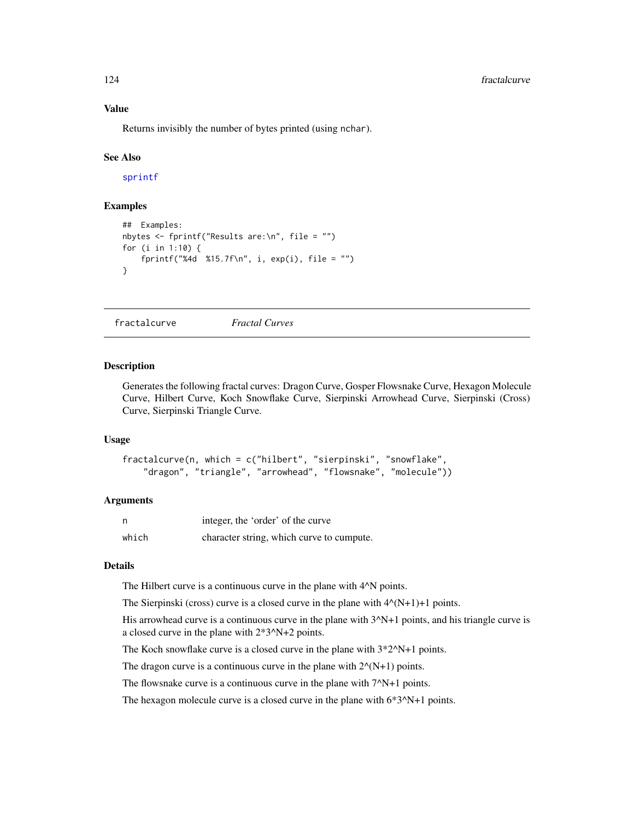#### Value

Returns invisibly the number of bytes printed (using nchar).

## See Also

[sprintf](#page-0-0)

# **Examples**

```
## Examples:
nbytes <- fprintf("Results are:\n", file = "")
for (i in 1:10) {
    fprintf("%4d %15.7f\n", i, exp(i), file = "")
}
```
fractalcurve *Fractal Curves*

#### Description

Generates the following fractal curves: Dragon Curve, Gosper Flowsnake Curve, Hexagon Molecule Curve, Hilbert Curve, Koch Snowflake Curve, Sierpinski Arrowhead Curve, Sierpinski (Cross) Curve, Sierpinski Triangle Curve.

## Usage

```
fractalcurve(n, which = c("hilbert", "sierpinski", "snowflake",
    "dragon", "triangle", "arrowhead", "flowsnake", "molecule"))
```
#### Arguments

| n     | integer, the 'order' of the curve         |
|-------|-------------------------------------------|
| which | character string, which curve to cumpute. |

# Details

The Hilbert curve is a continuous curve in the plane with  $4^N$ N points.

The Sierpinski (cross) curve is a closed curve in the plane with  $4^{\wedge}(N+1)+1$  points.

His arrowhead curve is a continuous curve in the plane with  $3^N+1$  points, and his triangle curve is a closed curve in the plane with 2\*3^N+2 points.

The Koch snowflake curve is a closed curve in the plane with  $3*2^N+1$  points.

The dragon curve is a continuous curve in the plane with  $2^{\wedge}(N+1)$  points.

The flowsnake curve is a continuous curve in the plane with  $7^N+1$  points.

The hexagon molecule curve is a closed curve in the plane with  $6*3^N+1$  points.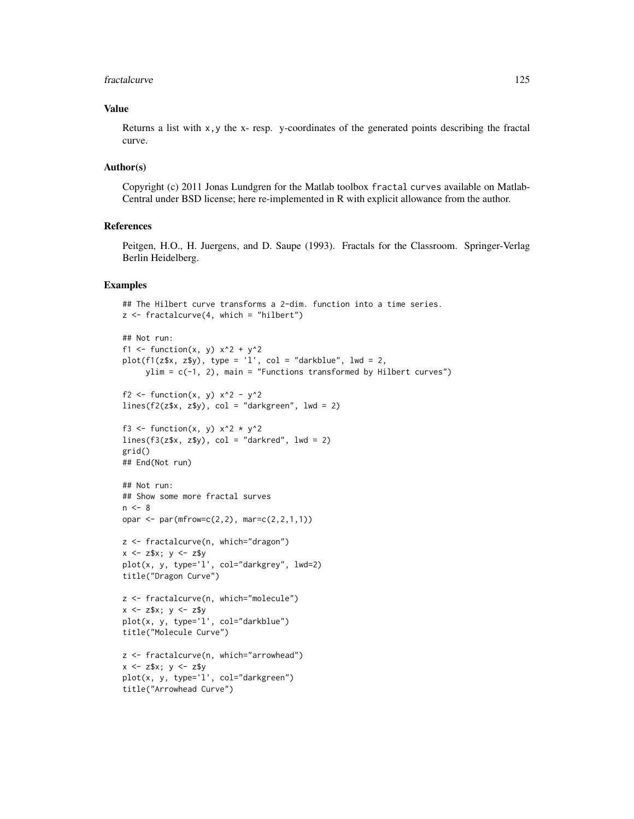#### fractalcurve that the contract of the contract of the contract of the contract of the contract of the contract of the contract of the contract of the contract of the contract of the contract of the contract of the contract

## Value

Returns a list with x,y the x- resp. y-coordinates of the generated points describing the fractal curve.

#### Author(s)

Copyright (c) 2011 Jonas Lundgren for the Matlab toolbox fractal curves available on Matlab-Central under BSD license; here re-implemented in R with explicit allowance from the author.

## References

Peitgen, H.O., H. Juergens, and D. Saupe (1993). Fractals for the Classroom. Springer-Verlag Berlin Heidelberg.

```
## The Hilbert curve transforms a 2-dim. function into a time series.
z \le fractalcurve(4, which = "hilbert")
```

```
## Not run:
f1 <- function(x, y) x^2 + y^2plot(f1(z$x, z$y), type = 'l', col = "darkblue", lwd = 2,ylim = c(-1, 2), main = "Functions transformed by Hilbert curves")
f2 <- function(x, y) x^2 - y^2
lines(f2(z*x, zsy), col = "darkgreen", lw = 2)f3 <- function(x, y) x^2 \times y^2lines(f3(z*x, zsy), col = "darkred", lwd = 2)grid()
## End(Not run)
## Not run:
## Show some more fractal surves
n < - 8opar \leq par(mfrow=c(2,2), mar=c(2,2,1,1))
z <- fractalcurve(n, which="dragon")
x \le -z$x; y \le -z$y
plot(x, y, type='l', col="darkgrey", lwd=2)
title("Dragon Curve")
z <- fractalcurve(n, which="molecule")
x \le -z$x; y \le -z$y
plot(x, y, type='l', col="darkblue")
title("Molecule Curve")
z <- fractalcurve(n, which="arrowhead")
x \le -z$x; y \le -z$y
plot(x, y, type='l', col="darkgreen")
title("Arrowhead Curve")
```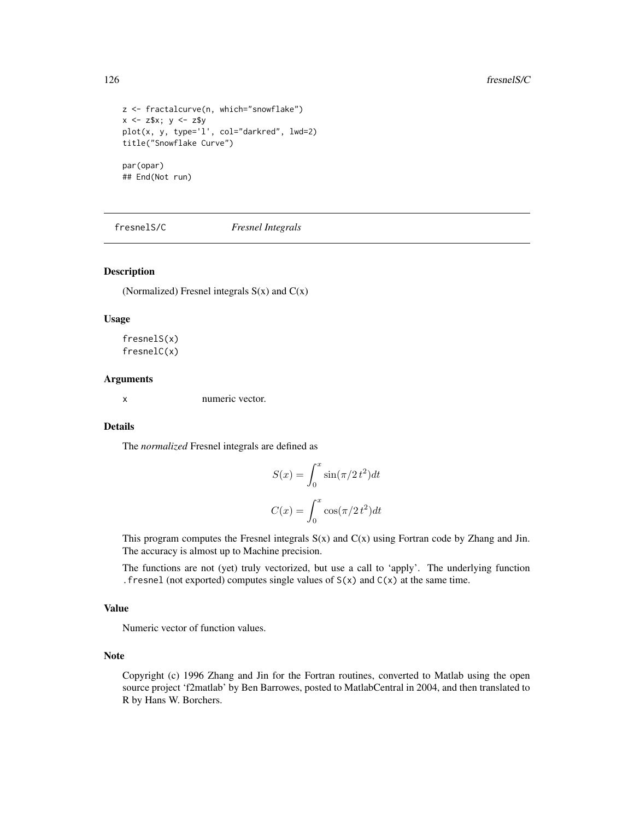```
z <- fractalcurve(n, which="snowflake")
x \le -z$x; y \le -z$y
plot(x, y, type='l', col="darkred", lwd=2)
title("Snowflake Curve")
par(opar)
## End(Not run)
```
fresnelS/C *Fresnel Integrals*

## Description

(Normalized) Fresnel integrals  $S(x)$  and  $C(x)$ 

## Usage

fresnelS(x) fresnelC(x)

#### Arguments

x numeric vector.

## Details

The *normalized* Fresnel integrals are defined as

$$
S(x) = \int_0^x \sin(\pi/2 t^2) dt
$$

$$
C(x) = \int_0^x \cos(\pi/2 t^2) dt
$$

This program computes the Fresnel integrals  $S(x)$  and  $C(x)$  using Fortran code by Zhang and Jin. The accuracy is almost up to Machine precision.

The functions are not (yet) truly vectorized, but use a call to 'apply'. The underlying function . fresnel (not exported) computes single values of  $S(x)$  and  $C(x)$  at the same time.

# Value

Numeric vector of function values.

# Note

Copyright (c) 1996 Zhang and Jin for the Fortran routines, converted to Matlab using the open source project 'f2matlab' by Ben Barrowes, posted to MatlabCentral in 2004, and then translated to R by Hans W. Borchers.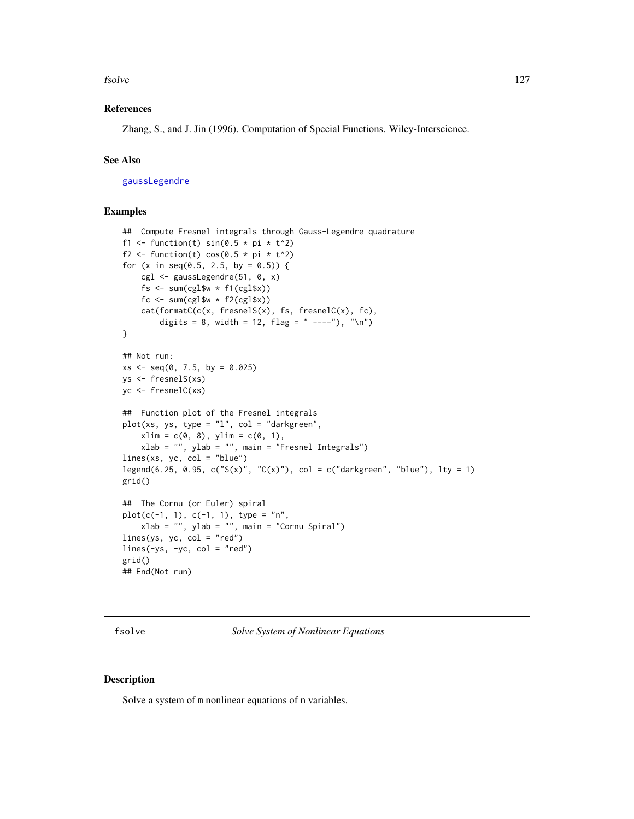#### fsolve that the same state of the state of the state of the state of the state of the state of the state of the state of the state of the state of the state of the state of the state of the state of the state of the state

## References

Zhang, S., and J. Jin (1996). Computation of Special Functions. Wiley-Interscience.

# See Also

[gaussLegendre](#page-135-0)

## Examples

```
## Compute Fresnel integrals through Gauss-Legendre quadrature
f1 <- function(t) sin(0.5 * pi * t^2)f2 <- function(t) cos(0.5 * pi * t^2)for (x in seq(0.5, 2.5, by = 0.5)) {
   cgl <- gaussLegendre(51, 0, x)
   fs \le sum(cgl$w \star f1(cgl$x))
   fc \le sum(cgl$w \star f2(cgl$x))
    cat(formatC(c(x, fresnelS(x), fs, fresnelC(x), fc),
        digits = 8, width = 12, flag = " ----"), "\n")
}
## Not run:
xs < -seq(0, 7.5, by = 0.025)ys <- fresnelS(xs)
yc <- fresnelC(xs)
## Function plot of the Fresnel integrals
plot(xs, ys, type = "l", col = "darkgreen",
    xlim = c(0, 8), ylim = c(0, 1),xlab = "", ylab = "", main = "Fresnel Integrals")
lines(xs, yc, col = "blue")legend(6.25, 0.95, c("S(x)", "C(x)"), col = c("darkgreen", "blue"), lty = 1)
grid()
## The Cornu (or Euler) spiral
plot(c(-1, 1), c(-1, 1), type = "n",xlab = "", ylab = "", main = "Cornu Spiral")lines(ys, yc, col = "red")lines(-ys, -yc, col = "red")
grid()
## End(Not run)
```
fsolve *Solve System of Nonlinear Equations*

## Description

Solve a system of m nonlinear equations of n variables.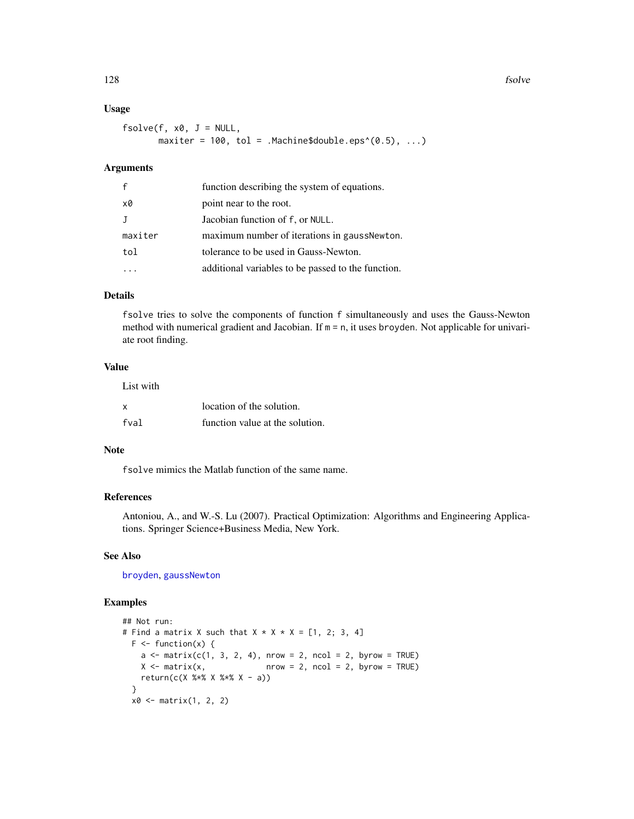128 fsolve

# Usage

```
fsolve(f, x0, J = NULL,maxiter = 100, tol = .Machine$double.eps^(0.5), ...)
```
## Arguments

| $\mathbf{f}$ | function describing the system of equations.       |
|--------------|----------------------------------------------------|
| x0           | point near to the root.                            |
| J            | Jacobian function of f, or NULL.                   |
| maxiter      | maximum number of iterations in gaussNewton.       |
| tol          | tolerance to be used in Gauss-Newton.              |
|              | additional variables to be passed to the function. |

# Details

fsolve tries to solve the components of function f simultaneously and uses the Gauss-Newton method with numerical gradient and Jacobian. If  $m = n$ , it uses broyden. Not applicable for univariate root finding.

# Value

| List with |                                 |
|-----------|---------------------------------|
| <b>X</b>  | location of the solution.       |
| fval      | function value at the solution. |

#### Note

fsolve mimics the Matlab function of the same name.

#### References

Antoniou, A., and W.-S. Lu (2007). Practical Optimization: Algorithms and Engineering Applications. Springer Science+Business Media, New York.

## See Also

[broyden](#page-40-0), [gaussNewton](#page-136-0)

```
## Not run:
# Find a matrix X such that X \times X \times X = [1, 2; 3, 4]F \leftarrow function(x) {
    a \leq matrix(c(1, 3, 2, 4), nrow = 2, ncol = 2, byrow = TRUE)
    X \le - matrix(x, \qquad \qquad nrow = 2, ncol = 2, byrow = TRUE)
    return(c(X %*) X %*) X - a)}
  x0 \leq - matrix(1, 2, 2)
```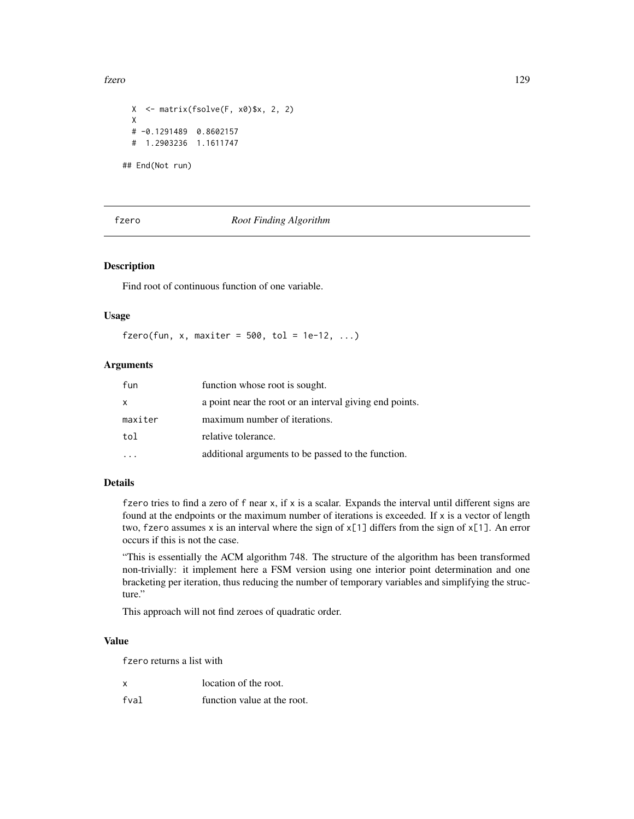fzero 129

```
X \leq - matrix(fsolve(F, x0)$x, 2, 2)
X
# -0.1291489 0.8602157
# 1.2903236 1.1611747
```
## End(Not run)

# fzero *Root Finding Algorithm*

## Description

Find root of continuous function of one variable.

## Usage

fzero(fun, x, maxiter =  $500$ , tol =  $1e-12$ , ...)

# Arguments

| fun     | function whose root is sought.                          |
|---------|---------------------------------------------------------|
| X       | a point near the root or an interval giving end points. |
| maxiter | maximum number of iterations.                           |
| tol     | relative tolerance.                                     |
|         | additional arguments to be passed to the function.      |

# Details

fzero tries to find a zero of  $f$  near  $x$ , if  $x$  is a scalar. Expands the interval until different signs are found at the endpoints or the maximum number of iterations is exceeded. If x is a vector of length two, fzero assumes x is an interval where the sign of x[1] differs from the sign of x[1]. An error occurs if this is not the case.

"This is essentially the ACM algorithm 748. The structure of the algorithm has been transformed non-trivially: it implement here a FSM version using one interior point determination and one bracketing per iteration, thus reducing the number of temporary variables and simplifying the structure."

This approach will not find zeroes of quadratic order.

#### Value

fzero returns a list with

| x    | location of the root.       |
|------|-----------------------------|
| fval | function value at the root. |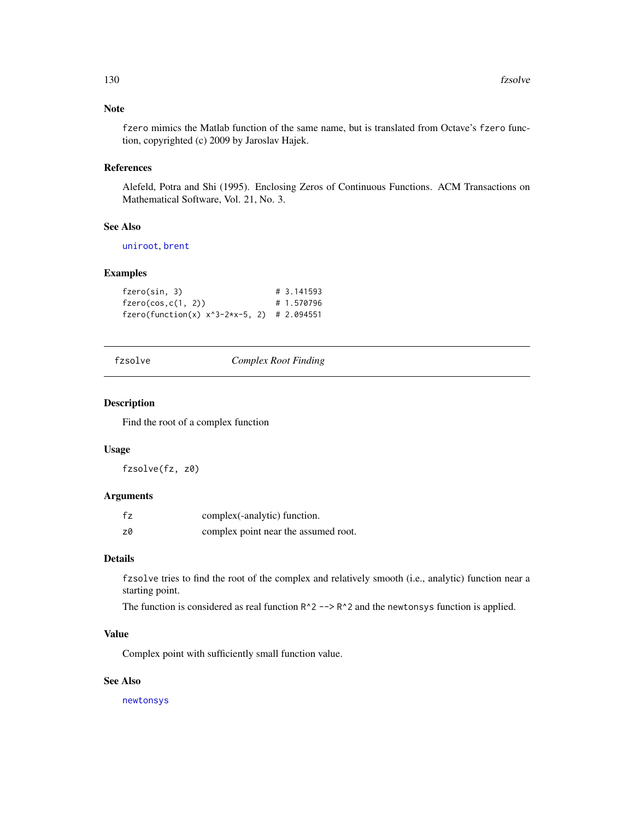# Note

fzero mimics the Matlab function of the same name, but is translated from Octave's fzero function, copyrighted (c) 2009 by Jaroslav Hajek.

# References

Alefeld, Potra and Shi (1995). Enclosing Zeros of Continuous Functions. ACM Transactions on Mathematical Software, Vol. 21, No. 3.

#### See Also

[uniroot](#page-0-0), [brent](#page-38-0)

## Examples

```
fzero(sin, 3) # 3.141593
fzero(cos, c(1, 2)) # 1.570796
fzero(function(x) x^3-2*x-5, 2) # 2.094551
```
fzsolve *Complex Root Finding*

## Description

Find the root of a complex function

#### Usage

fzsolve(fz, z0)

#### Arguments

| fz | complex(-analytic) function.         |
|----|--------------------------------------|
| z0 | complex point near the assumed root. |

#### Details

fzsolve tries to find the root of the complex and relatively smooth (i.e., analytic) function near a starting point.

The function is considered as real function  $R^2$  -->  $R^2$  and the newtonsys function is applied.

# Value

Complex point with sufficiently small function value.

# See Also

[newtonsys](#page-237-0)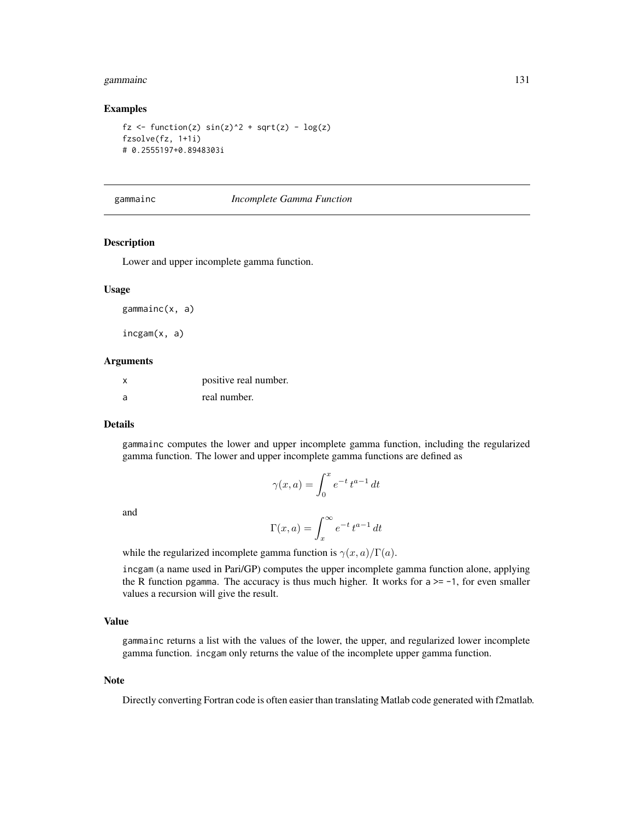#### gammainc 131

#### Examples

```
fz \leftarrow function(z) sin(z)^2 + sqrt(z) - log(z)fzsolve(fz, 1+1i)
# 0.2555197+0.8948303i
```
#### gammainc *Incomplete Gamma Function*

## Description

Lower and upper incomplete gamma function.

#### Usage

gammainc(x, a)

incgam(x, a)

#### Arguments

|   | positive real number. |
|---|-----------------------|
| a | real number.          |

#### Details

gammainc computes the lower and upper incomplete gamma function, including the regularized gamma function. The lower and upper incomplete gamma functions are defined as

$$
\gamma(x,a) = \int_0^x e^{-t} t^{a-1} dt
$$

and

$$
\Gamma(x, a) = \int_x^{\infty} e^{-t} t^{a-1} dt
$$

while the regularized incomplete gamma function is  $\gamma(x, a)/\Gamma(a)$ .

incgam (a name used in Pari/GP) computes the upper incomplete gamma function alone, applying the R function pgamma. The accuracy is thus much higher. It works for  $a \ge -1$ , for even smaller values a recursion will give the result.

#### Value

gammainc returns a list with the values of the lower, the upper, and regularized lower incomplete gamma function. incgam only returns the value of the incomplete upper gamma function.

#### Note

Directly converting Fortran code is often easier than translating Matlab code generated with f2matlab.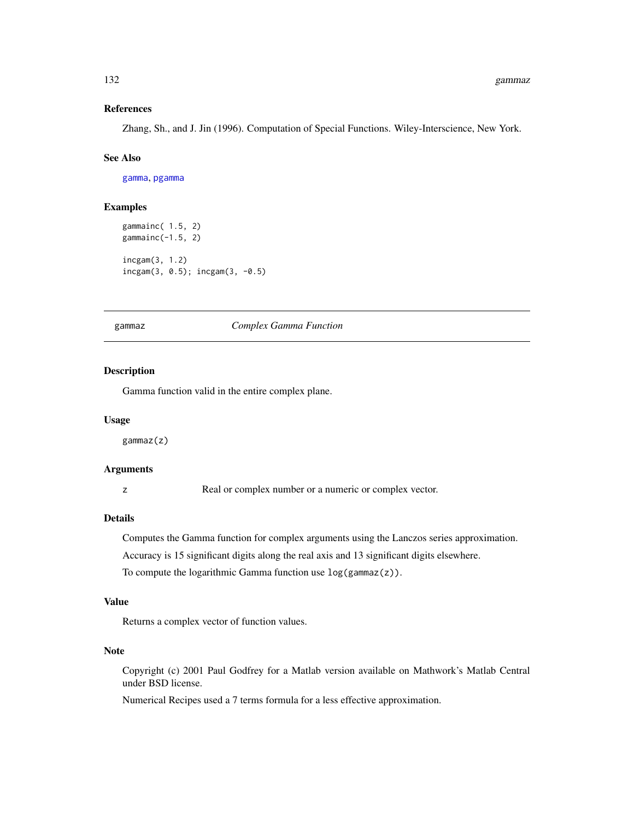#### References

Zhang, Sh., and J. Jin (1996). Computation of Special Functions. Wiley-Interscience, New York.

#### See Also

[gamma](#page-0-0), [pgamma](#page-0-0)

#### Examples

```
gammainc( 1.5, 2)
gammainc(-1.5, 2)
incgam(3, 1.2)
incgam(3, 0.5); incgam(3, -0.5)
```
gammaz *Complex Gamma Function*

#### Description

Gamma function valid in the entire complex plane.

#### Usage

gammaz(z)

## Arguments

z Real or complex number or a numeric or complex vector.

#### Details

Computes the Gamma function for complex arguments using the Lanczos series approximation.

Accuracy is 15 significant digits along the real axis and 13 significant digits elsewhere.

To compute the logarithmic Gamma function use  $log(gamma(z))$ .

# Value

Returns a complex vector of function values.

# Note

Copyright (c) 2001 Paul Godfrey for a Matlab version available on Mathwork's Matlab Central under BSD license.

Numerical Recipes used a 7 terms formula for a less effective approximation.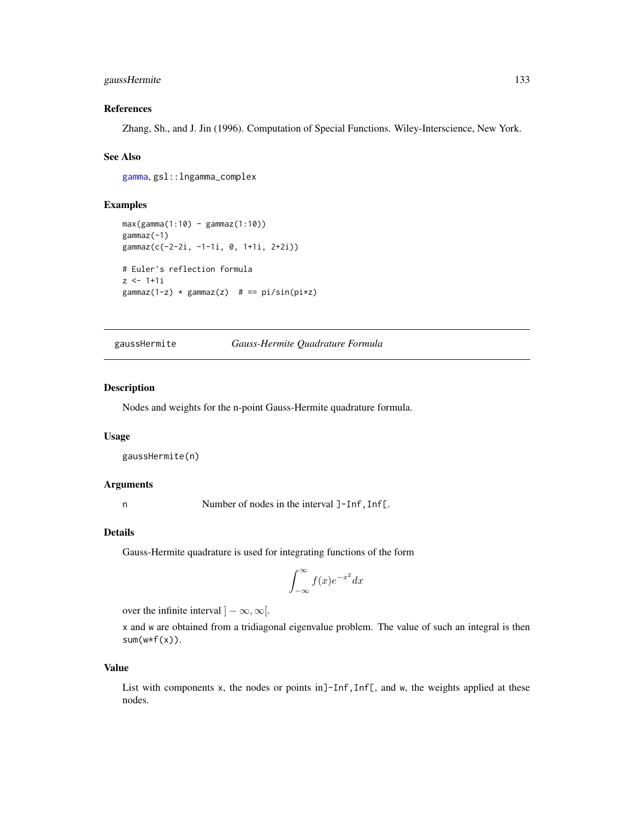# gaussHermite 133

## References

Zhang, Sh., and J. Jin (1996). Computation of Special Functions. Wiley-Interscience, New York.

### See Also

[gamma](#page-0-0), gsl::lngamma\_complex

## Examples

```
max(gamma(1:10) - gamma(1:10))gammaz(-1)
gammaz(c(-2-2i, -1-1i, 0, 1+1i, 2+2i))
# Euler's reflection formula
z \le -1 + 1igammaz(1-z) * gammaz(z) # == pi/sin(pix)
```
<span id="page-132-0"></span>gaussHermite *Gauss-Hermite Quadrature Formula*

## Description

Nodes and weights for the n-point Gauss-Hermite quadrature formula.

#### Usage

```
gaussHermite(n)
```
# Arguments

n Number of nodes in the interval ]-Inf, Inf[.

#### Details

Gauss-Hermite quadrature is used for integrating functions of the form

$$
\int_{-\infty}^{\infty} f(x)e^{-x^2} dx
$$

over the infinite interval  $]-\infty, \infty[$ .

x and w are obtained from a tridiagonal eigenvalue problem. The value of such an integral is then  $sum(w*f(x))$ .

#### Value

List with components x, the nodes or points in  $]-Inf, Inf[$ , and w, the weights applied at these nodes.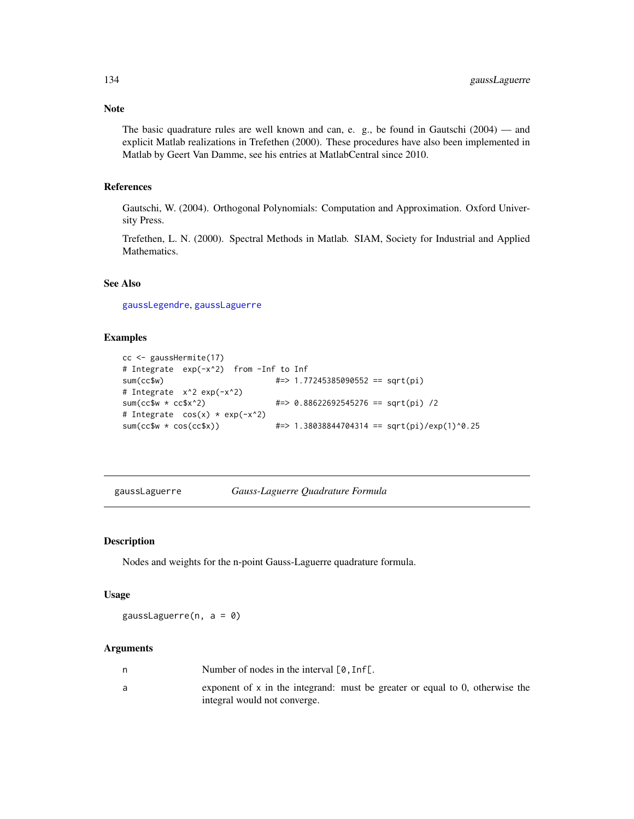Note

The basic quadrature rules are well known and can, e. g., be found in Gautschi (2004) — and explicit Matlab realizations in Trefethen (2000). These procedures have also been implemented in Matlab by Geert Van Damme, see his entries at MatlabCentral since 2010.

## References

Gautschi, W. (2004). Orthogonal Polynomials: Computation and Approximation. Oxford University Press.

Trefethen, L. N. (2000). Spectral Methods in Matlab. SIAM, Society for Industrial and Applied Mathematics.

## See Also

[gaussLegendre](#page-135-0), [gaussLaguerre](#page-133-0)

# Examples

```
cc <- gaussHermite(17)
# Integrate exp(-x^2) from -Inf to Inf<br>sum(cc$w) #=> 1.7
                                 sum(cc$w) #=> 1.77245385090552 == sqrt(pi)
# Integrate x^2 exp(-x^2)
sum(cc$w * cc$x^2) #=> 0.88622692545276 == sqrt(pi) /2
# Integrate cos(x) * exp(-x^2)sum(cc$w * cos(cc$x)) #=> 1.38038844704314 == sqrt(pi)/exp(1)^0.25
```
<span id="page-133-0"></span>gaussLaguerre *Gauss-Laguerre Quadrature Formula*

## Description

Nodes and weights for the n-point Gauss-Laguerre quadrature formula.

#### Usage

gaussLaguerre(n, a = 0)

## Arguments

| Number of nodes in the interval $[0, \text{Inf}$ .                                                             |
|----------------------------------------------------------------------------------------------------------------|
| exponent of $x$ in the integrand: must be greater or equal to 0, otherwise the<br>integral would not converge. |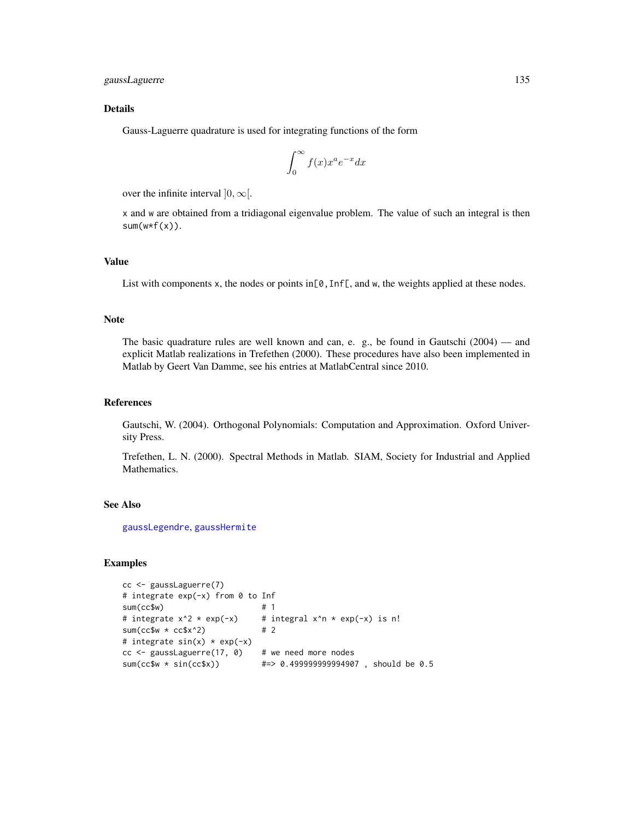gaussLaguerre 135

## Details

Gauss-Laguerre quadrature is used for integrating functions of the form

$$
\int_0^\infty f(x)x^a e^{-x} dx
$$

over the infinite interval  $]0, \infty[$ .

x and w are obtained from a tridiagonal eigenvalue problem. The value of such an integral is then  $sum(w*f(x))$ .

## Value

List with components x, the nodes or points in  $[0, \text{Inf}$ , and w, the weights applied at these nodes.

#### **Note**

The basic quadrature rules are well known and can, e. g., be found in Gautschi (2004) — and explicit Matlab realizations in Trefethen (2000). These procedures have also been implemented in Matlab by Geert Van Damme, see his entries at MatlabCentral since 2010.

#### References

Gautschi, W. (2004). Orthogonal Polynomials: Computation and Approximation. Oxford University Press.

Trefethen, L. N. (2000). Spectral Methods in Matlab. SIAM, Society for Industrial and Applied Mathematics.

## See Also

[gaussLegendre](#page-135-0), [gaussHermite](#page-132-0)

```
cc <- gaussLaguerre(7)
# integrate exp(-x) from 0 to Inf
sum(cc\{sw}) # 1
# integrate x^2 \times exp(-x) # integral x^2 \times exp(-x) is n!
sum(cc$w \star cc$x^2) # 2
# integrate sin(x) * exp(-x)cc <- gaussLaguerre(17, 0) # we need more nodes
sum(cc$w * sin(cc$x)) #=> 0.499999999994907 , should be 0.5
```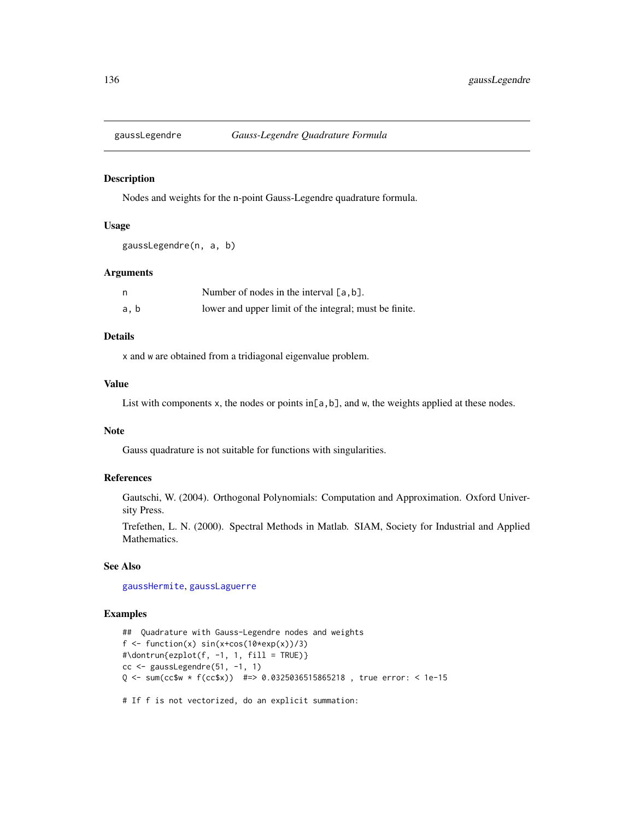<span id="page-135-0"></span>

#### Description

Nodes and weights for the n-point Gauss-Legendre quadrature formula.

#### Usage

```
gaussLegendre(n, a, b)
```
# Arguments

|     | Number of nodes in the interval $[a, b]$ .             |
|-----|--------------------------------------------------------|
| a.b | lower and upper limit of the integral; must be finite. |

# Details

x and w are obtained from a tridiagonal eigenvalue problem.

## Value

List with components x, the nodes or points in[a,b], and w, the weights applied at these nodes.

## Note

Gauss quadrature is not suitable for functions with singularities.

# References

Gautschi, W. (2004). Orthogonal Polynomials: Computation and Approximation. Oxford University Press.

Trefethen, L. N. (2000). Spectral Methods in Matlab. SIAM, Society for Industrial and Applied Mathematics.

# See Also

[gaussHermite](#page-132-0), [gaussLaguerre](#page-133-0)

```
## Quadrature with Gauss-Legendre nodes and weights
f \le function(x) sin(x+cos(10*exp(x))/3)#\dontrun{ezplot(f, -1, 1, fill = TRUE)}
cc <- gaussLegendre(51, -1, 1)
Q <- sum(cc$w * f(cc$x)) #=> 0.0325036515865218 , true error: < 1e-15
# If f is not vectorized, do an explicit summation:
```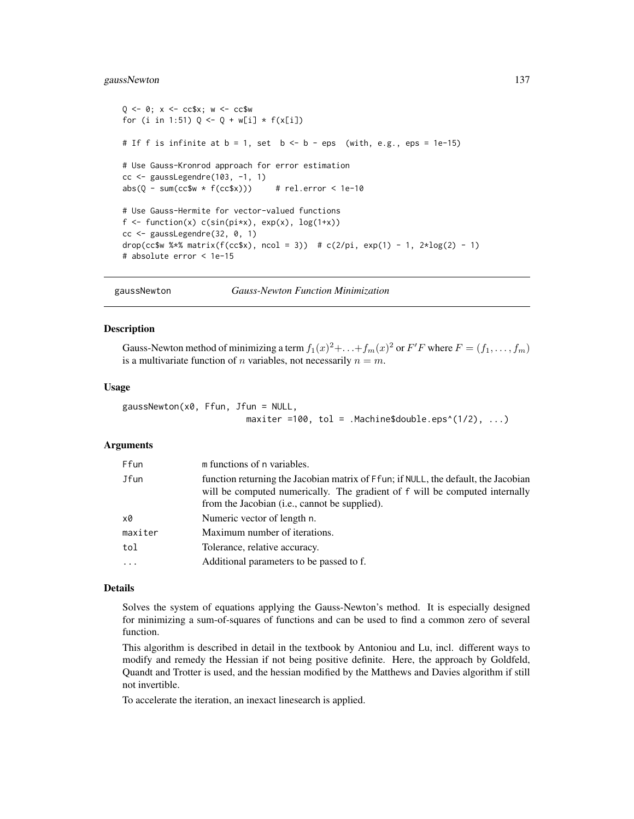#### gaussNewton 137

```
Q \le -0; x \le -ccsx; w \le -ccswfor (i in 1:51) Q \leftarrow Q + w[i] * f(x[i])# If f is infinite at b = 1, set b \le -b - eps (with, e.g., eps = 1e-15)
# Use Gauss-Kronrod approach for error estimation
cc < - gaussLegendre(103, -1, 1)
abs(Q - sum(ccSw * f(ccsx))) # rel.error < 1e-10
# Use Gauss-Hermite for vector-valued functions
f \leftarrow function(x) c(sin(pix), exp(x), log(1+x))cc <- gaussLegendre(32, 0, 1)
drop(cc$w %*% matrix(f(cc$x), ncol = 3)) # c(2/pi, exp(1) - 1, 2*log(2) - 1)
# absolute error < 1e-15
```
<span id="page-136-0"></span>gaussNewton *Gauss-Newton Function Minimization*

#### Description

Gauss-Newton method of minimizing a term  $f_1(x)^2 + \ldots + f_m(x)^2$  or  $F'F$  where  $F = (f_1, \ldots, f_m)$ is a multivariate function of *n* variables, not necessarily  $n = m$ .

#### Usage

gaussNewton(x0, Ffun, Jfun = NULL, maxiter =100, tol = .Machine\$double.eps^(1/2),  $\dots$ )

## Arguments

| Ffun    | m functions of n variables.                                                                                                                                                                                                 |
|---------|-----------------------------------------------------------------------------------------------------------------------------------------------------------------------------------------------------------------------------|
| Jfun    | function returning the Jacobian matrix of Ffun; if NULL, the default, the Jacobian<br>will be computed numerically. The gradient of f will be computed internally<br>from the Jacobian ( <i>i.e.</i> , cannot be supplied). |
| x0      | Numeric vector of length n.                                                                                                                                                                                                 |
| maxiter | Maximum number of iterations.                                                                                                                                                                                               |
| tol     | Tolerance, relative accuracy.                                                                                                                                                                                               |
| $\cdot$ | Additional parameters to be passed to f.                                                                                                                                                                                    |

#### Details

Solves the system of equations applying the Gauss-Newton's method. It is especially designed for minimizing a sum-of-squares of functions and can be used to find a common zero of several function.

This algorithm is described in detail in the textbook by Antoniou and Lu, incl. different ways to modify and remedy the Hessian if not being positive definite. Here, the approach by Goldfeld, Quandt and Trotter is used, and the hessian modified by the Matthews and Davies algorithm if still not invertible.

To accelerate the iteration, an inexact linesearch is applied.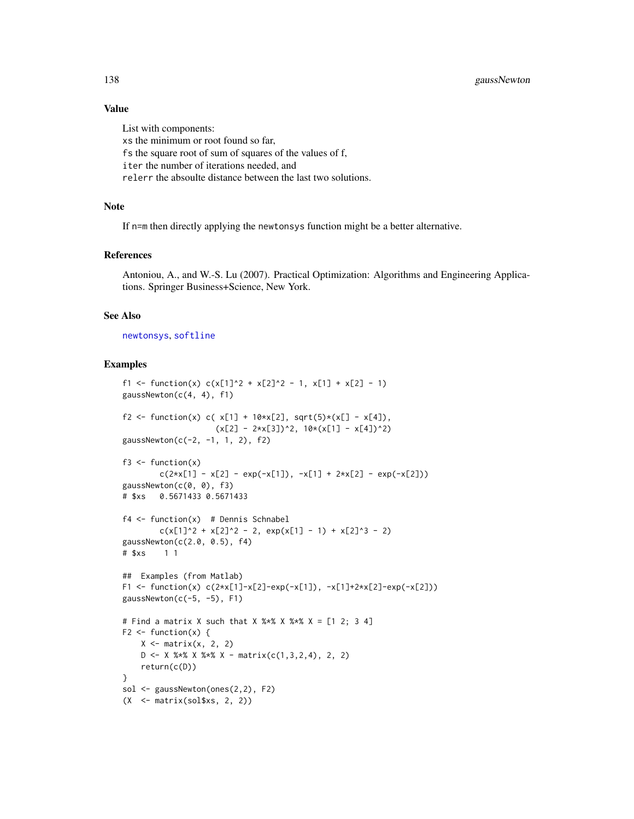## Value

List with components: xs the minimum or root found so far, fs the square root of sum of squares of the values of f, iter the number of iterations needed, and relerr the absoulte distance between the last two solutions.

# Note

If n=m then directly applying the newtonsys function might be a better alternative.

## References

Antoniou, A., and W.-S. Lu (2007). Practical Optimization: Algorithms and Engineering Applications. Springer Business+Science, New York.

## See Also

[newtonsys](#page-237-0), [softline](#page-342-0)

```
f1 <- function(x) c(x[1]^2 + x[2]^2 - 1, x[1] + x[2] - 1)
gaussNewton(c(4, 4), f1)
f2 <- function(x) c(x[1] + 10*x[2], sqrt(5)*(x[] - x[4]),
                     (x[2] - 2*x[3])^2, 10*(x[1] - x[4])^2gaussNewton(c(-2, -1, 1, 2), f2)
f3 \leftarrow function(x)c(2*x[1] - x[2] - exp(-x[1]), -x[1] + 2*x[2] - exp(-x[2]))gaussNewton(c(0, 0), f3)
# $xs 0.5671433 0.5671433
f4 \leftarrow function(x) # Dennis Schnabel
        c(x[1]^2 + x[2]^2 - 2, exp(x[1] - 1) + x[2]^3 - 2)gaussNewton(c(2.0, 0.5), f4)
# $xs 1 1
## Examples (from Matlab)
F1 <- function(x) c(2*x[1]-x[2]-exp(-x[1]), -x[1]+2*x[2]-exp(-x[2]))
gaussNewton(c(-5, -5), F1)
# Find a matrix X such that X %x X %x X = [1 2; 3 4]
F2 \leq function(x) {
    X \leftarrow matrix(x, 2, 2)D \leftarrow X %*% X %*% X - matrix(c(1,3,2,4), 2, 2)
    return(c(D))
}
sol <- gaussNewton(ones(2,2), F2)
(X \leq - matrix(sol$xs, 2, 2))
```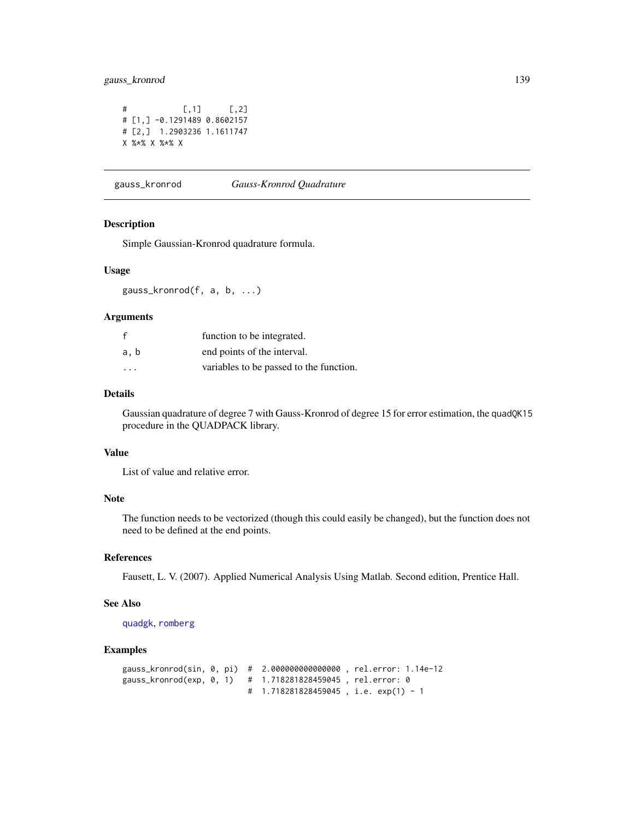# gauss\_kronrod 139

 $#$  [,1] [,2] # [1,] -0.1291489 0.8602157 # [2,] 1.2903236 1.1611747 X %\*% X %\*% X

gauss\_kronrod *Gauss-Kronrod Quadrature*

## Description

Simple Gaussian-Kronrod quadrature formula.

#### Usage

gauss\_kronrod(f, a, b, ...)

### Arguments

|                         | function to be integrated.              |
|-------------------------|-----------------------------------------|
| a, b                    | end points of the interval.             |
| $\cdot$ $\cdot$ $\cdot$ | variables to be passed to the function. |

## Details

Gaussian quadrature of degree 7 with Gauss-Kronrod of degree 15 for error estimation, the quadQK15 procedure in the QUADPACK library.

#### Value

List of value and relative error.

# Note

The function needs to be vectorized (though this could easily be changed), but the function does not need to be defined at the end points.

## References

Fausett, L. V. (2007). Applied Numerical Analysis Using Matlab. Second edition, Prentice Hall.

# See Also

[quadgk](#page-290-0), [romberg](#page-321-0)

```
gauss_kronrod(sin, 0, pi) # 2.000000000000000 , rel.error: 1.14e-12
gauss_kronrod(exp, 0, 1) # 1.718281828459045 , rel.error: 0
                          # 1.718281828459045 , i.e. exp(1) - 1
```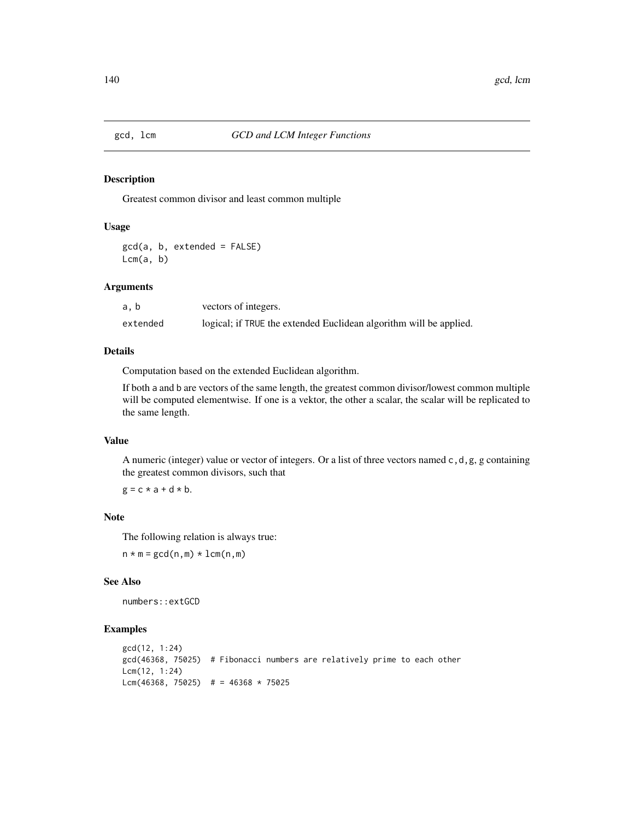#### Description

Greatest common divisor and least common multiple

# Usage

gcd(a, b, extended = FALSE)  $Lcm(a, b)$ 

#### Arguments

| a. b     | vectors of integers.                                               |
|----------|--------------------------------------------------------------------|
| extended | logical; if TRUE the extended Euclidean algorithm will be applied. |

#### Details

Computation based on the extended Euclidean algorithm.

If both a and b are vectors of the same length, the greatest common divisor/lowest common multiple will be computed elementwise. If one is a vektor, the other a scalar, the scalar will be replicated to the same length.

## Value

A numeric (integer) value or vector of integers. Or a list of three vectors named  $c, d, g, g$  containing the greatest common divisors, such that

 $g = c \times a + d \times b$ .

# Note

The following relation is always true:

 $n \times m = \gcd(n,m) \times \text{lcm}(n,m)$ 

#### See Also

numbers::extGCD

```
gcd(12, 1:24)
gcd(46368, 75025) # Fibonacci numbers are relatively prime to each other
Lcm(12, 1:24)
Lcm(46368, 75025) # = 46368 \star 75025
```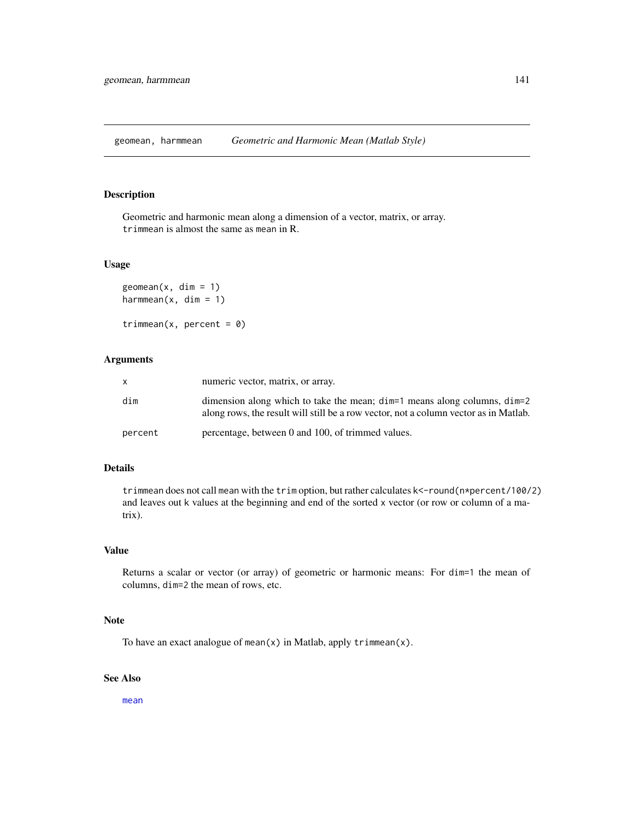geomean, harmmean *Geometric and Harmonic Mean (Matlab Style)*

## Description

Geometric and harmonic mean along a dimension of a vector, matrix, or array. trimmean is almost the same as mean in R.

#### Usage

```
geomean(x, dim = 1)harmmean(x, \text{ dim} = 1)
```
trimmean(x, percent =  $0$ )

# Arguments

|         | numeric vector, matrix, or array.                                                                                                                                      |
|---------|------------------------------------------------------------------------------------------------------------------------------------------------------------------------|
| dim     | dimension along which to take the mean; $\dim=1$ means along columns, $\dim=2$<br>along rows, the result will still be a row vector, not a column vector as in Matlab. |
| percent | percentage, between 0 and 100, of trimmed values.                                                                                                                      |

# Details

trimmean does not call mean with the trim option, but rather calculates k<-round(n\*percent/100/2) and leaves out k values at the beginning and end of the sorted x vector (or row or column of a matrix).

# Value

Returns a scalar or vector (or array) of geometric or harmonic means: For dim=1 the mean of columns, dim=2 the mean of rows, etc.

## Note

To have an exact analogue of mean(x) in Matlab, apply trimmean(x).

# See Also

[mean](#page-0-0)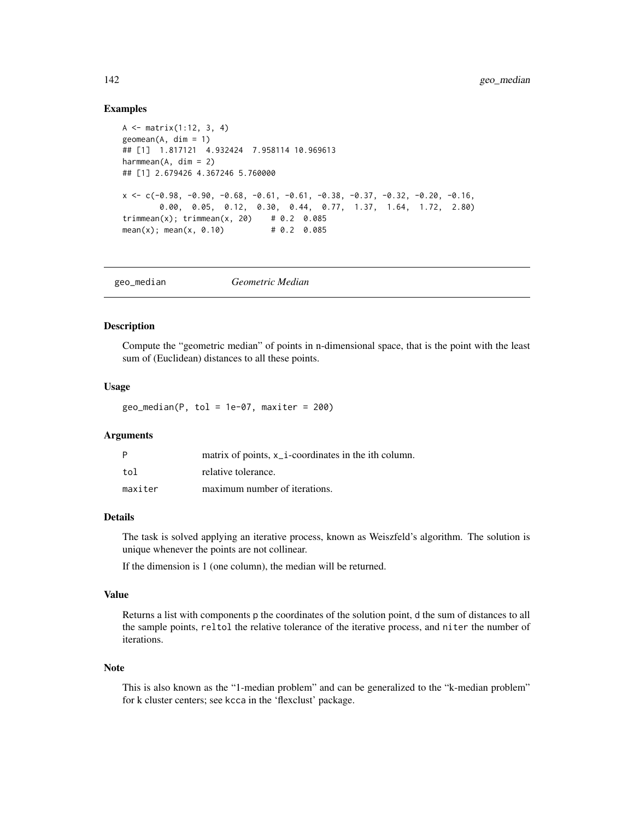## Examples

```
A <- matrix(1:12, 3, 4)
geomean(A, dim = 1)## [1] 1.817121 4.932424 7.958114 10.969613
harmmean(A, \dim = 2)## [1] 2.679426 4.367246 5.760000
x \leq -c(-0.98, -0.90, -0.68, -0.61, -0.61, -0.38, -0.37, -0.32, -0.20, -0.16,0.00, 0.05, 0.12, 0.30, 0.44, 0.77, 1.37, 1.64, 1.72, 2.80)
trimmean(x); trimmean(x, 20) # 0.2 0.085
mean(x); mean(x, 0.10) # 0.2 0.085
```
geo\_median *Geometric Median*

#### Description

Compute the "geometric median" of points in n-dimensional space, that is the point with the least sum of (Euclidean) distances to all these points.

#### Usage

 $geo_{median}(P, tol = 1e-07, maxiter = 200)$ 

## Arguments

| P       | matrix of points, x <sub>1</sub> coordinates in the ith column. |
|---------|-----------------------------------------------------------------|
| tol     | relative tolerance.                                             |
| maxiter | maximum number of iterations.                                   |

# Details

The task is solved applying an iterative process, known as Weiszfeld's algorithm. The solution is unique whenever the points are not collinear.

If the dimension is 1 (one column), the median will be returned.

#### Value

Returns a list with components p the coordinates of the solution point, d the sum of distances to all the sample points, reltol the relative tolerance of the iterative process, and niter the number of iterations.

#### Note

This is also known as the "1-median problem" and can be generalized to the "k-median problem" for k cluster centers; see kcca in the 'flexclust' package.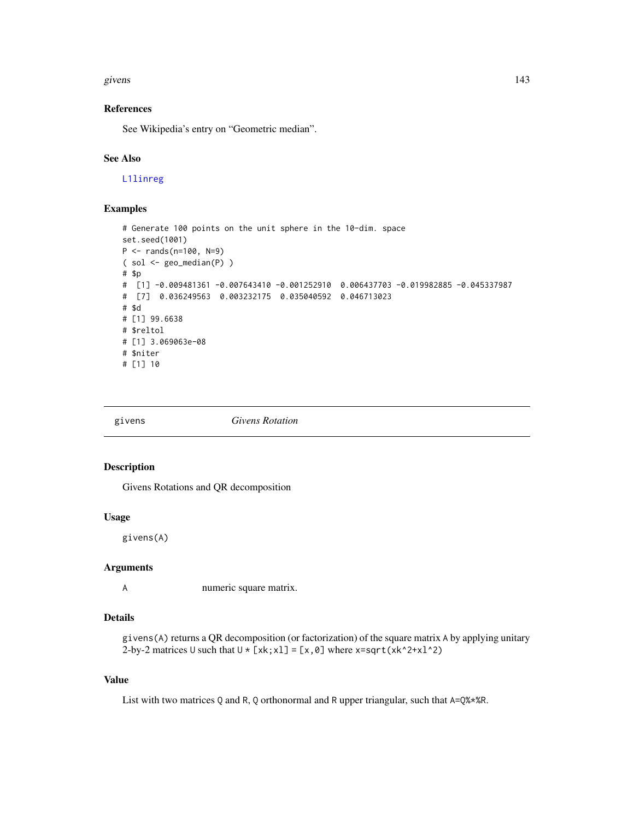#### givens and the set of the set of the set of the set of the set of the set of the set of the set of the set of the set of the set of the set of the set of the set of the set of the set of the set of the set of the set of th

# References

See Wikipedia's entry on "Geometric median".

# See Also

[L1linreg](#page-189-0)

# Examples

```
# Generate 100 points on the unit sphere in the 10-dim. space
set.seed(1001)
P <- rands(n=100, N=9)
( sol <- geo_median(P) )
# $p
# [1] -0.009481361 -0.007643410 -0.001252910 0.006437703 -0.019982885 -0.045337987
# [7] 0.036249563 0.003232175 0.035040592 0.046713023
# $d
# [1] 99.6638
# $reltol
# [1] 3.069063e-08
# $niter
# [1] 10
```
givens *Givens Rotation*

## Description

Givens Rotations and QR decomposition

## Usage

givens(A)

#### Arguments

A numeric square matrix.

# Details

```
givens(A) returns a QR decomposition (or factorization) of the square matrix A by applying unitary
2-by-2 matrices U such that U * [x_k; x_l] = [x, \emptyset] where x = sqrt(x_k^2 + x_l^2)
```
#### Value

List with two matrices Q and R, Q orthonormal and R upper triangular, such that A=Q%\*%R.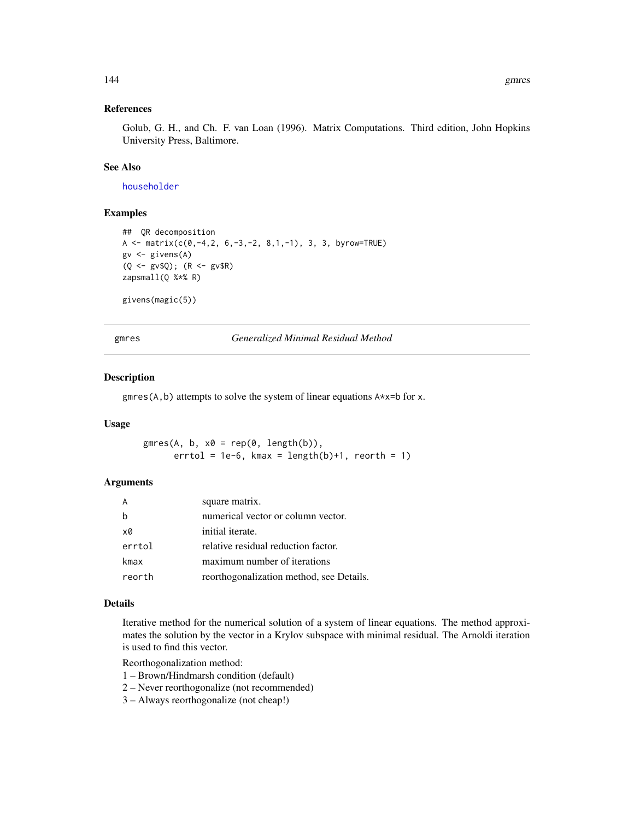# References

Golub, G. H., and Ch. F. van Loan (1996). Matrix Computations. Third edition, John Hopkins University Press, Baltimore.

# See Also

[householder](#page-164-0)

## Examples

```
## QR decomposition
A \le matrix(c(0,-4,2, 6,-3,-2, 8,1,-1), 3, 3, byrow=TRUE)
gv <- givens(A)
(Q <- gv$Q); (R <- gv$R)
zapsmall(Q %*% R)
```
givens(magic(5))

gmres *Generalized Minimal Residual Method*

## Description

gmres(A,b) attempts to solve the system of linear equations A\*x=b for x.

## Usage

 $g$ mres(A, b, x $\emptyset$  = rep( $\emptyset$ , length(b)),  $errtol = 1e-6$ , kmax =  $length(b)+1$ , reorth = 1)

## Arguments

|        | square matrix.                           |
|--------|------------------------------------------|
|        | numerical vector or column vector.       |
| xØ     | initial iterate.                         |
| errtol | relative residual reduction factor.      |
| kmax   | maximum number of iterations             |
| reorth | reorthogonalization method, see Details. |

#### Details

Iterative method for the numerical solution of a system of linear equations. The method approximates the solution by the vector in a Krylov subspace with minimal residual. The Arnoldi iteration is used to find this vector.

Reorthogonalization method:

- 1 Brown/Hindmarsh condition (default)
- 2 Never reorthogonalize (not recommended)
- 3 Always reorthogonalize (not cheap!)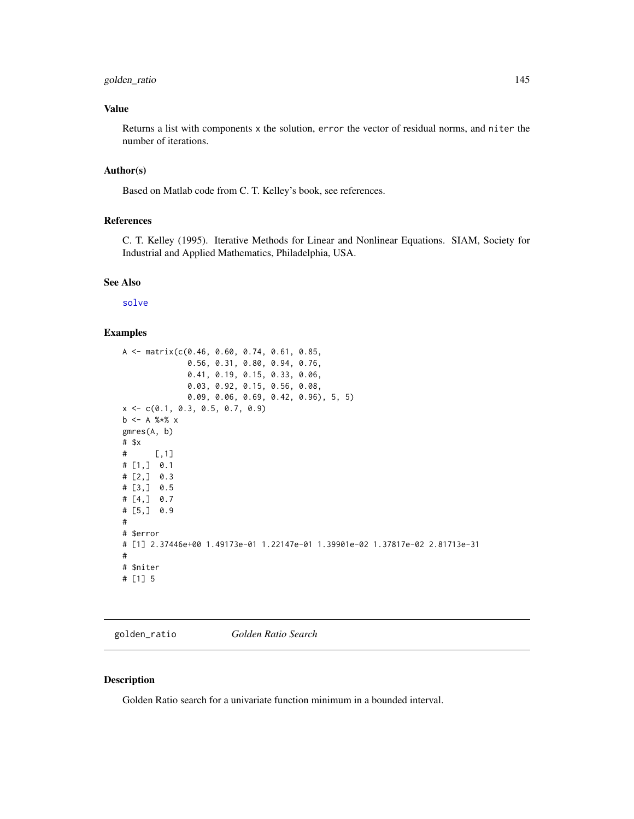# golden\_ratio 145

# Value

Returns a list with components x the solution, error the vector of residual norms, and niter the number of iterations.

#### Author(s)

Based on Matlab code from C. T. Kelley's book, see references.

# References

C. T. Kelley (1995). Iterative Methods for Linear and Nonlinear Equations. SIAM, Society for Industrial and Applied Mathematics, Philadelphia, USA.

#### See Also

[solve](#page-0-0)

#### Examples

```
A <- matrix(c(0.46, 0.60, 0.74, 0.61, 0.85,
              0.56, 0.31, 0.80, 0.94, 0.76,
              0.41, 0.19, 0.15, 0.33, 0.06,
             0.03, 0.92, 0.15, 0.56, 0.08,
              0.09, 0.06, 0.69, 0.42, 0.96), 5, 5)
x <- c(0.1, 0.3, 0.5, 0.7, 0.9)
b <- A %*% x
gmres(A, b)
# $x
# [,1]
# [1,] 0.1
# [2,] 0.3
# [3,] 0.5
# [4, 3 \ 0.7# [5,] 0.9
#
# $error
# [1] 2.37446e+00 1.49173e-01 1.22147e-01 1.39901e-02 1.37817e-02 2.81713e-31
#
# $niter
# [1] 5
```
golden\_ratio *Golden Ratio Search*

### Description

Golden Ratio search for a univariate function minimum in a bounded interval.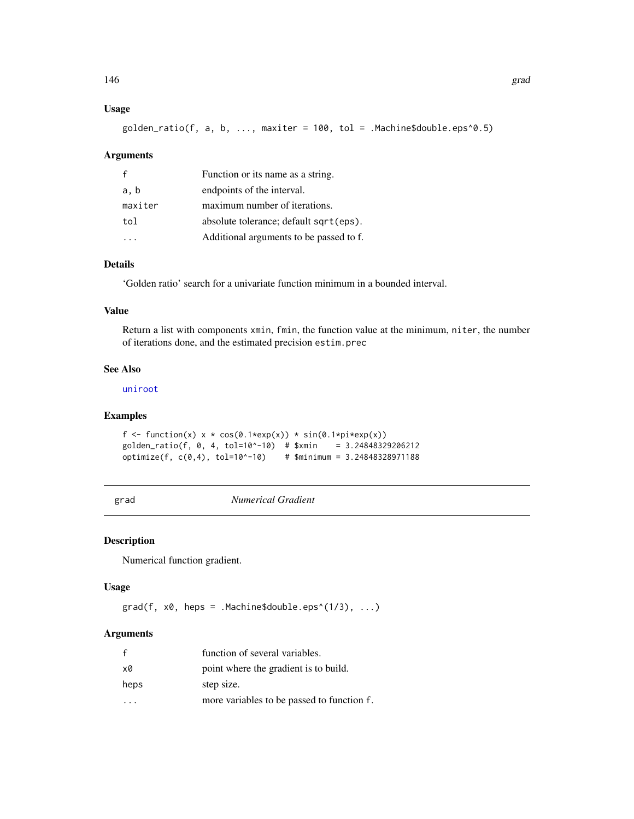# Usage

 $g$ olden\_ratio(f, a, b, ..., maxiter = 100, tol = .Machine\$double.eps^0.5)

## Arguments

| £       | Function or its name as a string.       |
|---------|-----------------------------------------|
| a, b    | endpoints of the interval.              |
| maxiter | maximum number of iterations.           |
| tol     | absolute tolerance; default sqrt(eps).  |
|         | Additional arguments to be passed to f. |

## Details

'Golden ratio' search for a univariate function minimum in a bounded interval.

## Value

Return a list with components xmin, fmin, the function value at the minimum, niter, the number of iterations done, and the estimated precision estim.prec

# See Also

[uniroot](#page-0-0)

# Examples

```
f <- function(x) x * cos(\theta.1*exp(x)) * sin(\theta.1*pi*exp(x))golden_ratio(f, 0, 4, tol=10^-10) # $xmin = 3.24848329206212
optimize(f, c(0,4), tol=10^-10) # $minimum = 3.24848328971188
```
grad *Numerical Gradient*

## Description

Numerical function gradient.

## Usage

 $grad(f, x0, heps = .Machine$double.eps^(1/3), ...)$ 

# Arguments

| $\mathbf{f}$ | function of several variables.             |
|--------------|--------------------------------------------|
| x0           | point where the gradient is to build.      |
| heps         | step size.                                 |
|              | more variables to be passed to function f. |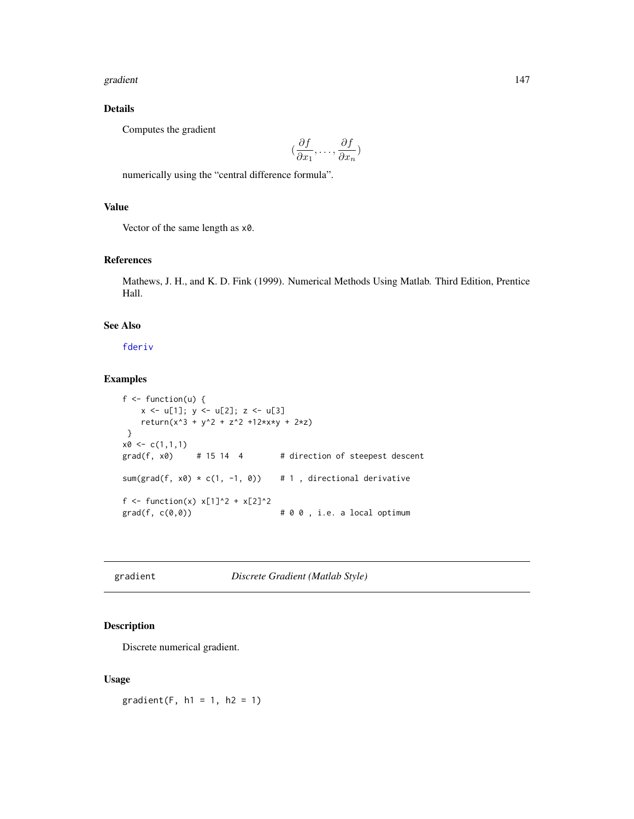#### gradient 147

# Details

Computes the gradient

$$
(\frac{\partial f}{\partial x_1}, \dots, \frac{\partial f}{\partial x_n})
$$

numerically using the "central difference formula".

# Value

Vector of the same length as x0.

## References

Mathews, J. H., and K. D. Fink (1999). Numerical Methods Using Matlab. Third Edition, Prentice Hall.

## See Also

[fderiv](#page-103-0)

## Examples

```
f \leftarrow function(u) {
    x \leftarrow u[1]; y \leftarrow u[2]; z \leftarrow u[3]return(x^3 + y^2 + z^2 + 12*x*y + 2*z)}
x0 \leq c(1,1,1)grad(f, x0) # 15 14 4 # direction of steepest descent
sum(grad(f, x0) * c(1, -1, 0)) # 1, directional derivative
f <- function(x) x[1]^2 + x[2]^2\text{grad}(f, c(\theta, \theta)) # 0 0, i.e. a local optimum
```
gradient *Discrete Gradient (Matlab Style)*

# Description

Discrete numerical gradient.

#### Usage

 $gradient(F, h1 = 1, h2 = 1)$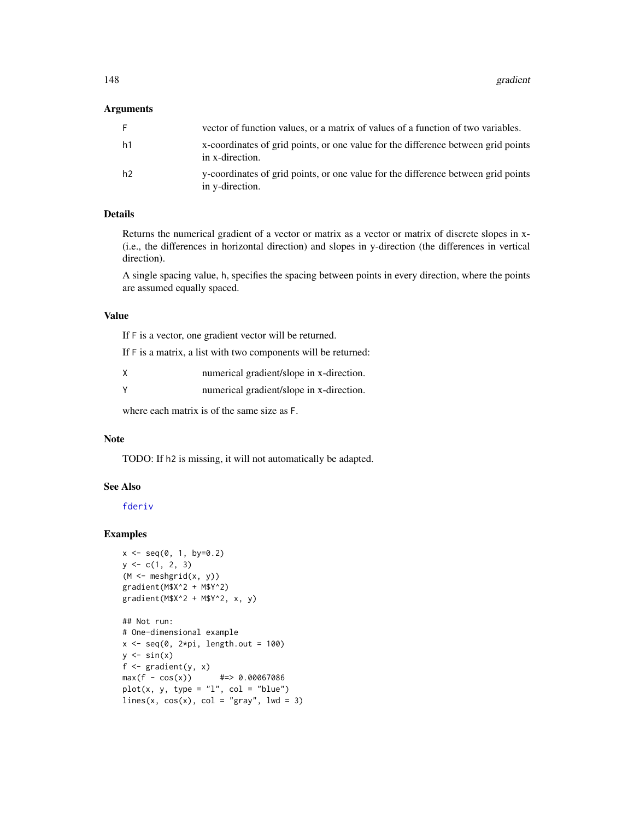## Arguments

| F. | vector of function values, or a matrix of values of a function of two variables.                     |
|----|------------------------------------------------------------------------------------------------------|
| h1 | x-coordinates of grid points, or one value for the difference between grid points<br>in x-direction. |
| h2 | y-coordinates of grid points, or one value for the difference between grid points<br>in y-direction. |

## Details

Returns the numerical gradient of a vector or matrix as a vector or matrix of discrete slopes in x- (i.e., the differences in horizontal direction) and slopes in y-direction (the differences in vertical direction).

A single spacing value, h, specifies the spacing between points in every direction, where the points are assumed equally spaced.

## Value

If F is a vector, one gradient vector will be returned.

If F is a matrix, a list with two components will be returned:

| X        | numerical gradient/slope in x-direction. |
|----------|------------------------------------------|
| <b>V</b> | numerical gradient/slope in x-direction. |

where each matrix is of the same size as F.

## Note

TODO: If h2 is missing, it will not automatically be adapted.

# See Also

[fderiv](#page-103-0)

```
x \le - seq(0, 1, by=0.2)
y \leq -c(1, 2, 3)(M \leq m \leq n)gradient(M$X^2 + M$Y^2)
gradient(M$X^2 + M$Y^2, x, y)
```

```
## Not run:
# One-dimensional example
x \leq -\text{seq}(0, 2*pi, length.out = 100)y \leftarrow \sin(x)f \leftarrow \text{gradient}(y, x)max(f - cos(x)) #=> 0.00067086
plot(x, y, type = "1", col = "blue")lines(x, cos(x), col = "gray", lwd = 3)
```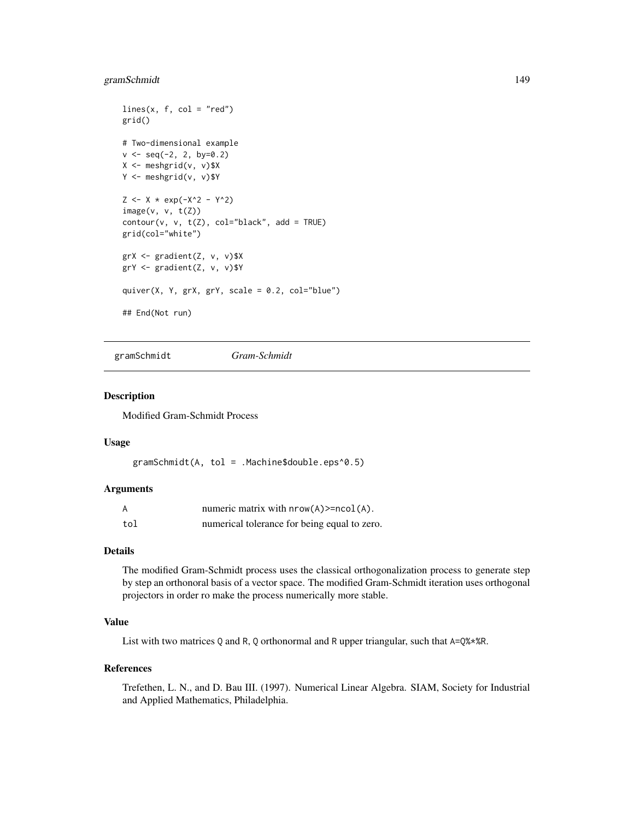# gramSchmidt 149

```
lines(x, f, col = "red")grid()
# Two-dimensional example
v \le - seq(-2, 2, by=0.2)
X <- meshgrid(v, v)$X
Y <- meshgrid(v, v)$Y
Z \le - X * \exp(-X^2 - Y^2)image(v, v, t(Z))contour(v, v, t(Z), col="black", add = TRUE)grid(col="white")
grX <- gradient(Z, v, v)$X
grY <- gradient(Z, v, v)$Y
quiver(X, Y, grX, grY, scale = 0.2, col="blue")
## End(Not run)
```
gramSchmidt *Gram-Schmidt*

#### Description

Modified Gram-Schmidt Process

# Usage

gramSchmidt(A, tol = .Machine\$double.eps^0.5)

# Arguments

| A   | numeric matrix with $nrow(A)$ = $ncol(A)$ .  |
|-----|----------------------------------------------|
| tol | numerical tolerance for being equal to zero. |

# Details

The modified Gram-Schmidt process uses the classical orthogonalization process to generate step by step an orthonoral basis of a vector space. The modified Gram-Schmidt iteration uses orthogonal projectors in order ro make the process numerically more stable.

# Value

List with two matrices Q and R, Q orthonormal and R upper triangular, such that  $A=Q\$ 

## References

Trefethen, L. N., and D. Bau III. (1997). Numerical Linear Algebra. SIAM, Society for Industrial and Applied Mathematics, Philadelphia.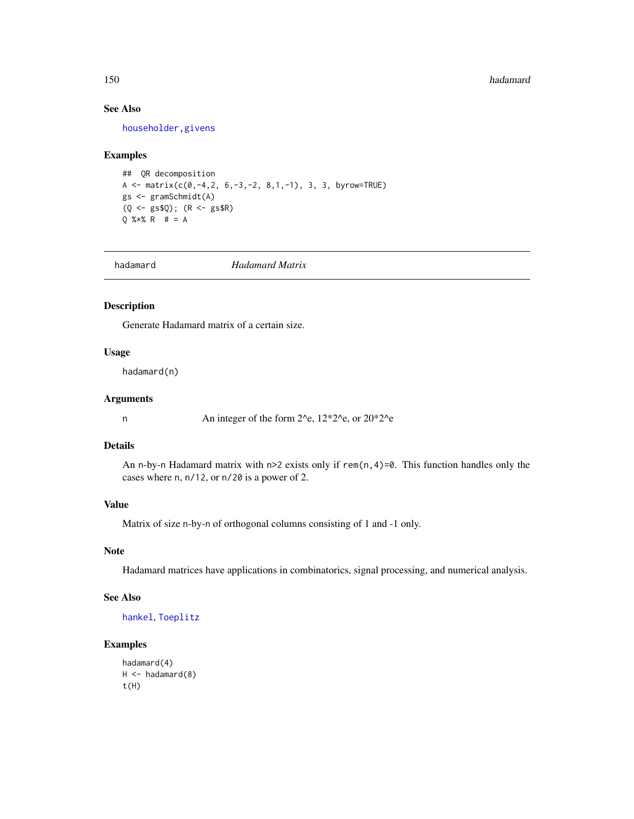#### 150 hadamard

# See Also

[householder](#page-164-0)[,givens](#page-142-0)

#### Examples

```
## QR decomposition
A <- matrix(c(0,-4,2, 6,-3,-2, 8,1,-1), 3, 3, byrow=TRUE)
gs <- gramSchmidt(A)
(Q <- gs$Q); (R <- gs$R)
Q %*% R # = A
```
<span id="page-149-0"></span>hadamard *Hadamard Matrix*

#### Description

Generate Hadamard matrix of a certain size.

# Usage

hadamard(n)

# Arguments

n An integer of the form 2^e, 12\*2^e, or 20\*2^e

## Details

An n-by-n Hadamard matrix with n>2 exists only if rem(n, 4)=0. This function handles only the cases where n, n/12, or n/20 is a power of 2.

## Value

Matrix of size n-by-n of orthogonal columns consisting of 1 and -1 only.

# Note

Hadamard matrices have applications in combinatorics, signal processing, and numerical analysis.

# See Also

[hankel](#page-152-0), [Toeplitz](#page-366-0)

```
hadamard(4)
H < -hadamard(8)t(H)
```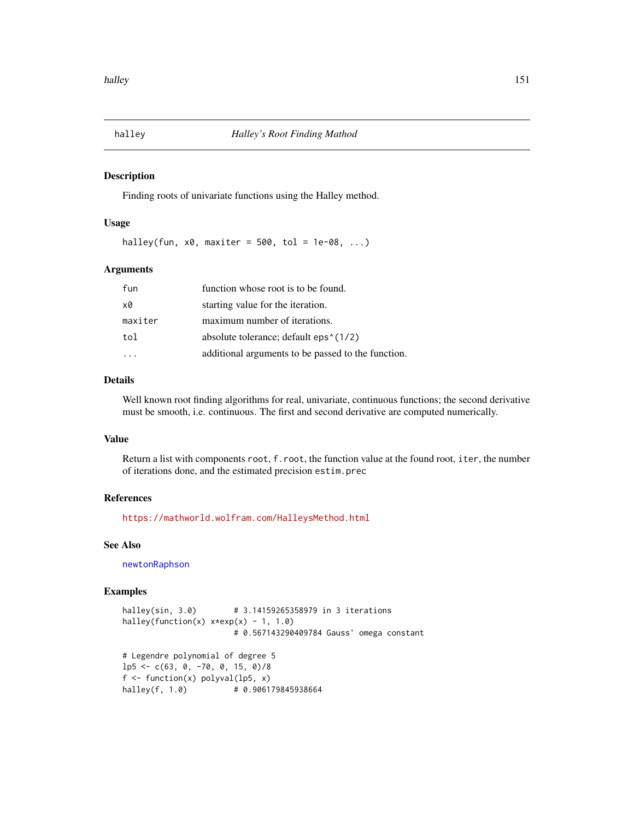## Description

Finding roots of univariate functions using the Halley method.

## Usage

halley(fun,  $x0$ , maxiter = 500, tol = 1e-08, ...)

## Arguments

| fun     | function whose root is to be found.                |
|---------|----------------------------------------------------|
| х0      | starting value for the iteration.                  |
| maxiter | maximum number of iterations.                      |
| tol     | absolute tolerance; default $eps1(1/2)$            |
|         | additional arguments to be passed to the function. |

# Details

Well known root finding algorithms for real, univariate, continuous functions; the second derivative must be smooth, i.e. continuous. The first and second derivative are computed numerically.

## Value

Return a list with components root, f.root, the function value at the found root, iter, the number of iterations done, and the estimated precision estim.prec

#### References

<https://mathworld.wolfram.com/HalleysMethod.html>

# See Also

[newtonRaphson](#page-236-0)

```
halley(sin, 3.0)  # 3.14159265358979 in 3 iterations
halley(function(x) x*exp(x) - 1, 1.0)
                       # 0.567143290409784 Gauss' omega constant
# Legendre polynomial of degree 5
lp5 <- c(63, 0, -70, 0, 15, 0)/8
f \leftarrow function(x) polyval(lp5, x)
halley(f, 1.0)  # 0.906179845938664
```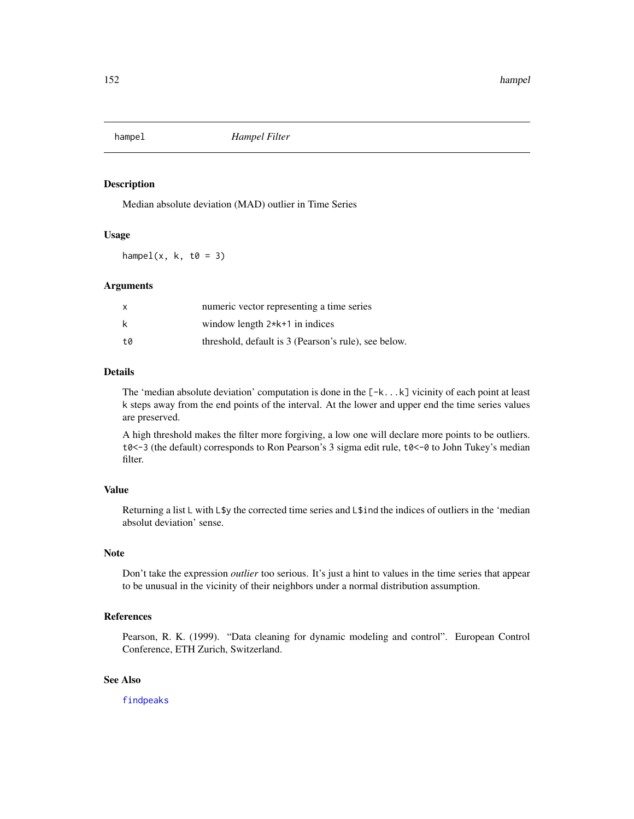## Description

Median absolute deviation (MAD) outlier in Time Series

## Usage

hampel(x,  $k$ ,  $t\theta = 3$ )

## Arguments

| x  | numeric vector representing a time series            |
|----|------------------------------------------------------|
| k  | window length $2*k+1$ in indices                     |
| t0 | threshold, default is 3 (Pearson's rule), see below. |

# Details

The 'median absolute deviation' computation is done in the  $[-k...k]$  vicinity of each point at least k steps away from the end points of the interval. At the lower and upper end the time series values are preserved.

A high threshold makes the filter more forgiving, a low one will declare more points to be outliers.  $t0 < -3$  (the default) corresponds to Ron Pearson's 3 sigma edit rule,  $t0 < -0$  to John Tukey's median filter.

# Value

Returning a list L with L\$y the corrected time series and L\$ind the indices of outliers in the 'median absolut deviation' sense.

## Note

Don't take the expression *outlier* too serious. It's just a hint to values in the time series that appear to be unusual in the vicinity of their neighbors under a normal distribution assumption.

## References

Pearson, R. K. (1999). "Data cleaning for dynamic modeling and control". European Control Conference, ETH Zurich, Switzerland.

## See Also

[findpeaks](#page-108-0)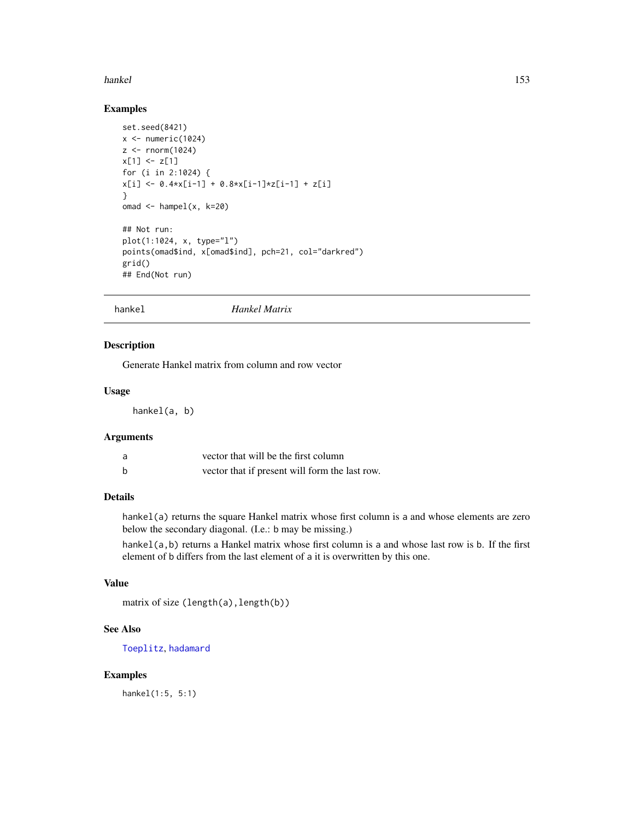#### hankel and the state of the state of the state of the state of the state of the state of the state of the state of the state of the state of the state of the state of the state of the state of the state of the state of the

# Examples

```
set.seed(8421)
x \leftarrow numeric(1024)
z \le rnorm(1024)
x[1] <- z[1]for (i in 2:1024) {
x[i] \leftarrow 0.4*x[i-1] + 0.8*x[i-1]*z[i-1] + z[i]}
omad \leq hampel(x, k=20)
## Not run:
plot(1:1024, x, type="l")
points(omad$ind, x[omad$ind], pch=21, col="darkred")
grid()
## End(Not run)
```
<span id="page-152-0"></span>hankel *Hankel Matrix*

# Description

Generate Hankel matrix from column and row vector

# Usage

hankel(a, b)

# Arguments

| a | vector that will be the first column           |
|---|------------------------------------------------|
| b | vector that if present will form the last row. |

# Details

hankel(a) returns the square Hankel matrix whose first column is a and whose elements are zero below the secondary diagonal. (I.e.: b may be missing.)

hankel(a,b) returns a Hankel matrix whose first column is a and whose last row is b. If the first element of b differs from the last element of a it is overwritten by this one.

# Value

```
matrix of size (length(a), length(b))
```
## See Also

[Toeplitz](#page-366-0), [hadamard](#page-149-0)

## Examples

hankel(1:5, 5:1)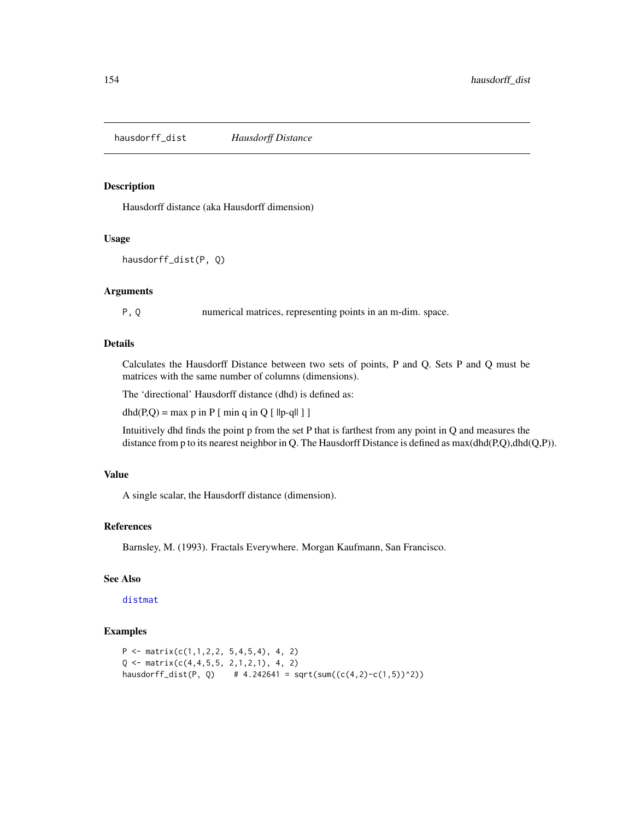hausdorff\_dist *Hausdorff Distance*

# Description

Hausdorff distance (aka Hausdorff dimension)

## Usage

```
hausdorff_dist(P, Q)
```
## Arguments

P, Q numerical matrices, representing points in an m-dim. space.

#### Details

Calculates the Hausdorff Distance between two sets of points, P and Q. Sets P and Q must be matrices with the same number of columns (dimensions).

The 'directional' Hausdorff distance (dhd) is defined as:

 $dhd(P,Q) = max p$  in P [ min q in Q [ ||p-q|| ] ]

Intuitively dhd finds the point p from the set P that is farthest from any point in Q and measures the distance from p to its nearest neighbor in Q. The Hausdorff Distance is defined as  $max(dhd(P,Q),dhd(Q,P)).$ 

#### Value

A single scalar, the Hausdorff distance (dimension).

## References

Barnsley, M. (1993). Fractals Everywhere. Morgan Kaufmann, San Francisco.

# See Also

[distmat](#page-81-0)

```
P \leftarrow matrix(c(1,1,2,2, 5,4,5,4), 4, 2)Q \leq - matrix(c(4,4,5,5, 2,1,2,1), 4, 2)
hausdorff_dist(P, Q) # 4.242641 = sqrt(sum((c(4,2)-c(1,5))^2))
```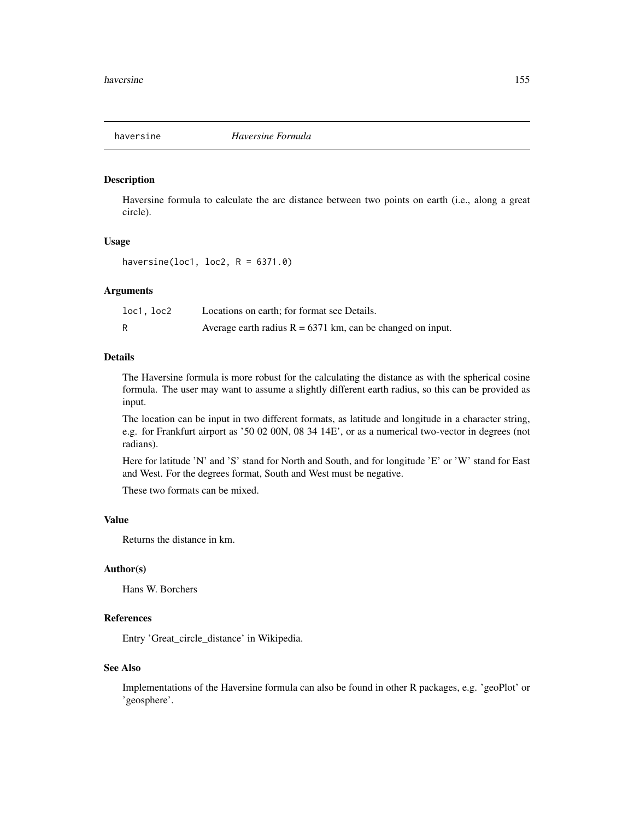## Description

Haversine formula to calculate the arc distance between two points on earth (i.e., along a great circle).

#### Usage

haversine(loc1, loc2,  $R = 6371.0$ )

# Arguments

| loc1, loc2 | Locations on earth; for format see Details.                  |
|------------|--------------------------------------------------------------|
|            | Average earth radius $R = 6371$ km, can be changed on input. |

## Details

The Haversine formula is more robust for the calculating the distance as with the spherical cosine formula. The user may want to assume a slightly different earth radius, so this can be provided as input.

The location can be input in two different formats, as latitude and longitude in a character string, e.g. for Frankfurt airport as '50 02 00N, 08 34 14E', or as a numerical two-vector in degrees (not radians).

Here for latitude 'N' and 'S' stand for North and South, and for longitude 'E' or 'W' stand for East and West. For the degrees format, South and West must be negative.

These two formats can be mixed.

# Value

Returns the distance in km.

# Author(s)

Hans W. Borchers

# References

Entry 'Great\_circle\_distance' in Wikipedia.

## See Also

Implementations of the Haversine formula can also be found in other R packages, e.g. 'geoPlot' or 'geosphere'.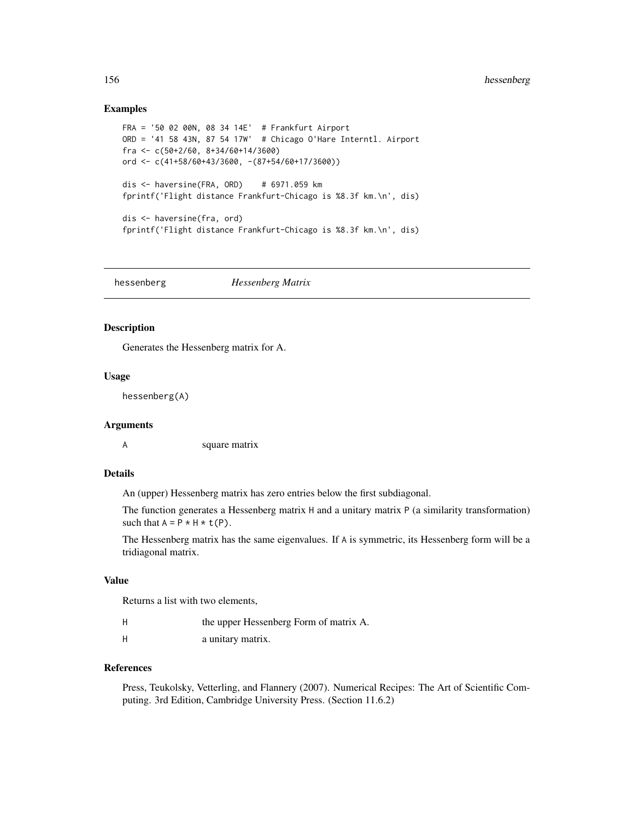## Examples

```
FRA = '50 02 00N, 08 34 14E' # Frankfurt Airport
ORD = '41 58 43N, 87 54 17W' # Chicago O'Hare Interntl. Airport
fra <- c(50+2/60, 8+34/60+14/3600)
ord <- c(41+58/60+43/3600, -(87+54/60+17/3600))
dis <- haversine(FRA, ORD) # 6971.059 km
fprintf('Flight distance Frankfurt-Chicago is %8.3f km.\n', dis)
dis <- haversine(fra, ord)
fprintf('Flight distance Frankfurt-Chicago is %8.3f km.\n', dis)
```
hessenberg *Hessenberg Matrix*

#### Description

Generates the Hessenberg matrix for A.

#### Usage

hessenberg(A)

#### Arguments

A square matrix

# Details

An (upper) Hessenberg matrix has zero entries below the first subdiagonal.

The function generates a Hessenberg matrix H and a unitary matrix P (a similarity transformation) such that  $A = P * H * t(P)$ .

The Hessenberg matrix has the same eigenvalues. If A is symmetric, its Hessenberg form will be a tridiagonal matrix.

#### Value

Returns a list with two elements,

| the upper Hessenberg Form of matrix A. |  |
|----------------------------------------|--|
|----------------------------------------|--|

H a unitary matrix.

## References

Press, Teukolsky, Vetterling, and Flannery (2007). Numerical Recipes: The Art of Scientific Computing. 3rd Edition, Cambridge University Press. (Section 11.6.2)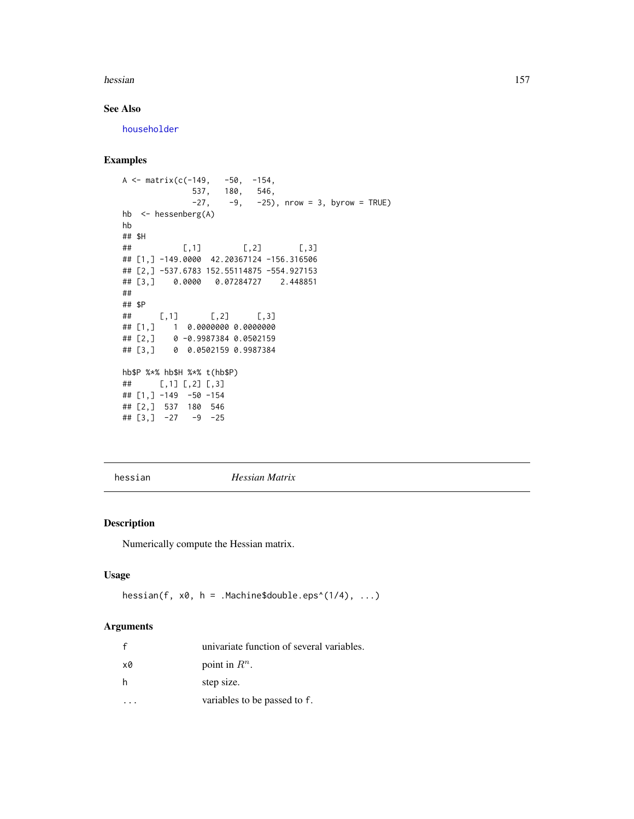#### hessian 157

# See Also

[householder](#page-164-0)

# Examples

```
A <- matrix(c(-149, -50, -154,537, 180, 546,
             -27, -9, -25), nrow = 3, byrow = TRUE)
hb <- hessenberg(A)
hb
## $H
## [,1] [,2] [,3]
## [1,] -149.0000 42.20367124 -156.316506
## [2,] -537.6783 152.55114875 -554.927153
## [3,] 0.0000 0.07284727 2.448851
##
## $P
## [,1] [,2] [,3]
## [1,] 1 0.0000000 0.0000000
## [2,] 0 -0.9987384 0.0502159
## [3,] 0 0.0502159 0.9987384
hb$P %*% hb$H %*% t(hb$P)
## [,1] [,2] [,3]
## [1,] -149 -50 -154
## [2,] 537 180 546
## [3,] -27 -9 -25
```
hessian *Hessian Matrix*

# Description

Numerically compute the Hessian matrix.

# Usage

```
hessian(f, x0, h = .Machine$double.eps^(1/4), ...)
```
## Arguments

|    | univariate function of several variables. |
|----|-------------------------------------------|
| x0 | point in $R^n$ .                          |
| h  | step size.                                |
|    | variables to be passed to f.              |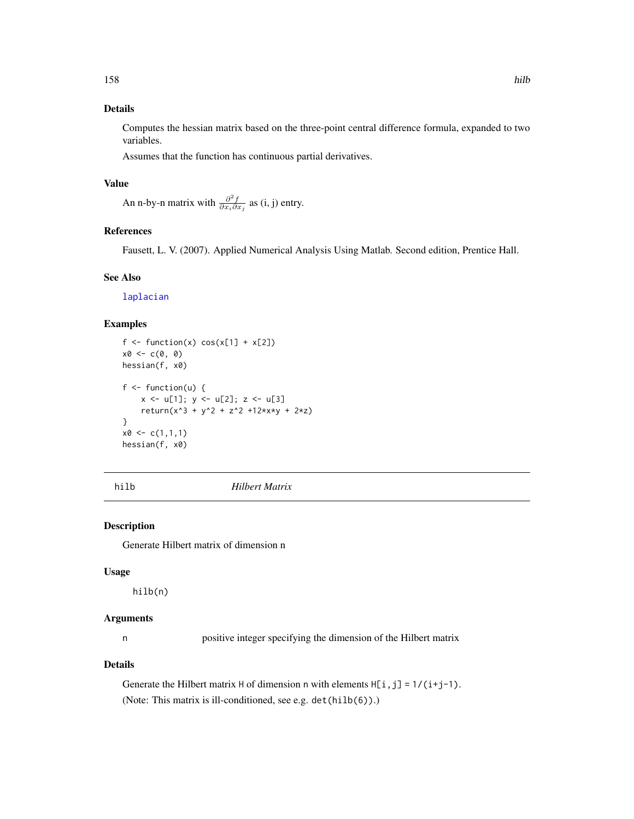# Details

Computes the hessian matrix based on the three-point central difference formula, expanded to two variables.

Assumes that the function has continuous partial derivatives.

# Value

An n-by-n matrix with  $\frac{\partial^2 f}{\partial x_i \partial x_j}$  as (i, j) entry.

# References

Fausett, L. V. (2007). Applied Numerical Analysis Using Matlab. Second edition, Prentice Hall.

## See Also

[laplacian](#page-193-0)

# Examples

```
f \leftarrow function(x) cos(x[1] + x[2])x0 < -c(0, 0)hessian(f, x0)
f \leftarrow function(u) {
    x \leq -u[1]; y \leq -u[2]; z \leq -u[3]return(x^3 + y^2 + z^2 + 12*x*y + 2*z)}
x0 \leq c(1,1,1)hessian(f, x0)
```
hilb *Hilbert Matrix*

## Description

Generate Hilbert matrix of dimension n

## Usage

hilb(n)

## Arguments

n positive integer specifying the dimension of the Hilbert matrix

# Details

Generate the Hilbert matrix H of dimension n with elements  $H[i,j] = 1/(i+j-1)$ . (Note: This matrix is ill-conditioned, see e.g. det(hilb(6)).)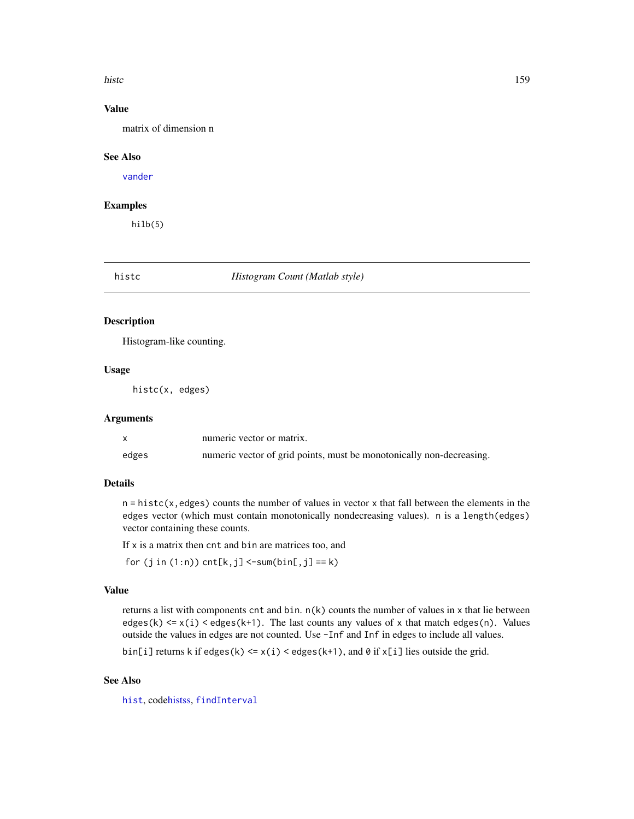#### histc the contract of the contract of the contract of the contract of the contract of the contract of the contract of the contract of the contract of the contract of the contract of the contract of the contract of the cont

# Value

matrix of dimension n

# See Also

[vander](#page-375-0)

# Examples

hilb(5)

#### <span id="page-158-0"></span>histc *Histogram Count (Matlab style)*

### Description

Histogram-like counting.

# Usage

histc(x, edges)

#### Arguments

|       | numeric vector or matrix.                                            |
|-------|----------------------------------------------------------------------|
| edges | numeric vector of grid points, must be monotonically non-decreasing. |

# Details

 $n =$  histc(x, edges) counts the number of values in vector x that fall between the elements in the edges vector (which must contain monotonically nondecreasing values). n is a length(edges) vector containing these counts.

If x is a matrix then cnt and bin are matrices too, and

for  $(j$  in  $(1:n)$ ) cnt $[k,j] < -sum(bin[,j] == k)$ 

### Value

returns a list with components cnt and bin.  $n(k)$  counts the number of values in x that lie between edges(k)  $\leq x(i) \leq$  edges(k+1). The last counts any values of x that match edges(n). Values outside the values in edges are not counted. Use -Inf and Inf in edges to include all values.

bin[i] returns k if edges(k)  $\le x(i) \le$  edges(k+1), and  $\emptyset$  if  $x[i]$  lies outside the grid.

# See Also

[hist](#page-0-0), cod[ehistss,](#page-159-0) [findInterval](#page-0-0)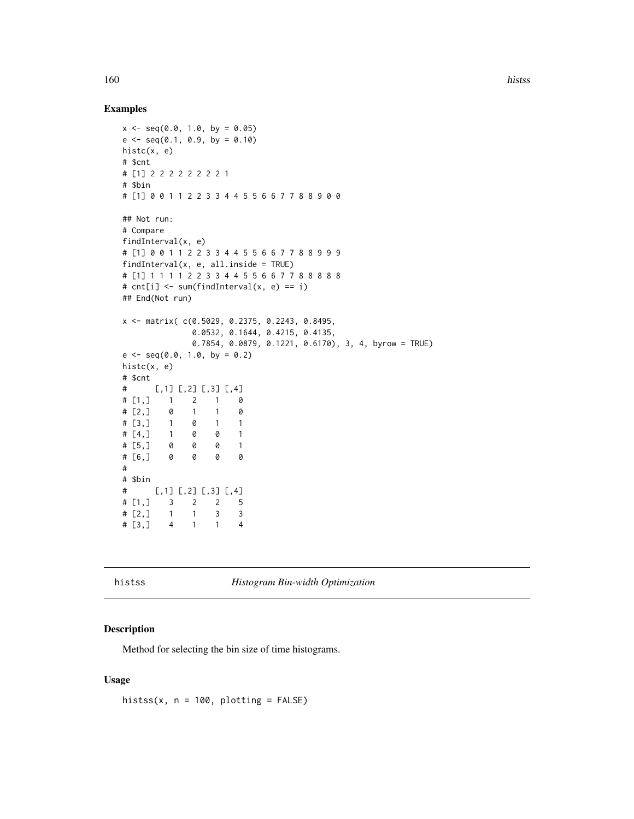## Examples

```
x \leq -\text{seq}(0.0, 1.0, \text{ by } = 0.05)e \leftarrow seq(0.1, 0.9, by = 0.10)histc(x, e)
# $cnt
# [1] 2 2 2 2 2 2 2 2 1
# $bin
# [1] 0 0 1 1 2 2 3 3 4 4 5 5 6 6 7 7 8 8 9 0 0
## Not run:
# Compare
findInterval(x, e)
# [1] 0 0 1 1 2 2 3 3 4 4 5 5 6 6 7 7 8 8 9 9 9
findInterval(x, e, all. inside = TRUE)# [1] 1 1 1 1 2 2 3 3 4 4 5 5 6 6 7 7 8 8 8 8 8
# cnt[i] <- sum(findInterval(x, e) == i)
## End(Not run)
x <- matrix( c(0.5029, 0.2375, 0.2243, 0.8495,
              0.0532, 0.1644, 0.4215, 0.4135,
              0.7854, 0.0879, 0.1221, 0.6170), 3, 4, byrow = TRUE)
e \leq - \text{seq}(0.0, 1.0, \text{ by } = 0.2)histc(x, e)
# $cnt
# [,1] [,2] [,3] [,4]
# [1,] 1 2 1 0
\# [2,] 0 1 1 0
# [3,] 1 0 1 1
# [4,] 1 0 0 1
# [5,] 0 0 0 1
# [6,] 0 0 0 0
#
# $bin
# [,1] [,2] [,3] [,4]
# [1,] 3 2 2 5
\# [2, ] 1 1 3 3
# [3,] 4 1 1 4
```
<span id="page-159-0"></span>histss *Histogram Bin-width Optimization*

## Description

Method for selecting the bin size of time histograms.

### Usage

histss(x,  $n = 100$ , plotting = FALSE)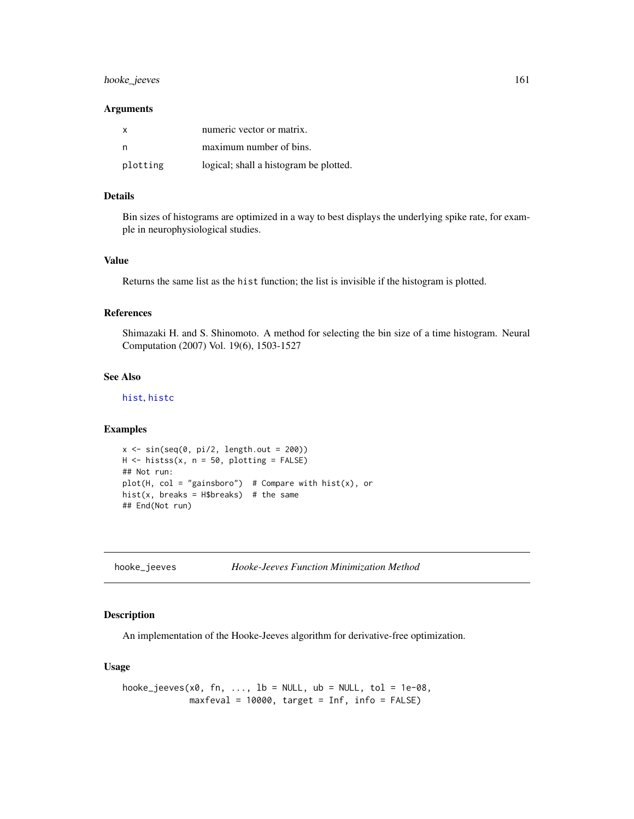# hooke\_jeeves 161

#### Arguments

| X        | numeric vector or matrix.              |
|----------|----------------------------------------|
|          | maximum number of bins.                |
| plotting | logical; shall a histogram be plotted. |

#### Details

Bin sizes of histograms are optimized in a way to best displays the underlying spike rate, for example in neurophysiological studies.

## Value

Returns the same list as the hist function; the list is invisible if the histogram is plotted.

# References

Shimazaki H. and S. Shinomoto. A method for selecting the bin size of a time histogram. Neural Computation (2007) Vol. 19(6), 1503-1527

# See Also

[hist](#page-0-0), [histc](#page-158-0)

#### Examples

```
x \leftarrow \sin(\sec(\theta, \pi)/2, \text{length.out} = 200)H <- histss(x, n = 50, plotting = FALSE)
## Not run:
plot(H, col = "gainsboro") # Compare with hist(x), or
hist(x, breaks = H$breaks) # the same
## End(Not run)
```
hooke\_jeeves *Hooke-Jeeves Function Minimization Method*

# Description

An implementation of the Hooke-Jeeves algorithm for derivative-free optimization.

## Usage

```
hooke_jeeves(x0, fn, ..., lb = NULL, ub = NULL, tol = 1e-08,
            maxfeval = 10000, target = Inf, info = FALSE)
```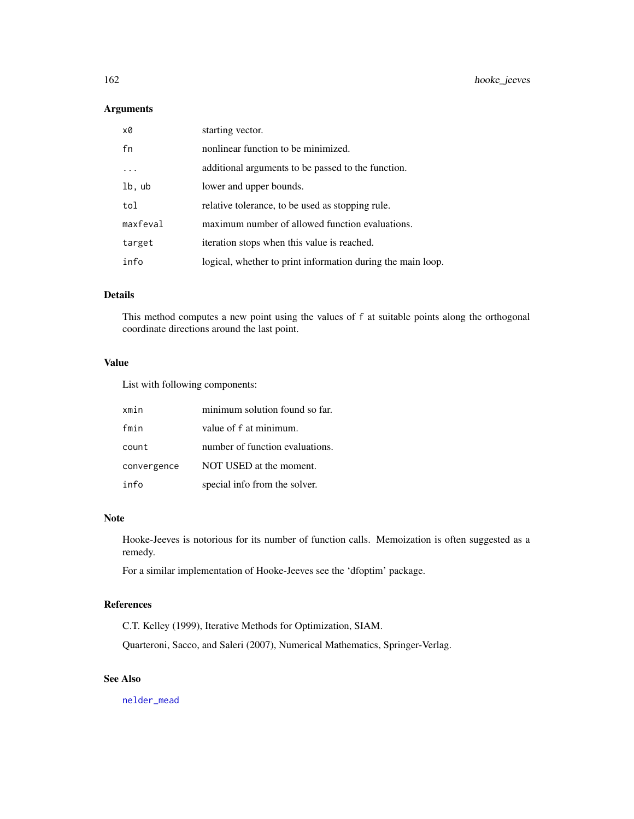# Arguments

| x0       | starting vector.                                            |
|----------|-------------------------------------------------------------|
| fn       | nonlinear function to be minimized.                         |
|          | additional arguments to be passed to the function.          |
| lb, ub   | lower and upper bounds.                                     |
| tol      | relative tolerance, to be used as stopping rule.            |
| maxfeval | maximum number of allowed function evaluations.             |
| target   | iteration stops when this value is reached.                 |
| info     | logical, whether to print information during the main loop. |

# Details

This method computes a new point using the values of f at suitable points along the orthogonal coordinate directions around the last point.

#### Value

List with following components:

| xmin        | minimum solution found so far.  |
|-------------|---------------------------------|
| fmin        | value of f at minimum.          |
| count       | number of function evaluations. |
| convergence | NOT USED at the moment.         |
| info        | special info from the solver.   |

# Note

Hooke-Jeeves is notorious for its number of function calls. Memoization is often suggested as a remedy.

For a similar implementation of Hooke-Jeeves see the 'dfoptim' package.

# References

C.T. Kelley (1999), Iterative Methods for Optimization, SIAM.

Quarteroni, Sacco, and Saleri (2007), Numerical Mathematics, Springer-Verlag.

# See Also

[nelder\\_mead](#page-229-0)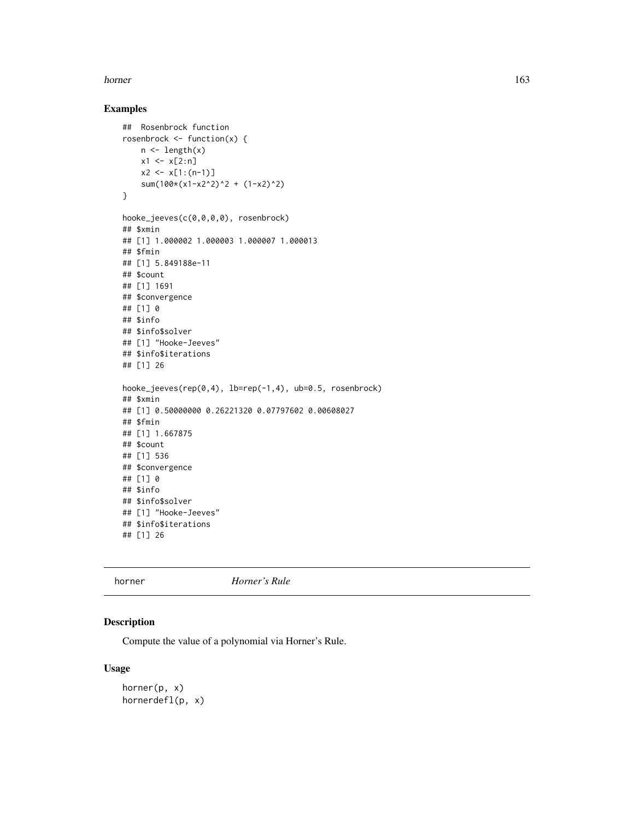#### horner and the state of the state of the state of the state of the state of the state of the state of the state of the state of the state of the state of the state of the state of the state of the state of the state of the

# Examples

```
## Rosenbrock function
rosenbrock \leq function(x) {
   n \leftarrow length(x)x1 \le x[2:n]x2 \le x[1:(n-1)]sum(100*(x1-x2^2)^2 + (1-x2)^2)
}
hooke_jeeves(c(0,0,0,0), rosenbrock)
## $xmin
## [1] 1.000002 1.000003 1.000007 1.000013
## $fmin
## [1] 5.849188e-11
## $count
## [1] 1691
## $convergence
## [1] 0
## $info
## $info$solver
## [1] "Hooke-Jeeves"
## $info$iterations
## [1] 26
hooke_jeeves(rep(0,4), lb=rep(-1,4), ub=0.5, rosenbrock)
## $xmin
## [1] 0.50000000 0.26221320 0.07797602 0.00608027
## $fmin
## [1] 1.667875
## $count
## [1] 536
## $convergence
## [1] 0
## $info
## $info$solver
## [1] "Hooke-Jeeves"
## $info$iterations
## [1] 26
```
horner *Horner's Rule*

# Description

Compute the value of a polynomial via Horner's Rule.

## Usage

horner(p, x) hornerdefl(p, x)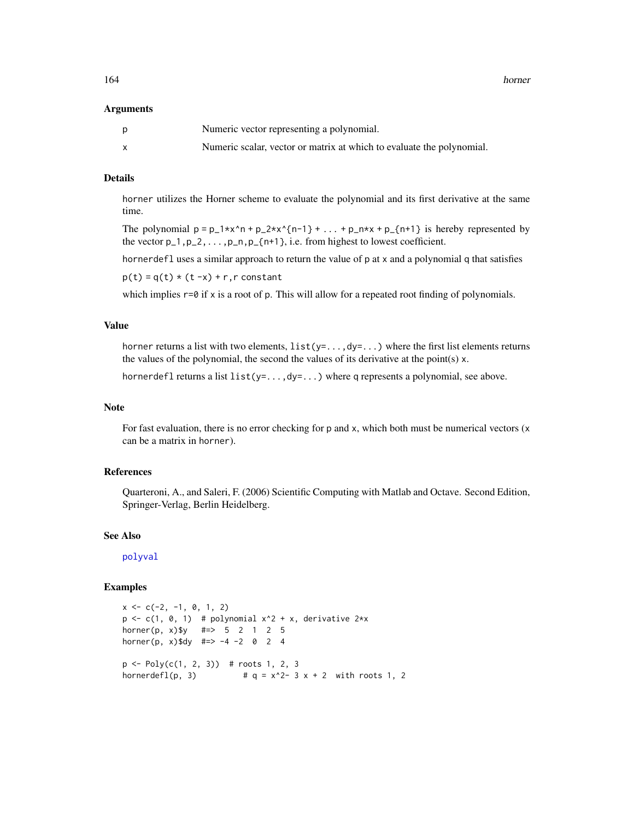164 horner

#### Arguments

| <sub>D</sub> | Numeric vector representing a polynomial.                             |
|--------------|-----------------------------------------------------------------------|
|              | Numeric scalar, vector or matrix at which to evaluate the polynomial. |

# Details

horner utilizes the Horner scheme to evaluate the polynomial and its first derivative at the same time.

The polynomial  $p = p_1 * x^n n + p_2 * x^{n-1} + ... + p_n * x + p_{n+1}$  is hereby represented by the vector  $p_1, p_2, \ldots, p_n, p_{n+1}$ , i.e. from highest to lowest coefficient.

hornerdefl uses a similar approach to return the value of p at x and a polynomial q that satisfies

 $p(t) = q(t) * (t - x) + r$ , r constant

which implies  $r=0$  if x is a root of p. This will allow for a repeated root finding of polynomials.

## Value

horner returns a list with two elements,  $list(y=...,dy=...)$  where the first list elements returns the values of the polynomial, the second the values of its derivative at the point(s) x.

hornerdefl returns a list  $list(y=..., dy=...)$  where q represents a polynomial, see above.

#### Note

For fast evaluation, there is no error checking for p and x, which both must be numerical vectors  $(x + y)$ can be a matrix in horner).

## References

Quarteroni, A., and Saleri, F. (2006) Scientific Computing with Matlab and Octave. Second Edition, Springer-Verlag, Berlin Heidelberg.

#### See Also

[polyval](#page-276-0)

```
x \leq -c(-2, -1, 0, 1, 2)p \leftarrow c(1, 0, 1) # polynomial x^2 + x, derivative 2*x
horner(p, x)$y #=> 5 2 1 2 5
horner(p, x)$dy #=> -4 -2 0 2 4
p \leftarrow Poly(c(1, 2, 3)) # roots 1, 2, 3
hornerdefl(p, 3) # q = x^2 - 3x + 2 with roots 1, 2
```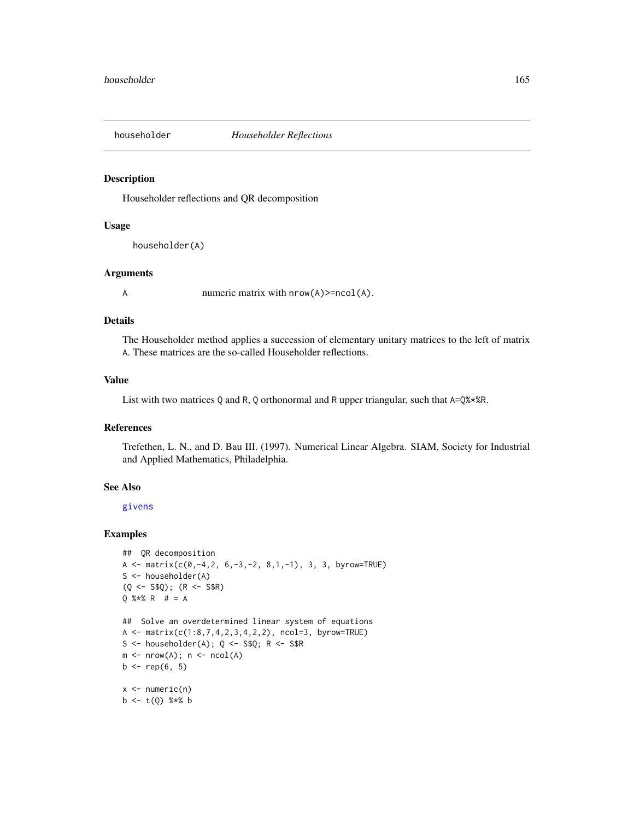<span id="page-164-0"></span>

## Description

Householder reflections and QR decomposition

#### Usage

```
householder(A)
```
## Arguments

A numeric matrix with  $nrow(A)$ >=ncol(A).

## Details

The Householder method applies a succession of elementary unitary matrices to the left of matrix A. These matrices are the so-called Householder reflections.

# Value

List with two matrices Q and R, Q orthonormal and R upper triangular, such that  $A=Q\$ 

# References

Trefethen, L. N., and D. Bau III. (1997). Numerical Linear Algebra. SIAM, Society for Industrial and Applied Mathematics, Philadelphia.

# See Also

[givens](#page-142-0)

```
## QR decomposition
A <- matrix(c(0, -4, 2, 6, -3, -2, 8, 1, -1), 3, 3, byrow=TRUE)
S <- householder(A)
(Q \le - S $Q); (R \le - S $R)Q % * % R # = A
## Solve an overdetermined linear system of equations
A \leq matrix(c(1:8,7,4,2,3,4,2,2), ncol=3, byrow=TRUE)
S \leq - householder(A); Q \leq - S$Q; R \leq - S$R
m \leftarrow nrow(A); n \leftarrow ncol(A)b \leq - rep(6, 5)x \leftarrow numeric(n)
b \leq t(Q) %*% b
```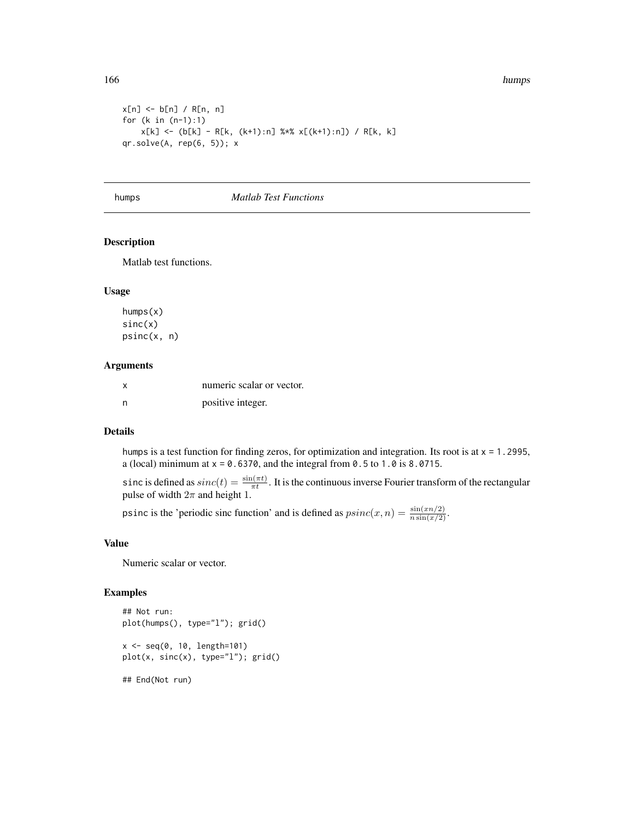166 humps

```
x[n] <- b[n] / R[n, n]for (k in (n-1):1)
   x[k] <- (b[k] - R[k, (k+1):n] %*% x[(k+1):n]) / R[k, k]
qr.solve(A, rep(6, 5)); x
```
humps *Matlab Test Functions*

## Description

Matlab test functions.

#### Usage

humps(x) sinc(x) psinc(x, n)

## Arguments

| x   | numeric scalar or vector. |
|-----|---------------------------|
| - n | positive integer.         |

# Details

humps is a test function for finding zeros, for optimization and integration. Its root is at  $x = 1.2995$ , a (local) minimum at  $x = 0.6370$ , and the integral from 0.5 to 1.0 is 8.0715.

sinc is defined as  $sinc(t) = \frac{\sin(\pi t)}{\pi t}$ . It is the continuous inverse Fourier transform of the rectangular pulse of width  $2\pi$  and height 1.

psinc is the 'periodic sinc function' and is defined as  $psinc(x, n) = \frac{\sin(x/n/2)}{n \sin(x/2)}$ .

#### Value

Numeric scalar or vector.

```
## Not run:
plot(humps(), type="l"); grid()
x <- seq(0, 10, length=101)
plot(x, sinc(x), type="l"); grid()
## End(Not run)
```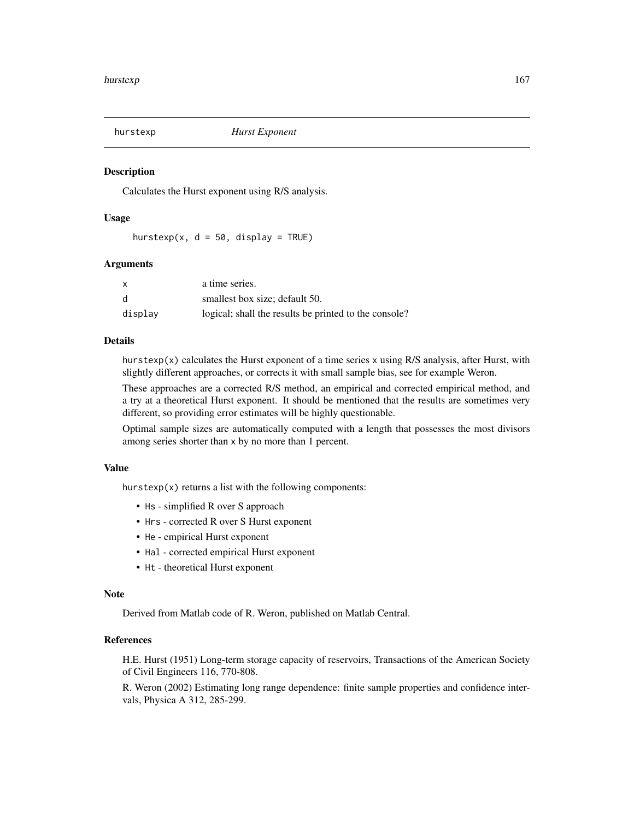#### **Description**

Calculates the Hurst exponent using R/S analysis.

# Usage

hurstexp(x,  $d = 50$ , display = TRUE)

## Arguments

| x       | a time series.                                        |
|---------|-------------------------------------------------------|
| d       | smallest box size; default 50.                        |
| display | logical; shall the results be printed to the console? |

## Details

hurstexp(x) calculates the Hurst exponent of a time series x using  $R/S$  analysis, after Hurst, with slightly different approaches, or corrects it with small sample bias, see for example Weron.

These approaches are a corrected R/S method, an empirical and corrected empirical method, and a try at a theoretical Hurst exponent. It should be mentioned that the results are sometimes very different, so providing error estimates will be highly questionable.

Optimal sample sizes are automatically computed with a length that possesses the most divisors among series shorter than x by no more than 1 percent.

# Value

hurstexp(x) returns a list with the following components:

- Hs simplified R over S approach
- Hrs corrected R over S Hurst exponent
- He empirical Hurst exponent
- Hal corrected empirical Hurst exponent
- Ht theoretical Hurst exponent

#### **Note**

Derived from Matlab code of R. Weron, published on Matlab Central.

# References

H.E. Hurst (1951) Long-term storage capacity of reservoirs, Transactions of the American Society of Civil Engineers 116, 770-808.

R. Weron (2002) Estimating long range dependence: finite sample properties and confidence intervals, Physica A 312, 285-299.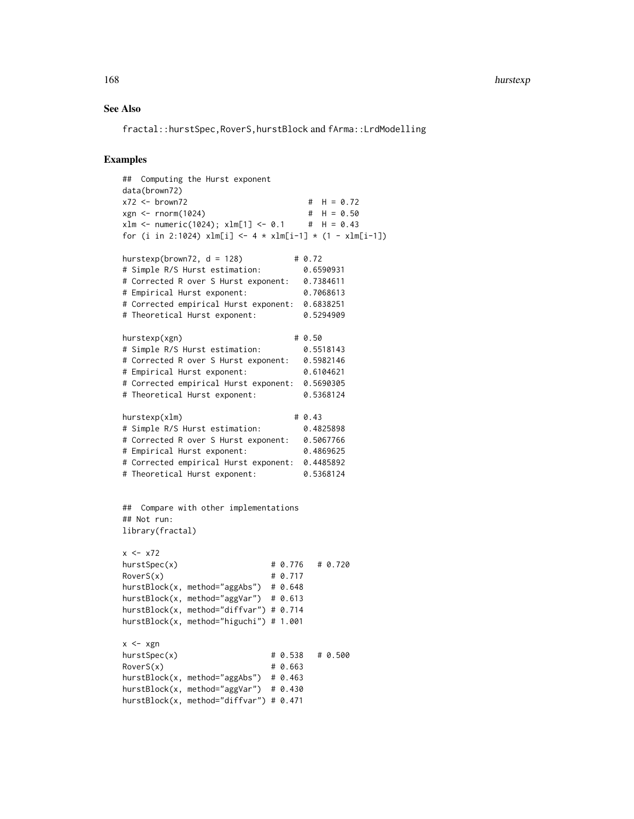# See Also

fractal::hurstSpec,RoverS,hurstBlock and fArma::LrdModelling

```
## Computing the Hurst exponent
data(brown72)
x72 <- brown72 # H = 0.72
xgn \le -rnorm(1024) # H = 0.50<br>xlm \le -rnorm(1024); xlm[1] \le -0.1 # H = 0.43
xlm < - numeric(1024); xlm[1] < -0.1for (i in 2:1024) xlm[i] < -4 * xlm[i-1] * (1 - xlm[i-1])hurstexp(brown72, d = 128) # 0.72
# Simple R/S Hurst estimation: 0.6590931
# Corrected R over S Hurst exponent: 0.7384611
# Empirical Hurst exponent: 0.7068613
# Corrected empirical Hurst exponent: 0.6838251
# Theoretical Hurst exponent: 0.5294909
hurstexp(xgn) # 0.50
# Simple R/S Hurst estimation: 0.5518143
# Corrected R over S Hurst exponent: 0.5982146
# Empirical Hurst exponent: 0.6104621
# Corrected empirical Hurst exponent: 0.5690305
# Theoretical Hurst exponent: 0.5368124
hurstexp(xlm) \# 0.43# Simple R/S Hurst estimation: 0.4825898
# Corrected R over S Hurst exponent: 0.5067766
# Empirical Hurst exponent: 0.4869625
# Corrected empirical Hurst exponent: 0.4485892
# Theoretical Hurst exponent: 0.5368124
## Compare with other implementations
## Not run:
library(fractal)
x \leftarrow x72hurstSpec(x) \# 0.776 \# 0.720Rovers(x) # 0.717
hurstBlock(x, method="aggAbs") # 0.648
hurstBlock(x, method="aggVar") # 0.613
hurstBlock(x, method="diffvar") # 0.714
hurstBlock(x, method="higuchi") # 1.001
x \le -xgnhurstSpec(x) \# 0.538 \# 0.500Rovers(x) # 0.663
hurstBlock(x, method="aggAbs") # 0.463
hurstBlock(x, method="aggVar") # 0.430
hurstBlock(x, method="diffvar") # 0.471
```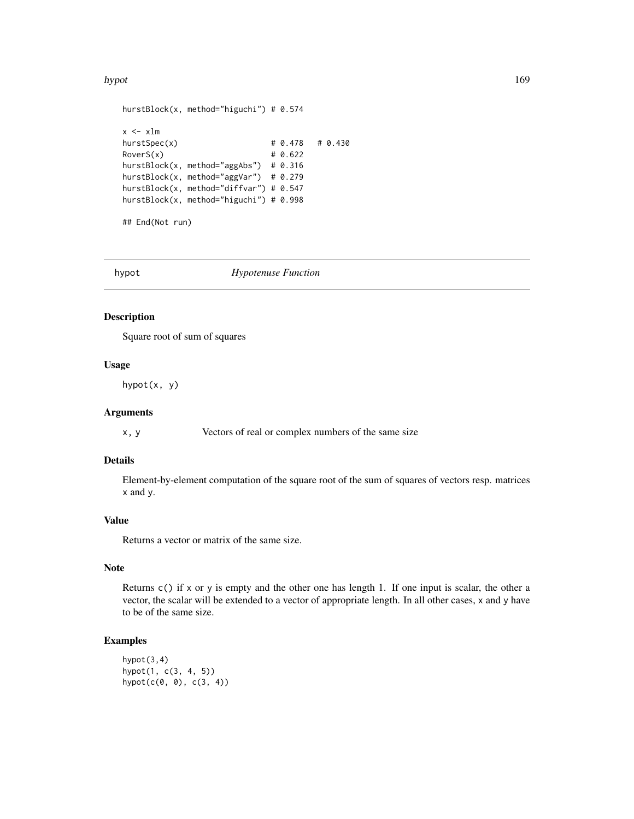#### hypot the contract of the contract of the contract of the contract of the contract of the contract of the contract of the contract of the contract of the contract of the contract of the contract of the contract of the cont

```
hurstBlock(x, method="higuchi") # 0.574
x < -x \lnhurstSpec(x) \# 0.478 \# 0.430Rovers(x) # 0.622
hurstBlock(x, method="aggAbs") # 0.316
hurstBlock(x, method="aggVar") # 0.279
hurstBlock(x, method="diffvar") # 0.547
hurstBlock(x, method="higuchi") # 0.998
## End(Not run)
```
hypot *Hypotenuse Function*

## Description

Square root of sum of squares

#### Usage

hypot(x, y)

#### Arguments

x, y Vectors of real or complex numbers of the same size

## Details

Element-by-element computation of the square root of the sum of squares of vectors resp. matrices x and y.

# Value

Returns a vector or matrix of the same size.

# Note

Returns c() if x or y is empty and the other one has length 1. If one input is scalar, the other a vector, the scalar will be extended to a vector of appropriate length. In all other cases, x and y have to be of the same size.

# Examples

hypot(3,4) hypot(1, c(3, 4, 5)) hypot(c(0, 0), c(3, 4))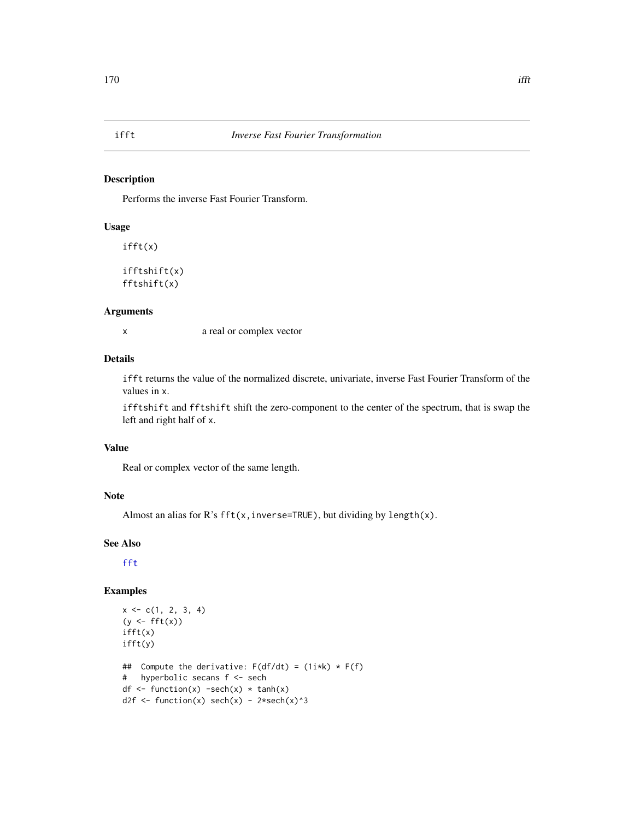# Description

Performs the inverse Fast Fourier Transform.

# Usage

ifft(x)

ifftshift(x) fftshift(x)

#### Arguments

x a real or complex vector

# Details

ifft returns the value of the normalized discrete, univariate, inverse Fast Fourier Transform of the values in x.

ifftshift and fftshift shift the zero-component to the center of the spectrum, that is swap the left and right half of x.

#### Value

Real or complex vector of the same length.

# Note

Almost an alias for  $R$ 's fft(x, inverse=TRUE), but dividing by length(x).

# See Also

[fft](#page-0-0)

# Examples

```
x \leq -c(1, 2, 3, 4)(y \leftarrow \text{fft}(x))ifft(x)
ifft(y)
## Compute the derivative: F(df/dt) = (1i*k) * F(f)# hyperbolic secans f <- sech
df \leq function(x) -sech(x) \star tanh(x)
d2f <- function(x) sech(x) - 2*sech(x)^3
```
# ifft *Inverse Fast Fourier Transformation*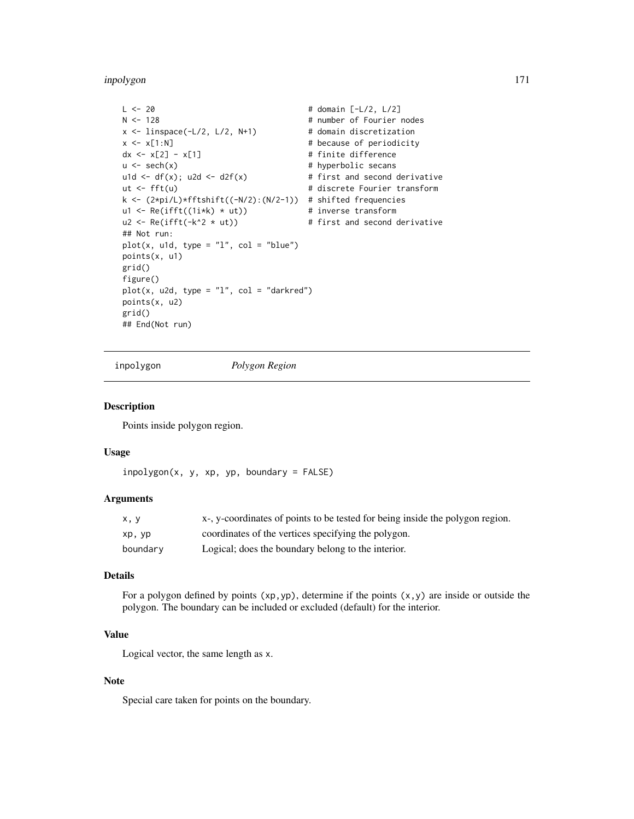inpolygon 171

```
L \le -20 # domain [-L/2, L/2]N <- 128 # number of Fourier nodes
x \le - linspace(-L/2, L/2, N+1) # domain discretization
x \leq x[1:N] # because of periodicity
dx \le x[2] - x[1] # finite difference
u \le - sech(x) \qquad # hyperbolic secans
u1d <- df(x); u2d <- d2f(x) # first and second derivative
ut <- fft(u) # discrete Fourier transform
k <- (2*pi/L)*fftshift((-N/2):(N/2-1)) # shifted frequencies
u1 <- Re(ifft((1i*k) * ut)) # inverse transform
u2 <- Re(ifft(-k^2 * ut)) # first and second derivative
## Not run:
plot(x, u1d, type = "l", col = "blue")points(x, u1)
grid()
figure()
plot(x, u2d, type = "l", col = "darkred")points(x, u2)
grid()
## End(Not run)
```
inpolygon *Polygon Region*

#### Description

Points inside polygon region.

#### Usage

```
in polygon(x, y, xp, yp, boundary = FALSE)
```
#### Arguments

| x, y     | x-, y-coordinates of points to be tested for being inside the polygon region. |
|----------|-------------------------------------------------------------------------------|
| xp, yp   | coordinates of the vertices specifying the polygon.                           |
| boundary | Logical; does the boundary belong to the interior.                            |

# Details

For a polygon defined by points  $(xp,yp)$ , determine if the points  $(x,y)$  are inside or outside the polygon. The boundary can be included or excluded (default) for the interior.

# Value

Logical vector, the same length as x.

## Note

Special care taken for points on the boundary.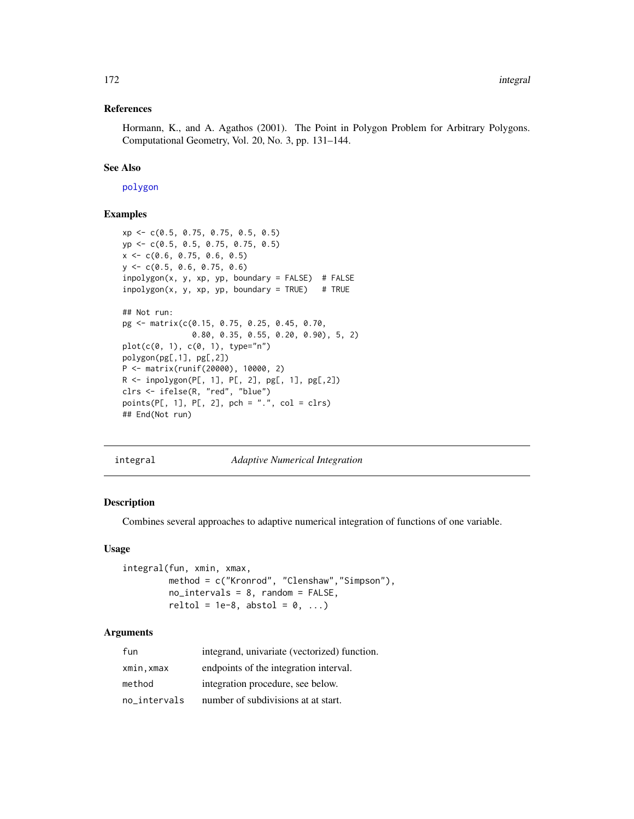#### References

Hormann, K., and A. Agathos (2001). The Point in Polygon Problem for Arbitrary Polygons. Computational Geometry, Vol. 20, No. 3, pp. 131–144.

## See Also

[polygon](#page-0-0)

## Examples

```
xp <- c(0.5, 0.75, 0.75, 0.5, 0.5)
yp <- c(0.5, 0.5, 0.75, 0.75, 0.5)
x \leq -c(0.6, 0.75, 0.6, 0.5)y <- c(0.5, 0.6, 0.75, 0.6)
inpolygon(x, y, xp, yp, boundary = FALSE) # FALSE
inpolygon(x, y, xp, yp, boundary = TRUE) # TRUE
## Not run:
pg <- matrix(c(0.15, 0.75, 0.25, 0.45, 0.70,
               0.80, 0.35, 0.55, 0.20, 0.90), 5, 2)
plot(c(0, 1), c(0, 1), type="n")polygon(pg[,1], pg[,2])
P <- matrix(runif(20000), 10000, 2)
R <- inpolygon(P[, 1], P[, 2], pg[, 1], pg[,2])
clrs <- ifelse(R, "red", "blue")
points(P[, 1], P[, 2], pch = ".", col = clrs)
## End(Not run)
```
<span id="page-171-0"></span>integral *Adaptive Numerical Integration*

## Description

Combines several approaches to adaptive numerical integration of functions of one variable.

#### Usage

integral(fun, xmin, xmax, method = c("Kronrod", "Clenshaw","Simpson"), no\_intervals = 8, random = FALSE, reltol = 1e-8, abstol =  $0, ...$ )

# Arguments

| fun          | integrand, univariate (vectorized) function. |
|--------------|----------------------------------------------|
| xmin,xmax    | endpoints of the integration interval.       |
| method       | integration procedure, see below.            |
| no intervals | number of subdivisions at at start.          |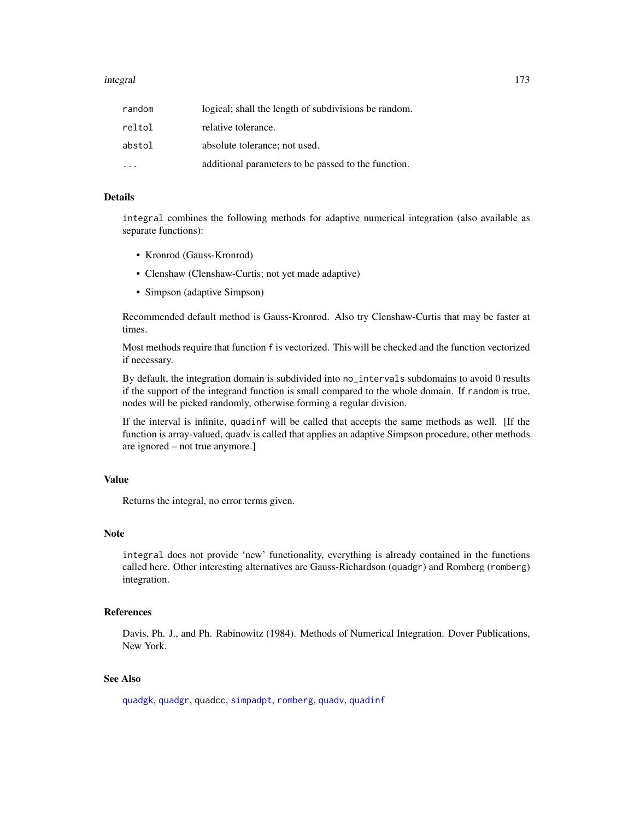#### integral 173

| random | logical; shall the length of subdivisions be random. |
|--------|------------------------------------------------------|
| reltol | relative tolerance.                                  |
| abstol | absolute tolerance; not used.                        |
|        | additional parameters to be passed to the function.  |

## Details

integral combines the following methods for adaptive numerical integration (also available as separate functions):

- Kronrod (Gauss-Kronrod)
- Clenshaw (Clenshaw-Curtis; not yet made adaptive)
- Simpson (adaptive Simpson)

Recommended default method is Gauss-Kronrod. Also try Clenshaw-Curtis that may be faster at times.

Most methods require that function f is vectorized. This will be checked and the function vectorized if necessary.

By default, the integration domain is subdivided into no\_intervals subdomains to avoid 0 results if the support of the integrand function is small compared to the whole domain. If random is true, nodes will be picked randomly, otherwise forming a regular division.

If the interval is infinite, quadinf will be called that accepts the same methods as well. [If the function is array-valued, quadv is called that applies an adaptive Simpson procedure, other methods are ignored – not true anymore.]

# Value

Returns the integral, no error terms given.

#### **Note**

integral does not provide 'new' functionality, everything is already contained in the functions called here. Other interesting alternatives are Gauss-Richardson (quadgr) and Romberg (romberg) integration.

## References

Davis, Ph. J., and Ph. Rabinowitz (1984). Methods of Numerical Integration. Dover Publications, New York.

## See Also

[quadgk](#page-290-0), [quadgr](#page-291-0), quadcc, [simpadpt](#page-337-0), [romberg](#page-321-0), [quadv](#page-297-0), [quadinf](#page-292-0)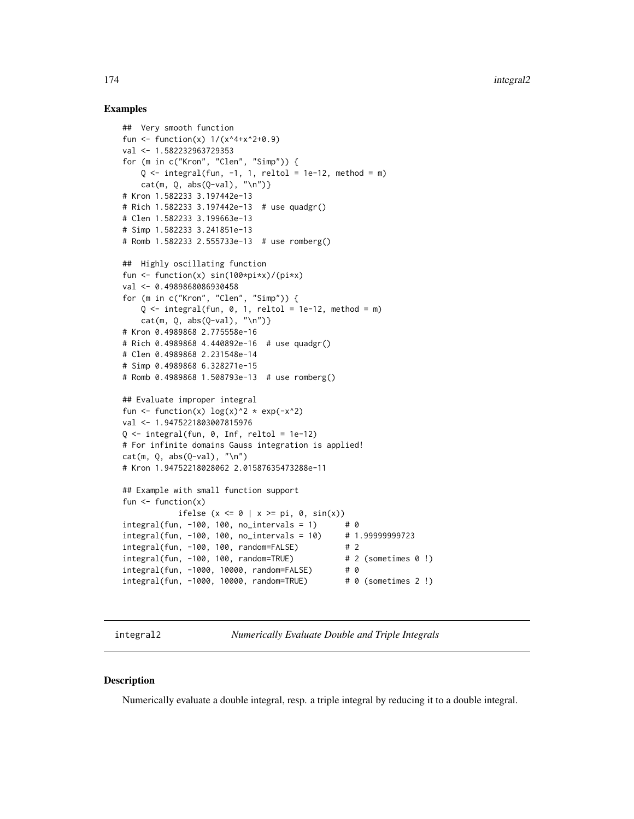# Examples

```
## Very smooth function
fun <- function(x) 1/(x^4+x^2+0.9)val <- 1.582232963729353
for (m in c("Kron", "Clen", "Simp")) {
    Q \le - integral(fun, -1, 1, reltol = 1e-12, method = m)
    cat(m, Q, abs(Q-val), "\n")}
# Kron 1.582233 3.197442e-13
# Rich 1.582233 3.197442e-13 # use quadgr()
# Clen 1.582233 3.199663e-13
# Simp 1.582233 3.241851e-13
# Romb 1.582233 2.555733e-13 # use romberg()
## Highly oscillating function
fun \le function(x) sin(100*pi*x)/(pi*x)
val <- 0.4989868086930458
for (m in c("Kron", "Clen", "Simp")) {
    Q \le - integral(fun, 0, 1, reltol = 1e-12, method = m)
    cat(m, Q, abs(Q-val), "\\n")# Kron 0.4989868 2.775558e-16
# Rich 0.4989868 4.440892e-16 # use quadgr()
# Clen 0.4989868 2.231548e-14
# Simp 0.4989868 6.328271e-15
# Romb 0.4989868 1.508793e-13 # use romberg()
## Evaluate improper integral
fun \le function(x) log(x)^2 * exp(-x^2)
val <- 1.9475221803007815976
0 \le integral(fun, 0, Inf, reltol = 1e-12)
# For infinite domains Gauss integration is applied!
cat(m, Q, abs(Q-val), "\\n")# Kron 1.94752218028062 2.01587635473288e-11
## Example with small function support
fun \leq function(x)
           ifelse (x <= 0 | x >= pi, 0, sin(x))
integral(fun, -100, 100, no_intervals = 1) \# 0<br>integral(fun, -100, 100, no_intervals = 10) \# 1.99999999723integral(fun, -100, 100, no_intervals = 10)integral(fun, -100, 100, random=False) # 2
integral(fun, -100, 100, random=True) # 2 (sometimes 0 !)
integral(fun, -1000, 10000, random=FALSE) # 0
integral(fun, -1000, 10000, random=TRUE) # 0 (sometimes 2 !)
```
integral2 *Numerically Evaluate Double and Triple Integrals*

#### Description

Numerically evaluate a double integral, resp. a triple integral by reducing it to a double integral.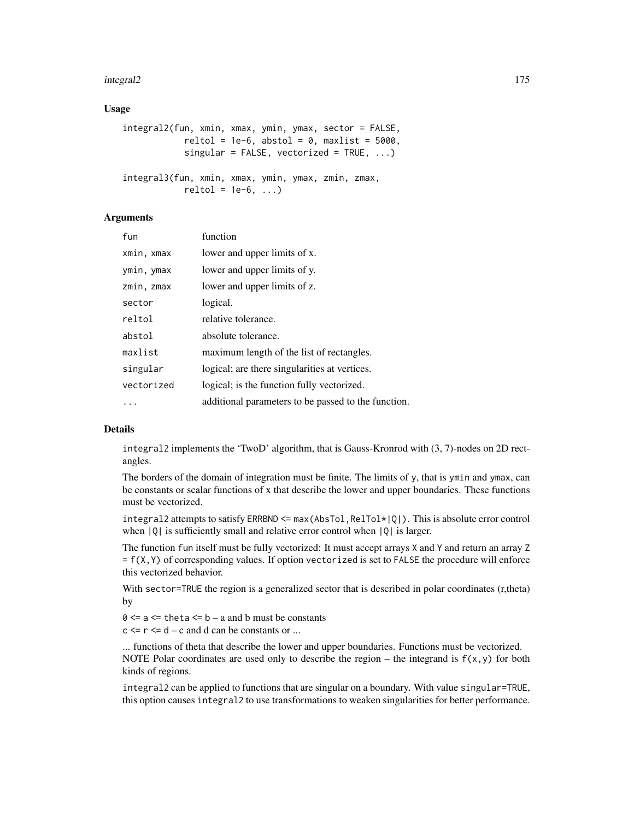#### integral2 175

## Usage

```
integral2(fun, xmin, xmax, ymin, ymax, sector = FALSE,
           reltol = 1e-6, abstol = 0, maxlist = 5000,
           singular = FALSE, vectorized = TRUE, \dots)
integral3(fun, xmin, xmax, ymin, ymax, zmin, zmax,
           reltol = 1e-6, ...
```
#### Arguments

| fun        | function                                            |
|------------|-----------------------------------------------------|
| xmin, xmax | lower and upper limits of x.                        |
| ymin, ymax | lower and upper limits of y.                        |
| zmin, zmax | lower and upper limits of z.                        |
| sector     | logical.                                            |
| reltol     | relative tolerance.                                 |
| abstol     | absolute tolerance.                                 |
| maxlist    | maximum length of the list of rectangles.           |
| singular   | logical; are there singularities at vertices.       |
| vectorized | logical; is the function fully vectorized.          |
|            | additional parameters to be passed to the function. |

#### Details

integral2 implements the 'TwoD' algorithm, that is Gauss-Kronrod with (3, 7)-nodes on 2D rectangles.

The borders of the domain of integration must be finite. The limits of y, that is ymin and ymax, can be constants or scalar functions of x that describe the lower and upper boundaries. These functions must be vectorized.

integral2 attempts to satisfy ERRBND  $\leq$  max (AbsTol, RelTol $\angle$ |Q|). This is absolute error control when  $|Q|$  is sufficiently small and relative error control when  $|Q|$  is larger.

The function fun itself must be fully vectorized: It must accept arrays X and Y and return an array Z  $= f(X,Y)$  of corresponding values. If option vectorized is set to FALSE the procedure will enforce this vectorized behavior.

With sector=TRUE the region is a generalized sector that is described in polar coordinates (r,theta) by

 $0 \le a \le \text{theta} \le b - a$  and b must be constants

 $c \le r \le d - c$  and d can be constants or ...

... functions of theta that describe the lower and upper boundaries. Functions must be vectorized. NOTE Polar coordinates are used only to describe the region – the integrand is  $f(x,y)$  for both kinds of regions.

integral2 can be applied to functions that are singular on a boundary. With value singular=TRUE, this option causes integral2 to use transformations to weaken singularities for better performance.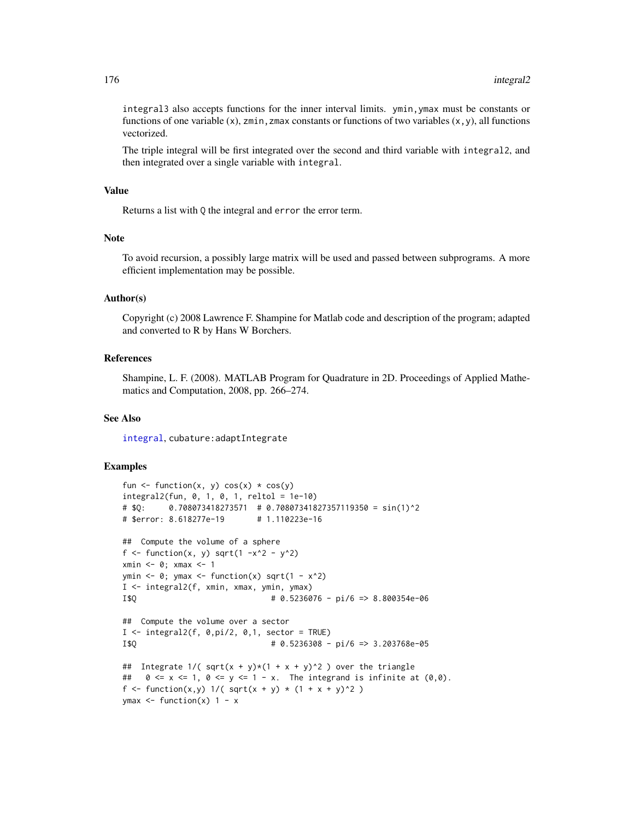integral3 also accepts functions for the inner interval limits. ymin,ymax must be constants or functions of one variable (x), zmin, zmax constants or functions of two variables  $(x, y)$ , all functions vectorized.

The triple integral will be first integrated over the second and third variable with integral2, and then integrated over a single variable with integral.

#### Value

Returns a list with Q the integral and error the error term.

# **Note**

To avoid recursion, a possibly large matrix will be used and passed between subprograms. A more efficient implementation may be possible.

# Author(s)

Copyright (c) 2008 Lawrence F. Shampine for Matlab code and description of the program; adapted and converted to R by Hans W Borchers.

# References

Shampine, L. F. (2008). MATLAB Program for Quadrature in 2D. Proceedings of Applied Mathematics and Computation, 2008, pp. 266–274.

## See Also

[integral](#page-171-0), cubature:adaptIntegrate

```
fun \leq function(x, y) cos(x) \cdot cos(y)integral2(fun, 0, 1, 0, 1, reltol = 1e-10)
# $Q: 0.708073418273571 # 0.70807341827357119350 = sin(1)^2
# $error: 8.618277e-19 # 1.110223e-16
## Compute the volume of a sphere
f \le function(x, y) sqrt(1 -x^2 - y^2)
xmin <- 0; xmax <- 1
ymin \leq 0; ymax \leq function(x) sqrt(1 - x^2)
I <- integral2(f, xmin, xmax, ymin, ymax)
I$Q # 0.5236076 - pi/6 => 8.800354e-06
## Compute the volume over a sector
I \leftarrow integral2(f, 0,pi/2, 0,1, sector = TRUE)
I$Q # 0.5236308 - pi/6 => 3.203768e-05
## Integrate 1/(\sqrt{\sqrt{y} + y}x(1 + x + y)^2) over the triangle
## 0 \le x \le 1, 0 \le y \le 1 - x. The integrand is infinite at (0,0).
f <- function(x,y) 1/( sqrt(x + y) * (1 + x + y)^2 )
ymax \le function(x) 1 - x
```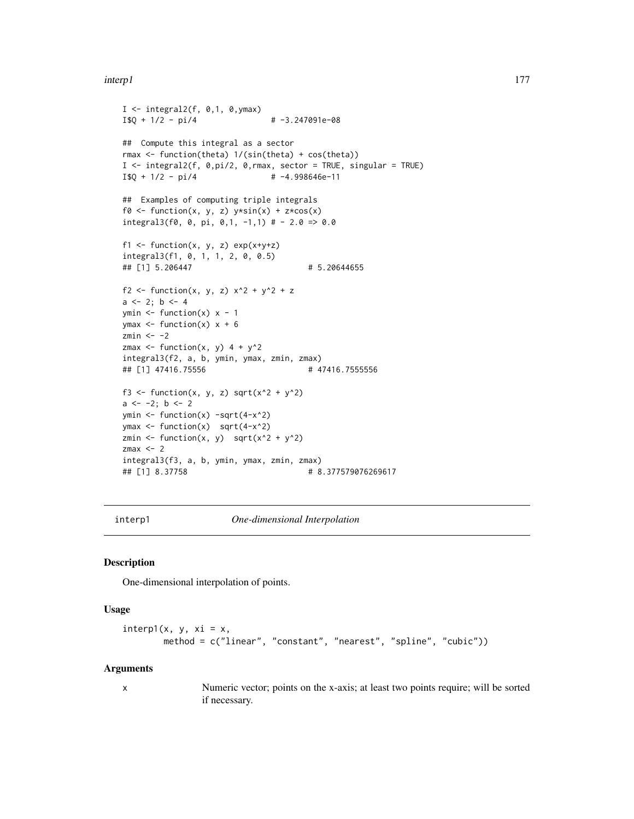#### interp1 177

```
I \le integral2(f, 0,1, 0, ymax)
I$Q + 1/2 - pi/4 + -3.247091e-08
## Compute this integral as a sector
rmax <- function(theta) 1/(sin(theta) + cos(theta))
I <- integral2(f, 0,pi/2, 0,rmax, sector = TRUE, singular = TRUE)
I$Q + 1/2 - pi/4 \# -4.998646e-11
## Examples of computing triple integrals
f0 <- function(x, y, z) y * sin(x) + z * cos(x)integral3(f0, 0, pi, 0,1, -1,1) # - 2.0 => 0.0
f1 <- function(x, y, z) exp(x+y+z)integral3(f1, 0, 1, 1, 2, 0, 0.5)
## [1] 5.206447 # 5.20644655
f2 <- function(x, y, z) x^2 + y^2 + za \leftarrow 2; b \leftarrow 4ymin \le function(x) x - 1ymax \leq function(x) x + 6zmin <- -2zmax \le function(x, y) 4 + y^2
integral3(f2, a, b, ymin, ymax, zmin, zmax)
## [1] 47416.75556 # 47416.7555556
f3 <- function(x, y, z) sqrt(x^2 + y^2)
a \leftarrow -2; b \leftarrow 2ymin \leq function(x) -sqrt(4-x^2)ymax <- function(x) sqrt(4-x^2)
zmin <- function(x, y) sqrt(x^2 + y^2)
zmax <-2integral3(f3, a, b, ymin, ymax, zmin, zmax)
## [1] 8.37758 # 8.377579076269617
```
<span id="page-176-0"></span>

interp1 *One-dimensional Interpolation*

# Description

One-dimensional interpolation of points.

#### Usage

```
interp1(x, y, xi = x,method = c("linear", "constant", "nearest", "spline", "cubic"))
```
#### Arguments

x Numeric vector; points on the x-axis; at least two points require; will be sorted if necessary.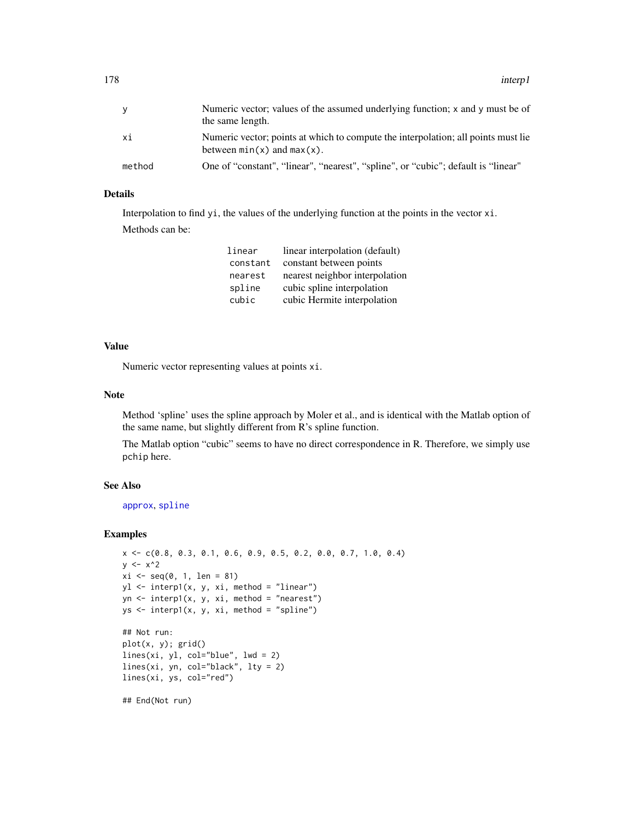| ٧      | Numeric vector; values of the assumed underlying function; $x$ and $y$ must be of<br>the same length.                |
|--------|----------------------------------------------------------------------------------------------------------------------|
| хi     | Numeric vector; points at which to compute the interpolation; all points must lie<br>between $min(x)$ and $max(x)$ . |
| method | One of "constant", "linear", "nearest", "spline", or "cubic"; default is "linear"                                    |

# Details

Interpolation to find yi, the values of the underlying function at the points in the vector xi.

Methods can be:

| linear   | linear interpolation (default) |
|----------|--------------------------------|
| constant | constant between points        |
| nearest  | nearest neighbor interpolation |
| spline   | cubic spline interpolation     |
| cubic    | cubic Hermite interpolation    |

# Value

Numeric vector representing values at points xi.

## Note

Method 'spline' uses the spline approach by Moler et al., and is identical with the Matlab option of the same name, but slightly different from R's spline function.

The Matlab option "cubic" seems to have no direct correspondence in R. Therefore, we simply use pchip here.

# See Also

[approx](#page-0-0), [spline](#page-0-0)

## Examples

```
x <- c(0.8, 0.3, 0.1, 0.6, 0.9, 0.5, 0.2, 0.0, 0.7, 1.0, 0.4)
y \le -x^2xi \leftarrow seq(0, 1, len = 81)yl <- interp1(x, y, xi, method = "linear")
yn \le interp1(x, y, xi, method = "nearest")
ys <- interp1(x, y, xi, method = "spline")
## Not run:
plot(x, y); grid()
lines(xi, yl, col="blue", lwd = 2)
lines(xi, yn, col="black", lty = 2)
lines(xi, ys, col="red")
```
## End(Not run)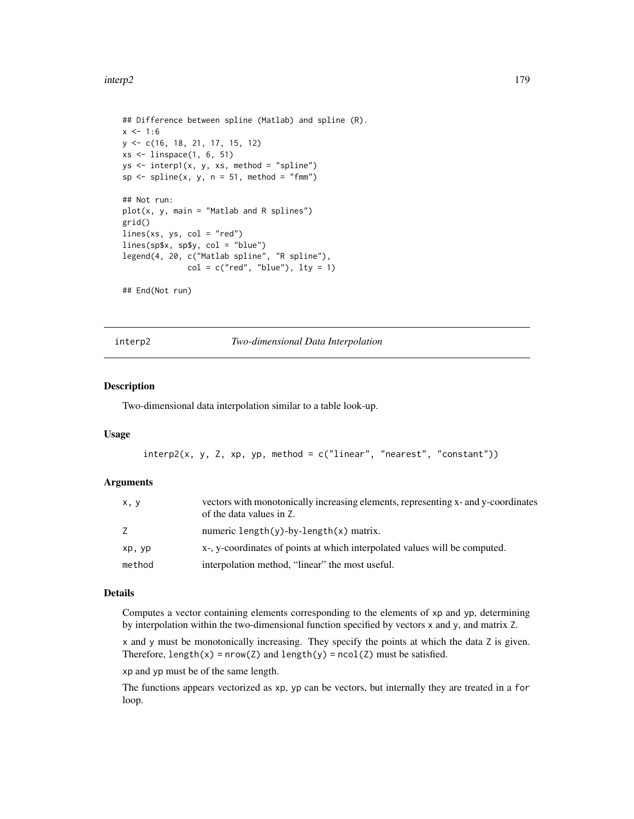```
## Difference between spline (Matlab) and spline (R).
x < -1:6y <- c(16, 18, 21, 17, 15, 12)
xs <- linspace(1, 6, 51)
ys <- interp1(x, y, xs, method = "spline")
sp \leq splitine(x, y, n = 51, method = "fmm")## Not run:
plot(x, y, main = "Matlab and R splines")
grid()
lines(xs, ys, col = "red")
lines(sp$x, sp$y, col = "blue")
legend(4, 20, c("Matlab spline", "R spline"),
              col = c("red", "blue"), \; lty = 1)## End(Not run)
```
interp2 *Two-dimensional Data Interpolation*

# Description

Two-dimensional data interpolation similar to a table look-up.

#### Usage

```
interp2(x, y, Z, xp, yp, method = c("linear", "nearest", "constant"))
```
## Arguments

| x, y   | vectors with monotonically increasing elements, representing x- and y-coordinates<br>of the data values in Z. |
|--------|---------------------------------------------------------------------------------------------------------------|
| Z      | numeric length $(y)$ -by-length $(x)$ matrix.                                                                 |
| xp, yp | x-, y-coordinates of points at which interpolated values will be computed.                                    |
| method | interpolation method, "linear" the most useful.                                                               |

#### Details

Computes a vector containing elements corresponding to the elements of xp and yp, determining by interpolation within the two-dimensional function specified by vectors x and y, and matrix Z.

x and y must be monotonically increasing. They specify the points at which the data Z is given. Therefore,  $length(x) = nrow(Z)$  and  $length(y) = ncol(Z)$  must be satisfied.

xp and yp must be of the same length.

The functions appears vectorized as xp, yp can be vectors, but internally they are treated in a for loop.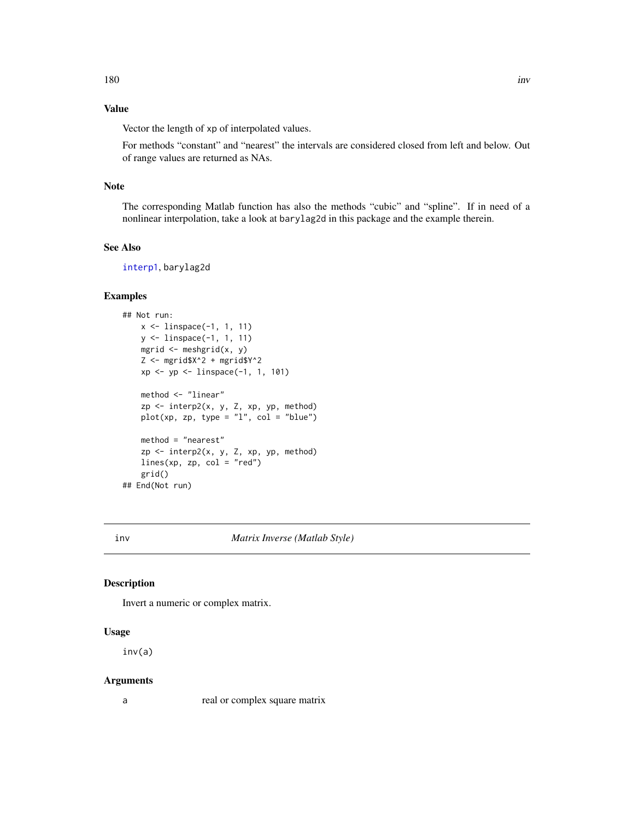# Value

Vector the length of xp of interpolated values.

For methods "constant" and "nearest" the intervals are considered closed from left and below. Out of range values are returned as NAs.

# Note

The corresponding Matlab function has also the methods "cubic" and "spline". If in need of a nonlinear interpolation, take a look at barylag2d in this package and the example therein.

## See Also

[interp1](#page-176-0), barylag2d

# Examples

```
## Not run:
   x <- linspace(-1, 1, 11)
   y <- linspace(-1, 1, 11)
   mgrid \leq meshgrid(x, y)
    Z \le - mgrid$X^2 + mgrid$Y^2
    xp \leq -yp \leq -\text{linspace}(-1, 1, 101)method <- "linear"
    zp \le - interp2(x, y, Z, xp, yp, method)plot(xp, zp, type = "l", col = "blue")method = "nearest"
   zp <- interp2(x, y, Z, xp, yp, method)
   lines(xp, zp, col = "red")grid()
## End(Not run)
```
inv *Matrix Inverse (Matlab Style)*

## Description

Invert a numeric or complex matrix.

# Usage

inv(a)

#### Arguments

a real or complex square matrix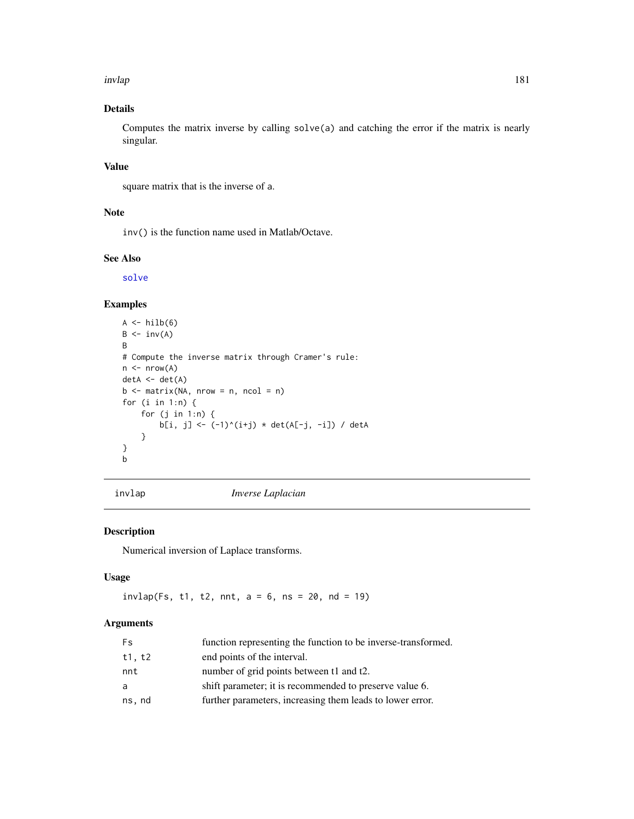invlap 181

# Details

Computes the matrix inverse by calling solve(a) and catching the error if the matrix is nearly singular.

# Value

square matrix that is the inverse of a.

## Note

inv() is the function name used in Matlab/Octave.

## See Also

[solve](#page-0-0)

# Examples

```
A \leftarrow \text{hilb}(6)B \leftarrow inv(A)B
# Compute the inverse matrix through Cramer's rule:
n \leq -nrow(A)detA \leftarrow det(A)b \le matrix(NA, nrow = n, ncol = n)
for (i in 1:n) {
    for (j in 1:n) {
         b[i, j] <- (-1)^{i}(i+j) * det(A[-j, -i]) / detA
     }
}
b
```
invlap *Inverse Laplacian*

## Description

Numerical inversion of Laplace transforms.

# Usage

 $invlap(Fs, t1, t2, nnt, a = 6, ns = 20, nd = 19)$ 

## Arguments

| <b>Fs</b> | function representing the function to be inverse-transformed. |
|-----------|---------------------------------------------------------------|
| t1, t2    | end points of the interval.                                   |
| nnt       | number of grid points between t1 and t2.                      |
| a         | shift parameter; it is recommended to preserve value 6.       |
| ns, nd    | further parameters, increasing them leads to lower error.     |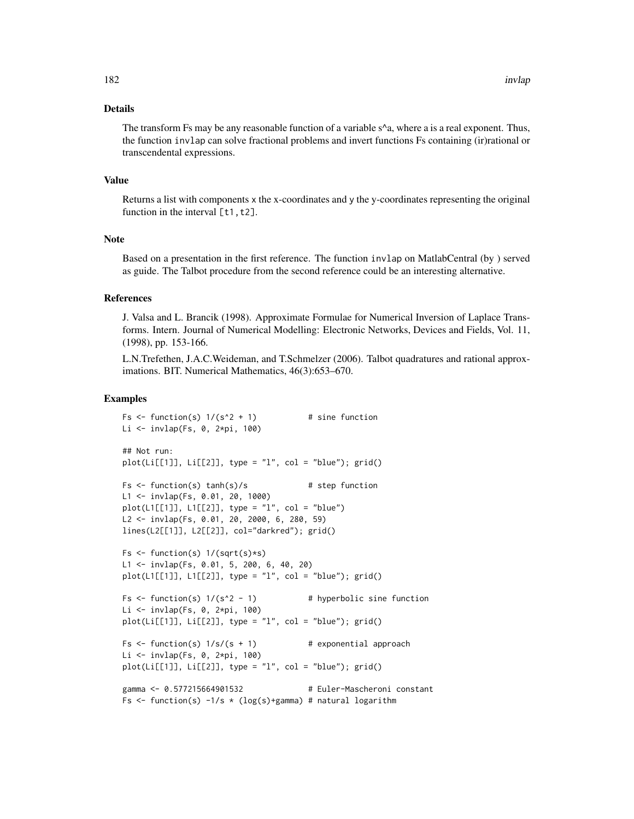## Details

The transform Fs may be any reasonable function of a variable  $s^{\wedge}a$ , where a is a real exponent. Thus, the function invlap can solve fractional problems and invert functions Fs containing (ir)rational or transcendental expressions.

#### Value

Returns a list with components x the x-coordinates and y the y-coordinates representing the original function in the interval  $[t1, t2]$ .

#### Note

Based on a presentation in the first reference. The function invlap on MatlabCentral (by ) served as guide. The Talbot procedure from the second reference could be an interesting alternative.

# References

J. Valsa and L. Brancik (1998). Approximate Formulae for Numerical Inversion of Laplace Transforms. Intern. Journal of Numerical Modelling: Electronic Networks, Devices and Fields, Vol. 11, (1998), pp. 153-166.

L.N.Trefethen, J.A.C.Weideman, and T.Schmelzer (2006). Talbot quadratures and rational approximations. BIT. Numerical Mathematics, 46(3):653–670.

```
Fs \le function(s) 1/(s^2 + 1) # sine function
Li <- invlap(Fs, 0, 2*pi, 100)
## Not run:
plot(Li[[1]], Li[[2]], type = "l", col = "blue"); grid()Fs \le function(s) tanh(s)/s # step function
L1 <- invlap(Fs, 0.01, 20, 1000)
plot(L1[[1]], L1[[2]], type = "l", col = "blue")
L2 <- invlap(Fs, 0.01, 20, 2000, 6, 280, 59)
lines(L2[[1]], L2[[2]], col="darkred"); grid()
Fs \le function(s) 1/(sqrt(s)*s)L1 <- invlap(Fs, 0.01, 5, 200, 6, 40, 20)
plot(L1[[1]], L1[[2]], type = "1", col = "blue"); grid()Fs \le function(s) 1/(s^2 - 1) # hyperbolic sine function
Li <- invlap(Fs, 0, 2*pi, 100)
plot(Li[[1]], Li[[2]], type = "l", col = "blue"); grid()Fs \le function(s) 1/s/(s + 1) # exponential approach
Li <- invlap(Fs, 0, 2*pi, 100)
plot(Li[[1]], Li[[2]], type = "1", col = "blue"); grid()gamma <- 0.577215664901532 # Euler-Mascheroni constant
Fs \le function(s) -1/s \star (log(s)+gamma) # natural logarithm
```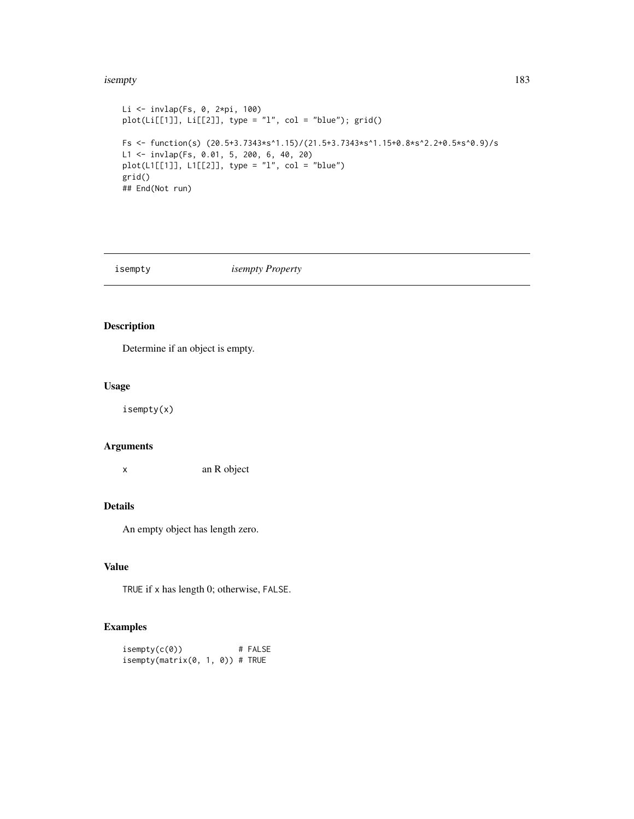#### isempty 183

```
Li <- invlap(Fs, 0, 2*pi, 100)
plot(Li[[1]], Li[[2]], type = "l", col = "blue"); grid()
Fs <- function(s) (20.5+3.7343*s^1.15)/(21.5+3.7343*s^1.15+0.8*s^2.2+0.5*s^0.9)/s
L1 <- invlap(Fs, 0.01, 5, 200, 6, 40, 20)
plot(L1[[1]], L1[[2]], type = "1", col = "blue")grid()
## End(Not run)
```
## isempty *isempty Property*

# Description

Determine if an object is empty.

## Usage

isempty(x)

# Arguments

x an R object

# Details

An empty object has length zero.

# Value

TRUE if x has length 0; otherwise, FALSE.

## Examples

 $isempty(c(0))$  # FALSE  $isempty(matrix(\emptyset, 1, 0))$  # TRUE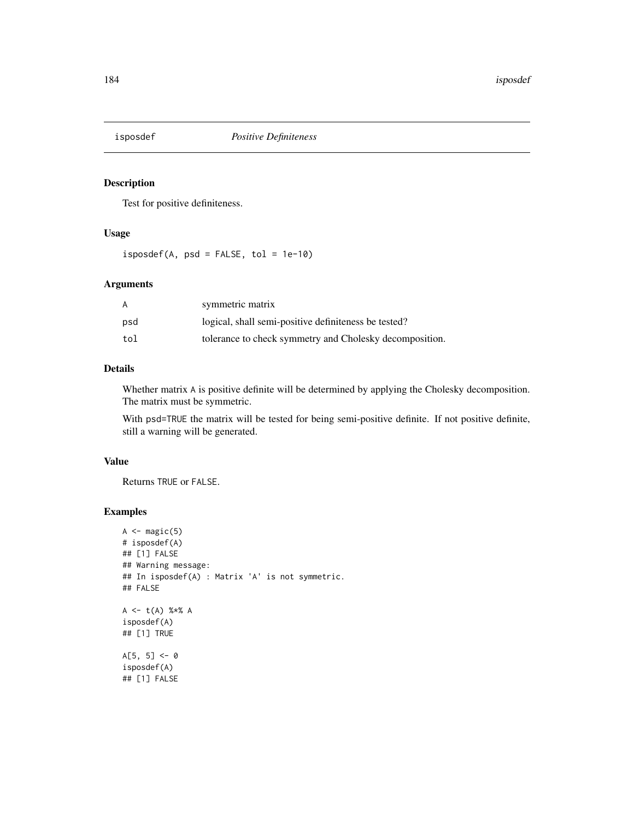Test for positive definiteness.

# Usage

 $isposed(A, psd = FALSE, tol = 1e-10)$ 

## Arguments

| A   | symmetric matrix                                        |
|-----|---------------------------------------------------------|
| psd | logical, shall semi-positive definiteness be tested?    |
| tol | tolerance to check symmetry and Cholesky decomposition. |

# Details

Whether matrix A is positive definite will be determined by applying the Cholesky decomposition. The matrix must be symmetric.

With psd=TRUE the matrix will be tested for being semi-positive definite. If not positive definite, still a warning will be generated.

# Value

Returns TRUE or FALSE.

```
A \leftarrow magic(5)# isposdef(A)
## [1] FALSE
## Warning message:
## In isposdef(A) : Matrix 'A' is not symmetric.
## FALSE
A \leq -t(A) %*% A
isposdef(A)
## [1] TRUE
A[5, 5] <- 0
isposdef(A)
## [1] FALSE
```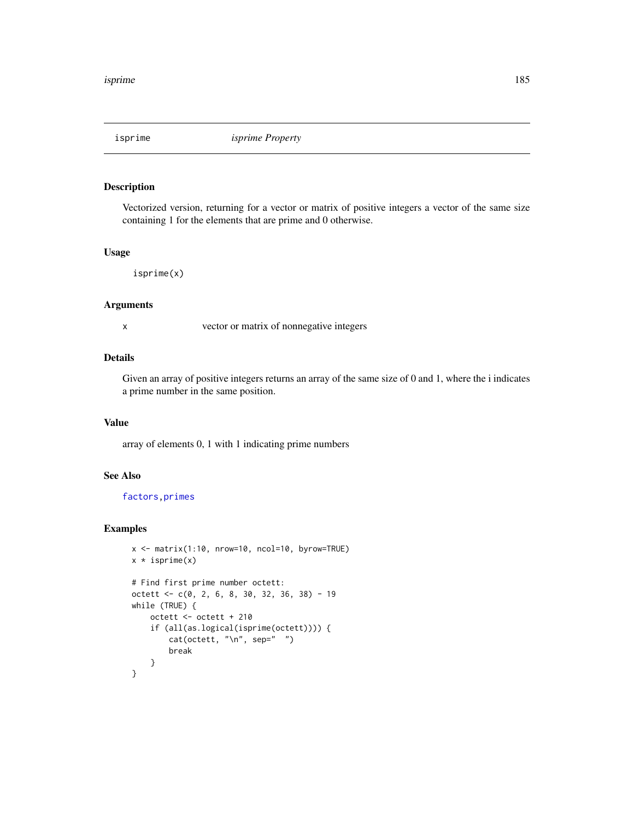Vectorized version, returning for a vector or matrix of positive integers a vector of the same size containing 1 for the elements that are prime and 0 otherwise.

#### Usage

isprime(x)

#### Arguments

x vector or matrix of nonnegative integers

## Details

Given an array of positive integers returns an array of the same size of 0 and 1, where the i indicates a prime number in the same position.

## Value

array of elements 0, 1 with 1 indicating prime numbers

# See Also

[factors](#page-102-0)[,primes](#page-280-0)

```
x <- matrix(1:10, nrow=10, ncol=10, byrow=TRUE)
x * isprime(x)# Find first prime number octett:
octett <- c(0, 2, 6, 8, 30, 32, 36, 38) - 19
while (TRUE) {
    octett <- octett + 210
    if (all(as.logical(isprime(octett)))) {
        cat(octett, "\n", sep=" ")
       break
    }
}
```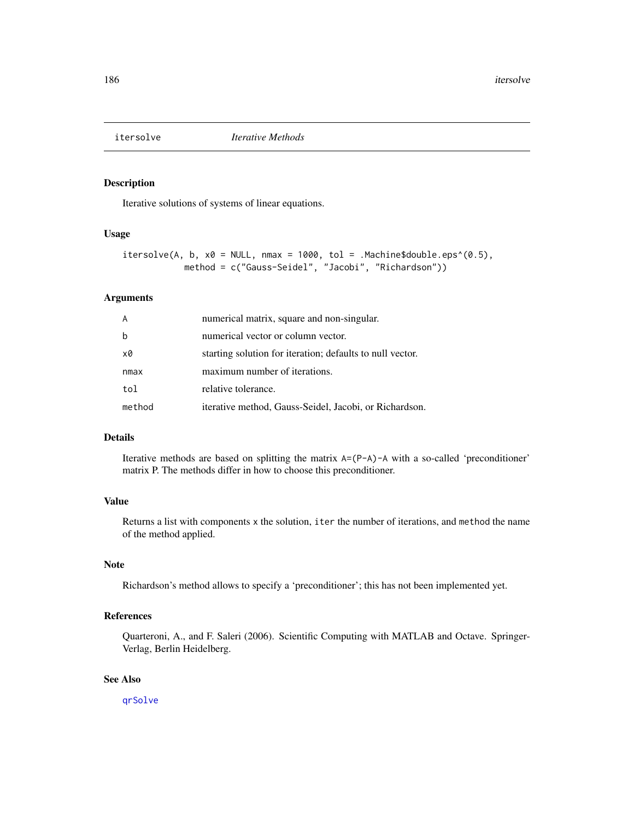Iterative solutions of systems of linear equations.

#### Usage

```
itersolve(A, b, x0 = NULL, max = 1000, tol = .Machine$double.eps^(0.5),method = c("Gauss-Seidel", "Jacobi", "Richardson"))
```
#### Arguments

| A      | numerical matrix, square and non-singular.                |
|--------|-----------------------------------------------------------|
| b      | numerical vector or column vector.                        |
| x0     | starting solution for iteration; defaults to null vector. |
| nmax   | maximum number of iterations.                             |
| tol    | relative tolerance.                                       |
| method | iterative method, Gauss-Seidel, Jacobi, or Richardson.    |

## Details

Iterative methods are based on splitting the matrix  $A=(P-A)-A$  with a so-called 'preconditioner' matrix P. The methods differ in how to choose this preconditioner.

# Value

Returns a list with components x the solution, iter the number of iterations, and method the name of the method applied.

# Note

Richardson's method allows to specify a 'preconditioner'; this has not been implemented yet.

## References

Quarteroni, A., and F. Saleri (2006). Scientific Computing with MATLAB and Octave. Springer-Verlag, Berlin Heidelberg.

## See Also

[qrSolve](#page-286-0)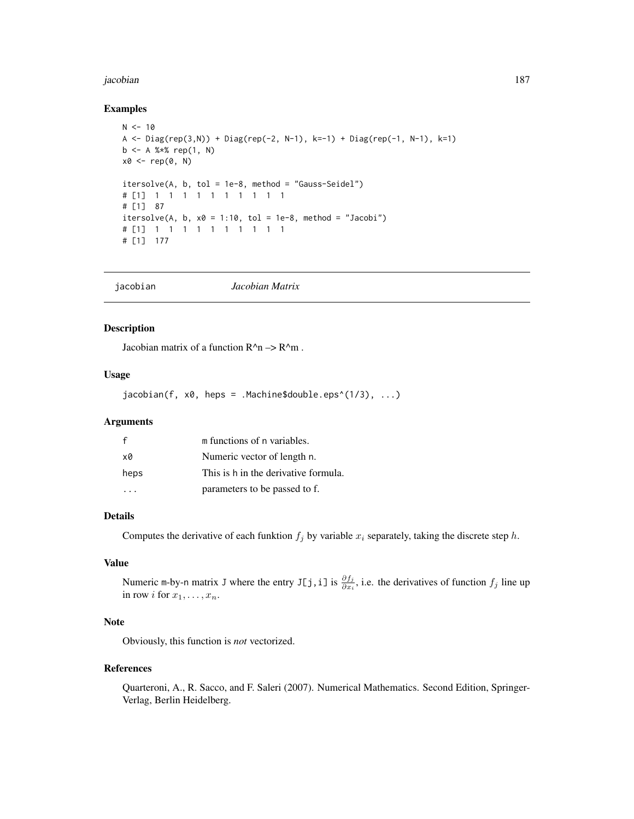#### jacobian 187

#### Examples

```
N < -10A <- Diag(rep(3,N)) + Diag(rep(-2, N-1), k=-1) + Diag(rep(-1, N-1), k=1)b \leq A \ %*% rep(1, N)
x0 <- rep(0, N)
itersolve(A, b, tol = 1e-8, method = "Gauss-Seidel")
# [1] 1 1 1 1 1 1 1 1 1 1
# [1] 87
itersolve(A, b, x0 = 1:10, tol = 1e-8, method = "Jacobi")
# [1] 1 1 1 1 1 1 1 1 1 1
# [1] 177
```

|--|

## Description

Jacobian matrix of a function  $R^{\wedge}n \rightarrow R^{\wedge}m$ .

# Usage

 $jacobian(f, x0, heps = .Machine$double.eps^(1/3), ...)$ 

# Arguments

|      | m functions of n variables.          |
|------|--------------------------------------|
| x0   | Numeric vector of length n.          |
| heps | This is h in the derivative formula. |
|      | parameters to be passed to f.        |

#### Details

Computes the derivative of each funktion  $f_j$  by variable  $x_i$  separately, taking the discrete step h.

# Value

Numeric m-by-n matrix J where the entry J[j,i] is  $\frac{\partial f_j}{\partial x_i}$ , i.e. the derivatives of function  $f_j$  line up in row *i* for  $x_1, \ldots, x_n$ .

# Note

Obviously, this function is *not* vectorized.

#### References

Quarteroni, A., R. Sacco, and F. Saleri (2007). Numerical Mathematics. Second Edition, Springer-Verlag, Berlin Heidelberg.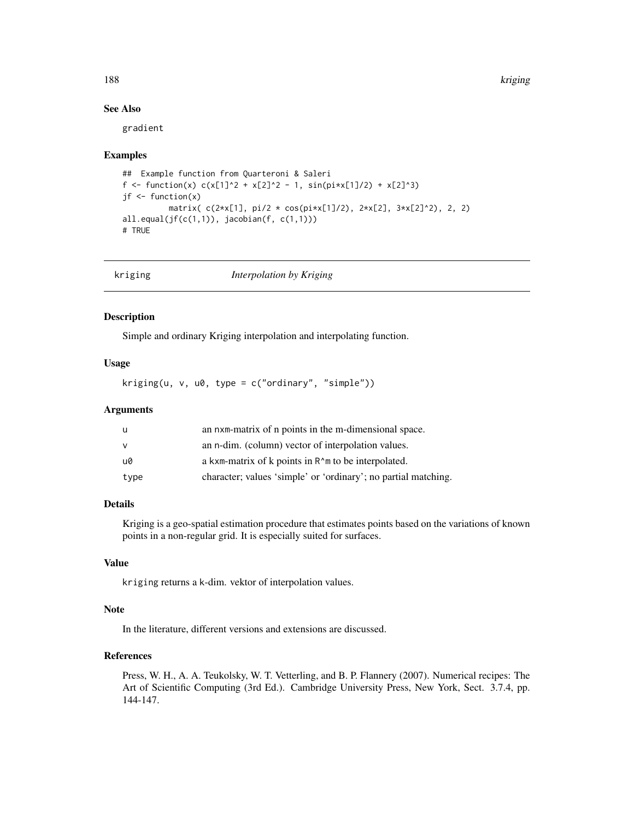188 kriging

## See Also

gradient

#### Examples

```
## Example function from Quarteroni & Saleri
f <- function(x) c(x[1]^2 + x[2]^2 - 1, sin(pi*x[1]/2) + x[2]^3)
jf <- function(x)matrix( c(2*x[1], pi/2 * cos(pi*x[1]/2), 2*x[2], 3*x[2]^2), 2, 2)
all.equal(jf(c(1,1)), jacobian(f, c(1,1)))
# TRUE
```

| kriging | Interpolation by Kriging |  |
|---------|--------------------------|--|
|         |                          |  |

### Description

Simple and ordinary Kriging interpolation and interpolating function.

# Usage

 $kriging(u, v, u0, type = c("ordinary", "simple"))$ 

# Arguments

| u    | an nxm-matrix of n points in the m-dimensional space.                              |
|------|------------------------------------------------------------------------------------|
| v    | an n-dim. (column) vector of interpolation values.                                 |
| u0   | a kxm-matrix of k points in R <sup><math>\wedge</math></sup> m to be interpolated. |
| type | character; values 'simple' or 'ordinary'; no partial matching.                     |

# Details

Kriging is a geo-spatial estimation procedure that estimates points based on the variations of known points in a non-regular grid. It is especially suited for surfaces.

# Value

kriging returns a k-dim. vektor of interpolation values.

## Note

In the literature, different versions and extensions are discussed.

# References

Press, W. H., A. A. Teukolsky, W. T. Vetterling, and B. P. Flannery (2007). Numerical recipes: The Art of Scientific Computing (3rd Ed.). Cambridge University Press, New York, Sect. 3.7.4, pp. 144-147.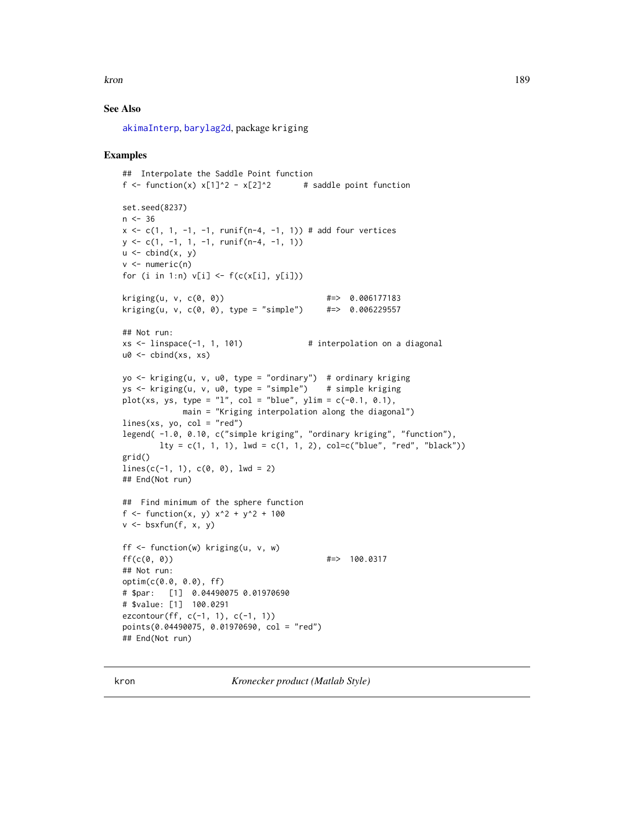kron the contract of the contract of the contract of the contract of the contract of the contract of the contract of the contract of the contract of the contract of the contract of the contract of the contract of the contr

## See Also

[akimaInterp](#page-16-0), [barylag2d](#page-29-0), package kriging

## Examples

```
## Interpolate the Saddle Point function
f <- function(x) x[1]^2 - x[2]^2 # saddle point function
set.seed(8237)
n < -36x \leq c(1, 1, -1, -1, \text{runif}(n-4, -1, 1)) # add four vertices
y \leftarrow c(1, -1, 1, -1, \text{runif}(n-4, -1, 1))u \leftarrow \text{cbind}(x, y)v \le numeric(n)
for (i in 1:n) v[i] \leftarrow f(c(x[i], y[i]))kriging(u, v, c(0, 0)) #=> 0.006177183
kriging(u, v, c(0, 0), type = "simple")## Not run:
xs < - 1inspace(-1, 1, 101) \qquad \qquad # interpolation on a diagonal
u0 <- cbind(xs, xs)
yo <- kriging(u, v, u0, type = "ordinary") # ordinary kriging
ys <- kriging(u, v, u0, type = "simple") # simple kriging
plot(xs, ys, type = "l", col = "blue", ylim = c(-0.1, 0.1),main = "Kriging interpolation along the diagonal")
lines(xs, yo, col = "red")legend( -1.0, 0.10, c("simple kriging", "ordinary kriging", "function"),
       lty = c(1, 1, 1), lwd = c(1, 1, 2), col=c("blue", "red", "black"))grid()
lines(c(-1, 1), c(0, 0), lwd = 2)## End(Not run)
## Find minimum of the sphere function
f <- function(x, y) x^2 + y^2 + 100v \le bsxfun(f, x, y)
ff <- function(w) kriging(u, v, w)
\mathsf{ff}(\mathsf{c}(\mathsf{0}, \mathsf{0})) #=> 100.0317
## Not run:
optim(c(0.0, 0.0), ff)
# $par: [1] 0.04490075 0.01970690
# $value: [1] 100.0291
ezcontour(ff, c(-1, 1), c(-1, 1))
points(0.04490075, 0.01970690, col = "red")
## End(Not run)
```
kron *Kronecker product (Matlab Style)*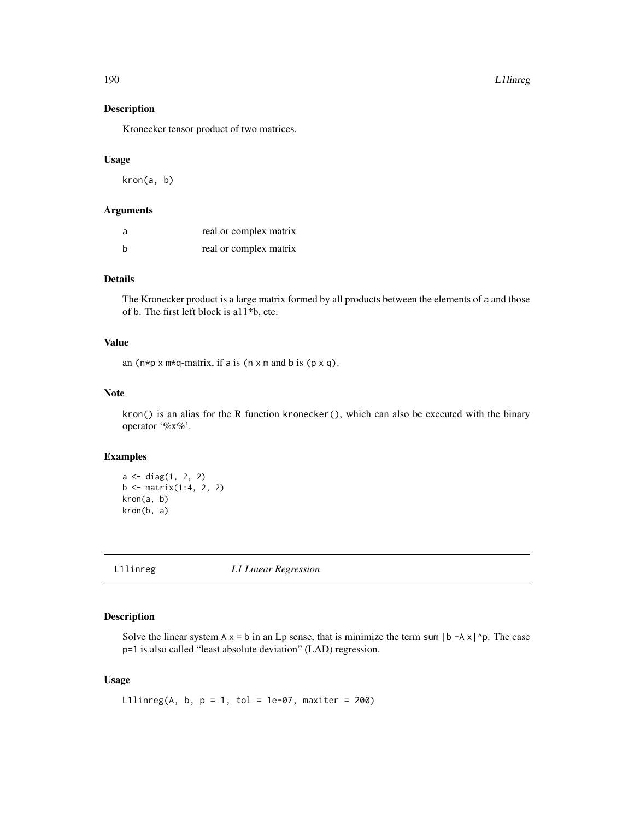Kronecker tensor product of two matrices.

# Usage

kron(a, b)

## Arguments

| a | real or complex matrix |
|---|------------------------|
| h | real or complex matrix |

# Details

The Kronecker product is a large matrix formed by all products between the elements of a and those of b. The first left block is a11\*b, etc.

## Value

an  $(n * p \times m * q$ -matrix, if a is  $(n \times m$  and b is  $(p \times q)$ .

## Note

kron() is an alias for the R function kronecker(), which can also be executed with the binary operator '%x%'.

## Examples

```
a <- diag(1, 2, 2)
b \le matrix(1:4, 2, 2)
kron(a, b)
kron(b, a)
```
L1linreg *L1 Linear Regression*

# Description

Solve the linear system  $A \times B$  in an Lp sense, that is minimize the term sum  $|b - A \times |D|$ . The case p=1 is also called "least absolute deviation" (LAD) regression.

#### Usage

L1linreg(A, b,  $p = 1$ , tol = 1e-07, maxiter = 200)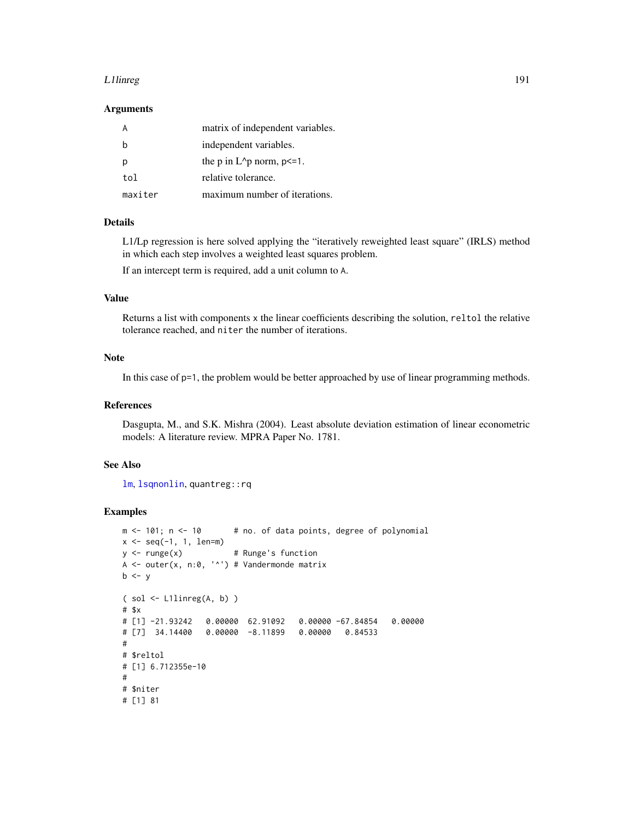#### L1linreg 2012 1912 1922 1922 1932 1932 1942 1952 1962 1972 1983 1984 1985 1986 1987 1988 1989 1989 1989 1989 1

#### Arguments

|         | matrix of independent variables.  |
|---------|-----------------------------------|
|         | independent variables.            |
|         | the p in $L^p$ norm, $p \leq 1$ . |
| tol     | relative tolerance.               |
| maxiter | maximum number of iterations.     |

## Details

L1/Lp regression is here solved applying the "iteratively reweighted least square" (IRLS) method in which each step involves a weighted least squares problem.

If an intercept term is required, add a unit column to A.

# Value

Returns a list with components x the linear coefficients describing the solution, reltol the relative tolerance reached, and niter the number of iterations.

# Note

In this case of p=1, the problem would be better approached by use of linear programming methods.

#### References

Dasgupta, M., and S.K. Mishra (2004). Least absolute deviation estimation of linear econometric models: A literature review. MPRA Paper No. 1781.

## See Also

[lm](#page-0-0), [lsqnonlin](#page-209-0), quantreg::rq

```
m < -101; n < -10 # no. of data points, degree of polynomial
x \le - seq(-1, 1, len=m)
y \le -\text{range}(x) # Runge's function
A <- outer(x, n:0, '^') # Vandermonde matrix
b \le y( sol <- L1linreg(A, b) )
# $x
# [1] -21.93242 0.00000 62.91092 0.00000 -67.84854 0.00000
# [7] 34.14400 0.00000 -8.11899 0.00000 0.84533
#
# $reltol
# [1] 6.712355e-10
#
# $niter
# [1] 81
```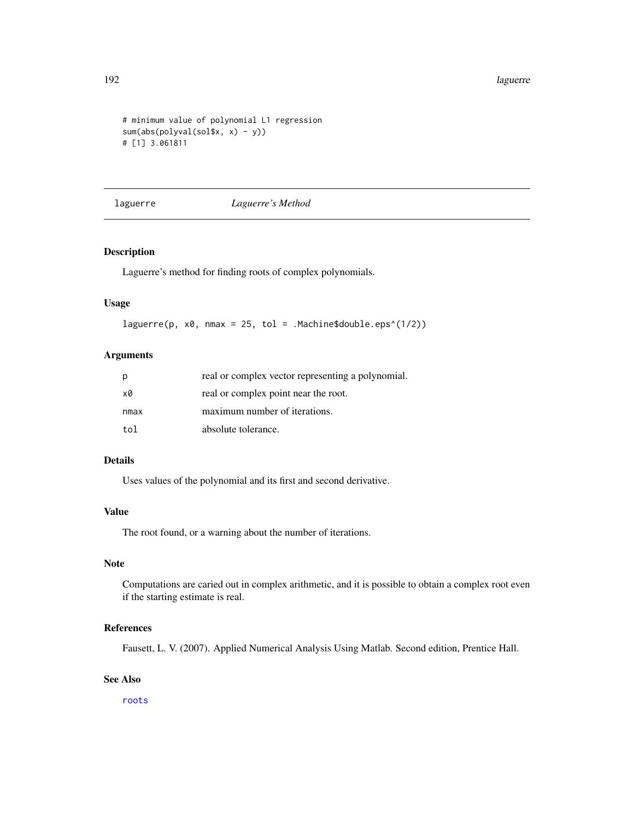```
# minimum value of polynomial L1 regression
sum(abs(polyval(sol$x, x) - y))
# [1] 3.061811
```
laguerre *Laguerre's Method*

# Description

Laguerre's method for finding roots of complex polynomials.

#### Usage

laguerre(p, x0, nmax = 25, tol = .Machine\$double.eps^(1/2))

# Arguments

| р    | real or complex vector representing a polynomial. |
|------|---------------------------------------------------|
| x0   | real or complex point near the root.              |
| nmax | maximum number of iterations.                     |
| tol  | absolute tolerance.                               |

# Details

Uses values of the polynomial and its first and second derivative.

# Value

The root found, or a warning about the number of iterations.

# Note

Computations are caried out in complex arithmetic, and it is possible to obtain a complex root even if the starting estimate is real.

#### References

Fausett, L. V. (2007). Applied Numerical Analysis Using Matlab. Second edition, Prentice Hall.

## See Also

[roots](#page-322-0)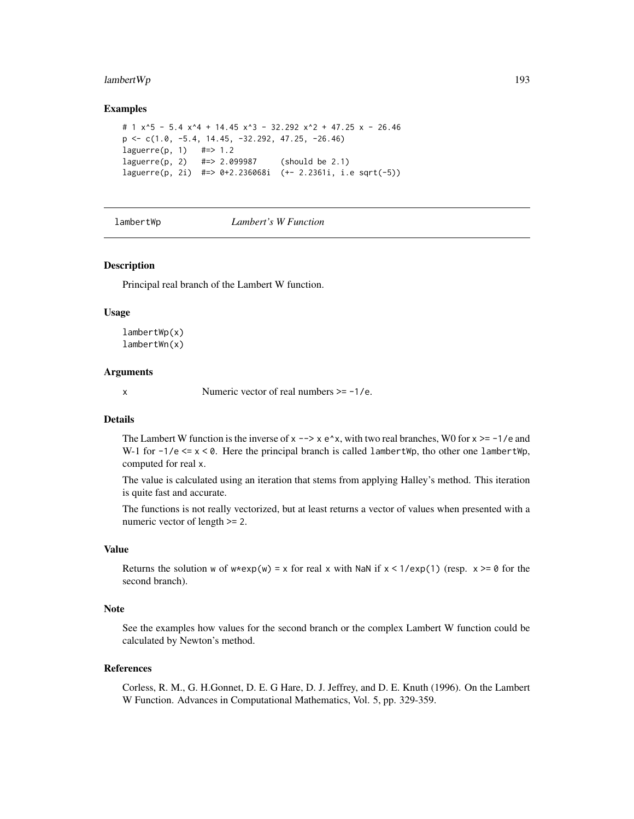# $l$ ambertWp 193

#### Examples

```
# 1 x^5 - 5.4 x^4 + 14.45 x^3 - 32.292 x^2 + 47.25 x - 26.46
p \leftarrow c(1.0, -5.4, 14.45, -32.292, 47.25, -26.46)laguerre(p, 1) #=> 1.2
laguerre(p, 2) #=> 2.099987 (should be 2.1)
laguerre(p, 2i) #=> 0+2.236068i (+- 2.2361i, i.e sqrt(-5))
```
lambertWp *Lambert's W Function*

#### Description

Principal real branch of the Lambert W function.

#### Usage

lambertWp(x) lambertWn(x)

#### Arguments

 $x$  Numeric vector of real numbers  $>= -1/e$ .

#### Details

The Lambert W function is the inverse of  $x \rightarrow x e^x x$ , with two real branches, W0 for  $x \ge -1/e$  and W-1 for  $-1/e \le x \le 0$ . Here the principal branch is called lambertWp, tho other one lambertWp, computed for real x.

The value is calculated using an iteration that stems from applying Halley's method. This iteration is quite fast and accurate.

The functions is not really vectorized, but at least returns a vector of values when presented with a numeric vector of length >= 2.

#### Value

Returns the solution w of  $w*exp(w) = x$  for real x with NaN if  $x < 1/exp(1)$  (resp.  $x \ge 0$  for the second branch).

## **Note**

See the examples how values for the second branch or the complex Lambert W function could be calculated by Newton's method.

#### References

Corless, R. M., G. H.Gonnet, D. E. G Hare, D. J. Jeffrey, and D. E. Knuth (1996). On the Lambert W Function. Advances in Computational Mathematics, Vol. 5, pp. 329-359.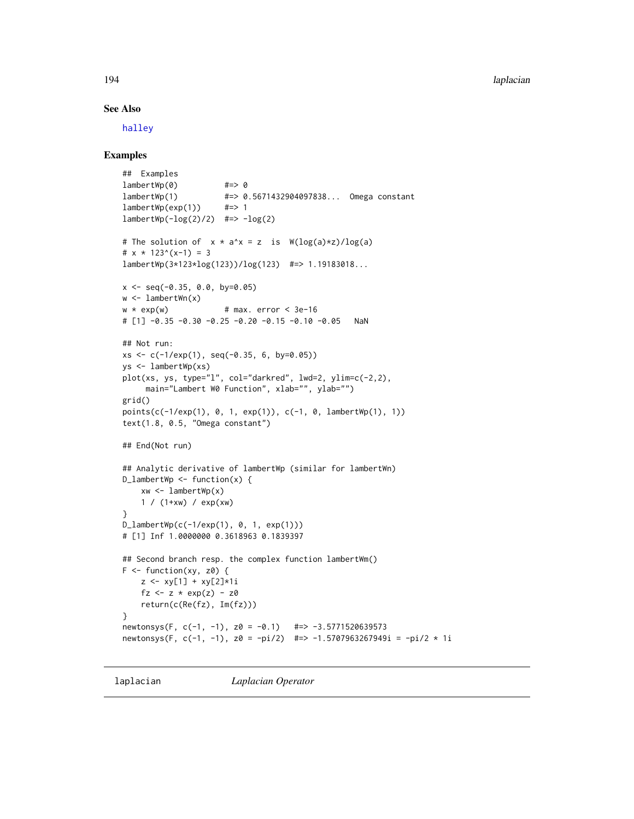## See Also

[halley](#page-150-0)

## Examples

```
## Examples
lambertWp(0) #=> 0
lambertWp(1) #=> 0.5671432904097838... Omega constant
lambertWp(exp(1)) #=> 1
lambertWp(-log(2)/2) #=> -log(2)# The solution of x * a^x = z is W(log(a)*z)/log(a)# x * 123^(x-1) = 3lambertWp(3*123*log(123))/log(123) #=> 1.19183018...
x \leq - seq(-0.35, 0.0, by=0.05)
w \leftarrow lambertWn(x)w * exp(w) # max. error < 3e-16
# [1] -0.35 -0.30 -0.25 -0.20 -0.15 -0.10 -0.05 NaN
## Not run:
xs < -c(-1/exp(1), seq(-0.35, 6, by=0.05))ys <- lambertWp(xs)
plot(xs, ys, type="l", col="darkred", lwd=2, ylim=c(-2,2),
     main="Lambert W0 Function", xlab="", ylab="")
grid()
points(c(-1/exp(1), 0, 1, exp(1)), c(-1, 0, lambertWp(1), 1))
text(1.8, 0.5, "Omega constant")
## End(Not run)
## Analytic derivative of lambertWp (similar for lambertWn)
D_lambertWp \leq function(x) {
    xw \leftarrow lambertWp(x)1 / (1+xw) / exp(xw)
}
D_lambertWp(c(-1/exp(1), 0, 1, exp(1)))
# [1] Inf 1.0000000 0.3618963 0.1839397
## Second branch resp. the complex function lambertWm()
F \leftarrow function(xy, z0) {
    z \leq x \sqrt{1} + xy[2] \cdot 1ifz \leq z * exp(z) - z0
    return(c(Re(fz), Im(fz)))
}
newtonsys(F, c(-1, -1), z0 = -0.1) #=> -3.5771520639573
newtonsys(F, c(-1, -1), z0 = -pi/2) #=> -1.5707963267949i = -pi/2 * 1i
```
laplacian *Laplacian Operator*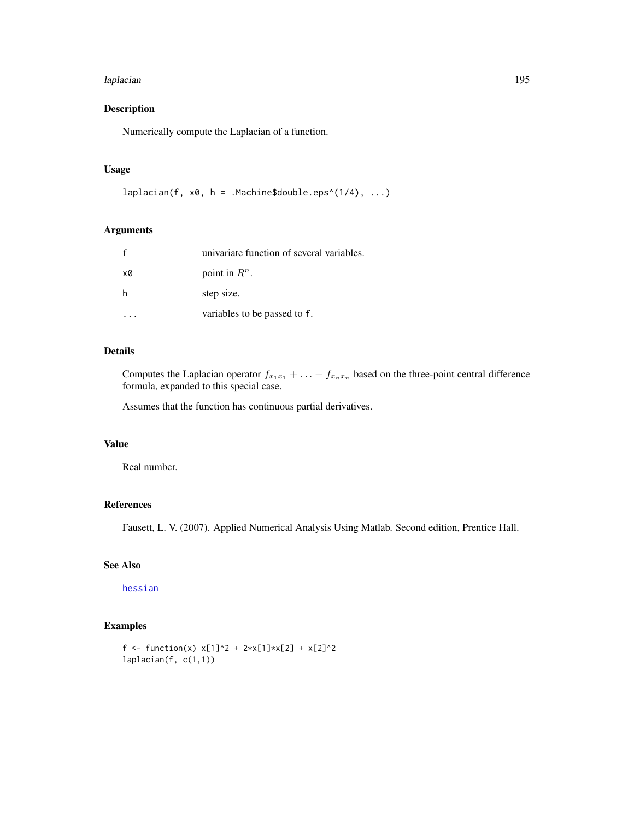#### laplacian 195

# Description

Numerically compute the Laplacian of a function.

# Usage

```
laplacian(f, x0, h = .Machine$double.eps^(1/4), ...)
```
# Arguments

|    | univariate function of several variables. |
|----|-------------------------------------------|
| x0 | point in $R^n$ .                          |
|    | step size.                                |
|    | variables to be passed to f.              |

# Details

Computes the Laplacian operator  $f_{x_1x_1} + \ldots + f_{x_nx_n}$  based on the three-point central difference formula, expanded to this special case.

Assumes that the function has continuous partial derivatives.

# Value

Real number.

## References

Fausett, L. V. (2007). Applied Numerical Analysis Using Matlab. Second edition, Prentice Hall.

## See Also

[hessian](#page-156-0)

```
f <- function(x) x[1]^2 + 2*x[1]*x[2] + x[2]^2
laplacian(f, c(1,1))
```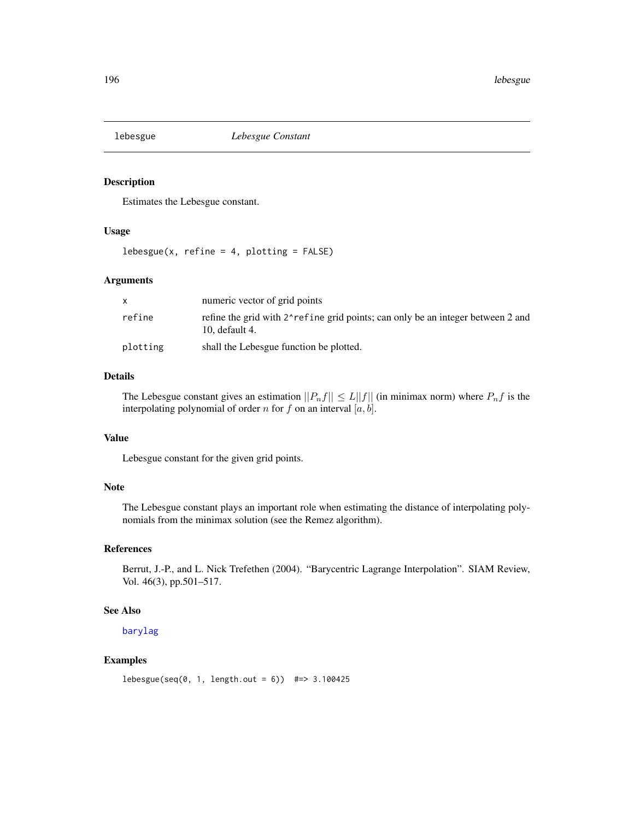Estimates the Lebesgue constant.

# Usage

 $lebesgue(x, refine = 4, plotting = FALSE)$ 

#### Arguments

|          | numeric vector of grid points                                                                     |
|----------|---------------------------------------------------------------------------------------------------|
| refine   | refine the grid with 2 refine grid points; can only be an integer between 2 and<br>10. default 4. |
| plotting | shall the Lebesgue function be plotted.                                                           |

## Details

The Lebesgue constant gives an estimation  $||P_nf|| \le L||f||$  (in minimax norm) where  $P_nf$  is the interpolating polynomial of order n for f on an interval  $[a, b]$ .

# Value

Lebesgue constant for the given grid points.

# Note

The Lebesgue constant plays an important role when estimating the distance of interpolating polynomials from the minimax solution (see the Remez algorithm).

#### References

Berrut, J.-P., and L. Nick Trefethen (2004). "Barycentric Lagrange Interpolation". SIAM Review, Vol. 46(3), pp.501–517.

#### See Also

[barylag](#page-28-0)

```
lebesgue(seq(0, 1, length.out = 6)) #=> 3.100425
```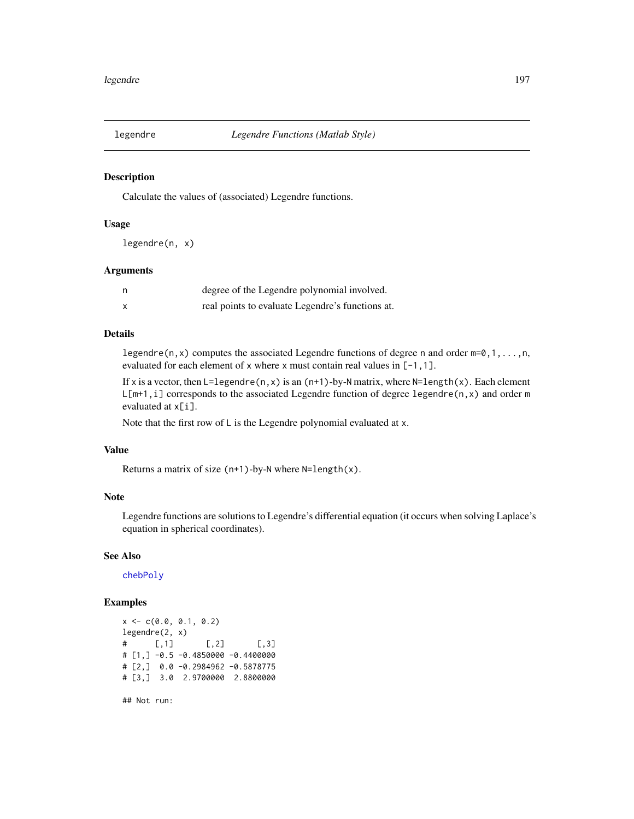Calculate the values of (associated) Legendre functions.

#### Usage

legendre(n, x)

#### Arguments

| degree of the Legendre polynomial involved.      |
|--------------------------------------------------|
| real points to evaluate Legendre's functions at. |

#### Details

legendre(n, x) computes the associated Legendre functions of degree n and order  $m=0,1,\ldots,n$ , evaluated for each element of x where x must contain real values in [-1,1].

If x is a vector, then  $L = legendre(n, x)$  is an  $(n+1)$ -by-N matrix, where  $N = length(x)$ . Each element  $L[m+1,i]$  corresponds to the associated Legendre function of degree legendre(n, x) and order m evaluated at x[i].

Note that the first row of L is the Legendre polynomial evaluated at x.

#### Value

Returns a matrix of size  $(n+1)$ -by-N where N=length $(x)$ .

## Note

Legendre functions are solutions to Legendre's differential equation (it occurs when solving Laplace's equation in spherical coordinates).

#### See Also

[chebPoly](#page-52-0)

# Examples

```
x \leq -c(0.0, 0.1, 0.2)legendre(2, x)
\sharp [,1] [,2] [,3]
# [1,] -0.5 -0.4850000 -0.4400000
# [2,] 0.0 -0.2984962 -0.5878775
# [3,] 3.0 2.9700000 2.8800000
```
## Not run: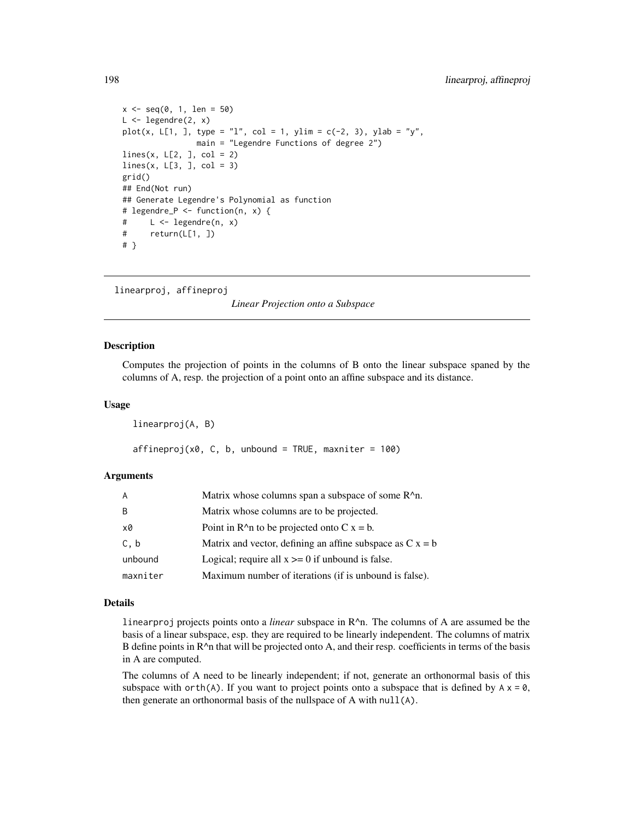```
x \le - seq(0, 1, len = 50)
L \leftarrow \text{Legendre}(2, x)plot(x, L[1, ], type = "l", col = 1, ylim = c(-2, 3), ylab = "y",
                main = "Legendre Functions of degree 2")
lines(x, L[2,], col = 2)lines(x, L[3, ], col = 3)grid()
## End(Not run)
## Generate Legendre's Polynomial as function
# legendre_P <- function(n, x) {
# L <- legendre(n, x)
# return(L[1, ])
# }
```
linearproj, affineproj

*Linear Projection onto a Subspace*

#### Description

Computes the projection of points in the columns of B onto the linear subspace spaned by the columns of A, resp. the projection of a point onto an affine subspace and its distance.

#### Usage

linearproj(A, B)

 $affineproj(x0, C, b, unbound = TRUE, maxniter = 100)$ 

#### Arguments

| A        | Matrix whose columns span a subspace of some R <sup>^</sup> n. |
|----------|----------------------------------------------------------------|
| B        | Matrix whose columns are to be projected.                      |
| x0       | Point in $R^{\wedge}$ to be projected onto C x = b.            |
| C, b     | Matrix and vector, defining an affine subspace as $C x = b$    |
| unbound  | Logical; require all $x \ge 0$ if unbound is false.            |
| maxniter | Maximum number of iterations (if is unbound is false).         |

#### Details

linearproj projects points onto a *linear* subspace in R^n. The columns of A are assumed be the basis of a linear subspace, esp. they are required to be linearly independent. The columns of matrix B define points in  $R^{\wedge}$ n that will be projected onto A, and their resp. coefficients in terms of the basis in A are computed.

The columns of A need to be linearly independent; if not, generate an orthonormal basis of this subspace with orth(A). If you want to project points onto a subspace that is defined by  $A \times Z = 0$ , then generate an orthonormal basis of the nullspace of A with null(A).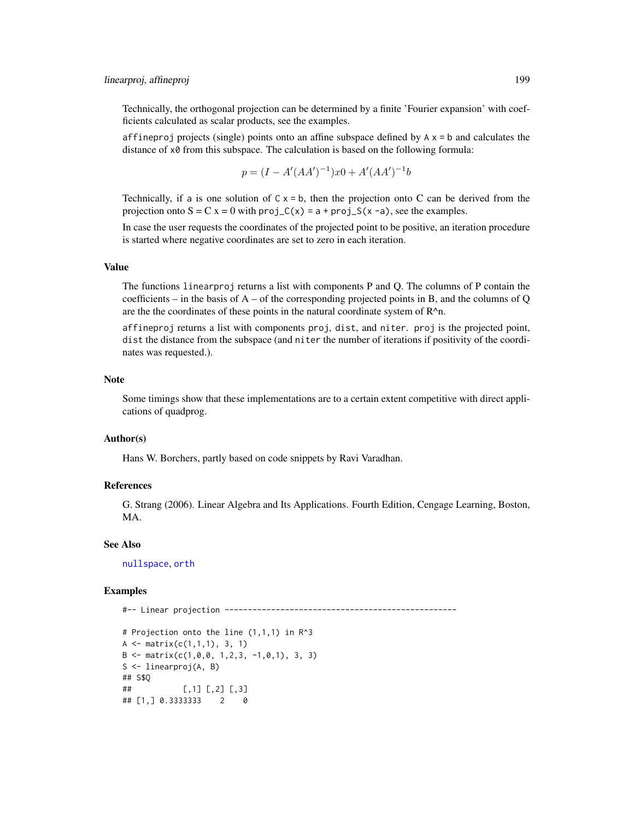# linearproj, affineproj 199

Technically, the orthogonal projection can be determined by a finite 'Fourier expansion' with coefficients calculated as scalar products, see the examples.

affineproj projects (single) points onto an affine subspace defined by  $A \times B$  b and calculates the distance of x0 from this subspace. The calculation is based on the following formula:

$$
p = (I - A'(AA')^{-1})x0 + A'(AA')^{-1}b
$$

Technically, if a is one solution of  $C \times = b$ , then the projection onto C can be derived from the projection onto  $S = C x = 0$  with  $proj_C(x) = a + proj_S(x - a)$ , see the examples.

In case the user requests the coordinates of the projected point to be positive, an iteration procedure is started where negative coordinates are set to zero in each iteration.

#### Value

The functions linearproj returns a list with components P and Q. The columns of P contain the coefficients – in the basis of  $A$  – of the corresponding projected points in B, and the columns of Q are the the coordinates of these points in the natural coordinate system of R^n.

affineproj returns a list with components proj, dist, and niter. proj is the projected point, dist the distance from the subspace (and niter the number of iterations if positivity of the coordinates was requested.).

#### Note

Some timings show that these implementations are to a certain extent competitive with direct applications of quadprog.

## Author(s)

Hans W. Borchers, partly based on code snippets by Ravi Varadhan.

#### References

G. Strang (2006). Linear Algebra and Its Applications. Fourth Edition, Cengage Learning, Boston, MA.

#### See Also

[nullspace](#page-243-0), [orth](#page-250-0)

```
#-- Linear projection --------------------------------------------------
```

```
# Projection onto the line (1,1,1) in R^3
A \leftarrow matrix(c(1,1,1), 3, 1)B \le - matrix(c(1,0,0, 1,2,3, -1,0,1), 3, 3)
S <- linearproj(A, B)
## S$Q
## [,1] [,2] [,3]
## [1,] 0.3333333 2 0
```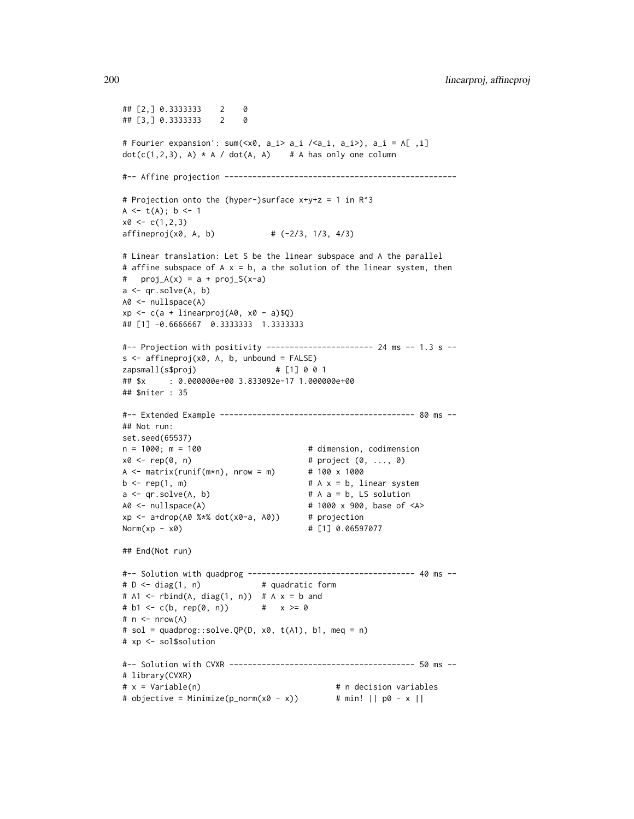```
## [2,] 0.3333333 2 0
## [3,] 0.3333333 2 0
# Fourier expansion': sum(<x0, a_i> a_i /<a_i, a_i>), a_i = A[ ,i]
dot(c(1,2,3), A) * A / dot(A, A) # A has only one column
#-- Affine projection --------------------------------------------------
# Projection onto the (hyper-)surface x+y+z = 1 in R^3
A \leftarrow t(A); b \leftarrow 1x0 \leftarrow c(1,2,3)affineproj(x0, A, b) # (-2/3, 1/3, 4/3)# Linear translation: Let S be the linear subspace and A the parallel
# affine subspace of A \times = b, a the solution of the linear system, then
# proj_A(x) = a + proj_S(x-a)a <- qr.solve(A, b)
A0 <- nullspace(A)
xp \leftarrow c(a + linearproj(A0, x0 - a)$Q)
## [1] -0.6666667 0.3333333 1.3333333
#-- Projection with positivity ----------------------- 24 ms -- 1.3 s --
s \leq affineproj(x0, A, b, unbound = FALSE)
zapsmall(s$proj) # [1] 0 0 1
## $x : 0.000000e+00 3.833092e-17 1.000000e+00
## $niter : 35
#-- Extended Example ------------------------------------------ 80 ms --
## Not run:
set.seed(65537)
n = 1000; m = 100 # dimension, codimension
x0 \leq rep(0, n) # project (0, ..., 0)A \le matrix(runif(m*n), nrow = m) # 100 x 1000
b \leq rep(1, m) # A x = b, linear system
a \leq qr \text{ .solve}(A, b) # A a = b, LS solution
A0 <- nullspace(A) # 1000 x 900, base of <A>
xp <- a+drop(A0 %*% dot(x0-a, A0)) # projection
Norm(xp - x0) # [1] 0.06597077
## End(Not run)
#-- Solution with quadprog ------------------------------------ 40 ms --
# D <- diag(1, n) # quadratic form
# A1 <- rbind(A, diag(1, n)) # A x = b and
# b1 \leq c(b, rep(0, n)) # x \geq 0# n \leq -nrow(A)# sol = quadprog::solve.QP(D, x0, t(A1), b1, meq = n)
# xp <- sol$solution
#-- Solution with CVXR ---------------------------------------- 50 ms --
# library(CVXR)
# x = Variable(n) # n decision variables
# objective = Minimize(p_norm(x0 - x)) # min! || p0 - x ||
```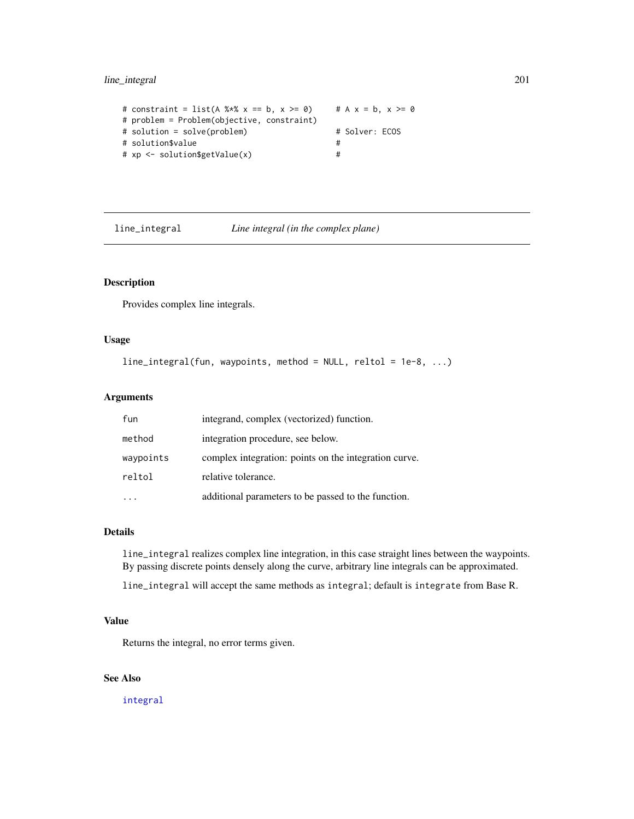# line\_integral 201

```
# constraint = list(A %*% x == b, x >= 0) # A x = b, x >= 0# problem = Problem(objective, constraint)
# solution = solve(problem) # Solver: ECOS
# solution$value #
# xp <- solution$getValue(x) #
```
line\_integral *Line integral (in the complex plane)*

# Description

Provides complex line integrals.

#### Usage

```
line_integral(fun, waypoints, method = NULL, reltol = 1e-8, ...)
```
# Arguments

| fun       | integrand, complex (vectorized) function.             |
|-----------|-------------------------------------------------------|
| method    | integration procedure, see below.                     |
| waypoints | complex integration: points on the integration curve. |
| reltol    | relative tolerance.                                   |
|           | additional parameters to be passed to the function.   |

# Details

line\_integral realizes complex line integration, in this case straight lines between the waypoints. By passing discrete points densely along the curve, arbitrary line integrals can be approximated.

line\_integral will accept the same methods as integral; default is integrate from Base R.

# Value

Returns the integral, no error terms given.

# See Also

[integral](#page-171-0)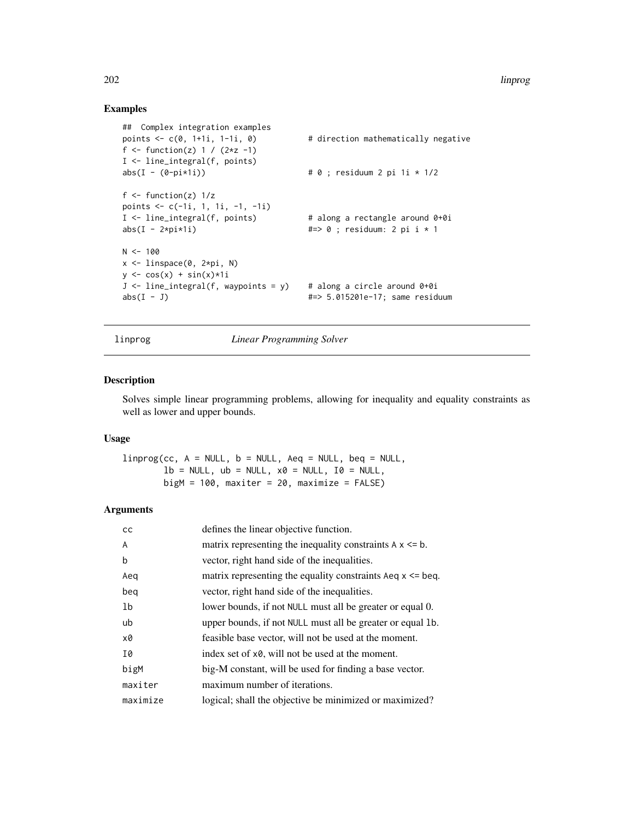# Examples

```
## Complex integration examples
points \leq c(0, 1+1i, 1-1i, 0) # direction mathematically negative
f <- function(z) 1 / (2*z -1)
I <- line_integral(f, points)
abs(I - (0-pi * 1i)) # 0; residuum 2 pi 1i * 1/2
f \leftarrow function(z) 1/zpoints \leq c(-1i, 1, 1i, -1, -1i)I <- line_integral(f, points) # along a rectangle around 0+0i
abs(I - 2*pi*1i) #=> 0 ; residuum: 2 pi i * 1
N < - 100x <- linspace(0, 2*pi, N)
y \leftarrow \cos(x) + \sin(x) \times 1iJ \leftarrow line_integral(f, waypoints = y) # along a circle around 0+0i
abs(I - J) #=> 5.015201e-17; same residuum
```
linprog *Linear Programming Solver*

## Description

Solves simple linear programming problems, allowing for inequality and equality constraints as well as lower and upper bounds.

#### Usage

 $linprog(cc, A = NULL, b = NULL, Aeq = NULL, beq = NULL,$  $lb = NULL, ub = NULL, x0 = NULL, I0 = NULL,$  $bigM = 100$ , maxiter = 20, maximize = FALSE)

#### Arguments

| <sub>CC</sub>  | defines the linear objective function.                             |
|----------------|--------------------------------------------------------------------|
| $\overline{A}$ | matrix representing the inequality constraints $A \times \leq b$ . |
| b              | vector, right hand side of the inequalities.                       |
| Aeg            | matrix representing the equality constraints Aeq $x \leq$ beq.     |
| beg            | vector, right hand side of the inequalities.                       |
| 1 <sub>b</sub> | lower bounds, if not NULL must all be greater or equal 0.          |
| ub             | upper bounds, if not NULL must all be greater or equal 1b.         |
| x0             | feasible base vector, will not be used at the moment.              |
| I0             | index set of x0, will not be used at the moment.                   |
| bigM           | big-M constant, will be used for finding a base vector.            |
| maxiter        | maximum number of iterations.                                      |
| maximize       | logical; shall the objective be minimized or maximized?            |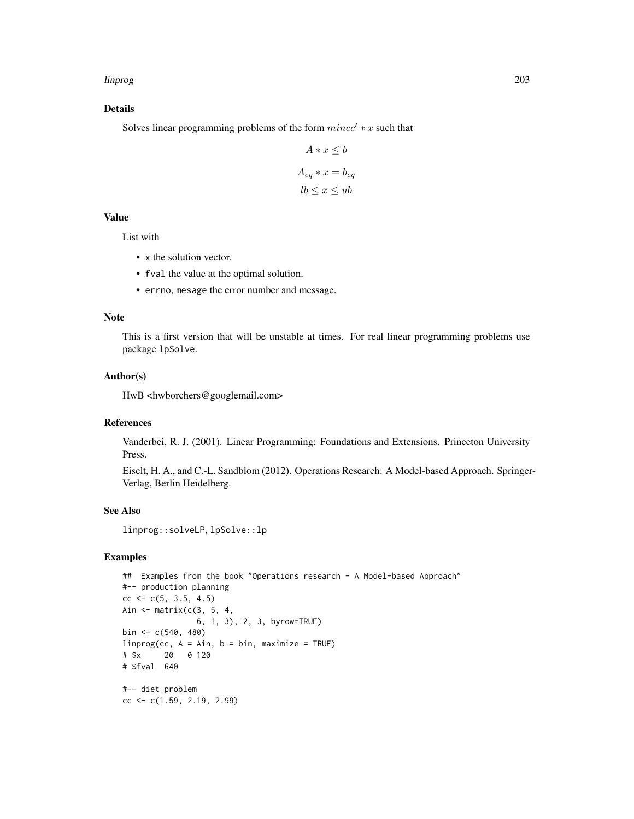#### linprog 203

## Details

Solves linear programming problems of the form  $mincc' * x$  such that

$$
A * x \le b
$$

$$
A_{eq} * x = b_{eq}
$$

$$
lb \le x \le ub
$$

# Value

List with

- x the solution vector.
- fval the value at the optimal solution.
- errno, mesage the error number and message.

#### Note

This is a first version that will be unstable at times. For real linear programming problems use package lpSolve.

#### Author(s)

HwB <hwborchers@googlemail.com>

#### References

Vanderbei, R. J. (2001). Linear Programming: Foundations and Extensions. Princeton University Press.

Eiselt, H. A., and C.-L. Sandblom (2012). Operations Research: A Model-based Approach. Springer-Verlag, Berlin Heidelberg.

# See Also

linprog::solveLP, lpSolve::lp

```
## Examples from the book "Operations research - A Model-based Approach"
#-- production planning
cc \leq -c(5, 3.5, 4.5)Ain <- matrix(c(3, 5, 4,
               6, 1, 3), 2, 3, byrow=TRUE)
bin <- c(540, 480)
linprog(cc, A = Ain, b = bin, maximize = TRUE)# $x 20 0 120
# $fval 640
#-- diet problem
cc < -c(1.59, 2.19, 2.99)
```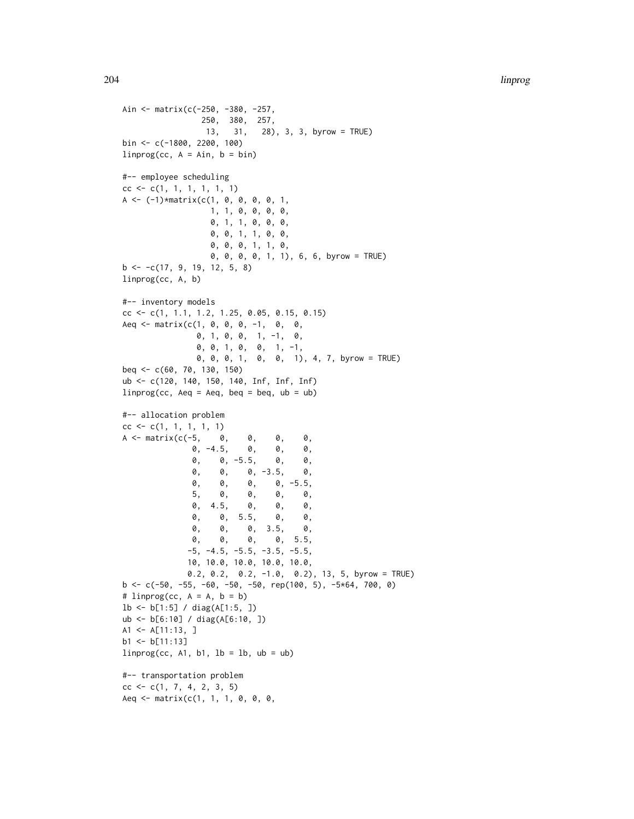```
Ain <- matrix(c(-250, -380, -257,
                250, 380, 257,
                13, 31, 28), 3, 3, byrow = TRUE)
bin <- c(-1800, 2200, 100)
liprog(cc, A = Ain, b = bin)#-- employee scheduling
cc < -c(1, 1, 1, 1, 1, 1, 1)A \leftarrow (-1)*matrix(c(1, 0, 0, 0, 0, 1,
                 1, 1, 0, 0, 0, 0,
                  0, 1, 1, 0, 0, 0,
                 0, 0, 1, 1, 0, 0,
                  0, 0, 0, 1, 1, 0,
                  0, 0, 0, 0, 1, 1), 6, 6, byrow = TRUE)
b \leftarrow -c(17, 9, 19, 12, 5, 8)linprog(cc, A, b)
#-- inventory models
cc <- c(1, 1.1, 1.2, 1.25, 0.05, 0.15, 0.15)
Aeq \leq matrix(c(1, 0, 0, 0, -1, 0, 0,
               0, 1, 0, 0, 1, -1, 0,
               0, 0, 1, 0, 0, 1, -1,
               0, 0, 0, 1, 0, 0, 1), 4, 7, byrow = TRUE)
beq <- c(60, 70, 130, 150)
ub <- c(120, 140, 150, 140, Inf, Inf, Inf)
liprog(cc, Aeq = Aeq, beq = beq, ub = ub)#-- allocation problem
cc < -c(1, 1, 1, 1, 1)A <- matrix(c(-5, 0, 0, 0, 0,
              0, -4.5, 0, 0, 0,
              0, 0, -5.5, 0, 0,
              0, 0, 0, -3.5, 0,
              0, 0, 0, 0, -5.5,
              5, 0, 0, 0, 0,
              0, 4.5, 0, 0, 0,
              0, 0, 5.5, 0, 0,
              0, 0, 0, 3.5, 0,
              0, 0, 0, 0, 5.5,
             -5, -4.5, -5.5, -3.5, -5.5,10, 10.0, 10.0, 10.0, 10.0,
             0.2, 0.2, 0.2, -1.0, 0.2), 13, 5, byrow = TRUE)
b \leq c(-50, -55, -60, -50, -50, rep(100, 5), -5*64, 700, 0)# linprog(cc, A = A, b = b)
lb <- b[1:5] / diag(A[1:5, ])
ub <- b[6:10] / diag(A[6:10, ])
A1 <- A[11:13, ]
b1 < -b[11:13]linprog(cc, A1, b1, lb = lb, ub = ub)#-- transportation problem
cc \leq -c(1, 7, 4, 2, 3, 5)Aeq \leq matrix(c(1, 1, 1, 0, 0, 0,
```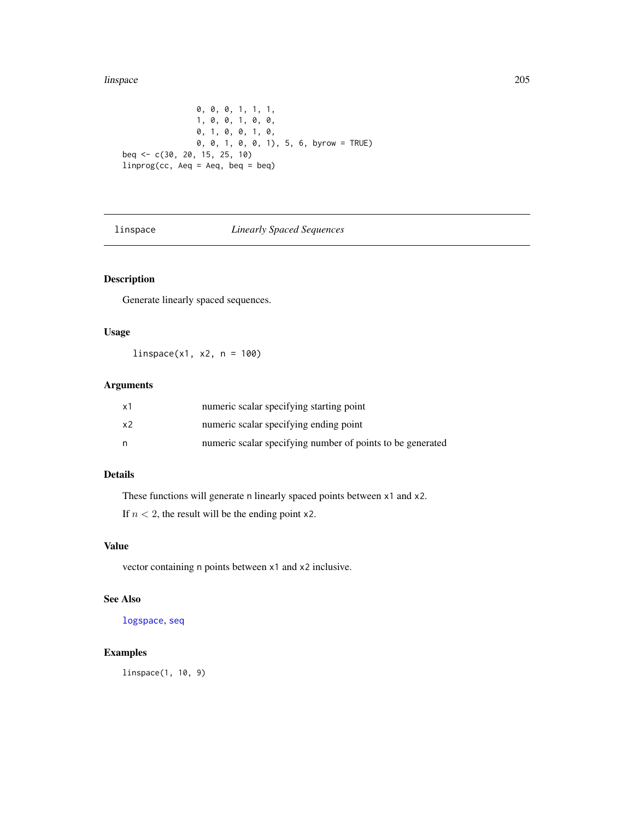#### linspace 205

0, 0, 0, 1, 1, 1, 1, 0, 0, 1, 0, 0, 0, 1, 0, 0, 1, 0, 0, 0, 1, 0, 0, 1), 5, 6, byrow = TRUE) beq <- c(30, 20, 15, 25, 10) linprog(cc, Aeq = Aeq, beq = beq)

# linspace *Linearly Spaced Sequences*

# Description

Generate linearly spaced sequences.

## Usage

 $linspace(x1, x2, n = 100)$ 

# Arguments

| х1 | numeric scalar specifying starting point                   |
|----|------------------------------------------------------------|
| х2 | numeric scalar specifying ending point                     |
| n  | numeric scalar specifying number of points to be generated |

# Details

These functions will generate n linearly spaced points between x1 and x2.

If  $n < 2$ , the result will be the ending point x2.

# Value

vector containing n points between x1 and x2 inclusive.

# See Also

[logspace](#page-205-0), [seq](#page-0-0)

# Examples

linspace(1, 10, 9)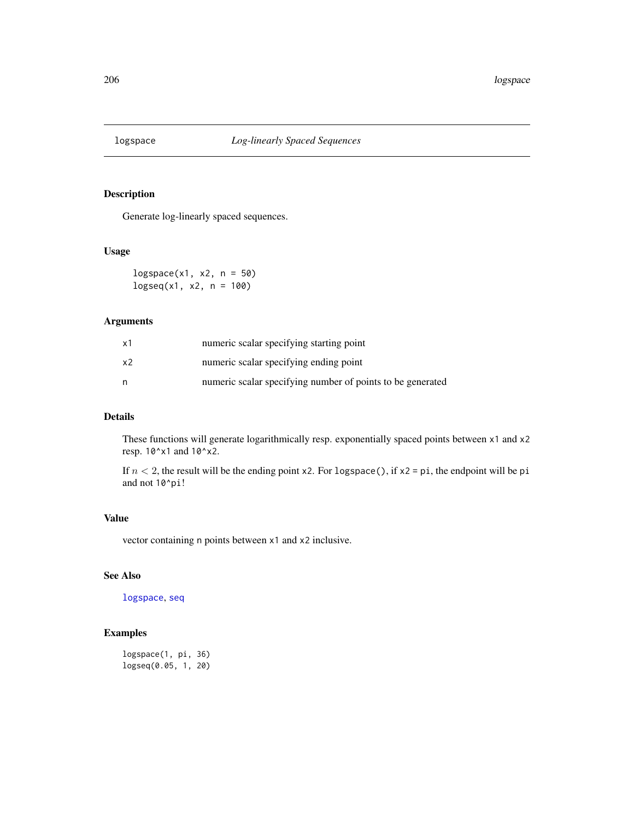<span id="page-205-0"></span>

Generate log-linearly spaced sequences.

## Usage

 $logspace(x1, x2, n = 50)$  $logseq(x1, x2, n = 100)$ 

## Arguments

| x1 | numeric scalar specifying starting point                   |
|----|------------------------------------------------------------|
| x2 | numeric scalar specifying ending point                     |
| n  | numeric scalar specifying number of points to be generated |

# Details

These functions will generate logarithmically resp. exponentially spaced points between x1 and x2 resp. 10^x1 and 10^x2.

If  $n < 2$ , the result will be the ending point x2. For logspace(), if x2 = pi, the endpoint will be pi and not 10^pi!

## Value

vector containing n points between x1 and x2 inclusive.

# See Also

[logspace](#page-205-0), [seq](#page-0-0)

# Examples

logspace(1, pi, 36) logseq(0.05, 1, 20)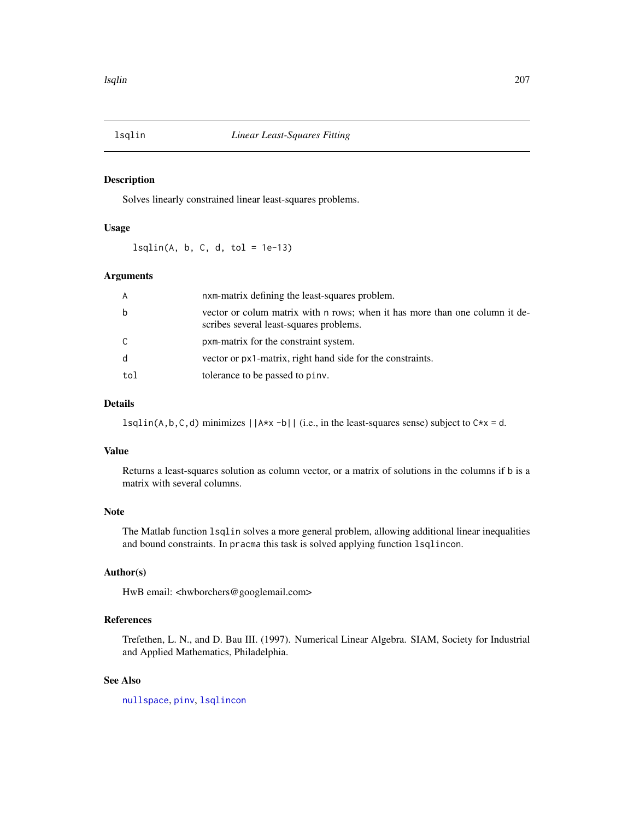<span id="page-206-0"></span>

Solves linearly constrained linear least-squares problems.

# Usage

 $lsqlin(A, b, C, d, tol = 1e-13)$ 

#### Arguments

| A   | nxm-matrix defining the least-squares problem.                                                                         |
|-----|------------------------------------------------------------------------------------------------------------------------|
| b   | vector or colum matrix with n rows; when it has more than one column it de-<br>scribes several least-squares problems. |
| C   | pxm-matrix for the constraint system.                                                                                  |
| d   | vector or $px1$ -matrix, right hand side for the constraints.                                                          |
| tol | tolerance to be passed to piny.                                                                                        |

## Details

 $lsqlin(A,b,C,d)$  minimizes  $||A*x-b||$  (i.e., in the least-squares sense) subject to  $Cxx = d$ .

## Value

Returns a least-squares solution as column vector, or a matrix of solutions in the columns if b is a matrix with several columns.

# Note

The Matlab function lsqlin solves a more general problem, allowing additional linear inequalities and bound constraints. In pracma this task is solved applying function lsqlincon.

# Author(s)

HwB email: <hwborchers@googlemail.com>

# References

Trefethen, L. N., and D. Bau III. (1997). Numerical Linear Algebra. SIAM, Society for Industrial and Applied Mathematics, Philadelphia.

# See Also

[nullspace](#page-243-0), [pinv](#page-258-0), [lsqlincon](#page-208-0)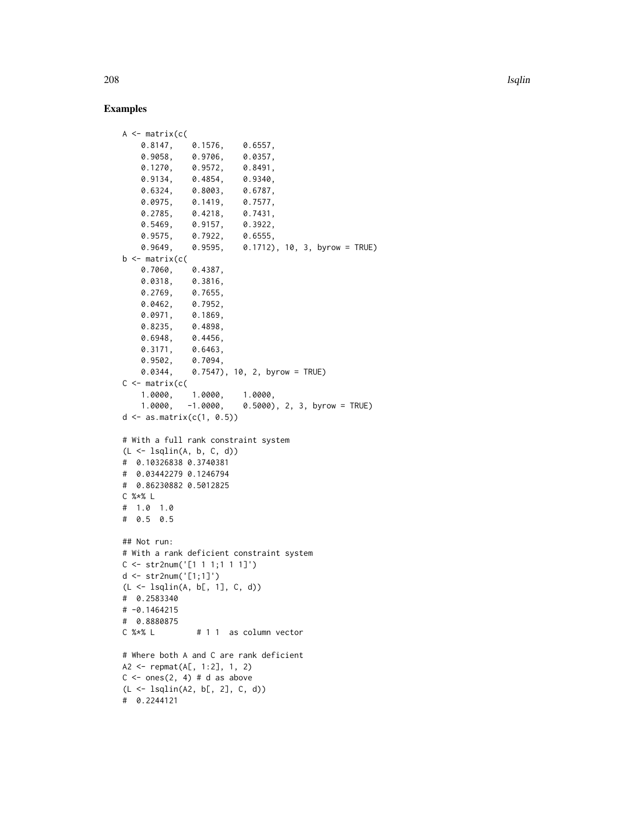208 lsqlin

```
A <- matrix(c(
   0.8147, 0.1576, 0.6557,
   0.9058, 0.9706, 0.0357,
   0.1270, 0.9572, 0.8491,
   0.9134, 0.4854, 0.9340,
   0.6324, 0.8003, 0.6787,
   0.0975, 0.1419, 0.7577,
   0.2785, 0.4218, 0.7431,
   0.5469, 0.9157, 0.3922,
   0.9575, 0.7922, 0.6555,
   0.9649, 0.9595, 0.1712), 10, 3, byrow = TRUE)
b \leftarrow matrix(c(
   0.7060, 0.4387,
   0.0318, 0.3816,
   0.2769, 0.7655,
   0.0462, 0.7952,
   0.0971, 0.1869,
   0.8235, 0.4898,
   0.6948, 0.4456,
   0.3171, 0.6463,
   0.9502, 0.7094,
   0.0344, 0.7547), 10, 2, byrow = TRUE)
C \leftarrow \text{matrix}(c)1.0000, 1.0000, 1.0000,
   1.0000, -1.0000, 0.5000), 2, 3, byrow = TRUE)
d \leq -as_matrix(c(1, 0.5))# With a full rank constraint system
(L <- lsqlin(A, b, C, d))
# 0.10326838 0.3740381
# 0.03442279 0.1246794
# 0.86230882 0.5012825
C %*% L
# 1.0 1.0
# 0.5 0.5
## Not run:
# With a rank deficient constraint system
C \le - str2num('[1 1 1;1 1 1]')
d <- str2num('[1;1]')
(L <- lsqlin(A, b[, 1], C, d))
# 0.2583340
# -0.1464215
# 0.8880875
C %*% L # 1 1 as column vector
# Where both A and C are rank deficient
A2 <- repmat(A[, 1:2], 1, 2)
C \le - ones(2, 4) # d as above
(L <- lsqlin(A2, b[, 2], C, d))
# 0.2244121
```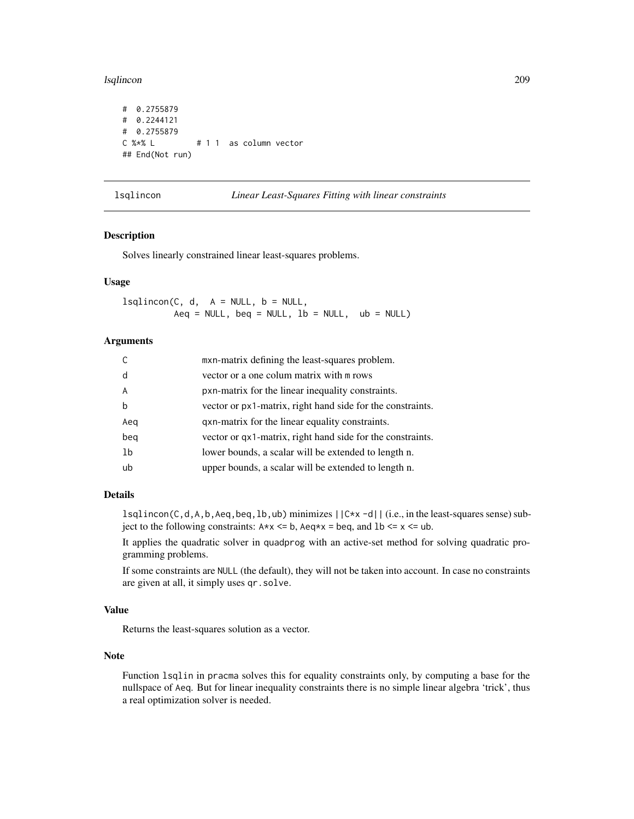#### lsqlincon 209

```
# 0.2755879
# 0.2244121
# 0.2755879
C %*% L # 1 1 as column vector
## End(Not run)
```
<span id="page-208-0"></span>lsqlincon *Linear Least-Squares Fitting with linear constraints*

#### Description

Solves linearly constrained linear least-squares problems.

#### Usage

 $lsplineon(C, d, A = NULL, b = NULL,$ Aeq = NULL, beq = NULL,  $lb = NULL$ ,  $ub = NULL$ 

## Arguments

|                | mxn-matrix defining the least-squares problem.                |
|----------------|---------------------------------------------------------------|
| d              | vector or a one colum matrix with m rows                      |
| $\overline{A}$ | pxn-matrix for the linear inequality constraints.             |
| b              | vector or $px1$ -matrix, right hand side for the constraints. |
| Aeg            | qxn-matrix for the linear equality constraints.               |
| beg            | vector or $qx1$ -matrix, right hand side for the constraints. |
| 1b             | lower bounds, a scalar will be extended to length n.          |
| ub             | upper bounds, a scalar will be extended to length n.          |

#### Details

 $lsplineon(C,d,A,b,Aeq,beq,lb,ub)$  minimizes  $||Cx-x-d||$  (i.e., in the least-squares sense) subject to the following constraints:  $A \times x \leq b$ ,  $A \cdot e \times x = b \cdot e$ , and  $B \leq x \leq u$ .

It applies the quadratic solver in quadprog with an active-set method for solving quadratic programming problems.

If some constraints are NULL (the default), they will not be taken into account. In case no constraints are given at all, it simply uses qr.solve.

## Value

Returns the least-squares solution as a vector.

## Note

Function lsqlin in pracma solves this for equality constraints only, by computing a base for the nullspace of Aeq. But for linear inequality constraints there is no simple linear algebra 'trick', thus a real optimization solver is needed.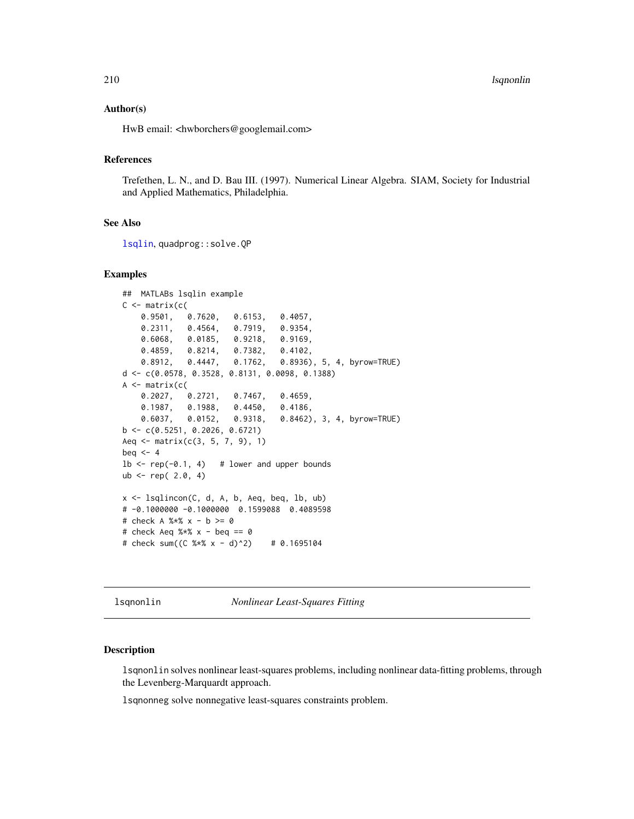210 lsqnonlin

#### Author(s)

HwB email: <hwborchers@googlemail.com>

# References

Trefethen, L. N., and D. Bau III. (1997). Numerical Linear Algebra. SIAM, Society for Industrial and Applied Mathematics, Philadelphia.

#### See Also

[lsqlin](#page-206-0), quadprog::solve.QP

#### Examples

```
## MATLABs lsqlin example
C \leftarrow matrix(c)0.9501, 0.7620, 0.6153, 0.4057,
   0.2311, 0.4564, 0.7919, 0.9354,
   0.6068, 0.0185, 0.9218, 0.9169,
   0.4859, 0.8214, 0.7382, 0.4102,
   0.8912, 0.4447, 0.1762, 0.8936), 5, 4, byrow=TRUE)
d <- c(0.0578, 0.3528, 0.8131, 0.0098, 0.1388)
A <- matrix(c(
   0.2027, 0.2721, 0.7467, 0.4659,
   0.1987, 0.1988, 0.4450, 0.4186,
   0.6037, 0.0152, 0.9318, 0.8462), 3, 4, byrow=TRUE)
b \leq -c(0.5251, 0.2026, 0.6721)Aeq \leq matrix(c(3, 5, 7, 9), 1)
beq <-41b \leq -\text{rep}(-0.1, 4) # lower and upper bounds
ub \le rep( 2.0, 4)
x <- lsqlincon(C, d, A, b, Aeq, beq, lb, ub)
# -0.1000000 -0.1000000 0.1599088 0.4089598
# check A %*% x - b >= 0
# check Aeq %x - beq == 0# check sum((C %*% x - d)^2) # 0.1695104
```
<span id="page-209-0"></span>lsqnonlin *Nonlinear Least-Squares Fitting*

#### **Description**

lsqnonlin solves nonlinear least-squares problems, including nonlinear data-fitting problems, through the Levenberg-Marquardt approach.

lsqnonneg solve nonnegative least-squares constraints problem.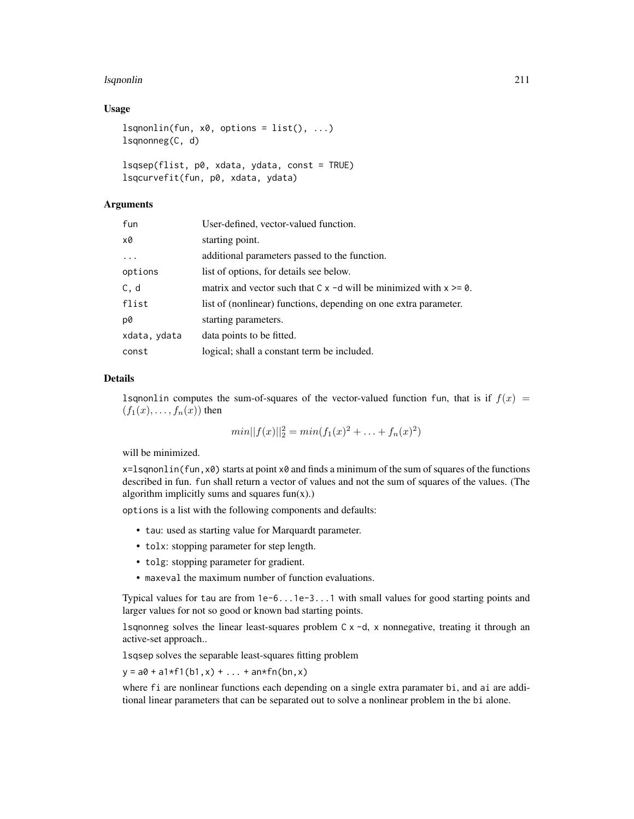#### lsqnonlin 211

#### Usage

```
lsqnonlin(fun, x0, options = list(), ...)lsqnonneg(C, d)
lsqsep(flist, p0, xdata, ydata, const = TRUE)
```

```
lsqcurvefit(fun, p0, xdata, ydata)
```
## Arguments

| fun          | User-defined, vector-valued function.                                        |
|--------------|------------------------------------------------------------------------------|
| x0           | starting point.                                                              |
|              | additional parameters passed to the function.                                |
| options      | list of options, for details see below.                                      |
| C, d         | matrix and vector such that $C \times -d$ will be minimized with $x \ge 0$ . |
| flist        | list of (nonlinear) functions, depending on one extra parameter.             |
| p0           | starting parameters.                                                         |
| xdata, ydata | data points to be fitted.                                                    |
| const        | logical; shall a constant term be included.                                  |

#### Details

1 sqnonlin computes the sum-of-squares of the vector-valued function fun, that is if  $f(x) =$  $(f_1(x), \ldots, f_n(x))$  then

$$
min||f(x)||_2^2 = min(f_1(x)^2 + \ldots + f_n(x)^2)
$$

will be minimized.

 $x=1$  sqnonlin(fun, x $\theta$ ) starts at point x $\theta$  and finds a minimum of the sum of squares of the functions described in fun. fun shall return a vector of values and not the sum of squares of the values. (The algorithm implicitly sums and squares  $fun(x)$ .)

options is a list with the following components and defaults:

- tau: used as starting value for Marquardt parameter.
- tolx: stopping parameter for step length.
- tolg: stopping parameter for gradient.
- maxeval the maximum number of function evaluations.

Typical values for tau are from 1e-6...1e-3...1 with small values for good starting points and larger values for not so good or known bad starting points.

lsqnonneg solves the linear least-squares problem C x -d, x nonnegative, treating it through an active-set approach..

lsqsep solves the separable least-squares fitting problem

 $y = a0 + a1*f1(b1, x) + ... + an*fn(bn, x)$ 

where fi are nonlinear functions each depending on a single extra paramater bi, and ai are additional linear parameters that can be separated out to solve a nonlinear problem in the bi alone.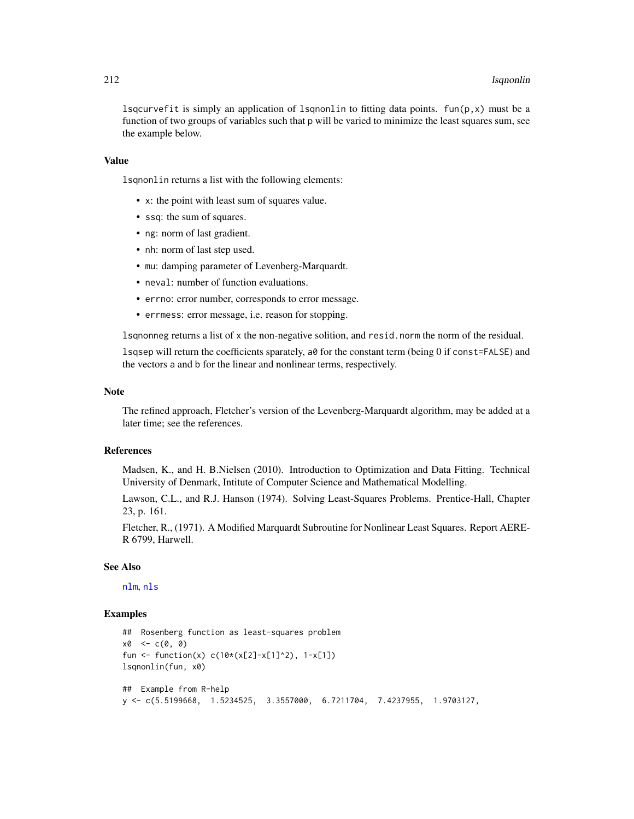lsqcurvefit is simply an application of lsqnonlin to fitting data points.  $fun(p, x)$  must be a function of two groups of variables such that p will be varied to minimize the least squares sum, see the example below.

#### Value

lsqnonlin returns a list with the following elements:

- x: the point with least sum of squares value.
- ssq: the sum of squares.
- ng: norm of last gradient.
- nh: norm of last step used.
- mu: damping parameter of Levenberg-Marquardt.
- neval: number of function evaluations.
- errno: error number, corresponds to error message.
- errmess: error message, i.e. reason for stopping.

lsqnonneg returns a list of x the non-negative solition, and resid.norm the norm of the residual.

lsqsep will return the coefficients sparately, a0 for the constant term (being 0 if const=FALSE) and the vectors a and b for the linear and nonlinear terms, respectively.

# Note

The refined approach, Fletcher's version of the Levenberg-Marquardt algorithm, may be added at a later time; see the references.

#### References

Madsen, K., and H. B.Nielsen (2010). Introduction to Optimization and Data Fitting. Technical University of Denmark, Intitute of Computer Science and Mathematical Modelling.

Lawson, C.L., and R.J. Hanson (1974). Solving Least-Squares Problems. Prentice-Hall, Chapter 23, p. 161.

Fletcher, R., (1971). A Modified Marquardt Subroutine for Nonlinear Least Squares. Report AERE-R 6799, Harwell.

#### See Also

[nlm](#page-0-0), [nls](#page-0-0)

```
## Rosenberg function as least-squares problem
x0 \leq -c(0, 0)fun <- function(x) c(10*(x[2]-x[1]^2)), 1-x[1])
lsqnonlin(fun, x0)
## Example from R-help
y <- c(5.5199668, 1.5234525, 3.3557000, 6.7211704, 7.4237955, 1.9703127,
```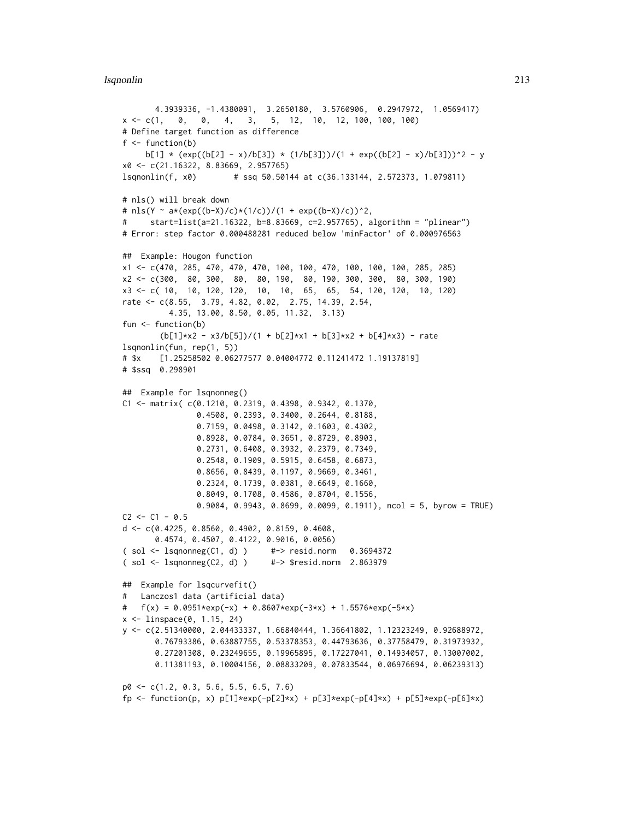#### lsqnonlin 213

```
4.3939336, -1.4380091, 3.2650180, 3.5760906, 0.2947972, 1.0569417)
x \leq -c(1, 0, 4, 3, 5, 12, 10, 12, 100, 100)# Define target function as difference
f \leftarrow function(b)b[1] * (exp((b[2] - x)/b[3]) * (1/b[3]))/(1 + exp((b[2] - x)/b[3]))^2 - y
x0 <- c(21.16322, 8.83669, 2.957765)
lsqnonlin(f, x0) # ssq 50.50144 at c(36.133144, 2.572373, 1.079811)
# nls() will break down
# nls(Y ~ a*(exp((b-X)/c)*(1/c))/(1 + exp((b-X)/c))^2,
# start=list(a=21.16322, b=8.83669, c=2.957765), algorithm = "plinear")
# Error: step factor 0.000488281 reduced below 'minFactor' of 0.000976563
## Example: Hougon function
x1 <- c(470, 285, 470, 470, 470, 100, 100, 470, 100, 100, 100, 285, 285)
x2 <- c(300, 80, 300, 80, 80, 190, 80, 190, 300, 300, 80, 300, 190)
x3 <- c( 10, 10, 120, 120, 10, 10, 65, 65, 54, 120, 120, 10, 120)
rate <- c(8.55, 3.79, 4.82, 0.02, 2.75, 14.39, 2.54,
          4.35, 13.00, 8.50, 0.05, 11.32, 3.13)
fun <- function(b)
        (b[1]*x2 - x3/b[5])/(1 + b[2]*x1 + b[3]*x2 + b[4]*x3) - ratelsqnonlin(fun, rep(1, 5))
# $x [1.25258502 0.06277577 0.04004772 0.11241472 1.19137819]
# $ssq 0.298901
## Example for lsqnonneg()
C1 <- matrix( c(0.1210, 0.2319, 0.4398, 0.9342, 0.1370,
               0.4508, 0.2393, 0.3400, 0.2644, 0.8188,
               0.7159, 0.0498, 0.3142, 0.1603, 0.4302,
               0.8928, 0.0784, 0.3651, 0.8729, 0.8903,
               0.2731, 0.6408, 0.3932, 0.2379, 0.7349,
               0.2548, 0.1909, 0.5915, 0.6458, 0.6873,
               0.8656, 0.8439, 0.1197, 0.9669, 0.3461,
               0.2324, 0.1739, 0.0381, 0.6649, 0.1660,
               0.8049, 0.1708, 0.4586, 0.8704, 0.1556,
               0.9084, 0.9943, 0.8699, 0.0099, 0.1911), ncol = 5, byrow = TRUE)
C2 \le -C1 - 0.5d <- c(0.4225, 0.8560, 0.4902, 0.8159, 0.4608,
      0.4574, 0.4507, 0.4122, 0.9016, 0.0056)
( sol <- lsqnonneg(C1, d) ) #-> resid.norm 0.3694372
( sol <- lsqnonneg(C2, d) ) #-> $resid.norm 2.863979
## Example for lsqcurvefit()
# Lanczos1 data (artificial data)
# f(x) = 0.0951*exp(-x) + 0.8607*exp(-3*x) + 1.5576*exp(-5*x)x <- linspace(0, 1.15, 24)
y <- c(2.51340000, 2.04433337, 1.66840444, 1.36641802, 1.12323249, 0.92688972,
      0.76793386, 0.63887755, 0.53378353, 0.44793636, 0.37758479, 0.31973932,
      0.27201308, 0.23249655, 0.19965895, 0.17227041, 0.14934057, 0.13007002,
      0.11381193, 0.10004156, 0.08833209, 0.07833544, 0.06976694, 0.06239313)
p0 <- c(1.2, 0.3, 5.6, 5.5, 6.5, 7.6)
fp <- function(p, x) p[1]*exp(-p[2]*x) + p[3]*exp(-p[4]*x) + p[5]*exp(-p[6]*x)
```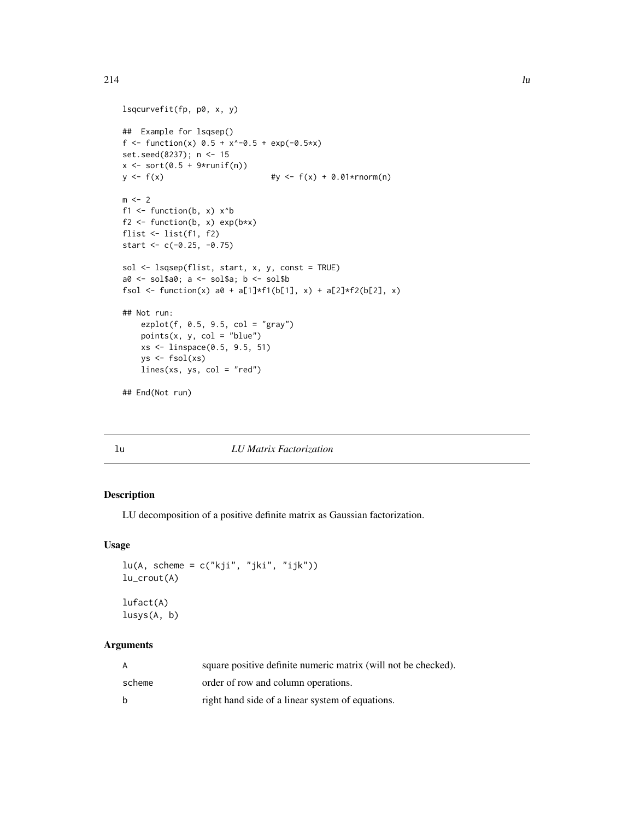```
lsqcurvefit(fp, p0, x, y)
## Example for lsqsep()
f <- function(x) 0.5 + x^* - 0.5 + \exp(-0.5*x)set.seed(8237); n <- 15
x \leftarrow sort(0.5 + 9*runif(n))y \le f(x) #y \le f(x) + 0.01*rnorm(n)
m < - 2f1 <- function(b, x) x^bf2 <- function(b, x) exp(b*x)flist <- list(f1, f2)
start <- c(-0.25, -0.75)sol <- lsqsep(flist, start, x, y, const = TRUE)
a0 <- sol$a0; a <- sol$a; b <- sol$b
fsol <- function(x) a0 + a[1]*f1(b[1], x) + a[2]*f2(b[2], x)## Not run:
   ezplot(f, 0.5, 9.5, col = "gray")points(x, y, col = "blue")xs <- linspace(0.5, 9.5, 51)
   ys \leftarrow fsol(xs)lines(xs, ys, col = "red")
## End(Not run)
```
#### lu *LU Matrix Factorization*

# Description

LU decomposition of a positive definite matrix as Gaussian factorization.

## Usage

```
lu(A, scheme = c("kji", "jki", "ijk"))lu_crout(A)
lufact(A)
```
lusys(A, b)

# Arguments

|        | square positive definite numeric matrix (will not be checked). |
|--------|----------------------------------------------------------------|
| scheme | order of row and column operations.                            |
| - b    | right hand side of a linear system of equations.               |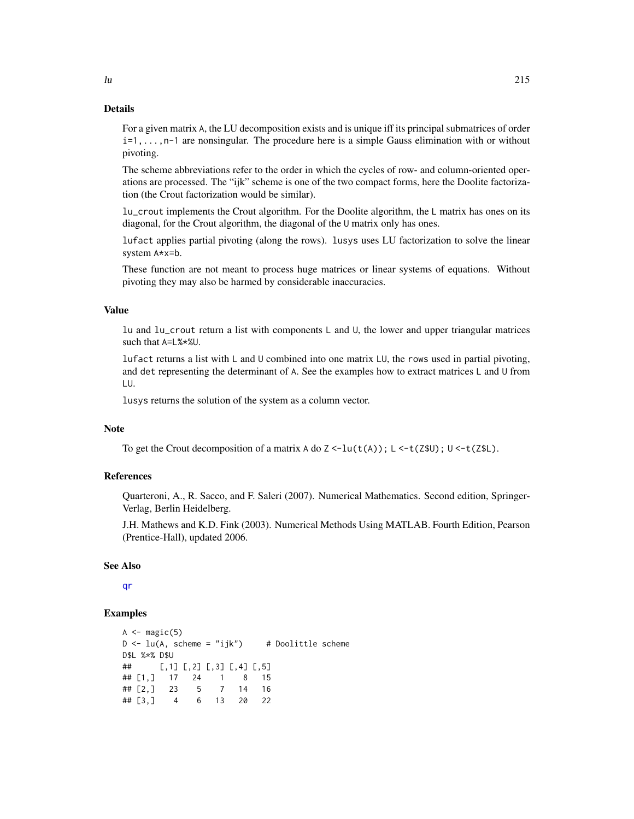For a given matrix A, the LU decomposition exists and is unique iff its principal submatrices of order i=1,...,n-1 are nonsingular. The procedure here is a simple Gauss elimination with or without pivoting.

The scheme abbreviations refer to the order in which the cycles of row- and column-oriented operations are processed. The "ijk" scheme is one of the two compact forms, here the Doolite factorization (the Crout factorization would be similar).

lu\_crout implements the Crout algorithm. For the Doolite algorithm, the L matrix has ones on its diagonal, for the Crout algorithm, the diagonal of the U matrix only has ones.

lufact applies partial pivoting (along the rows). lusys uses LU factorization to solve the linear system A\*x=b.

These function are not meant to process huge matrices or linear systems of equations. Without pivoting they may also be harmed by considerable inaccuracies.

#### Value

lu and lu\_crout return a list with components L and U, the lower and upper triangular matrices such that A=L%\*%U.

lufact returns a list with L and U combined into one matrix LU, the rows used in partial pivoting, and det representing the determinant of A. See the examples how to extract matrices L and U from LU.

lusys returns the solution of the system as a column vector.

#### **Note**

To get the Crout decomposition of a matrix A do  $Z \le -\ln(t(A))$ ; L  $\le -t(2\frac{1}{2}\ln t)$ .

#### References

Quarteroni, A., R. Sacco, and F. Saleri (2007). Numerical Mathematics. Second edition, Springer-Verlag, Berlin Heidelberg.

J.H. Mathews and K.D. Fink (2003). Numerical Methods Using MATLAB. Fourth Edition, Pearson (Prentice-Hall), updated 2006.

#### See Also

[qr](#page-0-0)

## Examples

```
A \leftarrow magic(5)D \leq -\text{lu}(A, \text{ scheme} = "ijk") # Doolittle scheme
D$L %*% D$U
## [,1] [,2] [,3] [,4] [,5]
## [1,] 17 24 1 8 15<br>## [2,] 23 5 7 14 16
## [2,] 23 5 7 14 16
## [3,] 4 6 13 20 22
```
 $\ln$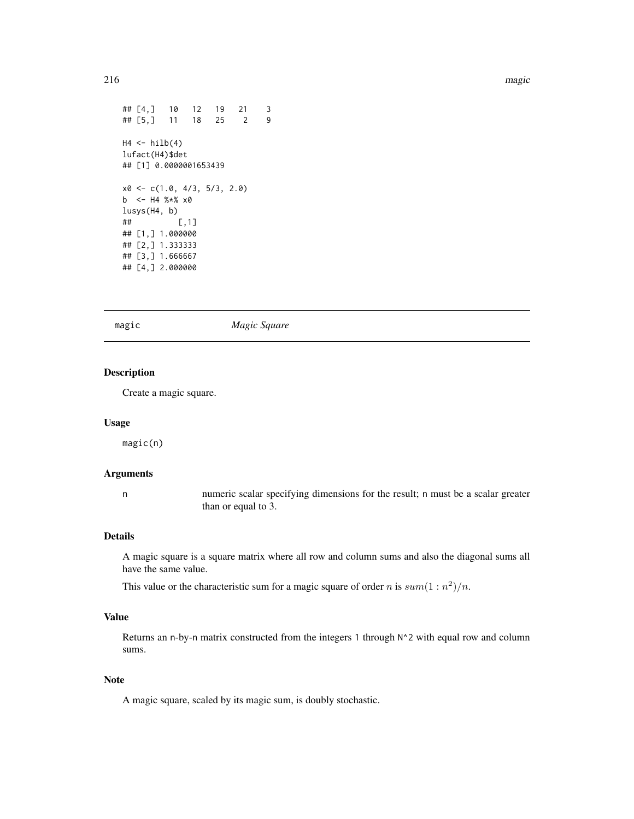```
## [4,] 10 12 19 21 3
## [5,] 11 18 25 2 9
H4 \leftarrow hilb(4)lufact(H4)$det
## [1] 0.0000001653439
x0 <- c(1.0, 4/3, 5/3, 2.0)
b <- H4 %*% x0lusys(H4, b)
## [,1]
## [1,] 1.000000
## [2,] 1.333333
## [3,] 1.666667
## [4,] 2.000000
```
magic *Magic Square*

## Description

Create a magic square.

#### Usage

magic(n)

## Arguments

n numeric scalar specifying dimensions for the result; n must be a scalar greater than or equal to 3.

## Details

A magic square is a square matrix where all row and column sums and also the diagonal sums all have the same value.

This value or the characteristic sum for a magic square of order n is  $sum(1:n^2)/n$ .

## Value

Returns an n-by-n matrix constructed from the integers 1 through N^2 with equal row and column sums.

#### Note

A magic square, scaled by its magic sum, is doubly stochastic.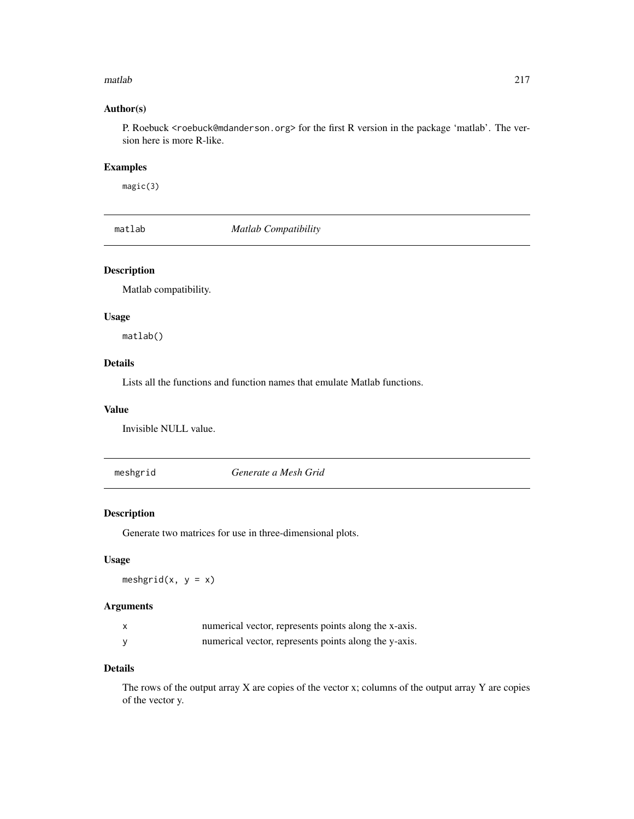#### matlab 217

## Author(s)

P. Roebuck <roebuck@mdanderson.org> for the first R version in the package 'matlab'. The version here is more R-like.

## Examples

magic(3)

matlab *Matlab Compatibility*

## Description

Matlab compatibility.

## Usage

matlab()

## Details

Lists all the functions and function names that emulate Matlab functions.

#### Value

Invisible NULL value.

meshgrid *Generate a Mesh Grid*

## Description

Generate two matrices for use in three-dimensional plots.

## Usage

meshgrid(x,  $y = x$ )

## Arguments

| numerical vector, represents points along the x-axis. |
|-------------------------------------------------------|
| numerical vector, represents points along the y-axis. |

#### Details

The rows of the output array X are copies of the vector x; columns of the output array Y are copies of the vector y.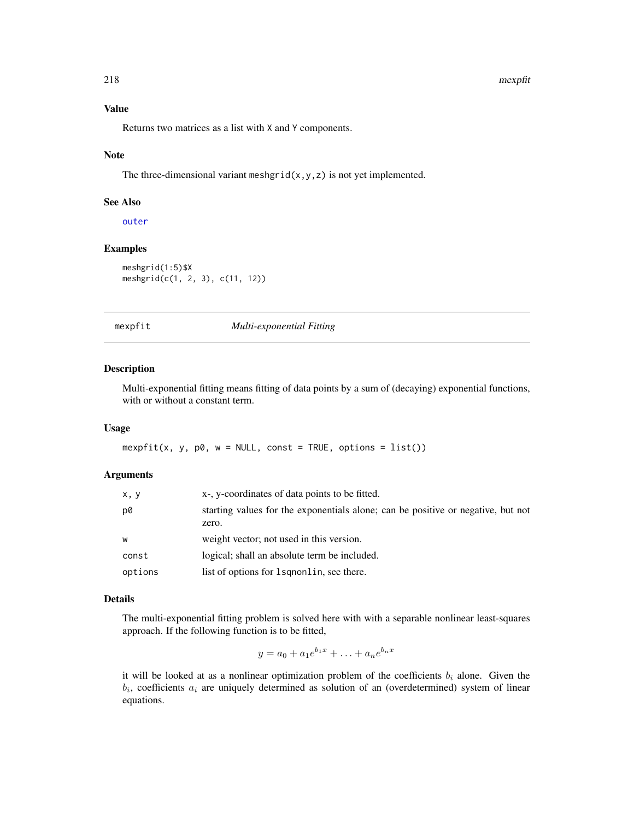#### 218 mexpfit

# Value

Returns two matrices as a list with X and Y components.

#### Note

The three-dimensional variant meshgrid( $x, y, z$ ) is not yet implemented.

#### See Also

[outer](#page-0-0)

## Examples

meshgrid(1:5)\$X meshgrid(c(1, 2, 3), c(11, 12))

mexpfit *Multi-exponential Fitting*

## Description

Multi-exponential fitting means fitting of data points by a sum of (decaying) exponential functions, with or without a constant term.

#### Usage

 $mexpfit(x, y, p0, w = NULL, const = TRUE, options = list())$ 

#### Arguments

| x, y    | x-, y-coordinates of data points to be fitted.                                            |
|---------|-------------------------------------------------------------------------------------------|
| D0      | starting values for the exponentials alone; can be positive or negative, but not<br>zero. |
| w       | weight vector; not used in this version.                                                  |
| const   | logical; shall an absolute term be included.                                              |
| options | list of options for 1 squareling see there.                                               |

## Details

The multi-exponential fitting problem is solved here with with a separable nonlinear least-squares approach. If the following function is to be fitted,

$$
y = a_0 + a_1 e^{b_1 x} + \ldots + a_n e^{b_n x}
$$

it will be looked at as a nonlinear optimization problem of the coefficients  $b_i$  alone. Given the  $b_i$ , coefficients  $a_i$  are uniquely determined as solution of an (overdetermined) system of linear equations.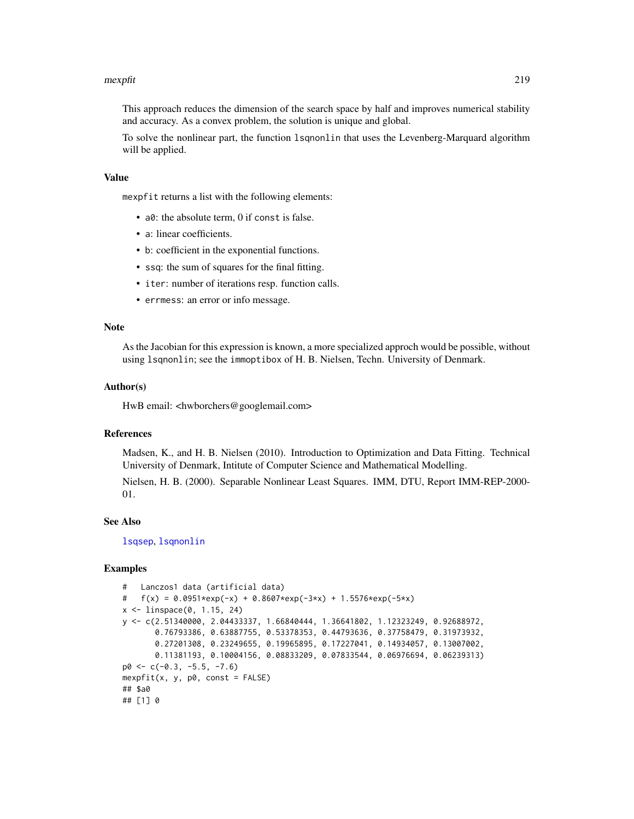#### mexpfit 219

This approach reduces the dimension of the search space by half and improves numerical stability and accuracy. As a convex problem, the solution is unique and global.

To solve the nonlinear part, the function lsqnonlin that uses the Levenberg-Marquard algorithm will be applied.

#### Value

mexpfit returns a list with the following elements:

- a0: the absolute term, 0 if const is false.
- a: linear coefficients.
- b: coefficient in the exponential functions.
- ssq: the sum of squares for the final fitting.
- iter: number of iterations resp. function calls.
- errmess: an error or info message.

#### Note

As the Jacobian for this expression is known, a more specialized approch would be possible, without using lsqnonlin; see the immoptibox of H. B. Nielsen, Techn. University of Denmark.

#### Author(s)

HwB email: <hwborchers@googlemail.com>

## References

Madsen, K., and H. B. Nielsen (2010). Introduction to Optimization and Data Fitting. Technical University of Denmark, Intitute of Computer Science and Mathematical Modelling.

Nielsen, H. B. (2000). Separable Nonlinear Least Squares. IMM, DTU, Report IMM-REP-2000- 01.

#### See Also

[lsqsep](#page-209-0), [lsqnonlin](#page-209-1)

```
# Lanczos1 data (artificial data)
# f(x) = 0.0951*exp(-x) + 0.8607*exp(-3*x) + 1.5576*exp(-5*x)x <- linspace(0, 1.15, 24)
y <- c(2.51340000, 2.04433337, 1.66840444, 1.36641802, 1.12323249, 0.92688972,
       0.76793386, 0.63887755, 0.53378353, 0.44793636, 0.37758479, 0.31973932,
       0.27201308, 0.23249655, 0.19965895, 0.17227041, 0.14934057, 0.13007002,
       0.11381193, 0.10004156, 0.08833209, 0.07833544, 0.06976694, 0.06239313)
p0 \leq -c(-0.3, -5.5, -7.6)mexpfit(x, y, p0, const = FALSE)## $a0
## [1] 0
```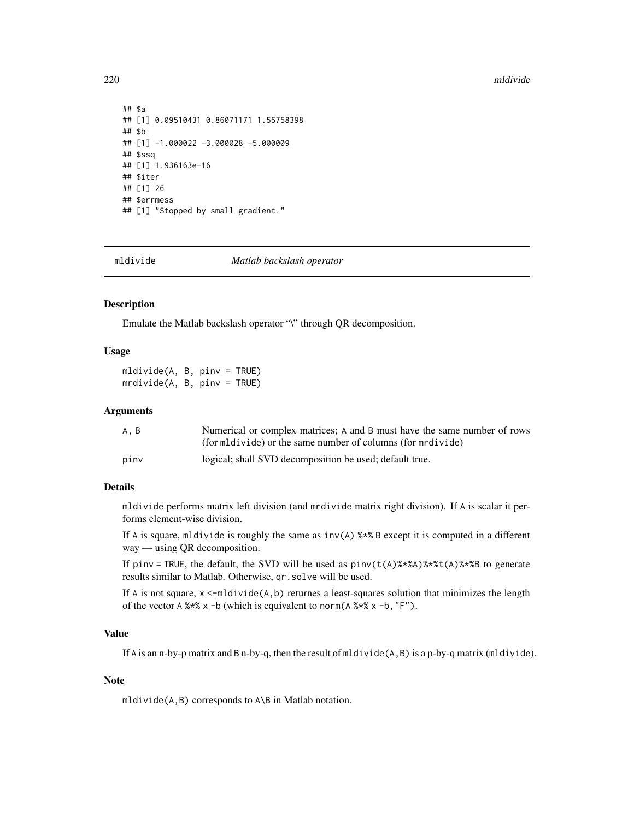#### 220 mldivide and the state of the state of the state of the state of the state of the state of the state of the state of the state of the state of the state of the state of the state of the state of the state of the state

```
## $a
## [1] 0.09510431 0.86071171 1.55758398
## $b
## [1] -1.000022 -3.000028 -5.000009
## $ssq
## [1] 1.936163e-16
## $iter
## [1] 26
## $errmess
## [1] "Stopped by small gradient."
```
mldivide *Matlab backslash operator*

#### Description

Emulate the Matlab backslash operator "\" through QR decomposition.

## Usage

mldivide(A, B, pinv = TRUE)  $mrdivide(A, B, pinv = TRUE)$ 

#### Arguments

| A.B  | Numerical or complex matrices; A and B must have the same number of rows |
|------|--------------------------------------------------------------------------|
|      | (for mildivide) or the same number of columns (for mrdivide)             |
| pinv | logical; shall SVD decomposition be used; default true.                  |

## **Details**

mldivide performs matrix left division (and mrdivide matrix right division). If A is scalar it performs element-wise division.

If A is square, mldivide is roughly the same as  $inv(A)$  %\*% B except it is computed in a different way — using QR decomposition.

If pinv = TRUE, the default, the SVD will be used as  $pinv(t(A)$ %\*%A)%\*%t(A)%\*%B to generate results similar to Matlab. Otherwise, qr.solve will be used.

If A is not square,  $x \le -m$ ldivide(A,b) returnes a least-squares solution that minimizes the length of the vector A  $%x$  x -b (which is equivalent to norm(A  $%x$  x -b, "F").

## Value

If A is an n-by-p matrix and B n-by-q, then the result of mldivide(A,B) is a p-by-q matrix (mldivide).

#### Note

mldivide(A,B) corresponds to A\B in Matlab notation.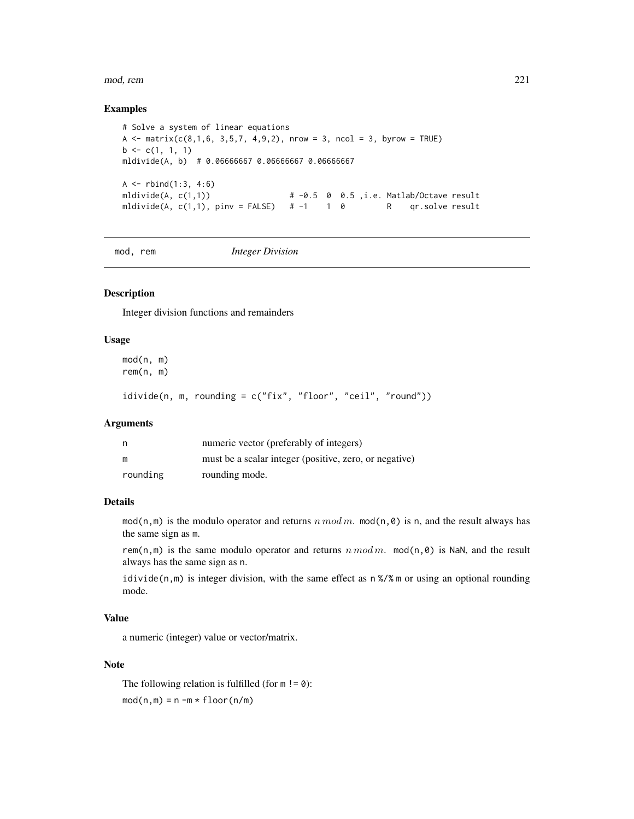mod, rem 221

#### Examples

```
# Solve a system of linear equations
A \le matrix(c(8,1,6, 3,5,7, 4,9,2), nrow = 3, ncol = 3, byrow = TRUE)
b \leftarrow c(1, 1, 1)mldivide(A, b) # 0.06666667 0.06666667 0.06666667
A \leftarrow \text{rbind}(1:3, 4:6)mldivide(A, c(1,1)) \qquad \qquad # -0.5 \quad 0 \quad 0.5 \quad , i.e. \text{ Matlab/O} \text{ctave} \text{ result}mldivide(A, c(1,1), pinv = FALSE) # -1 1 0 R qr.solve result
```
mod, rem *Integer Division*

## Description

Integer division functions and remainders

## Usage

mod(n, m) rem(n, m)

idivide(n, m, rounding = c("fix", "floor", "ceil", "round"))

#### **Arguments**

| n        | numeric vector (preferably of integers)                |  |  |
|----------|--------------------------------------------------------|--|--|
| m        | must be a scalar integer (positive, zero, or negative) |  |  |
| rounding | rounding mode.                                         |  |  |

#### Details

mod(n,m) is the modulo operator and returns n mod m. mod(n, 0) is n, and the result always has the same sign as m.

rem(n,m) is the same modulo operator and returns  $n \mod m$ . mod(n, 0) is NaN, and the result always has the same sign as n.

idivide(n,m) is integer division, with the same effect as  $n\frac{8}{8}$  m or using an optional rounding mode.

## Value

a numeric (integer) value or vector/matrix.

## Note

The following relation is fulfilled (for  $m != 0$ ):  $mod(n,m) = n - m * floor(n/m)$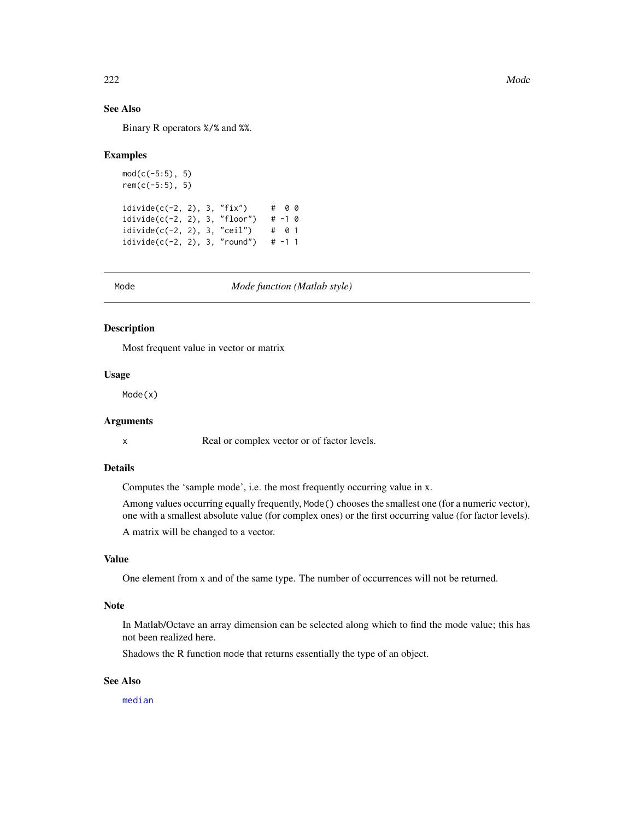## See Also

Binary R operators %/% and %%.

#### Examples

```
mod(c(-5:5), 5)rem(c(-5:5), 5)
idivide(c(-2, 2), 3, "fix") # 0 0
idivide(c(-2, 2), 3, "floor") # -1 0
idivide(c(-2, 2), 3, "ceil") # 0 1
idivide(c(-2, 2), 3, "round") # -1 1
```
#### Mode *Mode function (Matlab style)*

#### Description

Most frequent value in vector or matrix

## Usage

Mode(x)

## Arguments

x Real or complex vector or of factor levels.

## Details

Computes the 'sample mode', i.e. the most frequently occurring value in x.

Among values occurring equally frequently, Mode() chooses the smallest one (for a numeric vector), one with a smallest absolute value (for complex ones) or the first occurring value (for factor levels). A matrix will be changed to a vector.

#### Value

One element from x and of the same type. The number of occurrences will not be returned.

#### **Note**

In Matlab/Octave an array dimension can be selected along which to find the mode value; this has not been realized here.

Shadows the R function mode that returns essentially the type of an object.

## See Also

[median](#page-0-0)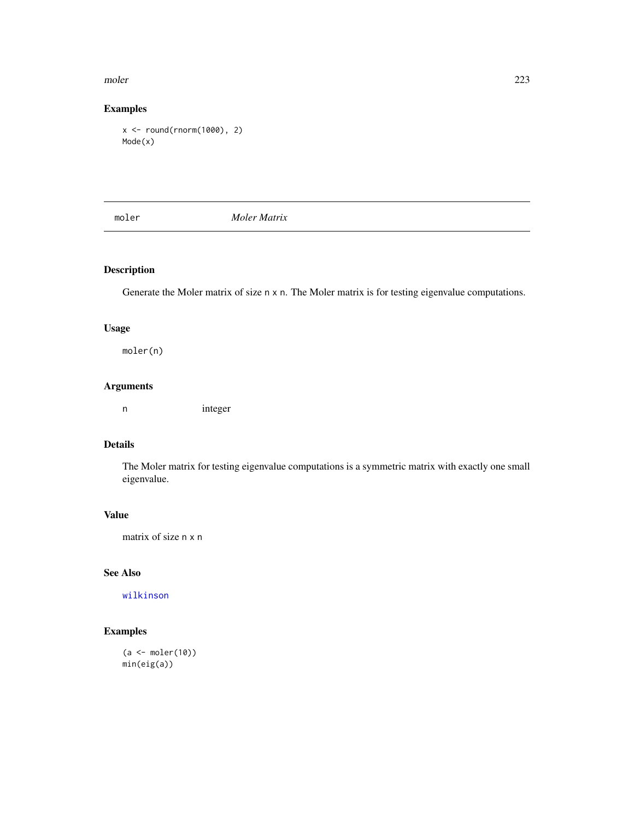#### moler 223

## Examples

```
x <- round(rnorm(1000), 2)
Mode(x)
```
moler *Moler Matrix*

## Description

Generate the Moler matrix of size n x n. The Moler matrix is for testing eigenvalue computations.

## Usage

moler(n)

## Arguments

n integer

## Details

The Moler matrix for testing eigenvalue computations is a symmetric matrix with exactly one small eigenvalue.

## Value

matrix of size n x n

## See Also

[wilkinson](#page-378-0)

```
(a <- moler(10))
min(eig(a))
```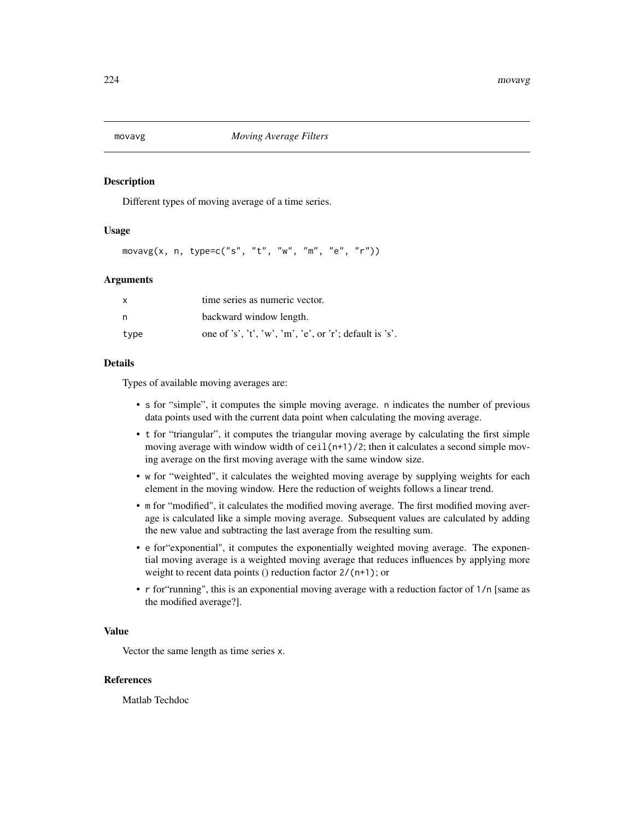Different types of moving average of a time series.

#### Usage

 $movavg(x, n, type=c("s", "t", "w", "m", "e", "r"))$ 

#### Arguments

| $\mathsf{x}$ | time series as numeric vector.                          |  |  |
|--------------|---------------------------------------------------------|--|--|
| n            | backward window length.                                 |  |  |
| type         | one of 's', 't', 'w', 'm', 'e', or 'r'; default is 's'. |  |  |

## Details

Types of available moving averages are:

- s for "simple", it computes the simple moving average. n indicates the number of previous data points used with the current data point when calculating the moving average.
- t for "triangular", it computes the triangular moving average by calculating the first simple moving average with window width of ceil $(n+1)/2$ ; then it calculates a second simple moving average on the first moving average with the same window size.
- w for "weighted", it calculates the weighted moving average by supplying weights for each element in the moving window. Here the reduction of weights follows a linear trend.
- m for "modified", it calculates the modified moving average. The first modified moving average is calculated like a simple moving average. Subsequent values are calculated by adding the new value and subtracting the last average from the resulting sum.
- e for"exponential", it computes the exponentially weighted moving average. The exponential moving average is a weighted moving average that reduces influences by applying more weight to recent data points () reduction factor  $2/(n+1)$ ; or
- r for"running", this is an exponential moving average with a reduction factor of 1/n [same as the modified average?].

## Value

Vector the same length as time series x.

#### References

Matlab Techdoc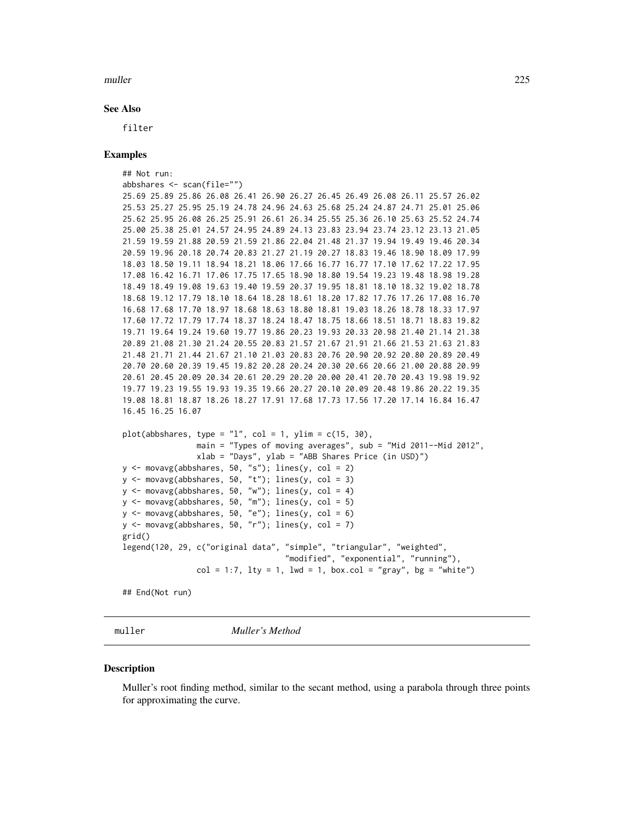#### muller 225

#### See Also

filter

## Examples

```
## Not run:
abbshares <- scan(file="")
25.69 25.89 25.86 26.08 26.41 26.90 26.27 26.45 26.49 26.08 26.11 25.57 26.02
25.53 25.27 25.95 25.19 24.78 24.96 24.63 25.68 25.24 24.87 24.71 25.01 25.06
25.62 25.95 26.08 26.25 25.91 26.61 26.34 25.55 25.36 26.10 25.63 25.52 24.74
25.00 25.38 25.01 24.57 24.95 24.89 24.13 23.83 23.94 23.74 23.12 23.13 21.05
21.59 19.59 21.88 20.59 21.59 21.86 22.04 21.48 21.37 19.94 19.49 19.46 20.34
20.59 19.96 20.18 20.74 20.83 21.27 21.19 20.27 18.83 19.46 18.90 18.09 17.99
18.03 18.50 19.11 18.94 18.21 18.06 17.66 16.77 16.77 17.10 17.62 17.22 17.95
17.08 16.42 16.71 17.06 17.75 17.65 18.90 18.80 19.54 19.23 19.48 18.98 19.28
18.49 18.49 19.08 19.63 19.40 19.59 20.37 19.95 18.81 18.10 18.32 19.02 18.78
18.68 19.12 17.79 18.10 18.64 18.28 18.61 18.20 17.82 17.76 17.26 17.08 16.70
16.68 17.68 17.70 18.97 18.68 18.63 18.80 18.81 19.03 18.26 18.78 18.33 17.97
17.60 17.72 17.79 17.74 18.37 18.24 18.47 18.75 18.66 18.51 18.71 18.83 19.82
19.71 19.64 19.24 19.60 19.77 19.86 20.23 19.93 20.33 20.98 21.40 21.14 21.38
20.89 21.08 21.30 21.24 20.55 20.83 21.57 21.67 21.91 21.66 21.53 21.63 21.83
21.48 21.71 21.44 21.67 21.10 21.03 20.83 20.76 20.90 20.92 20.80 20.89 20.49
20.70 20.60 20.39 19.45 19.82 20.28 20.24 20.30 20.66 20.66 21.00 20.88 20.99
20.61 20.45 20.09 20.34 20.61 20.29 20.20 20.00 20.41 20.70 20.43 19.98 19.92
19.77 19.23 19.55 19.93 19.35 19.66 20.27 20.10 20.09 20.48 19.86 20.22 19.35
19.08 18.81 18.87 18.26 18.27 17.91 17.68 17.73 17.56 17.20 17.14 16.84 16.47
16.45 16.25 16.07
plot(abbshares, type = "l", col = 1, ylim = c(15, 30),main = "Types of moving averages", sub = "Mid 2011--Mid 2012",
                xlab = "Days", ylab = "ABB Shares Price (in USD)")
y \le - movavg(abbshares, 50, "s"); lines(y, col = 2)
y \leftarrow \text{moving}(\text{abbshares}, 50, "t"); lines(y, col = 3)
y \le - movavg(abbshares, 50, "w"); lines(y, col = 4)
y <- movavg(abbshares, 50, "m"); lines(y, col = 5)
y \le - movavg(abbshares, 50, "e"); lines(y, col = 6)
y \le - movavg(abbshares, 50, "r"); lines(y, col = 7)
grid()
legend(120, 29, c("original data", "simple", "triangular", "weighted",
                                    "modified", "exponential", "running"),
                col = 1:7, lty = 1, lwd = 1, box.col = "gray", bg = "white")## End(Not run)
```
muller *Muller's Method*

#### **Description**

Muller's root finding method, similar to the secant method, using a parabola through three points for approximating the curve.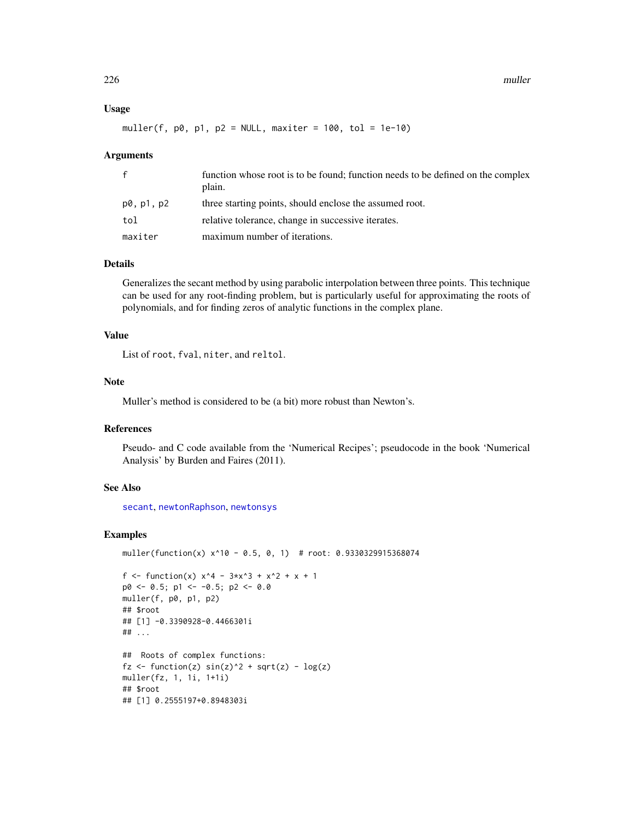#### Usage

muller(f,  $p0$ ,  $p1$ ,  $p2 = NULL$ , maxiter = 100, tol = 1e-10)

#### Arguments

| $\mathsf{f}$ | function whose root is to be found; function needs to be defined on the complex<br>plain. |
|--------------|-------------------------------------------------------------------------------------------|
| p0, p1, p2   | three starting points, should enclose the assumed root.                                   |
| tol          | relative tolerance, change in successive iterates.                                        |
| maxiter      | maximum number of iterations.                                                             |

## Details

Generalizes the secant method by using parabolic interpolation between three points. This technique can be used for any root-finding problem, but is particularly useful for approximating the roots of polynomials, and for finding zeros of analytic functions in the complex plane.

## Value

List of root, fval, niter, and reltol.

#### Note

Muller's method is considered to be (a bit) more robust than Newton's.

#### References

Pseudo- and C code available from the 'Numerical Recipes'; pseudocode in the book 'Numerical Analysis' by Burden and Faires (2011).

## See Also

[secant](#page-34-0), [newtonRaphson](#page-236-0), [newtonsys](#page-237-0)

```
muller(function(x) x^10 - 0.5, 0, 1) # root: 0.9330329915368074
f <- function(x) x^4 - 3*x^3 + x^2 + x + 1p0 \le -0.5; p1 \le -0.5; p2 \le -0.0muller(f, p0, p1, p2)
## $root
## [1] -0.3390928-0.4466301i
## ...
## Roots of complex functions:
fz \leftarrow function(z) \sin(z)^2 + sqrt(z) - log(z)muller(fz, 1, 1i, 1+1i)
## $root
## [1] 0.2555197+0.8948303i
```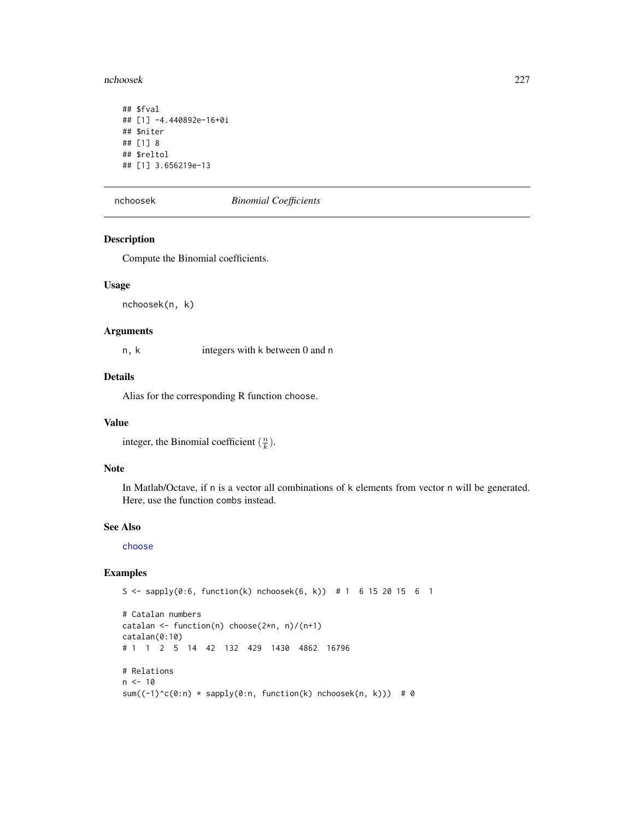nchoosek 227

```
## $fval
## [1] -4.440892e-16+0i
## $niter
## [1] 8
## $reltol
## [1] 3.656219e-13
```
nchoosek *Binomial Coefficients*

## Description

Compute the Binomial coefficients.

## Usage

nchoosek(n, k)

## Arguments

n, k integers with k between 0 and n

## Details

Alias for the corresponding R function choose.

## Value

integer, the Binomial coefficient  $(\frac{n}{k})$ .

## Note

In Matlab/Octave, if n is a vector all combinations of k elements from vector n will be generated. Here, use the function combs instead.

#### See Also

[choose](#page-0-0)

```
S <- sapply(0:6, function(k) nchoosek(6, k)) # 1 6 15 20 15 6 1
```

```
# Catalan numbers
catalan <- function(n) choose(2*n, n)/(n+1)
catalan(0:10)
# 1 1 2 5 14 42 132 429 1430 4862 16796
# Relations
n < -10sum((-1)^c(0:n) * sapply(0:n, function(k) nchoosek(n, k))) # 0
```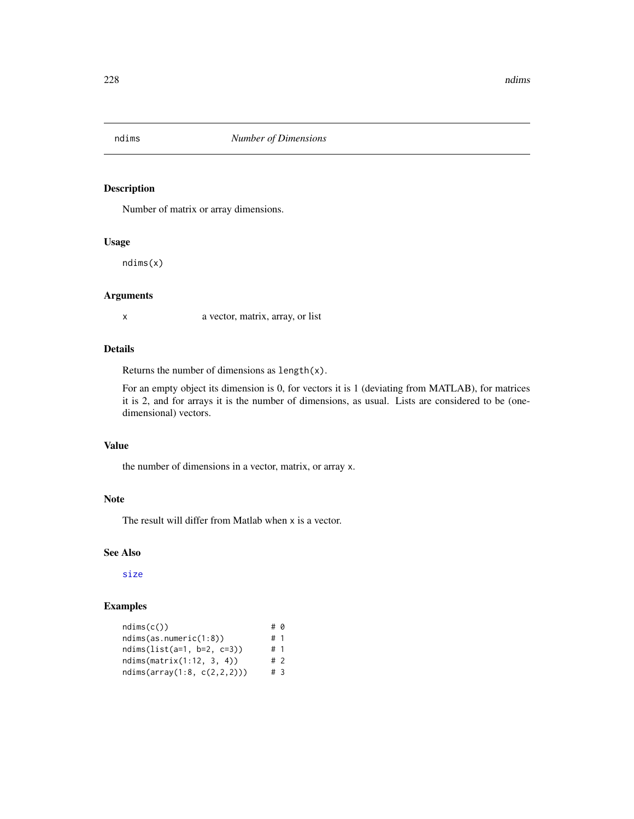Number of matrix or array dimensions.

## Usage

ndims(x)

## Arguments

x a vector, matrix, array, or list

## Details

Returns the number of dimensions as length(x).

For an empty object its dimension is 0, for vectors it is 1 (deviating from MATLAB), for matrices it is 2, and for arrays it is the number of dimensions, as usual. Lists are considered to be (onedimensional) vectors.

## Value

the number of dimensions in a vector, matrix, or array x.

## Note

The result will differ from Matlab when x is a vector.

## See Also

[size](#page-341-0)

| ndims(c())                  | # 0 |  |
|-----------------------------|-----|--|
| ndims(as.numeric(1:8))      | #1  |  |
| ndims(list(a=1, b=2, c=3))  | #1  |  |
| ndims(matrix(1:12, 3, 4))   | #2  |  |
| ndims(array(1:8, c(2,2,2))) | #3  |  |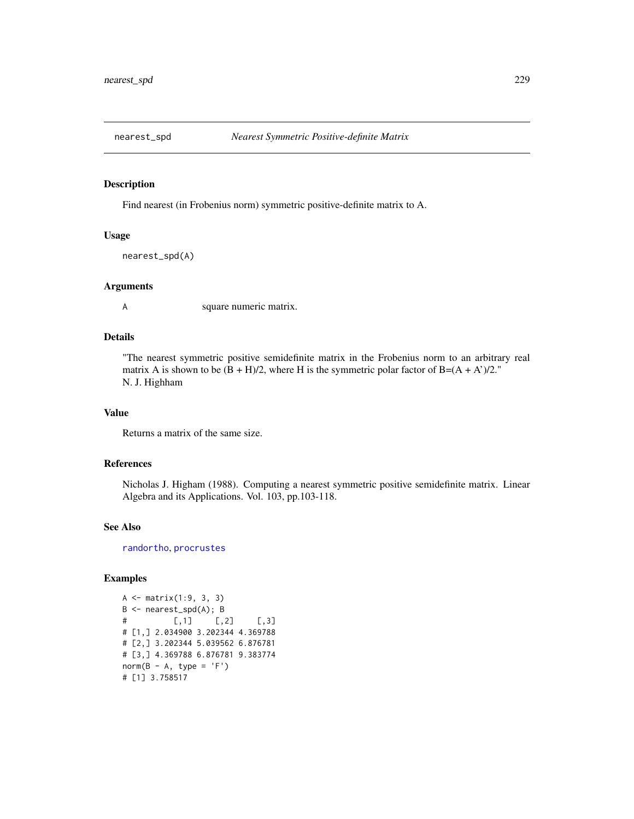Find nearest (in Frobenius norm) symmetric positive-definite matrix to A.

#### Usage

```
nearest_spd(A)
```
#### Arguments

A square numeric matrix.

## Details

"The nearest symmetric positive semidefinite matrix in the Frobenius norm to an arbitrary real matrix A is shown to be  $(B + H)/2$ , where H is the symmetric polar factor of B= $(A + A)/2$ ." N. J. Highham

## Value

Returns a matrix of the same size.

#### References

Nicholas J. Higham (1988). Computing a nearest symmetric positive semidefinite matrix. Linear Algebra and its Applications. Vol. 103, pp.103-118.

#### See Also

[randortho](#page-302-0), [procrustes](#page-281-0)

```
A <- matrix(1:9, 3, 3)
B <- nearest_spd(A); B
# [,1] [,2] [,3]
# [1,] 2.034900 3.202344 4.369788
# [2,] 3.202344 5.039562 6.876781
# [3,] 4.369788 6.876781 9.383774
norm(B - A, type = 'F')# [1] 3.758517
```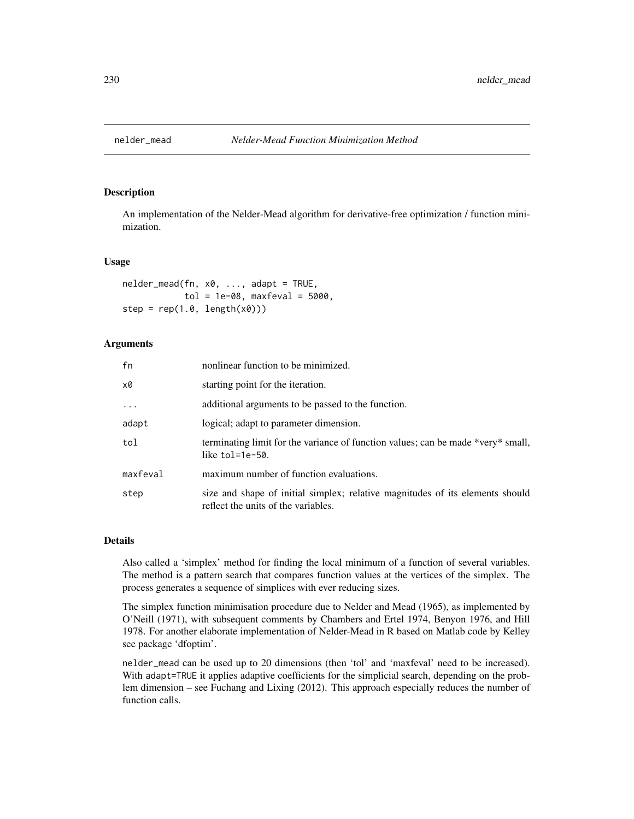An implementation of the Nelder-Mead algorithm for derivative-free optimization / function minimization.

#### Usage

```
nelder_mead(fn, x0, ..., adapt = TRUE,
            tol = 1e-08, maxfeval = 5000,
step = rep(1.0, length(x0)))
```
#### **Arguments**

| fn       | nonlinear function to be minimized.                                                                                  |
|----------|----------------------------------------------------------------------------------------------------------------------|
| x0       | starting point for the iteration.                                                                                    |
| $\ddots$ | additional arguments to be passed to the function.                                                                   |
| adapt    | logical; adapt to parameter dimension.                                                                               |
| tol      | terminating limit for the variance of function values; can be made *very* small,<br>like $tol=1e-50$ .               |
| maxfeval | maximum number of function evaluations.                                                                              |
| step     | size and shape of initial simplex; relative magnitudes of its elements should<br>reflect the units of the variables. |

#### Details

Also called a 'simplex' method for finding the local minimum of a function of several variables. The method is a pattern search that compares function values at the vertices of the simplex. The process generates a sequence of simplices with ever reducing sizes.

The simplex function minimisation procedure due to Nelder and Mead (1965), as implemented by O'Neill (1971), with subsequent comments by Chambers and Ertel 1974, Benyon 1976, and Hill 1978. For another elaborate implementation of Nelder-Mead in R based on Matlab code by Kelley see package 'dfoptim'.

nelder\_mead can be used up to 20 dimensions (then 'tol' and 'maxfeval' need to be increased). With adapt=TRUE it applies adaptive coefficients for the simplicial search, depending on the problem dimension – see Fuchang and Lixing (2012). This approach especially reduces the number of function calls.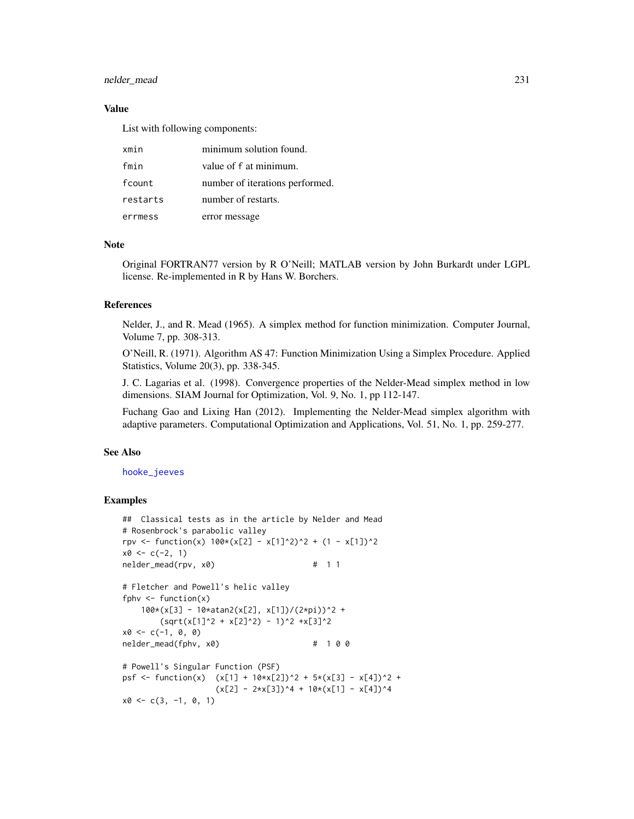## nelder\_mead 231

#### Value

List with following components:

| xmin     | minimum solution found.         |
|----------|---------------------------------|
| fmin     | value of f at minimum.          |
| fcount   | number of iterations performed. |
| restarts | number of restarts.             |
| errmess  | error message                   |

#### Note

Original FORTRAN77 version by R O'Neill; MATLAB version by John Burkardt under LGPL license. Re-implemented in R by Hans W. Borchers.

#### References

Nelder, J., and R. Mead (1965). A simplex method for function minimization. Computer Journal, Volume 7, pp. 308-313.

O'Neill, R. (1971). Algorithm AS 47: Function Minimization Using a Simplex Procedure. Applied Statistics, Volume 20(3), pp. 338-345.

J. C. Lagarias et al. (1998). Convergence properties of the Nelder-Mead simplex method in low dimensions. SIAM Journal for Optimization, Vol. 9, No. 1, pp 112-147.

Fuchang Gao and Lixing Han (2012). Implementing the Nelder-Mead simplex algorithm with adaptive parameters. Computational Optimization and Applications, Vol. 51, No. 1, pp. 259-277.

#### See Also

[hooke\\_jeeves](#page-160-0)

```
## Classical tests as in the article by Nelder and Mead
# Rosenbrock's parabolic valley
rpv <- function(x) 100*(x[2] - x[1]^2)^2 + (1 - x[1])^2x0 \leq c(-2, 1)nelder_mead(rpv, x0) # 1 1
```

```
# Fletcher and Powell's helic valley
fphv \le function(x)
   100*(x[3] - 10*atan2(x[2], x[1])/(2*pi))^2 +
       (sqrt(x[1]^2 + x[2]^2) - 1)^2 + x[3]^2x0 \leq -c(-1, 0, 0)nelder_mead(fphv, x0) # 1 0 0
# Powell's Singular Function (PSF)
```

```
psf <- function(x) (x[1] + 10*x[2])^2 + 5*(x[3] - x[4])^2 +
                   (x[2] - 2*x[3])^4 + 10*(x[1] - x[4])^4x0 \leq c(3, -1, 0, 1)
```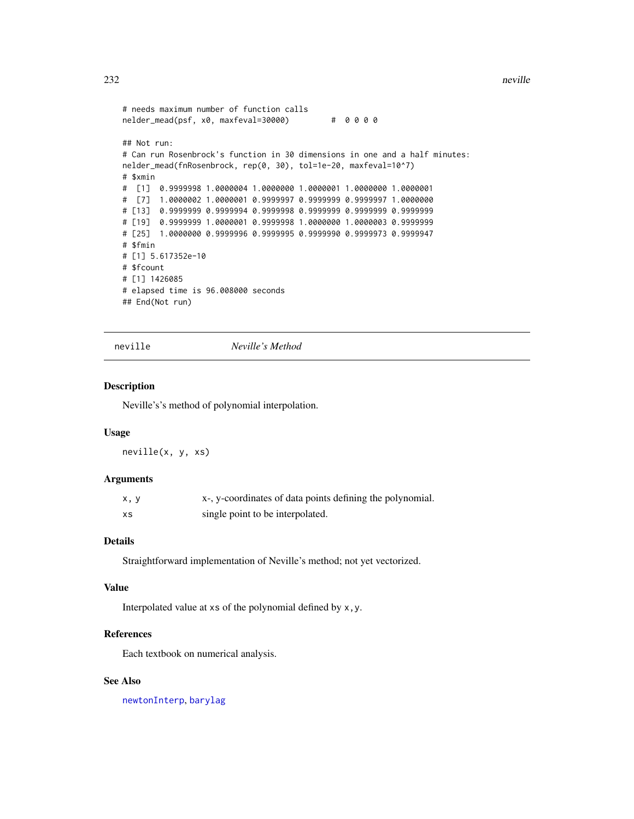```
# needs maximum number of function calls
nelder_mead(psf, x0, maxfeval=30000) # 0 0 0 0
## Not run:
# Can run Rosenbrock's function in 30 dimensions in one and a half minutes:
nelder_mead(fnRosenbrock, rep(0, 30), tol=1e-20, maxfeval=10^7)
# $xmin
# [1] 0.9999998 1.0000004 1.0000000 1.0000001 1.0000000 1.0000001
# [7] 1.0000002 1.0000001 0.9999997 0.9999999 0.9999997 1.0000000
# [13] 0.9999999 0.9999994 0.9999998 0.9999999 0.9999999 0.9999999
# [19] 0.9999999 1.0000001 0.9999998 1.0000000 1.0000003 0.9999999
# [25] 1.0000000 0.9999996 0.9999995 0.9999990 0.9999973 0.9999947
# $fmin
# [1] 5.617352e-10
# $fcount
# [1] 1426085
# elapsed time is 96.008000 seconds
## End(Not run)
```
neville *Neville's Method*

## Description

Neville's's method of polynomial interpolation.

#### Usage

neville(x, y, xs)

## Arguments

| x, y | x-, y-coordinates of data points defining the polynomial. |
|------|-----------------------------------------------------------|
| xs   | single point to be interpolated.                          |

## Details

Straightforward implementation of Neville's method; not yet vectorized.

## Value

Interpolated value at xs of the polynomial defined by x,y.

## References

Each textbook on numerical analysis.

## See Also

[newtonInterp](#page-235-0), [barylag](#page-28-0)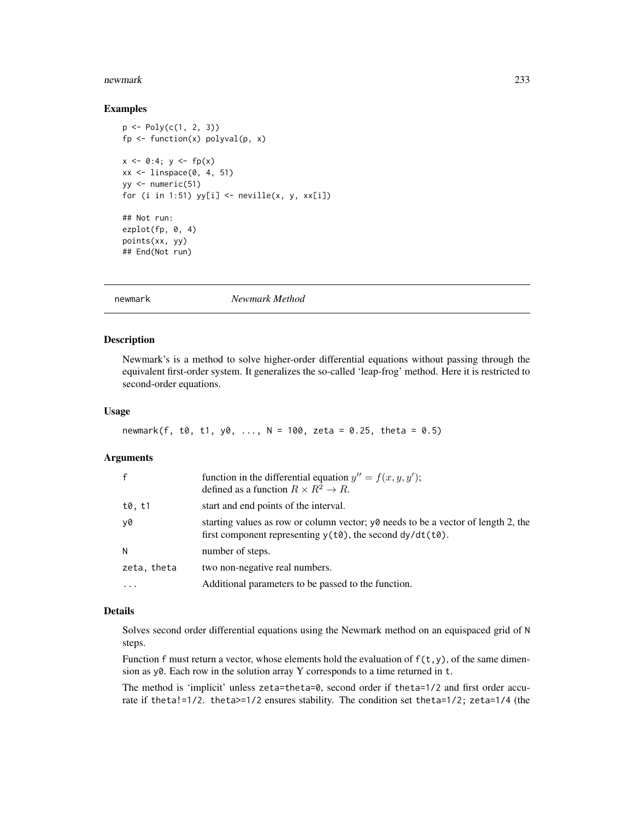#### newmark 233

#### Examples

```
p \leftarrow Poly(c(1, 2, 3))fp \le function(x) polyval(p, x)
x \le -0:4; y \le -f p(x)xx \le linspace(0, 4, 51)
yy <- numeric(51)
for (i in 1:51) yy[i] \leftarrow \{x, y, xx[i]\}## Not run:
ezplot(fp, 0, 4)
points(xx, yy)
## End(Not run)
```
newmark *Newmark Method*

## Description

Newmark's is a method to solve higher-order differential equations without passing through the equivalent first-order system. It generalizes the so-called 'leap-frog' method. Here it is restricted to second-order equations.

#### Usage

```
newmark(f, t0, t1, y0, ..., N = 100, zeta = 0.25, theta = 0.5)
```
#### Arguments

| f           | function in the differential equation $y'' = f(x, y, y')$ ;<br>defined as a function $R \times R^2 \to R$ .                                                    |
|-------------|----------------------------------------------------------------------------------------------------------------------------------------------------------------|
| t0, t1      | start and end points of the interval.                                                                                                                          |
| y0          | starting values as row or column vector; y0 needs to be a vector of length 2, the<br>first component representing $y(t\theta)$ , the second $dy/dt(t\theta)$ . |
| N           | number of steps.                                                                                                                                               |
| zeta, theta | two non-negative real numbers.                                                                                                                                 |
| $\cdots$    | Additional parameters to be passed to the function.                                                                                                            |

## Details

Solves second order differential equations using the Newmark method on an equispaced grid of N steps.

Function f must return a vector, whose elements hold the evaluation of  $f(t,y)$ , of the same dimension as y0. Each row in the solution array Y corresponds to a time returned in t.

The method is 'implicit' unless zeta=theta=0, second order if theta=1/2 and first order accurate if theta!=1/2. theta>=1/2 ensures stability. The condition set theta=1/2; zeta=1/4 (the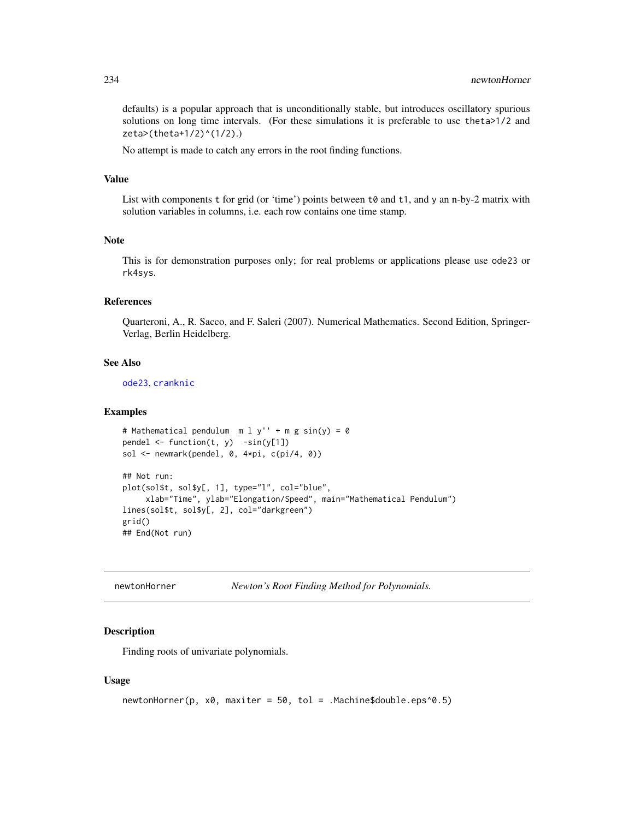defaults) is a popular approach that is unconditionally stable, but introduces oscillatory spurious solutions on long time intervals. (For these simulations it is preferable to use theta>1/2 and zeta>(theta+1/2)^(1/2).)

No attempt is made to catch any errors in the root finding functions.

#### Value

List with components  $t$  for grid (or 'time') points between  $t\theta$  and  $t1$ , and y an n-by-2 matrix with solution variables in columns, i.e. each row contains one time stamp.

## Note

This is for demonstration purposes only; for real problems or applications please use ode23 or rk4sys.

## References

Quarteroni, A., R. Sacco, and F. Saleri (2007). Numerical Mathematics. Second Edition, Springer-Verlag, Berlin Heidelberg.

#### See Also

[ode23](#page-246-0), [cranknic](#page-65-0)

#### Examples

```
# Mathematical pendulum m l y'' + m g sin(y) = 0
pendel \le function(t, y) -sin(y[1])sol <- newmark(pendel, 0, 4*pi, c(pi/4, 0))
## Not run:
plot(sol$t, sol$y[, 1], type="l", col="blue",
     xlab="Time", ylab="Elongation/Speed", main="Mathematical Pendulum")
lines(sol$t, sol$y[, 2], col="darkgreen")
grid()
## End(Not run)
```
<span id="page-233-0"></span>

| newtonHorner | Newton's Root Finding Method for Polynomials. |  |  |  |
|--------------|-----------------------------------------------|--|--|--|
|--------------|-----------------------------------------------|--|--|--|

### Description

Finding roots of univariate polynomials.

#### Usage

```
newtonHorner(p, x0, maxiter = 50, tol = .Machine$double.eps^0.5)
```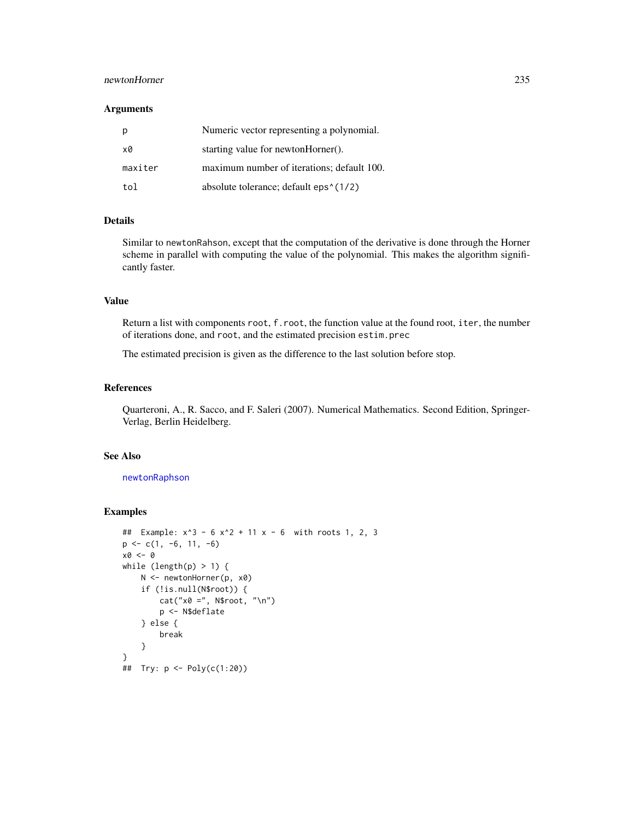## newtonHorner 235

#### Arguments

| р       | Numeric vector representing a polynomial.           |
|---------|-----------------------------------------------------|
| x0      | starting value for newtonHorner().                  |
| maxiter | maximum number of iterations; default 100.          |
| tol     | absolute tolerance; default eps <sup>{</sup> (1/2)} |

## Details

Similar to newtonRahson, except that the computation of the derivative is done through the Horner scheme in parallel with computing the value of the polynomial. This makes the algorithm significantly faster.

## Value

Return a list with components root, f.root, the function value at the found root, iter, the number of iterations done, and root, and the estimated precision estim.prec

The estimated precision is given as the difference to the last solution before stop.

## References

Quarteroni, A., R. Sacco, and F. Saleri (2007). Numerical Mathematics. Second Edition, Springer-Verlag, Berlin Heidelberg.

## See Also

[newtonRaphson](#page-236-0)

```
## Example: x^3 - 6 x^2 + 11 x - 6 with roots 1, 2, 3
p \leftarrow c(1, -6, 11, -6)x0 \leftarrow 0while (length(p) > 1) {
    N <- newtonHorner(p, x0)
    if (!is.null(N$root)) {
        cat("x0 =", N$root, "\n")
        p <- N$deflate
    } else {
        break
    }
}
## Try: p <- Poly(c(1:20))
```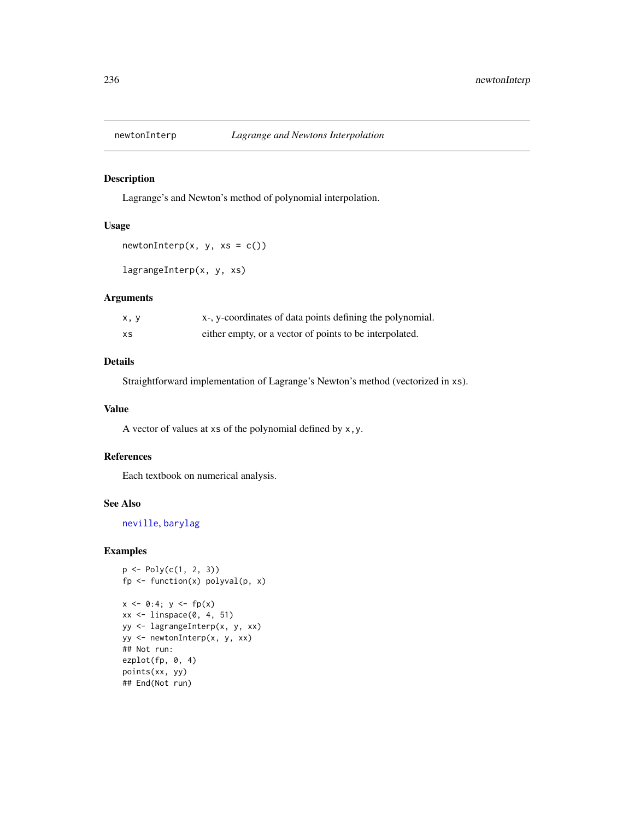<span id="page-235-0"></span>

Lagrange's and Newton's method of polynomial interpolation.

#### Usage

```
newtonInterp(x, y, xs = c())
```

```
lagrangeInterp(x, y, xs)
```
## Arguments

| x, y | x-, y-coordinates of data points defining the polynomial. |
|------|-----------------------------------------------------------|
| XS   | either empty, or a vector of points to be interpolated.   |

## Details

Straightforward implementation of Lagrange's Newton's method (vectorized in xs).

## Value

A vector of values at xs of the polynomial defined by x,y.

## References

Each textbook on numerical analysis.

### See Also

[neville](#page-231-0), [barylag](#page-28-0)

```
p \leftarrow Poly(c(1, 2, 3))fp \le function(x) polyval(p, x)
x \le -0:4; y \le -f p(x)xx \leftarrow linspace(0, 4, 51)yy <- lagrangeInterp(x, y, xx)
yy <- newtonInterp(x, y, xx)
## Not run:
ezplot(fp, 0, 4)
points(xx, yy)
## End(Not run)
```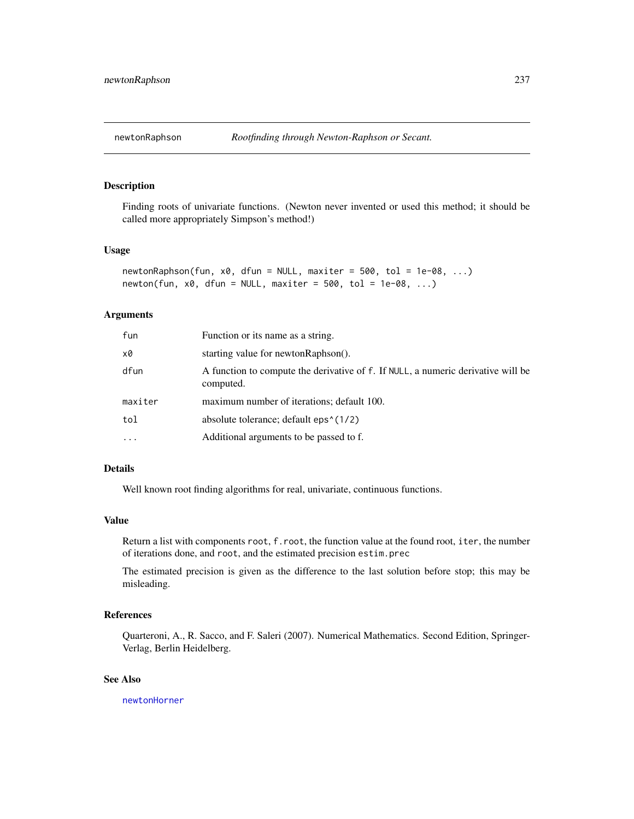<span id="page-236-0"></span>

Finding roots of univariate functions. (Newton never invented or used this method; it should be called more appropriately Simpson's method!)

## Usage

```
newtonRaphson(fun, x0, dfun = NULL, maxiter = 500, tol = 1e-08, ...)
newton(fun, x0, dfun = NULL, maxiter = 500, tol = 1e-08, ...)
```
## Arguments

| fun     | Function or its name as a string.                                                             |
|---------|-----------------------------------------------------------------------------------------------|
| х0      | starting value for newton Raphson().                                                          |
| dfun    | A function to compute the derivative of f. If NULL, a numeric derivative will be<br>computed. |
| maxiter | maximum number of iterations; default 100.                                                    |
| tol     | absolute tolerance; default eps^(1/2)                                                         |
| .       | Additional arguments to be passed to f.                                                       |

## Details

Well known root finding algorithms for real, univariate, continuous functions.

## Value

Return a list with components root, f.root, the function value at the found root, iter, the number of iterations done, and root, and the estimated precision estim.prec

The estimated precision is given as the difference to the last solution before stop; this may be misleading.

## References

Quarteroni, A., R. Sacco, and F. Saleri (2007). Numerical Mathematics. Second Edition, Springer-Verlag, Berlin Heidelberg.

#### See Also

[newtonHorner](#page-233-0)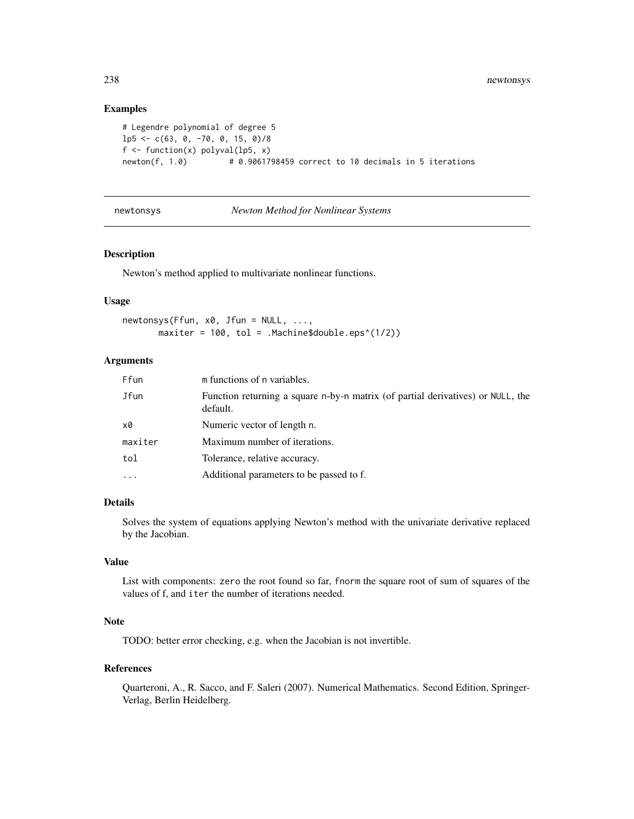## Examples

```
# Legendre polynomial of degree 5
lp5 \leq c(63, 0, -70, 0, 15, 0)/8f \leftarrow function(x) polyval(lp5, x)
newton(f, 1.0) \# 0.9061798459 correct to 10 decimals in 5 iterations
```

```
newtonsys Newton Method for Nonlinear Systems
```
## Description

Newton's method applied to multivariate nonlinear functions.

## Usage

newtonsys(Ffun, x0, Jfun = NULL, ..., maxiter =  $100$ , tol = .Machine\$double.eps^(1/2))

## Arguments

| Ffun     | m functions of n variables.                                                                 |
|----------|---------------------------------------------------------------------------------------------|
| Jfun     | Function returning a square n-by-n matrix (of partial derivatives) or NULL, the<br>default. |
| x0       | Numeric vector of length n.                                                                 |
| maxiter  | Maximum number of iterations.                                                               |
| tol      | Tolerance, relative accuracy.                                                               |
| $\cdots$ | Additional parameters to be passed to f.                                                    |
|          |                                                                                             |

#### Details

Solves the system of equations applying Newton's method with the univariate derivative replaced by the Jacobian.

## Value

List with components: zero the root found so far, fnorm the square root of sum of squares of the values of f, and iter the number of iterations needed.

## Note

TODO: better error checking, e.g. when the Jacobian is not invertible.

#### References

Quarteroni, A., R. Sacco, and F. Saleri (2007). Numerical Mathematics. Second Edition, Springer-Verlag, Berlin Heidelberg.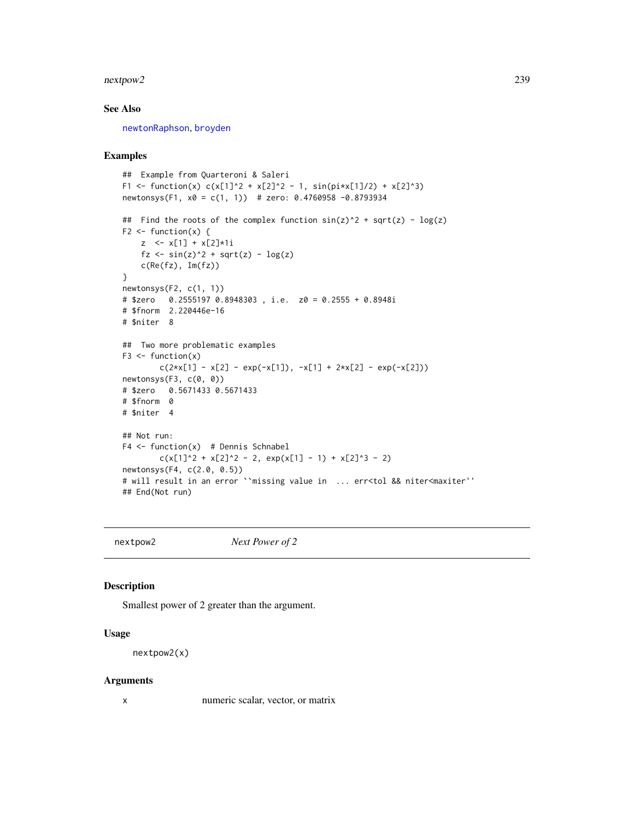#### nextpow2 239

## See Also

[newtonRaphson](#page-236-0), [broyden](#page-40-0)

#### Examples

```
## Example from Quarteroni & Saleri
F1 <- function(x) c(x[1]^2 + x[2]^2 - 1, sin(pi*x[1]/2) + x[2]^3)
newtonsys(F1, x0 = c(1, 1)) # zero: 0.4760958 -0.8793934
## Find the roots of the complex function sin(z)^2 + sqrt(z) - log(z)F2 \leq function(x) {
    z <- x[1] + x[2]*1i
    fz <- sin(z)^2 + sqrt(z) - log(z)c(Re(fz), Im(fz))
}
newtonsys(F2, c(1, 1))
# $zero 0.2555197 0.8948303 , i.e. z0 = 0.2555 + 0.8948i
# $fnorm 2.220446e-16
# $niter 8
## Two more problematic examples
F3 \leftarrow function(x)c(2*x[1] - x[2] - exp(-x[1]), -x[1] + 2*x[2] - exp(-x[2]))newtonsys(F3, c(0, 0))
# $zero 0.5671433 0.5671433
# $fnorm 0
# $niter 4
## Not run:
F4 \leftarrow function(x) # Dennis Schnabel
        c(x[1]^2 + x[2]^2 - 2, exp(x[1] - 1) + x[2]^3 - 2)newtonsys(F4, c(2.0, 0.5))
# will result in an error ``missing value in ... err<tol && niter<maxiter''
## End(Not run)
```
nextpow2 *Next Power of 2*

## Description

Smallest power of 2 greater than the argument.

#### Usage

nextpow2(x)

#### Arguments

x numeric scalar, vector, or matrix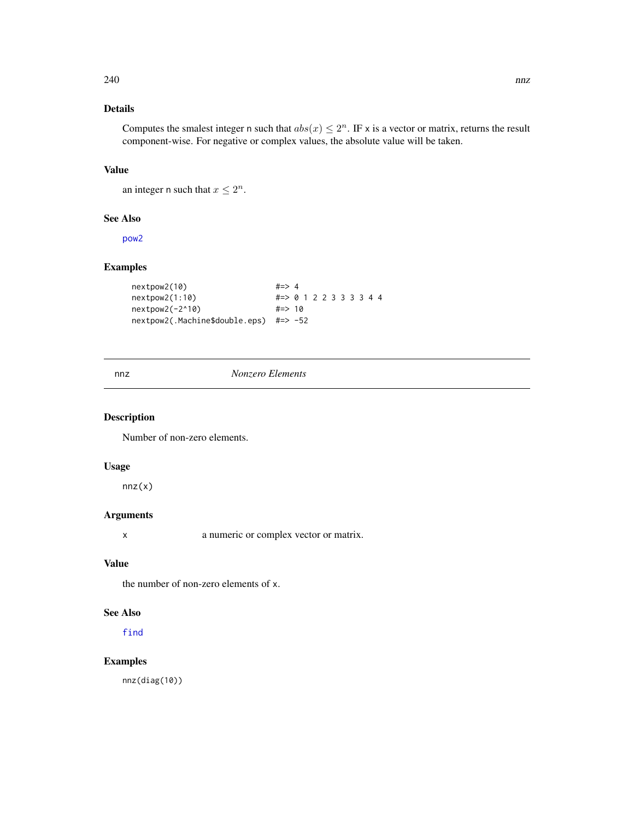## Details

Computes the smalest integer n such that  $abs(x) \leq 2^n$ . IF x is a vector or matrix, returns the result component-wise. For negative or complex values, the absolute value will be taken.

## Value

an integer n such that  $x \leq 2^n$ .

#### See Also

[pow2](#page-277-0)

## Examples

```
nextpow2(10) #=> 4
nextpow2(1:10) #=> 0 1 2 2 3 3 3 3 4 4
nextpow2(-2^10) #=> 10
nextpow2(.Machine$double.eps) #=> -52
```
nnz *Nonzero Elements*

## Description

Number of non-zero elements.

## Usage

 $nnz(x)$ 

## Arguments

x a numeric or complex vector or matrix.

## Value

the number of non-zero elements of x.

## See Also

[find](#page-0-0)

## Examples

nnz(diag(10))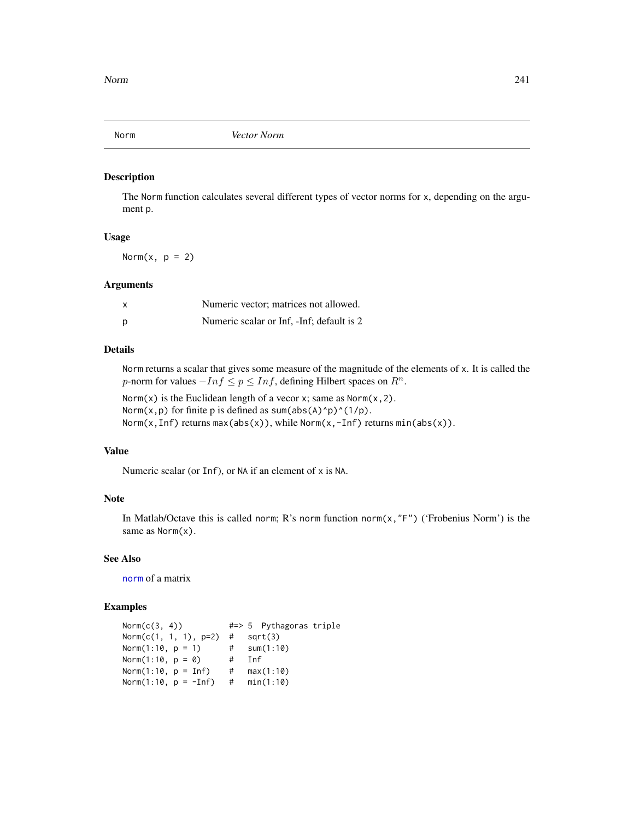The Norm function calculates several different types of vector norms for x, depending on the argument p.

## Usage

Norm $(x, p = 2)$ 

#### Arguments

|   | Numeric vector: matrices not allowed.      |
|---|--------------------------------------------|
| Ŋ | Numeric scalar or Inf. - Inf: default is 2 |

### Details

Norm returns a scalar that gives some measure of the magnitude of the elements of x. It is called the p-norm for values  $-Inf \leq p \leq Inf$ , defining Hilbert spaces on  $R^n$ .

Norm(x) is the Euclidean length of a vecor x; same as  $Norm(x, 2)$ . Norm(x, p) for finite p is defined as sum(abs(A)^p)^(1/p). Norm(x, Inf) returns max(abs(x)), while Norm(x, -Inf) returns min(abs(x)).

## Value

Numeric scalar (or Inf), or NA if an element of x is NA.

## Note

In Matlab/Octave this is called norm; R's norm function norm(x,"F") ('Frobenius Norm') is the same as Norm(x).

## See Also

[norm](#page-0-0) of a matrix

#### Examples

 $Norm(c(3, 4))$  #=> 5 Pythagoras triple Norm(c(1, 1, 1),  $p=2$ ) # sqrt(3) Norm(1:10, p = 1) # sum(1:10)<br>Norm(1:10, p = 0) # Inf Norm $(1:10, p = 0)$ Norm(1:10, p = Inf) # max(1:10) Norm(1:10, p = -Inf) # min(1:10)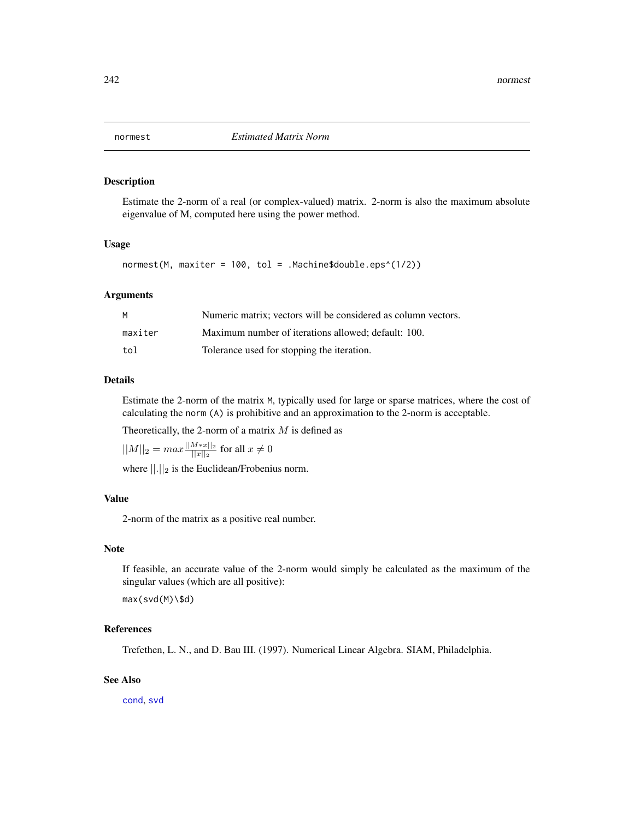Estimate the 2-norm of a real (or complex-valued) matrix. 2-norm is also the maximum absolute eigenvalue of M, computed here using the power method.

## Usage

normest(M, maxiter = 100, tol = .Machine\$double.eps^(1/2))

## Arguments

| м       | Numeric matrix: vectors will be considered as column vectors. |
|---------|---------------------------------------------------------------|
| maxiter | Maximum number of iterations allowed: default: 100.           |
| tol     | Tolerance used for stopping the iteration.                    |

## Details

Estimate the 2-norm of the matrix M, typically used for large or sparse matrices, where the cost of calculating the norm (A) is prohibitive and an approximation to the 2-norm is acceptable.

Theoretically, the 2-norm of a matrix  $M$  is defined as

 $||M||_2 = max \frac{||M*x||_2}{||x||_2}$  $\frac{||x||_2}{||x||_2}$  for all  $x \neq 0$ 

where  $||.||_2$  is the Euclidean/Frobenius norm.

## Value

2-norm of the matrix as a positive real number.

## **Note**

If feasible, an accurate value of the 2-norm would simply be calculated as the maximum of the singular values (which are all positive):

max(svd(M)\\$d)

#### References

Trefethen, L. N., and D. Bau III. (1997). Numerical Linear Algebra. SIAM, Philadelphia.

## See Also

[cond](#page-60-0), [svd](#page-0-0)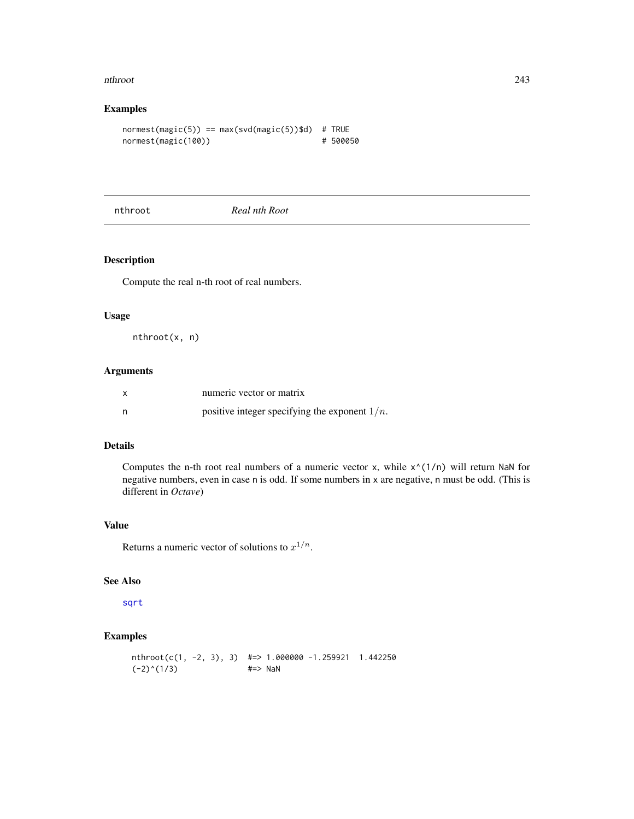#### nthroot 243

## Examples

```
normest(magic(5)) == max(svd(magic(5))$d) # TRUEnormest(magic(100)) # 500050
```
nthroot *Real nth Root*

## Description

Compute the real n-th root of real numbers.

## Usage

nthroot(x, n)

## Arguments

|   | numeric vector or matrix                         |
|---|--------------------------------------------------|
| n | positive integer specifying the exponent $1/n$ . |

## Details

Computes the n-th root real numbers of a numeric vector x, while  $x^{\wedge}(1/n)$  will return NaN for negative numbers, even in case n is odd. If some numbers in x are negative, n must be odd. (This is different in *Octave*)

## Value

Returns a numeric vector of solutions to  $x^{1/n}$ .

### See Also

[sqrt](#page-0-0)

## Examples

nthroot(c(1, -2, 3), 3)  $\# \Rightarrow 1.000000 - 1.259921$  1.442250  $(-2)^(1/3)$  #=> NaN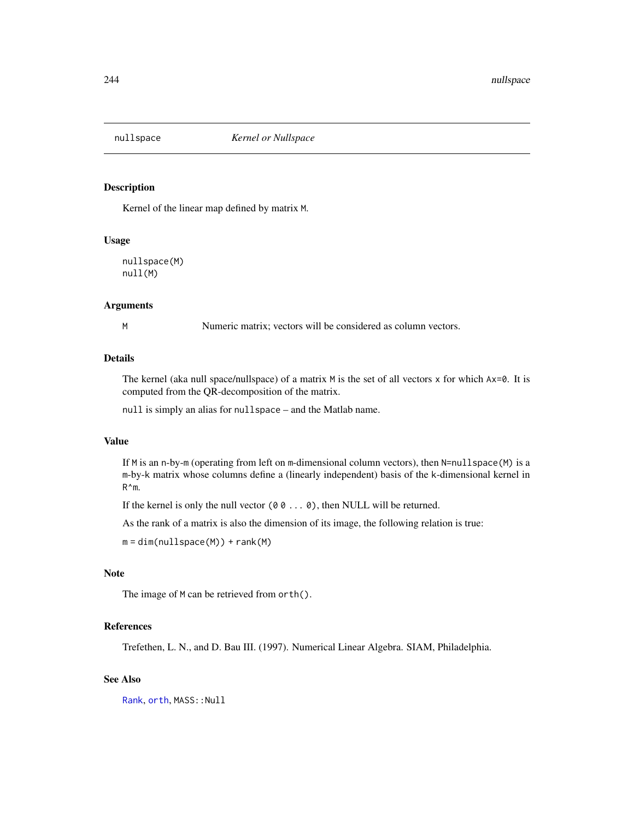<span id="page-243-0"></span>

Kernel of the linear map defined by matrix M.

#### Usage

nullspace(M) null(M)

### Arguments

M Numeric matrix; vectors will be considered as column vectors.

## Details

The kernel (aka null space/nullspace) of a matrix  $M$  is the set of all vectors x for which  $Ax=0$ . It is computed from the QR-decomposition of the matrix.

null is simply an alias for nullspace – and the Matlab name.

#### Value

If M is an n-by-m (operating from left on m-dimensional column vectors), then N=nullspace(M) is a m-by-k matrix whose columns define a (linearly independent) basis of the k-dimensional kernel in R^m.

If the kernel is only the null vector  $(0 0 ... 0)$ , then NULL will be returned.

As the rank of a matrix is also the dimension of its image, the following relation is true:

 $m = dim(nullspace(M)) + rank(M)$ 

## Note

The image of M can be retrieved from orth().

## References

Trefethen, L. N., and D. Bau III. (1997). Numerical Linear Algebra. SIAM, Philadelphia.

#### See Also

[Rank](#page-304-0), [orth](#page-250-0), MASS:: Null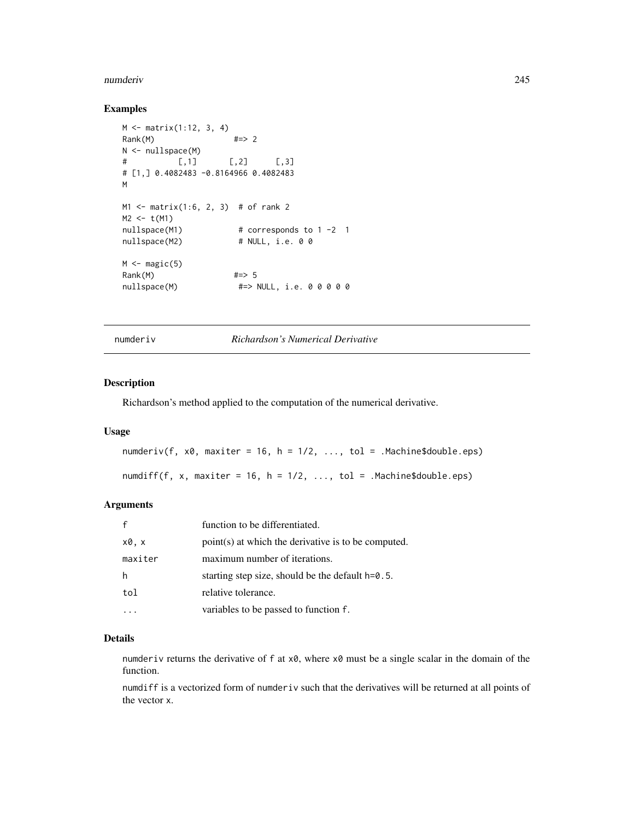#### numderiv 245

## Examples

```
M <- matrix(1:12, 3, 4)
Rank(M) \#2>2N <- nullspace(M)
# [,1] [,2] [,3]
# [1,] 0.4082483 -0.8164966 0.4082483
M
M1 <- matrix(1:6, 2, 3) # of rank 2
M2 < - t(M1)nullspace(M1) # corresponds to 1 -2 1
nullspace(M2) # NULL, i.e. 0 0
M \leftarrow magic(5)Rank(M) #=> 5
nullspace(M) #=> NULL, i.e. 0 0 0 0 0
```
numderiv *Richardson's Numerical Derivative*

## Description

Richardson's method applied to the computation of the numerical derivative.

## Usage

numderiv(f,  $x0$ , maxiter = 16, h = 1/2, ..., tol = .Machine\$double.eps)

numdiff(f, x, maxiter = 16, h =  $1/2$ , ..., tol = .Machine\$double.eps)

## Arguments

| $\mathbf{f}$ | function to be differentiated.                      |
|--------------|-----------------------------------------------------|
| x0, x        | point(s) at which the derivative is to be computed. |
| maxiter      | maximum number of iterations.                       |
| h            | starting step size, should be the default $h=0.5$ . |
| tol          | relative tolerance.                                 |
|              | variables to be passed to function f.               |

#### Details

numderiv returns the derivative of  $f$  at  $x0$ , where  $x0$  must be a single scalar in the domain of the function.

numdiff is a vectorized form of numderiv such that the derivatives will be returned at all points of the vector x.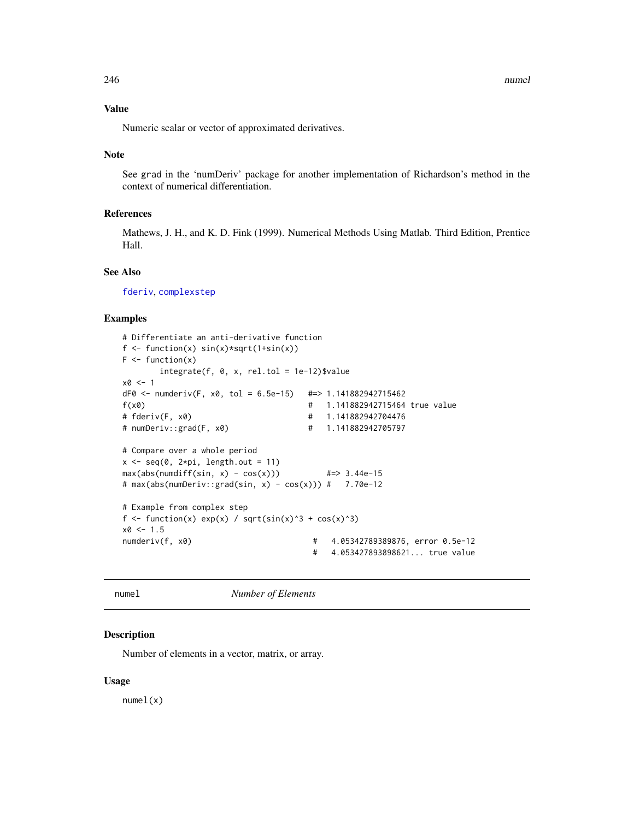## Value

Numeric scalar or vector of approximated derivatives.

#### Note

See grad in the 'numDeriv' package for another implementation of Richardson's method in the context of numerical differentiation.

## References

Mathews, J. H., and K. D. Fink (1999). Numerical Methods Using Matlab. Third Edition, Prentice Hall.

## See Also

[fderiv](#page-103-0), [complexstep](#page-58-0)

### Examples

```
# Differentiate an anti-derivative function
f \leftarrow function(x) sin(x) * sqrt(1+sin(x))F \leftarrow function(x)integerate(f, 0, x, rel.tol = 1e-12)$value
x0 < -1dF0 <- numderiv(F, x0, tol = 6.5e-15) #=> 1.141882942715462
f(x0) # 1.141882942715464 true value
# fderiv(F, x0) # 1.141882942704476
# numDeriv::grad(F, x0) # 1.141882942705797
# Compare over a whole period
x \leq -\text{seq}(0, 2*pi, length.out = 11)max(abs(numdiff(sin, x) - cos(x))) #=> 3.44e-15
# max(abs(numDeriv::grad(sin, x) - cos(x))) # 7.70e-12
# Example from complex step
f <- function(x) exp(x) / sqrt(sin(x)^3 + cos(x)^3)
x0 < -1.5numderiv(f, x0) # 4.05342789389876, error 0.5e-12
                                    # 4.053427893898621... true value
```
numel *Number of Elements*

## Description

Number of elements in a vector, matrix, or array.

#### Usage

numel(x)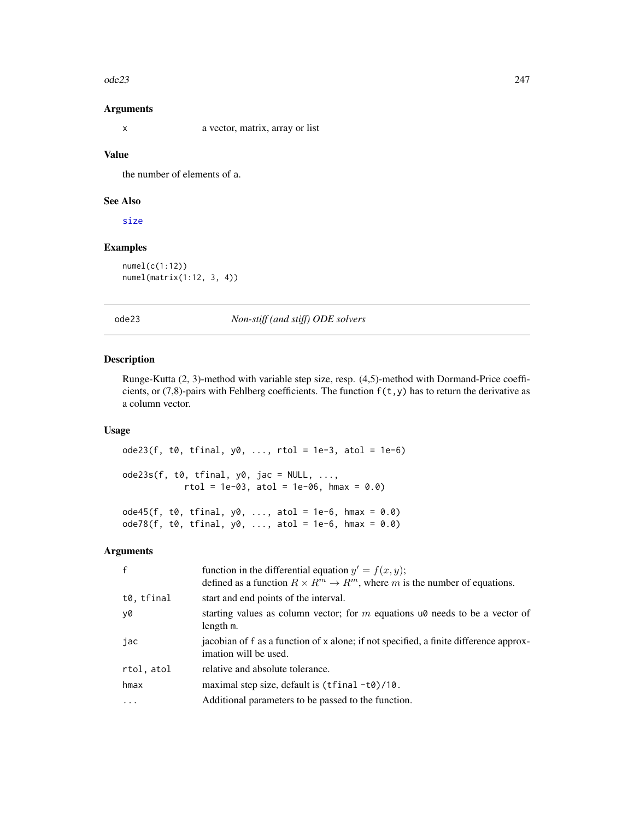#### $ode23$  247

#### Arguments

x a vector, matrix, array or list

## Value

the number of elements of a.

#### See Also

[size](#page-341-0)

## Examples

numel(c(1:12)) numel(matrix(1:12, 3, 4))

## <span id="page-246-0"></span>ode23 *Non-stiff (and stiff) ODE solvers*

## Description

Runge-Kutta (2, 3)-method with variable step size, resp. (4,5)-method with Dormand-Price coefficients, or (7,8)-pairs with Fehlberg coefficients. The function  $f(t,y)$  has to return the derivative as a column vector.

## Usage

 $ode23(f, t0, tfinal, y0, ..., rtol = 1e-3, atol = 1e-6)$  $ode23s(f, t0, tfinal, y0, jac = NULL, ...,$  $rtol = 1e-03$ ,  $atol = 1e-06$ ,  $hmax = 0.0$  $ode45(f, t0, tfinal, y0, ..., atol = 1e-6, hmax = 0.0)$ 

 $ode78(f, t0, tfinal, y0, ..., atol = 1e-6, hmax = 0.0)$ 

## Arguments

| $\mathsf{f}$ | function in the differential equation $y' = f(x, y)$ ;<br>defined as a function $R \times R^m \to R^m$ , where m is the number of equations. |
|--------------|----------------------------------------------------------------------------------------------------------------------------------------------|
| t0, tfinal   | start and end points of the interval.                                                                                                        |
| y0           | starting values as column vector; for $m$ equations $\alpha$ needs to be a vector of<br>length m.                                            |
| jac          | jacobian of f as a function of x alone; if not specified, a finite difference approx-<br>imation will be used.                               |
| rtol, atol   | relative and absolute tolerance.                                                                                                             |
| hmax         | maximal step size, default is $(tfinal -t0)/10$ .                                                                                            |
| .            | Additional parameters to be passed to the function.                                                                                          |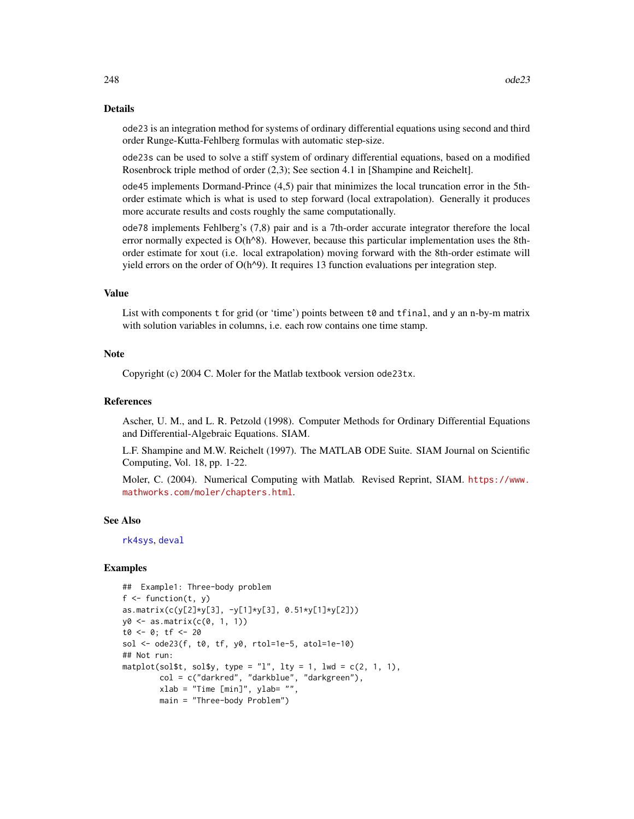#### Details

ode23 is an integration method for systems of ordinary differential equations using second and third order Runge-Kutta-Fehlberg formulas with automatic step-size.

ode23s can be used to solve a stiff system of ordinary differential equations, based on a modified Rosenbrock triple method of order (2,3); See section 4.1 in [Shampine and Reichelt].

ode45 implements Dormand-Prince (4,5) pair that minimizes the local truncation error in the 5thorder estimate which is what is used to step forward (local extrapolation). Generally it produces more accurate results and costs roughly the same computationally.

ode78 implements Fehlberg's (7,8) pair and is a 7th-order accurate integrator therefore the local error normally expected is  $O(h^8)$ . However, because this particular implementation uses the 8thorder estimate for xout (i.e. local extrapolation) moving forward with the 8th-order estimate will yield errors on the order of  $O(h^2)$ . It requires 13 function evaluations per integration step.

## Value

List with components t for grid (or 'time') points between t0 and tfinal, and y an n-by-m matrix with solution variables in columns, i.e. each row contains one time stamp.

#### Note

Copyright (c) 2004 C. Moler for the Matlab textbook version ode23tx.

#### References

Ascher, U. M., and L. R. Petzold (1998). Computer Methods for Ordinary Differential Equations and Differential-Algebraic Equations. SIAM.

L.F. Shampine and M.W. Reichelt (1997). The MATLAB ODE Suite. SIAM Journal on Scientific Computing, Vol. 18, pp. 1-22.

Moler, C. (2004). Numerical Computing with Matlab. Revised Reprint, SIAM. [https://www.](https://www.mathworks.com/moler/chapters.html) [mathworks.com/moler/chapters.html](https://www.mathworks.com/moler/chapters.html).

#### See Also

[rk4sys](#page-317-0), [deval](#page-78-0)

```
## Example1: Three-body problem
f \leftarrow function(t, y)as.matrix(c(y[2]*y[3], -y[1]*y[3], 0.51*y[1]*y[2]))
y0 <- as.matrix(c(0, 1, 1))
t0 <- 0; tf <- 20
sol <- ode23(f, t0, tf, y0, rtol=1e-5, atol=1e-10)
## Not run:
matplot(sol$t, sol$y, type = "l", lty = 1, lwd = c(2, 1, 1),
        col = c("darkred", "darkblue", "darkgreen"),
        xlab = "Time [min]", ylab= "",
       main = "Three-body Problem")
```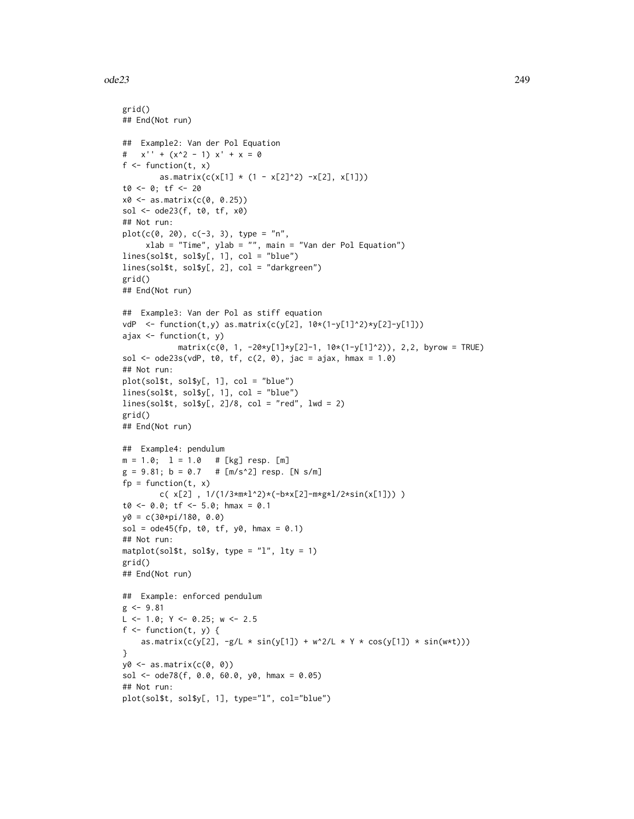#### $ode23$  249

```
grid()
## End(Not run)
## Example2: Van der Pol Equation
# x'' + (x^2 - 1) x' + x = 0f \leftarrow function(t, x)as.matrix(c(x[1] * (1 - x[2]^2) -x[2], x[1]))
t0 <- 0; tf <- 20
x0 \leq -a s.matrix(c(0, 0.25))sol <- ode23(f, t0, tf, x0)
## Not run:
plot(c(0, 20), c(-3, 3), type = "n",xlab = "Time", ylab = "", main = "Van der Pol Equation")
lines(sol$t, sol$y[, 1], col = "blue")
lines(sol$t, sol$y[, 2], col = "darkgreen")
grid()
## End(Not run)
## Example3: Van der Pol as stiff equation
vdP <- function(t,y) as.matrix(c(y[2], 10*(1-y[1]^2)*y[2]-y[1]))
ajax <- function(t, y)
            matrix(c(0, 1, -20*y[1]*y[2]-1, 10*(1-y[1]^2)), 2,2, byrow = TRUE)
sol \leq ode23s(vdP, t0, tf, c(2, 0), jac = ajax, hmax = 1.0)
## Not run:
plot(sol$t, sol$y[, 1], col = "blue")
lines(sol$t, sol$y[, 1], col = "blue")
lines(sol$t, sol$y[, 2]/8, col = "red", lwd = 2)
grid()
## End(Not run)
## Example4: pendulum
m = 1.0; 1 = 1.0 # [kg] resp. [m]
g = 9.81; b = 0.7 # [m/s^2] resp. [N s/m]
fp = function(t, x)c( x[2] , 1/(1/3*m*1^2)*(-b*x[2]-m*gx1/2*sin(x[1])) )
t0 \le -0.0; tf \le -5.0; hmax = 0.1
y0 = c(30*pi/180, 0.0)
sol = ode45(fp, t0, tf, y0, hmax = 0.1)## Not run:
matplot(sol$t, sol$y, type = "l", lty = 1)grid()
## End(Not run)
## Example: enforced pendulum
g \le -9.81L \le -1.0; Y \le -0.25; w \le -2.5f \leftarrow function(t, y) {
    as.matrix(c(y[2], -g/L \times sin(y[1]) + w^2/L \times Y \times cos(y[1]) \times sin(w*t)))}
y0 \leftarrow as.matrix(c(0, 0))sol <- ode78(f, 0.0, 60.0, y0, hmax = 0.05)
## Not run:
plot(sol$t, sol$y[, 1], type="l", col="blue")
```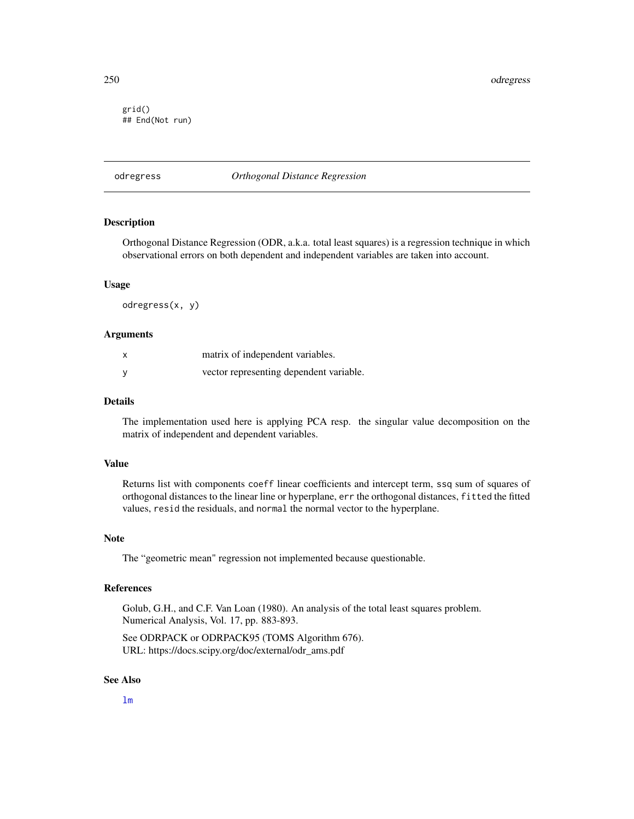250 odregress

grid() ## End(Not run)

## odregress *Orthogonal Distance Regression*

## **Description**

Orthogonal Distance Regression (ODR, a.k.a. total least squares) is a regression technique in which observational errors on both dependent and independent variables are taken into account.

#### Usage

odregress(x, y)

## Arguments

| $\boldsymbol{\mathsf{x}}$ | matrix of independent variables.        |
|---------------------------|-----------------------------------------|
| <b>V</b>                  | vector representing dependent variable. |

#### Details

The implementation used here is applying PCA resp. the singular value decomposition on the matrix of independent and dependent variables.

#### Value

Returns list with components coeff linear coefficients and intercept term, ssq sum of squares of orthogonal distances to the linear line or hyperplane, err the orthogonal distances, fitted the fitted values, resid the residuals, and normal the normal vector to the hyperplane.

#### **Note**

The "geometric mean" regression not implemented because questionable.

## References

Golub, G.H., and C.F. Van Loan (1980). An analysis of the total least squares problem. Numerical Analysis, Vol. 17, pp. 883-893.

See ODRPACK or ODRPACK95 (TOMS Algorithm 676). URL: https://docs.scipy.org/doc/external/odr\_ams.pdf

## See Also

[lm](#page-0-0)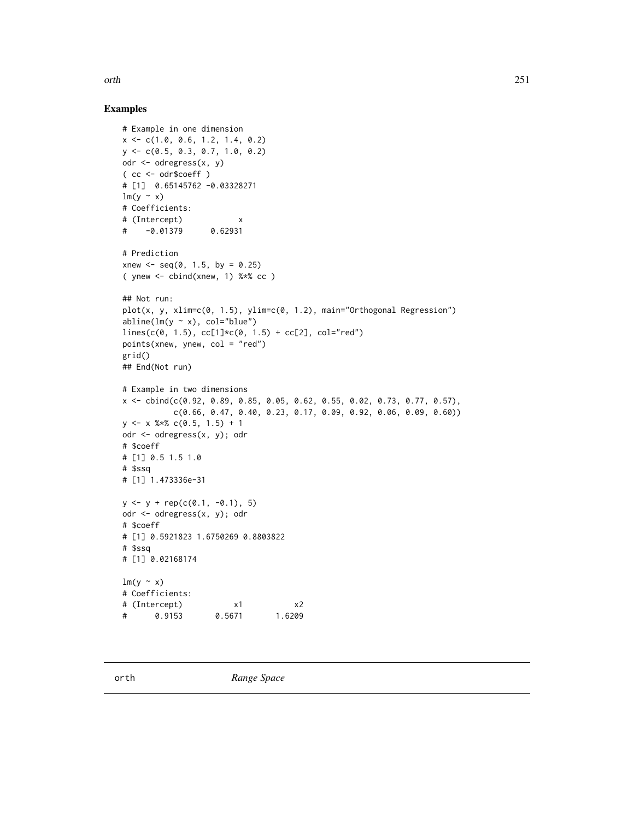orth 251

```
# Example in one dimension
x <- c(1.0, 0.6, 1.2, 1.4, 0.2)
y <- c(0.5, 0.3, 0.7, 1.0, 0.2)
odr <- odregress(x, y)
( cc <- odr$coeff )
# [1] 0.65145762 -0.03328271
lm(y \sim x)# Coefficients:
# (Intercept) x
# -0.01379 0.62931
# Prediction
xnew \leq seq(0, 1.5, by = 0.25)
( ynew \le cbind(xnew, 1) %*% cc )
## Not run:
plot(x, y, xlim=c(0, 1.5), ylim=c(0, 1.2), main="Orthogonal Regression")
abline(lm(y \sim x), col="blue")
lines(c(0, 1.5), cc[1]*c(0, 1.5) + cc[2], col="red")points(xnew, ynew, col = "red")
grid()
## End(Not run)
# Example in two dimensions
x <- cbind(c(0.92, 0.89, 0.85, 0.05, 0.62, 0.55, 0.02, 0.73, 0.77, 0.57),
          c(0.66, 0.47, 0.40, 0.23, 0.17, 0.09, 0.92, 0.06, 0.09, 0.60))
y \le -x %*% c(0.5, 1.5) + 1
odr <- odregress(x, y); odr
# $coeff
# [1] 0.5 1.5 1.0
# $ssq
# [1] 1.473336e-31
y \le y + rep(c(\emptyset.1, -\emptyset.1), 5)odr <- odregress(x, y); odr
# $coeff
# [1] 0.5921823 1.6750269 0.8803822
# $ssq
# [1] 0.02168174
lm(y \sim x)# Coefficients:
# (Intercept) x1 x2
# 0.9153 0.5671 1.6209
```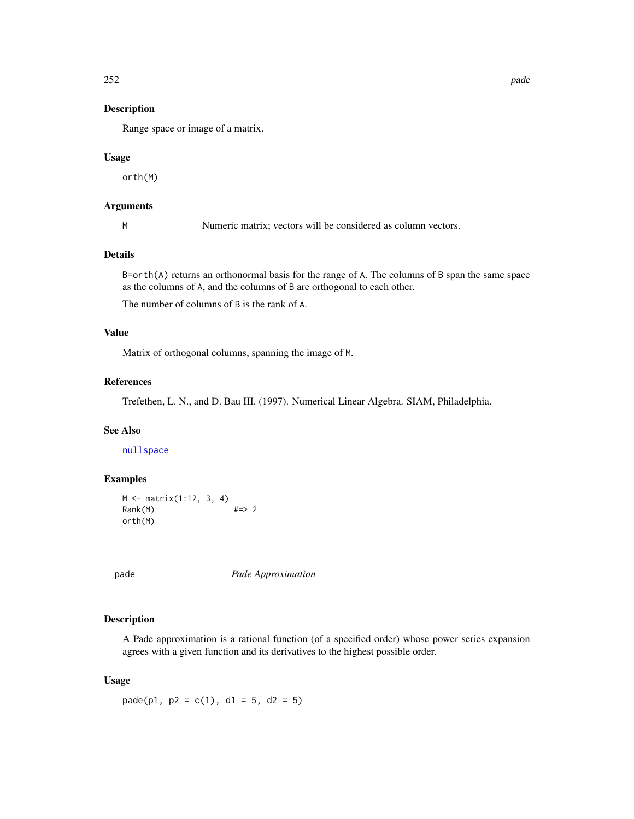Range space or image of a matrix.

#### Usage

orth(M)

## Arguments

M Numeric matrix; vectors will be considered as column vectors.

## Details

B=orth(A) returns an orthonormal basis for the range of A. The columns of B span the same space as the columns of A, and the columns of B are orthogonal to each other.

The number of columns of B is the rank of A.

## Value

Matrix of orthogonal columns, spanning the image of M.

## References

Trefethen, L. N., and D. Bau III. (1997). Numerical Linear Algebra. SIAM, Philadelphia.

## See Also

[nullspace](#page-243-0)

## Examples

```
M <- matrix(1:12, 3, 4)
Rank(M) #=> 2
orth(M)
```
pade *Pade Approximation*

## Description

A Pade approximation is a rational function (of a specified order) whose power series expansion agrees with a given function and its derivatives to the highest possible order.

#### Usage

 $pade(p1, p2 = c(1), d1 = 5, d2 = 5)$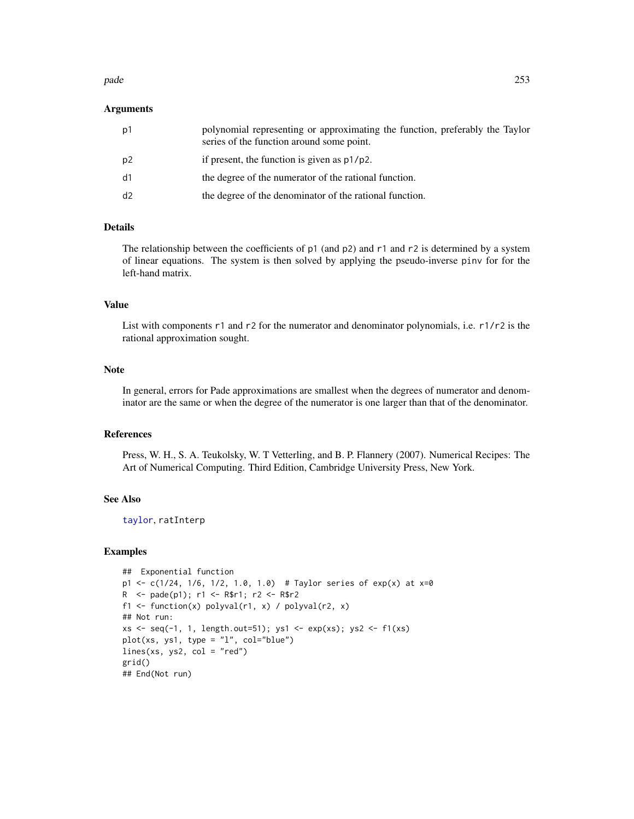#### pade 253

### Arguments

| p1             | polynomial representing or approximating the function, preferably the Taylor<br>series of the function around some point. |
|----------------|---------------------------------------------------------------------------------------------------------------------------|
| p <sub>2</sub> | if present, the function is given as $p1/p2$ .                                                                            |
| d1             | the degree of the numerator of the rational function.                                                                     |
| d <sub>2</sub> | the degree of the denominator of the rational function.                                                                   |

# Details

The relationship between the coefficients of  $p1$  (and  $p2$ ) and  $r1$  and  $r2$  is determined by a system of linear equations. The system is then solved by applying the pseudo-inverse pinv for for the left-hand matrix.

### Value

List with components r1 and r2 for the numerator and denominator polynomials, i.e. r1/r2 is the rational approximation sought.

### Note

In general, errors for Pade approximations are smallest when the degrees of numerator and denominator are the same or when the degree of the numerator is one larger than that of the denominator.

### References

Press, W. H., S. A. Teukolsky, W. T Vetterling, and B. P. Flannery (2007). Numerical Recipes: The Art of Numerical Computing. Third Edition, Cambridge University Press, New York.

### See Also

[taylor](#page-363-0), ratInterp

```
## Exponential function
p1 <- c(1/24, 1/6, 1/2, 1.0, 1.0) # Taylor series of exp(x) at x=0
R <- pade(p1); r1 <- R$r1; r2 <- R$r2
f1 <- function(x) polyval(r1, x) / polyval(r2, x)
## Not run:
xs \leftarrow seq(-1, 1, length.out=51); ys1 \leftarrow exp(xs); ys2 \leftarrow f1(xs)plot(xs, ys1, type = "l", col="blue")
lines(xs, ys2, col = "red")grid()
## End(Not run)
```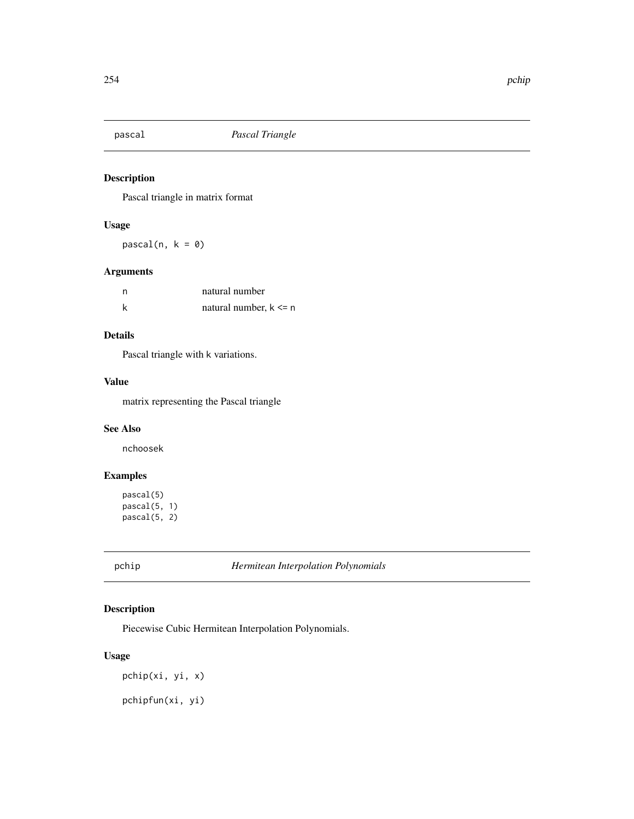Pascal triangle in matrix format

# Usage

 $pascal(n, k = 0)$ 

# Arguments

| n | natural number            |
|---|---------------------------|
|   | natural number, $k \le n$ |

# Details

Pascal triangle with k variations.

### Value

matrix representing the Pascal triangle

### See Also

nchoosek

# Examples

```
pascal(5)
pascal(5, 1)
pascal(5, 2)
```
pchip *Hermitean Interpolation Polynomials*

# Description

Piecewise Cubic Hermitean Interpolation Polynomials.

# Usage

pchip(xi, yi, x)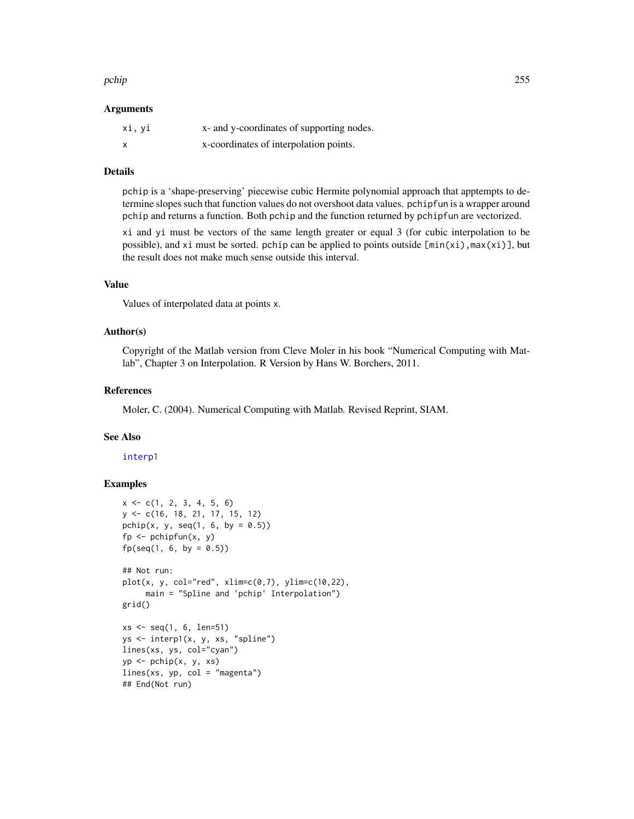#### pchip 255

#### Arguments

| xi, yi | x- and y-coordinates of supporting nodes. |
|--------|-------------------------------------------|
| X      | x-coordinates of interpolation points.    |

### Details

pchip is a 'shape-preserving' piecewise cubic Hermite polynomial approach that apptempts to determine slopes such that function values do not overshoot data values. pchipfun is a wrapper around pchip and returns a function. Both pchip and the function returned by pchipfun are vectorized.

xi and yi must be vectors of the same length greater or equal 3 (for cubic interpolation to be possible), and xi must be sorted. pchip can be applied to points outside  $[\min(x_i), \max(x_i)]$ , but the result does not make much sense outside this interval.

# Value

Values of interpolated data at points x.

### Author(s)

Copyright of the Matlab version from Cleve Moler in his book "Numerical Computing with Matlab", Chapter 3 on Interpolation. R Version by Hans W. Borchers, 2011.

### References

Moler, C. (2004). Numerical Computing with Matlab. Revised Reprint, SIAM.

# See Also

[interp1](#page-176-0)

```
x \leq -c(1, 2, 3, 4, 5, 6)y <- c(16, 18, 21, 17, 15, 12)
pchip(x, y, seq(1, 6, by = (0.5))
fp \leq pchipfun(x, y)fp(seq(1, 6, by = 0.5))## Not run:
plot(x, y, col="red", xlim=c(0,7), ylim=c(10,22),main = "Spline and 'pchip' Interpolation")
grid()
xs < -seq(1, 6, len=51)ys <- interp1(x, y, xs, "spline")
lines(xs, ys, col="cyan")
yp <- pchip(x, y, xs)
lines(xs, yp, col = "magenta")## End(Not run)
```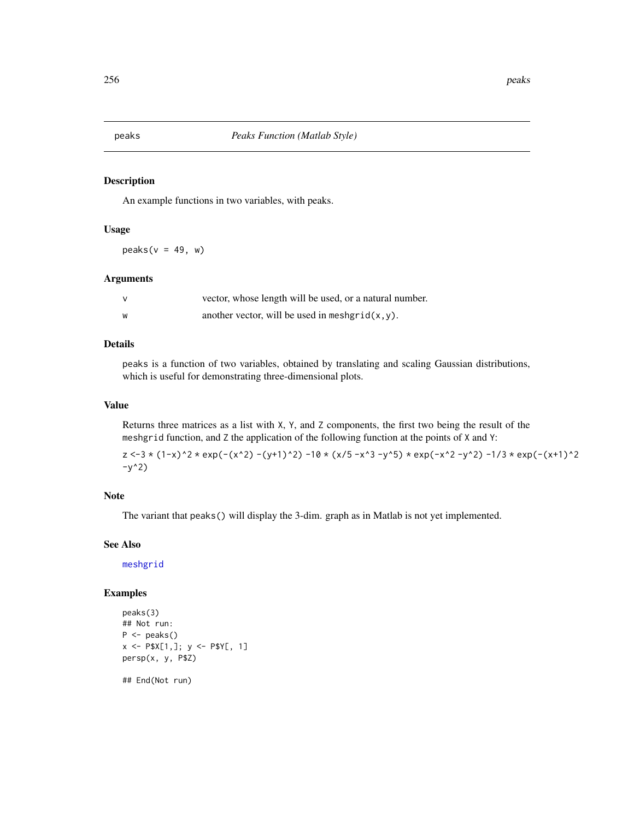An example functions in two variables, with peaks.

### Usage

 $peaks(v = 49, w)$ 

### Arguments

| v | vector, whose length will be used, or a natural number. |
|---|---------------------------------------------------------|
| W | another vector, will be used in meshgrid $(x, y)$ .     |

### Details

peaks is a function of two variables, obtained by translating and scaling Gaussian distributions, which is useful for demonstrating three-dimensional plots.

### Value

Returns three matrices as a list with X, Y, and Z components, the first two being the result of the meshgrid function, and Z the application of the following function at the points of X and Y:

 $z \le -3 \times (1-x)^2 \times \exp(-(x^2) - (y+1)^2) -10 \times (x/5 - x^3 - y^5) \times \exp(-x^2 - y^2) -1/3 \times \exp(-(x+1)^2)$  $-y^2$ )

### Note

The variant that peaks() will display the 3-dim. graph as in Matlab is not yet implemented.

### See Also

[meshgrid](#page-216-0)

```
peaks(3)
## Not run:
P \leftarrow peaks()
x \le -P$X[1,]; y \le -P$Y[, 1]
persp(x, y, P$Z)
## End(Not run)
```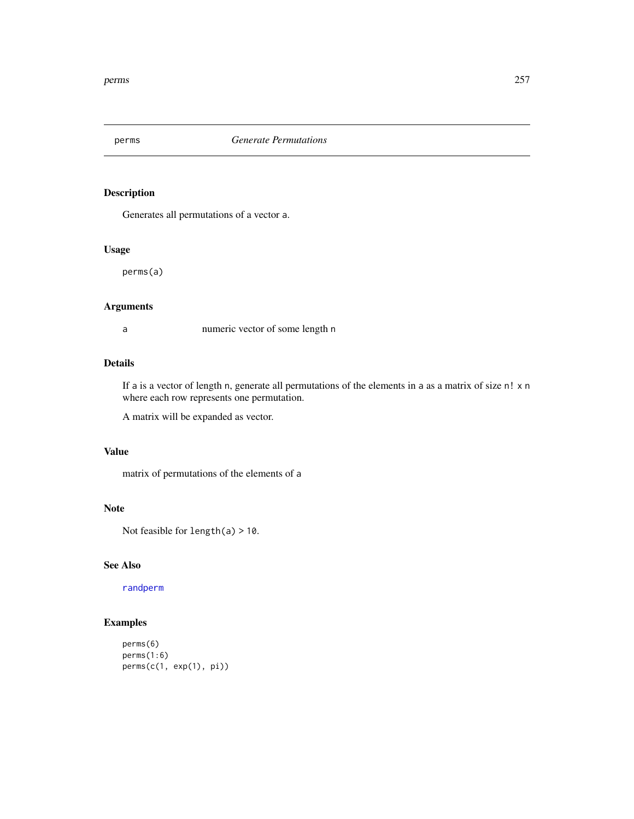Generates all permutations of a vector a.

# Usage

perms(a)

# Arguments

a numeric vector of some length n

### Details

If a is a vector of length n, generate all permutations of the elements in a as a matrix of size n! x n where each row represents one permutation.

A matrix will be expanded as vector.

# Value

matrix of permutations of the elements of a

### Note

Not feasible for length(a) > 10.

### See Also

[randperm](#page-303-0)

```
perms(6)
perms(1:6)
perms(c(1, exp(1), pi))
```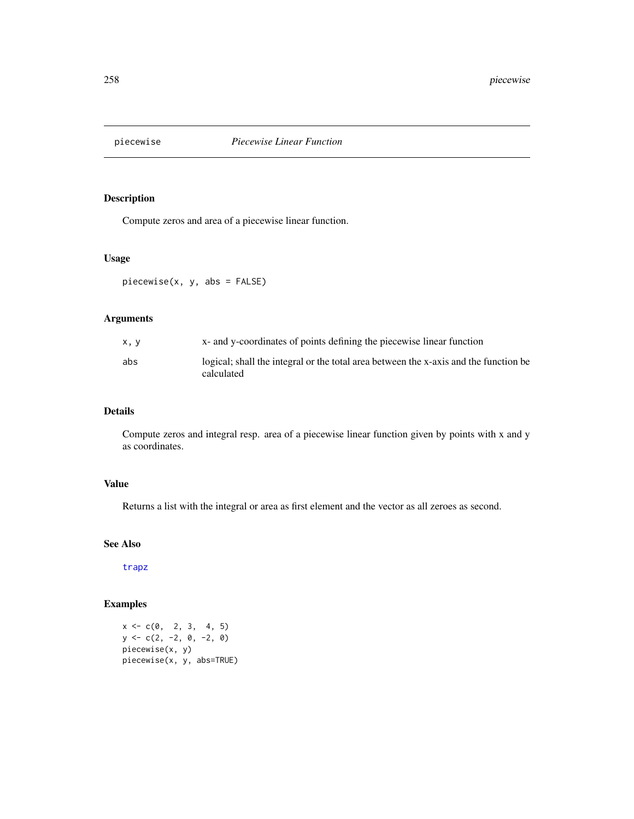Compute zeros and area of a piecewise linear function.

### Usage

piecewise(x, y, abs = FALSE)

# Arguments

| x, y | x- and y-coordinates of points defining the piecewise linear function                              |
|------|----------------------------------------------------------------------------------------------------|
| abs  | logical; shall the integral or the total area between the x-axis and the function be<br>calculated |

# Details

Compute zeros and integral resp. area of a piecewise linear function given by points with x and y as coordinates.

# Value

Returns a list with the integral or area as first element and the vector as all zeroes as second.

### See Also

[trapz](#page-367-0)

# Examples

 $x \leq -c(0, 2, 3, 4, 5)$  $y \leftarrow c(2, -2, 0, -2, 0)$ piecewise(x, y) piecewise(x, y, abs=TRUE)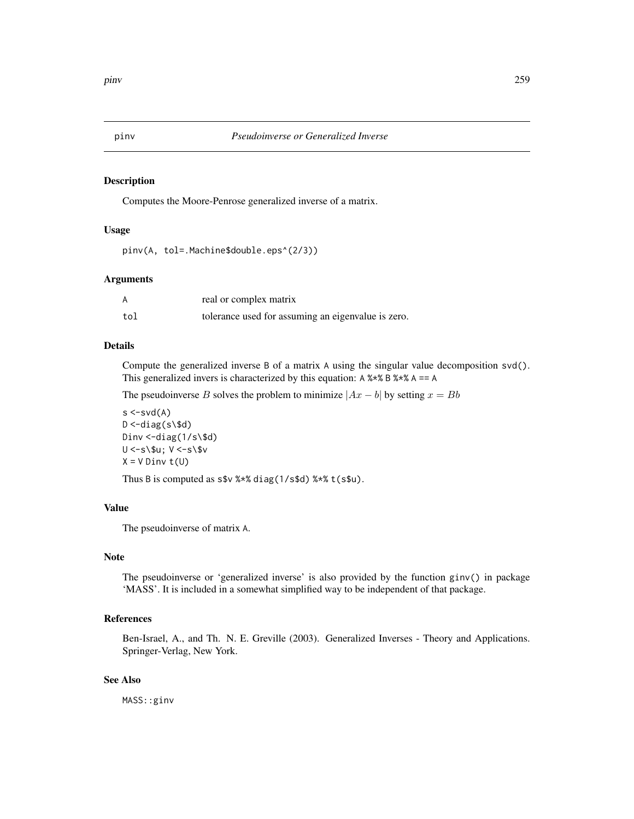Computes the Moore-Penrose generalized inverse of a matrix.

### Usage

pinv(A, tol=.Machine\$double.eps^(2/3))

### Arguments

| А   | real or complex matrix                             |
|-----|----------------------------------------------------|
| tol | tolerance used for assuming an eigenvalue is zero. |

### Details

Compute the generalized inverse B of a matrix A using the singular value decomposition svd(). This generalized invers is characterized by this equation:  $A$  %  $\frac{1}{2}$  &  $\frac{1}{2}$  &  $\frac{1}{2}$  A =  $\frac{1}{2}$  A

The pseudoinverse B solves the problem to minimize  $|Ax - b|$  by setting  $x = Bb$ 

```
s < -svd(A)D < -diag(s \ d)
Dinv <-diag(1/s\$d)
U <-s\$u; V <-s\$v
X = V Dinv t(U)
```
Thus B is computed as  $ssv$  %\*% diag(1/s\$d) %\*% t(s\$u).

# Value

The pseudoinverse of matrix A.

# Note

The pseudoinverse or 'generalized inverse' is also provided by the function ginv() in package 'MASS'. It is included in a somewhat simplified way to be independent of that package.

# References

Ben-Israel, A., and Th. N. E. Greville (2003). Generalized Inverses - Theory and Applications. Springer-Verlag, New York.

### See Also

MASS::ginv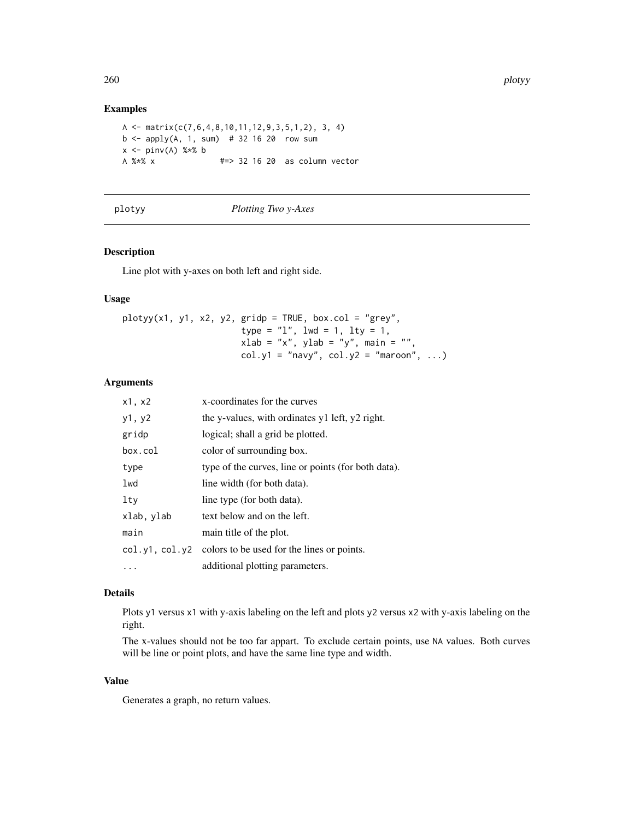### Examples

```
A \leftarrow \text{matrix}(c(7, 6, 4, 8, 10, 11, 12, 9, 3, 5, 1, 2), 3, 4)b \le apply(A, 1, sum) # 32 16 20 row sum
x \leq -\text{pinv(A)} %*% b
A %*% x #=> 32 16 20 as column vector
```
#### plotyy *Plotting Two y-Axes*

### Description

Line plot with y-axes on both left and right side.

### Usage

 $plotyy(x1, y1, x2, y2, gridp = TRUE, box,col = "grey",$ type =  $"1",$  lwd = 1, lty = 1,  $x$ lab = "x", ylab = "y", main = "",  $col.y1 = "navy", col.y2 = "maron", ...)$ 

### Arguments

| $x1$ , $x2$ | x-coordinates for the curves                              |
|-------------|-----------------------------------------------------------|
| y1, y2      | the y-values, with ordinates y1 left, y2 right.           |
| gridp       | logical; shall a grid be plotted.                         |
| box.col     | color of surrounding box.                                 |
| type        | type of the curves, line or points (for both data).       |
| lwd         | line width (for both data).                               |
| lty         | line type (for both data).                                |
| xlab, ylab  | text below and on the left.                               |
| main        | main title of the plot.                                   |
|             | col.y1, col.y2 colors to be used for the lines or points. |
|             | additional plotting parameters.                           |

### Details

Plots y1 versus x1 with y-axis labeling on the left and plots y2 versus x2 with y-axis labeling on the right.

The x-values should not be too far appart. To exclude certain points, use NA values. Both curves will be line or point plots, and have the same line type and width.

### Value

Generates a graph, no return values.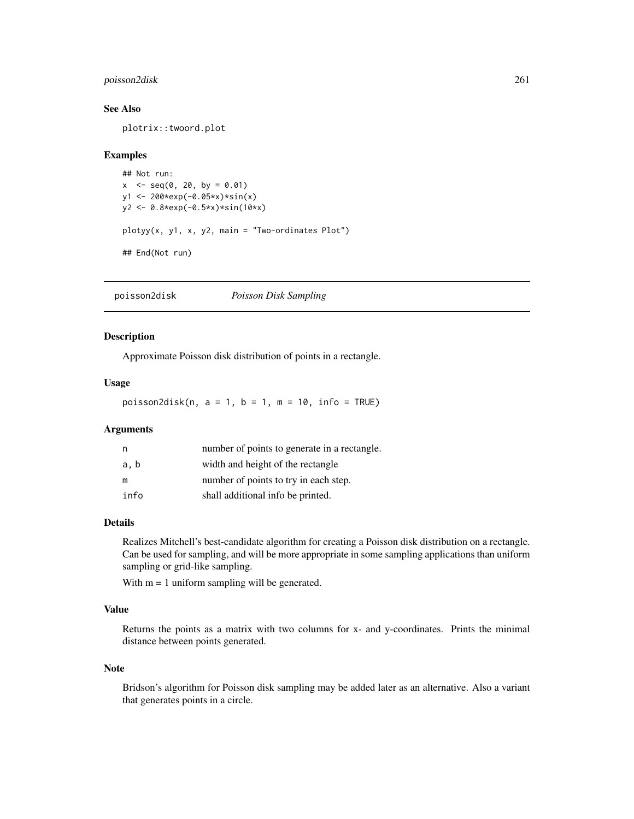### poisson2disk 261

#### See Also

plotrix::twoord.plot

#### Examples

```
## Not run:
x \leq -\text{seq}(0, 20, \text{ by } = 0.01)y1 <- 200*exp(-0.05*x)*sin(x)
y2 <- 0.8*exp(-0.5*x)*sin(10*x)
plotyy(x, y1, x, y2, main = "Two-ordinates Plot")
## End(Not run)
```
poisson2disk *Poisson Disk Sampling*

# Description

Approximate Poisson disk distribution of points in a rectangle.

### Usage

poisson2disk(n,  $a = 1$ ,  $b = 1$ ,  $m = 10$ ,  $info = TRUE$ )

### Arguments

| n    | number of points to generate in a rectangle. |
|------|----------------------------------------------|
| a, b | width and height of the rectangle            |
| m    | number of points to try in each step.        |
| info | shall additional info be printed.            |

### Details

Realizes Mitchell's best-candidate algorithm for creating a Poisson disk distribution on a rectangle. Can be used for sampling, and will be more appropriate in some sampling applications than uniform sampling or grid-like sampling.

With  $m = 1$  uniform sampling will be generated.

# Value

Returns the points as a matrix with two columns for x- and y-coordinates. Prints the minimal distance between points generated.

#### Note

Bridson's algorithm for Poisson disk sampling may be added later as an alternative. Also a variant that generates points in a circle.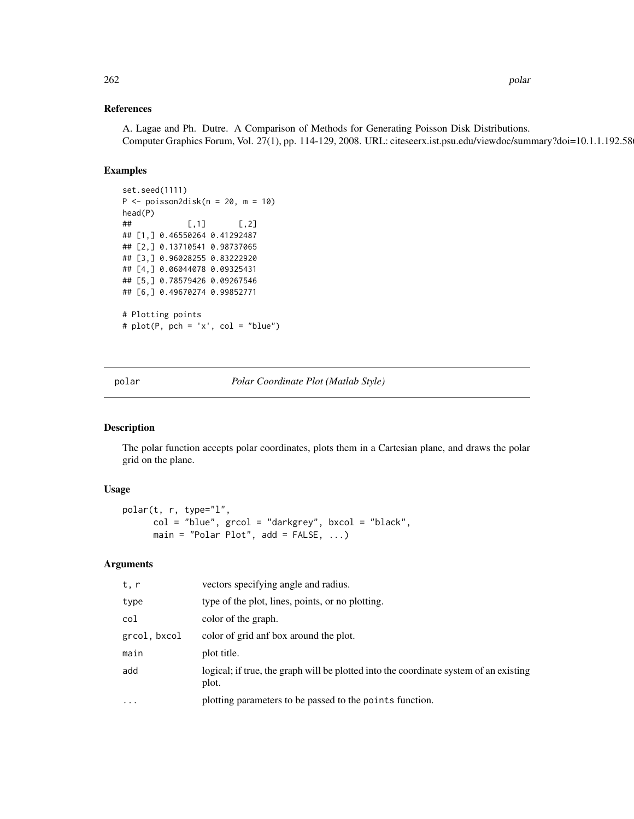### References

A. Lagae and Ph. Dutre. A Comparison of Methods for Generating Poisson Disk Distributions. Computer Graphics Forum, Vol. 27(1), pp. 114-129, 2008. URL: citeseerx.ist.psu.edu/viewdoc/summary?doi=10.1.1.192.5862

# Examples

```
set.seed(1111)
P <- poisson2disk(n = 20, m = 10)
head(P)
## [ ,1] [ ,2]## [1,] 0.46550264 0.41292487
## [2,] 0.13710541 0.98737065
## [3,] 0.96028255 0.83222920
## [4,] 0.06044078 0.09325431
## [5,] 0.78579426 0.09267546
## [6,] 0.49670274 0.99852771
# Plotting points
# plot(P, pch = 'x', col = "blue")
```
polar *Polar Coordinate Plot (Matlab Style)*

### Description

The polar function accepts polar coordinates, plots them in a Cartesian plane, and draws the polar grid on the plane.

# Usage

```
polar(t, r, type="l",
      col = "blue", grcol = "darkgrey", bxcol = "black",
      main = "Polar Plot", add = FALSE, ...)
```
### Arguments

| t, r         | vectors specifying angle and radius.                                                           |
|--------------|------------------------------------------------------------------------------------------------|
| type         | type of the plot, lines, points, or no plotting.                                               |
| col          | color of the graph.                                                                            |
| grcol, bxcol | color of grid anf box around the plot.                                                         |
| main         | plot title.                                                                                    |
| add          | logical; if true, the graph will be plotted into the coordinate system of an existing<br>plot. |
| $\ddots$     | plotting parameters to be passed to the points function.                                       |
|              |                                                                                                |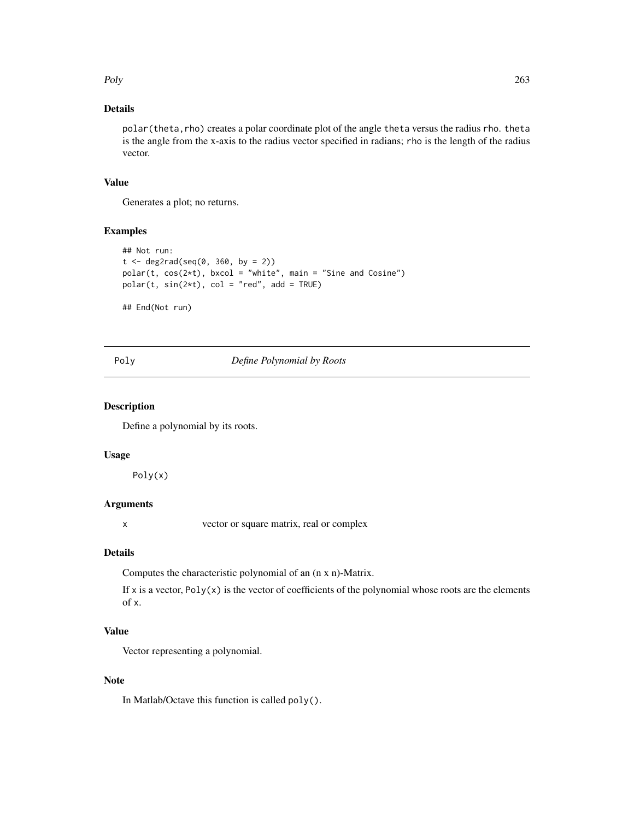Poly 263

# Details

polar (theta, rho) creates a polar coordinate plot of the angle theta versus the radius rho. theta is the angle from the x-axis to the radius vector specified in radians; rho is the length of the radius vector.

# Value

Generates a plot; no returns.

### Examples

```
## Not run:
t < - deg2rad(seq(0, 360, by = 2))
polar(t, cos(2*t), bxcol = "white", main = "Sine and Cosine")
polar(t, sin(2*t), col = "red", add = TRUE)
## End(Not run)
```
### Poly *Define Polynomial by Roots*

#### Description

Define a polynomial by its roots.

#### Usage

Poly(x)

# Arguments

x vector or square matrix, real or complex

# Details

Computes the characteristic polynomial of an (n x n)-Matrix.

If x is a vector,  $Poly(x)$  is the vector of coefficients of the polynomial whose roots are the elements of x.

# Value

Vector representing a polynomial.

### **Note**

In Matlab/Octave this function is called poly().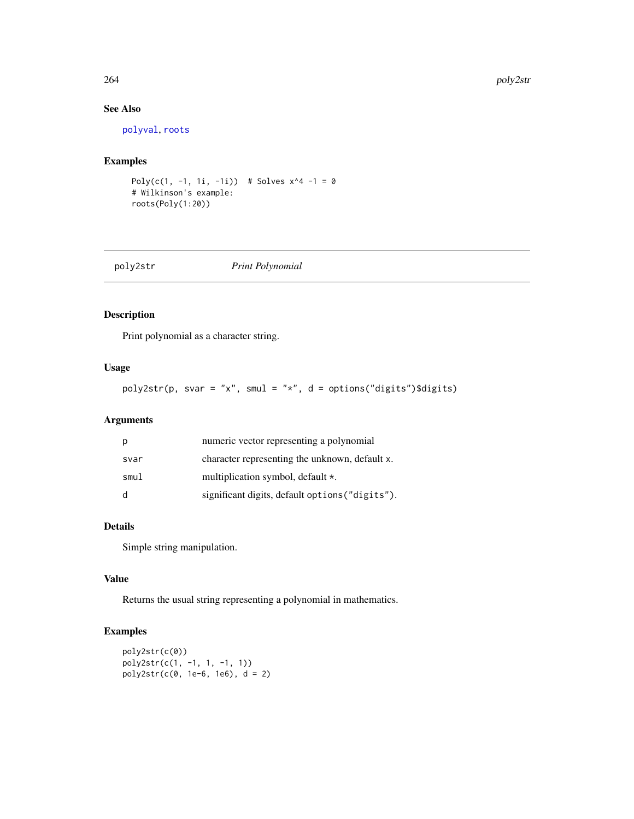# See Also

[polyval](#page-276-0), [roots](#page-322-0)

### Examples

```
Poly(c(1, -1, 1i, -1i)) # Solves x^4 -1 = 0
# Wilkinson's example:
roots(Poly(1:20))
```
# poly2str *Print Polynomial*

# Description

Print polynomial as a character string.

# Usage

 $poly2str(p, svar = "x", smu1 = "x", d = options("digits")$digits)$ 

# Arguments

| p            | numeric vector representing a polynomial        |
|--------------|-------------------------------------------------|
| svar         | character representing the unknown, default x.  |
| smul         | multiplication symbol, default *.               |
| <sub>d</sub> | significant digits, default options ("digits"). |

# Details

Simple string manipulation.

### Value

Returns the usual string representing a polynomial in mathematics.

```
poly2str(c(0))
poly2str(c(1, -1, 1, -1, 1))
poly2str(c(0, 1e-6, 1e6), d = 2)
```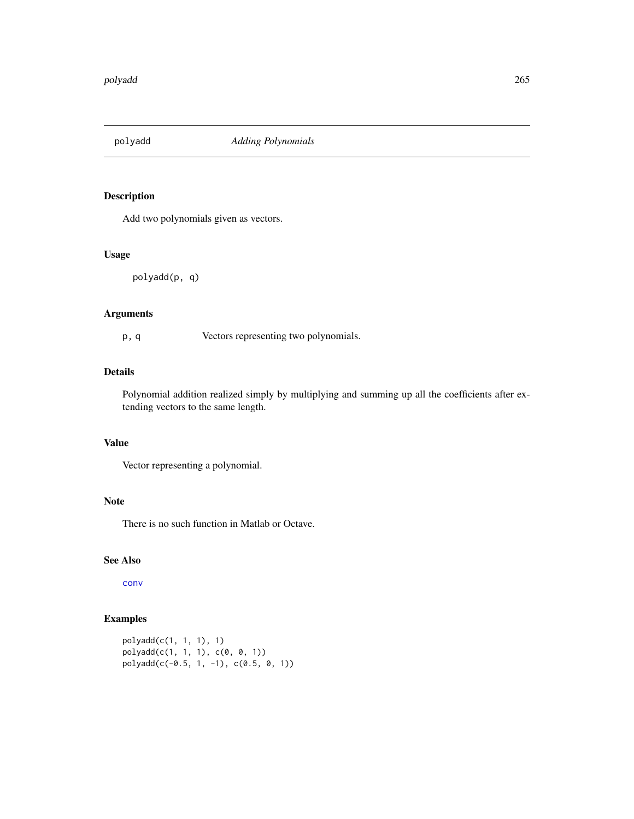Add two polynomials given as vectors.

# Usage

polyadd(p, q)

# Arguments

p, q Vectors representing two polynomials.

## Details

Polynomial addition realized simply by multiplying and summing up all the coefficients after extending vectors to the same length.

# Value

Vector representing a polynomial.

# Note

There is no such function in Matlab or Octave.

# See Also

[conv](#page-61-0)

```
polyadd(c(1, 1, 1), 1)
polyadd(c(1, 1, 1), c(0, 0, 1))
polyadd(c(-0.5, 1, -1), c(0.5, 0, 1))
```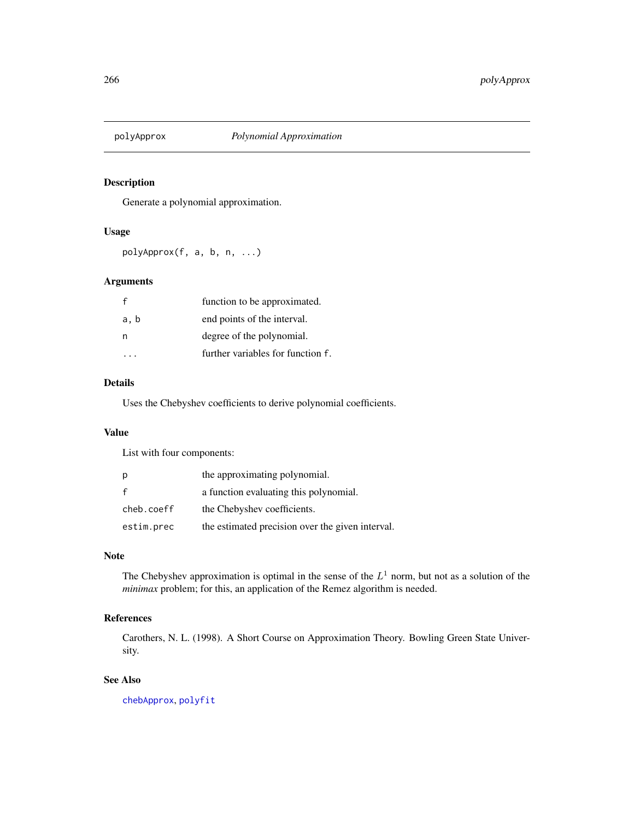Generate a polynomial approximation.

### Usage

polyApprox(f, a, b, n, ...)

# Arguments

|      | function to be approximated.      |
|------|-----------------------------------|
| a, b | end points of the interval.       |
| n    | degree of the polynomial.         |
|      | further variables for function f. |

### Details

Uses the Chebyshev coefficients to derive polynomial coefficients.

# Value

List with four components:

| p          | the approximating polynomial.                    |
|------------|--------------------------------------------------|
| f          | a function evaluating this polynomial.           |
| cheb.coeff | the Chebyshev coefficients.                      |
| estim.prec | the estimated precision over the given interval. |

# Note

The Chebyshev approximation is optimal in the sense of the  $L<sup>1</sup>$  norm, but not as a solution of the *minimax* problem; for this, an application of the Remez algorithm is needed.

# References

Carothers, N. L. (1998). A Short Course on Approximation Theory. Bowling Green State University.

### See Also

[chebApprox](#page-50-0), [polyfit](#page-269-0)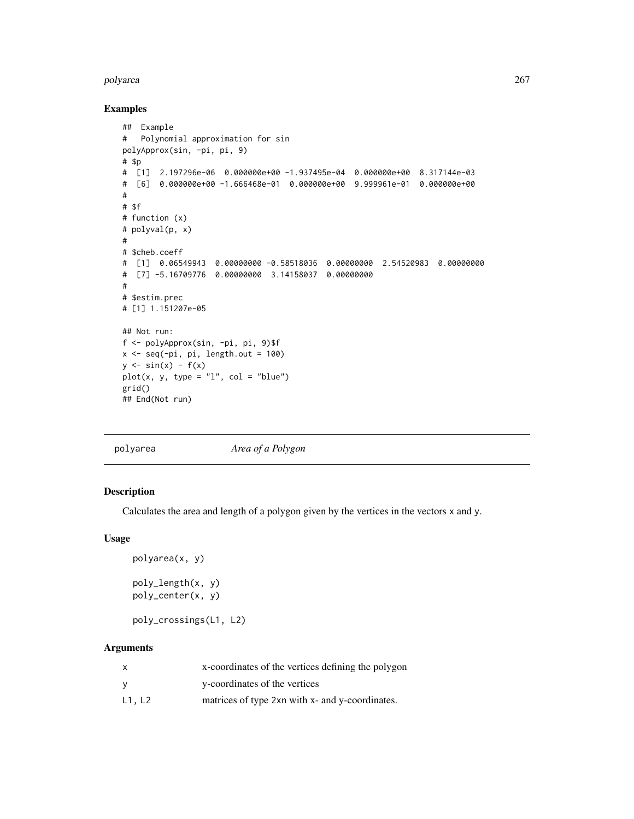#### polyarea 267

# Examples

```
## Example
# Polynomial approximation for sin
polyApprox(sin, -pi, pi, 9)
# $p
# [1] 2.197296e-06 0.000000e+00 -1.937495e-04 0.000000e+00 8.317144e-03
# [6] 0.000000e+00 -1.666468e-01 0.000000e+00 9.999961e-01 0.000000e+00
#
# $f
# function (x)
# polyval(p, x)
#
# $cheb.coeff
# [1] 0.06549943 0.00000000 -0.58518036 0.00000000 2.54520983 0.00000000
# [7] -5.16709776 0.00000000 3.14158037 0.00000000
#
# $estim.prec
# [1] 1.151207e-05
## Not run:
f <- polyApprox(sin, -pi, pi, 9)$f
x \leq -\text{seq}(-\text{pi}, \text{pi}, \text{length.out} = 100)y \leftarrow \sin(x) - f(x)plot(x, y, type = "l", col = "blue")grid()
## End(Not run)
```

| polyarea | Area of a Polygon |
|----------|-------------------|
|          |                   |

#### Description

Calculates the area and length of a polygon given by the vertices in the vectors x and y.

#### Usage

```
polyarea(x, y)
poly_length(x, y)
poly_center(x, y)
```
poly\_crossings(L1, L2)

# Arguments

| x      | x-coordinates of the vertices defining the polygon |
|--------|----------------------------------------------------|
| v      | y-coordinates of the vertices                      |
| L1, L2 | matrices of type 2xn with x- and y-coordinates.    |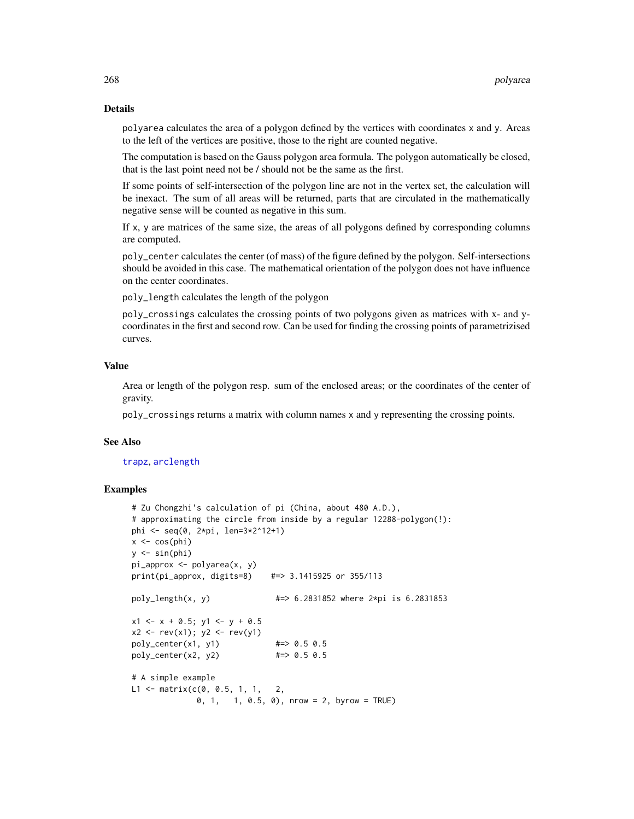#### Details

polyarea calculates the area of a polygon defined by the vertices with coordinates x and y. Areas to the left of the vertices are positive, those to the right are counted negative.

The computation is based on the Gauss polygon area formula. The polygon automatically be closed, that is the last point need not be / should not be the same as the first.

If some points of self-intersection of the polygon line are not in the vertex set, the calculation will be inexact. The sum of all areas will be returned, parts that are circulated in the mathematically negative sense will be counted as negative in this sum.

If x, y are matrices of the same size, the areas of all polygons defined by corresponding columns are computed.

poly\_center calculates the center (of mass) of the figure defined by the polygon. Self-intersections should be avoided in this case. The mathematical orientation of the polygon does not have influence on the center coordinates.

poly\_length calculates the length of the polygon

poly\_crossings calculates the crossing points of two polygons given as matrices with x- and ycoordinates in the first and second row. Can be used for finding the crossing points of parametrizised curves.

### Value

Area or length of the polygon resp. sum of the enclosed areas; or the coordinates of the center of gravity.

poly\_crossings returns a matrix with column names x and y representing the crossing points.

#### See Also

### [trapz](#page-367-0), [arclength](#page-24-0)

```
# Zu Chongzhi's calculation of pi (China, about 480 A.D.),
# approximating the circle from inside by a regular 12288-polygon(!):
phi <- seq(0, 2*pi, len=3*2^12+1)
x \leftarrow \cos(\pi h i)y \le -\sin(\pi h i)pi_approx <- polyarea(x, y)
print(pi_approx, digits=8) #=> 3.1415925 or 355/113
poly_length(x, y) #=> 6.2831852 where 2*pi is 6.2831853
x1 \leq -x + 0.5; y1 \leq -y + 0.5x2 \le -rev(x1); y2 \le -rev(y1)
poly_center(x1, y1) #=> 0.5 0.5
poly_center(x2, y2) #=> 0.5 0.5
# A simple example
L1 <- matrix(c(0, 0.5, 1, 1, 2, 1)0, 1, 1, 0.5, 0), nrow = 2, byrow = TRUE)
```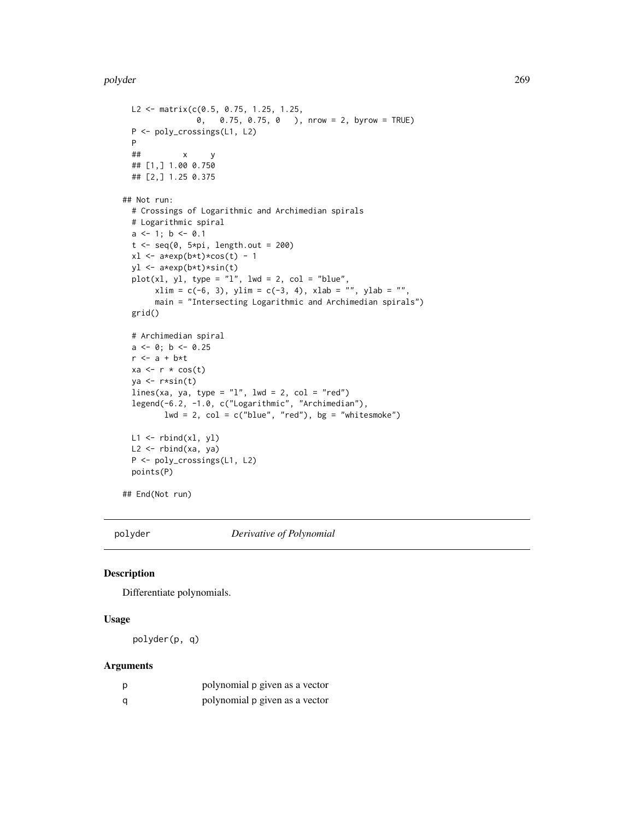```
L2 <- matrix(c(0.5, 0.75, 1.25, 1.25,
                0, 0.75, 0.75, 0 ), nrow = 2, byrow = TRUE)
 P <- poly_crossings(L1, L2)
 P
 ## x y
 ## [1,] 1.00 0.750
 ## [2,] 1.25 0.375
## Not run:
 # Crossings of Logarithmic and Archimedian spirals
 # Logarithmic spiral
 a \leq 1; b \leq 0.1t < -seq(0, 5*pi, length.out = 200)x1 \leftarrow a \ast exp(b \ast t) \ast cos(t) - 1yl <- a*exp(b*t)*sin(t)
 plot(x1, y1, type = "1", lwd = 2, col = "blue",xlim = c(-6, 3), ylim = c(-3, 4), xlab = "", ylab = "",main = "Intersecting Logarithmic and Archimedian spirals")
 grid()
 # Archimedian spiral
 a \leftarrow 0; b \leftarrow 0.25r <- a + b*t
 xa \leftarrow r * cos(t)ya \leftarrow r * sin(t)lines(xa, ya, type = "1", lwd = 2, col = "red")
 legend(-6.2, -1.0, c("Logarithmic", "Archimedian"),
         lwd = 2, col = c("blue", "red"), bg = "whitesmoke")L1 <- rbind(xl, yl)
 L2 <- rbind(xa, ya)
 P <- poly_crossings(L1, L2)
 points(P)
## End(Not run)
```
<span id="page-268-0"></span>polyder *Derivative of Polynomial*

### Description

Differentiate polynomials.

# Usage

polyder(p, q)

### Arguments

| p | polynomial p given as a vector |
|---|--------------------------------|
| a | polynomial p given as a vector |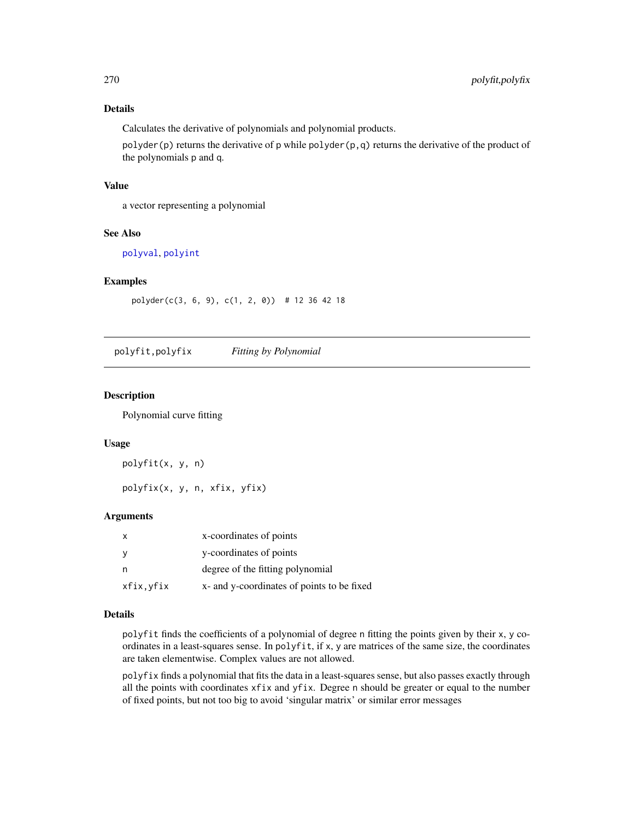# Details

Calculates the derivative of polynomials and polynomial products.

polyder(p) returns the derivative of p while polyder(p,q) returns the derivative of the product of the polynomials p and q.

### Value

a vector representing a polynomial

# See Also

[polyval](#page-276-0), [polyint](#page-271-0)

### Examples

polyder(c(3, 6, 9), c(1, 2, 0)) # 12 36 42 18

polyfit,polyfix *Fitting by Polynomial*

### <span id="page-269-0"></span>Description

Polynomial curve fitting

### Usage

polyfit(x, y, n)

polyfix(x, y, n, xfix, yfix)

### Arguments

|           | x-coordinates of points                    |
|-----------|--------------------------------------------|
|           | y-coordinates of points                    |
| n         | degree of the fitting polynomial           |
| xfix,yfix | x- and y-coordinates of points to be fixed |

### Details

polyfit finds the coefficients of a polynomial of degree n fitting the points given by their x, y coordinates in a least-squares sense. In polyfit, if x, y are matrices of the same size, the coordinates are taken elementwise. Complex values are not allowed.

polyfix finds a polynomial that fits the data in a least-squares sense, but also passes exactly through all the points with coordinates xfix and yfix. Degree n should be greater or equal to the number of fixed points, but not too big to avoid 'singular matrix' or similar error messages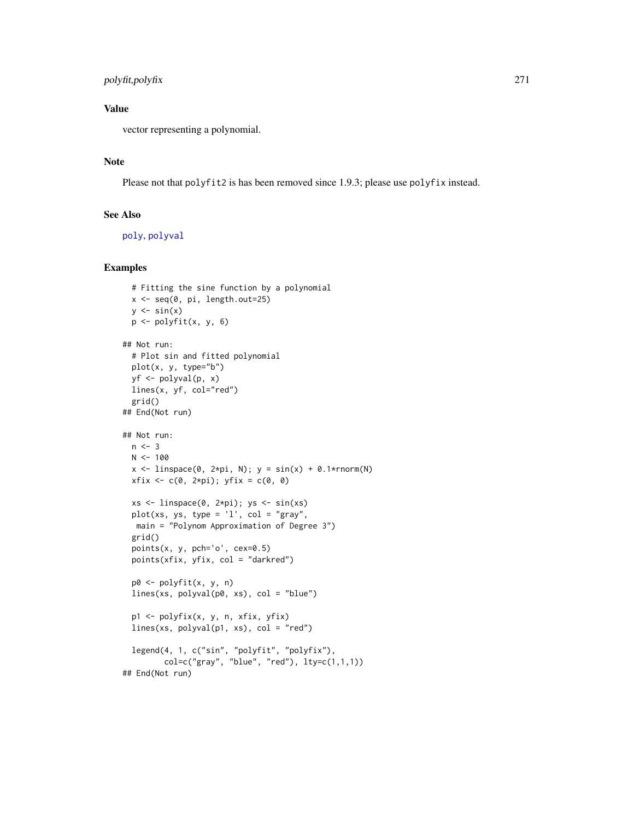# polyfit,polyfix 271

# Value

vector representing a polynomial.

# **Note**

Please not that polyfit2 is has been removed since 1.9.3; please use polyfix instead.

# See Also

[poly](#page-0-0), [polyval](#page-276-0)

```
# Fitting the sine function by a polynomial
 x <- seq(0, pi, length.out=25)
 y \le -\sin(x)p <- polyfit(x, y, 6)
## Not run:
 # Plot sin and fitted polynomial
 plot(x, y, type="b")
 yf <- polyval(p, x)
 lines(x, yf, col="red")
 grid()
## End(Not run)
## Not run:
 n < -3N < - 100x \le linspace(0, 2*pi, N); y = sin(x) + 0.1*rnorm(N)xfix \leftarrow c(0, 2*pi); yfix = c(0, 0)xs <- linspace(0, 2*pi); ys <- sin(xs)
 plot(xs, ys, type = 'l', col = "gray",main = "Polynom Approximation of Degree 3")
 grid()
 points(x, y, pch='o', cex=0.5)points(xfix, yfix, col = "darkred")
 p0 <- polyfit(x, y, n)
 lines(xs, polyval(p0, xs), col = "blue")p1 <- polyfix(x, y, n, xfix, yfix)
 lines(xs, polyval(p1, xs), col = "red")
 legend(4, 1, c("sin", "polyfit", "polyfix"),
         col=c("gray", "blue", "red"), lty=c(1,1,1))
## End(Not run)
```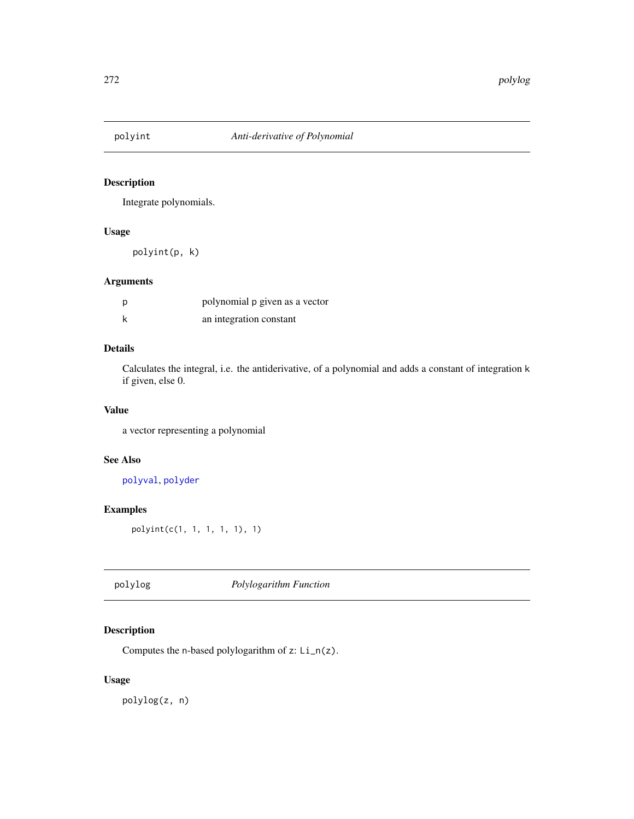<span id="page-271-0"></span>

Integrate polynomials.

# Usage

polyint(p, k)

# Arguments

| polynomial p given as a vector |
|--------------------------------|
| an integration constant        |

# Details

Calculates the integral, i.e. the antiderivative, of a polynomial and adds a constant of integration k if given, else 0.

# Value

a vector representing a polynomial

# See Also

[polyval](#page-276-0), [polyder](#page-268-0)

# Examples

polyint(c(1, 1, 1, 1, 1), 1)

polylog *Polylogarithm Function*

# Description

Computes the n-based polylogarithm of z: Li\_n(z).

# Usage

polylog(z, n)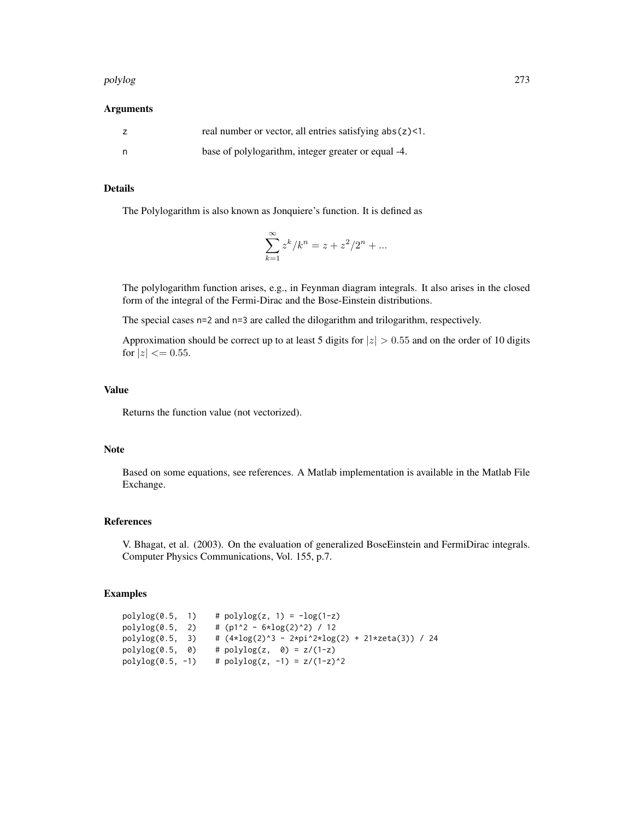#### polylog 273

### Arguments

| real number or vector, all entries satisfying $abs(z)$ <1. |
|------------------------------------------------------------|
| base of polylogarithm, integer greater or equal -4.        |

# Details

The Polylogarithm is also known as Jonquiere's function. It is defined as

$$
\sum_{k=1}^{\infty} z^k / k^n = z + z^2 / 2^n + \dots
$$

The polylogarithm function arises, e.g., in Feynman diagram integrals. It also arises in the closed form of the integral of the Fermi-Dirac and the Bose-Einstein distributions.

The special cases  $n=2$  and  $n=3$  are called the dilogarithm and trilogarithm, respectively.

Approximation should be correct up to at least 5 digits for  $|z| > 0.55$  and on the order of 10 digits for  $|z| \le 0.55$ .

#### Value

Returns the function value (not vectorized).

### Note

Based on some equations, see references. A Matlab implementation is available in the Matlab File Exchange.

### References

V. Bhagat, et al. (2003). On the evaluation of generalized BoseEinstein and FermiDirac integrals. Computer Physics Communications, Vol. 155, p.7.

| polylog(0.5, 1)    |    | # $polylog(z, 1) = -log(1-z)$                                                                     |
|--------------------|----|---------------------------------------------------------------------------------------------------|
| polylog(0.5, 2)    |    | # (p1^2 - 6*log(2)^2) / 12                                                                        |
| polylog(0.5, 3)    |    | # $(4 \times \log(2) \land 3 - 2 \times \pi \land 2 \times \log(2) + 21 \times \pi \land 3)$ / 24 |
| polylog(0.5,       | 0) | # polylog(z, $\theta$ ) = z/(1-z)                                                                 |
| $polylog(0.5, -1)$ |    | # polylog(z, -1) = $z/(1-z)^2$                                                                    |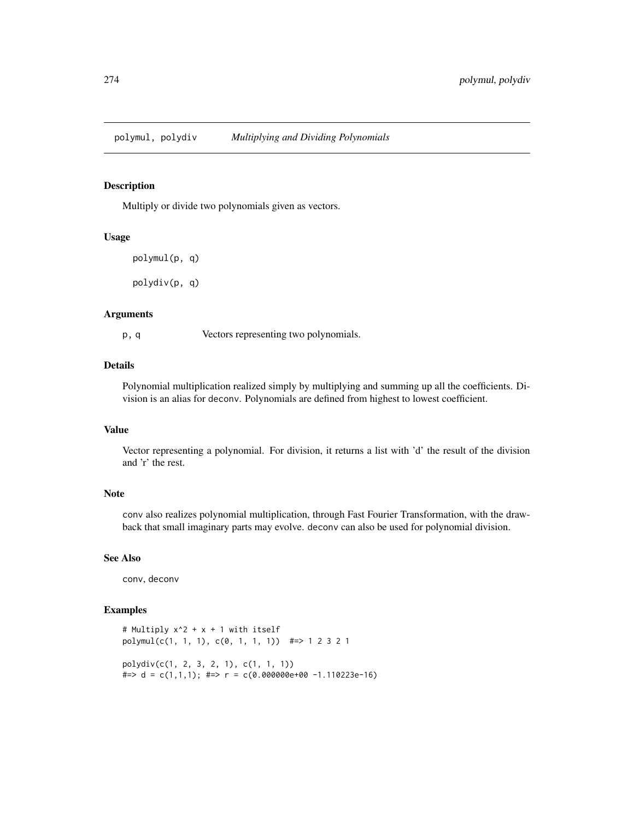<span id="page-273-0"></span>

Multiply or divide two polynomials given as vectors.

### Usage

```
polymul(p, q)
```
polydiv(p, q)

### Arguments

p, q Vectors representing two polynomials.

### Details

Polynomial multiplication realized simply by multiplying and summing up all the coefficients. Division is an alias for deconv. Polynomials are defined from highest to lowest coefficient.

#### Value

Vector representing a polynomial. For division, it returns a list with 'd' the result of the division and 'r' the rest.

#### Note

conv also realizes polynomial multiplication, through Fast Fourier Transformation, with the drawback that small imaginary parts may evolve. deconv can also be used for polynomial division.

# See Also

conv, deconv

```
# Multiply x^2 + x + 1 with itself
polymul(c(1, 1, 1), c(0, 1, 1, 1)) #=> 1 2 3 2 1
polydiv(c(1, 2, 3, 2, 1), c(1, 1, 1))
\text{#} \Rightarrow d = c(1,1,1); \text{ #} \Rightarrow r = c(0.000000e+00 -1.110223e-16)
```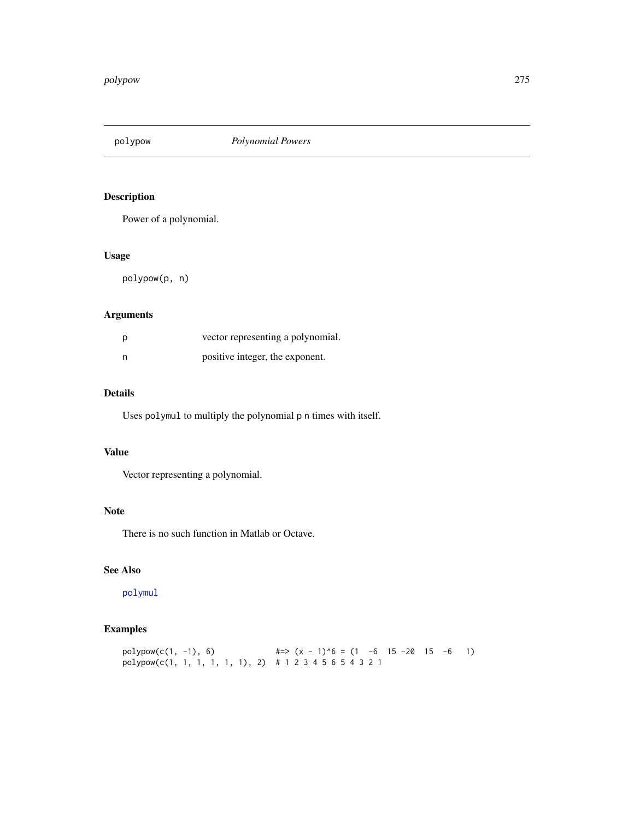Power of a polynomial.

# Usage

polypow(p, n)

# Arguments

| vector representing a polynomial. |
|-----------------------------------|
| positive integer, the exponent.   |

# Details

Uses polymul to multiply the polynomial p n times with itself.

### Value

Vector representing a polynomial.

# Note

There is no such function in Matlab or Octave.

# See Also

[polymul](#page-273-0)

# Examples

 $polypow(c(1, -1), 6)$  #=> (x - 1)^6 = (1 -6 15 -20 15 -6 1) polypow(c(1, 1, 1, 1, 1, 1), 2) # 1 2 3 4 5 6 5 4 3 2 1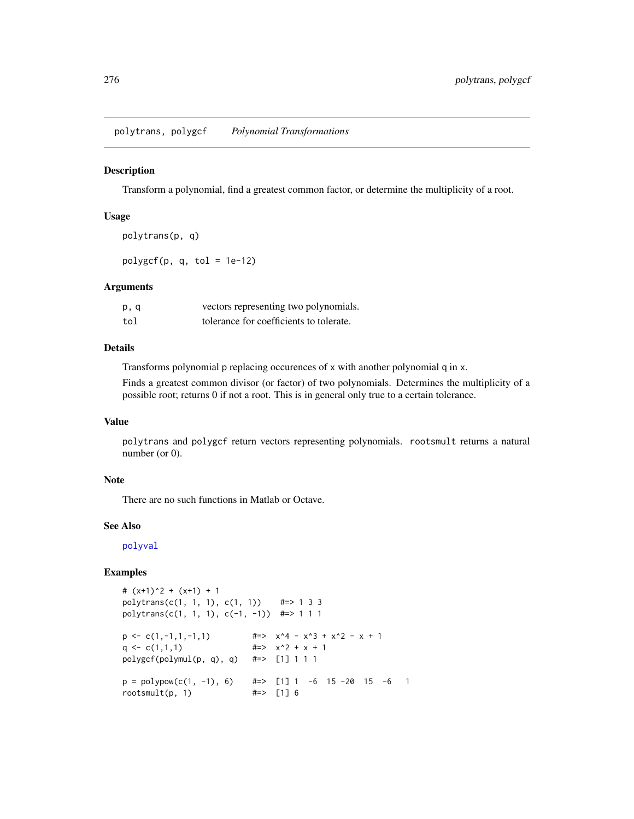polytrans, polygcf *Polynomial Transformations*

### Description

Transform a polynomial, find a greatest common factor, or determine the multiplicity of a root.

# Usage

```
polytrans(p, q)
polygcf(p, q, tol = 1e-12)
```
#### Arguments

| p, q | vectors representing two polynomials.   |
|------|-----------------------------------------|
| tol  | tolerance for coefficients to tolerate. |

# Details

Transforms polynomial p replacing occurences of x with another polynomial q in x.

Finds a greatest common divisor (or factor) of two polynomials. Determines the multiplicity of a possible root; returns 0 if not a root. This is in general only true to a certain tolerance.

# Value

polytrans and polygcf return vectors representing polynomials. rootsmult returns a natural number (or 0).

### Note

There are no such functions in Matlab or Octave.

### See Also

[polyval](#page-276-0)

```
# (x+1)^2 + (x+1) + 1
polytrans(c(1, 1, 1), c(1, 1)) #=> 1 3 3
polytrans(c(1, 1, 1), c(-1, -1)) #=> 1 1 1
p \leftarrow c(1, -1, 1, -1, 1) #=> x^4 - x^3 + x^2 - x + 1q <- c(1,1,1) \qquad \qquad \text{#=> x^2 + x + 1}polygcf(polymul(p, q), q) #=> [1] 1 1 1
p = polypow(c(1, -1), 6) #=> [1] 1 -6 15 -20 15 -6 1
rootsmult(p, 1) \#=\gt [1] 6
```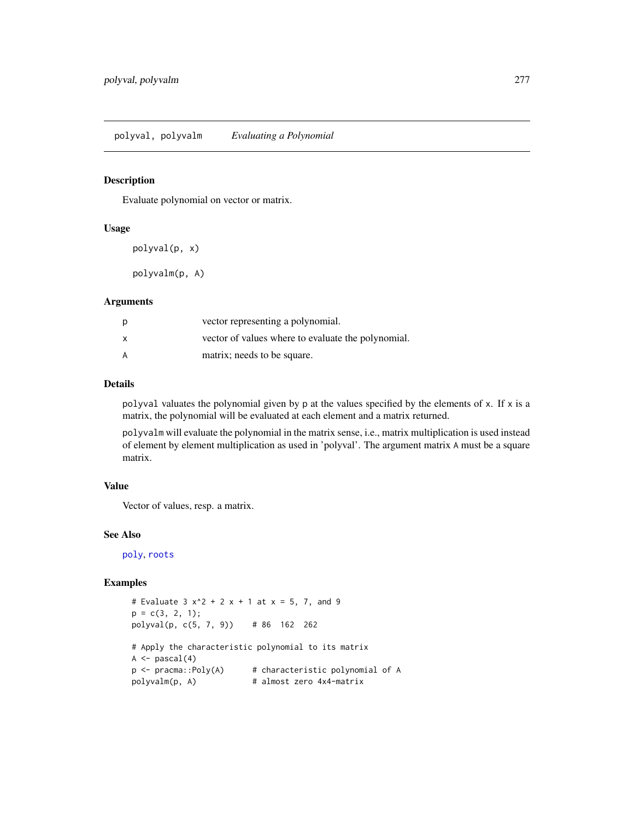<span id="page-276-0"></span>Evaluate polynomial on vector or matrix.

#### Usage

polyval(p, x)

polyvalm(p, A)

### Arguments

| p            | vector representing a polynomial.                  |
|--------------|----------------------------------------------------|
| $\mathsf{x}$ | vector of values where to evaluate the polynomial. |
| A            | matrix; needs to be square.                        |

### Details

polyval valuates the polynomial given by  $p$  at the values specified by the elements of  $x$ . If  $x$  is a matrix, the polynomial will be evaluated at each element and a matrix returned.

polyvalm will evaluate the polynomial in the matrix sense, i.e., matrix multiplication is used instead of element by element multiplication as used in 'polyval'. The argument matrix A must be a square matrix.

### Value

Vector of values, resp. a matrix.

### See Also

[poly](#page-0-0), [roots](#page-322-0)

```
# Evaluate 3 x^2 + 2x + 1 at x = 5, 7, and 9
p = c(3, 2, 1);polyval(p, c(5, 7, 9)) # 86 162 262
# Apply the characteristic polynomial to its matrix
A \leftarrow pascal(4)p <- pracma::Poly(A) # characteristic polynomial of A
polyvalm(p, A) # almost zero 4x4-matrix
```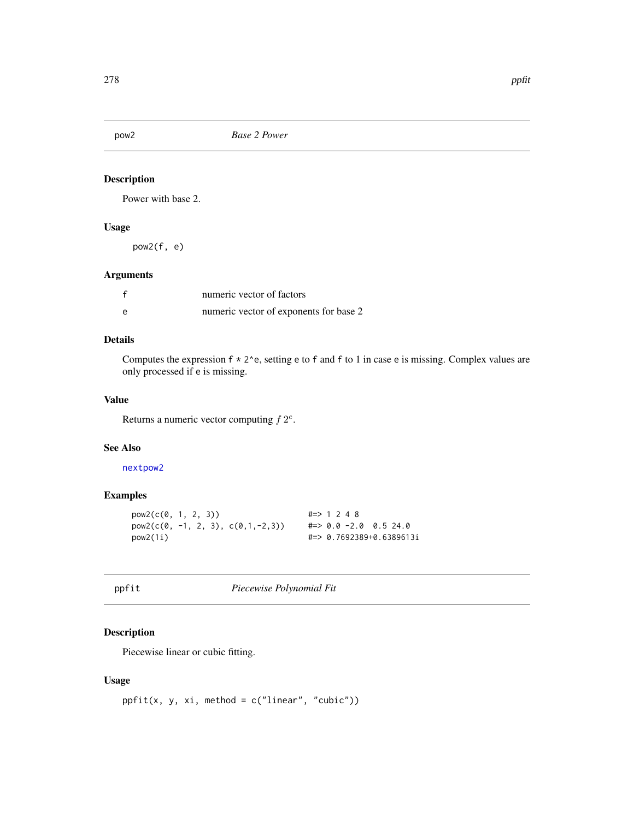Power with base 2.

# Usage

pow2(f, e)

### Arguments

|                | numeric vector of factors              |
|----------------|----------------------------------------|
| $\overline{P}$ | numeric vector of exponents for base 2 |

### Details

Computes the expression  $f \times 2$ <sup>o</sup>e, setting e to f and f to 1 in case e is missing. Complex values are only processed if e is missing.

# Value

Returns a numeric vector computing  $f 2^e$ .

#### See Also

[nextpow2](#page-238-0)

# Examples

```
pow2(c(0, 1, 2, 3)) #=> 1 2 4 8
pow2(c(0, -1, 2, 3), c(0,1,-2,3)) #=> 0.0 -2.0 0.5 24.0
pow2(1i) #=> 0.7692389+0.6389613i
```
ppfit *Piecewise Polynomial Fit*

# Description

Piecewise linear or cubic fitting.

# Usage

```
ppfit(x, y, xi, method = c("linear", "cubic"))
```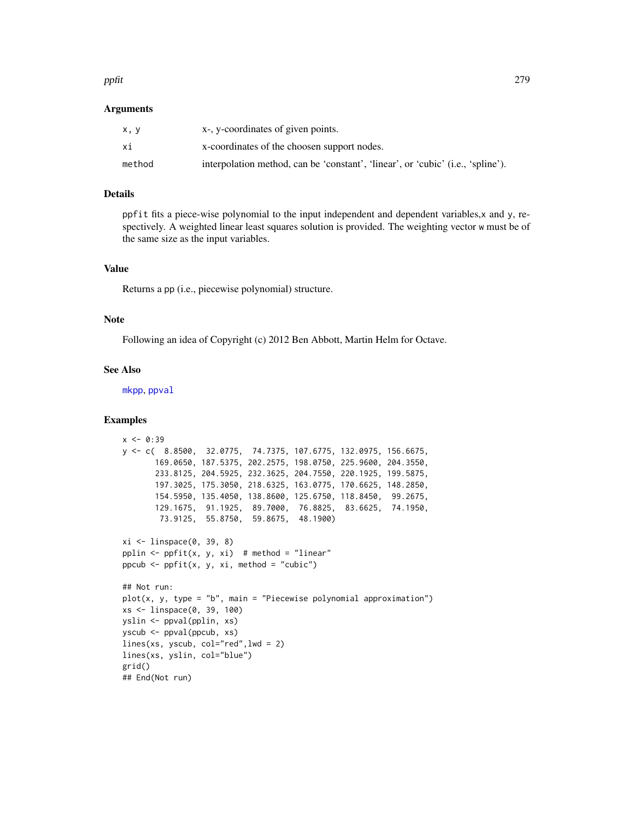#### ppfit 279

### Arguments

| x, y   | x-, y-coordinates of given points.                                              |
|--------|---------------------------------------------------------------------------------|
| хi     | x-coordinates of the choosen support nodes.                                     |
| method | interpolation method, can be 'constant', 'linear', or 'cubic' (i.e., 'spline'). |

### Details

ppfit fits a piece-wise polynomial to the input independent and dependent variables,x and y, respectively. A weighted linear least squares solution is provided. The weighting vector w must be of the same size as the input variables.

# Value

Returns a pp (i.e., piecewise polynomial) structure.

### Note

Following an idea of Copyright (c) 2012 Ben Abbott, Martin Helm for Octave.

### See Also

[mkpp](#page-279-0), [ppval](#page-279-1)

```
x < -0.39y <- c( 8.8500, 32.0775, 74.7375, 107.6775, 132.0975, 156.6675,
       169.0650, 187.5375, 202.2575, 198.0750, 225.9600, 204.3550,
       233.8125, 204.5925, 232.3625, 204.7550, 220.1925, 199.5875,
      197.3025, 175.3050, 218.6325, 163.0775, 170.6625, 148.2850,
       154.5950, 135.4050, 138.8600, 125.6750, 118.8450, 99.2675,
       129.1675, 91.1925, 89.7000, 76.8825, 83.6625, 74.1950,
       73.9125, 55.8750, 59.8675, 48.1900)
xi <- linspace(0, 39, 8)
pplin \leq ppfit(x, y, xi) # method = "linear"
ppcub \leq ppfit(x, y, xi, method = "cubic")
## Not run:
plot(x, y, type = "b", main = "Picewise polynomial approximation")xs <- linspace(0, 39, 100)
yslin <- ppval(pplin, xs)
yscub <- ppval(ppcub, xs)
lines(xs, yscub, col="red",lwd = 2)
lines(xs, yslin, col="blue")
grid()
## End(Not run)
```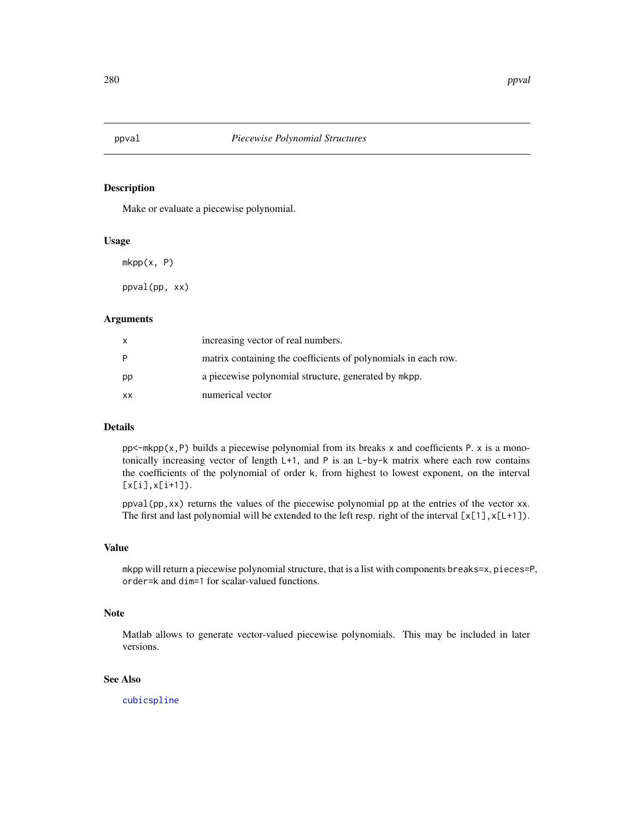<span id="page-279-1"></span><span id="page-279-0"></span>

Make or evaluate a piecewise polynomial.

#### Usage

 $mkpp(x, P)$ 

ppval(pp, xx)

### Arguments

| x  | increasing vector of real numbers.                             |
|----|----------------------------------------------------------------|
| P  | matrix containing the coefficients of polynomials in each row. |
| pp | a piecewise polynomial structure, generated by mkpp.           |
| XX | numerical vector                                               |

### Details

 $pp$ <-mkpp(x,P) builds a piecewise polynomial from its breaks x and coefficients P. x is a monotonically increasing vector of length L+1, and P is an L-by-k matrix where each row contains the coefficients of the polynomial of order k, from highest to lowest exponent, on the interval  $[x[i], x[i+1]).$ 

ppval(pp,xx) returns the values of the piecewise polynomial pp at the entries of the vector xx. The first and last polynomial will be extended to the left resp. right of the interval  $[x[1],x[L+1])$ .

#### Value

mkpp will return a piecewise polynomial structure, that is a list with components breaks=x, pieces=P, order=k and dim=1 for scalar-valued functions.

### Note

Matlab allows to generate vector-valued piecewise polynomials. This may be included in later versions.

## See Also

[cubicspline](#page-69-0)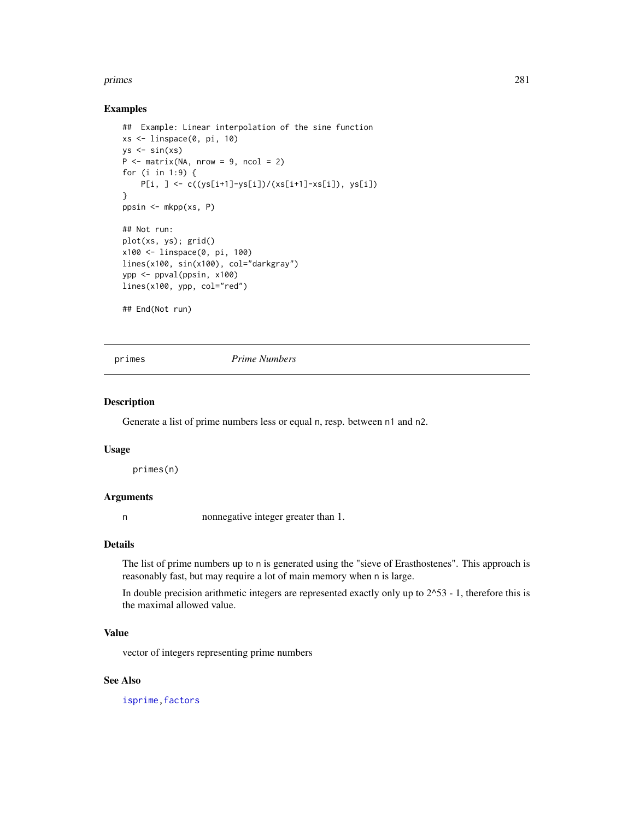#### primes 281

### Examples

```
## Example: Linear interpolation of the sine function
xs <- linspace(0, pi, 10)
ys \leftarrow sin(xs)P \le - matrix(NA, nrow = 9, ncol = 2)
for (i in 1:9) {
    P[i, ] <- c((ys[i+1]-ys[i])/(xs[i+1]-xs[i]), ys[i])
}
ppsin <- mkpp(xs, P)
## Not run:
plot(xs, ys); grid()
x100 <- linspace(0, pi, 100)
lines(x100, sin(x100), col="darkgray")
ypp <- ppval(ppsin, x100)
lines(x100, ypp, col="red")
## End(Not run)
```
primes *Prime Numbers*

### Description

Generate a list of prime numbers less or equal n, resp. between n1 and n2.

#### Usage

primes(n)

### Arguments

n nonnegative integer greater than 1.

### Details

The list of prime numbers up to n is generated using the "sieve of Erasthostenes". This approach is reasonably fast, but may require a lot of main memory when n is large.

In double precision arithmetic integers are represented exactly only up to  $2^{\wedge}53 - 1$ , therefore this is the maximal allowed value.

#### Value

vector of integers representing prime numbers

# See Also

[isprime](#page-184-0), factors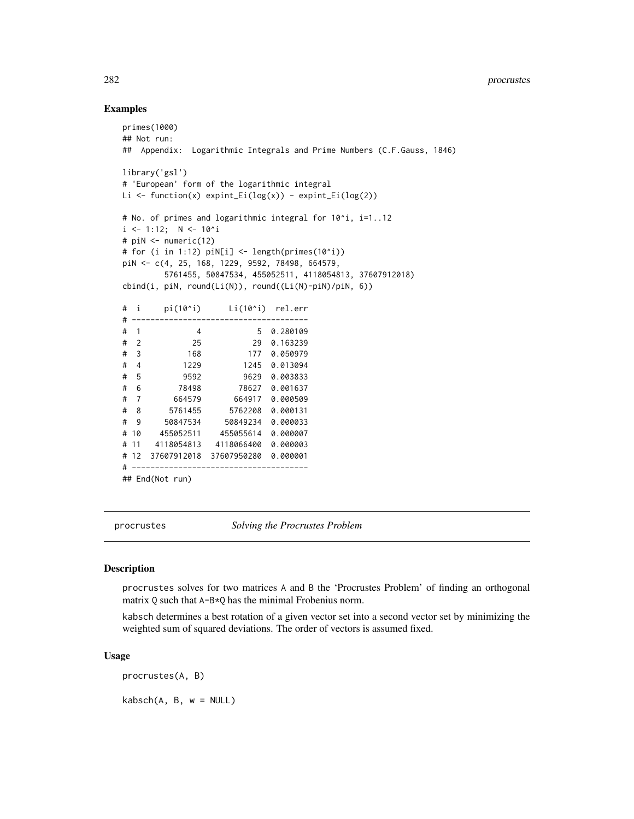### Examples

```
primes(1000)
## Not run:
## Appendix: Logarithmic Integrals and Prime Numbers (C.F.Gauss, 1846)
library('gsl')
# 'European' form of the logarithmic integral
Li \leftarrow function(x) expint_Ei(log(x)) - expint_Ei(log(2))
# No. of primes and logarithmic integral for 10^i, i=1..12
i \le -1:12; \quad N \le -10^i
# piN <- numeric(12)
# for (i in 1:12) piN[i] <- length(primes(10^i))
piN <- c(4, 25, 168, 1229, 9592, 78498, 664579,
        5761455, 50847534, 455052511, 4118054813, 37607912018)
cbind(i, piN, round(Li(N)), round((Li(N)-piN)/piN, 6))
# i pi(10^i) Li(10^i) rel.err
# --------------------------------------
# 1 4 5 0.280109
# 2 25 29 0.163239
# 3 168 177 0.050979
# 4 1229 1245 0.013094
# 5 9592 9629 0.003833
# 6 78498 78627 0.001637
# 7 664579 664917 0.000509
# 8 5761455 5762208 0.000131
# 9 50847534 50849234 0.000033
# 10 455052511 455055614 0.000007
# 11 4118054813 4118066400 0.000003
# 12 37607912018 37607950280 0.000001
# --------------------------------------
## End(Not run)
```
procrustes *Solving the Procrustes Problem*

# **Description**

procrustes solves for two matrices A and B the 'Procrustes Problem' of finding an orthogonal matrix Q such that A-B\*Q has the minimal Frobenius norm.

kabsch determines a best rotation of a given vector set into a second vector set by minimizing the weighted sum of squared deviations. The order of vectors is assumed fixed.

#### Usage

procrustes(A, B)

 $kabsch(A, B, w = NULL)$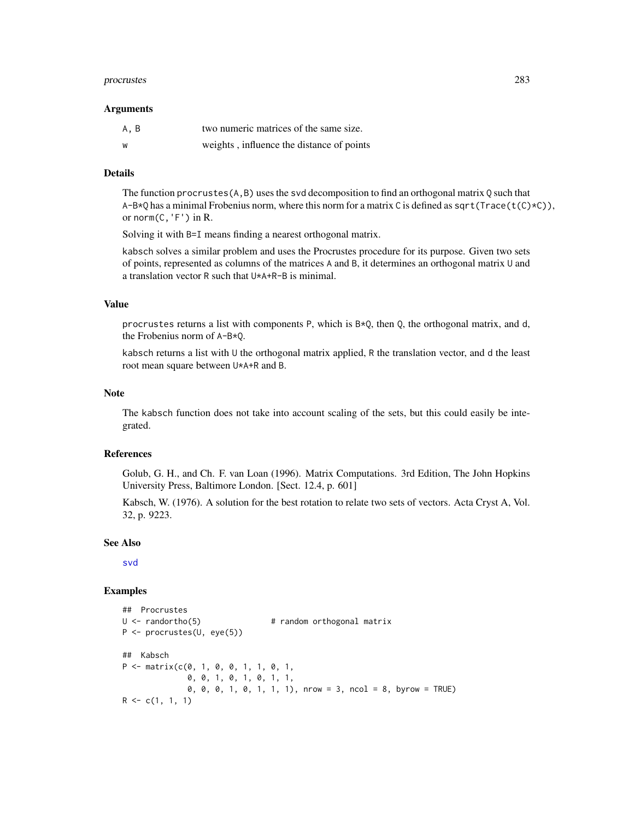#### procrustes 283

#### Arguments

| A, B | two numeric matrices of the same size.    |
|------|-------------------------------------------|
| W    | weights, influence the distance of points |

### Details

The function procrustes  $(A, B)$  uses the svd decomposition to find an orthogonal matrix Q such that  $A-B*Q$  has a minimal Frobenius norm, where this norm for a matrix C is defined as sqrt(Trace(t(C)\*C)), or norm $(C, 'F')$  in R.

Solving it with B=I means finding a nearest orthogonal matrix.

kabsch solves a similar problem and uses the Procrustes procedure for its purpose. Given two sets of points, represented as columns of the matrices A and B, it determines an orthogonal matrix U and a translation vector R such that U\*A+R-B is minimal.

### Value

procrustes returns a list with components P, which is  $B \times Q$ , then Q, the orthogonal matrix, and d, the Frobenius norm of A-B\*Q.

kabsch returns a list with U the orthogonal matrix applied, R the translation vector, and d the least root mean square between U\*A+R and B.

### Note

The kabsch function does not take into account scaling of the sets, but this could easily be integrated.

### References

Golub, G. H., and Ch. F. van Loan (1996). Matrix Computations. 3rd Edition, The John Hopkins University Press, Baltimore London. [Sect. 12.4, p. 601]

Kabsch, W. (1976). A solution for the best rotation to relate two sets of vectors. Acta Cryst A, Vol. 32, p. 9223.

### See Also

[svd](#page-0-0)

```
## Procrustes
U <- randortho(5) # random orthogonal matrix
P <- procrustes(U, eye(5))
## Kabsch
P \leq - matrix(c(0, 1, 0, 0, 1, 1, 0, 1,
             0, 0, 1, 0, 1, 0, 1, 1,
             0, 0, 0, 1, 0, 1, 1, 1), nrow = 3, ncol = 8, byrow = TRUE)
R \leq c(1, 1, 1)
```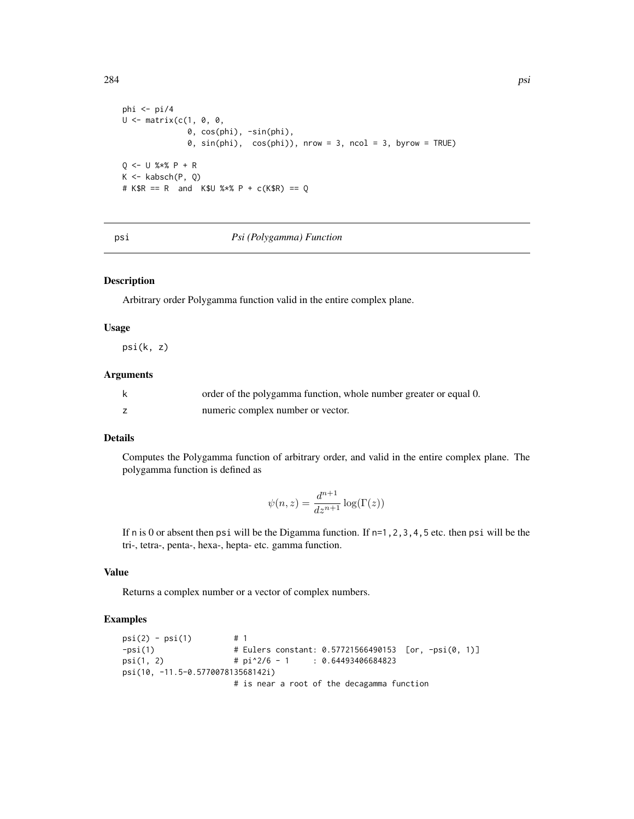```
phi <- pi/4
U <- matrix(c(1, 0, 0,
               0, cos(phi), -sin(phi),
               \emptyset, sin(phi), cos(phi)), nrow = 3, ncol = 3, byrow = TRUE)
Q \le - U %*% P + R
K \leftarrow kabsch(P, Q)# K$R == R and K$U %*% P + c(K$R) == Q
```
#### psi *Psi (Polygamma) Function*

### Description

Arbitrary order Polygamma function valid in the entire complex plane.

### Usage

psi(k, z)

# Arguments

| order of the polygamma function, whole number greater or equal 0. |
|-------------------------------------------------------------------|
| numeric complex number or vector.                                 |

# Details

Computes the Polygamma function of arbitrary order, and valid in the entire complex plane. The polygamma function is defined as

$$
\psi(n,z) = \frac{d^{n+1}}{dz^{n+1}} \log(\Gamma(z))
$$

If n is 0 or absent then psi will be the Digamma function. If  $n=1,2,3,4,5$  etc. then psi will be the tri-, tetra-, penta-, hexa-, hepta- etc. gamma function.

### Value

Returns a complex number or a vector of complex numbers.

# Examples

```
psi(2) - psi(1) # 1
-psi(1) # Eulers constant: 0.57721566490153 [or, -psi(0, 1)]
psi(1, 2) \qquad \qquad # pi^2/6 - 1 : 0.64493406684823psi(10, -11.5-0.577007813568142i)
                     # is near a root of the decagamma function
```
 $284$  psi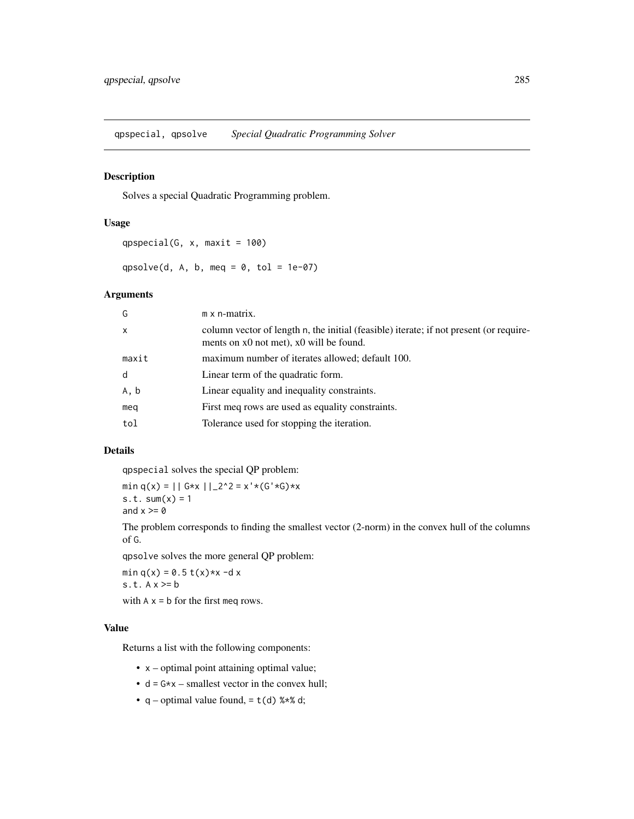qpspecial, qpsolve *Special Quadratic Programming Solver*

# Description

Solves a special Quadratic Programming problem.

### Usage

```
qpspecial(G, x, maxit = 100)
```
qpsolve(d, A, b, meq =  $0$ , tol = 1e-07)

#### Arguments

| $m \times n$ -matrix.                                                                                                             |
|-----------------------------------------------------------------------------------------------------------------------------------|
| column vector of length n, the initial (feasible) iterate; if not present (or require-<br>ments on x0 not met), x0 will be found. |
| maximum number of iterates allowed; default 100.                                                                                  |
| Linear term of the quadratic form.                                                                                                |
| Linear equality and inequality constraints.                                                                                       |
| First meq rows are used as equality constraints.                                                                                  |
| Tolerance used for stopping the iteration.                                                                                        |
|                                                                                                                                   |

# Details

qpspecial solves the special QP problem:

min q(x) =  $||G*x||_2^2 = x'*(G'*G)*x$ s.t.  $sum(x) = 1$ and  $x \ge 0$ 

The problem corresponds to finding the smallest vector (2-norm) in the convex hull of the columns of G.

qpsolve solves the more general QP problem:

min  $q(x) = 0.5 t(x) * x - d x$ s.t.  $A x \ge b$ with  $A \times I$  b for the first meq rows.

#### Value

Returns a list with the following components:

- x optimal point attaining optimal value;
- $d = G \times x$  smallest vector in the convex hull;
- q optimal value found,  $= t(d)$  %  $*$  d;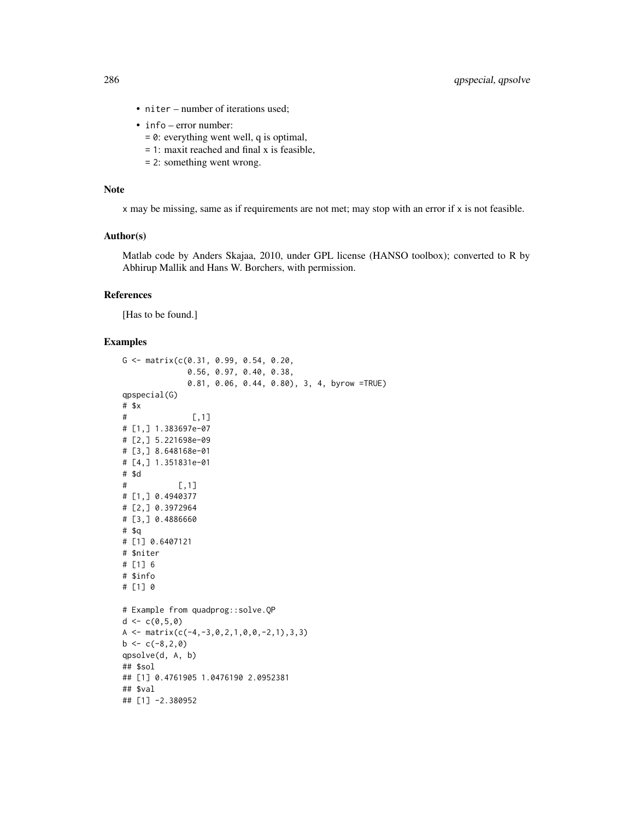- niter number of iterations used;
- info error number:
	- = 0: everything went well, q is optimal,
	- = 1: maxit reached and final x is feasible,
	- = 2: something went wrong.

### Note

x may be missing, same as if requirements are not met; may stop with an error if x is not feasible.

### Author(s)

Matlab code by Anders Skajaa, 2010, under GPL license (HANSO toolbox); converted to R by Abhirup Mallik and Hans W. Borchers, with permission.

## References

[Has to be found.]

```
G <- matrix(c(0.31, 0.99, 0.54, 0.20,
             0.56, 0.97, 0.40, 0.38,
             0.81, 0.06, 0.44, 0.80), 3, 4, byrow =TRUE)
qpspecial(G)
# $x
\# [, 1]
# [1,] 1.383697e-07
# [2,] 5.221698e-09
# [3,] 8.648168e-01
# [4,] 1.351831e-01
# $d
# [,1]
# [1,] 0.4940377
# [2,] 0.3972964
# [3,] 0.4886660
# $q
# [1] 0.6407121
# $niter
# [1] 6
# $info
# [1] 0
# Example from quadprog::solve.QP
d < -c(0, 5, 0)A \leq matrix(c(-4,-3,0,2,1,0,0,-2,1),3,3)
b \leftarrow c(-8, 2, 0)qpsolve(d, A, b)
## $sol
## [1] 0.4761905 1.0476190 2.0952381
## $val
## [1] -2.380952
```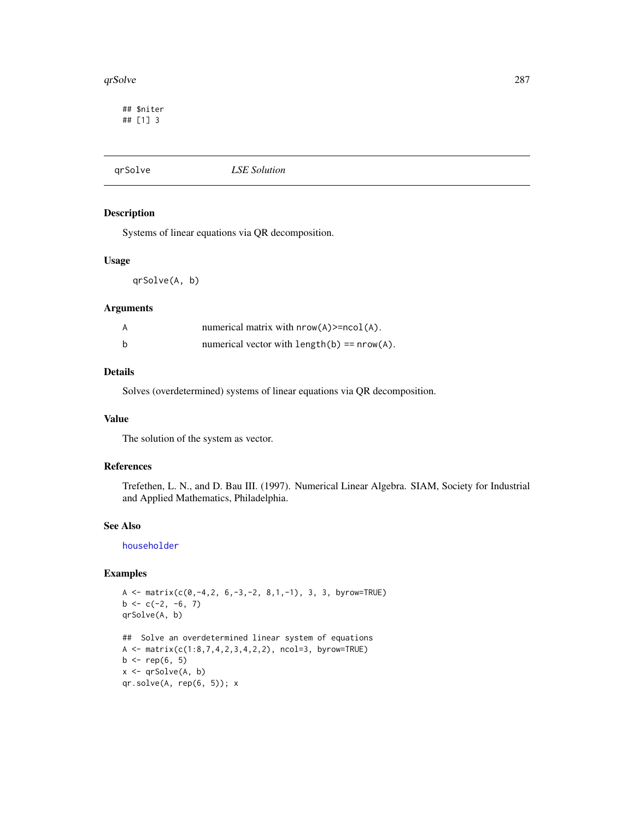#### qrSolve 287

## \$niter ## [1] 3

# qrSolve *LSE Solution*

### Description

Systems of linear equations via QR decomposition.

### Usage

qrSolve(A, b)

#### Arguments

|   | numerical matrix with $nrow(A)$ >= $ncol(A)$ . |
|---|------------------------------------------------|
| b | numerical vector with $length(b) == nrow(A)$ . |

### Details

Solves (overdetermined) systems of linear equations via QR decomposition.

### Value

The solution of the system as vector.

# References

Trefethen, L. N., and D. Bau III. (1997). Numerical Linear Algebra. SIAM, Society for Industrial and Applied Mathematics, Philadelphia.

### See Also

[householder](#page-164-0)

```
A <- matrix(c(0, -4, 2, 6, -3, -2, 8, 1, -1), 3, 3, byrow=TRUE)
b \leq c(-2, -6, 7)qrSolve(A, b)
## Solve an overdetermined linear system of equations
A <- matrix(c(1:8,7,4,2,3,4,2,2), ncol=3, byrow=TRUE)
b \leq rep(6, 5)x \leftarrow qrSolve(A, b)qr.solve(A, rep(6, 5)); x
```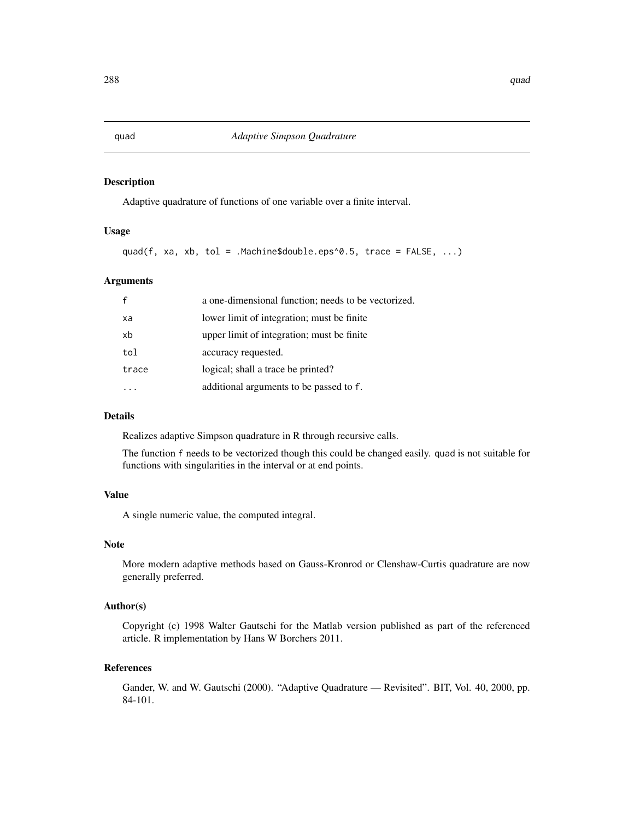Adaptive quadrature of functions of one variable over a finite interval.

### Usage

```
quad(f, xa, xb, tol = .Machine$double.eps^0.5, trace = FALSE, \ldots)
```
### Arguments

|       | a one-dimensional function; needs to be vectorized. |
|-------|-----------------------------------------------------|
| xa    | lower limit of integration; must be finite          |
| xb    | upper limit of integration; must be finite          |
| tol   | accuracy requested.                                 |
| trace | logical; shall a trace be printed?                  |
|       | additional arguments to be passed to f.             |

# Details

Realizes adaptive Simpson quadrature in R through recursive calls.

The function f needs to be vectorized though this could be changed easily. quad is not suitable for functions with singularities in the interval or at end points.

# Value

A single numeric value, the computed integral.

#### Note

More modern adaptive methods based on Gauss-Kronrod or Clenshaw-Curtis quadrature are now generally preferred.

### Author(s)

Copyright (c) 1998 Walter Gautschi for the Matlab version published as part of the referenced article. R implementation by Hans W Borchers 2011.

### References

Gander, W. and W. Gautschi (2000). "Adaptive Quadrature — Revisited". BIT, Vol. 40, 2000, pp. 84-101.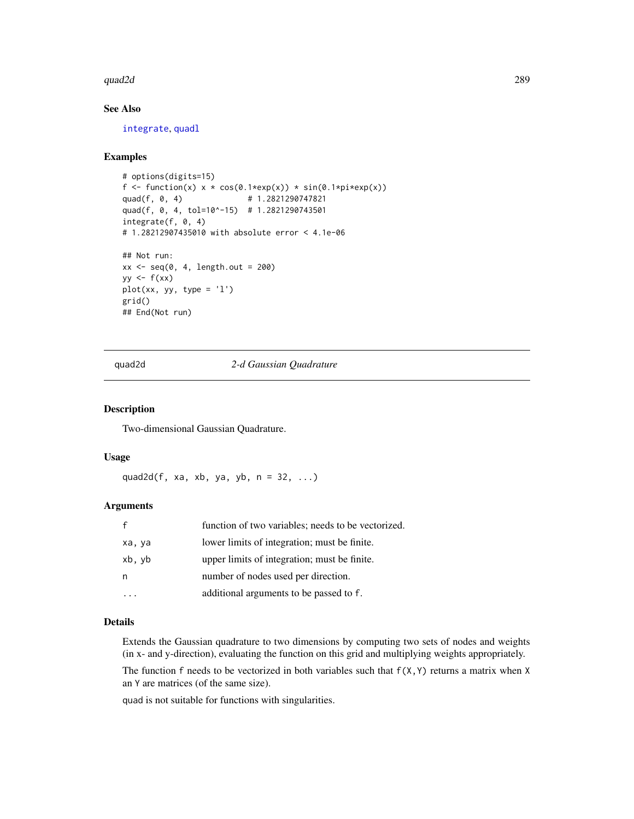#### quad2d 289

# See Also

[integrate](#page-0-0), [quadl](#page-293-0)

## Examples

```
# options(digits=15)
f <- function(x) x * cos(\theta.1 * exp(x)) * sin(\theta.1 * pi * exp(x))quad(f, 0, 4) # 1.2821290747821
quad(f, 0, 4, tol=10^-15) # 1.2821290743501
integrate(f, 0, 4)
# 1.28212907435010 with absolute error < 4.1e-06
## Not run:
xx < - seq(0, 4, length.out = 200)
yy \leftarrow f(xx)
```

```
plot(xx, yy, type = 'l')
grid()
## End(Not run)
```
quad2d *2-d Gaussian Quadrature*

# Description

Two-dimensional Gaussian Quadrature.

#### Usage

quad2d(f, xa, xb, ya, yb,  $n = 32, ...$ )

# Arguments

| $\mathsf{f}$ | function of two variables; needs to be vectorized. |
|--------------|----------------------------------------------------|
| xa, ya       | lower limits of integration; must be finite.       |
| xb, yb       | upper limits of integration; must be finite.       |
| n            | number of nodes used per direction.                |
|              | additional arguments to be passed to f.            |

## Details

Extends the Gaussian quadrature to two dimensions by computing two sets of nodes and weights (in x- and y-direction), evaluating the function on this grid and multiplying weights appropriately.

The function f needs to be vectorized in both variables such that  $f(X,Y)$  returns a matrix when X an Y are matrices (of the same size).

quad is not suitable for functions with singularities.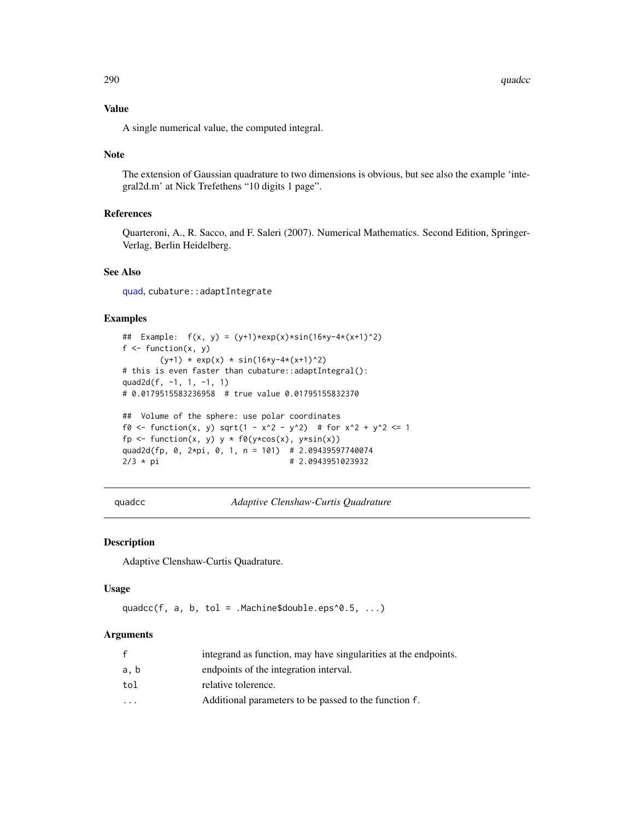290 quadcc quadrant and the control of the control of the control of the control of the control of the control of the control of the control of the control of the control of the control of the control of the control of the

## Value

A single numerical value, the computed integral.

## Note

The extension of Gaussian quadrature to two dimensions is obvious, but see also the example 'integral2d.m' at Nick Trefethens "10 digits 1 page".

# References

Quarteroni, A., R. Sacco, and F. Saleri (2007). Numerical Mathematics. Second Edition, Springer-Verlag, Berlin Heidelberg.

# See Also

[quad](#page-287-0), cubature::adaptIntegrate

## Examples

```
## Example: f(x, y) = (y+1)*exp(x)*sin(16*y-4*(x+1)^2)f \leftarrow function(x, y)(y+1) * exp(x) * sin(16*y-4*(x+1)^2)# this is even faster than cubature::adaptIntegral():
quad2d(f, -1, 1, -1, 1)
# 0.0179515583236958 # true value 0.01795155832370
## Volume of the sphere: use polar coordinates
f0 <- function(x, y) sqrt(1 - x^2 - y^2) # for x^2 + y^2 <= 1
fp <- function(x, y) y * f0(y * cos(x), y * sin(x))quad2d(fp, 0, 2*pi, 0, 1, n = 101) # 2.09439597740074
2/3 * pi # 2.0943951023932
```
quadcc *Adaptive Clenshaw-Curtis Quadrature*

#### Description

Adaptive Clenshaw-Curtis Quadrature.

#### Usage

quadcc(f, a, b, tol = .Machine\$double.eps^0.5,  $\ldots$ )

#### Arguments

| f                       | integrand as function, may have singularities at the endpoints. |
|-------------------------|-----------------------------------------------------------------|
| a, b                    | endpoints of the integration interval.                          |
| tol                     | relative tolerence.                                             |
| $\cdot$ $\cdot$ $\cdot$ | Additional parameters to be passed to the function f.           |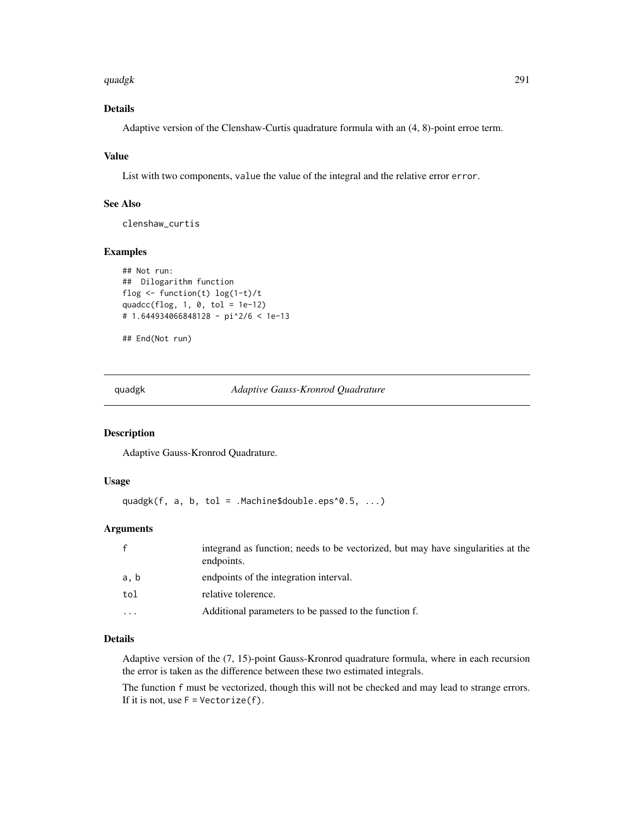#### quadgk 291

# Details

Adaptive version of the Clenshaw-Curtis quadrature formula with an (4, 8)-point erroe term.

# Value

List with two components, value the value of the integral and the relative error error.

# See Also

clenshaw\_curtis

# Examples

```
## Not run:
## Dilogarithm function
flog <- function(t) log(1-t)/t
quadcc(flog, 1, 0, tol = 1e-12)
# 1.644934066848128 - pi^2/6 < 1e-13
```
## End(Not run)

<span id="page-290-0"></span>quadgk *Adaptive Gauss-Kronrod Quadrature*

# Description

Adaptive Gauss-Kronrod Quadrature.

## Usage

quadgk(f, a, b, tol =  $M = 0$ . Machine\$double.eps^0.5, ...)

# Arguments

| integrand as function; needs to be vectorized, but may have singularities at the<br>endpoints. |
|------------------------------------------------------------------------------------------------|
| endpoints of the integration interval.                                                         |
| relative tolerence.                                                                            |
| Additional parameters to be passed to the function f.                                          |
|                                                                                                |

# Details

Adaptive version of the (7, 15)-point Gauss-Kronrod quadrature formula, where in each recursion the error is taken as the difference between these two estimated integrals.

The function f must be vectorized, though this will not be checked and may lead to strange errors. If it is not, use  $F = Vectorize(f)$ .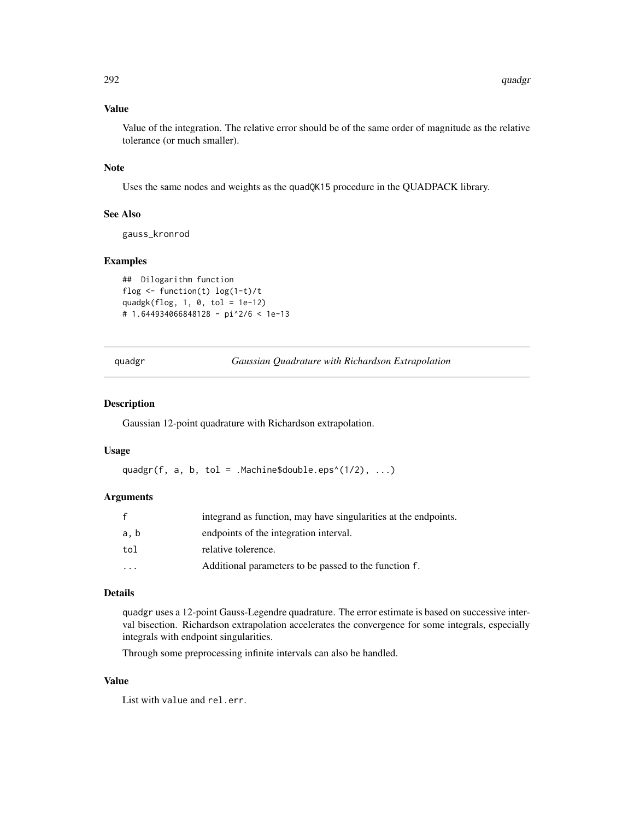# Value

Value of the integration. The relative error should be of the same order of magnitude as the relative tolerance (or much smaller).

## Note

Uses the same nodes and weights as the quadQK15 procedure in the QUADPACK library.

## See Also

gauss\_kronrod

# Examples

```
## Dilogarithm function
flog <- function(t) log(1-t)/t
quadgk(flog, 1, 0, tol = 1e-12)
# 1.644934066848128 - pi^2/6 < 1e-13
```
<span id="page-291-0"></span>quadgr *Gaussian Quadrature with Richardson Extrapolation*

## Description

Gaussian 12-point quadrature with Richardson extrapolation.

#### Usage

```
quadgr(f, a, b, tol = .Machine$double.eps^(1/2), \dots)
```
#### Arguments

| f       | integrand as function, may have singularities at the endpoints. |
|---------|-----------------------------------------------------------------|
| a, b    | endpoints of the integration interval.                          |
| tol     | relative tolerence.                                             |
| $\cdot$ | Additional parameters to be passed to the function f.           |

## Details

quadgr uses a 12-point Gauss-Legendre quadrature. The error estimate is based on successive interval bisection. Richardson extrapolation accelerates the convergence for some integrals, especially integrals with endpoint singularities.

Through some preprocessing infinite intervals can also be handled.

# Value

List with value and rel.err.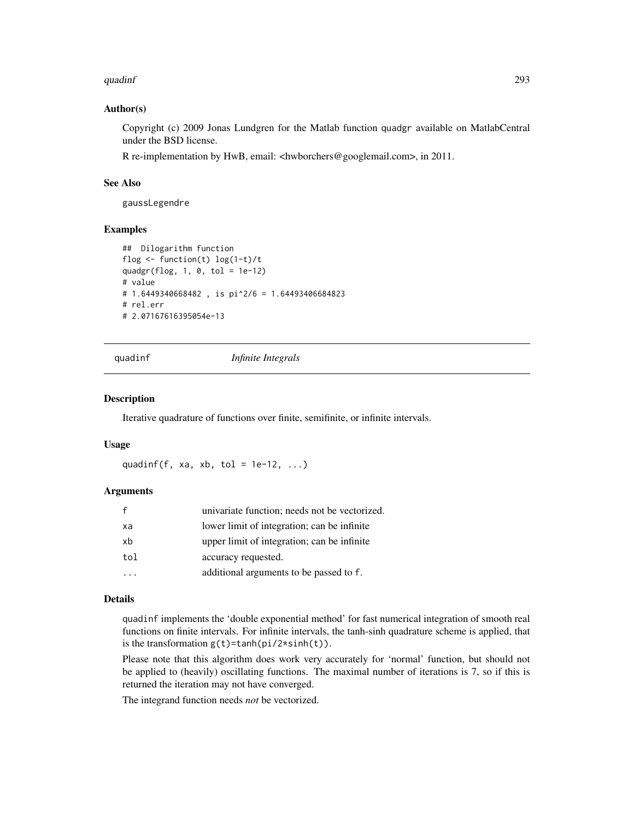#### quadinf 293

## Author(s)

Copyright (c) 2009 Jonas Lundgren for the Matlab function quadgr available on MatlabCentral under the BSD license.

R re-implementation by HwB, email: <hwborchers@googlemail.com>, in 2011.

# See Also

gaussLegendre

## Examples

```
## Dilogarithm function
flog <- function(t) log(1-t)/t
quadgr(flog, 1, 0, tol = 1e-12)
# value
# 1.6449340668482, is pi^2/6 = 1.64493406684823# rel.err
# 2.07167616395054e-13
```
quadinf *Infinite Integrals*

## Description

Iterative quadrature of functions over finite, semifinite, or infinite intervals.

#### Usage

quadinf(f, xa, xb, tol =  $1e-12$ , ...)

## Arguments

|     | univariate function; needs not be vectorized. |
|-----|-----------------------------------------------|
| xa  | lower limit of integration; can be infinite   |
| xb  | upper limit of integration; can be infinite   |
| tol | accuracy requested.                           |
|     | additional arguments to be passed to f.       |

# Details

quadinf implements the 'double exponential method' for fast numerical integration of smooth real functions on finite intervals. For infinite intervals, the tanh-sinh quadrature scheme is applied, that is the transformation  $g(t)$ =tanh(pi/2\*sinh(t)).

Please note that this algorithm does work very accurately for 'normal' function, but should not be applied to (heavily) oscillating functions. The maximal number of iterations is 7, so if this is returned the iteration may not have converged.

The integrand function needs *not* be vectorized.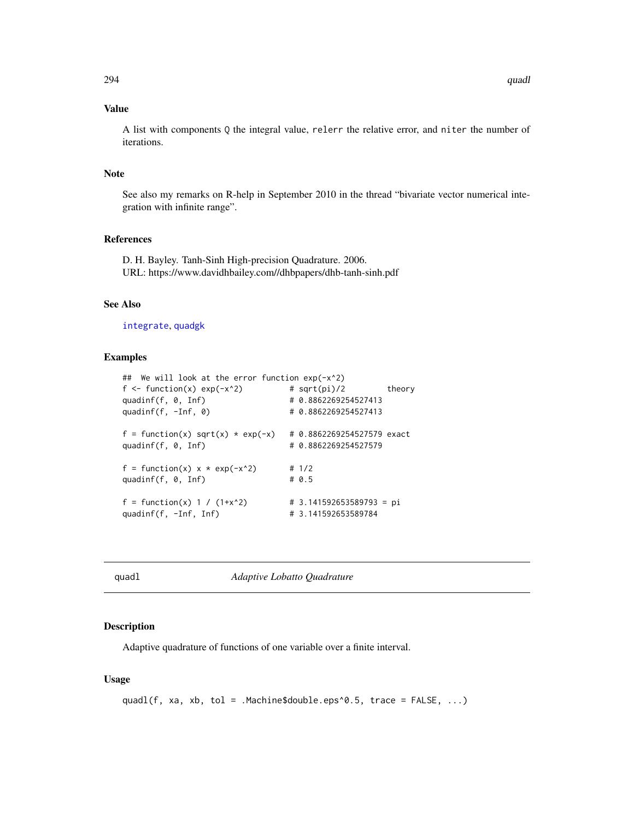## Value

A list with components Q the integral value, relerr the relative error, and niter the number of iterations.

#### Note

See also my remarks on R-help in September 2010 in the thread "bivariate vector numerical integration with infinite range".

#### References

D. H. Bayley. Tanh-Sinh High-precision Quadrature. 2006. URL: https://www.davidhbailey.com//dhbpapers/dhb-tanh-sinh.pdf

## See Also

[integrate](#page-0-0), [quadgk](#page-290-0)

## Examples

```
## We will look at the error function exp(-x^2)
f \leftarrow function(x) exp(-x^2) # sqrt(pi)/2 theory
quadinf(f, 0, Inf) # 0.8862269254527413
quadinf(f, -Inf, 0) \qquad \qquad # 0.8862269254527413f = function(x) \sqrt{sqrt(x)} * exp(-x) + 0.8862269254527579 \sqrt{2}quadinf(f, 0, Inf) # 0.8862269254527579
f = function(x) \times x + exp(-x^2) # 1/2
quadinf(f, \theta, Inf) # 0.5
f = function(x) 1 / (1+x^2) # 3.141592653589793 = pi
quadinf(f, -Inf, Inf) # 3.141592653589784
```
<span id="page-293-0"></span>quadl *Adaptive Lobatto Quadrature*

#### Description

Adaptive quadrature of functions of one variable over a finite interval.

### Usage

```
quadl(f, xa, xb, tol = .Machine$double.eps^0.5, trace = FALSE, ...)
```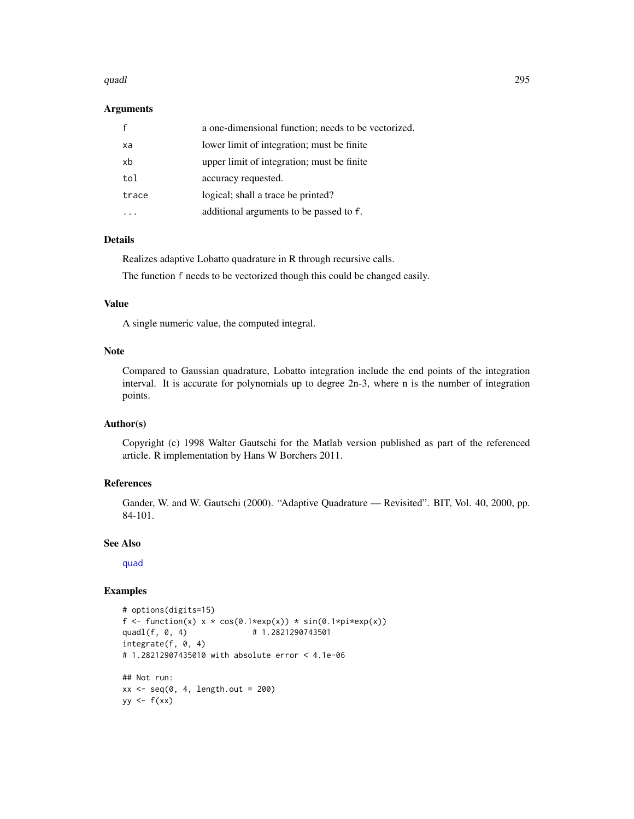#### quadl and 295 and 2008 and 2008 and 2008 and 2008 and 2008 and 2008 and 2008 and 2008 and 2008 and 2008 and 20

#### Arguments

|       | a one-dimensional function; needs to be vectorized. |
|-------|-----------------------------------------------------|
| xa    | lower limit of integration; must be finite          |
| xb    | upper limit of integration; must be finite          |
| tol   | accuracy requested.                                 |
| trace | logical; shall a trace be printed?                  |
|       | additional arguments to be passed to f.             |

# Details

Realizes adaptive Lobatto quadrature in R through recursive calls. The function f needs to be vectorized though this could be changed easily.

# Value

A single numeric value, the computed integral.

#### Note

Compared to Gaussian quadrature, Lobatto integration include the end points of the integration interval. It is accurate for polynomials up to degree 2n-3, where n is the number of integration points.

# Author(s)

Copyright (c) 1998 Walter Gautschi for the Matlab version published as part of the referenced article. R implementation by Hans W Borchers 2011.

# References

Gander, W. and W. Gautschi (2000). "Adaptive Quadrature — Revisited". BIT, Vol. 40, 2000, pp. 84-101.

## See Also

[quad](#page-287-0)

```
# options(digits=15)
f <- function(x) x * cos(\theta.1 * exp(x)) * sin(\theta.1 * pi * exp(x))quadl(f, 0, 4) # 1.2821290743501
integrate(f, 0, 4)
# 1.28212907435010 with absolute error < 4.1e-06
## Not run:
xx \leq -\text{seq}(0, 4, \text{length.out} = 200)yy \leftarrow f(xx)
```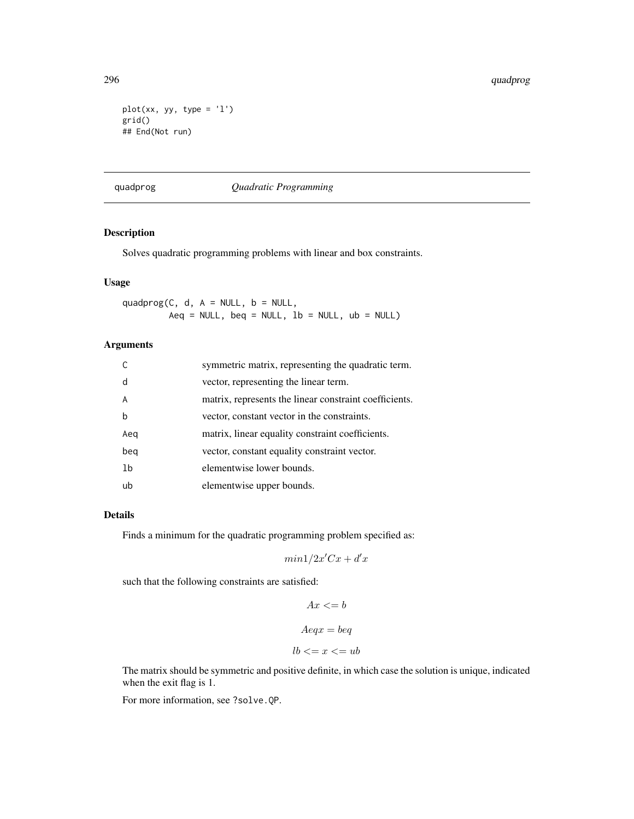```
plot(xx, yy, type = 'l')grid()
## End(Not run)
```
quadprog *Quadratic Programming*

# Description

Solves quadratic programming problems with linear and box constraints.

#### Usage

quadprog(C, d,  $A = NULL$ ,  $b = NULL$ ,  $Aeq = NULL$ ,  $beq = NULL$ ,  $1b = NULL$ ,  $ub = NULL$ 

# Arguments

|                | symmetric matrix, representing the quadratic term.     |
|----------------|--------------------------------------------------------|
| d              | vector, representing the linear term.                  |
| A              | matrix, represents the linear constraint coefficients. |
| h              | vector, constant vector in the constraints.            |
| Aeg            | matrix, linear equality constraint coefficients.       |
| beg            | vector, constant equality constraint vector.           |
| 1 <sub>b</sub> | elementwise lower bounds.                              |
| ub             | elementwise upper bounds.                              |

## Details

Finds a minimum for the quadratic programming problem specified as:

 $min1/2x^{\prime}Cx + d^{\prime}x$ 

such that the following constraints are satisfied:

$$
Ax \leq b
$$
  

$$
Aeqx = beq
$$
  

$$
lb \leq x \leq w
$$

The matrix should be symmetric and positive definite, in which case the solution is unique, indicated when the exit flag is 1.

For more information, see ?solve.QP.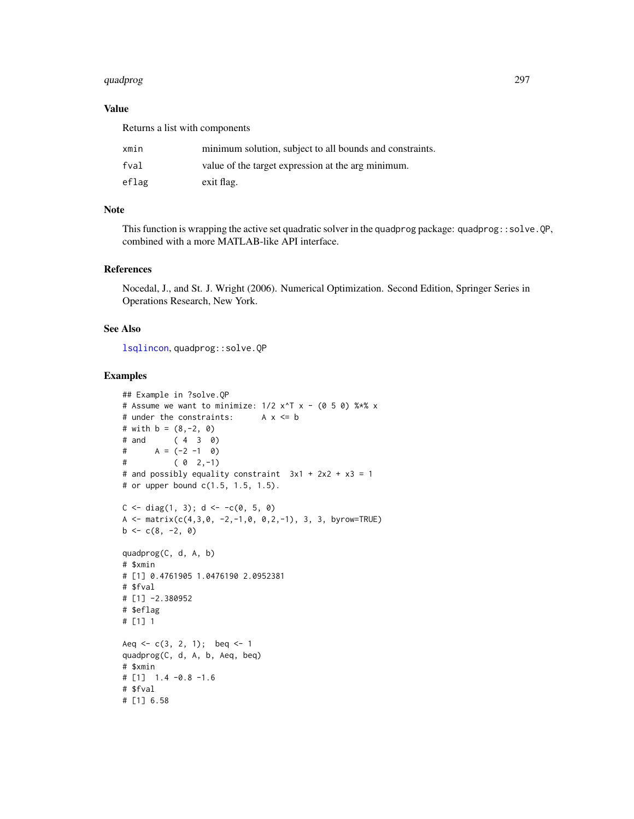#### quadprog 297

## Value

Returns a list with components

| xmin  | minimum solution, subject to all bounds and constraints. |
|-------|----------------------------------------------------------|
| fval  | value of the target expression at the arg minimum.       |
| eflag | exit flag.                                               |

#### Note

This function is wrapping the active set quadratic solver in the quadprog package: quadprog::solve.QP, combined with a more MATLAB-like API interface.

# References

Nocedal, J., and St. J. Wright (2006). Numerical Optimization. Second Edition, Springer Series in Operations Research, New York.

## See Also

[lsqlincon](#page-208-0), quadprog::solve.QP

```
## Example in ?solve.QP
# Assume we want to minimize: 1/2 x<sup>^</sup>T x - (0 5 0) %*% x
# under the constraints: A x <= b
# with b = (8, -2, 0)# and ( 4 3 0)
# \qquad A = (-2 -1 \quad 0)# ( 0 2,-1)
# and possibly equality constraint 3x1 + 2x2 + x3 = 1# or upper bound c(1.5, 1.5, 1.5).
C \leq -diag(1, 3); d \leq -c(0, 5, 0)A <- matrix(c(4,3,0, -2,-1,0, 0, 2,-1), 3, 3, byrow=TRUE)
b \leq c(8, -2, 0)quadprog(C, d, A, b)
# $xmin
# [1] 0.4761905 1.0476190 2.0952381
# $fval
# [1] -2.380952
# $eflag
# [1] 1
Aeq \leq -c(3, 2, 1); beq \leq -1quadprog(C, d, A, b, Aeq, beq)
# $xmin
# [1] 1.4 -0.8 -1.6
# $fval
# [1] 6.58
```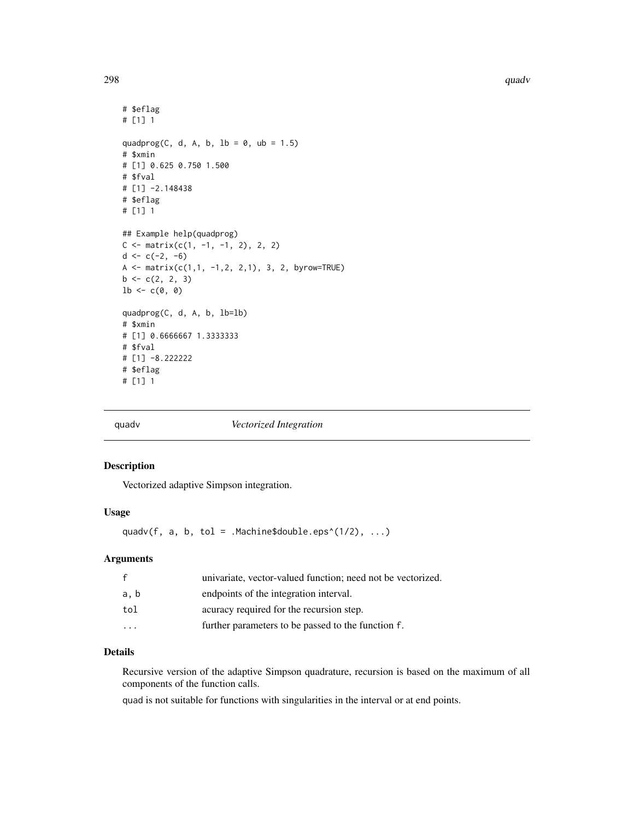```
# $eflag
# [1] 1
quadprog(C, d, A, b, 1b = 0, ub = 1.5)
# $xmin
# [1] 0.625 0.750 1.500
# $fval
# [1] -2.148438
# $eflag
# [1] 1
## Example help(quadprog)
C \leq - matrix(c(1, -1, -1, 2), 2, 2)
d \leq c(-2, -6)A <- matrix(c(1,1, -1,2, 2,1), 3, 2, byrow=TRUE)
b \leftarrow c(2, 2, 3)lb \leftarrow c(0, 0)quadprog(C, d, A, b, lb=lb)
# $xmin
# [1] 0.6666667 1.3333333
# $fval
# [1] -8.222222
# $eflag
# [1] 1
```
quadv *Vectorized Integration*

# Description

Vectorized adaptive Simpson integration.

# Usage

quadv(f, a, b, tol = .Machine\$double.eps^(1/2),  $\dots$ )

## Arguments

| f                       | univariate, vector-valued function; need not be vectorized. |
|-------------------------|-------------------------------------------------------------|
| a, b                    | endpoints of the integration interval.                      |
| tol                     | acuracy required for the recursion step.                    |
| $\cdot$ $\cdot$ $\cdot$ | further parameters to be passed to the function f.          |

## Details

Recursive version of the adaptive Simpson quadrature, recursion is based on the maximum of all components of the function calls.

quad is not suitable for functions with singularities in the interval or at end points.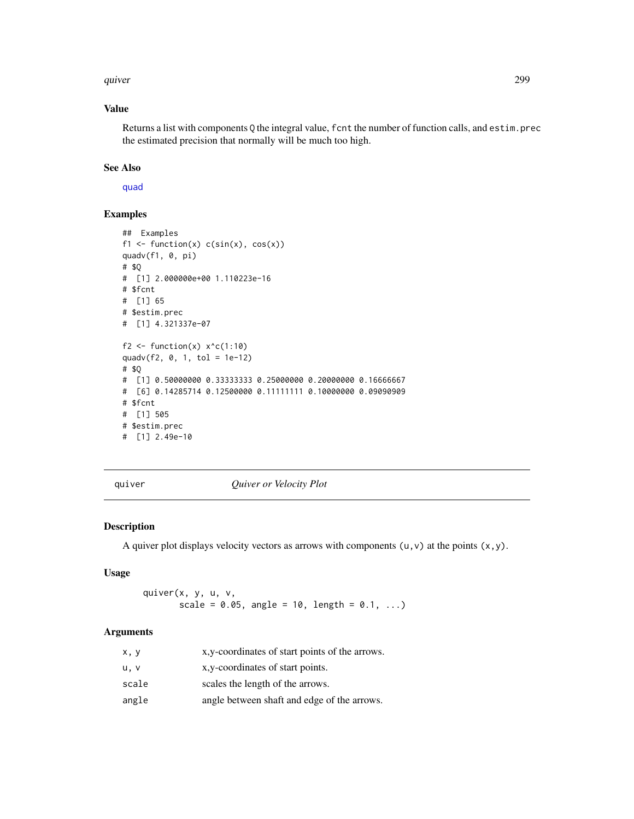#### quiver the control of the control of the control of the control of the control of the control of the control of the control of the control of the control of the control of the control of the control of the control of the c

# Value

Returns a list with components Q the integral value, f cnt the number of function calls, and estim.prec the estimated precision that normally will be much too high.

## See Also

[quad](#page-287-0)

# Examples

```
## Examples
f1 \leftarrow function(x) c(sin(x), cos(x))quadv(f1, 0, pi)
# $Q
# [1] 2.000000e+00 1.110223e-16
# $fcnt
# [1] 65
# $estim.prec
# [1] 4.321337e-07
f2 <- function(x) x<sup>2</sup> c(1:10)
quadv(f2, 0, 1, tol = 1e-12)
# $Q
# [1] 0.50000000 0.33333333 0.25000000 0.20000000 0.16666667
# [6] 0.14285714 0.12500000 0.11111111 0.10000000 0.09090909
# $fcnt
# [1] 505
# $estim.prec
# [1] 2.49e-10
```
quiver *Quiver or Velocity Plot*

## Description

A quiver plot displays velocity vectors as arrows with components  $(u, v)$  at the points  $(x, y)$ .

#### Usage

quiver(x, y, u, v, scale =  $0.05$ , angle =  $10$ , length =  $0.1, ...$ )

# Arguments

| x, y  | x, y-coordinates of start points of the arrows. |
|-------|-------------------------------------------------|
| u.v   | x, y-coordinates of start points.               |
| scale | scales the length of the arrows.                |
| angle | angle between shaft and edge of the arrows.     |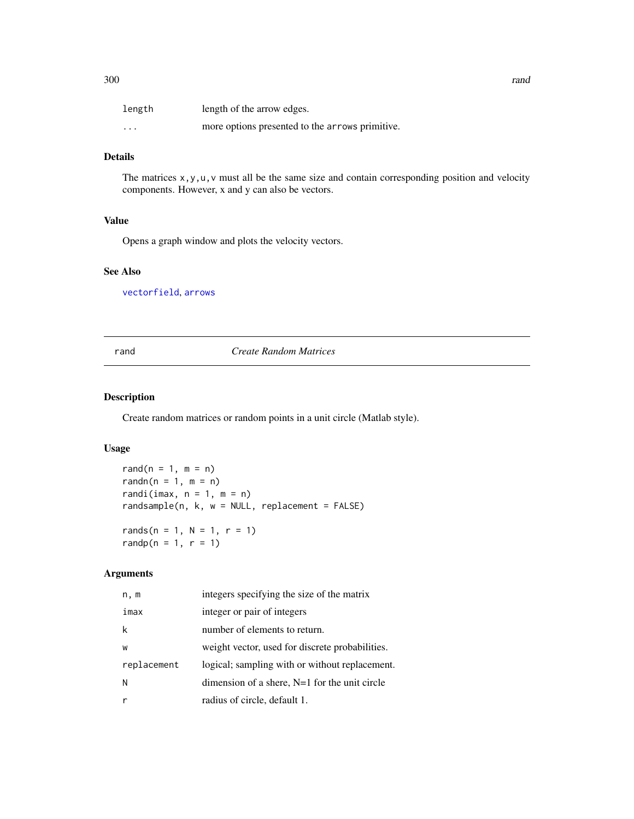| length   | length of the arrow edges.                      |
|----------|-------------------------------------------------|
| $\cdots$ | more options presented to the arrows primitive. |

# Details

The matrices x,y,u,v must all be the same size and contain corresponding position and velocity components. However, x and y can also be vectors.

## Value

Opens a graph window and plots the velocity vectors.

## See Also

[vectorfield](#page-376-0), [arrows](#page-0-0)

#### rand *Create Random Matrices*

# **Description**

Create random matrices or random points in a unit circle (Matlab style).

## Usage

rand( $n = 1$ ,  $m = n$ ) randn( $n = 1$ ,  $m = n$ ) randi(imax,  $n = 1$ ,  $m = n$ ) randsample(n, k, w = NULL, replacement = FALSE) rands( $n = 1$ ,  $N = 1$ ,  $r = 1$ ) randp( $n = 1, r = 1$ )

# Arguments

| n, m        | integers specifying the size of the matrix      |
|-------------|-------------------------------------------------|
| imax        | integer or pair of integers                     |
| k           | number of elements to return.                   |
| W           | weight vector, used for discrete probabilities. |
| replacement | logical; sampling with or without replacement.  |
| N           | dimension of a shere, $N=1$ for the unit circle |
|             | radius of circle, default 1.                    |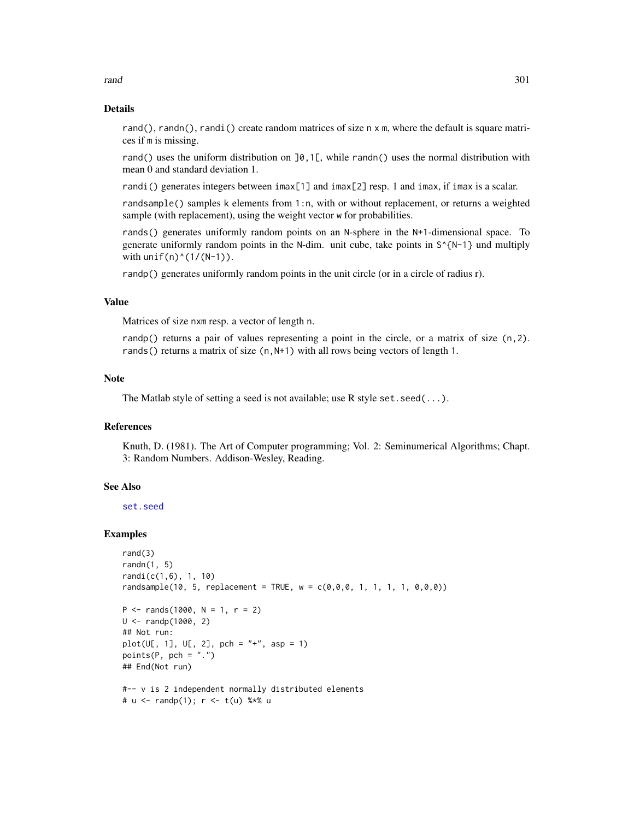rand 301

#### Details

rand(), randn(), randi() create random matrices of size n x m, where the default is square matrices if m is missing.

rand() uses the uniform distribution on  $\varphi$ ,  $\varphi$ , while randn() uses the normal distribution with mean 0 and standard deviation 1.

randi() generates integers between imax[1] and imax[2] resp. 1 and imax, if imax is a scalar.

randsample() samples k elements from 1:n, with or without replacement, or returns a weighted sample (with replacement), using the weight vector w for probabilities.

rands() generates uniformly random points on an N-sphere in the N+1-dimensional space. To generate uniformly random points in the N-dim. unit cube, take points in  $S^{\wedge}$ [N-1] und multiply with  $unif(n)^(1/(N-1))$ .

randp() generates uniformly random points in the unit circle (or in a circle of radius r).

## Value

Matrices of size nxm resp. a vector of length n.

randp() returns a pair of values representing a point in the circle, or a matrix of size (n, 2). rands() returns a matrix of size  $(n, N+1)$  with all rows being vectors of length 1.

## Note

The Matlab style of setting a seed is not available; use R style set. seed( $\dots$ ).

## References

Knuth, D. (1981). The Art of Computer programming; Vol. 2: Seminumerical Algorithms; Chapt. 3: Random Numbers. Addison-Wesley, Reading.

## See Also

[set.seed](#page-0-0)

```
rand(3)
randn(1, 5)
randi(c(1,6), 1, 10)
randsample(10, 5, replacement = TRUE, w = c(0, 0, 0, 1, 1, 1, 1, 0, 0, 0))
P \le - rands(1000, N = 1, r = 2)
U < - randp(1000, 2)
## Not run:
plot(U[, 1], U[, 2], pch = "+'', asp = 1)points(P, pch = "."')## End(Not run)
#-- v is 2 independent normally distributed elements
# u <- randp(1); r <- t(u) %*% u
```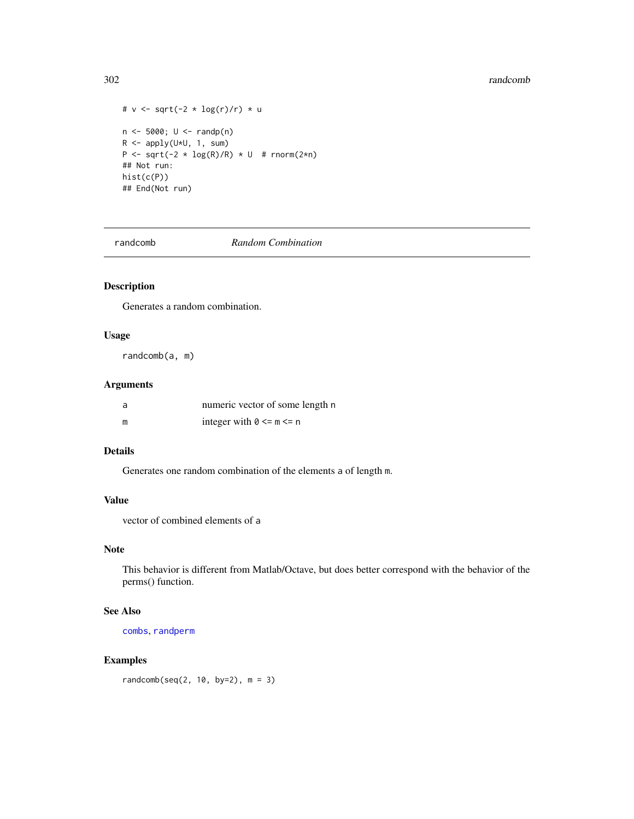#### 302 randcomb

```
# v \leq -sqrt(-2 * log(r)/r) * un <- 5000; U <- randp(n)
R \leftarrow apply(U*U, 1, sum)P <- sqrt(-2 \star log(R)/R) \star U # rnorm(2\starn)
## Not run:
hist(c(P))
## End(Not run)
```
randcomb *Random Combination*

# Description

Generates a random combination.

# Usage

randcomb(a, m)

# Arguments

| a | numeric vector of some length n |
|---|---------------------------------|
| m | integer with $0 \le m \le n$    |

# Details

Generates one random combination of the elements a of length m.

# Value

vector of combined elements of a

# Note

This behavior is different from Matlab/Octave, but does better correspond with the behavior of the perms() function.

## See Also

[combs](#page-57-0), [randperm](#page-303-0)

# Examples

randcomb(seq(2, 10, by=2), m = 3)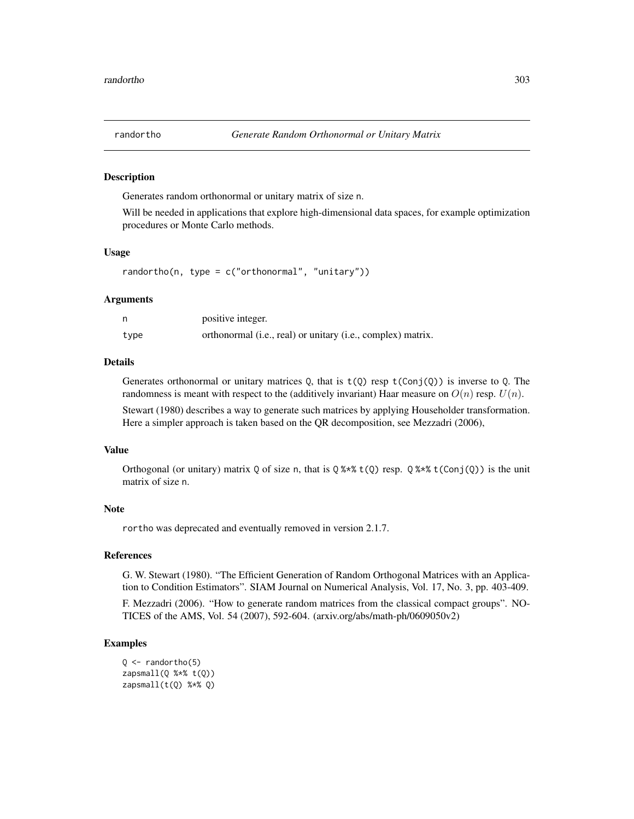Generates random orthonormal or unitary matrix of size n.

Will be needed in applications that explore high-dimensional data spaces, for example optimization procedures or Monte Carlo methods.

## Usage

```
randortho(n, type = c("orthonormal", "unitary"))
```
#### Arguments

|      | positive integer.                                           |
|------|-------------------------------------------------------------|
| type | orthonormal (i.e., real) or unitary (i.e., complex) matrix. |

## Details

Generates orthonormal or unitary matrices Q, that is  $t(Q)$  resp  $t(Conj(Q))$  is inverse to Q. The randomness is meant with respect to the (additively invariant) Haar measure on  $O(n)$  resp.  $U(n)$ .

Stewart (1980) describes a way to generate such matrices by applying Householder transformation. Here a simpler approach is taken based on the QR decomposition, see Mezzadri (2006),

#### Value

Orthogonal (or unitary) matrix Q of size n, that is  $\sqrt{2 \cdot x}$  (Q) resp.  $\sqrt{2 \cdot x}$  (Conj(Q)) is the unit matrix of size n.

#### Note

rortho was deprecated and eventually removed in version 2.1.7.

#### References

G. W. Stewart (1980). "The Efficient Generation of Random Orthogonal Matrices with an Application to Condition Estimators". SIAM Journal on Numerical Analysis, Vol. 17, No. 3, pp. 403-409.

F. Mezzadri (2006). "How to generate random matrices from the classical compact groups". NO-TICES of the AMS, Vol. 54 (2007), 592-604. (arxiv.org/abs/math-ph/0609050v2)

```
Q \leftarrow \text{random}(\mathbf{5})zapsmall(Q %*% t(Q))zapsmall(t(Q) % <math>\ast</math>% Q)
```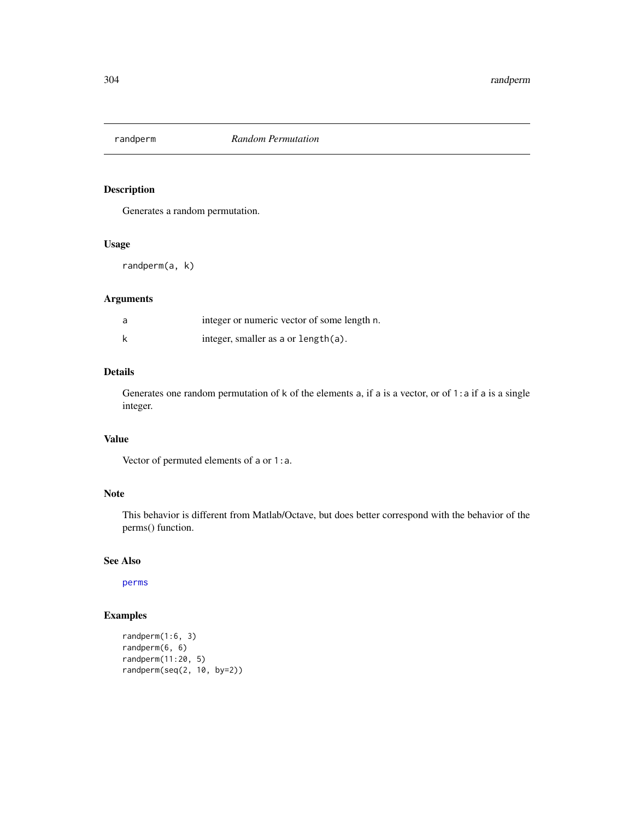<span id="page-303-0"></span>

Generates a random permutation.

# Usage

randperm(a, k)

## Arguments

| a | integer or numeric vector of some length n. |
|---|---------------------------------------------|
|   | integer, smaller as a or $length(a)$ .      |

## Details

Generates one random permutation of k of the elements a, if a is a vector, or of 1: a if a is a single integer.

# Value

Vector of permuted elements of a or 1:a.

## Note

This behavior is different from Matlab/Octave, but does better correspond with the behavior of the perms() function.

# See Also

[perms](#page-256-0)

```
randperm(1:6, 3)
randperm(6, 6)
randperm(11:20, 5)
randperm(seq(2, 10, by=2))
```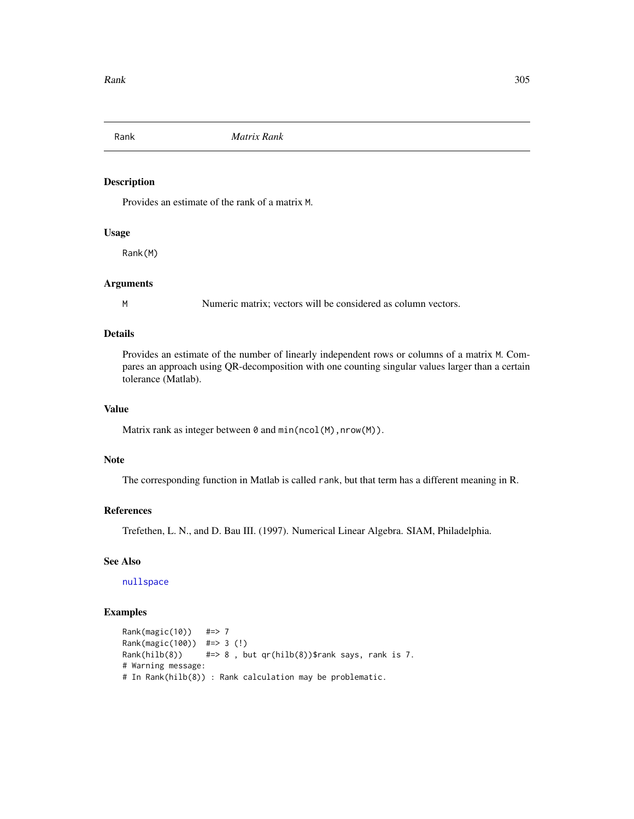Provides an estimate of the rank of a matrix M.

# Usage

Rank(M)

# Arguments

M Numeric matrix; vectors will be considered as column vectors.

# Details

Provides an estimate of the number of linearly independent rows or columns of a matrix M. Compares an approach using QR-decomposition with one counting singular values larger than a certain tolerance (Matlab).

# Value

Matrix rank as integer between  $\theta$  and  $min(ncol(M),nrow(M)).$ 

## Note

The corresponding function in Matlab is called rank, but that term has a different meaning in R.

# References

Trefethen, L. N., and D. Bau III. (1997). Numerical Linear Algebra. SIAM, Philadelphia.

# See Also

[nullspace](#page-243-0)

```
Rank(magic(10)) #=> 7
Rank(magic(100)) #=> 3 (!)
Rank(hilb(8)) \# \Rightarrow 8, but qr(hilb(8))$rank says, rank is 7.
# Warning message:
# In Rank(hilb(8)) : Rank calculation may be problematic.
```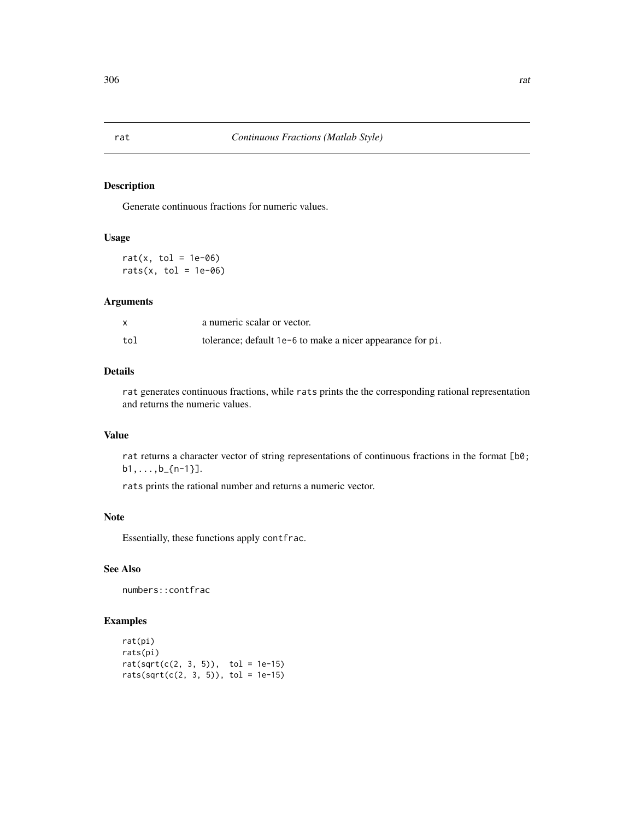Generate continuous fractions for numeric values.

# Usage

rat(x, tol =  $1e-06$ ) rats(x, tol =  $1e-06$ )

# Arguments

|     | a numeric scalar or vector.                                |
|-----|------------------------------------------------------------|
| tol | tolerance; default 1e-6 to make a nicer appearance for pi. |

## Details

rat generates continuous fractions, while rats prints the the corresponding rational representation and returns the numeric values.

## Value

rat returns a character vector of string representations of continuous fractions in the format [b0;  $b1, \ldots, b_{n-1}$ ].

rats prints the rational number and returns a numeric vector.

## Note

Essentially, these functions apply contfrac.

# See Also

numbers::contfrac

```
rat(pi)
rats(pi)
rat(sqrt(c(2, 3, 5)), tol = 1e-15)rats(sqrt(c(2, 3, 5)), tol = 1e-15)
```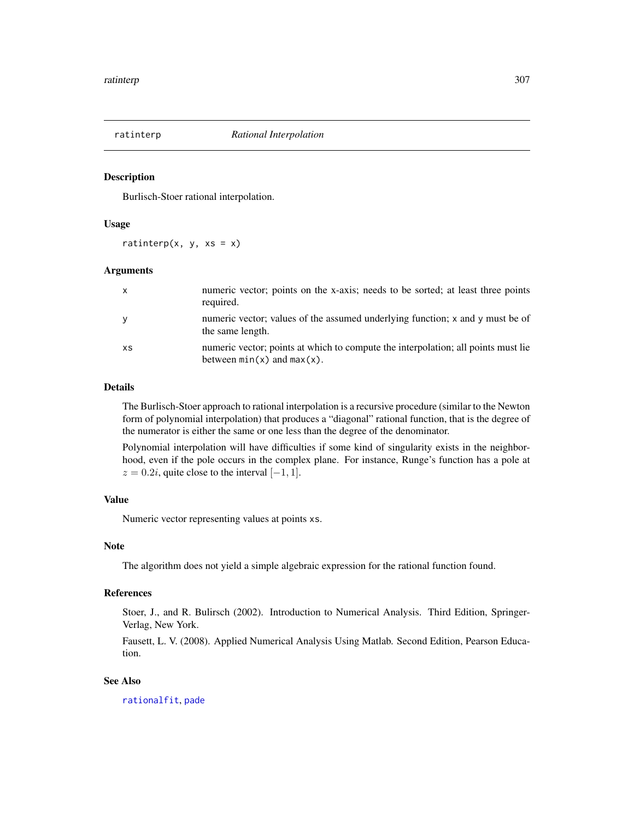<span id="page-306-0"></span>

Burlisch-Stoer rational interpolation.

## Usage

ratinterp(x, y,  $xs = x$ )

## Arguments

| $\mathsf{X}$ | numeric vector; points on the x-axis; needs to be sorted; at least three points<br>required.                         |
|--------------|----------------------------------------------------------------------------------------------------------------------|
| y            | numeric vector; values of the assumed underlying function; x and y must be of<br>the same length.                    |
| XS           | numeric vector; points at which to compute the interpolation; all points must lie<br>between $min(x)$ and $max(x)$ . |

#### Details

The Burlisch-Stoer approach to rational interpolation is a recursive procedure (similar to the Newton form of polynomial interpolation) that produces a "diagonal" rational function, that is the degree of the numerator is either the same or one less than the degree of the denominator.

Polynomial interpolation will have difficulties if some kind of singularity exists in the neighborhood, even if the pole occurs in the complex plane. For instance, Runge's function has a pole at  $z = 0.2i$ , quite close to the interval [-1, 1].

# Value

Numeric vector representing values at points xs.

# Note

The algorithm does not yield a simple algebraic expression for the rational function found.

## References

Stoer, J., and R. Bulirsch (2002). Introduction to Numerical Analysis. Third Edition, Springer-Verlag, New York.

Fausett, L. V. (2008). Applied Numerical Analysis Using Matlab. Second Edition, Pearson Education.

## See Also

[rationalfit](#page-307-0), [pade](#page-251-0)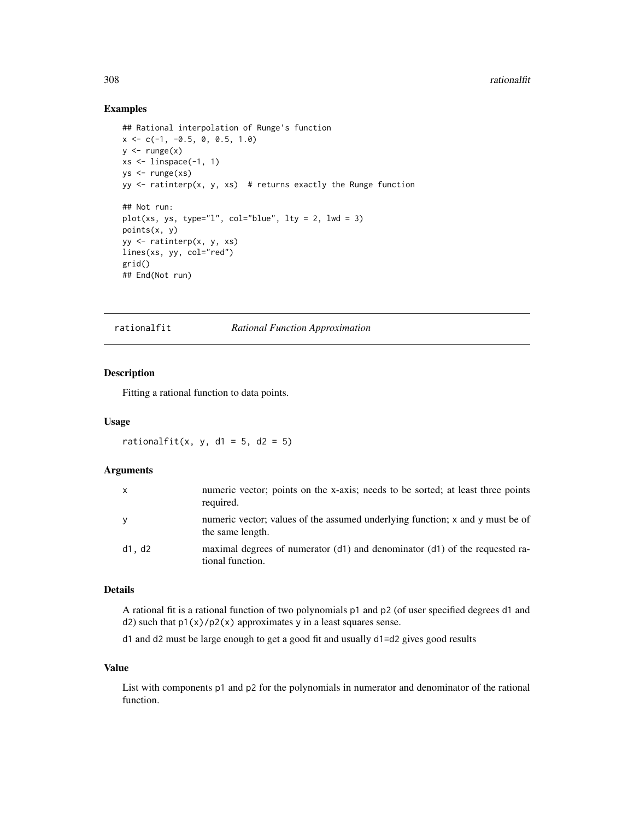## Examples

```
## Rational interpolation of Runge's function
x \leq -c(-1, -0.5, 0, 0.5, 1.0)y \leftarrow \text{range}(x)xs \leftarrow \text{linspace}(-1, 1)ys <- runge(xs)
yy \le ratinterp(x, y, xs) # returns exactly the Runge function
## Not run:
plot(xs, ys, type="l", col="blue", lty = 2, lwd = 3)
points(x, y)
yy <- ratinterp(x, y, xs)
lines(xs, yy, col="red")
grid()
## End(Not run)
```
rationalfit *Rational Function Approximation*

#### Description

Fitting a rational function to data points.

## Usage

rationalfit(x, y, d1 = 5, d2 = 5)

#### Arguments

| $\mathsf{x}$ | numeric vector; points on the x-axis; needs to be sorted; at least three points<br>required.      |
|--------------|---------------------------------------------------------------------------------------------------|
| y            | numeric vector; values of the assumed underlying function; x and y must be of<br>the same length. |
| d1, d2       | maximal degrees of numerator (d1) and denominator (d1) of the requested ra-<br>tional function.   |

## Details

A rational fit is a rational function of two polynomials p1 and p2 (of user specified degrees d1 and d2) such that  $p1(x)/p2(x)$  approximates y in a least squares sense.

d1 and d2 must be large enough to get a good fit and usually d1=d2 gives good results

## Value

List with components p1 and p2 for the polynomials in numerator and denominator of the rational function.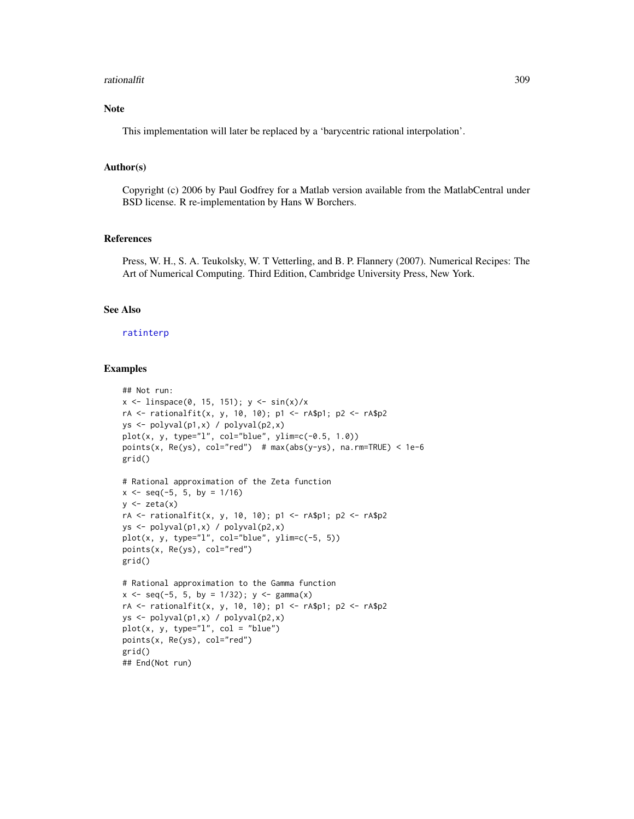#### rationalfit 309

# Note

This implementation will later be replaced by a 'barycentric rational interpolation'.

#### Author(s)

Copyright (c) 2006 by Paul Godfrey for a Matlab version available from the MatlabCentral under BSD license. R re-implementation by Hans W Borchers.

## References

Press, W. H., S. A. Teukolsky, W. T Vetterling, and B. P. Flannery (2007). Numerical Recipes: The Art of Numerical Computing. Third Edition, Cambridge University Press, New York.

## See Also

#### [ratinterp](#page-306-0)

## Examples

```
## Not run:
x \le -\text{linspace}(0, 15, 151); y \le -\text{sin}(x)/xrA <- rationalfit(x, y, 10, 10); p1 <- rA$p1; p2 <- rA$p2
ys <- polyval(p1,x) / polyval(p2,x)
plot(x, y, type="1", col="blue", ylim=c(-0.5, 1.0))points(x, Re(sys), col="red") # max(abs(y-ys), na.rm=TRUE) < 1e-6grid()
# Rational approximation of the Zeta function
x \le - seq(-5, 5, by = 1/16)
y \leftarrow zeta(x)rA <- rationalfit(x, y, 10, 10); p1 <- rA$p1; p2 <- rA$p2
ys <- polyval(p1,x) / polyval(p2,x)
plot(x, y, type="1", col="blue", ylim=c(-5, 5))points(x, Re(ys), col="red")
grid()
# Rational approximation to the Gamma function
x \le - seq(-5, 5, by = 1/32); y \le - gamma(x)
rA <- rationalfit(x, y, 10, 10); p1 <- rA$p1; p2 <- rA$p2
ys <- polyval(p1,x) / polyval(p2,x)
plot(x, y, type="1", col = "blue")points(x, Re(ys), col="red")
grid()
```
## End(Not run)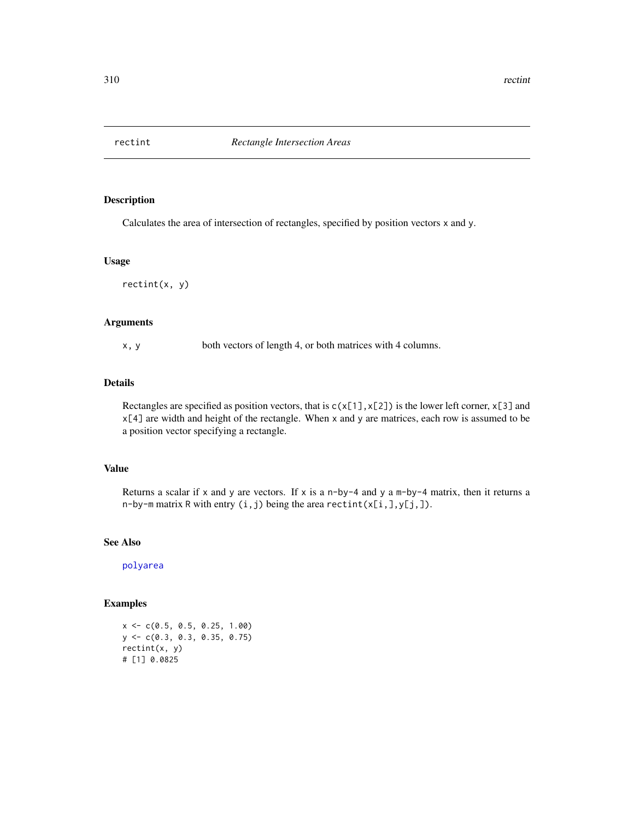Calculates the area of intersection of rectangles, specified by position vectors x and y.

## Usage

rectint(x, y)

## Arguments

x, y both vectors of length 4, or both matrices with 4 columns.

## Details

Rectangles are specified as position vectors, that is  $c(x[1], x[2])$  is the lower left corner,  $x[3]$  and x[4] are width and height of the rectangle. When x and y are matrices, each row is assumed to be a position vector specifying a rectangle.

## Value

Returns a scalar if x and y are vectors. If x is a n-by-4 and y a m-by-4 matrix, then it returns a n-by-m matrix R with entry  $(i, j)$  being the area rectint $(x[i, j, y[j,])$ .

# See Also

[polyarea](#page-266-0)

# Examples

x <- c(0.5, 0.5, 0.25, 1.00) y <- c(0.3, 0.3, 0.35, 0.75) rectint(x, y) # [1] 0.0825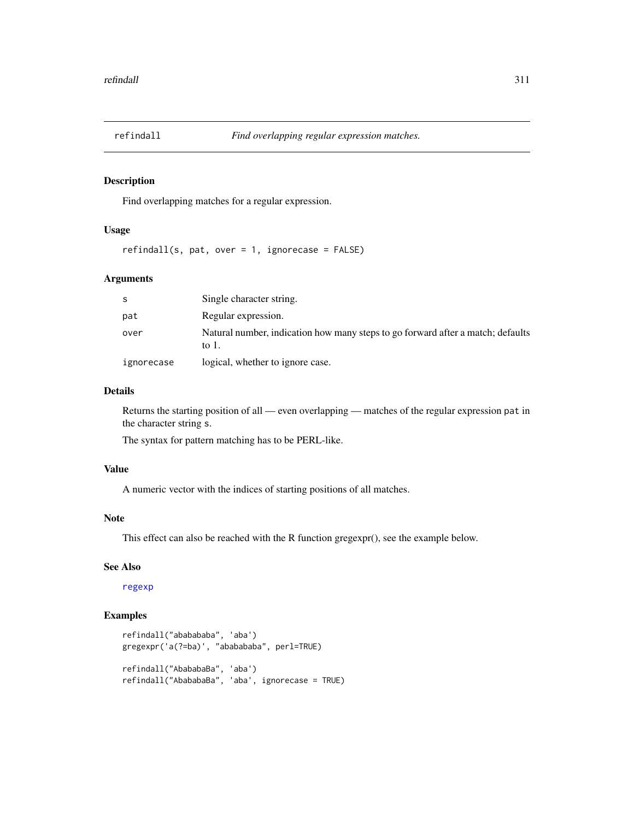Find overlapping matches for a regular expression.

## Usage

 $refindall(s, pat, over = 1, ignorecase = FALSE)$ 

# Arguments

| -S         | Single character string.                                                                 |
|------------|------------------------------------------------------------------------------------------|
| pat        | Regular expression.                                                                      |
| over       | Natural number, indication how many steps to go forward after a match; defaults<br>to 1. |
| ignorecase | logical, whether to ignore case.                                                         |

## Details

Returns the starting position of all — even overlapping — matches of the regular expression pat in the character string s.

The syntax for pattern matching has to be PERL-like.

## Value

A numeric vector with the indices of starting positions of all matches.

# Note

This effect can also be reached with the R function gregexpr(), see the example below.

#### See Also

[regexp](#page-311-0)

```
refindall("ababababa", 'aba')
gregexpr('a(?=ba)', "ababababa", perl=TRUE)
refindall("AbababaBa", 'aba')
refindall("AbababaBa", 'aba', ignorecase = TRUE)
```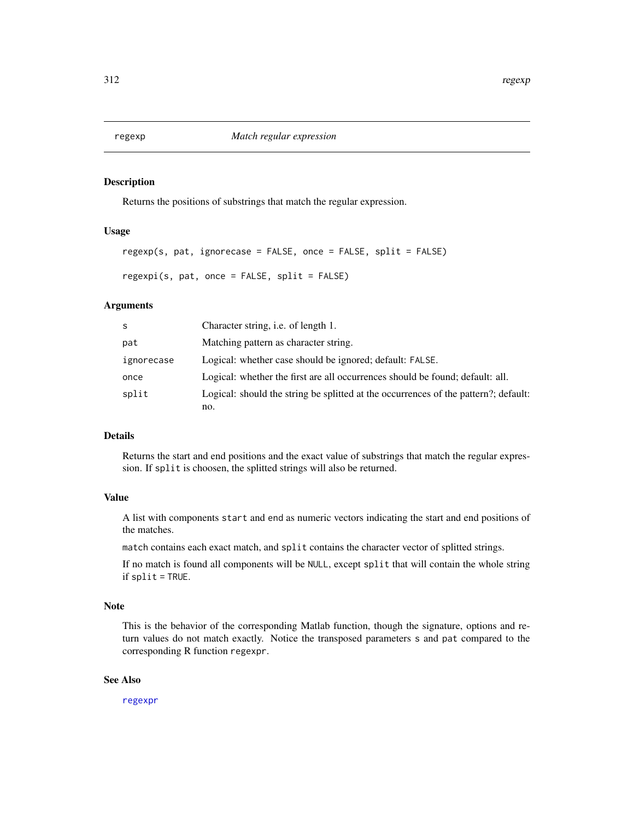<span id="page-311-0"></span>Returns the positions of substrings that match the regular expression.

## Usage

```
regexp(s, pat, ignorecase = FALSE, once = FALSE, split = FALSE)
```
regexpi(s, pat, once = FALSE, split = FALSE)

## Arguments

| S          | Character string, i.e. of length 1.                                                 |
|------------|-------------------------------------------------------------------------------------|
| pat        | Matching pattern as character string.                                               |
| ignorecase | Logical: whether case should be ignored; default: FALSE.                            |
| once       | Logical: whether the first are all occurrences should be found; default: all.       |
| split      | Logical: should the string be splitted at the occurrences of the pattern?; default: |
|            | no.                                                                                 |

# Details

Returns the start and end positions and the exact value of substrings that match the regular expression. If split is choosen, the splitted strings will also be returned.

# Value

A list with components start and end as numeric vectors indicating the start and end positions of the matches.

match contains each exact match, and split contains the character vector of splitted strings.

If no match is found all components will be NULL, except split that will contain the whole string if split = TRUE.

#### Note

This is the behavior of the corresponding Matlab function, though the signature, options and return values do not match exactly. Notice the transposed parameters s and pat compared to the corresponding R function regexpr.

## See Also

[regexpr](#page-0-0)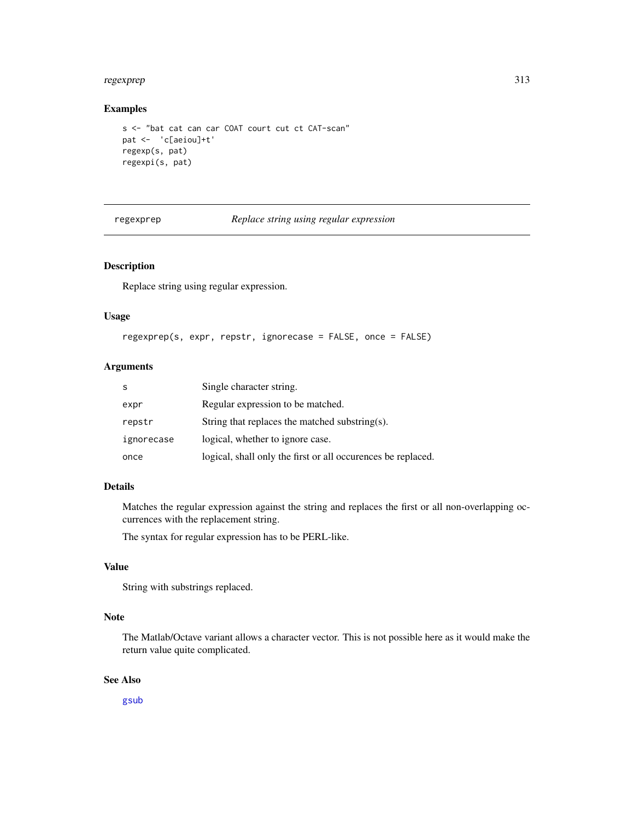#### regexprep 313

## Examples

```
s <- "bat cat can car COAT court cut ct CAT-scan"
pat <- 'c[aeiou]+t'
regexp(s, pat)
regexpi(s, pat)
```
regexprep *Replace string using regular expression*

# **Description**

Replace string using regular expression.

#### Usage

```
regexprep(s, expr, repstr, ignorecase = FALSE, once = FALSE)
```
# Arguments

| S          | Single character string.                                     |
|------------|--------------------------------------------------------------|
| expr       | Regular expression to be matched.                            |
| repstr     | String that replaces the matched substring(s).               |
| ignorecase | logical, whether to ignore case.                             |
| once       | logical, shall only the first or all occurences be replaced. |

# Details

Matches the regular expression against the string and replaces the first or all non-overlapping occurrences with the replacement string.

The syntax for regular expression has to be PERL-like.

# Value

String with substrings replaced.

## Note

The Matlab/Octave variant allows a character vector. This is not possible here as it would make the return value quite complicated.

## See Also

[gsub](#page-0-0)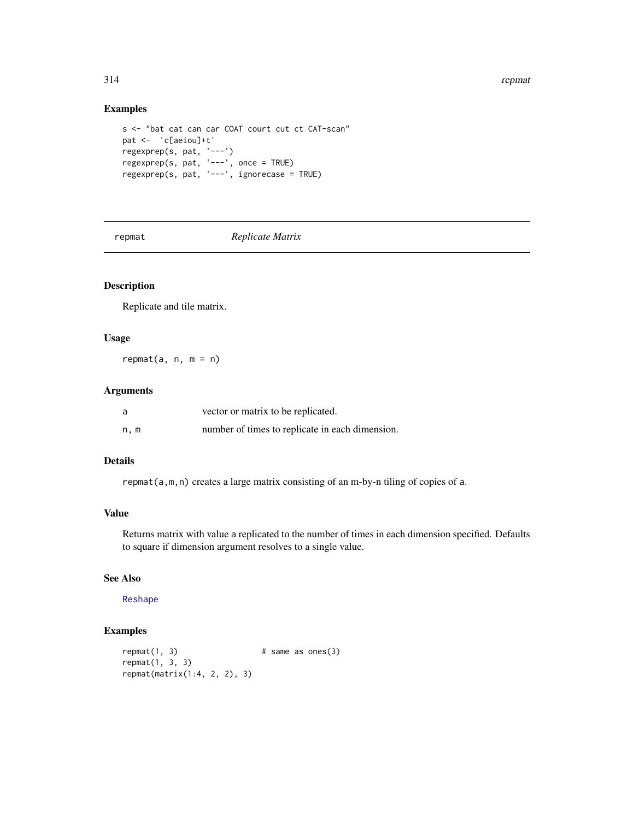#### 314 represents the contract of the contract of the contract of the contract of the contract of the contract of the contract of the contract of the contract of the contract of the contract of the contract of the contract of

# Examples

```
s <- "bat cat can car COAT court cut ct CAT-scan"
pat <- 'c[aeiou]+t'
regexprep(s, pat, '---')
regexprep(s, pat, '---', once = TRUE)
regexprep(s, pat, '---', ignorecase = TRUE)
```
repmat *Replicate Matrix*

# Description

Replicate and tile matrix.

# Usage

 $repmat(a, n, m = n)$ 

# Arguments

| a    | vector or matrix to be replicated.              |
|------|-------------------------------------------------|
| n, m | number of times to replicate in each dimension. |

# Details

repmat(a,m,n) creates a large matrix consisting of an m-by-n tiling of copies of a.

## Value

Returns matrix with value a replicated to the number of times in each dimension specified. Defaults to square if dimension argument resolves to a single value.

## See Also

[Reshape](#page-314-0)

```
repmat(1, 3) # same as ones(3)
repmat(1, 3, 3)
repmat(matrix(1:4, 2, 2), 3)
```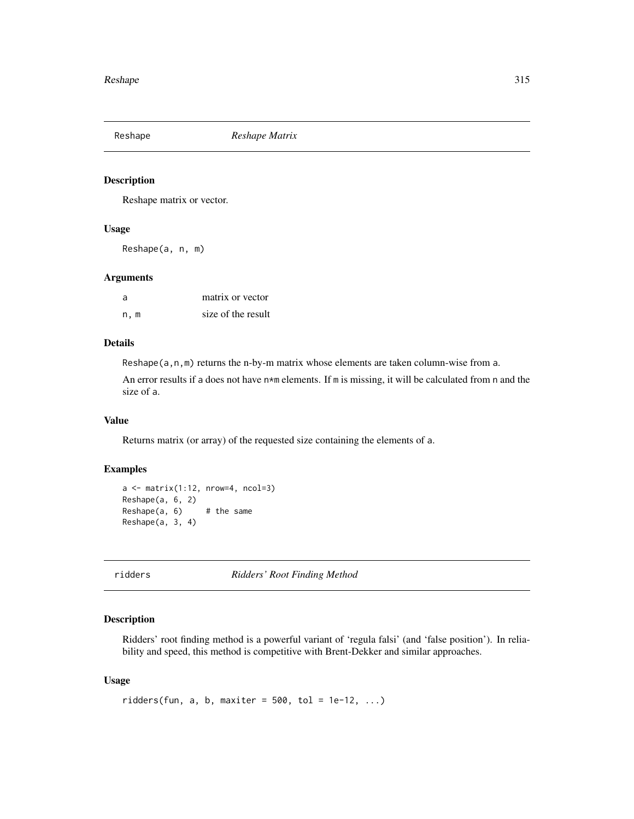<span id="page-314-0"></span>Reshape *Reshape Matrix*

## Description

Reshape matrix or vector.

#### Usage

Reshape(a, n, m)

#### Arguments

| -a  | matrix or vector   |
|-----|--------------------|
| n.m | size of the result |

# Details

Reshape(a,n,m) returns the n-by-m matrix whose elements are taken column-wise from a.

An error results if a does not have  $n*m$  elements. If m is missing, it will be calculated from n and the size of a.

## Value

Returns matrix (or array) of the requested size containing the elements of a.

#### Examples

```
a \leftarrow \text{matrix}(1:12, \text{ nrow=4, ncol=3})Reshape(a, 6, 2)
Reshape(a, 6) # the same
Reshape(a, 3, 4)
```
ridders *Ridders' Root Finding Method*

# Description

Ridders' root finding method is a powerful variant of 'regula falsi' (and 'false position'). In reliability and speed, this method is competitive with Brent-Dekker and similar approaches.

## Usage

```
ridders(fun, a, b, maxiter = 500, tol = 1e-12, ...)
```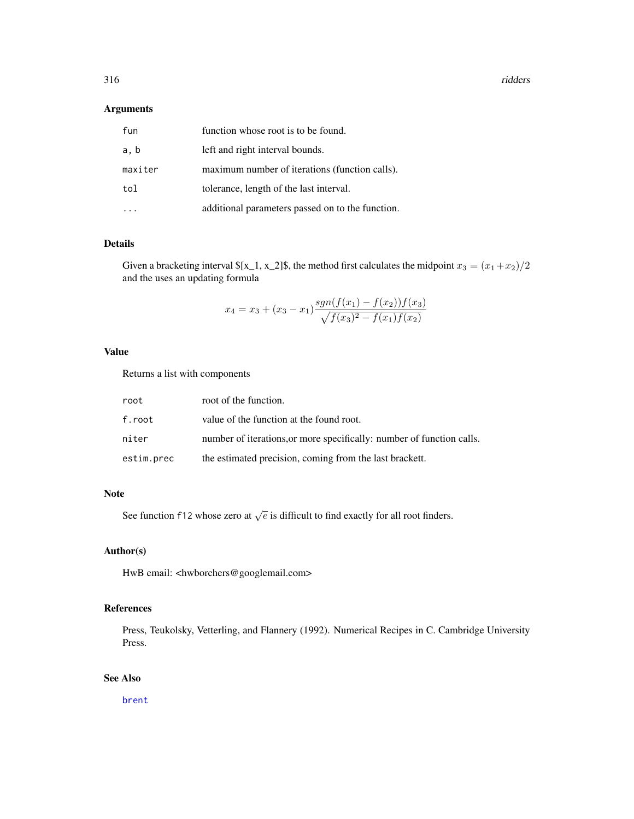316 ridders and the state of the state of the state of the state of the state of the state of the state of the state of the state of the state of the state of the state of the state of the state of the state of the state o

## Arguments

| fun     | function whose root is to be found.              |
|---------|--------------------------------------------------|
| a, b    | left and right interval bounds.                  |
| maxiter | maximum number of iterations (function calls).   |
| tol     | tolerance, length of the last interval.          |
|         | additional parameters passed on to the function. |

## Details

Given a bracketing interval  $[x_1, x_2]$ \$, the method first calculates the midpoint  $x_3 = (x_1 + x_2)/2$ and the uses an updating formula

$$
x_4 = x_3 + (x_3 - x_1) \frac{sgn(f(x_1) - f(x_2))f(x_3)}{\sqrt{f(x_3)^2 - f(x_1)f(x_2)}}
$$

# Value

Returns a list with components

| root       | root of the function.                                                 |
|------------|-----------------------------------------------------------------------|
| f.root     | value of the function at the found root.                              |
| niter      | number of iterations, or more specifically: number of function calls. |
| estim.prec | the estimated precision, coming from the last brackett.               |

## Note

See function f12 whose zero at  $\sqrt{e}$  is difficult to find exactly for all root finders.

# Author(s)

HwB email: <hwborchers@googlemail.com>

# References

Press, Teukolsky, Vetterling, and Flannery (1992). Numerical Recipes in C. Cambridge University Press.

# See Also

[brent](#page-38-0)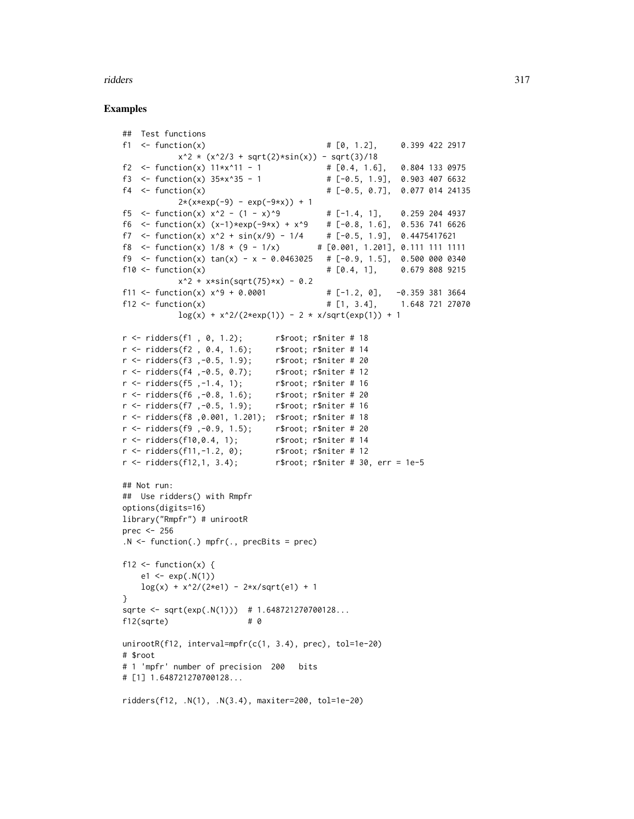#### ridders 317

```
## Test functions
f1 <- function(x) \qquad \qquad # [0, 1.2], \qquad 0.399 \; 422 \; 2917x^2 \times (x^2/3 + \sqrt{2}) \times \sin(x)) - \sqrt{3}<br>:ion(x) 11*x^11 - 1 # [0.4, 1.6], 0.804 133 0975
f2 <- function(x) 11 \times x^11 - 1f3 <- function(x) 35*x^35 - 1 # [-0.5, 1.9], 0.903 407 6632
f4 <- function(x) # [-0.5, 0.7], 0.077 014 24135
           2*(x*exp(-9) - exp(-9*x)) + 1f5 <- function(x) x^2 - (1 - x)^9 # [-1.4, 1], 0.259 204 4937<br>f6 <- function(x) (x-1)*exp(-9*x) + x^9 # [-0.8, 1.6], 0.536 741 6626
f6 \le function(x) (x-1)*exp(-9*x) + x^0.9f7 <- function(x) x^2 + sin(x/9) - 1/4 # [-0.5, 1.9], 0.4475417621
f8 <- function(x) 1/8 * (9 - 1/x) # [0.001, 1.201], 0.111 111 1111
f9 \le function(x) tan(x) - x - 0.0463025 # [-0.9, 1.5], 0.500 000 0340
f10 <- function(x) \qquad \qquad \qquad # [0.4, 1], 0.679 808 9215
           x^2 + x*sin(sqrt(75)*x) - 0.2f11 <- function(x) x^9 + 0.0001 # [-1.2, 0], -0.359 381 3664
f12 <- function(x) \# [1, 3.4], 1.648 721 27070
           \log(x) + x^2/(2*exp(1)) - 2 * x/sqrt(exp(1)) + 1
r < - ridders(f1, 0, 1.2); r$root; r$niter # 18
r <- ridders(f2, 0.4, 1.6); r$root; r$niter # 14
r <- ridders(f3 ,-0.5, 1.9); r$root; r$niter # 20
r < - ridders(f4, -0.5, 0.7); r$root; r$niter # 12
r <- ridders(f5 ,-1.4, 1); r$root; r$niter # 16
r <- ridders(f6 ,-0.8, 1.6); r$root; r$niter # 20
r <- ridders(f7 ,-0.5, 1.9); r$root; r$niter # 16
r <- ridders(f8 ,0.001, 1.201); r$root; r$niter # 18
r < - ridders(f9 , -0.9, 1.5); r$root; r$niter # 20
r < - ridders(f10,0.4, 1); r$root; r$niter # 14
r < - ridders(f11, -1.2, 0); r$root; r$niter # 12
r < - ridders(f12,1, 3.4); r$root; r$niter # 30, err = 1e-5
## Not run:
## Use ridders() with Rmpfr
options(digits=16)
library("Rmpfr") # unirootR
prec <- 256
.N < - function(.) mpfr(., precBits = prec)
f12 \leftarrow function(x) {
    e1 \le -exp(.N(1))log(x) + x^2/(2*e1) - 2*x/sqrt(e1) + 1}
sqrte <- sqrt(exp(.N(1))) # 1.648721270700128...
f12(sqrte) # 0
unirootR(f12, interval=mpfr(c(1, 3.4), prec), tol=1e-20)
# $root
# 1 'mpfr' number of precision 200 bits
# [1] 1.648721270700128...
ridders(f12, .N(1), .N(3.4), maxiter=200, tol=1e-20)
```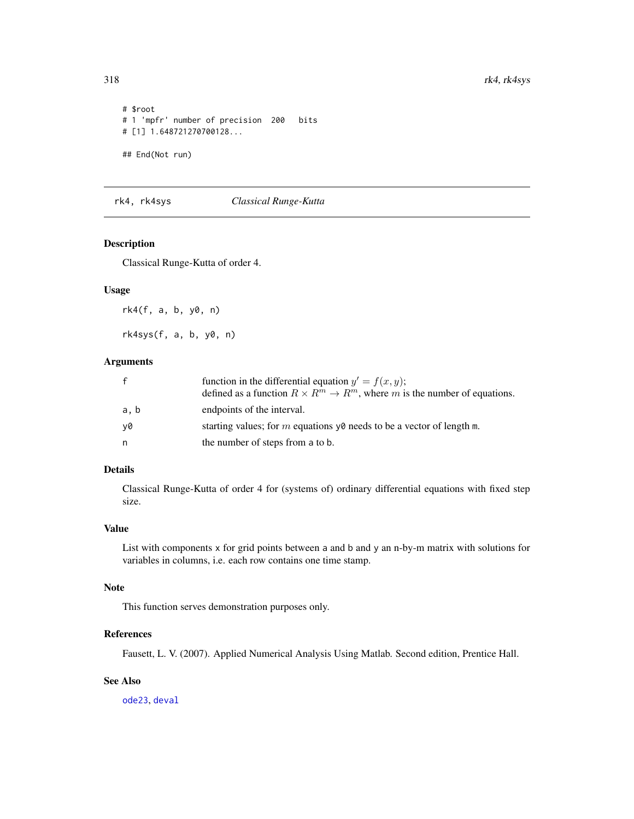```
# $root
# 1 'mpfr' number of precision 200 bits
# [1] 1.648721270700128...
## End(Not run)
```
rk4, rk4sys *Classical Runge-Kutta*

# <span id="page-317-0"></span>Description

Classical Runge-Kutta of order 4.

# Usage

rk4(f, a, b, y0, n)

rk4sys(f, a, b, y0, n)

# Arguments

|      | function in the differential equation $y' = f(x, y)$ ;<br>defined as a function $R \times R^m \to R^m$ , where m is the number of equations. |
|------|----------------------------------------------------------------------------------------------------------------------------------------------|
| a, b | endpoints of the interval.                                                                                                                   |
| v0   | starting values; for m equations $\nu\theta$ needs to be a vector of length m.                                                               |
| n    | the number of steps from a to b.                                                                                                             |

## Details

Classical Runge-Kutta of order 4 for (systems of) ordinary differential equations with fixed step size.

# Value

List with components x for grid points between a and b and y an n-by-m matrix with solutions for variables in columns, i.e. each row contains one time stamp.

## Note

This function serves demonstration purposes only.

# References

Fausett, L. V. (2007). Applied Numerical Analysis Using Matlab. Second edition, Prentice Hall.

# See Also

[ode23](#page-246-0), [deval](#page-78-0)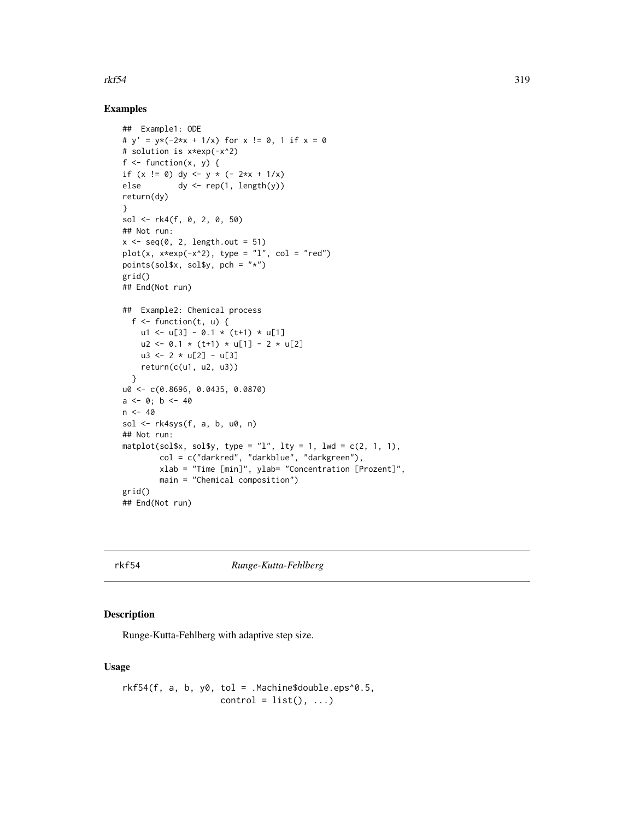### $rk54$  319

## Examples

```
## Example1: ODE
# y' = y*(-2*x + 1/x) for x := 0, 1 if x = 0# solution is x*exp(-x^2)
f \leftarrow function(x, y) {
if (x := 0) dy \le -y * (-2*x + 1/x)else dy \leftarrow rep(1, length(y))return(dy)
}
sol <- rk4(f, 0, 2, 0, 50)
## Not run:
x \leq -\text{seq}(0, 2, \text{length.out} = 51)plot(x, x*exp(-x^2), type = "l", col = "red")
points(sol$x, sol$y, pch = "*")grid()
## End(Not run)
## Example2: Chemical process
  f \leftarrow function(t, u) {
    u1 <- u[3] - 0.1 * (t+1) * u[1]u2 \le -0.1 \times (t+1) \times u[1] - 2 \times u[2]u3 \le -2 \times u[2] - u[3]return(c(u1, u2, u3))
  }
u0 <- c(0.8696, 0.0435, 0.0870)
a \leftarrow 0; b \leftarrow 40n < -40sol <- rk4sys(f, a, b, u0, n)
## Not run:
matplot(sol$x, sol$y, type = "l", lty = 1, lwd = c(2, 1, 1),
        col = c("darkred", "darkblue", "darkgreen"),
        xlab = "Time [min]", ylab= "Concentration [Prozent]",
        main = "Chemical composition")
grid()
## End(Not run)
```
rkf54 *Runge-Kutta-Fehlberg*

# Description

Runge-Kutta-Fehlberg with adaptive step size.

## Usage

```
rkf54(f, a, b, y0, tol = .Machine$double.eps^0.5,control = list(), ...)
```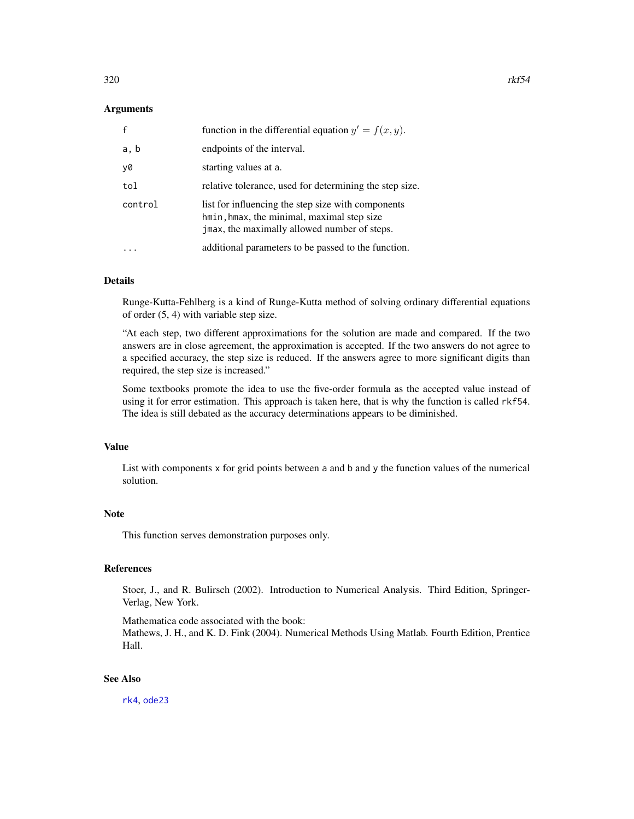## Arguments

| $\mathsf{f}$ | function in the differential equation $y' = f(x, y)$ .                                                                                           |
|--------------|--------------------------------------------------------------------------------------------------------------------------------------------------|
| a, b         | endpoints of the interval.                                                                                                                       |
| y0           | starting values at a.                                                                                                                            |
| tol          | relative tolerance, used for determining the step size.                                                                                          |
| control      | list for influencing the step size with components<br>hmin, hmax, the minimal, maximal step size<br>jmax, the maximally allowed number of steps. |
|              | additional parameters to be passed to the function.                                                                                              |

## Details

Runge-Kutta-Fehlberg is a kind of Runge-Kutta method of solving ordinary differential equations of order (5, 4) with variable step size.

"At each step, two different approximations for the solution are made and compared. If the two answers are in close agreement, the approximation is accepted. If the two answers do not agree to a specified accuracy, the step size is reduced. If the answers agree to more significant digits than required, the step size is increased."

Some textbooks promote the idea to use the five-order formula as the accepted value instead of using it for error estimation. This approach is taken here, that is why the function is called rkf54. The idea is still debated as the accuracy determinations appears to be diminished.

#### Value

List with components x for grid points between a and b and y the function values of the numerical solution.

# Note

This function serves demonstration purposes only.

## References

Stoer, J., and R. Bulirsch (2002). Introduction to Numerical Analysis. Third Edition, Springer-Verlag, New York.

Mathematica code associated with the book:

Mathews, J. H., and K. D. Fink (2004). Numerical Methods Using Matlab. Fourth Edition, Prentice Hall.

## See Also

[rk4](#page-317-0), [ode23](#page-246-0)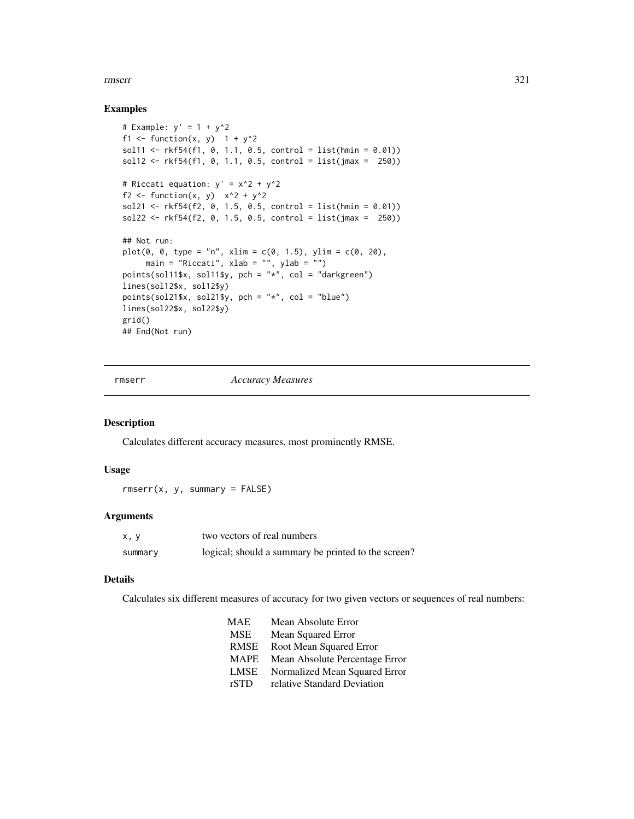#### rmserr 321

## Examples

```
# Example: y' = 1 + y^2f1 <- function(x, y) 1 + y^2sol11 <- rkf54(f1, 0, 1.1, 0.5, control = list(hmin = 0.01))
sol12 \leq r kf54(f1, 0, 1.1, 0.5, control = list(jmax = 250))
# Riccati equation: y' = x^2 + y^2
f2 <- function(x, y) x^2 + y^2sol21 <- rkf54(f2, 0, 1.5, 0.5, control = list(hmin = 0.01))
sol22 \leq r kf54(f2, 0, 1.5, 0.5, control = list(jmax = 250))
## Not run:
plot(0, 0, type = "n", xlim = c(0, 1.5), ylim = c(0, 20),main = "Riccati", xlab = "", ylab = "")
points(sol11$x, sol11$y, pch = "*", col = "darkgreen")
lines(sol12$x, sol12$y)
points(sol21$x, sol21$y, pch = "*", col = "blue")
lines(sol22$x, sol22$y)
grid()
## End(Not run)
```
rmserr *Accuracy Measures*

# Description

Calculates different accuracy measures, most prominently RMSE.

#### Usage

rmserr(x, y, summary = FALSE)

## Arguments

| x, y    | two vectors of real numbers                         |
|---------|-----------------------------------------------------|
| summary | logical; should a summary be printed to the screen? |

# Details

Calculates six different measures of accuracy for two given vectors or sequences of real numbers:

| <b>MAE</b>  | Mean Absolute Error            |
|-------------|--------------------------------|
| <b>MSE</b>  | Mean Squared Error             |
| <b>RMSE</b> | Root Mean Squared Error        |
| <b>MAPE</b> | Mean Absolute Percentage Error |
| <b>LMSE</b> | Normalized Mean Squared Error  |
| rSTD        | relative Standard Deviation    |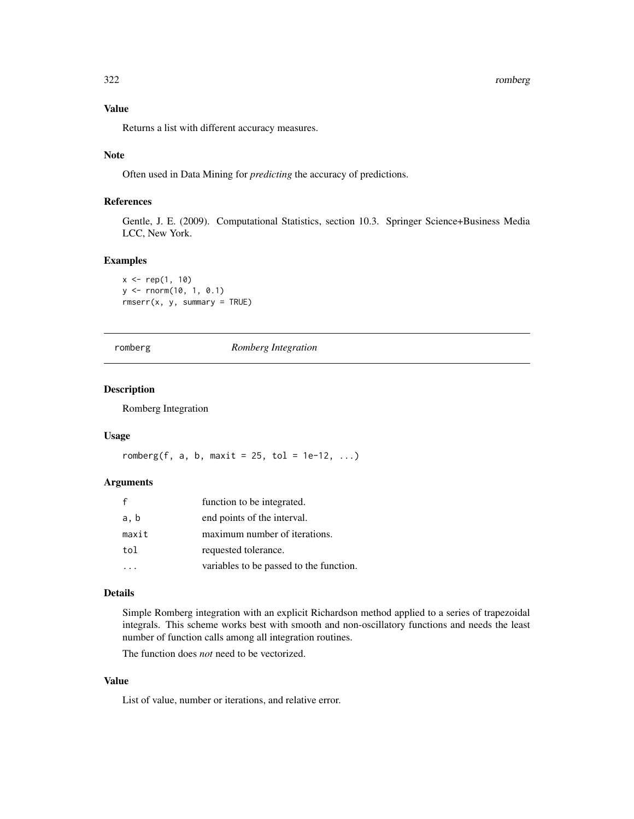#### 322 romberg

# Value

Returns a list with different accuracy measures.

## Note

Often used in Data Mining for *predicting* the accuracy of predictions.

## References

Gentle, J. E. (2009). Computational Statistics, section 10.3. Springer Science+Business Media LCC, New York.

#### Examples

 $x \leq -rep(1, 10)$ y <- rnorm(10, 1, 0.1) rmserr(x, y, summary = TRUE)

romberg *Romberg Integration*

## Description

Romberg Integration

#### Usage

romberg(f, a, b, maxit = 25, tol = 1e-12,  $\dots$ )

# Arguments

|       | function to be integrated.              |
|-------|-----------------------------------------|
| a, b  | end points of the interval.             |
| maxit | maximum number of iterations.           |
| tol   | requested tolerance.                    |
|       | variables to be passed to the function. |

## Details

Simple Romberg integration with an explicit Richardson method applied to a series of trapezoidal integrals. This scheme works best with smooth and non-oscillatory functions and needs the least number of function calls among all integration routines.

The function does *not* need to be vectorized.

# Value

List of value, number or iterations, and relative error.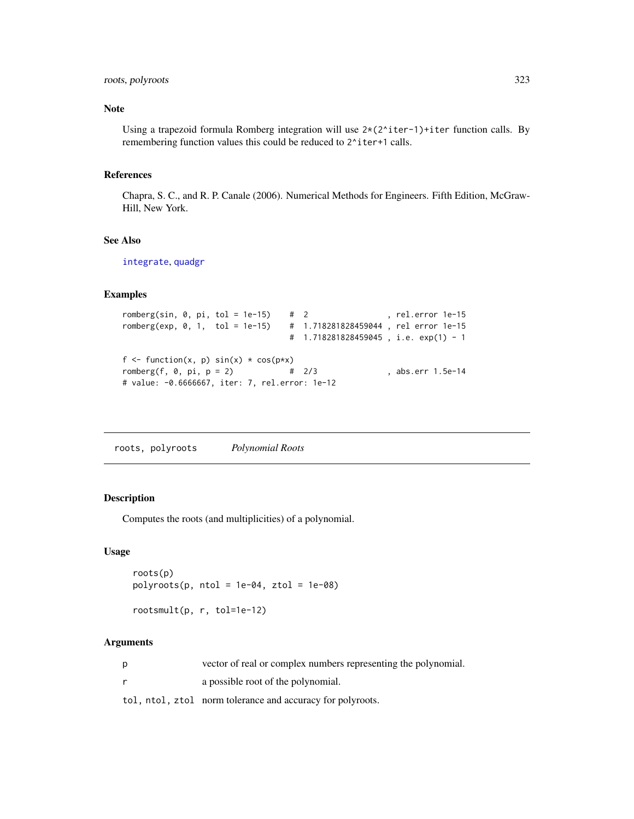# roots, polyroots 323

## Note

Using a trapezoid formula Romberg integration will use  $2*(2 \text{`iter-1})+iter$  function calls. By remembering function values this could be reduced to  $2^i$  iter+1 calls.

#### References

Chapra, S. C., and R. P. Canale (2006). Numerical Methods for Engineers. Fifth Edition, McGraw-Hill, New York.

# See Also

[integrate](#page-0-0), [quadgr](#page-291-0)

## Examples

```
romberg(sin, 0, pi, tol = 1e-15) # 2 , rel.error 1e-15
romberg(exp, 0, 1, tol = 1e-15) # 1.718281828459044 , rel error 1e-15
                             # 1.718281828459045 , i.e. exp(1) - 1
f \le function(x, p) sin(x) \cdot cos(pxx)romberg(f, 0, pi, p = 2)   # 2/3 , abs.err 1.5e-14
# value: -0.6666667, iter: 7, rel.error: 1e-12
```
roots, polyroots *Polynomial Roots*

# Description

Computes the roots (and multiplicities) of a polynomial.

# Usage

```
roots(p)
polyroots(p, ntol = 1e-04, ztol = 1e-08)
```

```
rootsmult(p, r, tol=1e-12)
```
# Arguments

| vector of real or complex numbers representing the polynomial. |
|----------------------------------------------------------------|
| a possible root of the polynomial.                             |

tol, ntol, ztol norm tolerance and accuracy for polyroots.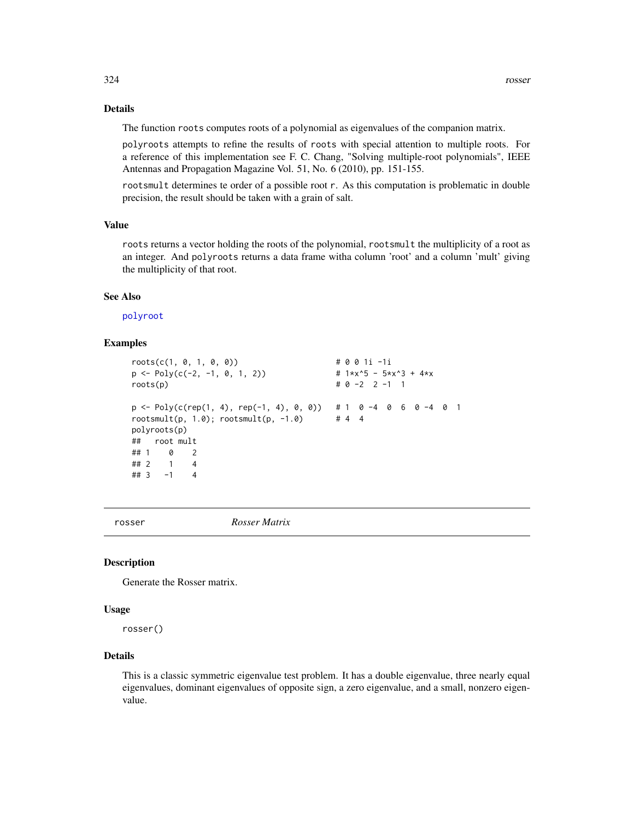# Details

The function roots computes roots of a polynomial as eigenvalues of the companion matrix.

polyroots attempts to refine the results of roots with special attention to multiple roots. For a reference of this implementation see F. C. Chang, "Solving multiple-root polynomials", IEEE Antennas and Propagation Magazine Vol. 51, No. 6 (2010), pp. 151-155.

rootsmult determines te order of a possible root r. As this computation is problematic in double precision, the result should be taken with a grain of salt.

# Value

roots returns a vector holding the roots of the polynomial, rootsmult the multiplicity of a root as an integer. And polyroots returns a data frame witha column 'root' and a column 'mult' giving the multiplicity of that root.

## See Also

[polyroot](#page-0-0)

## Examples

```
roots(c(1, 0, 1, 0, 0)) # 0 0 1i -1i
p \leftarrow Poly(c(-2, -1, 0, 1, 2)) # 1*x^5 - 5*x^3 + 4*x
roots(p) # 0 -2 2 -1 1
p \leftarrow Poly(c(rep(1, 4), rep(-1, 4), 0, 0)) # 1 0 -4 0 6 0 -4 0 1
rootsmult(p, 1.0); rootsmult(p, -1.0) # 4 4
polyroots(p)
## root mult
## 1 0 2
## 2 1 4
## 3 -1 4
```
rosser *Rosser Matrix*

# **Description**

Generate the Rosser matrix.

#### Usage

rosser()

## Details

This is a classic symmetric eigenvalue test problem. It has a double eigenvalue, three nearly equal eigenvalues, dominant eigenvalues of opposite sign, a zero eigenvalue, and a small, nonzero eigenvalue.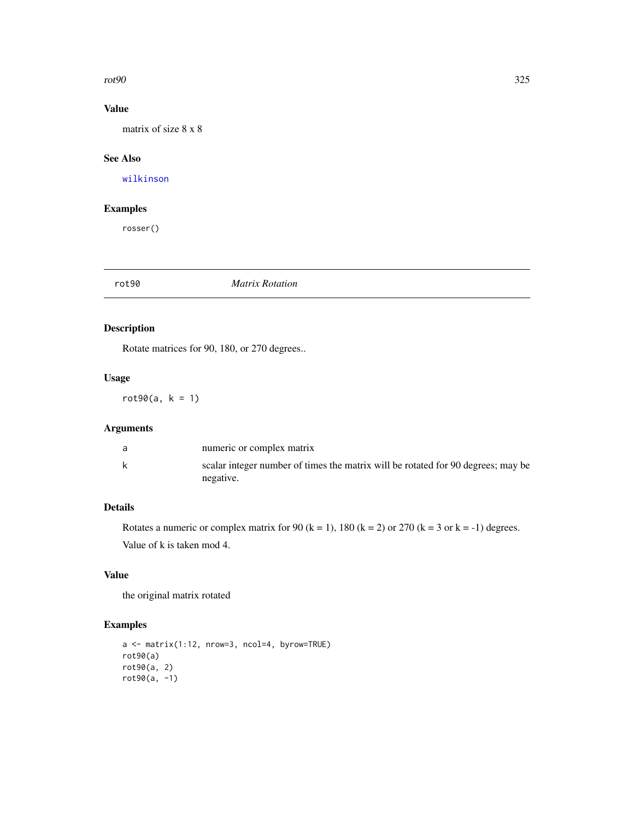#### $rot90$  325

# Value

matrix of size 8 x 8

# See Also

[wilkinson](#page-378-0)

# Examples

rosser()

#### rot90 *Matrix Rotation*

# Description

Rotate matrices for 90, 180, or 270 degrees..

## Usage

 $rot90(a, k = 1)$ 

# Arguments

|   | numeric or complex matrix                                                                     |
|---|-----------------------------------------------------------------------------------------------|
| k | scalar integer number of times the matrix will be rotated for 90 degrees; may be<br>negative. |

# Details

Rotates a numeric or complex matrix for 90 (k = 1), 180 (k = 2) or 270 (k = 3 or k = -1) degrees. Value of k is taken mod 4.

# Value

the original matrix rotated

```
a <- matrix(1:12, nrow=3, ncol=4, byrow=TRUE)
rot90(a)
rot90(a, 2)
rot90(a, -1)
```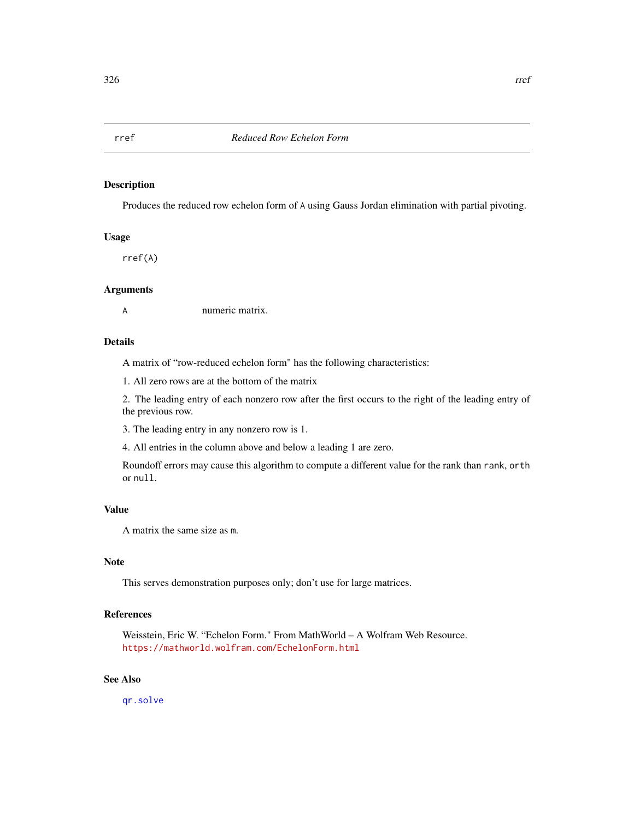Produces the reduced row echelon form of A using Gauss Jordan elimination with partial pivoting.

## Usage

rref(A)

# Arguments

A numeric matrix.

## Details

A matrix of "row-reduced echelon form" has the following characteristics:

1. All zero rows are at the bottom of the matrix

2. The leading entry of each nonzero row after the first occurs to the right of the leading entry of the previous row.

3. The leading entry in any nonzero row is 1.

4. All entries in the column above and below a leading 1 are zero.

Roundoff errors may cause this algorithm to compute a different value for the rank than rank, orth or null.

# Value

A matrix the same size as m.

# Note

This serves demonstration purposes only; don't use for large matrices.

# References

Weisstein, Eric W. "Echelon Form." From MathWorld – A Wolfram Web Resource. <https://mathworld.wolfram.com/EchelonForm.html>

# See Also

[qr.solve](#page-0-0)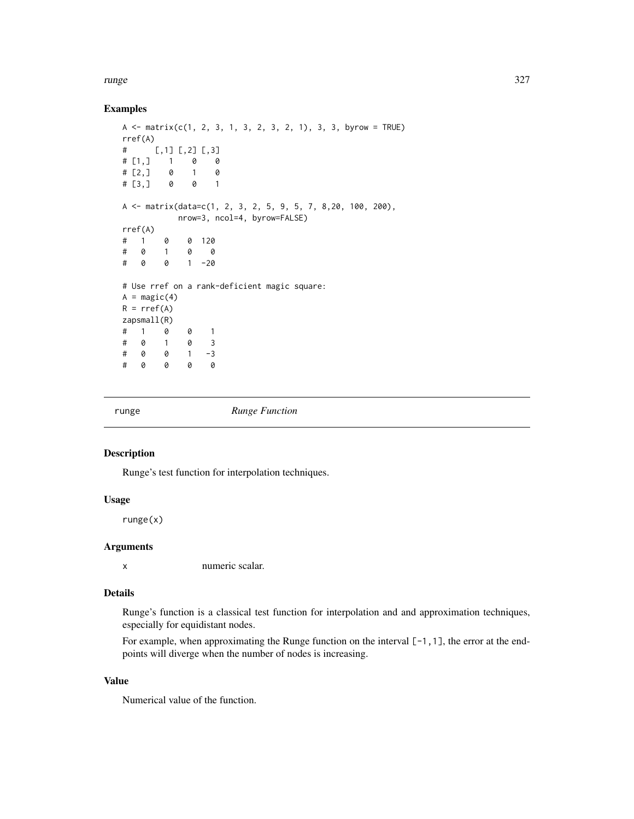runge 327

### Examples

```
A \leq matrix(c(1, 2, 3, 1, 3, 2, 3, 2, 1), 3, 3, byrow = TRUE)
rref(A)
# [,1] [,2] [,3]
\# [1,] 1 0 0
\# [2,] 0 1 0
# [3,] 0 0 1
A \le matrix(data=c(1, 2, 3, 2, 5, 9, 5, 7, 8, 20, 100, 200),
         nrow=3, ncol=4, byrow=FALSE)
rref(A)
# 1 0 0 120
# 0 1 0 0
# 0 0 1 -20
# Use rref on a rank-deficient magic square:
A = magic(4)R = rref(A)zapsmall(R)
# 1 0 0 1
# 0 1 0 3
# 0 0 1 -3
# 0 0 0 0
```
runge *Runge Function*

#### Description

Runge's test function for interpolation techniques.

# Usage

runge(x)

## Arguments

x numeric scalar.

#### Details

Runge's function is a classical test function for interpolation and and approximation techniques, especially for equidistant nodes.

For example, when approximating the Runge function on the interval [-1,1], the error at the endpoints will diverge when the number of nodes is increasing.

## Value

Numerical value of the function.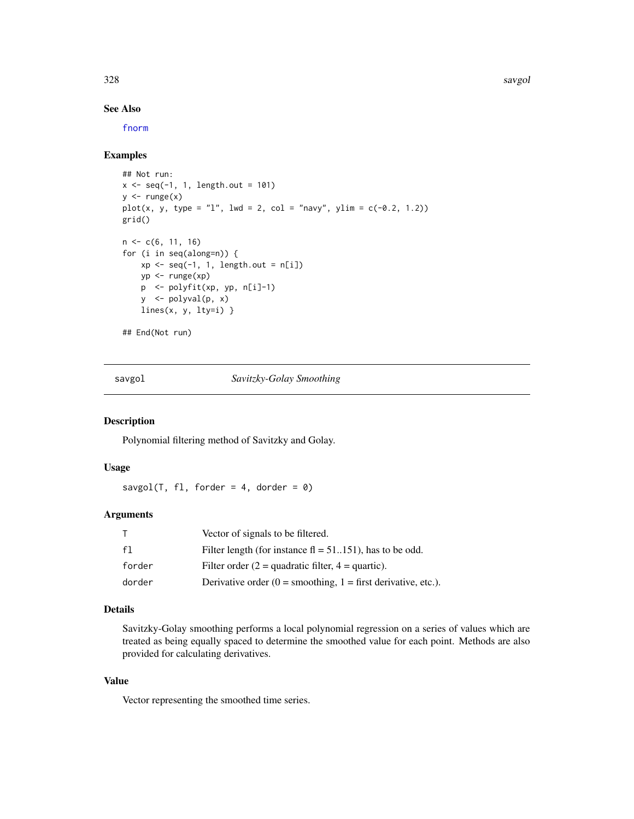328 savgol

## See Also

[fnorm](#page-120-0)

## Examples

```
## Not run:
x \leq -\text{seq}(-1, 1, \text{length.out} = 101)y \leftarrow \text{range}(x)plot(x, y, type = "l", lwd = 2, col = "navy", ylim = c(-0.2, 1.2))
grid()
n \leq c(6, 11, 16)for (i in seq(along=n)) {
    xp \leftarrow seq(-1, 1, length.out = n[i])yp <- runge(xp)
    p <- polyfit(xp, yp, n[i]-1)
    y <- polyval(p, x)
    lines(x, y, lty=i) }
## End(Not run)
```
savgol *Savitzky-Golay Smoothing*

# **Description**

Polynomial filtering method of Savitzky and Golay.

# Usage

savgol(T, fl, forder = 4, dorder =  $\theta$ )

#### Arguments

| T      | Vector of signals to be filtered.                                 |
|--------|-------------------------------------------------------------------|
| f1     | Filter length (for instance $fl = 51151$ ), has to be odd.        |
| forder | Filter order $(2 = \text{quadratic filter}, 4 = \text{quartic}).$ |
| dorder | Derivative order $(0 =$ smoothing, $1 =$ first derivative, etc.). |

## Details

Savitzky-Golay smoothing performs a local polynomial regression on a series of values which are treated as being equally spaced to determine the smoothed value for each point. Methods are also provided for calculating derivatives.

# Value

Vector representing the smoothed time series.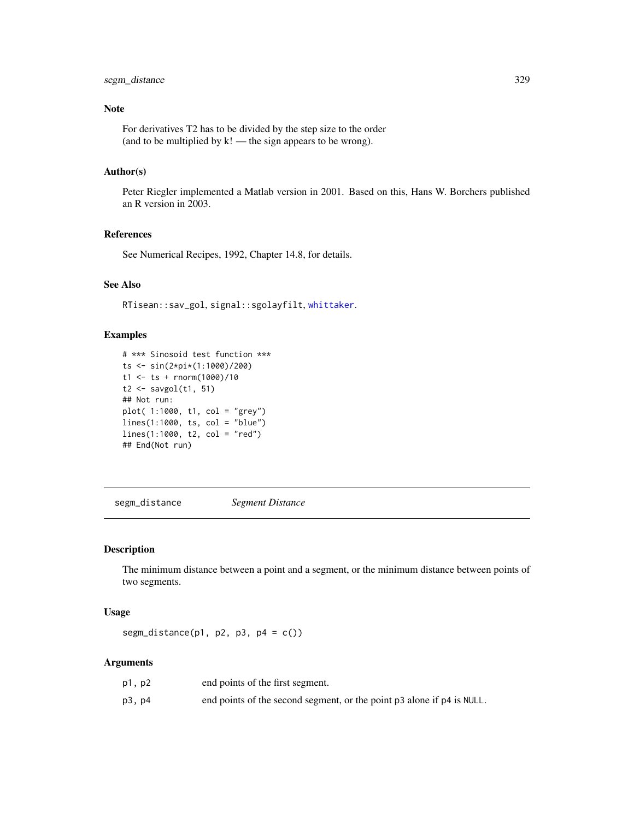# segm\_distance 329

## Note

For derivatives T2 has to be divided by the step size to the order (and to be multiplied by  $k!$  — the sign appears to be wrong).

# Author(s)

Peter Riegler implemented a Matlab version in 2001. Based on this, Hans W. Borchers published an R version in 2003.

# References

See Numerical Recipes, 1992, Chapter 14.8, for details.

## See Also

RTisean::sav\_gol, signal::sgolayfilt, [whittaker](#page-377-0).

# Examples

```
# *** Sinosoid test function ***
ts <- sin(2*pi*(1:1000)/200)
t1 <- ts + rnorm(1000)/10
t2 \leftarrow savgol(t1, 51)## Not run:
plot( 1:1000, t1, col = "grey")
lines(1:1000, ts, col = "blue")
lines(1:1000, t2, col = "red")## End(Not run)
```
<span id="page-328-0"></span>segm\_distance *Segment Distance*

## Description

The minimum distance between a point and a segment, or the minimum distance between points of two segments.

#### Usage

segm\_distance( $p1$ ,  $p2$ ,  $p3$ ,  $p4 = c()$ )

#### Arguments

| p1, p2 | end points of the first segment.                                       |
|--------|------------------------------------------------------------------------|
| p3, p4 | end points of the second segment, or the point p3 alone if p4 is NULL. |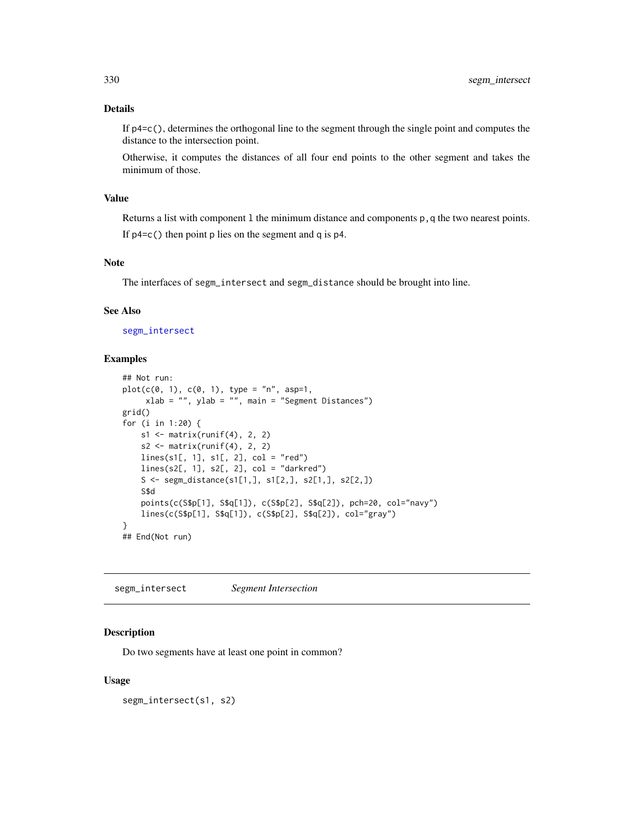## Details

If p4=c(), determines the orthogonal line to the segment through the single point and computes the distance to the intersection point.

Otherwise, it computes the distances of all four end points to the other segment and takes the minimum of those.

# Value

Returns a list with component 1 the minimum distance and components  $p$ , q the two nearest points. If p4=c() then point p lies on the segment and q is p4.

## Note

The interfaces of segm\_intersect and segm\_distance should be brought into line.

#### See Also

[segm\\_intersect](#page-329-0)

# Examples

```
## Not run:
plot(c(0, 1), c(0, 1), type = "n", asp=1,xlab = "", ylab = "", main = "Segment Distances")
grid()
for (i in 1:20) {
   s1 \leftarrow matrix(runif(4), 2, 2)s2 \leftarrow matrix(runif(4), 2, 2)lines(s1[, 1], s1[, 2], col = "red")
   lines(s2[, 1], s2[, 2], col = "darkred")S <- segm_distance(s1[1,], s1[2,], s2[1,], s2[2,])
    S$d
    points(c(S$p[1], S$q[1]), c(S$p[2], S$q[2]), pch=20, col="navy")
    lines(c(S$p[1], S$q[1]), c(S$p[2], S$q[2]), col="gray")
}
## End(Not run)
```
<span id="page-329-0"></span>segm\_intersect *Segment Intersection*

#### **Description**

Do two segments have at least one point in common?

#### Usage

segm\_intersect(s1, s2)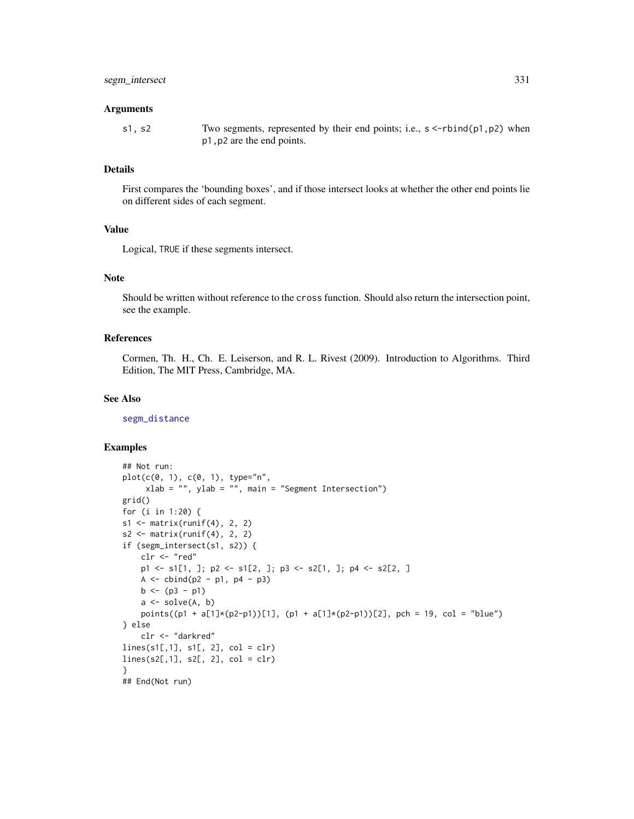#### Arguments

```
s1, s2 Two segments, represented by their end points; i.e., s < -rbind(p1,p2) when
                p1,p2 are the end points.
```
#### Details

First compares the 'bounding boxes', and if those intersect looks at whether the other end points lie on different sides of each segment.

## Value

Logical, TRUE if these segments intersect.

#### Note

Should be written without reference to the cross function. Should also return the intersection point, see the example.

#### References

Cormen, Th. H., Ch. E. Leiserson, and R. L. Rivest (2009). Introduction to Algorithms. Third Edition, The MIT Press, Cambridge, MA.

# See Also

[segm\\_distance](#page-328-0)

```
## Not run:
plot(c(0, 1), c(0, 1), type="n",
     xlab = "", ylab = "", main = "Segment Intersection")
grid()
for (i in 1:20) {
s1 <- matrix(runif(4), 2, 2)
s2 \leftarrow matrix(runif(4), 2, 2)if (segm_intersect(s1, s2)) {
    clr <- "red"
    p1 <- s1[1, ]; p2 <- s1[2, ]; p3 <- s2[1, ]; p4 <- s2[2, ]
    A \leftarrow \text{cbind}(p2 - p1, p4 - p3)b \leftarrow (p3 - p1)a \leftarrow solve(A, b)points((p1 + a[1]*(p2-p1))[1], (p1 + a[1]*(p2-p1))[2], pch = 19, col = "blue")
} else
    clr <- "darkred"
lines(s1[,1], s1[, 2], col = clr)
lines(s2[,1], s2[, 2], col = clr)
}
## End(Not run)
```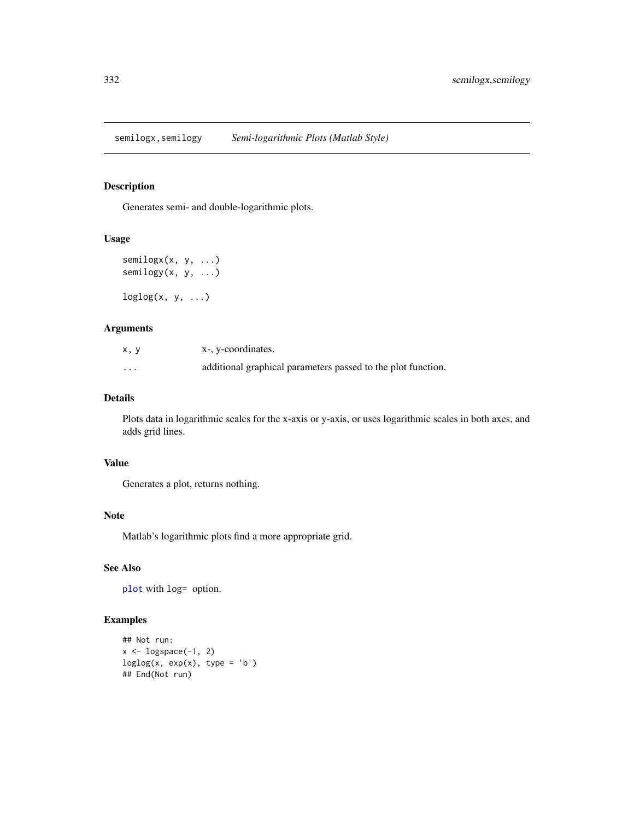semilogx,semilogy *Semi-logarithmic Plots (Matlab Style)*

# Description

Generates semi- and double-logarithmic plots.

# Usage

```
semilogx(x, y, ...)
semilogy(x, y, ...)
loglog(x, y, ...)
```
# Arguments

| x, y | x-, y-coordinates.                                           |
|------|--------------------------------------------------------------|
| .    | additional graphical parameters passed to the plot function. |

## Details

Plots data in logarithmic scales for the x-axis or y-axis, or uses logarithmic scales in both axes, and adds grid lines.

## Value

Generates a plot, returns nothing.

#### Note

Matlab's logarithmic plots find a more appropriate grid.

#### See Also

[plot](#page-0-0) with log= option.

```
## Not run:
x \leftarrow \text{logspace}(-1, 2)loglog(x, exp(x), type = 'b')## End(Not run)
```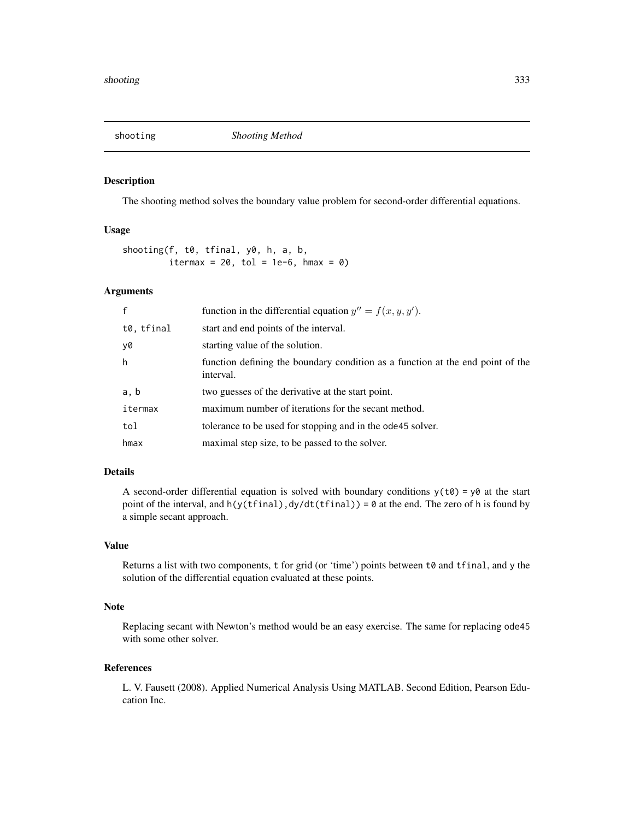The shooting method solves the boundary value problem for second-order differential equations.

## Usage

shooting(f, t0, tfinal, y0, h, a, b, itermax =  $20$ , tol =  $1e-6$ , hmax =  $0$ )

#### Arguments

| $\mathsf{f}$ | function in the differential equation $y'' = f(x, y, y')$ .                                 |
|--------------|---------------------------------------------------------------------------------------------|
| t0, tfinal   | start and end points of the interval.                                                       |
| y0           | starting value of the solution.                                                             |
| h            | function defining the boundary condition as a function at the end point of the<br>interval. |
| a, b         | two guesses of the derivative at the start point.                                           |
| itermax      | maximum number of iterations for the secant method.                                         |
| tol          | tolerance to be used for stopping and in the ode45 solver.                                  |
| hmax         | maximal step size, to be passed to the solver.                                              |

#### Details

A second-order differential equation is solved with boundary conditions  $y(t0) = y0$  at the start point of the interval, and  $h(y(tfinal),dy/dt(tfinal)) = 0$  at the end. The zero of h is found by a simple secant approach.

## Value

Returns a list with two components, t for grid (or 'time') points between t0 and tfinal, and y the solution of the differential equation evaluated at these points.

## Note

Replacing secant with Newton's method would be an easy exercise. The same for replacing ode45 with some other solver.

#### References

L. V. Fausett (2008). Applied Numerical Analysis Using MATLAB. Second Edition, Pearson Education Inc.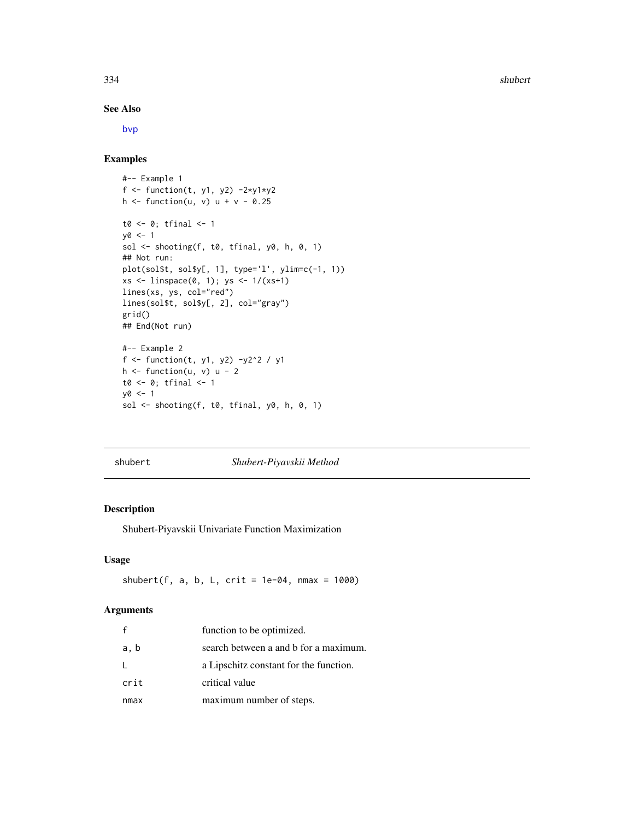334 shubert and the shubert shubert shubert shubert shubert shubert shubert shubert shubert shubert shubert shubert

## See Also

[bvp](#page-45-0)

# Examples

```
#-- Example 1
f <- function(t, y1, y2) -2*y1*y2h \le function(u, v) u + v - 0.25
t0 <- 0; tfinal <- 1
y0 < -1sol <- shooting(f, t0, tfinal, y0, h, 0, 1)
## Not run:
plot(sol$t, sol$y[, 1], type='l', ylim=c(-1, 1))
xs \leftarrow linspace(0, 1); ys \leftarrow 1/(xs+1)lines(xs, ys, col="red")
lines(sol$t, sol$y[, 2], col="gray")
grid()
## End(Not run)
#-- Example 2
f <- function(t, y1, y2) -y2^2 / y1
h \leftarrow function(u, v) u - 2
t0 \leftarrow 0; tfinal \leftarrow 1y0 < -1sol <- shooting(f, t0, tfinal, y0, h, 0, 1)
```
shubert *Shubert-Piyavskii Method*

## Description

Shubert-Piyavskii Univariate Function Maximization

#### Usage

shubert(f, a, b, L,  $crit = 1e-04$ ,  $nmax = 1000$ )

## Arguments

| f    | function to be optimized.              |
|------|----------------------------------------|
| a, b | search between a and b for a maximum.  |
| L    | a Lipschitz constant for the function. |
| crit | critical value                         |
| nmax | maximum number of steps.               |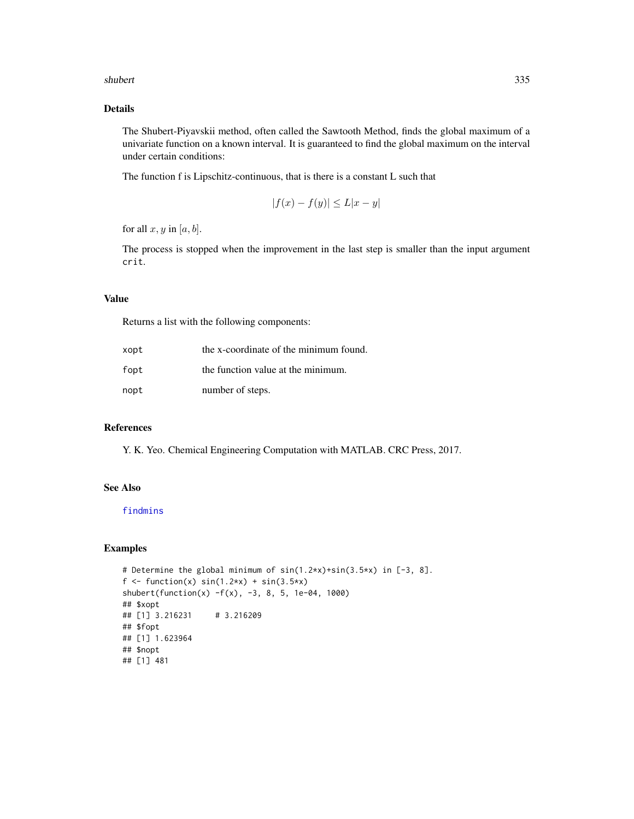#### shubert 335

# Details

The Shubert-Piyavskii method, often called the Sawtooth Method, finds the global maximum of a univariate function on a known interval. It is guaranteed to find the global maximum on the interval under certain conditions:

The function f is Lipschitz-continuous, that is there is a constant L such that

$$
|f(x) - f(y)| \le L|x - y|
$$

for all  $x, y$  in  $[a, b]$ .

The process is stopped when the improvement in the last step is smaller than the input argument crit.

#### Value

Returns a list with the following components:

| xopt | the x-coordinate of the minimum found. |
|------|----------------------------------------|
| fopt | the function value at the minimum.     |
| nopt | number of steps.                       |

#### References

Y. K. Yeo. Chemical Engineering Computation with MATLAB. CRC Press, 2017.

# See Also

## [findmins](#page-107-0)

```
# Determine the global minimum of sin(1.2*x)+sin(3.5*x) in [-3, 8].
f \le function(x) sin(1.2*x) + sin(3.5*x)shubert(function(x) -f(x), -3, 8, 5, 1e-04, 1000)
## $xopt
## [1] 3.216231 # 3.216209
## $fopt
## [1] 1.623964
## $nopt
## [1] 481
```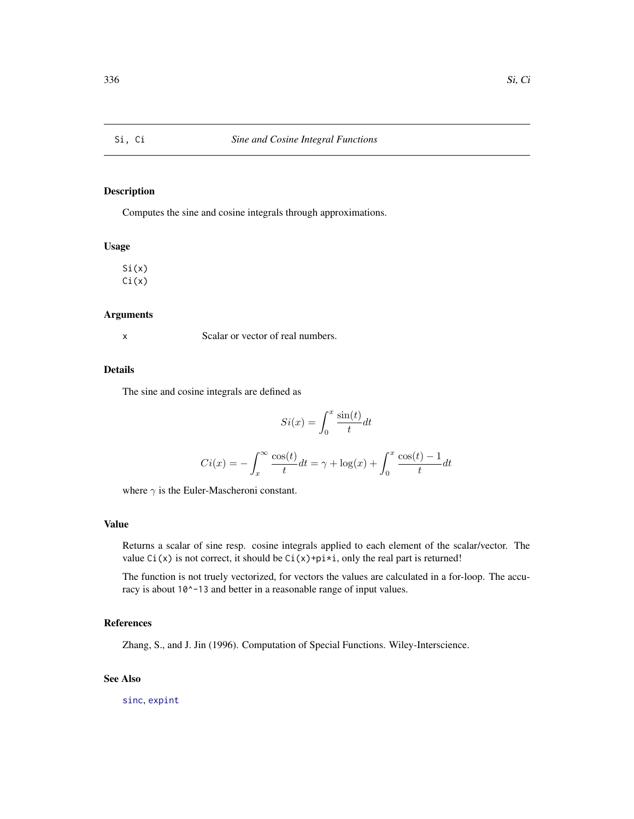Computes the sine and cosine integrals through approximations.

## Usage

 $Si(x)$  $Ci(x)$ 

#### Arguments

x Scalar or vector of real numbers.

# Details

The sine and cosine integrals are defined as

$$
Si(x) = \int_0^x \frac{\sin(t)}{t} dt
$$

$$
Ci(x) = -\int_x^\infty \frac{\cos(t)}{t} dt = \gamma + \log(x) + \int_0^x \frac{\cos(t) - 1}{t} dt
$$

where  $\gamma$  is the Euler-Mascheroni constant.

## Value

Returns a scalar of sine resp. cosine integrals applied to each element of the scalar/vector. The value  $Ci(x)$  is not correct, it should be  $Ci(x)+pi*$ *i*, only the real part is returned!

The function is not truely vectorized, for vectors the values are calculated in a for-loop. The accuracy is about 10^-13 and better in a reasonable range of input values.

# References

Zhang, S., and J. Jin (1996). Computation of Special Functions. Wiley-Interscience.

## See Also

[sinc](#page-165-0), [expint](#page-93-0)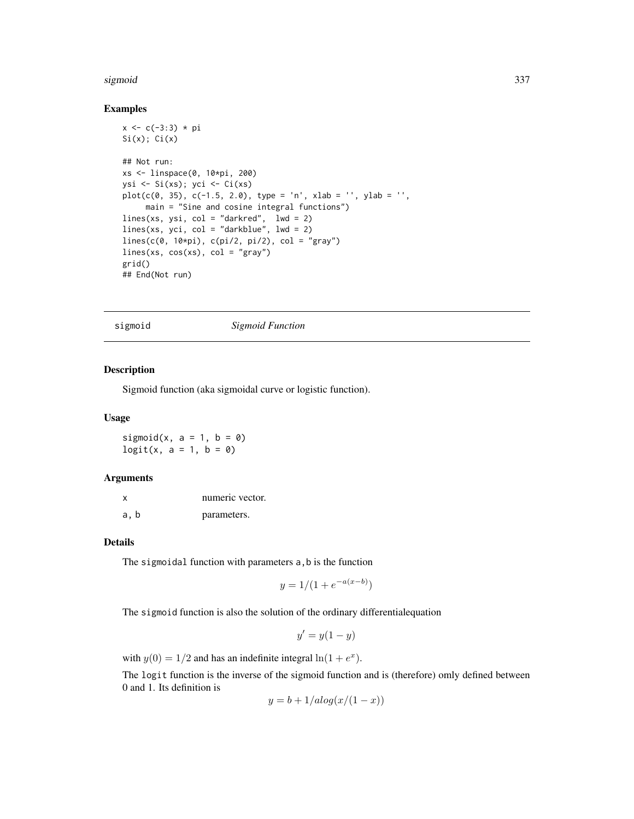#### sigmoid 337

#### Examples

```
x < -c(-3:3) * piSi(x); Ci(x)## Not run:
xs <- linspace(0, 10*pi, 200)
ysi <- Si(xs); yci <- Ci(xs)
plot(c(0, 35), c(-1.5, 2.0), type = 'n', xlab = '', ylab = '',main = "Sine and cosine integral functions")
lines(xs, ysi, col = "darkred", lwd = 2)lines(xs, yci, col = "darkblue", lwd = 2)
lines(c(0, 10*pi), c(pi/2, pi/2), col = "gray")
lines(xs, cos(xs), col = "gray")grid()
## End(Not run)
```
sigmoid *Sigmoid Function*

# Description

Sigmoid function (aka sigmoidal curve or logistic function).

#### Usage

sigmoid(x,  $a = 1$ ,  $b = 0$ )  $logit(x, a = 1, b = 0)$ 

# Arguments

| x    | numeric vector. |
|------|-----------------|
| a, b | parameters.     |

#### Details

The sigmoidal function with parameters a, b is the function

$$
y = 1/(1 + e^{-a(x-b)})
$$

The sigmoid function is also the solution of the ordinary differentialequation

$$
y' = y(1 - y)
$$

with  $y(0) = 1/2$  and has an indefinite integral  $\ln(1 + e^x)$ .

The logit function is the inverse of the sigmoid function and is (therefore) omly defined between 0 and 1. Its definition is

$$
y = b + 1/alog(x/(1 - x))
$$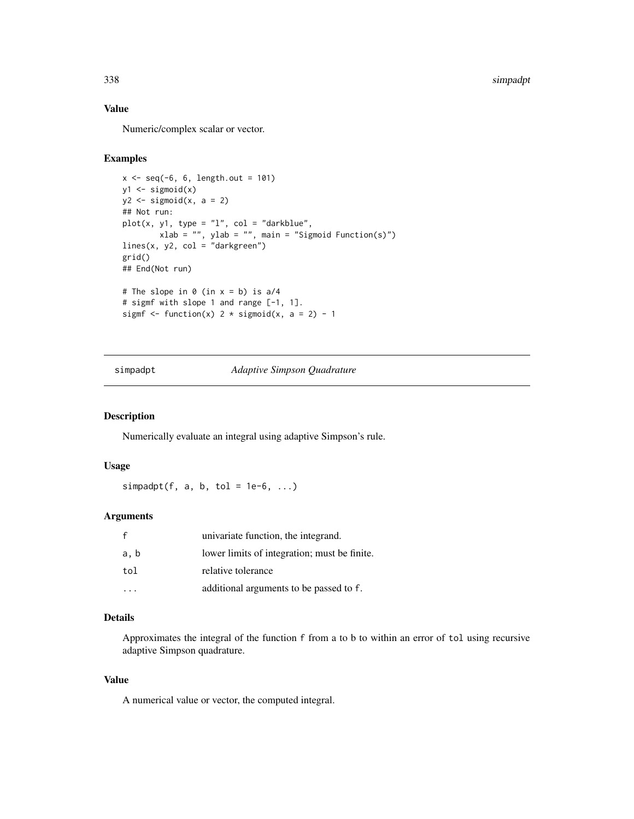## Value

Numeric/complex scalar or vector.

# Examples

```
x \le - seq(-6, 6, length.out = 101)
y1 \leftarrow sigmoid(x)
y2 \leftarrow sigmoid(x, a = 2)
## Not run:
plot(x, y1, type = "1", col = "darkblue",xlab = "", ylab = "", main = "Sigmoid Function(s)")
lines(x, y2, col = "darkgreen")
grid()
## End(Not run)
# The slope in \theta (in x = b) is a/4
# sigmf with slope 1 and range [-1, 1].
sigmf \le function(x) 2 \star sigmoid(x, a = 2) - 1
```
# simpadpt *Adaptive Simpson Quadrature*

## Description

Numerically evaluate an integral using adaptive Simpson's rule.

# Usage

simpadpt(f, a, b, tol =  $1e-6$ , ...)

#### Arguments

|      | univariate function, the integrand.          |
|------|----------------------------------------------|
| a, b | lower limits of integration; must be finite. |
| tol  | relative tolerance                           |
|      | additional arguments to be passed to f.      |

## Details

Approximates the integral of the function f from a to b to within an error of tol using recursive adaptive Simpson quadrature.

#### Value

A numerical value or vector, the computed integral.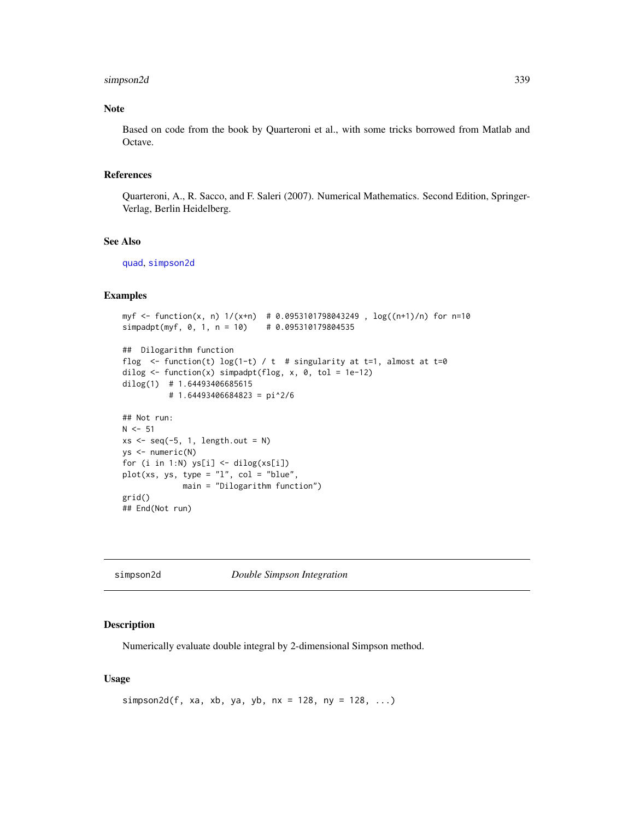# simpson2d 339

# Note

Based on code from the book by Quarteroni et al., with some tricks borrowed from Matlab and Octave.

#### References

Quarteroni, A., R. Sacco, and F. Saleri (2007). Numerical Mathematics. Second Edition, Springer-Verlag, Berlin Heidelberg.

#### See Also

[quad](#page-287-0), [simpson2d](#page-338-0)

# Examples

```
myf <- function(x, n) 1/(x+n) # 0.0953101798043249 , log((n+1)/n) for n=10
simpadpt(myf, 0, 1, n = 10) # 0.095310179804535
```

```
## Dilogarithm function
flog \le function(t) log(1-t) / t # singularity at t=1, almost at t=0
dilog <- function(x) simpadpt(flog, x, 0, tol = 1e-12)
dilog(1) # 1.64493406685615
         # 1.64493406684823 = pi^2/6
## Not run:
```

```
N < -51xs \leq seq(-5, 1, length.out = N)ys <- numeric(N)
for (i in 1:N) ys[i] \leftarrow dilog(xs[i])plot(xs, ys, type = "l", col = "blue",main = "Dilogarithm function")
grid()
## End(Not run)
```
<span id="page-338-0"></span>simpson2d *Double Simpson Integration*

## Description

Numerically evaluate double integral by 2-dimensional Simpson method.

#### Usage

```
simpson2d(f, xa, xb, ya, yb, nx = 128, ny = 128, \ldots)
```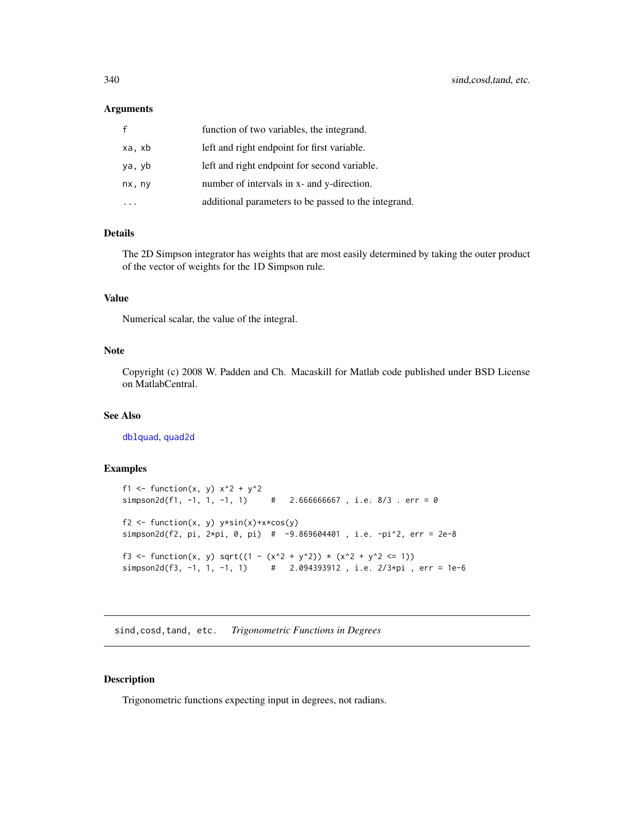#### **Arguments**

|        | function of two variables, the integrand.            |
|--------|------------------------------------------------------|
| xa, xb | left and right endpoint for first variable.          |
| ya, yb | left and right endpoint for second variable.         |
| nx, ny | number of intervals in x- and y-direction.           |
|        | additional parameters to be passed to the integrand. |

# Details

The 2D Simpson integrator has weights that are most easily determined by taking the outer product of the vector of weights for the 1D Simpson rule.

# Value

Numerical scalar, the value of the integral.

#### Note

Copyright (c) 2008 W. Padden and Ch. Macaskill for Matlab code published under BSD License on MatlabCentral.

## See Also

[dblquad](#page-73-0), [quad2d](#page-288-0)

## Examples

```
f1 <- function(x, y) x^2 + y^2simpson2d(f1, -1, 1, -1, 1) # 2.666666667, i.e. 8/3. err = 0
f2 <- function(x, y) y*sin(x)+x*cos(y)simpson2d(f2, pi, 2*pi, 0, pi) # -9.869604401 , i.e. -pi^2, err = 2e-8
f3 <- function(x, y) sqrt((1 - (x^2 + y^2)) * (x^2 + y^2 <= 1))
simpson2d(f3, -1, 1, -1, 1) \# 2.094393912, i.e. 2/3*pi, err = 1e-6
```
sind,cosd,tand, etc. *Trigonometric Functions in Degrees*

#### Description

Trigonometric functions expecting input in degrees, not radians.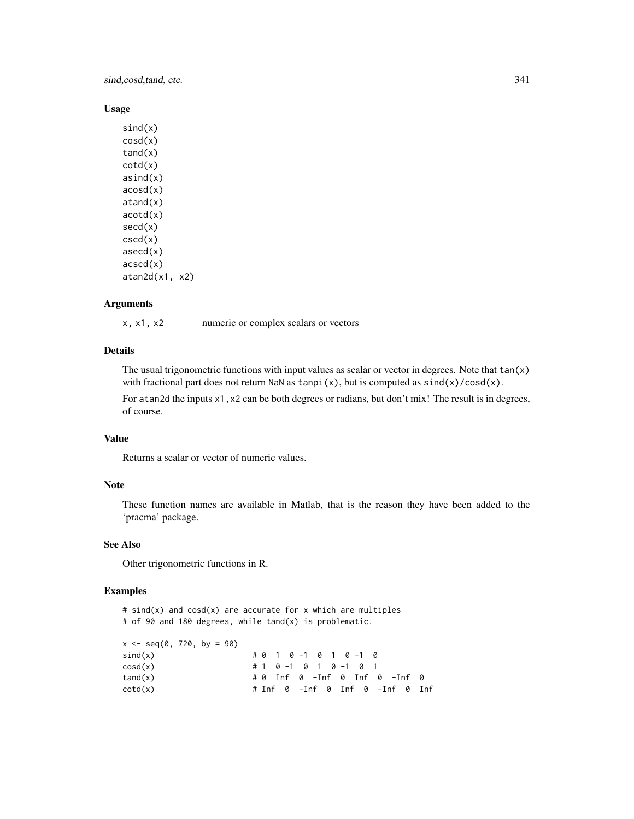sind,cosd,tand, etc. 341

#### Usage

 $sind(x)$ cosd(x)  $t$ and $(x)$ cotd(x) asind(x) acosd(x) atand(x) acotd(x) secd(x) cscd(x) asecd(x)  $acccd(x)$ atan2d(x1, x2)

#### Arguments

x, x1, x2 numeric or complex scalars or vectors

# Details

The usual trigonometric functions with input values as scalar or vector in degrees. Note that  $tan(x)$ with fractional part does not return NaN as  $tanpi(x)$ , but is computed as  $sind(x)/cosd(x)$ .

For atan2d the inputs x1, x2 can be both degrees or radians, but don't mix! The result is in degrees, of course.

# Value

Returns a scalar or vector of numeric values.

#### Note

These function names are available in Matlab, that is the reason they have been added to the 'pracma' package.

#### See Also

Other trigonometric functions in R.

#### Examples

#  $sind(x)$  and  $cosd(x)$  are accurate for x which are multiples # of 90 and 180 degrees, while tand(x) is problematic.

```
x \le - seq(0, 720, by = 90)
\text{sind}(x) # 0 1 0 -1 0 1 0 -1 0
cosd(x) # 1 0 -1 0 1 0 -1 0 1
tand(x) # 0 Inf 0 -Inf 0 Inf 0 -Inf 0
\cot d(x) # Inf \theta -Inf \theta Inf \theta -Inf \theta Inf
```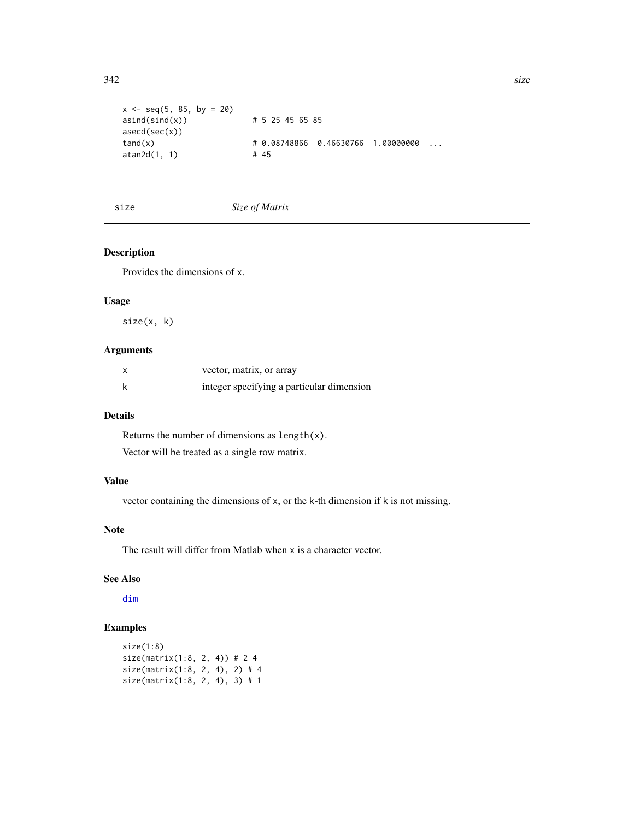```
x \le - seq(5, 85, by = 20)
asind(sind(x)) # 5 25 45 65 85
asecd(sec(x))
tand(x) # 0.08748866 0.46630766 1.00000000 ...
atan2d(1, 1) # 45
```
#### size *Size of Matrix*

## Description

Provides the dimensions of x.

# Usage

size(x, k)

# Arguments

| vector, matrix, or array                  |
|-------------------------------------------|
| integer specifying a particular dimension |

# Details

Returns the number of dimensions as length(x). Vector will be treated as a single row matrix.

# Value

vector containing the dimensions of x, or the k-th dimension if k is not missing.

# Note

The result will differ from Matlab when x is a character vector.

# See Also

[dim](#page-0-0)

```
size(1:8)
size(matrix(1:8, 2, 4)) # 2 4
size(matrix(1:8, 2, 4), 2) # 4
size(matrix(1:8, 2, 4), 3) # 1
```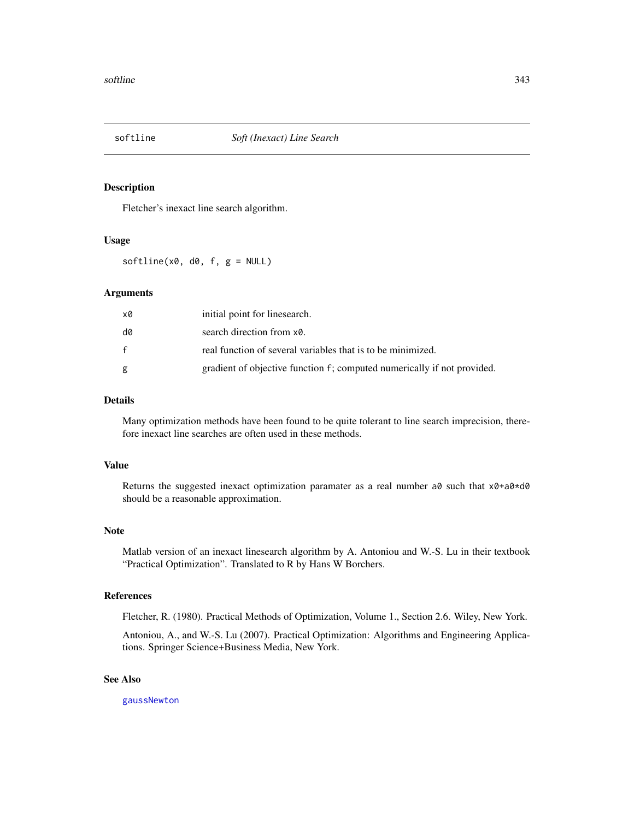Fletcher's inexact line search algorithm.

#### Usage

 $softline(x0, d0, f, g = NULL)$ 

## Arguments

| x0 | initial point for linesearch.                                           |
|----|-------------------------------------------------------------------------|
| d0 | search direction from x0.                                               |
| f  | real function of several variables that is to be minimized.             |
| g  | gradient of objective function f; computed numerically if not provided. |

## Details

Many optimization methods have been found to be quite tolerant to line search imprecision, therefore inexact line searches are often used in these methods.

## Value

Returns the suggested inexact optimization paramater as a real number  $a\theta$  such that  $x\theta + a\theta \cdot d\theta$ should be a reasonable approximation.

#### Note

Matlab version of an inexact linesearch algorithm by A. Antoniou and W.-S. Lu in their textbook "Practical Optimization". Translated to R by Hans W Borchers.

## References

Fletcher, R. (1980). Practical Methods of Optimization, Volume 1., Section 2.6. Wiley, New York.

Antoniou, A., and W.-S. Lu (2007). Practical Optimization: Algorithms and Engineering Applications. Springer Science+Business Media, New York.

## See Also

[gaussNewton](#page-136-0)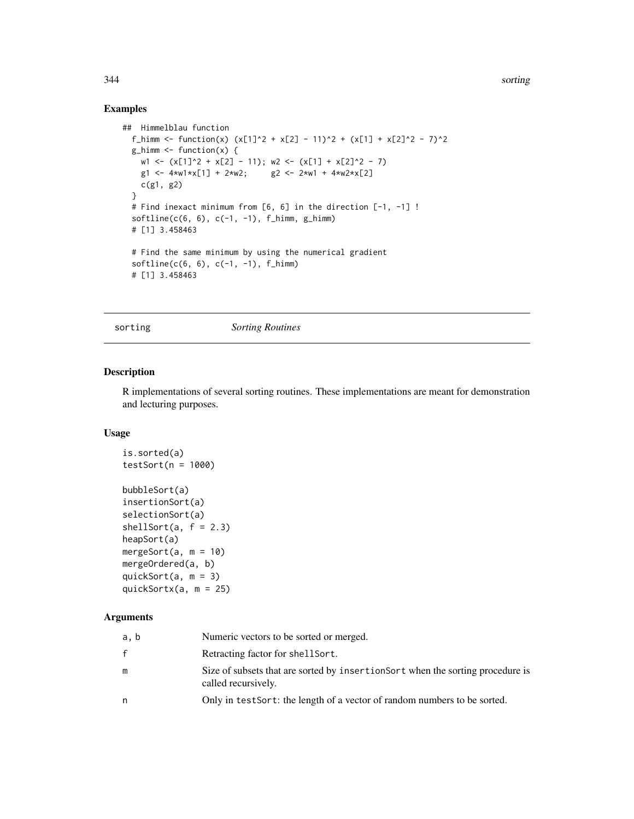# Examples

```
## Himmelblau function
  f_himm <- function(x) (x[1]^2 + x[2] - 11)^2 + (x[1] + x[2]^2 - 7)^2
  g_himm <- function(x) {
    w1 \leftarrow (x[1]^2 + x[2] - 11); w2 \leftarrow (x[1] + x[2]^2 - 7)g1 \le -4 \times w1 \times x[1] + 2 \times w2; g2 \le -2 \times w1 + 4 \times w2 \times x[2]c(g1, g2)
  }
  # Find inexact minimum from [6, 6] in the direction [-1, -1] !
  \text{softline}(c(6, 6), c(-1, -1), f_\text{him}, g_\text{him})# [1] 3.458463
  # Find the same minimum by using the numerical gradient
  softline(c(6, 6), c(-1, -1), f_himm)# [1] 3.458463
```
sorting *Sorting Routines*

## Description

R implementations of several sorting routines. These implementations are meant for demonstration and lecturing purposes.

#### Usage

```
is.sorted(a)
testSort(n = 1000)bubbleSort(a)
insertionSort(a)
selectionSort(a)
shellSort(a, f = 2.3)heapSort(a)
mergeSort(a, m = 10)mergeOrdered(a, b)
quickSort(a, m = 3)
quickSortx(a, m = 25)
```
#### Arguments

| a, b | Numeric vectors to be sorted or merged.                                                                |
|------|--------------------------------------------------------------------------------------------------------|
| f    | Retracting factor for shell Sort.                                                                      |
| m    | Size of subsets that are sorted by insertions or twhen the sorting procedure is<br>called recursively. |
| n    | Only in test Sort: the length of a vector of random numbers to be sorted.                              |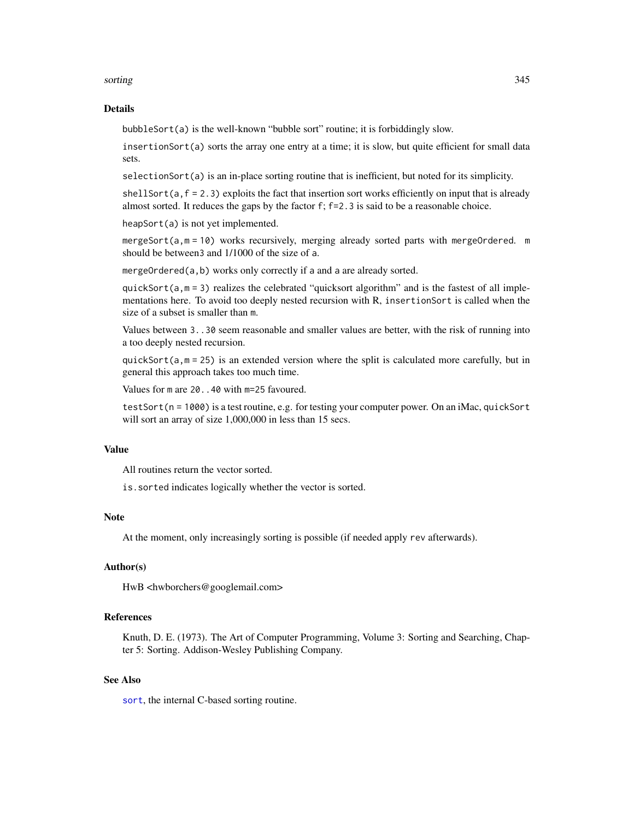#### sorting the contract of the contract of the contract of the contract of the contract of the contract of the contract of the contract of the contract of the contract of the contract of the contract of the contract of the co

#### Details

bubbleSort(a) is the well-known "bubble sort" routine; it is forbiddingly slow.

insertionSort(a) sorts the array one entry at a time; it is slow, but quite efficient for small data sets.

selectionSort(a) is an in-place sorting routine that is inefficient, but noted for its simplicity.

 $shellsort(a, f = 2.3)$  exploits the fact that insertion sort works efficiently on input that is already almost sorted. It reduces the gaps by the factor f; f=2.3 is said to be a reasonable choice.

heapSort(a) is not yet implemented.

mergeSort(a,m = 10) works recursively, merging already sorted parts with mergeOrdered. m should be between3 and 1/1000 of the size of a.

mergeOrdered(a,b) works only correctly if a and a are already sorted.

quickSort( $a, m = 3$ ) realizes the celebrated "quicksort algorithm" and is the fastest of all implementations here. To avoid too deeply nested recursion with R, insertionSort is called when the size of a subset is smaller than m.

Values between 3..30 seem reasonable and smaller values are better, with the risk of running into a too deeply nested recursion.

quickSort( $a, m = 25$ ) is an extended version where the split is calculated more carefully, but in general this approach takes too much time.

Values for m are 20..40 with m=25 favoured.

testSort(n = 1000) is a test routine, e.g. for testing your computer power. On an iMac, quickSort will sort an array of size 1,000,000 in less than 15 secs.

#### Value

All routines return the vector sorted.

is.sorted indicates logically whether the vector is sorted.

## Note

At the moment, only increasingly sorting is possible (if needed apply rev afterwards).

## Author(s)

HwB <hwborchers@googlemail.com>

#### References

Knuth, D. E. (1973). The Art of Computer Programming, Volume 3: Sorting and Searching, Chapter 5: Sorting. Addison-Wesley Publishing Company.

## See Also

[sort](#page-0-0), the internal C-based sorting routine.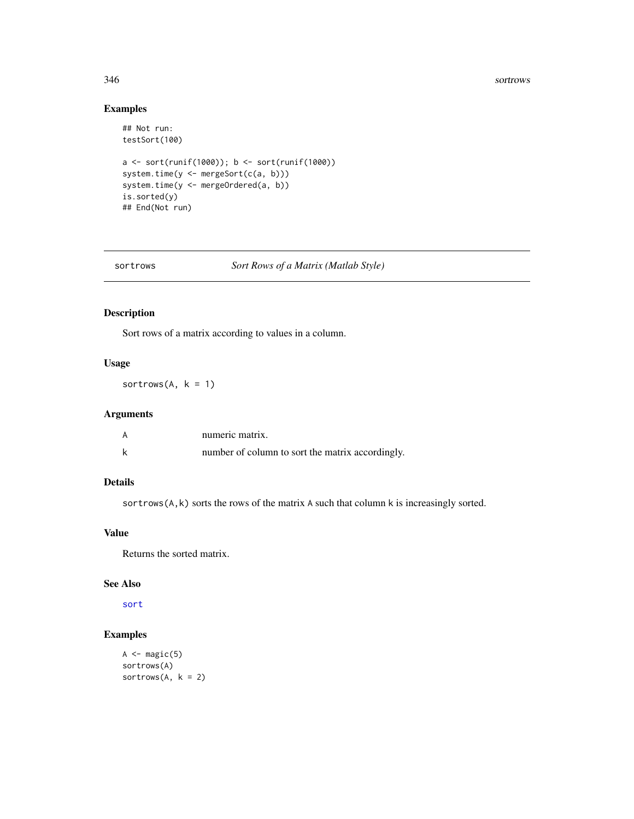#### 346 sortrows and the control of the control of the control of the control of the control of the control of the control of the control of the control of the control of the control of the control of the control of the contro

# Examples

```
## Not run:
testSort(100)
a <- sort(runif(1000)); b <- sort(runif(1000))
system.time(y <- mergeSort(c(a, b)))
system.time(y <- mergeOrdered(a, b))
is.sorted(y)
## End(Not run)
```
### sortrows *Sort Rows of a Matrix (Matlab Style)*

# Description

Sort rows of a matrix according to values in a column.

# Usage

sortrows( $A, k = 1$ )

# Arguments

| А | numeric matrix.                                  |
|---|--------------------------------------------------|
|   | number of column to sort the matrix accordingly. |

# Details

sortrows(A,k) sorts the rows of the matrix A such that column k is increasingly sorted.

## Value

Returns the sorted matrix.

## See Also

[sort](#page-0-0)

```
A \leftarrow magic(5)sortrows(A)
sortrows(A, k = 2)
```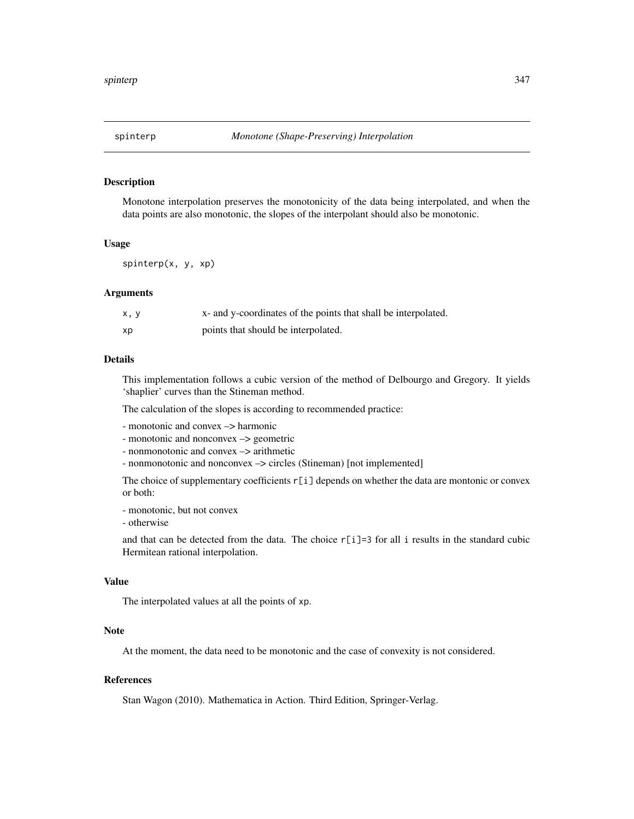Monotone interpolation preserves the monotonicity of the data being interpolated, and when the data points are also monotonic, the slopes of the interpolant should also be monotonic.

#### Usage

spinterp(x, y, xp)

#### Arguments

| x, y | x- and y-coordinates of the points that shall be interpolated. |
|------|----------------------------------------------------------------|
| хp   | points that should be interpolated.                            |

# Details

This implementation follows a cubic version of the method of Delbourgo and Gregory. It yields 'shaplier' curves than the Stineman method.

The calculation of the slopes is according to recommended practice:

```
- monotonic and convex –> harmonic
```
- monotonic and nonconvex –> geometric

- nonmonotonic and convex –> arithmetic

- nonmonotonic and nonconvex –> circles (Stineman) [not implemented]

The choice of supplementary coefficients  $r[i]$  depends on whether the data are montonic or convex or both:

- monotonic, but not convex

- otherwise

and that can be detected from the data. The choice r[i]=3 for all i results in the standard cubic Hermitean rational interpolation.

#### Value

The interpolated values at all the points of xp.

# Note

At the moment, the data need to be monotonic and the case of convexity is not considered.

#### References

Stan Wagon (2010). Mathematica in Action. Third Edition, Springer-Verlag.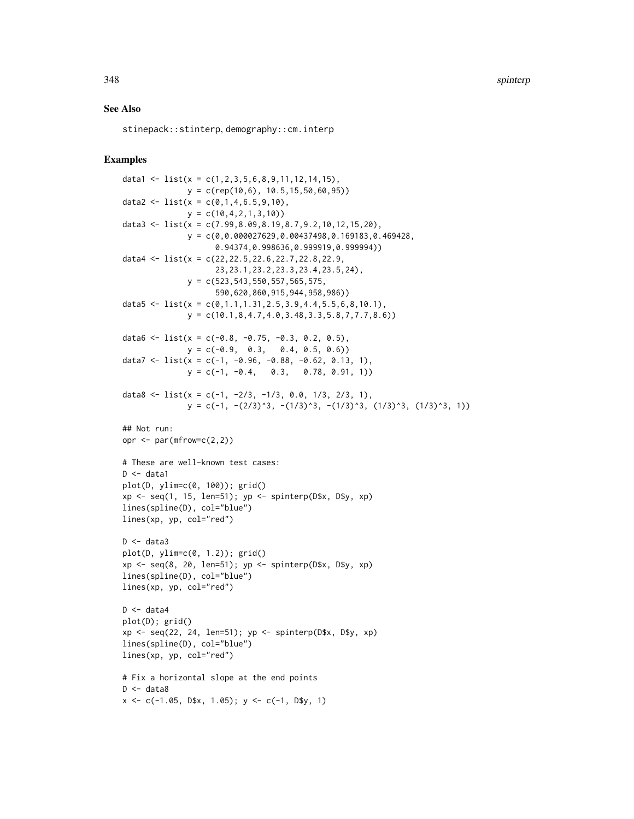348 spinterp

#### See Also

stinepack::stinterp, demography::cm.interp

```
data1 <- list(x = c(1,2,3,5,6,8,9,11,12,14,15),
              y = c(\text{rep}(10, 6), 10.5, 15, 50, 60, 95))data2 <- list(x = c(0,1,4,6.5,9,10),
              y = c(10, 4, 2, 1, 3, 10)data3 <- list(x = c(7.99,8.09,8.19,8.7,9.2,10,12,15,20),
              y = c(0,0.000027629,0.00437498,0.169183,0.469428,
                     0.94374,0.998636,0.999919,0.999994))
data4 <- list(x = c(22,22.5,22.6,22.7,22.8,22.9,
                     23,23.1,23.2,23.3,23.4,23.5,24),
              y = c(523, 543, 550, 557, 565, 575,590,620,860,915,944,958,986))
data5 <- list(x = c(0,1.1,1.31,2.5,3.9,4.4,5.5,6,8,10.1),
              y = c(10.1, 8, 4.7, 4.0, 3.48, 3.3, 5.8, 7, 7.7, 8.6))data6 \leq 1ist(x = c(-0.8, -0.75, -0.3, 0.2, 0.5),
              y = c(-0.9, 0.3, 0.4, 0.5, 0.6)data7 <- list(x = c(-1, -0.96, -0.88, -0.62, 0.13, 1),
              y = c(-1, -0.4, 0.3, 0.78, 0.91, 1)data8 <- list(x = c(-1, -2/3, -1/3, 0.0, 1/3, 2/3, 1),
              y = c(-1, -(2/3)^3, -(1/3)^3, -(1/3)^3, (1/3)^3, (1/3)^3, 1)## Not run:
opr \leq par(mfrow=c(2,2))
# These are well-known test cases:
D \leftarrow data1plot(D, ylim=c(0, 100)); grid()
xp \leftarrow seq(1, 15, len=51); yp \leftarrow spinterp(D$x, D$y, xp)lines(spline(D), col="blue")
lines(xp, yp, col="red")
D \leftarrow data3plot(D, ylim=c(0, 1.2)); grid()
xp \leftarrow seq(8, 20, len=51); yp \leftarrow spinterp(D$x, D$y, xp)lines(spline(D), col="blue")
lines(xp, yp, col="red")
D \leftarrow data4plot(D); grid()
xp \leftarrow seq(22, 24, len=51); yp \leftarrow spinterp(D$x, D$y, xp)lines(spline(D), col="blue")
lines(xp, yp, col="red")
# Fix a horizontal slope at the end points
D \le - data8
x \leq -c(-1.05, D$x, 1.05); y \leq -c(-1, D$y, 1)
```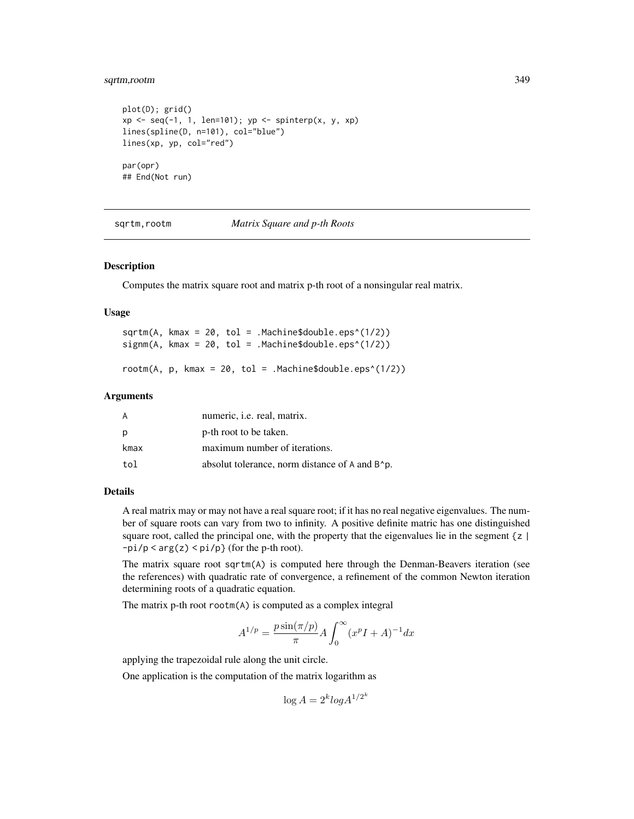## sqrtm,rootm 349

```
plot(D); grid()
xp \leftarrow seq(-1, 1, len=101); yp \leftarrow spinterp(x, y, xp)lines(spline(D, n=101), col="blue")
lines(xp, yp, col="red")
par(opr)
## End(Not run)
```
sqrtm,rootm *Matrix Square and p-th Roots*

#### Description

Computes the matrix square root and matrix p-th root of a nonsingular real matrix.

## Usage

|  |  |  | sqrtm(A, kmax = $20$ , tol = .Machine\$double.eps^(1/2)) |  |
|--|--|--|----------------------------------------------------------|--|
|  |  |  | signm(A, kmax = 20, tol = .Machine\$double.eps^(1/2))    |  |
|  |  |  |                                                          |  |

rootm $(A, p, kmax = 20, tol = .Machine$double.eps^(1/2))$ 

#### Arguments

| A    | numeric, <i>i.e.</i> real, matrix.                                           |
|------|------------------------------------------------------------------------------|
| p    | p-th root to be taken.                                                       |
| kmax | maximum number of iterations.                                                |
| tol  | absolut tolerance, norm distance of A and B <sup><math>\circ</math></sup> p. |

#### Details

A real matrix may or may not have a real square root; if it has no real negative eigenvalues. The number of square roots can vary from two to infinity. A positive definite matric has one distinguished square root, called the principal one, with the property that the eigenvalues lie in the segment  $\{z \}$  $-pi/p < arg(z) < pi/p$  (for the p-th root).

The matrix square root sqrtm(A) is computed here through the Denman-Beavers iteration (see the references) with quadratic rate of convergence, a refinement of the common Newton iteration determining roots of a quadratic equation.

The matrix p-th root rootm(A) is computed as a complex integral

$$
A^{1/p} = \frac{p \sin(\pi/p)}{\pi} A \int_0^{\infty} (x^p I + A)^{-1} dx
$$

applying the trapezoidal rule along the unit circle.

One application is the computation of the matrix logarithm as

$$
\log A = 2^k \log A^{1/2^k}
$$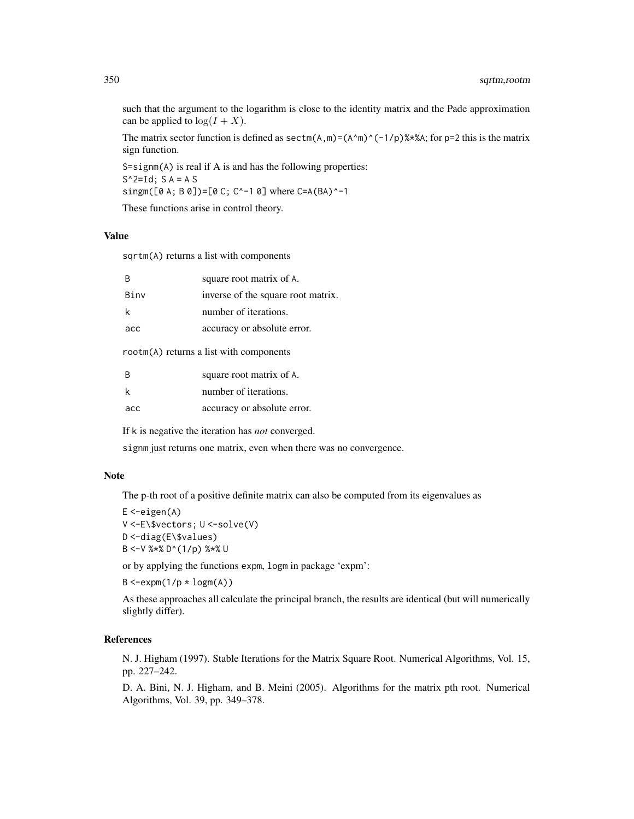such that the argument to the logarithm is close to the identity matrix and the Pade approximation can be applied to  $log(I + X)$ .

The matrix sector function is defined as  $\text{sectm}(A,m)=(A\hat{m})\hat{ }(-1/p)\hat{ }$  \*%A; for p=2 this is the matrix sign function.

```
S=signm(A) is real if A is and has the following properties:
S^2=Id; S A = A S
singm([0 A; B 0])=[0 C; C^-1 0] where C=A(BA)^-1
These functions arise in control theory.
```
#### Value

sqrtm(A) returns a list with components

| B    | square root matrix of A.           |
|------|------------------------------------|
| Binv | inverse of the square root matrix. |
| k    | number of iterations.              |
| acc  | accuracy or absolute error.        |
|      |                                    |

rootm(A) returns a list with components

| B   | square root matrix of A.    |
|-----|-----------------------------|
| k   | number of iterations.       |
| acc | accuracy or absolute error. |

If k is negative the iteration has *not* converged.

signm just returns one matrix, even when there was no convergence.

#### Note

The p-th root of a positive definite matrix can also be computed from its eigenvalues as

```
E < -eigen(A)V <-E\$vectors; U <-solve(V)
D <-diag(E\$values)
B <-V %*% D^(1/p) %*% U
```
or by applying the functions expm, logm in package 'expm':

```
B < -expm(1/p \star logm(A))
```
As these approaches all calculate the principal branch, the results are identical (but will numerically slightly differ).

# References

N. J. Higham (1997). Stable Iterations for the Matrix Square Root. Numerical Algorithms, Vol. 15, pp. 227–242.

D. A. Bini, N. J. Higham, and B. Meini (2005). Algorithms for the matrix pth root. Numerical Algorithms, Vol. 39, pp. 349–378.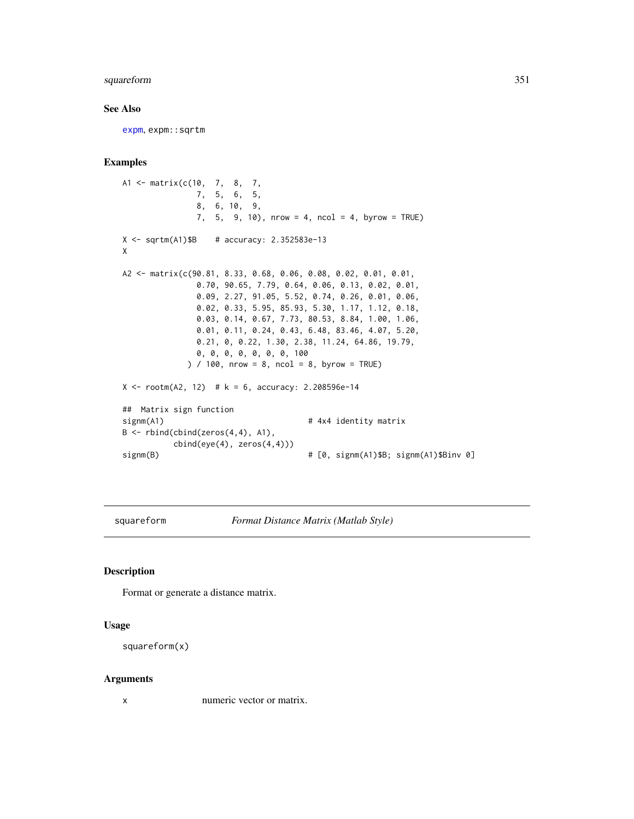# squareform 351

## See Also

[expm](#page-95-0), expm::sqrtm

#### Examples

```
A1 <- matrix(c(10, 7, 8, 7,
              7, 5, 6, 5,
              8, 6, 10, 9,
              7, 5, 9, 10), nrow = 4, ncol = 4, byrow = TRUE)
X \le - sqrtm(A1)$B # accuracy: 2.352583e-13
X
A2 <- matrix(c(90.81, 8.33, 0.68, 0.06, 0.08, 0.02, 0.01, 0.01,
              0.70, 90.65, 7.79, 0.64, 0.06, 0.13, 0.02, 0.01,
              0.09, 2.27, 91.05, 5.52, 0.74, 0.26, 0.01, 0.06,
              0.02, 0.33, 5.95, 85.93, 5.30, 1.17, 1.12, 0.18,
              0.03, 0.14, 0.67, 7.73, 80.53, 8.84, 1.00, 1.06,
              0.01, 0.11, 0.24, 0.43, 6.48, 83.46, 4.07, 5.20,
              0.21, 0, 0.22, 1.30, 2.38, 11.24, 64.86, 19.79,
              0, 0, 0, 0, 0, 0, 0, 100
            ) / 100, nrow = 8, ncol = 8, byrow = TRUE)
X \le rootm(A2, 12) # k = 6, accuracy: 2.208596e-14
## Matrix sign function
signm(A1) # 4x4 identity matrixB <- rbind(cbind(zeros(4,4), A1),
          cbind(eye(4), zeros(4,4)))
signm(B) # [0, signm(A1)$B; signm(A1)$Binv 0]
```
squareform *Format Distance Matrix (Matlab Style)*

## Description

Format or generate a distance matrix.

#### Usage

```
squareform(x)
```
#### Arguments

x numeric vector or matrix.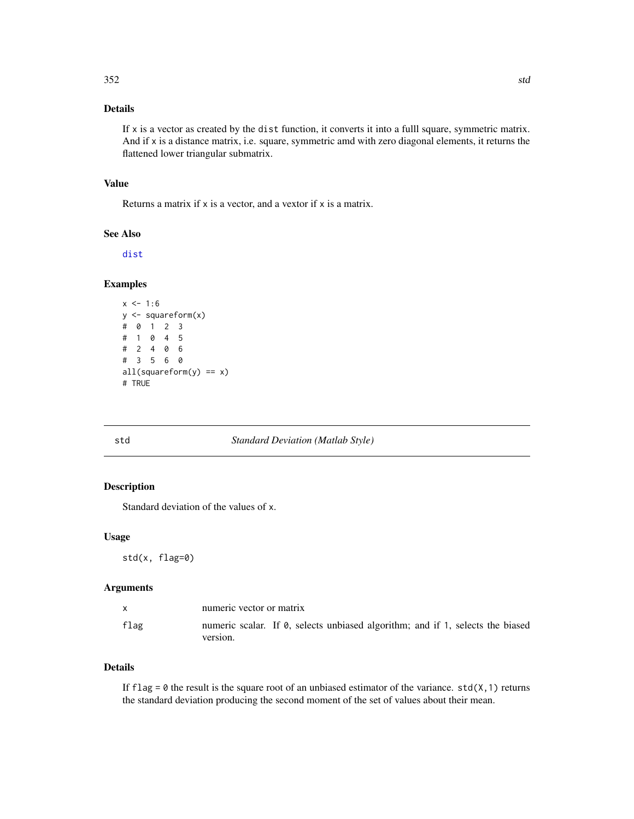# Details

If  $x$  is a vector as created by the dist function, it converts it into a fulll square, symmetric matrix. And if x is a distance matrix, i.e. square, symmetric amd with zero diagonal elements, it returns the flattened lower triangular submatrix.

## Value

Returns a matrix if x is a vector, and a vextor if x is a matrix.

## See Also

[dist](#page-0-0)

# Examples

```
x \le -1:6y <- squareform(x)
# 0 1 2 3
# 1 0 4 5
# 2 4 0 6
# 3 5 6 0
all(squareform(y) == x)# TRUE
```
#### std *Standard Deviation (Matlab Style)*

# Description

Standard deviation of the values of x.

#### Usage

std(x, flag=0)

#### Arguments

| $\mathsf{X}$ | numeric vector or matrix                                                                   |
|--------------|--------------------------------------------------------------------------------------------|
| flag         | numeric scalar. If 0, selects unbiased algorithm; and if 1, selects the biased<br>version. |

# Details

If flag =  $\theta$  the result is the square root of an unbiased estimator of the variance. std(X, 1) returns the standard deviation producing the second moment of the set of values about their mean.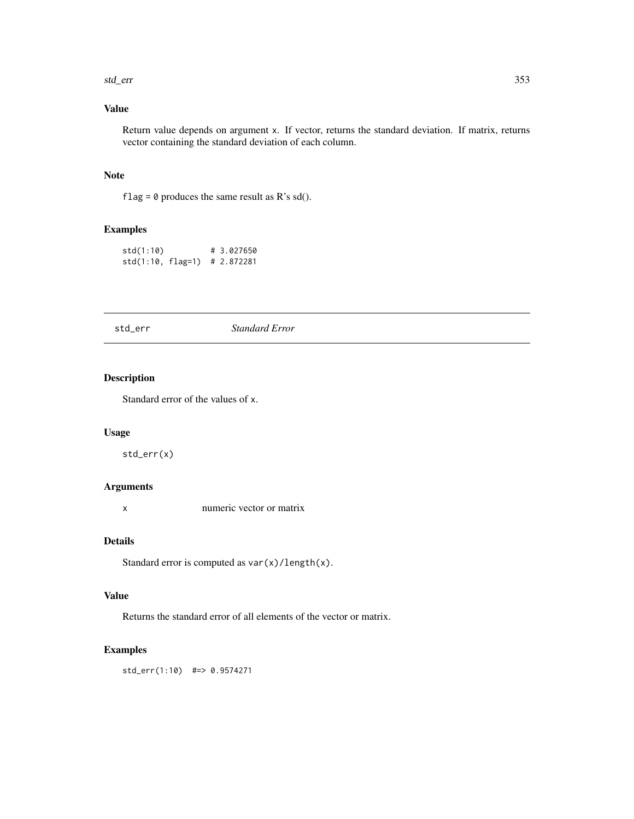#### std\_err 353

# Value

Return value depends on argument x. If vector, returns the standard deviation. If matrix, returns vector containing the standard deviation of each column.

#### Note

flag =  $\theta$  produces the same result as R's sd().

# Examples

```
std(1:10) # 3.027650
std(1:10, flag=1) # 2.872281
```
std\_err *Standard Error*

## Description

Standard error of the values of x.

### Usage

std\_err(x)

# Arguments

x numeric vector or matrix

# Details

Standard error is computed as var(x)/length(x).

#### Value

Returns the standard error of all elements of the vector or matrix.

### Examples

std\_err(1:10) #=> 0.9574271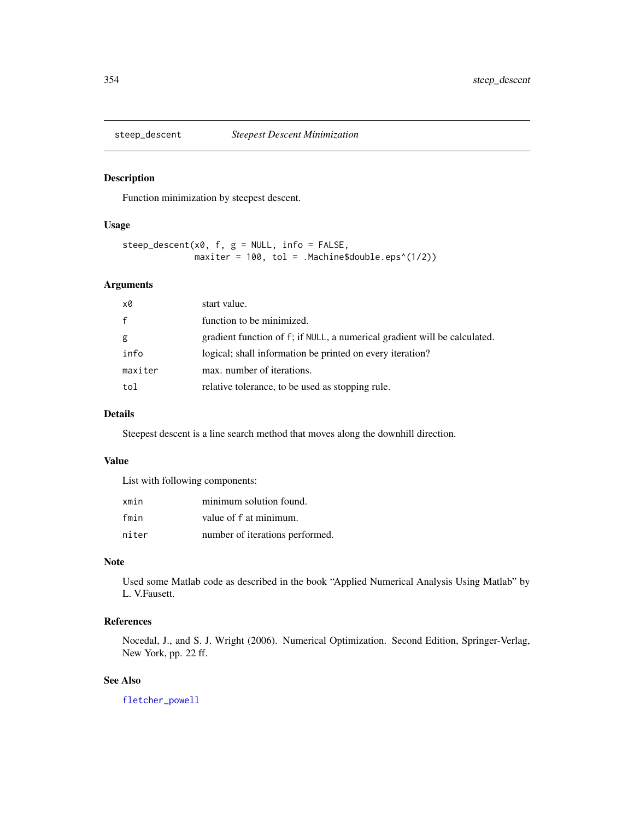Function minimization by steepest descent.

# Usage

```
steep_descent(x0, f, g = NULL, info = FALSE,
              maxiter = 100, tol = .Machine$double.eps^(1/2))
```
# Arguments

| x0           | start value.                                                              |
|--------------|---------------------------------------------------------------------------|
| $\mathsf{f}$ | function to be minimized.                                                 |
| g            | gradient function of f; if NULL, a numerical gradient will be calculated. |
| info         | logical; shall information be printed on every iteration?                 |
| maxiter      | max. number of iterations.                                                |
| tol          | relative tolerance, to be used as stopping rule.                          |

## Details

Steepest descent is a line search method that moves along the downhill direction.

# Value

List with following components:

| xmin  | minimum solution found.         |
|-------|---------------------------------|
| fmin  | value of f at minimum.          |
| niter | number of iterations performed. |

## Note

Used some Matlab code as described in the book "Applied Numerical Analysis Using Matlab" by L. V.Fausett.

# References

Nocedal, J., and S. J. Wright (2006). Numerical Optimization. Second Edition, Springer-Verlag, New York, pp. 22 ff.

# See Also

[fletcher\\_powell](#page-111-0)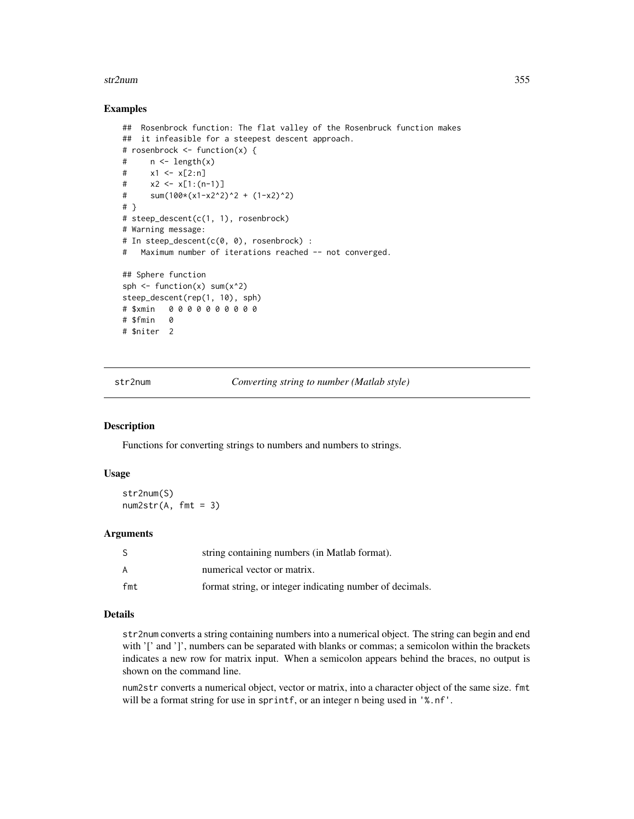#### str2num 355

#### Examples

```
## Rosenbrock function: The flat valley of the Rosenbruck function makes
## it infeasible for a steepest descent approach.
# rosenbrock <- function(x) {
# n <- length(x)
# x1 <- x[2:n]
# \quad x2 \leq x[1:(n-1)]# sum(100*(x1-x2^2))^2 + (1-x2)^2)# }
# steep_descent(c(1, 1), rosenbrock)
# Warning message:
# In steep_descent(c(0, 0), rosenbrock) :
# Maximum number of iterations reached -- not converged.
## Sphere function
sph \le function(x) sum(x^2)
steep_descent(rep(1, 10), sph)
# $xmin 0 0 0 0 0 0 0 0 0 0
# $fmin 0
# $niter 2
```
str2num *Converting string to number (Matlab style)*

## Description

Functions for converting strings to numbers and numbers to strings.

## Usage

str2num(S)  $num2str(A, fmt = 3)$ 

### Arguments

| S   | string containing numbers (in Matlab format).            |
|-----|----------------------------------------------------------|
| A   | numerical vector or matrix.                              |
| fmt | format string, or integer indicating number of decimals. |

## Details

str2num converts a string containing numbers into a numerical object. The string can begin and end with '[' and ']', numbers can be separated with blanks or commas; a semicolon within the brackets indicates a new row for matrix input. When a semicolon appears behind the braces, no output is shown on the command line.

num2str converts a numerical object, vector or matrix, into a character object of the same size. fmt will be a format string for use in sprintf, or an integer n being used in '%.nf'.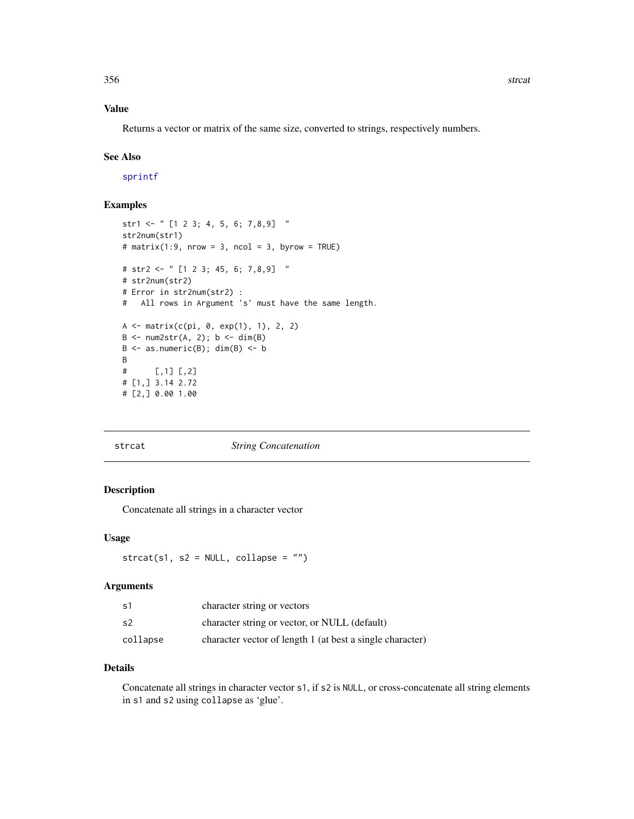## Value

Returns a vector or matrix of the same size, converted to strings, respectively numbers.

#### See Also

[sprintf](#page-0-0)

# Examples

```
str1 <- " [1 2 3; 4, 5, 6; 7,8,9] "
str2num(str1)
# matrix(1:9, nrow = 3, ncol = 3, byrow = TRUE)
# str2 <- " [1 2 3; 45, 6; 7,8,9] "
# str2num(str2)
# Error in str2num(str2) :
# All rows in Argument 's' must have the same length.
A \leftarrow matrix(c(pi, 0, exp(1), 1), 2, 2)B \le -\text{num2str}(A, 2); b \le -\text{dim}(B)B \le - as.numeric(B); dim(B) \le - b
B
# [,1] [,2]
# [1,] 3.14 2.72
# [2,] 0.00 1.00
```
#### <span id="page-355-0"></span>strcat *String Concatenation*

## Description

Concatenate all strings in a character vector

#### Usage

 $streat(s1, s2 = NULL, collapse = "")$ 

### Arguments

| s1             | character string or vectors                               |
|----------------|-----------------------------------------------------------|
| s <sub>2</sub> | character string or vector, or NULL (default)             |
| collapse       | character vector of length 1 (at best a single character) |

#### Details

Concatenate all strings in character vector s1, if s2 is NULL, or cross-concatenate all string elements in s1 and s2 using collapse as 'glue'.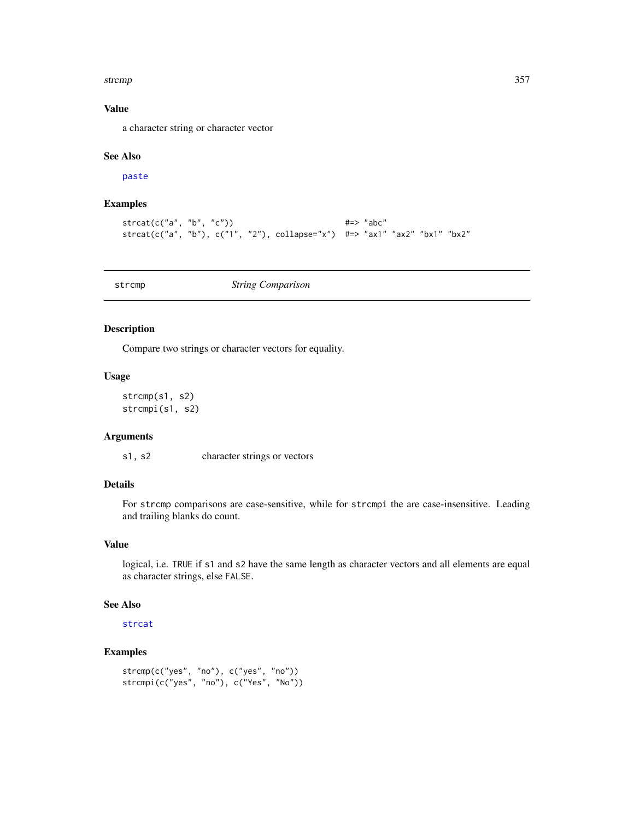#### strcmp 357

# Value

a character string or character vector

## See Also

[paste](#page-0-0)

# Examples

```
\text{strcat}(c("a", "b", "c")) \text{#} \Rightarrow \text{ "abc"}strcat(c("a", "b"), c("1", "2"), collapse="x") #=> "ax1" "ax2" "bx1" "bx2"
```
<span id="page-356-0"></span>strcmp *String Comparison*

#### Description

Compare two strings or character vectors for equality.

#### Usage

```
strcmp(s1, s2)
strcmpi(s1, s2)
```
#### Arguments

s1, s2 character strings or vectors

# Details

For strcmp comparisons are case-sensitive, while for strcmpi the are case-insensitive. Leading and trailing blanks do count.

## Value

logical, i.e. TRUE if s1 and s2 have the same length as character vectors and all elements are equal as character strings, else FALSE.

# See Also

[strcat](#page-355-0)

```
strcmp(c("yes", "no"), c("yes", "no"))
strcmpi(c("yes", "no"), c("Yes", "No"))
```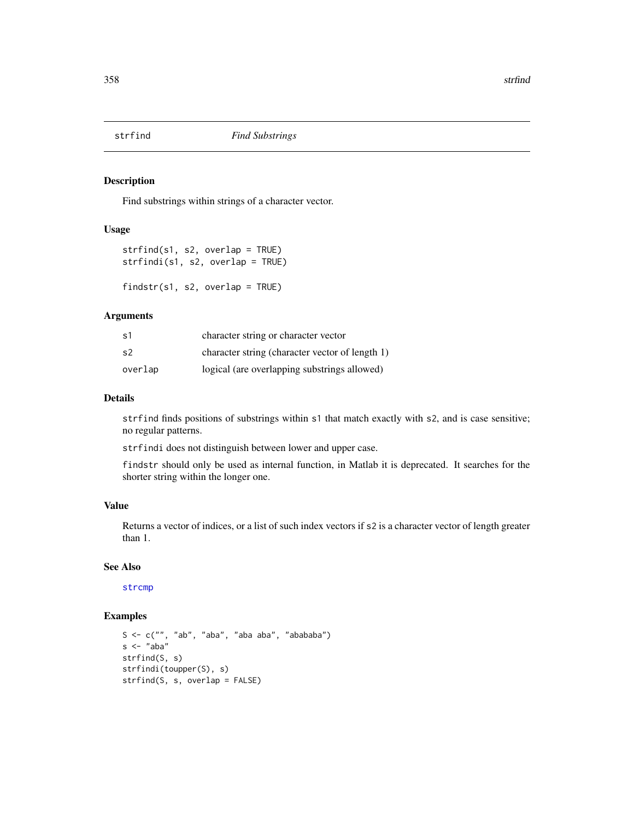Find substrings within strings of a character vector.

## Usage

strfind(s1, s2, overlap = TRUE) strfindi(s1, s2, overlap = TRUE)

findstr(s1, s2, overlap = TRUE)

# Arguments

| s1      | character string or character vector            |
|---------|-------------------------------------------------|
| .s2     | character string (character vector of length 1) |
| overlap | logical (are overlapping substrings allowed)    |

## Details

strfind finds positions of substrings within s1 that match exactly with s2, and is case sensitive; no regular patterns.

strfindi does not distinguish between lower and upper case.

findstr should only be used as internal function, in Matlab it is deprecated. It searches for the shorter string within the longer one.

# Value

Returns a vector of indices, or a list of such index vectors if s2 is a character vector of length greater than 1.

#### See Also

[strcmp](#page-356-0)

```
S \leq c("", "ab", "aba", "aba aba", "ababa")s <- "aba"
strfind(S, s)
strfindi(toupper(S), s)
strfind(S, s, overlap = FALSE)
```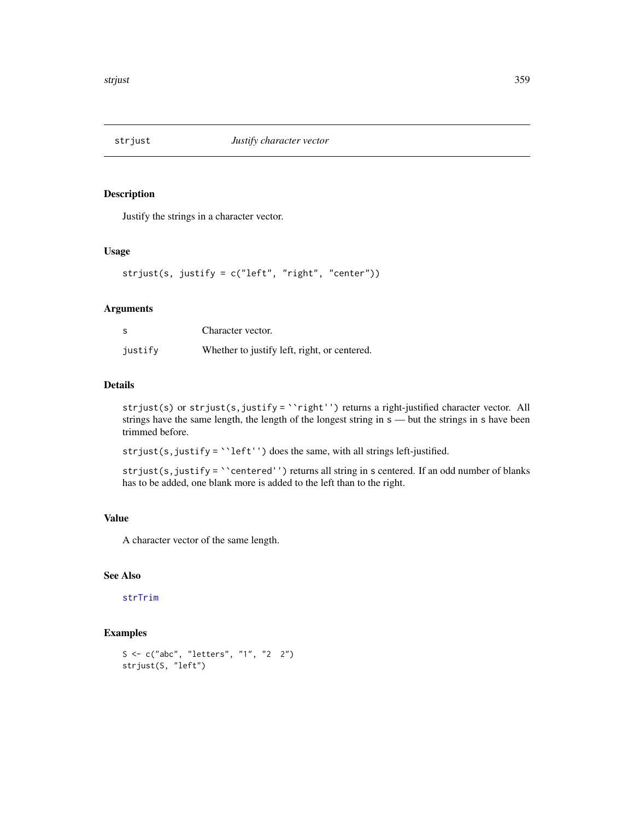Justify the strings in a character vector.

# Usage

```
strjust(s, justify = c("left", "right", "center"))
```
## Arguments

|         | Character vector.                            |
|---------|----------------------------------------------|
| justify | Whether to justify left, right, or centered. |

#### Details

strjust(s) or strjust(s,justify = ``right'') returns a right-justified character vector. All strings have the same length, the length of the longest string in  $s$  — but the strings in s have been trimmed before.

strjust(s, justify = ``left'') does the same, with all strings left-justified.

strjust(s, justify = ``centered'') returns all string in s centered. If an odd number of blanks has to be added, one blank more is added to the left than to the right.

## Value

A character vector of the same length.

# See Also

### [strTrim](#page-360-0)

```
S <- c("abc", "letters", "1", "2 2")
strjust(S, "left")
```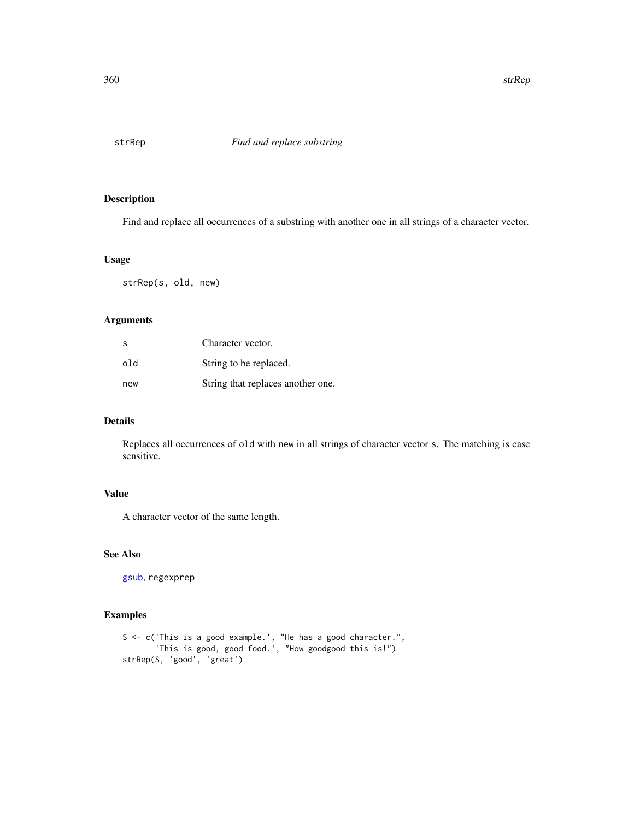Find and replace all occurrences of a substring with another one in all strings of a character vector.

#### Usage

strRep(s, old, new)

## Arguments

| <sub>S</sub> | Character vector.                 |
|--------------|-----------------------------------|
| old          | String to be replaced.            |
| new          | String that replaces another one. |

# Details

Replaces all occurrences of old with new in all strings of character vector s. The matching is case sensitive.

#### Value

A character vector of the same length.

# See Also

[gsub](#page-0-0), regexprep

```
S <- c('This is a good example.', "He has a good character.",
       'This is good, good food.', "How goodgood this is!")
strRep(S, 'good', 'great')
```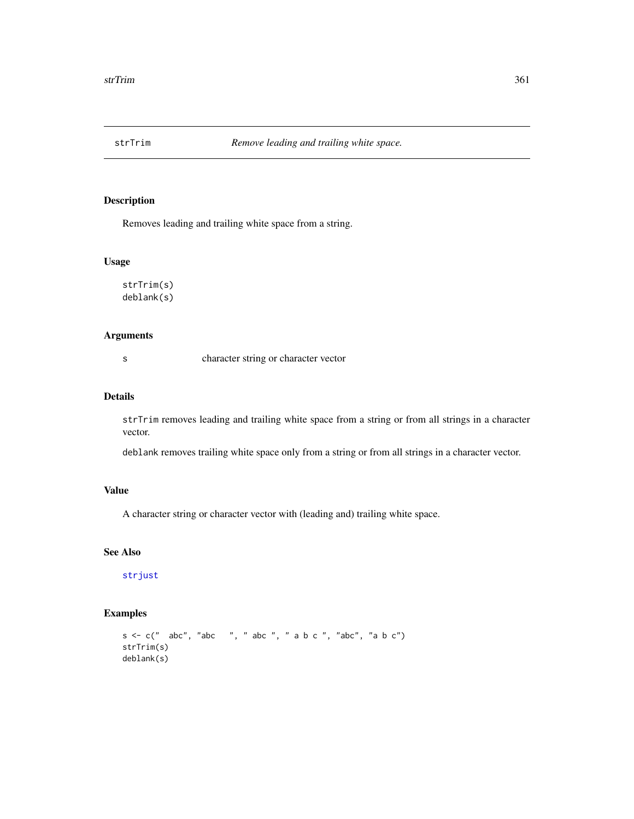<span id="page-360-0"></span>

Removes leading and trailing white space from a string.

#### Usage

strTrim(s) deblank(s)

# Arguments

s character string or character vector

## Details

strTrim removes leading and trailing white space from a string or from all strings in a character vector.

deblank removes trailing white space only from a string or from all strings in a character vector.

# Value

A character string or character vector with (leading and) trailing white space.

# See Also

[strjust](#page-358-0)

```
s <- c(" abc", "abc ", " abc ", " a b c ", "abc", "a b c")
strTrim(s)
deblank(s)
```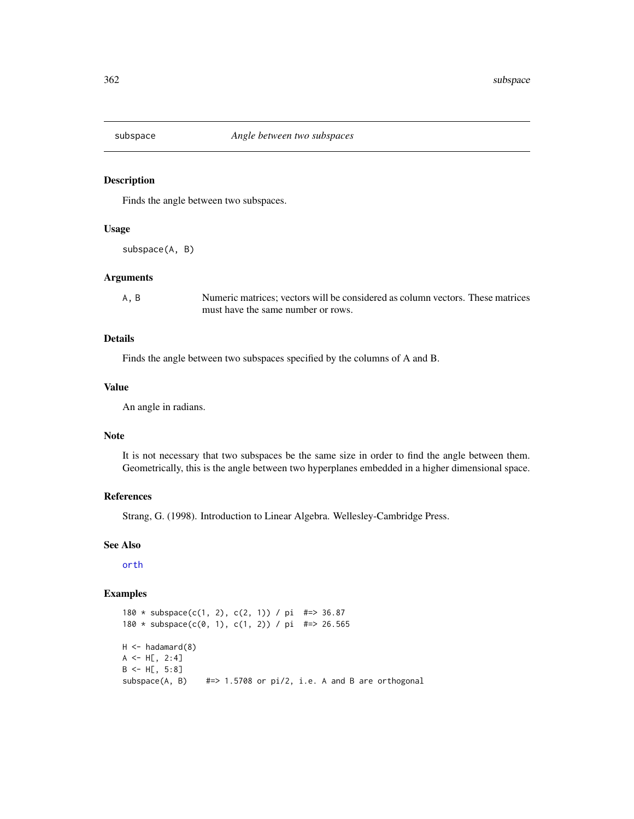<span id="page-361-0"></span>

Finds the angle between two subspaces.

#### Usage

subspace(A, B)

#### Arguments

A, B Numeric matrices; vectors will be considered as column vectors. These matrices must have the same number or rows.

#### Details

Finds the angle between two subspaces specified by the columns of A and B.

#### Value

An angle in radians.

# Note

It is not necessary that two subspaces be the same size in order to find the angle between them. Geometrically, this is the angle between two hyperplanes embedded in a higher dimensional space.

#### References

Strang, G. (1998). Introduction to Linear Algebra. Wellesley-Cambridge Press.

# See Also

[orth](#page-250-0)

```
180 * subspace(c(1, 2), c(2, 1)) / pi #=> 36.87
180 * subspace(c(0, 1), c(1, 2)) / pi #=> 26.565
H < -hadamard(8)A \leq H[, 2:4]B \leftarrow H[, 5:8]subspace(A, B) #=> 1.5708 or pi/2, i.e. A and B are orthogonal
```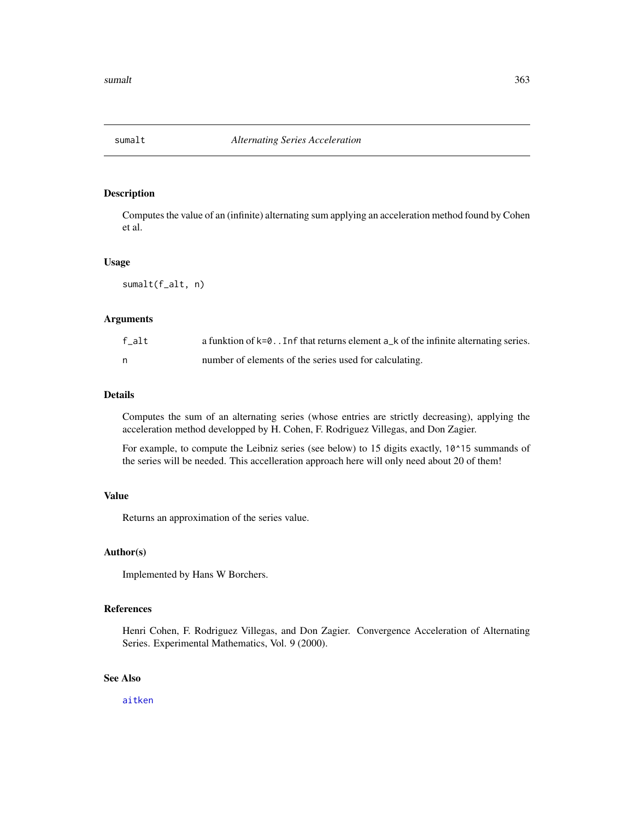<span id="page-362-0"></span>

Computes the value of an (infinite) alternating sum applying an acceleration method found by Cohen et al.

#### Usage

sumalt(f\_alt, n)

#### Arguments

| f alt | a funktion of $k=0$ . In f that returns element $a_k$ of the infinite alternating series. |
|-------|-------------------------------------------------------------------------------------------|
| n     | number of elements of the series used for calculating.                                    |

#### Details

Computes the sum of an alternating series (whose entries are strictly decreasing), applying the acceleration method developped by H. Cohen, F. Rodriguez Villegas, and Don Zagier.

For example, to compute the Leibniz series (see below) to 15 digits exactly, 10^15 summands of the series will be needed. This accelleration approach here will only need about 20 of them!

# Value

Returns an approximation of the series value.

# Author(s)

Implemented by Hans W Borchers.

# References

Henri Cohen, F. Rodriguez Villegas, and Don Zagier. Convergence Acceleration of Alternating Series. Experimental Mathematics, Vol. 9 (2000).

# See Also

[aitken](#page-15-0)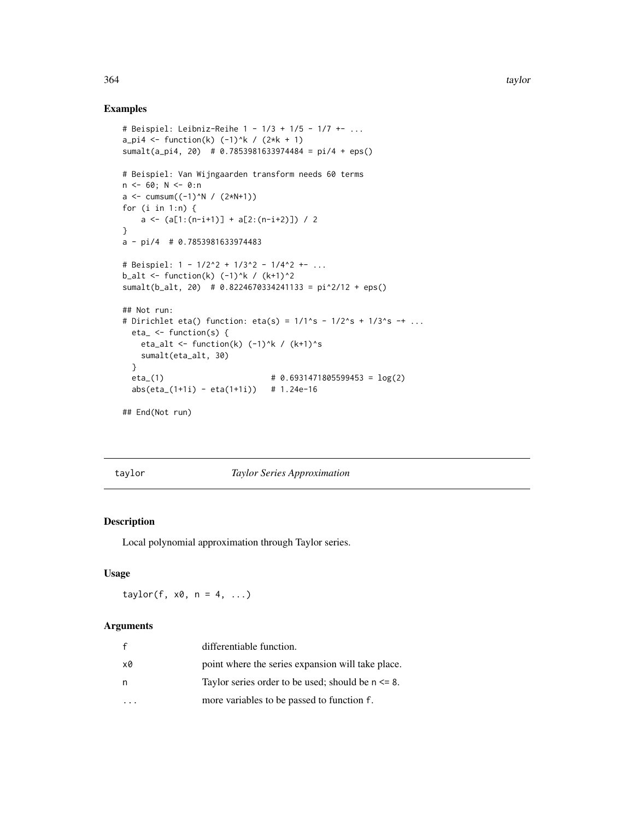# Examples

```
# Beispiel: Leibniz-Reihe 1 - 1/3 + 1/5 - 1/7 +- ...
a<sub>-</sub>pi4 <- function(k) (-1)^k / (2*k + 1)sumalt(a_pi4, 20) # 0.7853981633974484 = pi/4 + eps()
# Beispiel: Van Wijngaarden transform needs 60 terms
n \le -60; N \le -0: n
a \leq -\text{cumsum}((-1)^N / (2*N+1))for (i in 1:n) {
   a <- (a[1:(n-i+1)] + a[2:(n-i+2)]) / 2
}
a - pi/4 # 0.7853981633974483
# Beispiel: 1 - 1/2^2 + 1/3^2 - 1/4^2 +- ...
b_alt <- function(k) (-1)^k / (k+1)^2sumalt(b_alt, 20) # 0.8224670334241133 = pi^2/12 + eps()
## Not run:
# Dirichlet eta() function: eta(s) = 1/1^s - 1/2^s + 1/3^s -+ ...
  eta_ <- function(s) {
   eta_alt <- function(k) (-1)^k / (k+1)^ssumalt(eta_alt, 30)
  }
  eta_(1) # 0.6931471805599453 = log(2)
  abs(eta_(1+1i) - eta(1+1i)) # 1.24e-16
## End(Not run)
```
#### taylor *Taylor Series Approximation*

#### Description

Local polynomial approximation through Taylor series.

# Usage

taylor(f,  $x0$ ,  $n = 4$ , ...)

# Arguments

|    | differentiable function.                              |
|----|-------------------------------------------------------|
| x0 | point where the series expansion will take place.     |
| n  | Taylor series order to be used; should be $n \le 8$ . |
|    | more variables to be passed to function f.            |

<span id="page-363-0"></span>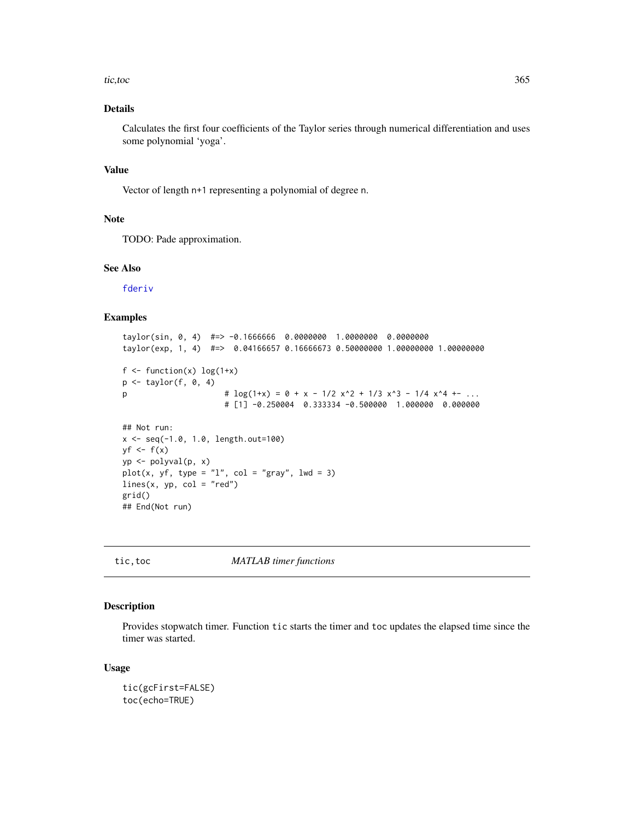#### <span id="page-364-0"></span>tic, toc 365

# Details

Calculates the first four coefficients of the Taylor series through numerical differentiation and uses some polynomial 'yoga'.

# Value

Vector of length n+1 representing a polynomial of degree n.

#### Note

TODO: Pade approximation.

# See Also

[fderiv](#page-103-0)

# Examples

```
taylor(sin, 0, 4) #=> -0.1666666 0.0000000 1.0000000 0.0000000
taylor(exp, 1, 4) #=> 0.04166657 0.16666673 0.50000000 1.00000000 1.00000000
f \leftarrow function(x) log(1+x)p \leftarrow \text{taylor}(f, 0, 4)p \#\log(1+x) = 0 + x - 1/2 x^2 + 1/3 x^3 - 1/4 x^4 + - \ldots# [1] -0.250004 0.333334 -0.500000 1.000000 0.000000
## Not run:
x <- seq(-1.0, 1.0, length.out=100)
yf \leftarrow f(x)yp <- polyval(p, x)
plot(x, yf, type = "l", col = "gray", lwd = 3)
lines(x, yp, col = "red")grid()
## End(Not run)
```
tic,toc *MATLAB timer functions*

#### Description

Provides stopwatch timer. Function tic starts the timer and toc updates the elapsed time since the timer was started.

#### Usage

```
tic(gcFirst=FALSE)
toc(echo=TRUE)
```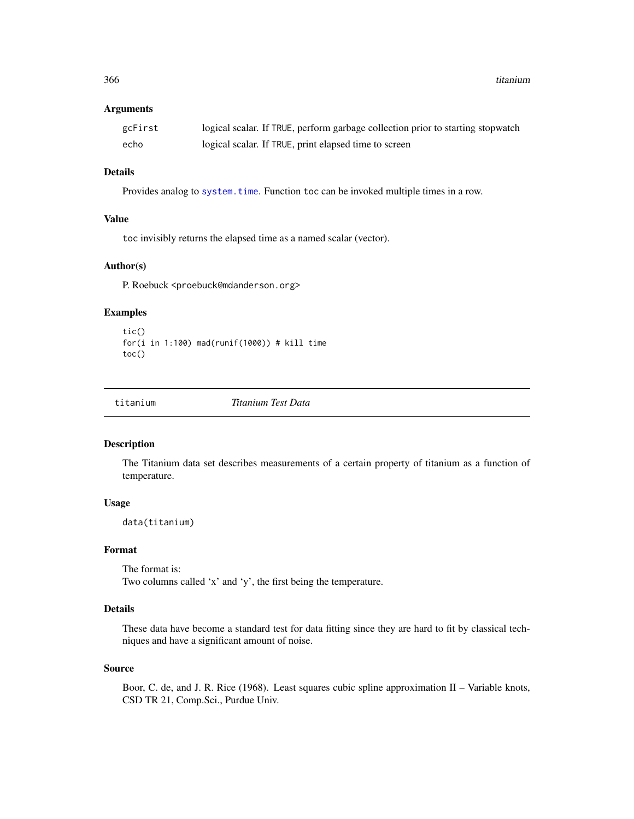<span id="page-365-0"></span>366 titanium

#### Arguments

| gcFirst | logical scalar. If TRUE, perform garbage collection prior to starting stopwatch |
|---------|---------------------------------------------------------------------------------|
| echo    | logical scalar. If TRUE, print elapsed time to screen                           |

# Details

Provides analog to [system.time](#page-0-0). Function toc can be invoked multiple times in a row.

# Value

toc invisibly returns the elapsed time as a named scalar (vector).

#### Author(s)

P. Roebuck <proebuck@mdanderson.org>

# Examples

```
tic()
for(i in 1:100) mad(runif(1000)) # kill time
toc()
```
titanium *Titanium Test Data*

# Description

The Titanium data set describes measurements of a certain property of titanium as a function of temperature.

#### Usage

data(titanium)

# Format

The format is: Two columns called 'x' and 'y', the first being the temperature.

# Details

These data have become a standard test for data fitting since they are hard to fit by classical techniques and have a significant amount of noise.

#### Source

Boor, C. de, and J. R. Rice (1968). Least squares cubic spline approximation II – Variable knots, CSD TR 21, Comp.Sci., Purdue Univ.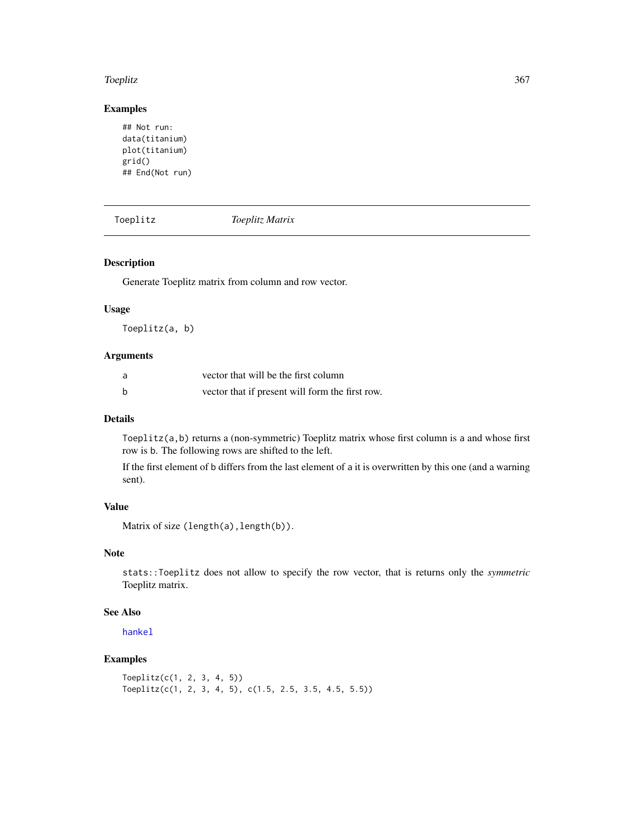#### <span id="page-366-1"></span>Toeplitz 367

# Examples

```
## Not run:
data(titanium)
plot(titanium)
grid()
## End(Not run)
```
<span id="page-366-0"></span>Toeplitz *Toeplitz Matrix*

# Description

Generate Toeplitz matrix from column and row vector.

#### Usage

Toeplitz(a, b)

# Arguments

| a | vector that will be the first column            |
|---|-------------------------------------------------|
| b | vector that if present will form the first row. |

# Details

Toeplitz(a,b) returns a (non-symmetric) Toeplitz matrix whose first column is a and whose first row is b. The following rows are shifted to the left.

If the first element of b differs from the last element of a it is overwritten by this one (and a warning sent).

# Value

Matrix of size (length(a), length(b)).

# Note

stats::Toeplitz does not allow to specify the row vector, that is returns only the *symmetric* Toeplitz matrix.

# See Also

[hankel](#page-152-0)

```
Toeplitz(c(1, 2, 3, 4, 5))
Toeplitz(c(1, 2, 3, 4, 5), c(1.5, 2.5, 3.5, 4.5, 5.5))
```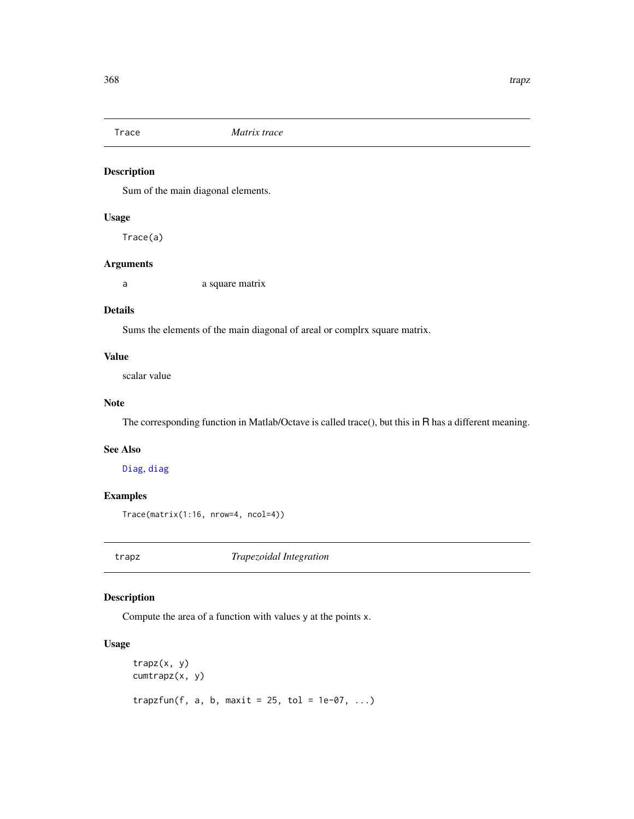<span id="page-367-0"></span>

Sum of the main diagonal elements.

# Usage

Trace(a)

# Arguments

a a square matrix

# Details

Sums the elements of the main diagonal of areal or complrx square matrix.

# Value

scalar value

## Note

The corresponding function in Matlab/Octave is called trace(), but this in R has a different meaning.

## See Also

[Diag](#page-79-0), [diag](#page-0-0)

# Examples

Trace(matrix(1:16, nrow=4, ncol=4))

trapz *Trapezoidal Integration*

# Description

Compute the area of a function with values y at the points x.

# Usage

```
trapz(x, y)
cumtrapz(x, y)
trapzfun(f, a, b, maxit = 25, tol = 1e-07, ...)
```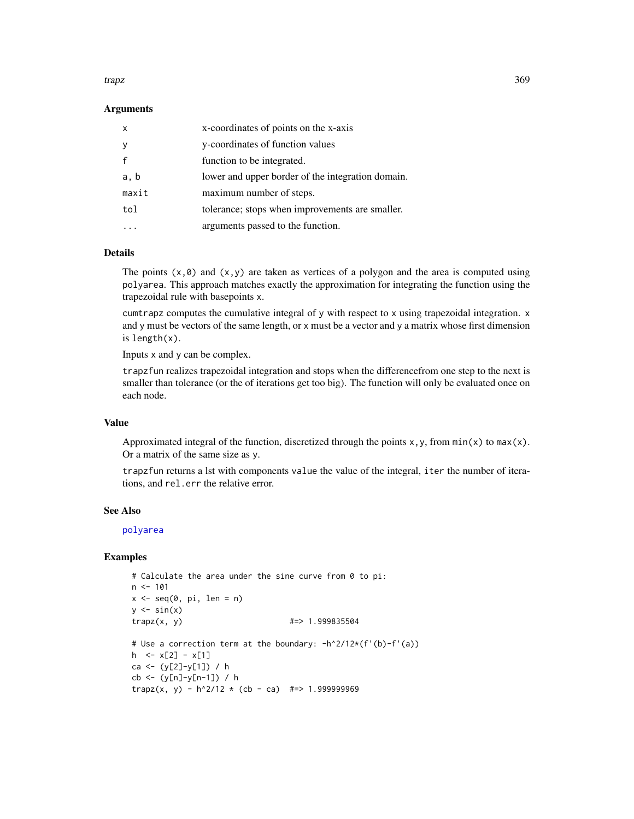#### <span id="page-368-0"></span>trapz transition of the contract of the contract of the contract of the contract of the contract of the contract of the contract of the contract of the contract of the contract of the contract of the contract of the contra

#### Arguments

| X            | x-coordinates of points on the x-axis             |
|--------------|---------------------------------------------------|
| У            | y-coordinates of function values                  |
| $\mathbf{f}$ | function to be integrated.                        |
| a, b         | lower and upper border of the integration domain. |
| maxit        | maximum number of steps.                          |
| tol          | tolerance; stops when improvements are smaller.   |
|              | arguments passed to the function.                 |

# **Details**

The points  $(x, \emptyset)$  and  $(x, y)$  are taken as vertices of a polygon and the area is computed using polyarea. This approach matches exactly the approximation for integrating the function using the trapezoidal rule with basepoints x.

cumtrapz computes the cumulative integral of y with respect to x using trapezoidal integration. x and y must be vectors of the same length, or x must be a vector and y a matrix whose first dimension is length(x).

Inputs x and y can be complex.

trapzfun realizes trapezoidal integration and stops when the differencefrom one step to the next is smaller than tolerance (or the of iterations get too big). The function will only be evaluated once on each node.

## Value

Approximated integral of the function, discretized through the points  $x, y$ , from  $min(x)$  to  $max(x)$ . Or a matrix of the same size as y.

trapzfun returns a lst with components value the value of the integral, iter the number of iterations, and rel.err the relative error.

#### See Also

[polyarea](#page-266-0)

```
# Calculate the area under the sine curve from 0 to pi:
n < -101x \leq -\text{seq}(0, \text{pi}, \text{len} = \text{n})y \leftarrow \sin(x)trapz(x, y) #=>1.999835504# Use a correction term at the boundary: -h^2/12*(f'(b)-f'(a))
h \leq x[2] - x[1]ca <- (y[2]-y[1]) / h
cb <- (y[n]-y[n-1]) / h
trapz(x, y) - h^2/12 \times (cb - ca) #=> 1.999999969
```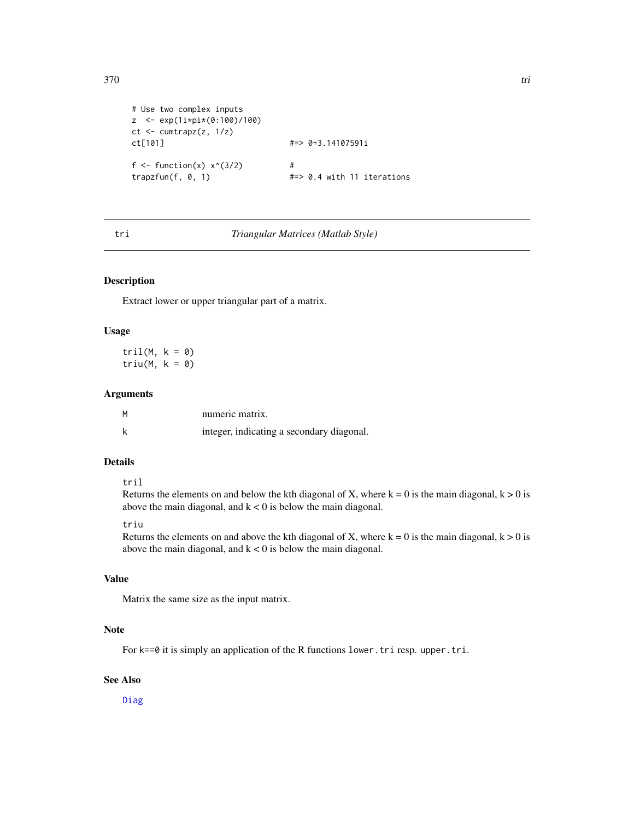```
# Use two complex inputs
z <- exp(1i*pi*(0:100)/100)
ct <- cumtrapz(z, 1/z)ct[101] #=> 0+3.14107591i
f <- function(x) x^*(3/2) #
trapzfun(f, 0, 1) \qquad \qquad \qquad \text{#=> 0.4 with 11 iterations}
```
#### tri *Triangular Matrices (Matlab Style)*

#### Description

Extract lower or upper triangular part of a matrix.

#### Usage

 $tril(M, k = 0)$ triu(M,  $k = 0$ )

#### Arguments

|   | numeric matrix.                           |
|---|-------------------------------------------|
| k | integer, indicating a secondary diagonal. |

# Details

#### tril

Returns the elements on and below the kth diagonal of X, where  $k = 0$  is the main diagonal,  $k > 0$  is above the main diagonal, and  $k < 0$  is below the main diagonal.

## triu

Returns the elements on and above the kth diagonal of X, where  $k = 0$  is the main diagonal,  $k > 0$  is above the main diagonal, and  $k < 0$  is below the main diagonal.

# Value

Matrix the same size as the input matrix.

# Note

For k==0 it is simply an application of the R functions lower.tri resp. upper.tri.

# See Also

[Diag](#page-79-0)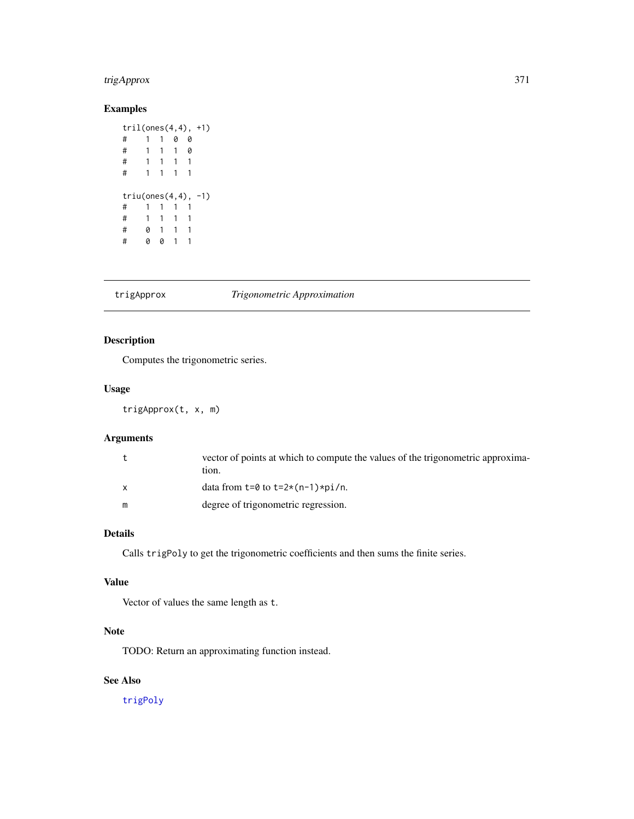# <span id="page-370-1"></span>trigApprox 371

# Examples

```
tril(ones(4,4), +1)
# 1 1 0 0
# 1 1 1 0
# 1 1 1 1
# 1 1 1 1
triu(ones(4,4), -1)
# 1 1 1 1
# 1 1 1 1
# 0 1 1 1
# 0 0 1 1
```
#### <span id="page-370-0"></span>trigApprox *Trigonometric Approximation*

# Description

Computes the trigonometric series.

# Usage

trigApprox(t, x, m)

# Arguments

| t | vector of points at which to compute the values of the trigonometric approxima-<br>tion. |
|---|------------------------------------------------------------------------------------------|
| X | data from $t=0$ to $t=2*(n-1)*pi/n$ .                                                    |
| m | degree of trigonometric regression.                                                      |

# Details

Calls trigPoly to get the trigonometric coefficients and then sums the finite series.

# Value

Vector of values the same length as t.

# Note

TODO: Return an approximating function instead.

# See Also

[trigPoly](#page-371-0)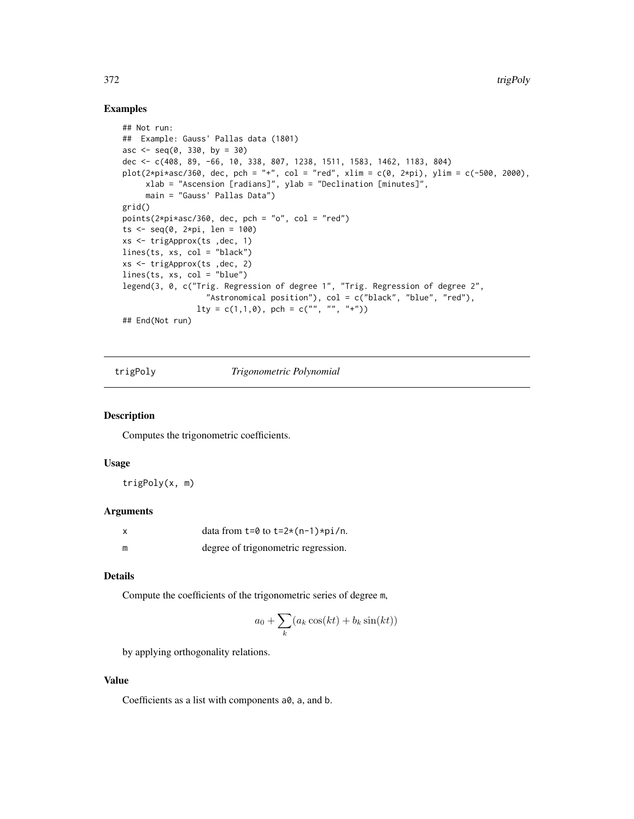## <span id="page-371-1"></span>Examples

```
## Not run:
## Example: Gauss' Pallas data (1801)
asc \leq - seq(0, 330, by = 30)
dec <- c(408, 89, -66, 10, 338, 807, 1238, 1511, 1583, 1462, 1183, 804)
plot(2*pi*asc/360, dec, pch = "+", col = "red", xlim = c(0, 2*pi), ylim = c(-500, 2000),xlab = "Ascension [radians]", ylab = "Declination [minutes]",
     main = "Gauss' Pallas Data")
grid()
points(2*pi*asc/360, dec, pch = "o", col = "red")
ts \leq seq(0, 2*pi, len = 100)
xs <- trigApprox(ts ,dec, 1)
lines(ts, xs, col = "black")
xs <- trigApprox(ts ,dec, 2)
lines(ts, xs, col = "blue")legend(3, 0, c("Trig. Regression of degree 1", "Trig. Regression of degree 2",
                  "Astronomical position"), col = c("black", "blue", "red"),
                lty = c(1,1,0), pch = c("", "", "+")## End(Not run)
```
<span id="page-371-0"></span>trigPoly *Trigonometric Polynomial*

# Description

Computes the trigonometric coefficients.

#### Usage

trigPoly(x, m)

## Arguments

|   | data from $t=0$ to $t=2*(n-1)*pi/n$ . |
|---|---------------------------------------|
| m | degree of trigonometric regression.   |

# Details

Compute the coefficients of the trigonometric series of degree m,

$$
a_0 + \sum_k (a_k \cos(kt) + b_k \sin(kt))
$$

by applying orthogonality relations.

# Value

Coefficients as a list with components a0, a, and b.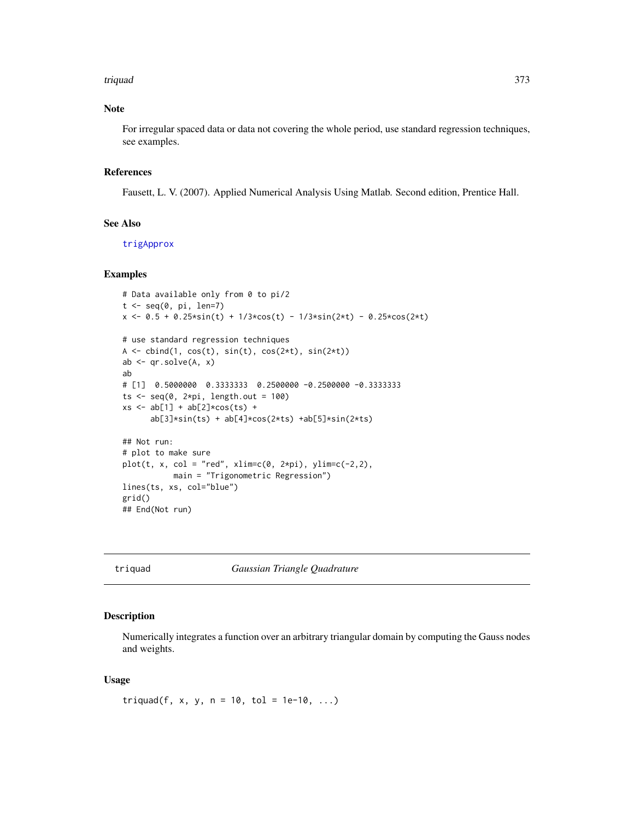#### <span id="page-372-0"></span>triquad 373

# Note

For irregular spaced data or data not covering the whole period, use standard regression techniques, see examples.

#### References

Fausett, L. V. (2007). Applied Numerical Analysis Using Matlab. Second edition, Prentice Hall.

#### See Also

[trigApprox](#page-370-0)

#### Examples

```
# Data available only from 0 to pi/2
t < -seq(0, pi, len=7)x \le 0.5 + 0.25 \cdot \sin(t) + 1/3 \cdot \cos(t) - 1/3 \cdot \sin(2 \cdot t) - 0.25 \cdot \cos(2 \cdot t)# use standard regression techniques
A \leftarrow \text{cbind}(1, \cos(t), \sin(t), \cos(2*t), \sin(2*t))ab \leq qr.solve(A, x)
ab
# [1] 0.5000000 0.3333333 0.2500000 -0.2500000 -0.3333333
ts \leq seq(0, 2*pi, length.out = 100)
xs < - ab[1] + ab[2] * cos(ts) +ab[3]*sin(ts) + ab[4]*cos(2*ts) +ab[5]*sin(2*ts)
## Not run:
# plot to make sure
plot(t, x, col = "red", xlim=c(0, 2*pi), ylim=c(-2,2),main = "Trigonometric Regression")
lines(ts, xs, col="blue")
grid()
## End(Not run)
```
triquad *Gaussian Triangle Quadrature*

#### Description

Numerically integrates a function over an arbitrary triangular domain by computing the Gauss nodes and weights.

#### Usage

triquad(f, x, y, n = 10, tol = 1e-10, ...)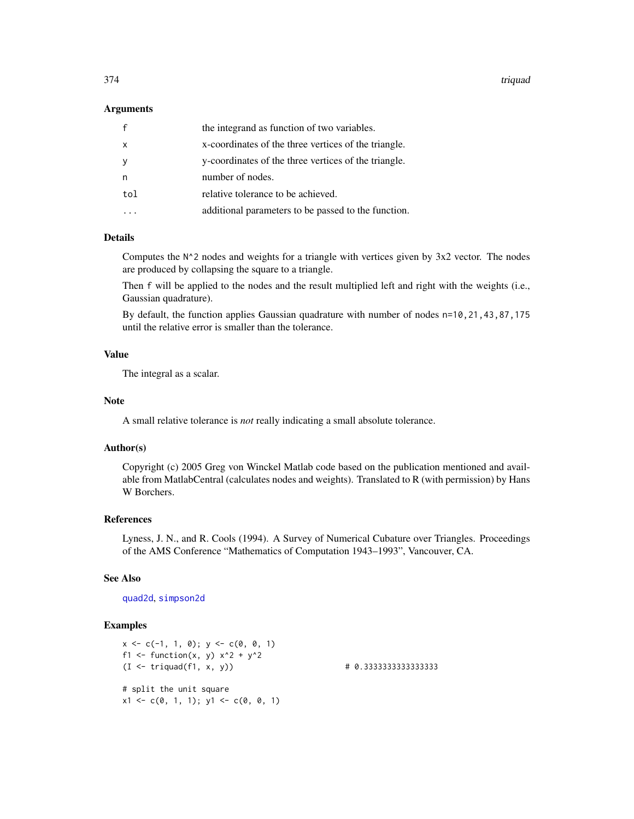<span id="page-373-0"></span>374 triquad

#### Arguments

| $\mathsf{f}$ | the integrand as function of two variables.          |
|--------------|------------------------------------------------------|
| $\mathsf{x}$ | x-coordinates of the three vertices of the triangle. |
| y            | y-coordinates of the three vertices of the triangle. |
| n            | number of nodes.                                     |
| tol          | relative tolerance to be achieved.                   |
|              | additional parameters to be passed to the function.  |

# Details

Computes the  $N^2$  nodes and weights for a triangle with vertices given by 3x2 vector. The nodes are produced by collapsing the square to a triangle.

Then f will be applied to the nodes and the result multiplied left and right with the weights (i.e., Gaussian quadrature).

By default, the function applies Gaussian quadrature with number of nodes n=10,21,43,87,175 until the relative error is smaller than the tolerance.

#### Value

The integral as a scalar.

#### Note

A small relative tolerance is *not* really indicating a small absolute tolerance.

#### Author(s)

Copyright (c) 2005 Greg von Winckel Matlab code based on the publication mentioned and available from MatlabCentral (calculates nodes and weights). Translated to R (with permission) by Hans W Borchers.

# References

Lyness, J. N., and R. Cools (1994). A Survey of Numerical Cubature over Triangles. Proceedings of the AMS Conference "Mathematics of Computation 1943–1993", Vancouver, CA.

# See Also

#### [quad2d](#page-288-0), [simpson2d](#page-338-0)

```
x \leq -c(-1, 1, 0); y \leq -c(0, 0, 1)f1 <- function(x, y) x^2 + y^2(I <- triquad(f1, x, y)) # 0.3333333333333333
# split the unit square
x1 \leftarrow c(0, 1, 1); y1 \leftarrow c(0, 0, 1)
```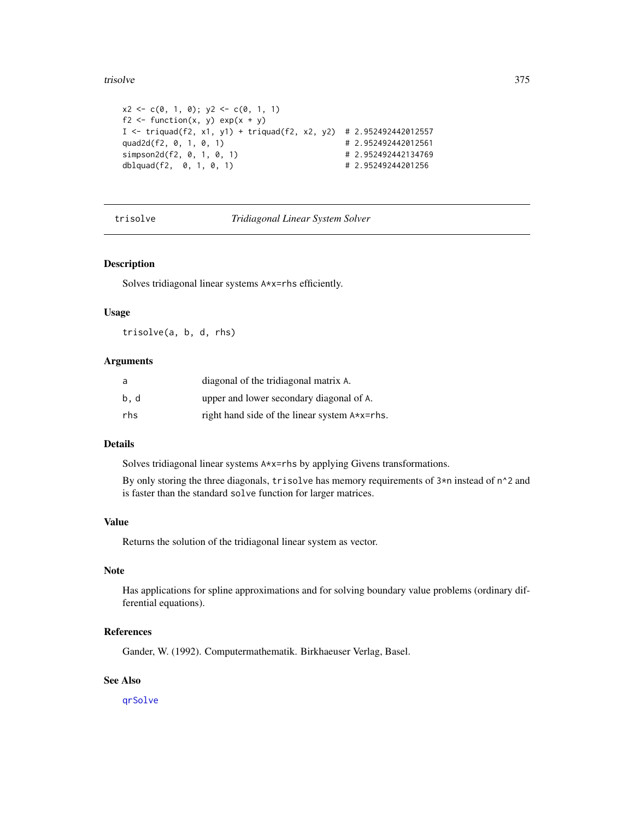#### <span id="page-374-0"></span>trisolve 375

```
x2 \leq -c(0, 1, 0); y2 \leq -c(0, 1, 1)f2 <- function(x, y) exp(x + y)I <- triquad(f2, x1, y1) + triquad(f2, x2, y2) # 2.952492442012557
quad2d(f2, 0, 1, 0, 1) # 2.952492442012561
simpson2d(f2, 0, 1, 0, 1) # 2.952492442134769
dblquad(f2, 0, 1, 0, 1) # 2.95249244201256
```
trisolve *Tridiagonal Linear System Solver*

#### Description

Solves tridiagonal linear systems A\*x=rhs efficiently.

# Usage

trisolve(a, b, d, rhs)

#### Arguments

| a    | diagonal of the tridiagonal matrix A.         |
|------|-----------------------------------------------|
| b, d | upper and lower secondary diagonal of A.      |
| rhs  | right hand side of the linear system A*x=rhs. |

# Details

Solves tridiagonal linear systems A\*x=rhs by applying Givens transformations.

By only storing the three diagonals, trisolve has memory requirements of  $3*n$  instead of  $n^2$  and is faster than the standard solve function for larger matrices.

#### Value

Returns the solution of the tridiagonal linear system as vector.

#### Note

Has applications for spline approximations and for solving boundary value problems (ordinary differential equations).

# References

Gander, W. (1992). Computermathematik. Birkhaeuser Verlag, Basel.

# See Also

[qrSolve](#page-286-0)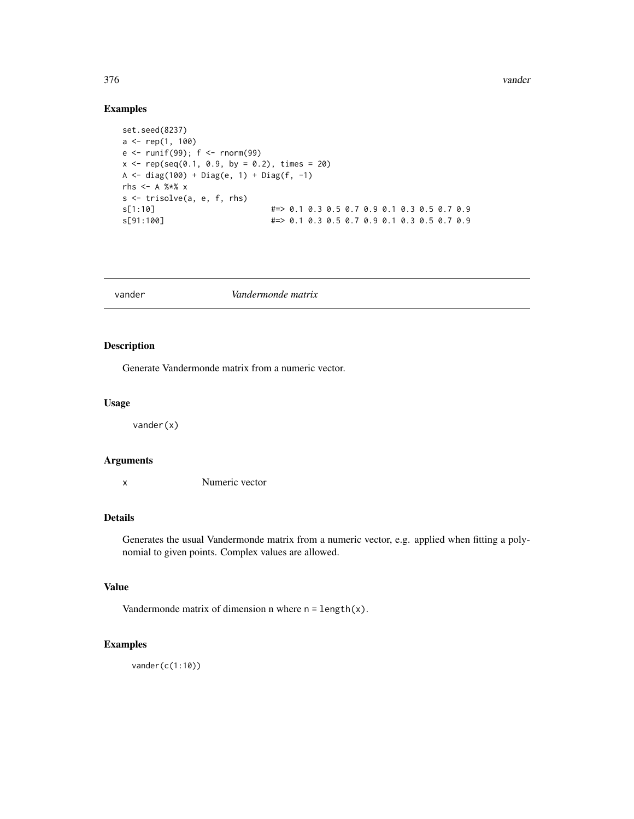<span id="page-375-0"></span>376 vander

# Examples

```
set.seed(8237)
a \leftarrow rep(1, 100)e <- runif(99); f <- rnorm(99)
x \leq -\text{rep}(\text{seq}(0.1, 0.9, \text{ by } = 0.2), \text{ times } = 20)A <- diag(100) + Diag(e, 1) + Diag(f, -1)
rhs <- A %*% x
s <- trisolve(a, e, f, rhs)
s[1:10] #=> 0.1 0.3 0.5 0.7 0.9 0.1 0.3 0.5 0.7 0.9
s[91:100] #=> 0.1 0.3 0.5 0.7 0.9 0.1 0.3 0.5 0.7 0.9
```

| vander | Vandermonde matrix |  |
|--------|--------------------|--|
|--------|--------------------|--|

# Description

Generate Vandermonde matrix from a numeric vector.

# Usage

vander(x)

# Arguments

x Numeric vector

# Details

Generates the usual Vandermonde matrix from a numeric vector, e.g. applied when fitting a polynomial to given points. Complex values are allowed.

# Value

Vandermonde matrix of dimension n where  $n = length(x)$ .

# Examples

vander(c(1:10))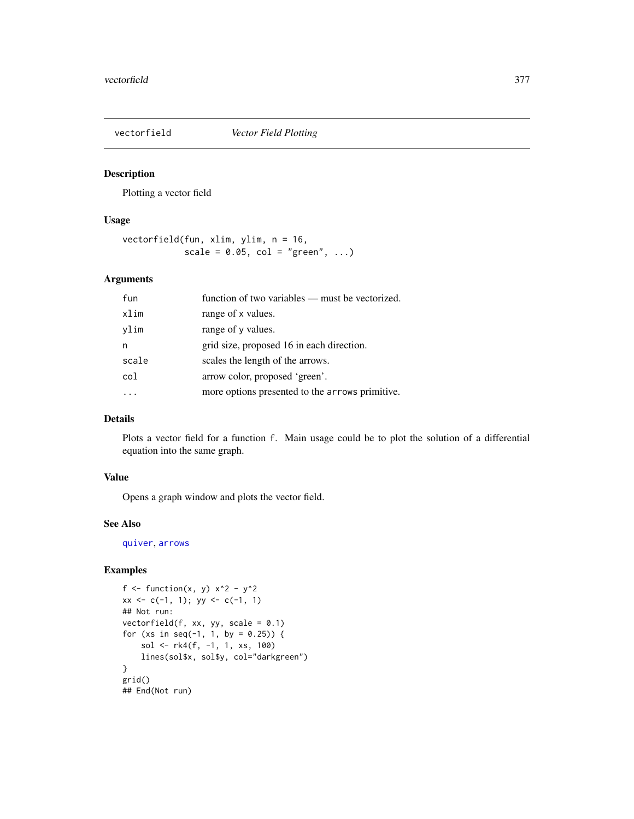<span id="page-376-0"></span>

Plotting a vector field

#### Usage

```
vectorfield(fun, xlim, ylim, n = 16,
           scale = 0.05, col = "green", ...
```
# Arguments

| fun   | function of two variables — must be vectorized. |
|-------|-------------------------------------------------|
| xlim  | range of x values.                              |
| vlim  | range of y values.                              |
| n     | grid size, proposed 16 in each direction.       |
| scale | scales the length of the arrows.                |
| col   | arrow color, proposed 'green'.                  |
|       | more options presented to the arrows primitive. |

# Details

Plots a vector field for a function f. Main usage could be to plot the solution of a differential equation into the same graph.

# Value

Opens a graph window and plots the vector field.

# See Also

[quiver](#page-298-0), [arrows](#page-0-0)

```
f \le function(x, y) x^2 - y^2
xx \leq c(-1, 1); yy \leq c(-1, 1)## Not run:
vectorfield(f, xx, yy, scale = 0.1)
for (xs in seq(-1, 1, by = 0.25)) {
   sol <- rk4(f, -1, 1, xs, 100)
   lines(sol$x, sol$y, col="darkgreen")
}
grid()
## End(Not run)
```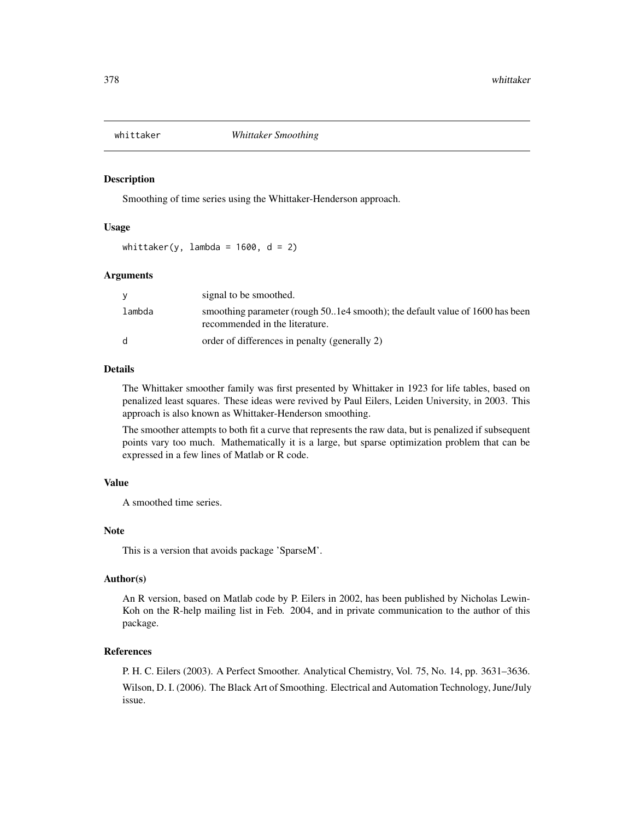<span id="page-377-0"></span>

Smoothing of time series using the Whittaker-Henderson approach.

# Usage

whittaker(y, lambda =  $1600$ , d = 2)

#### Arguments

|              | signal to be smoothed.                                                                                         |
|--------------|----------------------------------------------------------------------------------------------------------------|
| lambda       | smoothing parameter (rough 501e4 smooth); the default value of 1600 has been<br>recommended in the literature. |
| <sub>d</sub> | order of differences in penalty (generally 2)                                                                  |

# Details

The Whittaker smoother family was first presented by Whittaker in 1923 for life tables, based on penalized least squares. These ideas were revived by Paul Eilers, Leiden University, in 2003. This approach is also known as Whittaker-Henderson smoothing.

The smoother attempts to both fit a curve that represents the raw data, but is penalized if subsequent points vary too much. Mathematically it is a large, but sparse optimization problem that can be expressed in a few lines of Matlab or R code.

#### Value

A smoothed time series.

# Note

This is a version that avoids package 'SparseM'.

# Author(s)

An R version, based on Matlab code by P. Eilers in 2002, has been published by Nicholas Lewin-Koh on the R-help mailing list in Feb. 2004, and in private communication to the author of this package.

#### References

P. H. C. Eilers (2003). A Perfect Smoother. Analytical Chemistry, Vol. 75, No. 14, pp. 3631–3636. Wilson, D. I. (2006). The Black Art of Smoothing. Electrical and Automation Technology, June/July issue.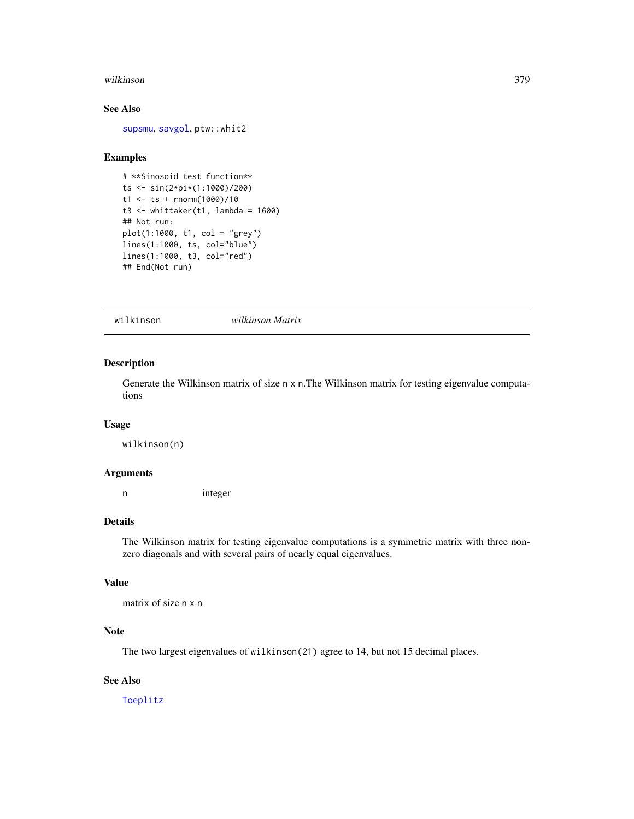#### <span id="page-378-0"></span>wilkinson 379

# See Also

[supsmu](#page-0-0), [savgol](#page-327-0), ptw::whit2

#### Examples

```
# **Sinosoid test function**
ts <- sin(2*pi*(1:1000)/200)
t1 <- ts + rnorm(1000)/10
t3 < - whittaker(t1, lambda = 1600)
## Not run:
plot(1:1000, t1, col = "grey")
lines(1:1000, ts, col="blue")
lines(1:1000, t3, col="red")
## End(Not run)
```
wilkinson *wilkinson Matrix*

# Description

Generate the Wilkinson matrix of size n x n.The Wilkinson matrix for testing eigenvalue computations

#### Usage

wilkinson(n)

#### Arguments

n integer

#### Details

The Wilkinson matrix for testing eigenvalue computations is a symmetric matrix with three nonzero diagonals and with several pairs of nearly equal eigenvalues.

# Value

```
matrix of size n x n
```
# Note

The two largest eigenvalues of wilkinson(21) agree to 14, but not 15 decimal places.

# See Also

[Toeplitz](#page-366-0)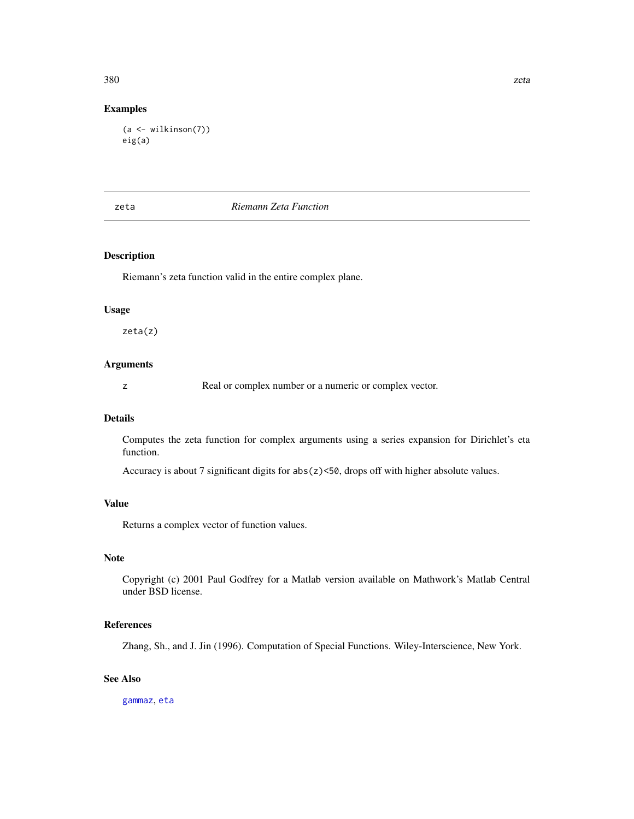# Examples

```
(a <- wilkinson(7))
eig(a)
```
# zeta *Riemann Zeta Function*

# Description

Riemann's zeta function valid in the entire complex plane.

#### Usage

zeta(z)

# Arguments

z Real or complex number or a numeric or complex vector.

#### Details

Computes the zeta function for complex arguments using a series expansion for Dirichlet's eta function.

Accuracy is about 7 significant digits for abs(z)<50, drops off with higher absolute values.

# Value

Returns a complex vector of function values.

# Note

Copyright (c) 2001 Paul Godfrey for a Matlab version available on Mathwork's Matlab Central under BSD license.

#### References

Zhang, Sh., and J. Jin (1996). Computation of Special Functions. Wiley-Interscience, New York.

## See Also

[gammaz](#page-131-0), [eta](#page-91-0)

<span id="page-379-0"></span>380 zeta zen zituen zen. 1999eko hartu zen bat zen zen zen zen. 1999eko hartu zen zen zen zen zen. 1999eko hartu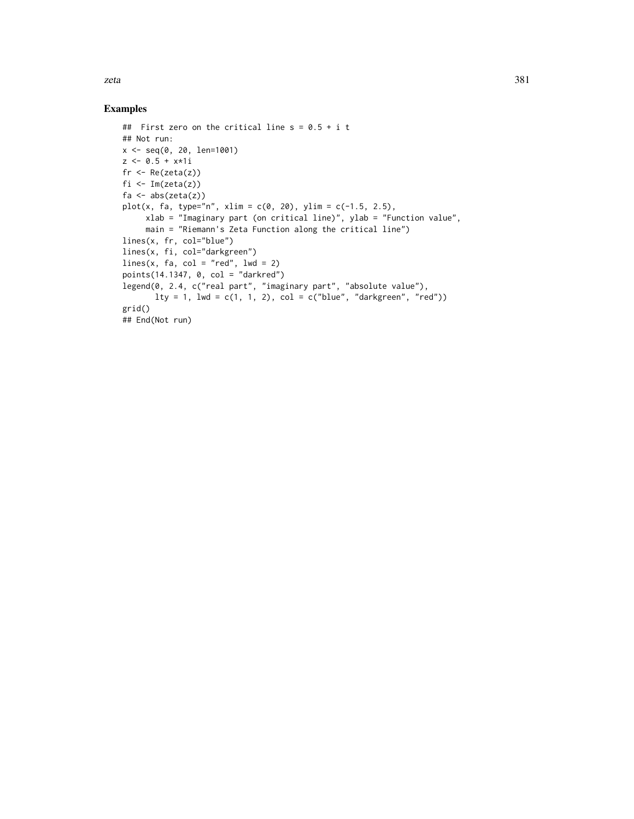zeta 381

```
## First zero on the critical line s = 0.5 + i t## Not run:
x <- seq(0, 20, len=1001)
z \le 0.5 + x*1ifr \leftarrow Re(zeta(z))
fi \leftarrow Im(zeta(z))
fa \leftarrow abs(zeta(z))
plot(x, fa, type="n", xlim = c(0, 20), ylim = c(-1.5, 2.5),
     xlab = "Imaginary part (on critical line)", ylab = "Function value",
     main = "Riemann's Zeta Function along the critical line")
lines(x, fr, col="blue")
lines(x, fi, col="darkgreen")
lines(x, fa, col = "red", lwd = 2)points(14.1347, 0, col = "darkred")
legend(0, 2.4, c("real part", "imaginary part", "absolute value"),
       lty = 1, lwd = c(1, 1, 2), col = c("blue", "darkgreen", "red")grid()
## End(Not run)
```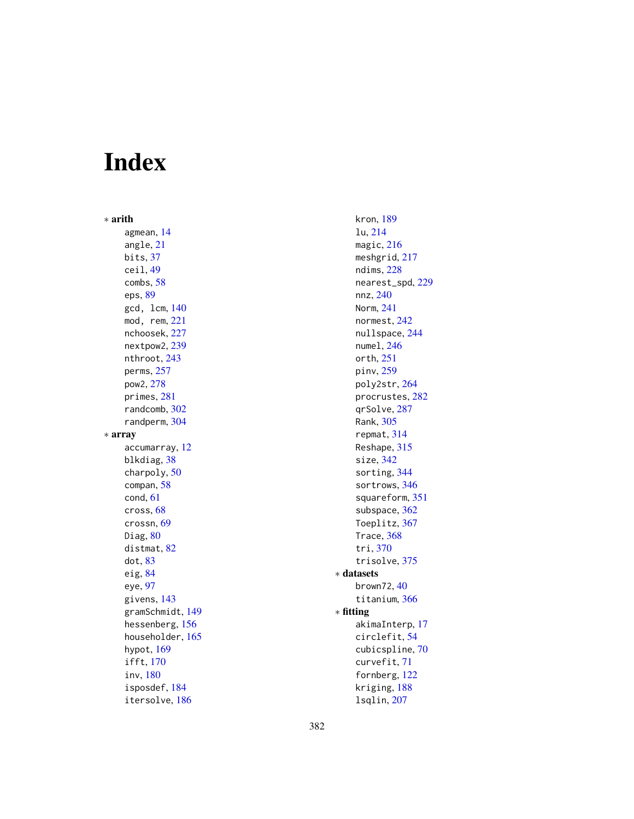# Index

∗ arith agmean , [14](#page-13-0) angle , [21](#page-20-0) bits , [37](#page-36-0) ceil , [49](#page-48-0) combs , [58](#page-57-0) eps , [89](#page-88-0) gcd, lcm , [140](#page-139-0) mod, rem , [221](#page-220-0) nchoosek , [227](#page-226-0) nextpow2, [239](#page-238-0) nthroot , [243](#page-242-0) perms , [257](#page-256-0) pow2 , [278](#page-277-0) primes , [281](#page-280-0) randcomb , [302](#page-301-0) randperm , [304](#page-303-0) ∗ array accumarray , [12](#page-11-0) blkdiag , [38](#page-37-0) charpoly , [50](#page-49-0) compan , [58](#page-57-0) cond , [61](#page-60-0) cross , [68](#page-67-0) crossn , [69](#page-68-0) Diag,  $80$ distmat, [82](#page-81-0) dot , [83](#page-82-0) eig , [84](#page-83-0) eye , [97](#page-96-0) givens , [143](#page-142-0) gramSchmidt , [149](#page-148-0) hessenberg , [156](#page-155-0) householder, [165](#page-164-0) hypot, [169](#page-168-0) ifft , [170](#page-169-0) inv , [180](#page-179-0) isposdef , [184](#page-183-0) itersolve , [186](#page-185-0)

kron , [189](#page-188-0) lu , [214](#page-213-0) magic, [216](#page-215-0) meshgrid, [217](#page-216-0) ndims , [228](#page-227-0) nearest\_spd , [229](#page-228-0) nnz , [240](#page-239-0) Norm , [241](#page-240-0) normest , [242](#page-241-0) nullspace , [244](#page-243-0) numel, [246](#page-245-0) orth , [251](#page-250-1) pinv , [259](#page-258-0) poly2str , [264](#page-263-0) procrustes , [282](#page-281-0) qrSolve , [287](#page-286-1) Rank , [305](#page-304-0) repmat , [314](#page-313-0) Reshape, [315](#page-314-0) size , [342](#page-341-0) sorting, [344](#page-343-0) sortrows, [346](#page-345-0) squareform , [351](#page-350-0) subspace, [362](#page-361-0) Toeplitz , [367](#page-366-1) Trace, [368](#page-367-0) tri , [370](#page-369-0) trisolve , [375](#page-374-0) ∗ datasets brown72,[40](#page-39-0) titanium, [366](#page-365-0) ∗ fitting akimaInterp , [17](#page-16-0) circlefit , [54](#page-53-0) cubicspline , [70](#page-69-0) curvefit , [71](#page-70-0) fornberg, [122](#page-121-0) kriging , [188](#page-187-0)

lsqlin , [207](#page-206-0)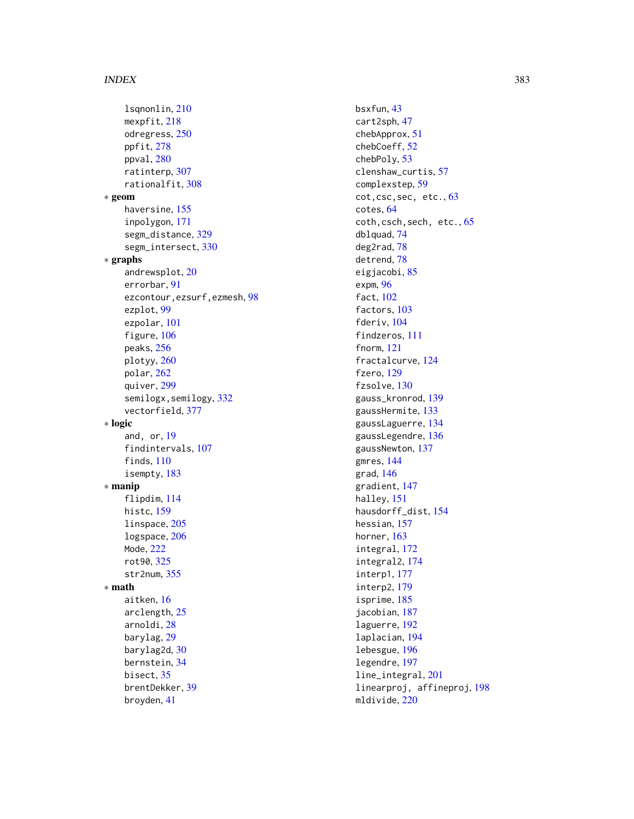lsqnonlin, [210](#page-209-0) mexpfit, [218](#page-217-0) odregress, [250](#page-249-0) ppfit, [278](#page-277-0) ppval, [280](#page-279-0) ratinterp, [307](#page-306-0) rationalfit, [308](#page-307-0) ∗ geom haversine, [155](#page-154-0) inpolygon, [171](#page-170-0) segm\_distance, [329](#page-328-0) segm\_intersect, [330](#page-329-0) ∗ graphs andrewsplot, [20](#page-19-0) errorbar, [91](#page-90-0) ezcontour,ezsurf,ezmesh, [98](#page-97-0) ezplot, [99](#page-98-0) ezpolar, [101](#page-100-0) figure, [106](#page-105-0) peaks, [256](#page-255-0) plotyy, [260](#page-259-0) polar, [262](#page-261-0) quiver, [299](#page-298-1) semilogx, semilogy, [332](#page-331-0) vectorfield, [377](#page-376-0) ∗ logic and, or, [19](#page-18-0) findintervals, [107](#page-106-0) finds, [110](#page-109-0) isempty, [183](#page-182-0) ∗ manip flipdim, [114](#page-113-0) histc, [159](#page-158-0) linspace, [205](#page-204-0) logspace, [206](#page-205-0) Mode, [222](#page-221-0) rot90, [325](#page-324-0) str2num, [355](#page-354-0) ∗ math aitken, [16](#page-15-1) arclength, [25](#page-24-0) arnoldi, [28](#page-27-0) barylag, [29](#page-28-0) barylag2d, [30](#page-29-0) bernstein, [34](#page-33-0) bisect, [35](#page-34-0) brentDekker, [39](#page-38-0) broyden, [41](#page-40-0)

bsxfun, [43](#page-42-0) cart2sph, [47](#page-46-0) chebApprox, [51](#page-50-0) chebCoeff, [52](#page-51-0) chebPoly, [53](#page-52-0) clenshaw\_curtis, [57](#page-56-0) complexstep, [59](#page-58-0) cot,csc,sec, etc., [63](#page-62-0) cotes, [64](#page-63-0) coth, csch, sech, etc., [65](#page-64-0) dblquad, [74](#page-73-0) deg2rad, [78](#page-77-0) detrend, [78](#page-77-0) eigjacobi, [85](#page-84-0) expm, [96](#page-95-0) fact, [102](#page-101-0) factors, [103](#page-102-0) fderiv, [104](#page-103-1) findzeros, [111](#page-110-0) fnorm, [121](#page-120-0) fractalcurve, [124](#page-123-0) fzero, [129](#page-128-0) fzsolve, [130](#page-129-0) gauss\_kronrod, [139](#page-138-0) gaussHermite, [133](#page-132-0) gaussLaguerre, [134](#page-133-0) gaussLegendre, [136](#page-135-0) gaussNewton, [137](#page-136-0) gmres, [144](#page-143-0) grad, [146](#page-145-0) gradient, [147](#page-146-0) halley, [151](#page-150-0) hausdorff\_dist, [154](#page-153-0) hessian, [157](#page-156-0) horner, [163](#page-162-0) integral, [172](#page-171-0) integral2, [174](#page-173-0) interp1, [177](#page-176-0) interp2, [179](#page-178-0) isprime, [185](#page-184-0) jacobian, [187](#page-186-0) laguerre, [192](#page-191-0) laplacian, [194](#page-193-0) lebesgue, [196](#page-195-0) legendre, [197](#page-196-0) line\_integral, [201](#page-200-0) linearproj, affineproj, [198](#page-197-0) mldivide, [220](#page-219-0)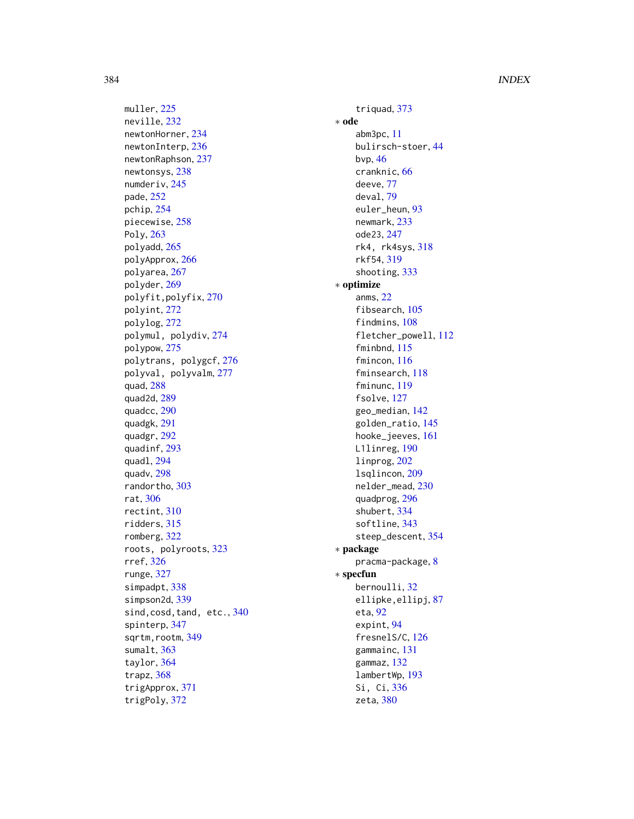muller, [225](#page-224-0) neville , [232](#page-231-0) newtonHorner , [234](#page-233-0) newtonInterp, [236](#page-235-0) newtonRaphson , [237](#page-236-0) newtonsys , [238](#page-237-0) numderiv , [245](#page-244-0) pade , [252](#page-251-0) pchip , [254](#page-253-0) piecewise , [258](#page-257-0) Poly , [263](#page-262-0) polyadd , [265](#page-264-0) polyApprox , [266](#page-265-0) polyarea , [267](#page-266-1) polyder , [269](#page-268-0) polyfit,polyfix , [270](#page-269-0) polyint , [272](#page-271-0) polylog , [272](#page-271-0) polymul, polydiv , [274](#page-273-0) polypow , [275](#page-274-0) polytrans, polygcf , [276](#page-275-0) polyval, polyvalm , [277](#page-276-0) quad , [288](#page-287-0) quad2d , [289](#page-288-1) quadcc , [290](#page-289-0) quadgk , [291](#page-290-0) quadgr , [292](#page-291-0) quadinf , [293](#page-292-0) quadl , [294](#page-293-0) quadv , [298](#page-297-0) randortho , [303](#page-302-0) rat , [306](#page-305-0) rectint , [310](#page-309-0) ridders , [315](#page-314-0) romberg , [322](#page-321-0) roots, polyroots , [323](#page-322-0) rref , [326](#page-325-0) runge , [327](#page-326-0) simpadpt, [338](#page-337-0) simpson2d , [339](#page-338-1) sind, cosd, tand, etc., [340](#page-339-0) spinterp , [347](#page-346-0) sqrtm, rootm, [349](#page-348-0) sumalt, [363](#page-362-0) taylor , [364](#page-363-0) trapz , [368](#page-367-0) trigApprox , [371](#page-370-1) trigPoly , [372](#page-371-1)

triquad , [373](#page-372-0) ∗ ode abm3pc , [11](#page-10-0) bulirsch-stoer , [44](#page-43-0) bvp , [46](#page-45-0) cranknic , [66](#page-65-0) deeve , [77](#page-76-0) deval , [79](#page-78-0) euler\_heun , [93](#page-92-0) newmark , [233](#page-232-0) ode23 , [247](#page-246-0) rk4, rk4sys , [318](#page-317-0) rkf54 , [319](#page-318-0) shooting , [333](#page-332-0) ∗ optimize anms , [22](#page-21-0) fibsearch, [105](#page-104-0) findmins, [108](#page-107-0) fletcher\_powell , [112](#page-111-0) fminbnd , [115](#page-114-0) fmincon , [116](#page-115-0) fminsearch , [118](#page-117-0) fminunc , [119](#page-118-0) fsolve , [127](#page-126-0) geo\_median , [142](#page-141-0) golden\_ratio , [145](#page-144-0) hooke\_jeeves , [161](#page-160-0) L1linreg, [190](#page-189-0) linprog , [202](#page-201-0) lsqlincon , [209](#page-208-0) nelder\_mead , [230](#page-229-0) quadprog , [296](#page-295-0) shubert , [334](#page-333-0) softline, [343](#page-342-0) steep\_descent , [354](#page-353-0) ∗ package pracma-package , [8](#page-7-0) ∗ specfun bernoulli , [32](#page-31-0) ellipke, ellipj, [87](#page-86-0) eta, <mark>[92](#page-91-1)</mark> expint, <mark>9</mark>4 fresnelS/C, [126](#page-125-0) gammainc , [131](#page-130-0) gammaz , [132](#page-131-1) lambertWp , [193](#page-192-0) Si, Ci, [336](#page-335-0) zeta , [380](#page-379-0)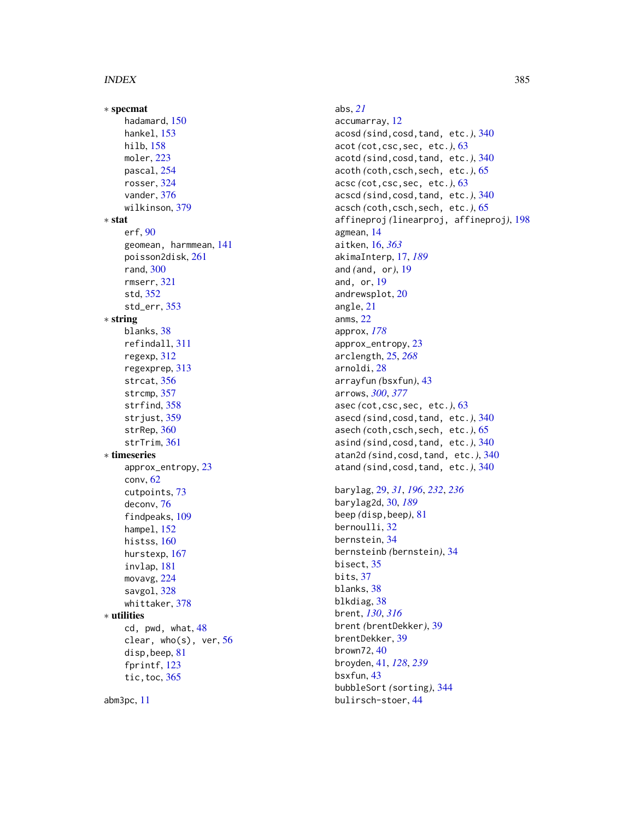∗ specmat hadamard , [150](#page-149-0) hankel , [153](#page-152-1) hilb , [158](#page-157-0) moler , [223](#page-222-0) pascal , [254](#page-253-0) rosser , [324](#page-323-0) vander , [376](#page-375-0) wilkinson , [379](#page-378-0) ∗ stat erf , [90](#page-89-0) geomean, harmmean , [141](#page-140-0) poisson2disk , [261](#page-260-0) rand , [300](#page-299-0) rmserr , [321](#page-320-0) std , [352](#page-351-0) std\_err , [353](#page-352-0) ∗ string blanks, [38](#page-37-0) refindall , [311](#page-310-0) regexp , [312](#page-311-0) regexprep , [313](#page-312-0) strcat , [356](#page-355-0) strcmp , [357](#page-356-0) strfind, [358](#page-357-0) strjust , [359](#page-358-1) strRep, [360](#page-359-0) strTrim, [361](#page-360-0) ∗ timeseries approx\_entropy , [23](#page-22-0) conv , [62](#page-61-0) cutpoints , [73](#page-72-0) deconv , [76](#page-75-0) findpeaks , [109](#page-108-0) hampel, [152](#page-151-0) histss, [160](#page-159-0) hurstexp , [167](#page-166-0) invlap , [181](#page-180-0) movavg , [224](#page-223-0) savgol, [328](#page-327-1) whittaker , [378](#page-377-0) ∗ utilities cd, pwd, what, [48](#page-47-0) clear, who(s), ver, [56](#page-55-0) disp, beep, [81](#page-80-0) fprintf, [123](#page-122-0) tic,toc , [365](#page-364-0) abm3pc , [11](#page-10-0)

abs , *[21](#page-20-0)* accumarray , [12](#page-11-0) acosd *(*sind,cosd,tand, etc. *)* , [340](#page-339-0) acot *(*cot,csc,sec, etc. *)* , [63](#page-62-0) acotd *(*sind,cosd,tand, etc. *)* , [340](#page-339-0) acoth *(*coth,csch,sech, etc. *)* , [65](#page-64-0) acsc *(*cot,csc,sec, etc. *)* , [63](#page-62-0) acscd *(*sind,cosd,tand, etc. *)* , [340](#page-339-0) acsch *(*coth,csch,sech, etc. *)* , [65](#page-64-0) affineproj *(*linearproj, affineproj *)* , [198](#page-197-0) agmean , [14](#page-13-0) aitken , [16](#page-15-1) , *[363](#page-362-0)* akimaInterp , [17](#page-16-0) , *[189](#page-188-0)* and (and, or), [19](#page-18-0) and, or, [19](#page-18-0) andrewsplot , [20](#page-19-0) angle , [21](#page-20-0) anms , [22](#page-21-0) approx , *[178](#page-177-0)* approx\_entropy , [23](#page-22-0) arclength , [25](#page-24-0) , *[268](#page-267-0)* arnoldi , [28](#page-27-0) arrayfun *(*bsxfun *)* , [43](#page-42-0) arrows , *[300](#page-299-0)* , *[377](#page-376-0)* asec *(*cot,csc,sec, etc. *)* , [63](#page-62-0) asecd *(*sind,cosd,tand, etc. *)* , [340](#page-339-0) asech (coth, csch, sech, etc.), [65](#page-64-0) asind *(*sind,cosd,tand, etc. *)* , [340](#page-339-0) atan2d *(*sind,cosd,tand, etc. *)* , [340](#page-339-0) atand *(*sind,cosd,tand, etc. *)* , [340](#page-339-0)

barylag , [29](#page-28-0) , *[31](#page-30-0)* , *[196](#page-195-0)* , *[232](#page-231-0)* , *[236](#page-235-0)* barylag2d , [30](#page-29-0) , *[189](#page-188-0)* beep *(*disp,beep *)* , [81](#page-80-0) bernoulli, [32](#page-31-0) bernstein , [34](#page-33-0) bernsteinb *(*bernstein *)* , [34](#page-33-0) bisect, [35](#page-34-0) bits , [37](#page-36-0) blanks, [38](#page-37-0) blkdiag, [38](#page-37-0) brent , *[130](#page-129-0)* , *[316](#page-315-0)* brent *(*brentDekker *)* , [39](#page-38-0) brentDekker , [39](#page-38-0) brown72,[40](#page-39-0) broyden , [41](#page-40-0) , *[128](#page-127-0)* , *[239](#page-238-0)* bsxfun , [43](#page-42-0) bubbleSort *(*sorting *)* , [344](#page-343-0) bulirsch-stoer , [44](#page-43-0)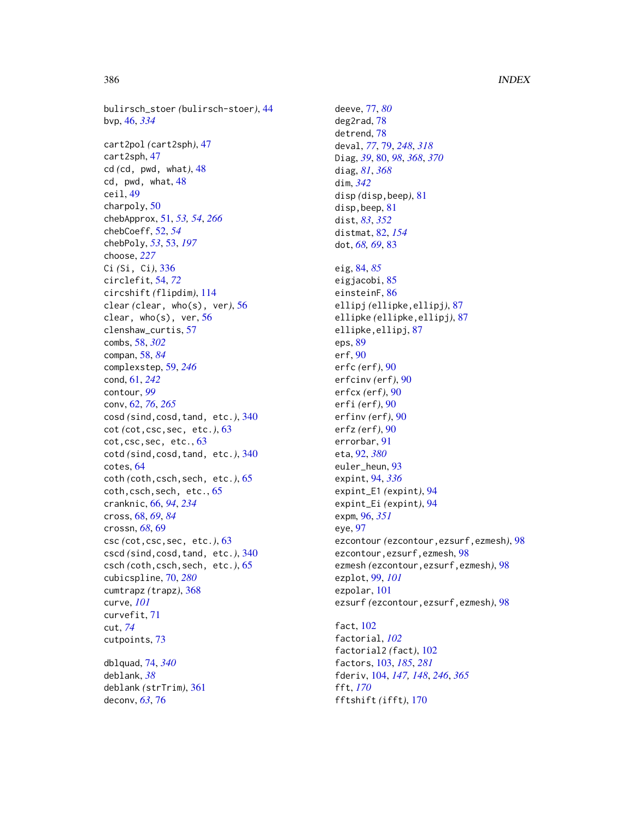bulirsch\_stoer *(*bulirsch-stoer*)*, [44](#page-43-0) bvp, [46,](#page-45-0) *[334](#page-333-0)* cart2pol *(*cart2sph*)*, [47](#page-46-0) cart2sph, [47](#page-46-0) cd *(*cd, pwd, what*)*, [48](#page-47-0) cd, pwd, what, [48](#page-47-0) ceil, [49](#page-48-0) charpoly, [50](#page-49-0) chebApprox, [51,](#page-50-0) *[53,](#page-52-0) [54](#page-53-0)*, *[266](#page-265-0)* chebCoeff, [52,](#page-51-0) *[54](#page-53-0)* chebPoly, *[53](#page-52-0)*, [53,](#page-52-0) *[197](#page-196-0)* choose, *[227](#page-226-0)* Ci *(*Si, Ci*)*, [336](#page-335-0) circlefit, [54,](#page-53-0) *[72](#page-71-0)* circshift *(*flipdim*)*, [114](#page-113-0) clear *(*clear, who(s), ver*)*, [56](#page-55-0) clear, who(s), ver, [56](#page-55-0) clenshaw\_curtis, [57](#page-56-0) combs, [58,](#page-57-0) *[302](#page-301-0)* compan, [58,](#page-57-0) *[84](#page-83-0)* complexstep, [59,](#page-58-0) *[246](#page-245-0)* cond, [61,](#page-60-0) *[242](#page-241-0)* contour, *[99](#page-98-0)* conv, [62,](#page-61-0) *[76](#page-75-0)*, *[265](#page-264-0)* cosd *(*sind,cosd,tand, etc.*)*, [340](#page-339-0) cot *(*cot,csc,sec, etc.*)*, [63](#page-62-0) cot,csc,sec, etc., [63](#page-62-0) cotd *(*sind,cosd,tand, etc.*)*, [340](#page-339-0) cotes, [64](#page-63-0) coth *(*coth,csch,sech, etc.*)*, [65](#page-64-0) coth,csch,sech, etc., [65](#page-64-0) cranknic, [66,](#page-65-0) *[94](#page-93-0)*, *[234](#page-233-0)* cross, [68,](#page-67-0) *[69](#page-68-0)*, *[84](#page-83-0)* crossn, *[68](#page-67-0)*, [69](#page-68-0) csc *(*cot,csc,sec, etc.*)*, [63](#page-62-0) cscd *(*sind,cosd,tand, etc.*)*, [340](#page-339-0) csch *(*coth,csch,sech, etc.*)*, [65](#page-64-0) cubicspline, [70,](#page-69-0) *[280](#page-279-0)* cumtrapz *(*trapz*)*, [368](#page-367-0) curve, *[101](#page-100-0)* curvefit, [71](#page-70-0) cut, *[74](#page-73-0)* cutpoints, [73](#page-72-0) dblquad, [74,](#page-73-0) *[340](#page-339-0)*

deblank, *[38](#page-37-0)* deblank *(*strTrim*)*, [361](#page-360-0) deconv, *[63](#page-62-0)*, [76](#page-75-0)

deeve, [77,](#page-76-0) *[80](#page-79-1)* deg2rad, [78](#page-77-0) detrend, [78](#page-77-0) deval, *[77](#page-76-0)*, [79,](#page-78-0) *[248](#page-247-0)*, *[318](#page-317-0)* Diag, *[39](#page-38-0)*, [80,](#page-79-1) *[98](#page-97-0)*, *[368](#page-367-0)*, *[370](#page-369-0)* diag, *[81](#page-80-0)*, *[368](#page-367-0)* dim, *[342](#page-341-0)* disp *(*disp,beep*)*, [81](#page-80-0) disp,beep, [81](#page-80-0) dist, *[83](#page-82-0)*, *[352](#page-351-0)* distmat, [82,](#page-81-0) *[154](#page-153-0)* dot, *[68,](#page-67-0) [69](#page-68-0)*, [83](#page-82-0) eig, [84,](#page-83-0) *[85](#page-84-0)* eigjacobi, [85](#page-84-0) einsteinF, [86](#page-85-0) ellipj *(*ellipke,ellipj*)*, [87](#page-86-0) ellipke *(*ellipke,ellipj*)*, [87](#page-86-0) ellipke,ellipj, [87](#page-86-0) eps, [89](#page-88-0) erf, [90](#page-89-0) erfc *(*erf*)*, [90](#page-89-0) erfcinv *(*erf*)*, [90](#page-89-0) erfcx *(*erf*)*, [90](#page-89-0) erfi *(*erf*)*, [90](#page-89-0) erfinv *(*erf*)*, [90](#page-89-0) erfz *(*erf*)*, [90](#page-89-0) errorbar, [91](#page-90-0) eta, [92,](#page-91-1) *[380](#page-379-0)* euler\_heun, [93](#page-92-0) expint, [94,](#page-93-0) *[336](#page-335-0)* expint\_E1 *(*expint*)*, [94](#page-93-0) expint\_Ei *(*expint*)*, [94](#page-93-0) expm, [96,](#page-95-0) *[351](#page-350-0)* eye, [97](#page-96-0) ezcontour *(*ezcontour,ezsurf,ezmesh*)*, [98](#page-97-0) ezcontour,ezsurf,ezmesh, [98](#page-97-0) ezmesh *(*ezcontour,ezsurf,ezmesh*)*, [98](#page-97-0) ezplot, [99,](#page-98-0) *[101](#page-100-0)* ezpolar, [101](#page-100-0) ezsurf *(*ezcontour,ezsurf,ezmesh*)*, [98](#page-97-0)

fact, [102](#page-101-0) factorial, *[102](#page-101-0)* factorial2 *(*fact*)*, [102](#page-101-0) factors, [103,](#page-102-0) *[185](#page-184-0)*, *[281](#page-280-0)* fderiv, [104,](#page-103-1) *[147,](#page-146-0) [148](#page-147-0)*, *[246](#page-245-0)*, *[365](#page-364-0)* fft, *[170](#page-169-0)* fftshift *(*ifft*)*, [170](#page-169-0)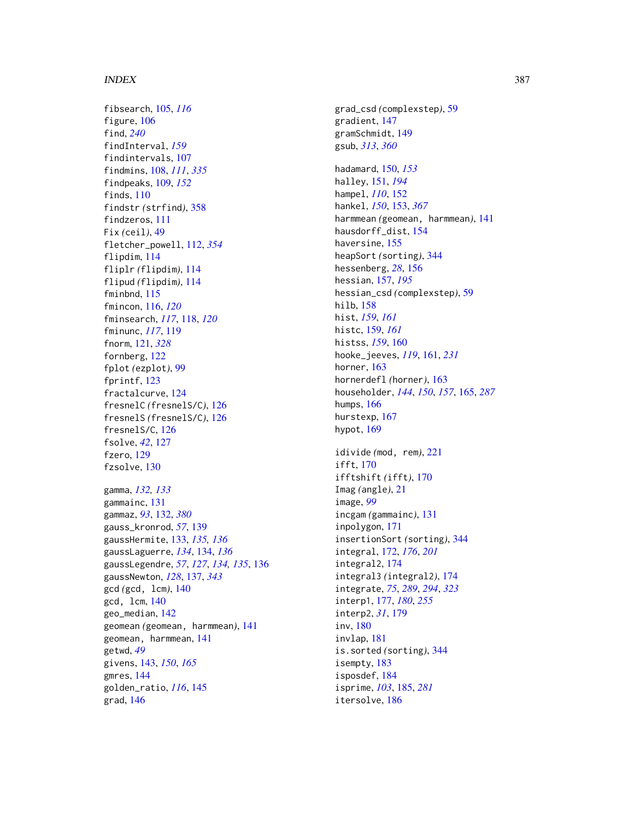fibsearch, [105,](#page-104-0) *[116](#page-115-0)* figure, [106](#page-105-0) find, *[240](#page-239-0)* findInterval, *[159](#page-158-0)* findintervals, [107](#page-106-0) findmins, [108,](#page-107-0) *[111](#page-110-0)*, *[335](#page-334-0)* findpeaks, [109,](#page-108-0) *[152](#page-151-0)* finds, [110](#page-109-0) findstr *(*strfind*)*, [358](#page-357-0) findzeros, [111](#page-110-0) Fix *(*ceil*)*, [49](#page-48-0) fletcher\_powell, [112,](#page-111-0) *[354](#page-353-0)* flipdim, [114](#page-113-0) fliplr *(*flipdim*)*, [114](#page-113-0) flipud *(*flipdim*)*, [114](#page-113-0) fminbnd, [115](#page-114-0) fmincon, [116,](#page-115-0) *[120](#page-119-0)* fminsearch, *[117](#page-116-0)*, [118,](#page-117-0) *[120](#page-119-0)* fminunc, *[117](#page-116-0)*, [119](#page-118-0) fnorm, [121,](#page-120-0) *[328](#page-327-1)* fornberg, [122](#page-121-0) fplot *(*ezplot*)*, [99](#page-98-0) fprintf, [123](#page-122-0) fractalcurve, [124](#page-123-0) fresnelC *(*fresnelS/C*)*, [126](#page-125-0) fresnelS *(*fresnelS/C*)*, [126](#page-125-0) fresnelS/C, [126](#page-125-0) fsolve, *[42](#page-41-0)*, [127](#page-126-0) fzero, [129](#page-128-0) fzsolve, [130](#page-129-0) gamma, *[132,](#page-131-1) [133](#page-132-0)* gammainc, [131](#page-130-0) gammaz, *[93](#page-92-0)*, [132,](#page-131-1) *[380](#page-379-0)*

gauss\_kronrod, *[57](#page-56-0)*, [139](#page-138-0) gaussHermite, [133,](#page-132-0) *[135,](#page-134-0) [136](#page-135-0)* gaussLaguerre, *[134](#page-133-0)*, [134,](#page-133-0) *[136](#page-135-0)* gaussLegendre, *[57](#page-56-0)*, *[127](#page-126-0)*, *[134,](#page-133-0) [135](#page-134-0)*, [136](#page-135-0) gaussNewton, *[128](#page-127-0)*, [137,](#page-136-0) *[343](#page-342-0)* gcd *(*gcd, lcm*)*, [140](#page-139-0) gcd, lcm, [140](#page-139-0) geo\_median, [142](#page-141-0) geomean *(*geomean, harmmean*)*, [141](#page-140-0) geomean, harmmean, [141](#page-140-0) getwd, *[49](#page-48-0)* givens, [143,](#page-142-0) *[150](#page-149-0)*, *[165](#page-164-0)* gmres, [144](#page-143-0) golden\_ratio, *[116](#page-115-0)*, [145](#page-144-0) grad, [146](#page-145-0)

grad\_csd *(*complexstep*)*, [59](#page-58-0) gradient, [147](#page-146-0) gramSchmidt, [149](#page-148-0) gsub, *[313](#page-312-0)*, *[360](#page-359-0)* hadamard, [150,](#page-149-0) *[153](#page-152-1)* halley, [151,](#page-150-0) *[194](#page-193-0)* hampel, *[110](#page-109-0)*, [152](#page-151-0) hankel, *[150](#page-149-0)*, [153,](#page-152-1) *[367](#page-366-1)* harmmean *(*geomean, harmmean*)*, [141](#page-140-0) hausdorff\_dist, [154](#page-153-0) haversine, [155](#page-154-0) heapSort *(*sorting*)*, [344](#page-343-0) hessenberg, *[28](#page-27-0)*, [156](#page-155-0) hessian, [157,](#page-156-0) *[195](#page-194-0)* hessian\_csd *(*complexstep*)*, [59](#page-58-0) hilb, [158](#page-157-0) hist, *[159](#page-158-0)*, *[161](#page-160-0)* histc, [159,](#page-158-0) *[161](#page-160-0)* histss, *[159](#page-158-0)*, [160](#page-159-0) hooke\_jeeves, *[119](#page-118-0)*, [161,](#page-160-0) *[231](#page-230-0)* horner, [163](#page-162-0) hornerdefl *(*horner*)*, [163](#page-162-0) householder, *[144](#page-143-0)*, *[150](#page-149-0)*, *[157](#page-156-0)*, [165,](#page-164-0) *[287](#page-286-1)* humps, [166](#page-165-0) hurstexp, [167](#page-166-0) hypot, [169](#page-168-0) idivide *(*mod, rem*)*, [221](#page-220-0) ifft, [170](#page-169-0) ifftshift *(*ifft*)*, [170](#page-169-0) Imag *(*angle*)*, [21](#page-20-0) image, *[99](#page-98-0)* incgam *(*gammainc*)*, [131](#page-130-0) inpolygon, [171](#page-170-0) insertionSort *(*sorting*)*, [344](#page-343-0) integral, [172,](#page-171-0) *[176](#page-175-0)*, *[201](#page-200-0)* integral2, [174](#page-173-0) integral3 *(*integral2*)*, [174](#page-173-0) integrate, *[75](#page-74-0)*, *[289](#page-288-1)*, *[294](#page-293-0)*, *[323](#page-322-0)* interp1, [177,](#page-176-0) *[180](#page-179-0)*, *[255](#page-254-0)* interp2, *[31](#page-30-0)*, [179](#page-178-0) inv, [180](#page-179-0) invlap, [181](#page-180-0) is.sorted *(*sorting*)*, [344](#page-343-0) isempty, [183](#page-182-0) isposdef, [184](#page-183-0) isprime, *[103](#page-102-0)*, [185,](#page-184-0) *[281](#page-280-0)*

itersolve, [186](#page-185-0)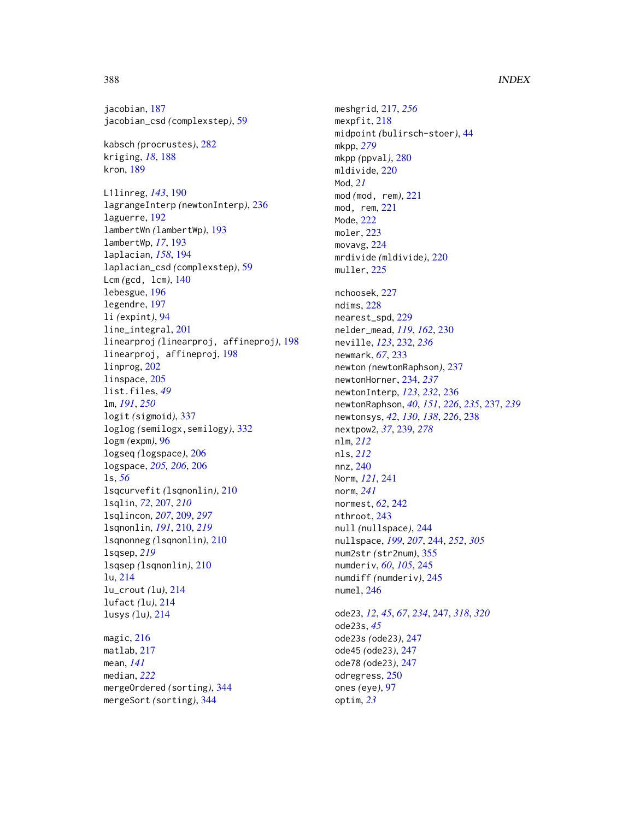jacobian, [187](#page-186-0) jacobian\_csd *(*complexstep*)*, [59](#page-58-0)

kabsch *(*procrustes*)*, [282](#page-281-0) kriging, *[18](#page-17-0)*, [188](#page-187-0) kron, [189](#page-188-0)

L1linreg, *[143](#page-142-0)*, [190](#page-189-0) lagrangeInterp *(*newtonInterp*)*, [236](#page-235-0) laguerre, [192](#page-191-0) lambertWn *(*lambertWp*)*, [193](#page-192-0) lambertWp, *[17](#page-16-0)*, [193](#page-192-0) laplacian, *[158](#page-157-0)*, [194](#page-193-0) laplacian\_csd *(*complexstep*)*, [59](#page-58-0) Lcm *(*gcd, lcm*)*, [140](#page-139-0) lebesgue, [196](#page-195-0) legendre, [197](#page-196-0) li *(*expint*)*, [94](#page-93-0) line\_integral, [201](#page-200-0) linearproj *(*linearproj, affineproj*)*, [198](#page-197-0) linearproj, affineproj, [198](#page-197-0) linprog, [202](#page-201-0) linspace, [205](#page-204-0) list.files, *[49](#page-48-0)* lm, *[191](#page-190-0)*, *[250](#page-249-0)* logit *(*sigmoid*)*, [337](#page-336-0) loglog *(*semilogx,semilogy*)*, [332](#page-331-0) logm *(*expm*)*, [96](#page-95-0) logseq *(*logspace*)*, [206](#page-205-0) logspace, *[205,](#page-204-0) [206](#page-205-0)*, [206](#page-205-0) ls, *[56](#page-55-0)* lsqcurvefit *(*lsqnonlin*)*, [210](#page-209-0) lsqlin, *[72](#page-71-0)*, [207,](#page-206-0) *[210](#page-209-0)* lsqlincon, *[207](#page-206-0)*, [209,](#page-208-0) *[297](#page-296-0)* lsqnonlin, *[191](#page-190-0)*, [210,](#page-209-0) *[219](#page-218-0)* lsqnonneg *(*lsqnonlin*)*, [210](#page-209-0) lsqsep, *[219](#page-218-0)* lsqsep *(*lsqnonlin*)*, [210](#page-209-0) lu, [214](#page-213-0) lu\_crout *(*lu*)*, [214](#page-213-0) lufact *(*lu*)*, [214](#page-213-0) lusys *(*lu*)*, [214](#page-213-0)

magic, [216](#page-215-0) matlab, [217](#page-216-0) mean, *[141](#page-140-0)* median, *[222](#page-221-0)* mergeOrdered *(*sorting*)*, [344](#page-343-0) mergeSort *(*sorting*)*, [344](#page-343-0)

meshgrid, [217,](#page-216-0) *[256](#page-255-0)* mexpfit, [218](#page-217-0) midpoint *(*bulirsch-stoer*)*, [44](#page-43-0) mkpp, *[279](#page-278-0)* mkpp *(*ppval*)*, [280](#page-279-0) mldivide, [220](#page-219-0) Mod, *[21](#page-20-0)* mod *(*mod, rem*)*, [221](#page-220-0) mod, rem, [221](#page-220-0) Mode, [222](#page-221-0) moler, [223](#page-222-0) movavg, [224](#page-223-0) mrdivide *(*mldivide*)*, [220](#page-219-0) muller, [225](#page-224-0) nchoosek, [227](#page-226-0) ndims, [228](#page-227-0) nearest\_spd, [229](#page-228-0) nelder\_mead, *[119](#page-118-0)*, *[162](#page-161-0)*, [230](#page-229-0) neville, *[123](#page-122-0)*, [232,](#page-231-0) *[236](#page-235-0)* newmark, *[67](#page-66-0)*, [233](#page-232-0) newton *(*newtonRaphson*)*, [237](#page-236-0) newtonHorner, [234,](#page-233-0) *[237](#page-236-0)* newtonInterp, *[123](#page-122-0)*, *[232](#page-231-0)*, [236](#page-235-0) newtonRaphson, *[40](#page-39-0)*, *[151](#page-150-0)*, *[226](#page-225-0)*, *[235](#page-234-0)*, [237,](#page-236-0) *[239](#page-238-0)* newtonsys, *[42](#page-41-0)*, *[130](#page-129-0)*, *[138](#page-137-0)*, *[226](#page-225-0)*, [238](#page-237-0) nextpow2, *[37](#page-36-0)*, [239,](#page-238-0) *[278](#page-277-0)* nlm, *[212](#page-211-0)* nls, *[212](#page-211-0)* nnz, [240](#page-239-0) Norm, *[121](#page-120-0)*, [241](#page-240-0) norm, *[241](#page-240-0)* normest, *[62](#page-61-0)*, [242](#page-241-0) nthroot, [243](#page-242-0) null *(*nullspace*)*, [244](#page-243-0) nullspace, *[199](#page-198-0)*, *[207](#page-206-0)*, [244,](#page-243-0) *[252](#page-251-0)*, *[305](#page-304-0)* num2str *(*str2num*)*, [355](#page-354-0) numderiv, *[60](#page-59-0)*, *[105](#page-104-0)*, [245](#page-244-0) numdiff *(*numderiv*)*, [245](#page-244-0) numel, [246](#page-245-0) ode23, *[12](#page-11-0)*, *[45](#page-44-0)*, *[67](#page-66-0)*, *[234](#page-233-0)*, [247,](#page-246-0) *[318](#page-317-0)*, *[320](#page-319-0)* ode23s, *[45](#page-44-0)* ode23s *(*ode23*)*, [247](#page-246-0)

ode45 *(*ode23*)*, [247](#page-246-0) ode78 *(*ode23*)*, [247](#page-246-0) odregress, [250](#page-249-0) ones *(*eye*)*, [97](#page-96-0) optim, *[23](#page-22-0)*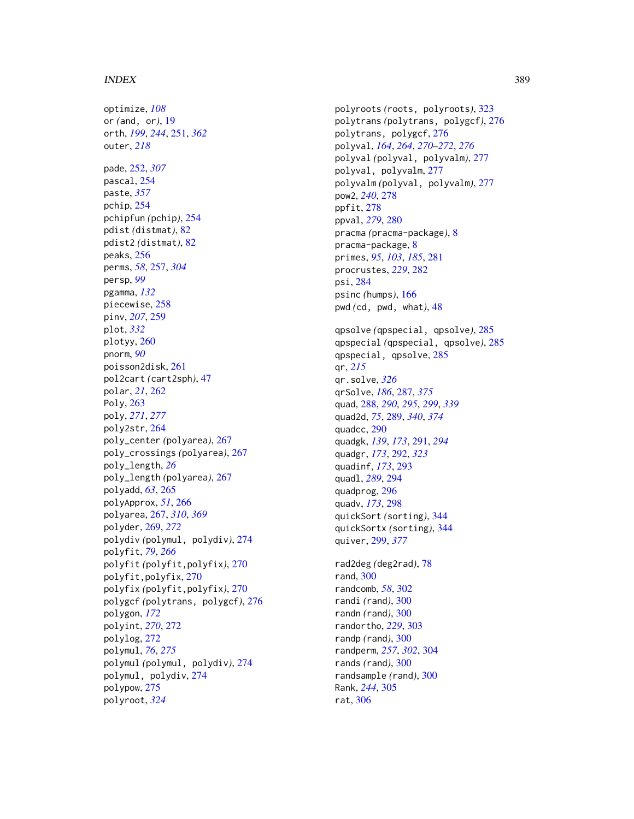optimize, *[108](#page-107-0)* or *(*and, or*)*, [19](#page-18-0) orth, *[199](#page-198-0)*, *[244](#page-243-0)*, [251,](#page-250-1) *[362](#page-361-0)* outer, *[218](#page-217-0)* pade, [252,](#page-251-0) *[307](#page-306-0)* pascal, [254](#page-253-0) paste, *[357](#page-356-0)* pchip, [254](#page-253-0) pchipfun *(*pchip*)*, [254](#page-253-0) pdist *(*distmat*)*, [82](#page-81-0) pdist2 *(*distmat*)*, [82](#page-81-0) peaks, [256](#page-255-0) perms, *[58](#page-57-0)*, [257,](#page-256-0) *[304](#page-303-0)* persp, *[99](#page-98-0)* pgamma, *[132](#page-131-1)* piecewise, [258](#page-257-0) pinv, *[207](#page-206-0)*, [259](#page-258-0) plot, *[332](#page-331-0)* plotyy, [260](#page-259-0) pnorm, *[90](#page-89-0)* poisson2disk, [261](#page-260-0) pol2cart *(*cart2sph*)*, [47](#page-46-0) polar, *[21](#page-20-0)*, [262](#page-261-0) Poly, [263](#page-262-0) poly, *[271](#page-270-0)*, *[277](#page-276-0)* poly2str, [264](#page-263-0) poly\_center *(*polyarea*)*, [267](#page-266-1) poly\_crossings *(*polyarea*)*, [267](#page-266-1) poly\_length, *[26](#page-25-0)* poly\_length *(*polyarea*)*, [267](#page-266-1) polyadd, *[63](#page-62-0)*, [265](#page-264-0) polyApprox, *[51](#page-50-0)*, [266](#page-265-0) polyarea, [267,](#page-266-1) *[310](#page-309-0)*, *[369](#page-368-0)* polyder, [269,](#page-268-0) *[272](#page-271-0)* polydiv *(*polymul, polydiv*)*, [274](#page-273-0) polyfit, *[79](#page-78-0)*, *[266](#page-265-0)* polyfit *(*polyfit,polyfix*)*, [270](#page-269-0) polyfit,polyfix, [270](#page-269-0) polyfix *(*polyfit,polyfix*)*, [270](#page-269-0) polygcf *(*polytrans, polygcf*)*, [276](#page-275-0) polygon, *[172](#page-171-0)* polyint, *[270](#page-269-0)*, [272](#page-271-0) polylog, [272](#page-271-0) polymul, *[76](#page-75-0)*, *[275](#page-274-0)* polymul *(*polymul, polydiv*)*, [274](#page-273-0) polymul, polydiv, [274](#page-273-0) polypow, [275](#page-274-0) polyroot, *[324](#page-323-0)*

polyroots *(*roots, polyroots*)*, [323](#page-322-0) polytrans *(*polytrans, polygcf*)*, [276](#page-275-0) polytrans, polygcf, [276](#page-275-0) polyval, *[164](#page-163-0)*, *[264](#page-263-0)*, *[270](#page-269-0)[–272](#page-271-0)*, *[276](#page-275-0)* polyval *(*polyval, polyvalm*)*, [277](#page-276-0) polyval, polyvalm, [277](#page-276-0) polyvalm *(*polyval, polyvalm*)*, [277](#page-276-0) pow2, *[240](#page-239-0)*, [278](#page-277-0) ppfit, [278](#page-277-0) ppval, *[279](#page-278-0)*, [280](#page-279-0) pracma *(*pracma-package*)*, [8](#page-7-0) pracma-package, [8](#page-7-0) primes, *[95](#page-94-0)*, *[103](#page-102-0)*, *[185](#page-184-0)*, [281](#page-280-0) procrustes, *[229](#page-228-0)*, [282](#page-281-0) psi, [284](#page-283-0) psinc *(*humps*)*, [166](#page-165-0) pwd *(*cd, pwd, what*)*, [48](#page-47-0) qpsolve *(*qpspecial, qpsolve*)*, [285](#page-284-0) qpspecial *(*qpspecial, qpsolve*)*, [285](#page-284-0) qpspecial, qpsolve, [285](#page-284-0) qr, *[215](#page-214-0)* qr.solve, *[326](#page-325-0)* qrSolve, *[186](#page-185-0)*, [287,](#page-286-1) *[375](#page-374-0)* quad, [288,](#page-287-0) *[290](#page-289-0)*, *[295](#page-294-0)*, *[299](#page-298-1)*, *[339](#page-338-1)* quad2d, *[75](#page-74-0)*, [289,](#page-288-1) *[340](#page-339-0)*, *[374](#page-373-0)* quadcc, [290](#page-289-0) quadgk, *[139](#page-138-0)*, *[173](#page-172-0)*, [291,](#page-290-0) *[294](#page-293-0)* quadgr, *[173](#page-172-0)*, [292,](#page-291-0) *[323](#page-322-0)* quadinf, *[173](#page-172-0)*, [293](#page-292-0) quadl, *[289](#page-288-1)*, [294](#page-293-0) quadprog, [296](#page-295-0) quadv, *[173](#page-172-0)*, [298](#page-297-0) quickSort *(*sorting*)*, [344](#page-343-0) quickSortx *(*sorting*)*, [344](#page-343-0) quiver, [299,](#page-298-1) *[377](#page-376-0)* rad2deg *(*deg2rad*)*, [78](#page-77-0) rand, [300](#page-299-0) randcomb, *[58](#page-57-0)*, [302](#page-301-0) randi *(*rand*)*, [300](#page-299-0) randn *(*rand*)*, [300](#page-299-0) randortho, *[229](#page-228-0)*, [303](#page-302-0) randp *(*rand*)*, [300](#page-299-0) randperm, *[257](#page-256-0)*, *[302](#page-301-0)*, [304](#page-303-0) rands *(*rand*)*, [300](#page-299-0) randsample *(*rand*)*, [300](#page-299-0) Rank, *[244](#page-243-0)*, [305](#page-304-0) rat, [306](#page-305-0)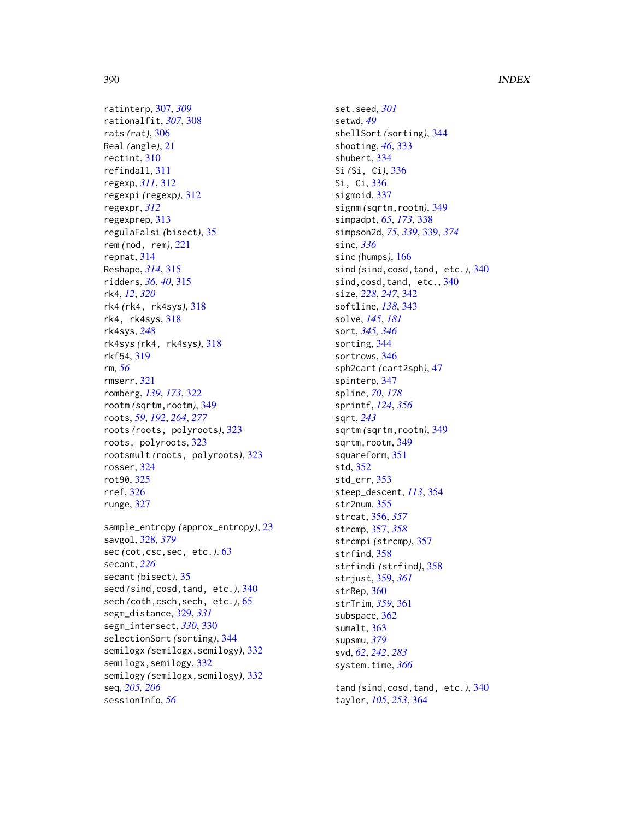ratinterp, [307,](#page-306-0) *[309](#page-308-0)* rationalfit, *[307](#page-306-0)*, [308](#page-307-0) rats *(*rat*)*, [306](#page-305-0) Real *(*angle*)*, [21](#page-20-0) rectint, [310](#page-309-0) refindall, [311](#page-310-0) regexp, *[311](#page-310-0)*, [312](#page-311-0) regexpi *(*regexp*)*, [312](#page-311-0) regexpr, *[312](#page-311-0)* regexprep, [313](#page-312-0) regulaFalsi *(*bisect*)*, [35](#page-34-0) rem *(*mod, rem*)*, [221](#page-220-0) repmat, [314](#page-313-0) Reshape, *[314](#page-313-0)*, [315](#page-314-0) ridders, *[36](#page-35-0)*, *[40](#page-39-0)*, [315](#page-314-0) rk4, *[12](#page-11-0)*, *[320](#page-319-0)* rk4 *(*rk4, rk4sys*)*, [318](#page-317-0) rk4, rk4sys, [318](#page-317-0) rk4sys, *[248](#page-247-0)* rk4sys *(*rk4, rk4sys*)*, [318](#page-317-0) rkf54, [319](#page-318-0) rm, *[56](#page-55-0)* rmserr, [321](#page-320-0) romberg, *[139](#page-138-0)*, *[173](#page-172-0)*, [322](#page-321-0) rootm *(*sqrtm,rootm*)*, [349](#page-348-0) roots, *[59](#page-58-0)*, *[192](#page-191-0)*, *[264](#page-263-0)*, *[277](#page-276-0)* roots *(*roots, polyroots*)*, [323](#page-322-0) roots, polyroots, [323](#page-322-0) rootsmult *(*roots, polyroots*)*, [323](#page-322-0) rosser, [324](#page-323-0) rot90, [325](#page-324-0) rref, [326](#page-325-0) runge, [327](#page-326-0)

```
sample_entropy (approx_entropy), 23
savgol, 328, 379
sec (cot,csc,sec, etc.), 63
secant, 226
secant (bisect), 35
secd (sind,cosd,tand, etc.), 340
65
segm_distance, 329, 331
segm_intersect, 330, 330
selectionSort (sorting), 344
semilogx (semilogx,semilogy), 332
332
semilogy (semilogx,semilogy), 332
seq, 205, 206
sessionInfo, 56
```
set.seed, *[301](#page-300-0)* setwd, *[49](#page-48-0)* shellSort *(*sorting*)*, [344](#page-343-0) shooting, *[46](#page-45-0)*, [333](#page-332-0) shubert, [334](#page-333-0) Si *(*Si, Ci*)*, [336](#page-335-0) Si, Ci, [336](#page-335-0) sigmoid, [337](#page-336-0) signm *(*sqrtm,rootm*)*, [349](#page-348-0) simpadpt, *[65](#page-64-0)*, *[173](#page-172-0)*, [338](#page-337-0) simpson2d, *[75](#page-74-0)*, *[339](#page-338-1)*, [339,](#page-338-1) *[374](#page-373-0)* sinc, *[336](#page-335-0)* sinc *(*humps*)*, [166](#page-165-0) sind *(*sind,cosd,tand, etc.*)*, [340](#page-339-0) sind, cosd, tand, etc., [340](#page-339-0) size, *[228](#page-227-0)*, *[247](#page-246-0)*, [342](#page-341-0) softline, *[138](#page-137-0)*, [343](#page-342-0) solve, *[145](#page-144-0)*, *[181](#page-180-0)* sort, *[345,](#page-344-0) [346](#page-345-0)* sorting, [344](#page-343-0) sortrows, [346](#page-345-0) sph2cart *(*cart2sph*)*, [47](#page-46-0) spinterp, [347](#page-346-0) spline, *[70](#page-69-0)*, *[178](#page-177-0)* sprintf, *[124](#page-123-0)*, *[356](#page-355-0)* sqrt, *[243](#page-242-0)* sqrtm *(*sqrtm,rootm*)*, [349](#page-348-0) sqrtm, rootm, [349](#page-348-0) squareform, [351](#page-350-0) std, [352](#page-351-0) std\_err, [353](#page-352-0) steep\_descent, *[113](#page-112-0)*, [354](#page-353-0) str2num, [355](#page-354-0) strcat, [356,](#page-355-0) *[357](#page-356-0)* strcmp, [357,](#page-356-0) *[358](#page-357-0)* strcmpi *(*strcmp*)*, [357](#page-356-0) strfind, [358](#page-357-0) strfindi *(*strfind*)*, [358](#page-357-0) strjust, [359,](#page-358-1) *[361](#page-360-0)* strRep, [360](#page-359-0) strTrim, *[359](#page-358-1)*, [361](#page-360-0) subspace, [362](#page-361-0) sumalt, [363](#page-362-0) supsmu, *[379](#page-378-0)* svd, *[62](#page-61-0)*, *[242](#page-241-0)*, *[283](#page-282-0)* system.time, *[366](#page-365-0)* tand *(*sind,cosd,tand, etc.*)*, [340](#page-339-0) taylor, *[105](#page-104-0)*, *[253](#page-252-0)*, [364](#page-363-0)